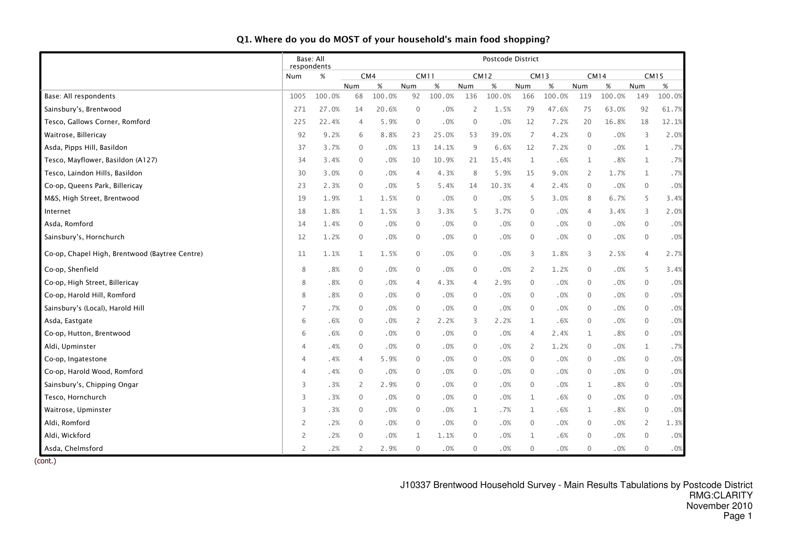|                                                | respondents    | Base: All |                |        |                |        |                | Postcode District |                |             |                |             |                  |             |
|------------------------------------------------|----------------|-----------|----------------|--------|----------------|--------|----------------|-------------------|----------------|-------------|----------------|-------------|------------------|-------------|
|                                                | Num            | $\%$      |                | CM4    | <b>CM11</b>    |        | <b>CM12</b>    |                   |                | <b>CM13</b> |                | <b>CM14</b> |                  | <b>CM15</b> |
|                                                |                |           | Num            | $\%$   | Num            | $\%$   | Num            | %                 | Num            | $\%$        | Num            | %           | Num              | $\%$        |
| Base: All respondents                          | 1005           | 100.0%    | 68             | 100.0% | 92             | 100.0% | 136            | 100.0%            | 166            | 100.0%      | 119            | 100.0%      | 149              | 100.0%      |
| Sainsbury's, Brentwood                         | 271            | 27.0%     | 14             | 20.6%  | $\overline{0}$ | .0%    | $\overline{2}$ | 1.5%              | 79             | 47.6%       | 75             | 63.0%       | 92               | 61.7%       |
| Tesco, Gallows Corner, Romford                 | 225            | 22.4%     | $\overline{4}$ | 5.9%   | $\mathbf 0$    | .0%    | $\mathbf 0$    | .0%               | 12             | 7.2%        | 20             | 16.8%       | 18               | 12.1%       |
| Waitrose, Billericay                           | 92             | 9.2%      | 6              | 8.8%   | 23             | 25.0%  | 53             | 39.0%             | $\overline{7}$ | 4.2%        | $\mathbf 0$    | .0%         | 3                | 2.0%        |
| Asda, Pipps Hill, Basildon                     | 37             | 3.7%      | $\mathbf 0$    | .0%    | 13             | 14.1%  | 9              | 6.6%              | 12             | 7.2%        | $\mathbf 0$    | .0%         | $\mathbf 1$      | .7%         |
| Tesco, Mayflower, Basildon (A127)              | 34             | 3.4%      | $\mathbf 0$    | .0%    | 10             | 10.9%  | 21             | 15.4%             | $\mathbf{1}$   | .6%         | 1              | .8%         | $\mathbf 1$      | .7%         |
| Tesco, Laindon Hills, Basildon                 | 30             | 3.0%      | $\mathbf{0}$   | .0%    | 4              | 4.3%   | 8              | 5.9%              | 15             | 9.0%        | 2              | 1.7%        | $\mathbf{1}$     | .7%         |
| Co-op, Queens Park, Billericay                 | 23             | 2.3%      | $\mathbf{0}$   | .0%    | 5              | 5.4%   | 14             | 10.3%             | $\overline{4}$ | 2.4%        | $\mathbf 0$    | .0%         | $\mathbf 0$      | .0%         |
| M&S, High Street, Brentwood                    | 19             | 1.9%      | $\mathbf{1}$   | 1.5%   | $\mathbf{0}$   | .0%    | $\mathbf 0$    | .0%               | 5              | 3.0%        | 8              | 6.7%        | 5                | 3.4%        |
| Internet                                       | 18             | 1.8%      | 1              | 1.5%   | 3              | 3.3%   | 5              | 3.7%              | $\mathbf 0$    | .0%         | $\overline{4}$ | 3.4%        | 3                | 2.0%        |
| Asda, Romford                                  | 14             | 1.4%      | $\mathbf 0$    | .0%    | 0              | $.0\%$ | $\mathbf 0$    | .0%               | 0              | .0%         | $\mathbf 0$    | .0%         | $\boldsymbol{0}$ | .0%         |
| Sainsbury's, Hornchurch                        | 12             | 1.2%      | $\mathbf 0$    | .0%    | $\mathbf{0}$   | .0%    | $\mathbf 0$    | .0%               | $\mathbf{0}$   | .0%         | $\mathbf 0$    | .0%         | $\mathbf 0$      | .0%         |
| Co-op, Chapel High, Brentwood (Baytree Centre) | 11             | 1.1%      | $\mathbf{1}$   | 1.5%   | $\mathbf 0$    | .0%    | $\mathbf 0$    | .0%               | 3              | 1.8%        | 3              | 2.5%        | 4                | 2.7%        |
| Co-op, Shenfield                               | 8              | .8%       | $\mathbf 0$    | .0%    | $\mathbf 0$    | .0%    | $\mathbf 0$    | .0%               | $\overline{2}$ | 1.2%        | $\mathbf 0$    | .0%         | 5                | 3.4%        |
| Co-op, High Street, Billericay                 | 8              | .8%       | $\mathbf 0$    | .0%    | 4              | 4.3%   | 4              | 2.9%              | $\mathbf{0}$   | .0%         | $\mathbf 0$    | .0%         | $\mathbf 0$      | .0%         |
| Co-op, Harold Hill, Romford                    | 8              | .8%       | $\mathbf{0}$   | .0%    | $\mathbf{0}$   | .0%    | $\mathbf{0}$   | .0%               | $\Omega$       | .0%         | $\mathbf 0$    | .0%         | $\mathbf 0$      | .0%         |
| Sainsbury's (Local), Harold Hill               | $\overline{7}$ | .7%       | $\mathbf 0$    | $.0\%$ | $\mathbf 0$    | $.0\%$ | $\mathbf 0$    | .0%               | $\mathbf{0}$   | $.0\%$      | $\mathbf 0$    | .0%         | $\mathbf 0$      | .0%         |
| Asda, Eastgate                                 | 6              | .6%       | $\mathbf{0}$   | .0%    | 2              | 2.2%   | 3              | 2.2%              | $\mathbf{1}$   | .6%         | $\mathbf 0$    | .0%         | $\mathbf{0}$     | .0%         |
| Co-op, Hutton, Brentwood                       | 6              | .6%       | $\mathbf 0$    | .0%    | 0              | .0%    | $\mathbf 0$    | .0%               | 4              | 2.4%        | 1              | .8%         | $\mathbf 0$      | .0%         |
| Aldi, Upminster                                | 4              | .4%       | $\mathbf{0}$   | .0%    | $\mathbf 0$    | .0%    | $\mathbf 0$    | .0%               | 2              | 1.2%        | $\mathbf 0$    | .0%         | $\mathbf 1$      | .7%         |
| Co-op, Ingatestone                             | 4              | .4%       | $\overline{4}$ | 5.9%   | $\mathbf{0}$   | .0%    | $\mathbf{0}$   | .0%               | $\mathbf{0}$   | .0%         | $\mathbf 0$    | .0%         | $\mathbf 0$      | .0%         |
| Co-op, Harold Wood, Romford                    | 4              | .4%       | $\mathbf{0}$   | .0%    | 0              | .0%    | $\mathbf 0$    | .0%               | $\mathbf{0}$   | .0%         | $\mathbf 0$    | .0%         | $\mathbf 0$      | .0%         |
| Sainsbury's, Chipping Ongar                    | 3              | .3%       | $\overline{2}$ | 2.9%   | $\mathbf 0$    | $.0\%$ | $\mathbf 0$    | .0%               | $\mathbf{0}$   | .0%         | $\mathbf{1}$   | .8%         | $\boldsymbol{0}$ | .0%         |
| Tesco, Hornchurch                              | 3              | .3%       | $\mathbf{0}$   | .0%    | $\mathbf{0}$   | .0%    | $\mathbf 0$    | .0%               | $\mathbf{1}$   | .6%         | $\mathbf 0$    | .0%         | $\mathbf 0$      | .0%         |
| Waitrose, Upminster                            | 3              | .3%       | $\mathbf 0$    | .0%    | $\mathbf 0$    | .0%    | $\mathbf{1}$   | .7%               | 1              | .6%         | 1              | .8%         | $\mathbf 0$      | .0%         |
| Aldi, Romford                                  | $\overline{c}$ | .2%       | $\mathbf 0$    | .0%    | $\mathbf 0$    | .0%    | $\overline{0}$ | .0%               | $\mathbf{0}$   | $.0\%$      | $\mathbf 0$    | .0%         | $\overline{2}$   | 1.3%        |
| Aldi, Wickford                                 | $\overline{c}$ | .2%       | $\mathbf{0}$   | .0%    | $\mathbf 1$    | 1.1%   | $\mathbf{0}$   | .0%               | 1              | .6%         | $\mathbf{0}$   | .0%         | $\mathbf{0}$     | .0%         |
| Asda, Chelmsford                               | $\overline{2}$ | .2%       | 2              | 2.9%   | $\mathbf{0}$   | .0%    | $\mathbf{0}$   | .0%               | $\mathbf{0}$   | .0%         | $\mathbf 0$    | .0%         | $\mathbf 0$      | $.0\%$      |

(cont.)

J10337 Brentwood Household Survey - Main Results Tabulations by Postcode District RMG:CLARITY November 2010Page 1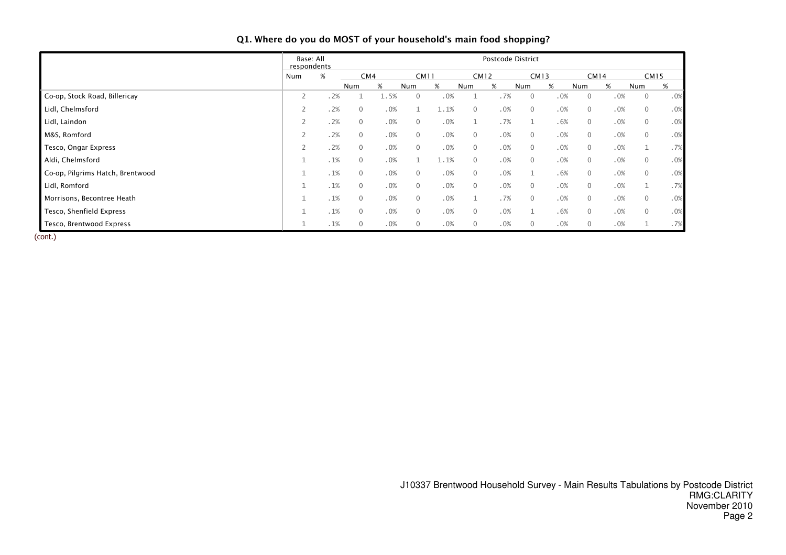|                                  | Base: All<br>respondents |     |              |      |                |      |                | Postcode District |          |             |              |      |                |      |
|----------------------------------|--------------------------|-----|--------------|------|----------------|------|----------------|-------------------|----------|-------------|--------------|------|----------------|------|
|                                  | Num                      | %   | CM4          |      | <b>CM11</b>    |      |                | CM12              |          | <b>CM13</b> |              | CM14 | <b>CM15</b>    |      |
|                                  |                          |     | Num          | %    | Num            | %    | Num            | $\%$              | Num      | %           | Num          | %    | Num            | $\%$ |
| Co-op, Stock Road, Billericay    | $\overline{2}$           | .2% |              | 1.5% | $\Omega$       | .0%  |                | .7%               | 0        | .0%         | $\Omega$     | .0%  | $\overline{0}$ | .0%  |
| Lidl, Chelmsford                 | 2                        | .2% | $\mathbf{0}$ | .0%  |                | 1.1% | $\mathbf{0}$   | .0%               | 0        | .0%         | $\mathbf{0}$ | .0%  | $\overline{0}$ | .0%  |
| Lidl, Laindon                    | $\overline{2}$           | .2% | $\mathbf{0}$ | .0%  | $\Omega$       | .0%  | $\mathbf{1}$   | .7%               |          | .6%         | $\mathbf{0}$ | .0%  | $\overline{0}$ | .0%  |
| M&S, Romford                     | $\overline{2}$           | .2% | $\mathbf{0}$ | .0%  | $\overline{0}$ | .0%  | $\mathbf 0$    | .0%               | 0        | .0%         | $\mathbf{0}$ | .0%  | $\overline{0}$ | .0%  |
| Tesco, Ongar Express             | $\overline{2}$           | .2% | $\mathbf{0}$ | .0%  | $\mathbf{0}$   | .0%  | $\mathbf 0$    | .0%               | 0        | .0%         | $\mathbf{0}$ | .0%  | 1              | .7%  |
| Aldi, Chelmsford                 | и<br>J.                  | .1% | $\mathbf{0}$ | .0%  | $\mathbf{1}$   | 1.1% | $\mathbf{0}$   | .0%               | 0        | .0%         | $\mathbf{0}$ | .0%  | $\overline{0}$ | .0%  |
| Co-op, Pilgrims Hatch, Brentwood | $\mathbf{1}$             | .1% | $\mathbf{0}$ | .0%  | $\overline{0}$ | .0%  | $\overline{0}$ | .0%               |          | .6%         | $\mathbf{0}$ | .0%  | $\overline{0}$ | .0%  |
| Lidl, Romford                    | $\mathbf{I}$             | .1% | $\mathbf{0}$ | .0%  | $\mathbf{0}$   | .0%  | $\mathbf{0}$   | .0%               | 0        | .0%         | $\mathbf{0}$ | .0%  |                | .7%  |
| Morrisons, Becontree Heath       | $\mathbf{1}$             | .1% | $\mathbf{0}$ | .0%  | $\overline{0}$ | .0%  | 1              | .7%               | $\Omega$ | .0%         | $\mathbf{0}$ | .0%  | $\overline{0}$ | .0%  |
| Tesco, Shenfield Express         | $\mathbf{1}$             | .1% | $\mathbf{0}$ | .0%  | $\mathbf{0}$   | .0%  | $\mathbf 0$    | .0%               |          | .6%         | $\mathbf{0}$ | .0%  | $\overline{0}$ | .0%  |
| Tesco, Brentwood Express         |                          | .1% | $\mathbf{0}$ | .0%  | $\overline{0}$ | .0%  | $\mathbf 0$    | .0%               | 0        | .0%         | $\mathbf{0}$ | .0%  |                | .7%  |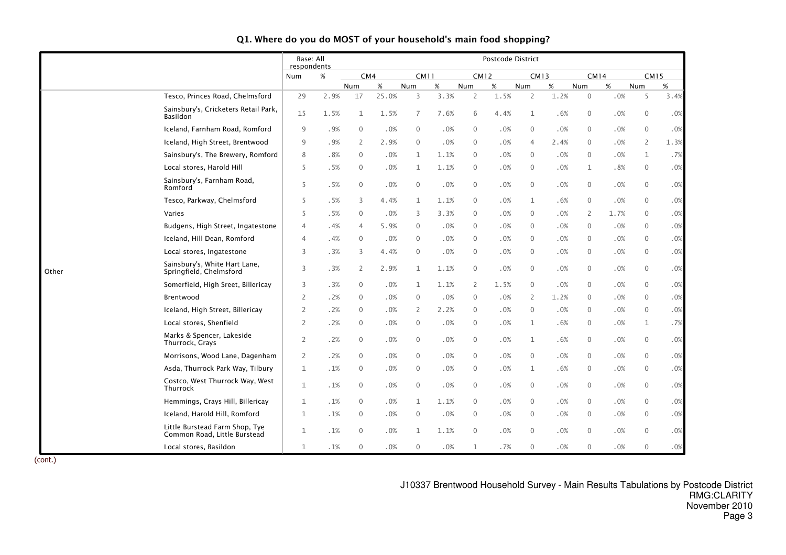|       |                                                                | Base: All<br>respondents |      |                |        |              |      |                     | Postcode District |                |        |                |      |                  |        |
|-------|----------------------------------------------------------------|--------------------------|------|----------------|--------|--------------|------|---------------------|-------------------|----------------|--------|----------------|------|------------------|--------|
|       |                                                                | Num                      | $\%$ | CM4            |        | <b>CM11</b>  |      | <b>CM12</b>         |                   | <b>CM13</b>    |        | <b>CM14</b>    |      | <b>CM15</b>      |        |
|       |                                                                |                          |      | Num            | $\%$   | Num          | %    | Num                 | %                 | Num            | $\%$   | Num            | $\%$ | Num              | %      |
|       | Tesco, Princes Road, Chelmsford                                | 29                       | 2.9% | 17             | 25.0%  | 3            | 3.3% | $\overline{2}$      | 1.5%              | $\overline{2}$ | 1.2%   | $\mathbf 0$    | .0%  | 5                | 3.4%   |
|       | Sainsbury's, Cricketers Retail Park,<br><b>Basildon</b>        | 15                       | 1.5% | 1              | 1.5%   | 7            | 7.6% | 6                   | 4.4%              | $\mathbf{1}$   | .6%    | $\mathbf 0$    | .0%  | $\boldsymbol{0}$ | .0%    |
|       | Iceland, Farnham Road, Romford                                 | $9\,$                    | .9%  | $\mathbf 0$    | .0%    | 0            | .0%  | $\mathbf 0$         | .0%               | 0              | .0%    | $\mathbf 0$    | .0%  | $\boldsymbol{0}$ | .0%    |
|       | Iceland, High Street, Brentwood                                | 9                        | .9%  | 2              | 2.9%   | $\mathbf 0$  | .0%  | $\mathbf 0$         | .0%               | 4              | 2.4%   | $\mathbf{0}$   | .0%  | $\overline{2}$   | 1.3%   |
|       | Sainsbury's, The Brewery, Romford                              | 8                        | .8%  | $\mathbf{0}$   | .0%    | 1            | 1.1% | $\mathbf 0$         | .0%               | $\mathbf{0}$   | .0%    | $\mathbf{0}$   | .0%  | $\mathbf 1$      | .7%    |
|       | Local stores, Harold Hill                                      | 5                        | .5%  | $\mathbf{0}$   | .0%    | 1            | 1.1% | $\mathbf 0$         | .0%               | $\mathbf 0$    | .0%    | 1              | .8%  | $\mathbf 0$      | .0%    |
|       | Sainsbury's, Farnham Road,<br>Romford                          | 5                        | .5%  | $\mathbf{0}$   | .0%    | $\mathbf{0}$ | .0%  | $\mathbf 0$         | .0%               | $\mathbf{0}$   | .0%    | $\mathbf{0}$   | .0%  | 0                | .0%    |
|       | Tesco, Parkway, Chelmsford                                     | 5                        | .5%  | 3              | 4.4%   | $\mathbf{1}$ | 1.1% | $\mathbf 0$         | .0%               | 1              | .6%    | $\mathbf{0}$   | .0%  | $\mathbf 0$      | .0%    |
|       | Varies                                                         | 5                        | .5%  | $\mathbf{0}$   | .0%    | 3            | 3.3% | $\mathbf 0$         | .0%               | $\Omega$       | .0%    | $\overline{2}$ | 1.7% | $\mathbf 0$      | .0%    |
|       | Budgens, High Street, Ingatestone                              | 4                        | .4%  | $\overline{4}$ | 5.9%   | $\mathbf 0$  | .0%  | $\mathbf 0$         | .0%               | $\mathbf{0}$   | .0%    | $\mathbf{0}$   | .0%  | 0                | .0%    |
|       | Iceland, Hill Dean, Romford                                    | 4                        | . 4% | $\mathbf{0}$   | .0%    | $\mathbf 0$  | .0%  | $\mathbf 0$         | .0%               | $\mathbf{0}$   | .0%    | $\mathbf{0}$   | .0%  | $\mathbf 0$      | .0%    |
|       | Local stores, Ingatestone                                      | 3                        | .3%  | 3              | 4.4%   | $\mathbf 0$  | .0%  | $\mathbf 0$         | .0%               | $\mathbf{0}$   | .0%    | $\mathbf{0}$   | .0%  | $\boldsymbol{0}$ | .0%    |
| Other | Sainsbury's, White Hart Lane,<br>Springfield, Chelmsford       | 3                        | .3%  | $\overline{2}$ | 2.9%   | $\mathbf 1$  | 1.1% | $\mathsf{O}\xspace$ | .0%               | $\mathbf 0$    | $.0\%$ | $\mathbf 0$    | .0%  | $\boldsymbol{0}$ | .0%    |
|       | Somerfield, High Sreet, Billericay                             | 3                        | .3%  | $\mathbf{0}$   | $.0\%$ | $\mathbf{1}$ | 1.1% | $\overline{2}$      | 1.5%              | $\mathbf{0}$   | .0%    | $\mathbf{0}$   | .0%  | $\boldsymbol{0}$ | $.0\%$ |
|       | Brentwood                                                      | 2                        | .2%  | $\mathbf{0}$   | .0%    | $\mathbf 0$  | .0%  | $\mathbf 0$         | .0%               | 2              | 1.2%   | $\mathbf{0}$   | .0%  | $\mathbf 0$      | .0%    |
|       | Iceland, High Street, Billericay                               | 2                        | .2%  | $\mathbf 0$    | $.0\%$ | 2            | 2.2% | $\mathbf 0$         | .0%               | $\mathbf 0$    | $.0\%$ | $\mathbf 0$    | .0%  | $\boldsymbol{0}$ | .0%    |
|       | Local stores, Shenfield                                        | 2                        | .2%  | $\mathbf{0}$   | .0%    | $\mathbf 0$  | .0%  | $\mathbf 0$         | .0%               | 1              | .6%    | $\mathbf{0}$   | .0%  | 1                | .7%    |
|       | Marks & Spencer, Lakeside<br>Thurrock, Grays                   | $\overline{2}$           | .2%  | $\mathbf{0}$   | .0%    | $\mathbf 0$  | .0%  | $\mathbf 0$         | .0%               | 1              | .6%    | $\mathbf{0}$   | .0%  | 0                | .0%    |
|       | Morrisons, Wood Lane, Dagenham                                 | $\overline{2}$           | .2%  | $\mathbf{0}$   | .0%    | $\mathbf{0}$ | .0%  | $\mathbf 0$         | .0%               | $\mathbf{0}$   | .0%    | $\mathbf{0}$   | .0%  | $\mathbf 0$      | .0%    |
|       | Asda, Thurrock Park Way, Tilbury                               | $\mathbf{1}$             | .1%  | $\mathbf 0$    | .0%    | 0            | .0%  | $\mathbf 0$         | .0%               | 1              | .6%    | $\mathbf 0$    | .0%  | $\mathbf 0$      | .0%    |
|       | Costco, West Thurrock Way, West<br>Thurrock                    | $\mathbf 1$              | .1%  | $\mathbf{0}$   | .0%    | $\mathbf 0$  | .0%  | $\mathbf 0$         | .0%               | $\mathbf{0}$   | .0%    | $\mathbf{0}$   | .0%  | $\mathbf 0$      | .0%    |
|       | Hemmings, Crays Hill, Billericay                               | $\mathbf 1$              | .1%  | $\mathbf{0}$   | .0%    | $\mathbf 1$  | 1.1% | $\mathbf 0$         | .0%               | $\mathbf{0}$   | .0%    | $\mathbf 0$    | .0%  | $\mathbf 0$      | .0%    |
|       | Iceland, Harold Hill, Romford                                  | $\mathbf{1}$             | .1%  | $\mathbf 0$    | .0%    | $\mathbf 0$  | .0%  | $\mathbf 0$         | .0%               | $\mathbf 0$    | .0%    | $\mathbf{0}$   | .0%  | $\mathbf 0$      | .0%    |
|       | Little Burstead Farm Shop, Tye<br>Common Road, Little Burstead | $\mathbf 1$              | .1%  | $\mathbf{0}$   | .0%    | $\mathbf{1}$ | 1.1% | $\mathbf 0$         | .0%               | $\mathbf{0}$   | .0%    | $\mathbf{0}$   | .0%  | $\mathbf 0$      | .0%    |
|       | Local stores, Basildon                                         | $\mathbf{1}$             | .1%  | $\mathbf{0}$   | .0%    | $\mathbf 0$  | .0%  | $\mathbf{1}$        | .7%               | $\mathbf{0}$   | .0%    | $\mathbf{0}$   | .0%  | $\mathbf 0$      | .0%    |

(cont.)

J10337 Brentwood Household Survey - Main Results Tabulations by Postcode District RMG:CLARITY November 2010Page 3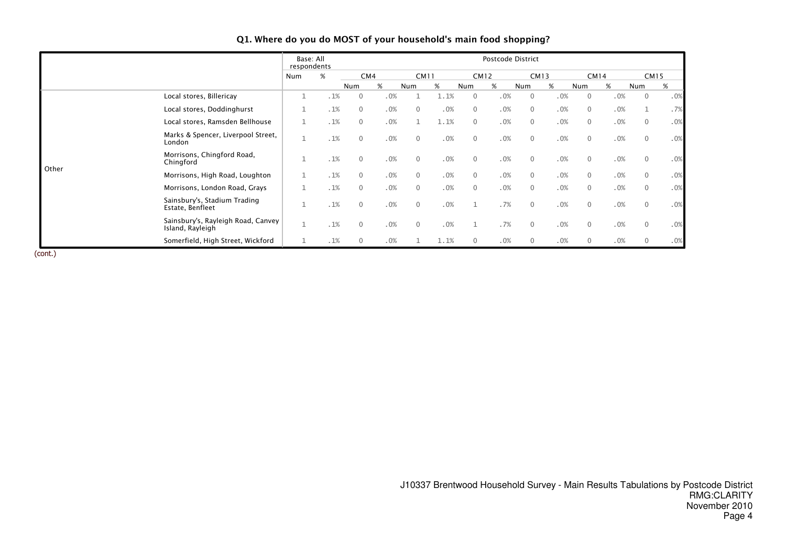|       |                                                        | Base: All<br>respondents |     |              |     |                |      |                | Postcode District |              |             |              |     |                |             |
|-------|--------------------------------------------------------|--------------------------|-----|--------------|-----|----------------|------|----------------|-------------------|--------------|-------------|--------------|-----|----------------|-------------|
|       |                                                        | Num                      | %   | CM4          |     | <b>CM11</b>    |      |                | CM12              |              | <b>CM13</b> | <b>CM14</b>  |     |                | <b>CM15</b> |
|       |                                                        |                          |     | Num          | %   | Num            | %    | Num            | %                 | Num          | %           | Num          | %   | Num            | %           |
|       | Local stores, Billericay                               | $\mathbf 1$              | .1% | $\Omega$     | .0% |                | 1.1% | $\mathbf{0}$   | .0%               | $\Omega$     | .0%         | $\mathbf{0}$ | .0% | $\mathbf{0}$   | .0%         |
|       | Local stores, Doddinghurst                             | $1\,$                    | .1% | $\mathbf{0}$ | .0% | $\overline{0}$ | .0%  | $\mathbf{0}$   | .0%               | $\Omega$     | .0%         | $\mathbf{0}$ | .0% |                | .7%         |
|       | Local stores, Ramsden Bellhouse                        | $1\,$                    | .1% | $\Omega$     | .0% |                | 1.1% | $\mathbf{0}$   | .0%               | $\Omega$     | .0%         | $\mathbf{0}$ | .0% | $\overline{0}$ | .0%         |
|       | Marks & Spencer, Liverpool Street,<br>London           |                          | .1% | $\Omega$     | .0% | $\overline{0}$ | .0%  | $\mathbf{0}$   | .0%               | $\Omega$     | .0%         | $\mathbf{0}$ | .0% | $\overline{0}$ | .0%         |
| Other | Morrisons, Chingford Road,<br>Chingford                | $\mathbf{1}$             | .1% | $\Omega$     | .0% | $\Omega$       | .0%  | $\overline{0}$ | .0%               | $\Omega$     | .0%         | $\mathbf{0}$ | .0% | $\mathbf{0}$   | .0%         |
|       | Morrisons, High Road, Loughton                         | $\mathbf 1$              | .1% | $\Omega$     | .0% | $\Omega$       | .0%  | $\mathbf{0}$   | .0%               | $\Omega$     | .0%         | $\mathbf{0}$ | .0% | $\overline{0}$ | .0%         |
|       | Morrisons, London Road, Grays                          | $\mathbf{1}$             | .1% | $\mathbf{0}$ | .0% | $\overline{0}$ | .0%  | $\mathbf 0$    | .0%               | $\mathbf{0}$ | .0%         | $\mathbf{0}$ | .0% | $\overline{0}$ | .0%         |
|       | Sainsbury's, Stadium Trading<br>Estate, Benfleet       | и                        | .1% | $\Omega$     | .0% | $\overline{0}$ | .0%  | $\mathbf{1}$   | .7%               | $\mathbf{0}$ | .0%         | $\mathbf{0}$ | .0% | $\overline{0}$ | .0%         |
|       | Sainsbury's, Rayleigh Road, Canvey<br>Island, Rayleigh | $\mathbf{I}$<br>Ŧ        | .1% | $\mathbf{0}$ | .0% | $\mathbf{0}$   | .0%  | $\mathbf{1}$   | .7%               | $\Omega$     | .0%         | $\mathbf{0}$ | .0% | $\mathbf 0$    | .0%         |
|       | Somerfield, High Street, Wickford                      |                          | .1% | 0            | .0% |                | 1.1% | 0              | .0%               | 0            | .0%         | $\mathbf{0}$ | .0% | $\overline{0}$ | .0%         |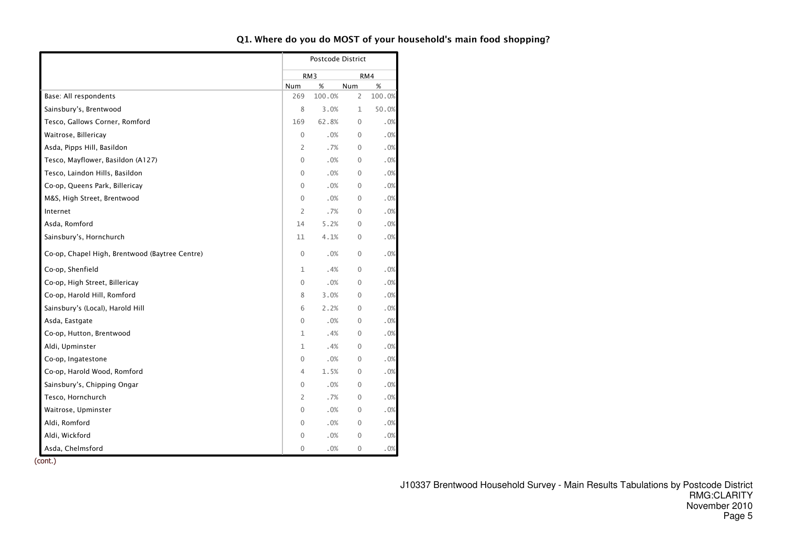|                                                |              | Postcode District |              |        |
|------------------------------------------------|--------------|-------------------|--------------|--------|
|                                                |              | RM3               |              | RM4    |
|                                                | Num          | %                 | Num          | %      |
| Base: All respondents                          | 269          | 100.0%            | 2            | 100.0% |
| Sainsbury's, Brentwood                         | 8            | 3.0%              | $\mathbf{1}$ | 50.0%  |
| Tesco, Gallows Corner, Romford                 | 169          | 62.8%             | $\Omega$     | .0%    |
| Waitrose, Billericay                           | $\mathbf{0}$ | .0%               | $\mathbf{0}$ | .0%    |
| Asda, Pipps Hill, Basildon                     | 2            | .7%               | $\mathbf{0}$ | .0%    |
| Tesco, Mayflower, Basildon (A127)              | 0            | .0%               | $\Omega$     | .0%    |
| Tesco, Laindon Hills, Basildon                 | 0            | .0%               | $\mathbf{0}$ | .0%    |
| Co-op, Queens Park, Billericay                 | 0            | .0%               | $\mathbf{0}$ | .0%    |
| M&S, High Street, Brentwood                    | $\mathbf{0}$ | .0%               | $\mathbf{0}$ | .0%    |
| Internet                                       | 2            | .7%               | $\Omega$     | .0%    |
| Asda, Romford                                  | 14           | 5.2%              | $\mathbf 0$  | .0%    |
| Sainsbury's, Hornchurch                        | 11           | 4.1%              | $\mathbf{0}$ | .0%    |
| Co-op, Chapel High, Brentwood (Baytree Centre) | $\mathbf{0}$ | .0%               | $\mathbf{0}$ | .0%    |
| Co-op, Shenfield                               | 1            | .4%               | $\mathbf{0}$ | .0%    |
| Co-op, High Street, Billericay                 | 0            | .0%               | $\Omega$     | .0%    |
| Co-op, Harold Hill, Romford                    | 8            | 3.0%              | $\Omega$     | .0%    |
| Sainsbury's (Local), Harold Hill               | 6            | 2.2%              | $\mathbf{0}$ | .0%    |
| Asda, Eastgate                                 | 0            | .0%               | $\mathbf{0}$ | .0%    |
| Co-op, Hutton, Brentwood                       | 1            | .4%               | $\Omega$     | .0%    |
| Aldi, Upminster                                | 1            | .4%               | $\mathbf 0$  | .0%    |
| Co-op, Ingatestone                             | 0            | .0%               | $\mathbf{0}$ | .0%    |
| Co-op, Harold Wood, Romford                    | 4            | 1.5%              | $\mathbf{0}$ | .0%    |
| Sainsbury's, Chipping Ongar                    | 0            | .0%               | $\Omega$     | .0%    |
| Tesco, Hornchurch                              | 2            | .7%               | $\mathbf 0$  | .0%    |
| Waitrose, Upminster                            | 0            | .0%               | $\mathbf{0}$ | .0%    |
| Aldi, Romford                                  | $\mathbf{0}$ | .0%               | $\mathbf{0}$ | .0%    |
| Aldi, Wickford                                 | 0            | .0%               | $\Omega$     | .0%    |
| Asda, Chelmsford                               | 0            | .0%               | $\mathbf 0$  | .0%    |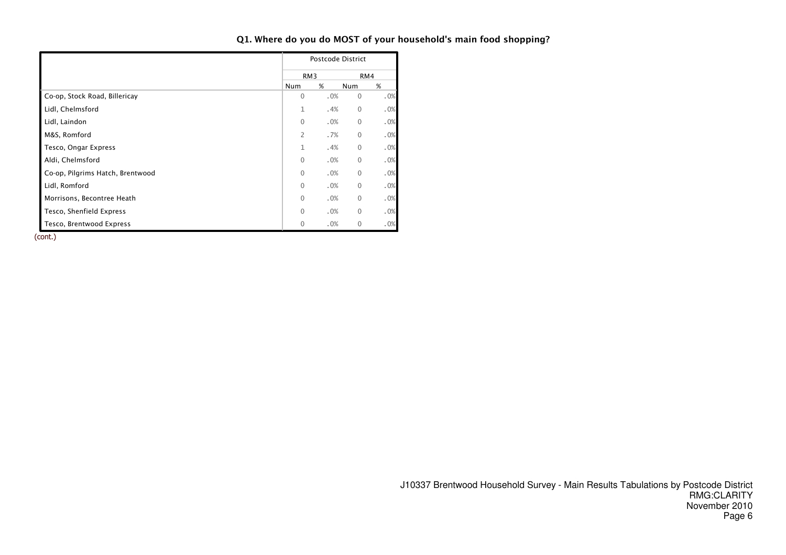|                                  |                 | Postcode District |                |     |
|----------------------------------|-----------------|-------------------|----------------|-----|
|                                  | RM <sub>3</sub> |                   |                | RM4 |
|                                  | <b>Num</b>      | %                 | Num            | %   |
| Co-op, Stock Road, Billericay    | $\Omega$        | .0%               | $\overline{0}$ | .0% |
| Lidl, Chelmsford                 | 1               | .4%               | $\overline{0}$ | .0% |
| Lidl, Laindon                    | $\Omega$        | .0%               | $\overline{0}$ | .0% |
| M&S, Romford                     | 2               | .7%               | $\overline{0}$ | .0% |
| Tesco, Ongar Express             | 1               | .4%               | $\overline{0}$ | .0% |
| Aldi, Chelmsford                 | $\Omega$        | .0%               | $\Omega$       | .0% |
| Co-op, Pilgrims Hatch, Brentwood | $\Omega$        | .0%               | $\overline{0}$ | .0% |
| Lidl, Romford                    | $\Omega$        | .0%               | $\overline{0}$ | .0% |
| Morrisons, Becontree Heath       | $\Omega$        | .0%               | $\overline{0}$ | .0% |
| Tesco, Shenfield Express         | $\Omega$        | .0%               | $\overline{0}$ | .0% |
| Tesco, Brentwood Express         | $\Omega$        | .0%               | 0              | .0% |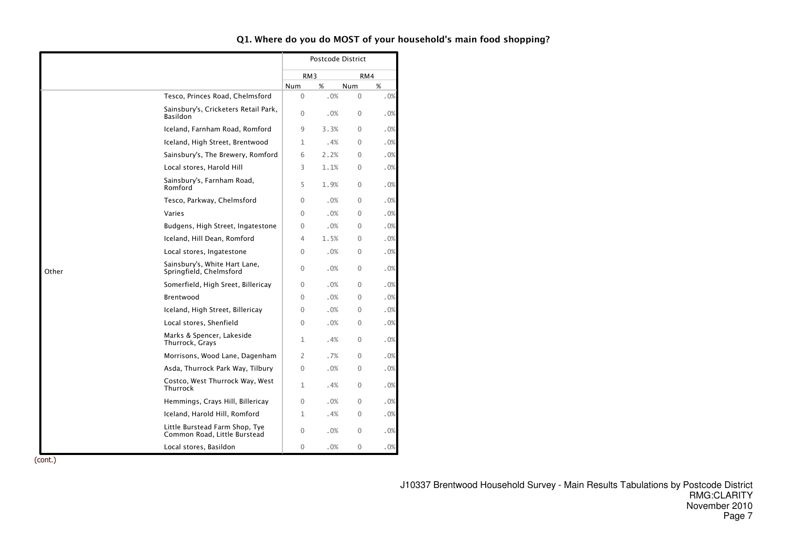|       |                                                                |                 | Postcode District |              |     |
|-------|----------------------------------------------------------------|-----------------|-------------------|--------------|-----|
|       |                                                                | RM <sub>3</sub> |                   | RM4          |     |
|       |                                                                | <b>Num</b>      | %                 | <b>Num</b>   | %   |
|       | Tesco, Princes Road, Chelmsford                                | $\Omega$        | .0%               | $\Omega$     | .0% |
|       | Sainsbury's, Cricketers Retail Park,<br>Basildon               | $\Omega$        | .0%               | $\Omega$     | .0% |
|       | Iceland, Farnham Road, Romford                                 | 9               | 3.3%              | $\Omega$     | .0% |
|       | Iceland, High Street, Brentwood                                | 1               | .4%               | $\Omega$     | .0% |
|       | Sainsbury's, The Brewery, Romford                              | 6               | 2.2%              | $\Omega$     | .0% |
|       | Local stores, Harold Hill                                      | 3               | 1.1%              | $\Omega$     | .0% |
|       | Sainsbury's, Farnham Road,<br>Romford                          | 5               | 1.9%              | $\Omega$     | .0% |
|       | Tesco, Parkway, Chelmsford                                     | $\Omega$        | .0%               | $\Omega$     | .0% |
|       | Varies                                                         | $\Omega$        | .0%               | $\Omega$     | .0% |
|       | Budgens, High Street, Ingatestone                              | $\Omega$        | .0%               | $\Omega$     | .0% |
|       | Iceland, Hill Dean, Romford                                    | 4               | 1.5%              | $\Omega$     | .0% |
|       | Local stores, Ingatestone                                      | $\Omega$        | .0%               | $\Omega$     | .0% |
| Other | Sainsbury's, White Hart Lane,<br>Springfield, Chelmsford       | $\Omega$        | .0%               | $\mathbf{0}$ | .0% |
|       | Somerfield, High Sreet, Billericay                             | $\Omega$        | .0%               | $\Omega$     | .0% |
|       | Brentwood                                                      | $\Omega$        | .0%               | $\Omega$     | .0% |
|       | Iceland, High Street, Billericay                               | $\Omega$        | .0%               | 0            | .0% |
|       | Local stores, Shenfield                                        | $\Omega$        | .0%               | $\Omega$     | .0% |
|       | Marks & Spencer, Lakeside<br>Thurrock, Grays                   | 1               | .4%               | $\Omega$     | .0% |
|       | Morrisons, Wood Lane, Dagenham                                 | 2               | .7%               | $\Omega$     | .0% |
|       | Asda, Thurrock Park Way, Tilbury                               | $\mathbf{0}$    | .0%               | $\Omega$     | .0% |
|       | Costco, West Thurrock Way, West<br><b>Thurrock</b>             | 1               | .4%               | $\Omega$     | .0% |
|       | Hemmings, Crays Hill, Billericay                               | $\Omega$        | .0%               | $\Omega$     | .0% |
|       | Iceland, Harold Hill, Romford                                  | $\mathbf{1}$    | .4%               | $\Omega$     | .0% |
|       | Little Burstead Farm Shop, Tye<br>Common Road, Little Burstead | $\Omega$        | .0%               | $\Omega$     | .0% |
|       | Local stores, Basildon                                         | $\Omega$        | .0%               | 0            | .0% |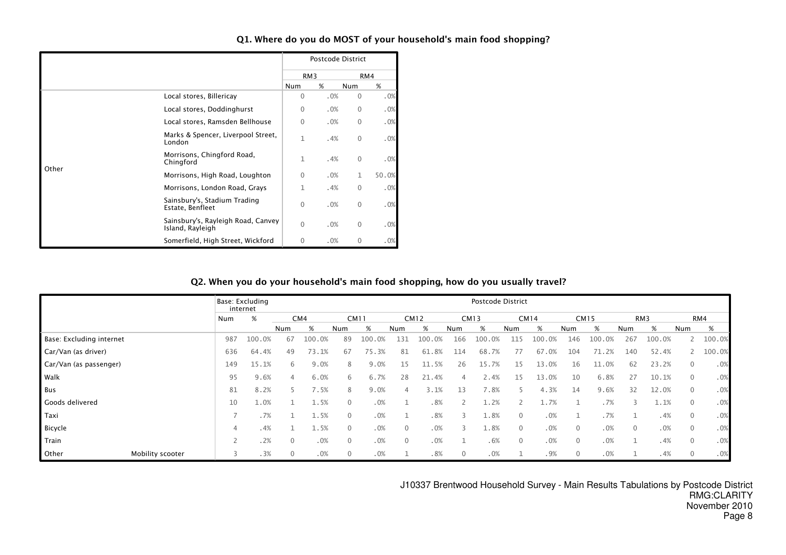|       |                                                        |                 | Postcode District |              |       |
|-------|--------------------------------------------------------|-----------------|-------------------|--------------|-------|
|       |                                                        | RM <sub>3</sub> |                   |              | RM4   |
|       |                                                        | Num             | %                 | <b>Num</b>   | %     |
|       | Local stores, Billericay                               | $\Omega$        | .0%               | 0            | .0%   |
|       | Local stores, Doddinghurst                             | $\mathbf{0}$    | .0%               | 0            | .0%   |
|       | Local stores, Ramsden Bellhouse                        | $\mathbf{0}$    | .0%               | $\Omega$     | .0%   |
|       | Marks & Spencer, Liverpool Street,<br>London           | $\mathbf{1}$    | .4%               | 0            | .0%   |
| Other | Morrisons, Chingford Road,<br>Chingford                | $\mathbf{1}$    | .4%               | $\mathbf{0}$ | .0%   |
|       | Morrisons, High Road, Loughton                         | $\Omega$        | .0%               | 1            | 50.0% |
|       | Morrisons, London Road, Grays                          | 1               | .4%               | 0            | .0%   |
|       | Sainsbury's, Stadium Trading<br>Estate, Benfleet       | $\mathbf{0}$    | .0%               | $\mathbf{0}$ | .0%   |
|       | Sainsbury's, Rayleigh Road, Canvey<br>Island, Rayleigh | $\Omega$        | .0%               | $\mathbf{0}$ | .0%   |
|       | Somerfield, High Street, Wickford                      | 0               | .0%               | 0            | .0%   |

### Q2. When you do your household's main food shopping, how do you usually travel?

|                           |                          | Base: Excluding<br>internet |                |                 |              |             |              |             |              | Postcode District |              |             |              |             |                |                 |              |        |
|---------------------------|--------------------------|-----------------------------|----------------|-----------------|--------------|-------------|--------------|-------------|--------------|-------------------|--------------|-------------|--------------|-------------|----------------|-----------------|--------------|--------|
|                           | Num                      | %                           |                | CM <sub>4</sub> |              | <b>CM11</b> |              | <b>CM12</b> |              | <b>CM13</b>       |              | <b>CM14</b> |              | <b>CM15</b> |                | RM <sub>3</sub> |              | RM4    |
|                           |                          |                             | Num            | %               | Num          | %           | Num          | %           | Num          | %                 | Num          | %           | Num          | %           | Num            | %               | Num          | %      |
| Base: Excluding internet  | 987                      | 100.0%                      | 67             | 100.0%          | 89           | 100.0%      | 131          | 100.0%      | 166          | 100.0%            | 115          | 100.<br>.0% | 146          | 100         | 267            | 100.0%          |              | 100.0% |
| Car/Van (as driver)       | 636                      | 64.4%                       | 49             | 73.1%           | 67           | 75.3%       | 81           | 61.8%       | 114          | 68.7%             |              | 67.0%       | 104          | 71.2%       | 140            | 52.4%           |              | 100.0% |
| Car/Van (as passenger)    | 149                      | 15.1%                       | 6              | 9.0%            | 8            | 9.0%        | 15           | 11.5%       | 26           | .7%<br>15         | 15           | 13.0%       | 16           | 11.0%       | 62             | 23.2%           | $\mathbf{0}$ | .0%    |
| Walk                      | 95                       | 9.6%                        | $\overline{4}$ | 6.0%            | 6            | 6.7%        | 28           | 21.4%       | 4            | 2.4%              | 15           | 13.0%       | 10           | 6.8%        | 27             | 10.1%           | $\mathbf{0}$ | .0%    |
| Bus                       | 81                       | 8.2%                        |                | 7.5%            | 8            | 9.0%        | 4            | 3.1%        | 13           | 7.8%              | 5.           | 4.3%        | 14           | 9.6%        | 32             | 12.0%           | $\mathbf{0}$ | .0%    |
| Goods delivered           | 10                       | 1.0%                        |                | 1.5%            | $\Omega$     | .0%         |              | .8%         |              | 1.2%              |              | 1.7%        |              | .7%         | 3              | 1.1%            | $\mathbf 0$  | .0%    |
| Taxi                      |                          | .7%                         |                | 1.5%            | $\Omega$     | .0%         |              | .8%         |              | 1.8%              | $\mathbf{0}$ | .0%         |              | .7%         |                | .4%             | $\mathbf{0}$ | .0%    |
| Bicycle                   | 4                        | .4%                         |                | 1.5%            | $\Omega$     | .0%         | $\Omega$     | .0%         |              | 1.8%              | $\Omega$     | .0%         | $\mathbf 0$  | .0%         | $\overline{0}$ | .0%             | $\mathbf{0}$ | .0%    |
| Train                     | $\overline{\phantom{0}}$ | .2%                         | $\mathbf{0}$   | .0%             | $\Omega$     | .0%         | $\mathbf{0}$ | .0%         |              | .6%               | $\mathbf{0}$ | .0%         | $\mathbf{0}$ | .0%         | $\mathbf{1}$   | .4%             | $\mathbf{0}$ | .0%    |
| Other<br>Mobility scooter | 3                        | .3%                         | $\mathbf{0}$   | .0%             | $\mathbf{0}$ | .0%         |              | .8%         | $\mathbf{0}$ | .0%               |              | .9%         | $\mathbf{0}$ | .0%         |                | .4%             | $\mathbf{0}$ | .0%    |

J10337 Brentwood Household Survey - Main Results Tabulations by Postcode District RMG:CLARITY November 2010Page 8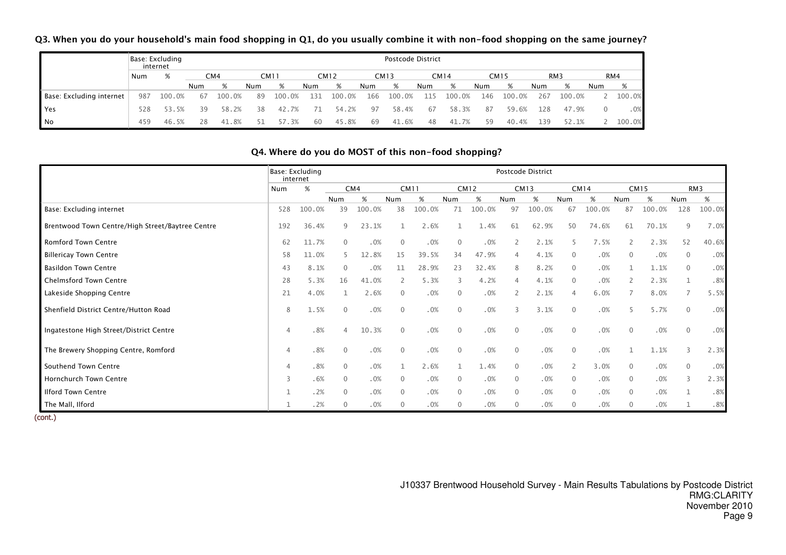Q3. When you do your household's main food shopping in Q1, do you usually combine it with non-food shopping on the same journey?

|                          |     | Base: Excluding<br>internet |     |        |     |        |     |        |            | Postcode District |     |             |     |             |     |                 |          |        |
|--------------------------|-----|-----------------------------|-----|--------|-----|--------|-----|--------|------------|-------------------|-----|-------------|-----|-------------|-----|-----------------|----------|--------|
|                          | Num | %                           |     | CM4    |     | CM11   |     | CM12   |            | CM13              |     | <b>CM14</b> |     | <b>CM15</b> |     | RM <sub>3</sub> |          | RM4    |
|                          |     |                             | Num |        | Num | %      | Num | %      | <b>Num</b> | %                 | Num | %           | Num | %           | Num | %               | Num      | %      |
| Base: Excluding internet | 987 | 100.0%                      | 67  | 100.0% | 89  | 100.0% | 131 | 100.0% | 166        | 100.0%            | 115 | 100.0%      | 146 | 100.0%      | 267 | 100.0%          |          | 100.0% |
| <b>Yes</b>               | 528 | 53.5%                       | 39  | 58.2%  | 38  | 42.7%  | 71  | 54.2%  | 97         | 58.4%             | 67  | 58.3%       | 87  | 59.6%       | 128 | 47.9%           | $\Omega$ | .0%    |
| No                       | 459 | 46.5%                       | 28  | 41.8%  |     | 57.3%  | 60  | 45.8%  | 69         | 41.6%             | 48  | 41.7%       | 59  | 40.4%       | 139 | 52.1%           |          | 100.0% |

### Q4. Where do you do MOST of this non-food shopping?

|                                                  |                | Base: Excluding<br>internet |                 |        |              |        |                |        |                | Postcode District |              |             |                |             |                |        |
|--------------------------------------------------|----------------|-----------------------------|-----------------|--------|--------------|--------|----------------|--------|----------------|-------------------|--------------|-------------|----------------|-------------|----------------|--------|
|                                                  | Num            | $\%$                        | CM <sub>4</sub> |        | <b>CM11</b>  |        |                | CM12   |                | <b>CM13</b>       |              | <b>CM14</b> |                | <b>CM15</b> |                | RM3    |
|                                                  |                |                             | Num             | %      | Num          | %      | Num            | %      | Num            | %                 | Num          | %           | <b>Num</b>     | %           | <b>Num</b>     | %      |
| Base: Excluding internet                         | 528            | 100.0%                      | 39              | 100.0% | 38           | 100.0% | 71             | 100.0% | 97             | 100.0%            | 67           | 100.0%      | 87             | 100.0%      | 128            | 100.0% |
| Brentwood Town Centre/High Street/Baytree Centre | 192            | 36.4%                       | 9               | 23.1%  |              | 2.6%   |                | 1.4%   | 61             | 62.9%             | 50           | 74.6%       | 61             | 70.1%       | 9              | 7.0%   |
| <b>Romford Town Centre</b>                       | 62             | 11.7%                       | $\mathbf{0}$    | .0%    | $\theta$     | .0%    | $\Omega$       | .0%    |                | 2.1%              | 5            | 7.5%        | $\overline{2}$ | 2.3%        | 52             | 40.6%  |
| <b>Billericay Town Centre</b>                    | 58             | 11.0%                       |                 | 12.8%  | 15           | 39.5%  | 34             | 47.9%  |                | 4.1%              | 0            | .0%         | $\overline{0}$ | .0%         | $\mathbf{0}$   | .0%    |
| <b>Basildon Town Centre</b>                      | 43             | 8.1%                        | $\Omega$        | .0%    | 11           | 28.9%  | 23             | 32.4%  |                | 8.2%              | $\mathbf{0}$ | .0%         | $\mathbf{1}$   | 1.1%        | $\mathbf{0}$   | .0%    |
| <b>Chelmsford Town Centre</b>                    | 28             | 5.3%                        | 16              | 41.0%  |              | 5.3%   | $\overline{3}$ | 4.2%   |                | 4.1%              | $\mathbf{0}$ | .0%         | 2              | 2.3%        |                | .8%    |
| Lakeside Shopping Centre                         | 21             | 4.0%                        |                 | 2.6%   | $\Omega$     | .0%    | $\Omega$       | .0%    |                | 2.1%              | 4            | 6.0%        | $\overline{7}$ | 8.0%        | $\overline{7}$ | 5.5%   |
| Shenfield District Centre/Hutton Road            | 8              | 1.5%                        | $\mathbf{0}$    | .0%    | $\Omega$     | .0%    | $\overline{0}$ | .0%    | 3              | 3.1%              | $\Omega$     | .0%         | 5              | 5.7%        | $\mathbf{0}$   | .0%    |
| Ingatestone High Street/District Centre          | 4              | .8%                         | $\Delta$        | 10.3%  | $\mathbf{0}$ | .0%    | $\overline{0}$ | .0%    | $\overline{0}$ | .0%               | $\mathbf{0}$ | .0%         | $\mathbf{0}$   | .0%         | $\mathbf{0}$   | .0%    |
| The Brewery Shopping Centre, Romford             | 4              | .8%                         | $\mathbf{0}$    | .0%    | $\Omega$     | .0%    | $\overline{0}$ | .0%    | $\overline{0}$ | .0%               | $\mathbf{0}$ | .0%         | 1              | 1.1%        | 3              | 2.3%   |
| Southend Town Centre                             | $\overline{4}$ | .8%                         | $\mathbf{0}$    | .0%    |              | 2.6%   |                | 1.4%   | $\mathbf{0}$   | .0%               | 2            | 3.0%        | $\mathbf 0$    | .0%         | $\mathbf 0$    | .0%    |
| Hornchurch Town Centre                           | 3              | .6%                         | $\mathbf{0}$    | .0%    | $\Omega$     | .0%    | $\overline{0}$ | .0%    | $\mathbf 0$    | .0%               | $\Omega$     | .0%         | $\mathbf 0$    | .0%         | 3              | 2.3%   |
| <b>Ilford Town Centre</b>                        |                | .2%                         | $\mathbf{0}$    | .0%    | $\Omega$     | .0%    | $\overline{0}$ | .0%    | $\mathbf{0}$   | .0%               | $\mathbf{0}$ | .0%         | $\mathbf{0}$   | .0%         |                | .8%    |
| The Mall, Ilford                                 |                | .2%                         | $\mathbf{0}$    | .0%    | $\Omega$     | .0%    | $\overline{0}$ | .0%    | $\mathbf{0}$   | .0%               | $\mathbf{0}$ | .0%         | $\mathbf{0}$   | .0%         |                | .8%    |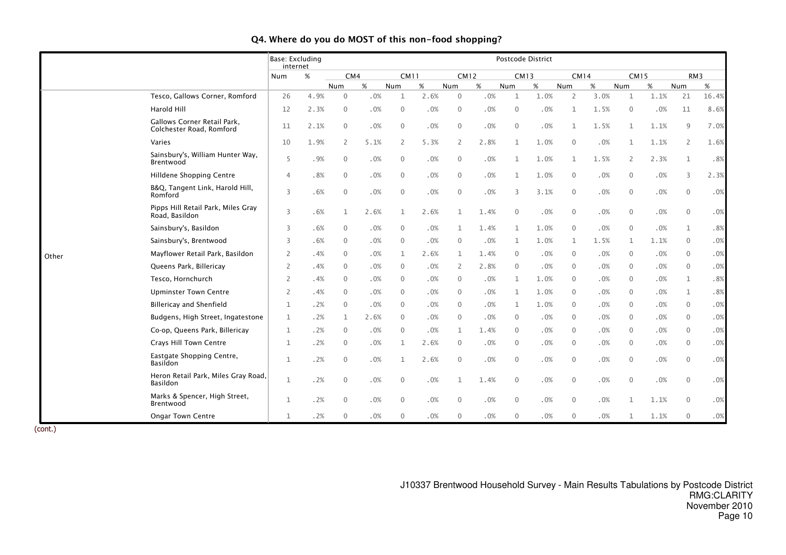|       |                                                         | Base: Excluding<br>internet |      |              |        |                |      |                |             |              | Postcode District |                |      |                |             |                |                 |
|-------|---------------------------------------------------------|-----------------------------|------|--------------|--------|----------------|------|----------------|-------------|--------------|-------------------|----------------|------|----------------|-------------|----------------|-----------------|
|       |                                                         | Num                         | %    | CM4          |        | <b>CM11</b>    |      |                | <b>CM12</b> | <b>CM13</b>  |                   | <b>CM14</b>    |      |                | <b>CM15</b> |                | RM <sub>3</sub> |
|       |                                                         |                             |      | Num          | %      | Num            | $\%$ | Num            | %           | Num          | $\%$              | Num            | $\%$ | Num            | %           | Num            | %               |
|       | Tesco, Gallows Corner, Romford                          | 26                          | 4.9% | $\Omega$     | .0%    | $\mathbf{1}$   | 2.6% | $\overline{0}$ | .0%         | -1           | 1.0%              | $\overline{2}$ | 3.0% | $\mathbf{1}$   | 1.1%        | 21             | 16.4%           |
|       | Harold Hill                                             | 12                          | 2.3% | $\mathbf{0}$ | .0%    | $\mathbf{0}$   | .0%  | $\mathbf{0}$   | .0%         | $\mathbf{0}$ | .0%               | 1              | 1.5% | $\overline{0}$ | .0%         | 11             | 8.6%            |
|       | Gallows Corner Retail Park,<br>Colchester Road, Romford | 11                          | 2.1% | $\mathbf{0}$ | .0%    | $\mathbf{0}$   | .0%  | $\mathbf{0}$   | .0%         | $\mathbf 0$  | .0%               | $\mathbf{1}$   | 1.5% | $\mathbf{1}$   | 1.1%        | 9              | 7.0%            |
|       | Varies                                                  | 10                          | 1.9% | 2            | 5.1%   | $\overline{2}$ | 5.3% | 2              | 2.8%        |              | 1.0%              | $\mathbf 0$    | .0%  | $\mathbf{1}$   | 1.1%        | $\overline{2}$ | 1.6%            |
|       | Sainsbury's, William Hunter Way,<br>Brentwood           | 5                           | .9%  | $\mathbf{0}$ | .0%    | $\mathbf{0}$   | .0%  | $\overline{0}$ | .0%         |              | 1.0%              | $\mathbf 1$    | 1.5% | 2              | 2.3%        | $\mathbf 1$    | .8%             |
|       | Hilldene Shopping Centre                                | $\overline{4}$              | .8%  | $\mathbf{0}$ | .0%    | $\mathbf{0}$   | .0%  | $\overline{0}$ | .0%         |              | 1.0%              | $\mathbf 0$    | .0%  | $\overline{0}$ | .0%         | 3              | 2.3%            |
|       | B&Q, Tangent Link, Harold Hill,<br>Romford              | 3                           | .6%  | $\mathbf{0}$ | $.0\%$ | $\mathbf{0}$   | .0%  | $\mathbf 0$    | .0%         | 3            | 3.1%              | $\mathbf 0$    | .0%  | $\mathbf 0$    | .0%         | $\mathbf 0$    | $.0\%$          |
|       | Pipps Hill Retail Park, Miles Gray<br>Road, Basildon    | 3                           | .6%  | $\mathbf{1}$ | 2.6%   | $\mathbf{1}$   | 2.6% | 1              | 1.4%        | $\mathbf{0}$ | .0%               | $\mathbf 0$    | .0%  | $\mathbf 0$    | .0%         | $\mathbf 0$    | $.0\%$          |
|       | Sainsbury's, Basildon                                   | 3                           | .6%  | $\mathbf{0}$ | .0%    | $\mathbf{0}$   | .0%  | -1             | 1.4%        | 1            | 1.0%              | $\mathbf{0}$   | .0%  | $\overline{0}$ | .0%         | $\mathbf{1}$   | .8%             |
|       | Sainsbury's, Brentwood                                  | 3                           | .6%  | $\mathbf{0}$ | .0%    | $\mathbf{0}$   | .0%  | $\overline{0}$ | .0%         | 1            | 1.0%              | $\mathbf{1}$   | 1.5% | $\mathbf{1}$   | 1.1%        | $\mathbf{0}$   | .0%             |
| Other | Mayflower Retail Park, Basildon                         | 2                           | .4%  | $\Omega$     | .0%    | 1              | 2.6% | 1              | 1.4%        | $\Omega$     | .0%               | $\mathbf{0}$   | .0%  | $\overline{0}$ | .0%         | $\overline{0}$ | .0%             |
|       | Queens Park, Billericay                                 | 2                           | .4%  | $\Omega$     | .0%    | $\Omega$       | .0%  | $\overline{2}$ | 2.8%        | $\Omega$     | .0%               | $\Omega$       | .0%  | $\overline{0}$ | .0%         | $\Omega$       | .0%             |
|       | Tesco, Hornchurch                                       | $\overline{2}$              | .4%  | $\mathbf{0}$ | .0%    | $\mathbf{0}$   | .0%  | $\overline{0}$ | .0%         | 1            | 1.0%              | 0              | .0%  | $\overline{0}$ | .0%         | 1              | .8%             |
|       | <b>Upminster Town Centre</b>                            | 2                           | .4%  | $\mathbf{0}$ | .0%    | $\Omega$       | .0%  | $\overline{0}$ | .0%         | 1            | 1.0%              | $\mathbf{0}$   | .0%  | $\mathbf{0}$   | .0%         | $\mathbf 1$    | .8%             |
|       | <b>Billericay and Shenfield</b>                         | $\mathbf{1}$                | .2%  | $\Omega$     | .0%    | 0              | .0%  | $\overline{0}$ | .0%         |              | 1.0%              | 0              | .0%  | $\overline{0}$ | .0%         | $\overline{0}$ | $.0\%$          |
|       | Budgens, High Street, Ingatestone                       | $\mathbf{1}$                | .2%  | 1            | 2.6%   | $\Omega$       | .0%  | $\overline{0}$ | .0%         | $\Omega$     | .0%               | $\mathbf{0}$   | .0%  | $\overline{0}$ | .0%         | $\Omega$       | .0%             |
|       | Co-op, Queens Park, Billericay                          | 1                           | .2%  | $\mathbf{0}$ | .0%    | 0              | .0%  | 1              | 1.4%        | $\mathbf{0}$ | .0%               | $\mathbf{0}$   | .0%  | $\overline{0}$ | .0%         | $\overline{0}$ | $.0\%$          |
|       | Crays Hill Town Centre                                  | $\mathbf{1}$                | .2%  | $\Omega$     | .0%    | 1              | 2.6% | $\overline{0}$ | .0%         | $\mathbf{0}$ | .0%               | $\mathbf{0}$   | .0%  | $\overline{0}$ | .0%         | $\overline{0}$ | .0%             |
|       | Eastgate Shopping Centre,<br><b>Basildon</b>            | $\mathbf{1}$                | .2%  | $\mathbf{0}$ | .0%    | $\mathbf{1}$   | 2.6% | $\mathbf{0}$   | .0%         | $\mathbf 0$  | .0%               | $\mathbf{0}$   | .0%  | $\overline{0}$ | .0%         | $\mathbf{0}$   | $.0\%$          |
|       | Heron Retail Park, Miles Gray Road,<br>Basildon         | $\mathbf{1}$                | .2%  | $\mathbf{0}$ | .0%    | $\mathbf{0}$   | .0%  | $\mathbf{1}$   | 1.4%        | $\mathbf{0}$ | .0%               | $\mathbf{0}$   | .0%  | $\overline{0}$ | .0%         | $\mathbf 0$    | .0%             |
|       | Marks & Spencer, High Street,<br>Brentwood              | 1                           | .2%  | $\mathbf{0}$ | .0%    | $\mathbf{0}$   | .0%  | $\Omega$       | .0%         | $\mathbf{0}$ | .0%               | $\mathbf 0$    | .0%  | $\mathbf{1}$   | 1.1%        | $\mathbf{0}$   | $.0\%$          |
|       | Ongar Town Centre                                       | $\mathbf{1}$                | .2%  | $\mathbf{0}$ | $.0\%$ | $\mathbf{0}$   | .0%  | $\mathbf 0$    | .0%         | 0            | .0%               | 0              | .0%  | 1              | 1.1%        | $\overline{0}$ | $.0\%$          |

### Q4. Where do you do MOST of this non-food shopping?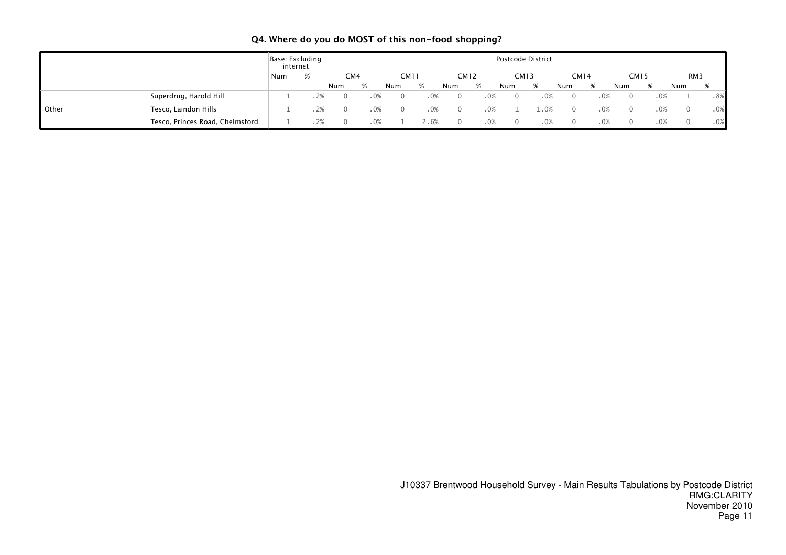|       |                                 | Base: Excluding<br>internet |   |                 |             |      |      | Postcode District |     |             |      |          |      |     |     |
|-------|---------------------------------|-----------------------------|---|-----------------|-------------|------|------|-------------------|-----|-------------|------|----------|------|-----|-----|
|       |                                 | Num                         | % | CM <sub>4</sub> | <b>CM11</b> | CM12 |      | <b>CM13</b>       |     | <b>CM14</b> |      |          | CM15 | RM3 |     |
|       |                                 |                             |   | Num             | Num         | Num  | %    | Num               |     | Num         | %    | Num      | %    | Num |     |
|       | Superdrug, Harold Hill          |                             |   |                 |             |      | . 0% |                   | .0% |             | .0%  | $\Omega$ | .0%  |     | .8% |
| Other | Tesco, Laindon Hills            |                             |   |                 |             |      | . 0% |                   |     |             | .0%  | $\Omega$ | .0%  |     | .0% |
|       | Tesco, Princes Road, Chelmsford |                             |   |                 |             |      | 0%   |                   | .0% |             | . 0% |          | .0%  |     | .0% |

### Q4. Where do you do MOST of this non-food shopping?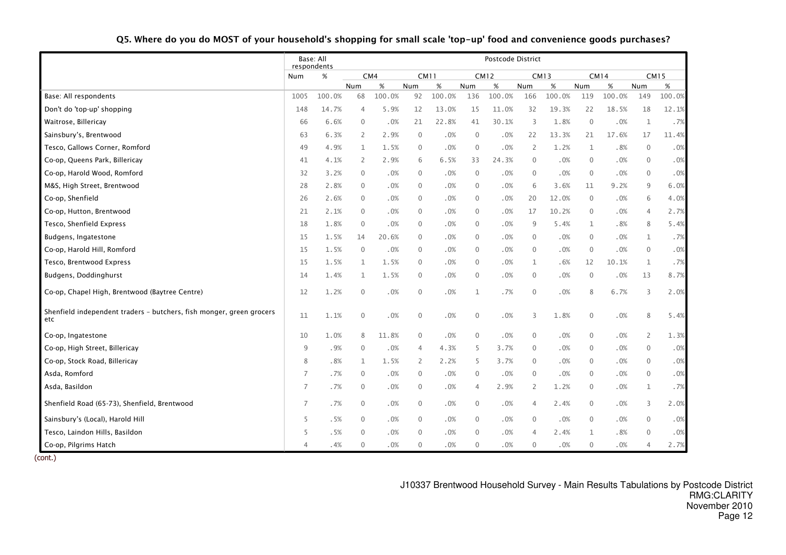|                                                                             |                | Base: All<br>respondents |                |        |                     |             |                  | Postcode District |                |             |              |             |                |             |
|-----------------------------------------------------------------------------|----------------|--------------------------|----------------|--------|---------------------|-------------|------------------|-------------------|----------------|-------------|--------------|-------------|----------------|-------------|
|                                                                             | Num            | $\%$                     |                | CM4    |                     | <b>CM11</b> |                  | <b>CM12</b>       |                | <b>CM13</b> |              | <b>CM14</b> |                | <b>CM15</b> |
|                                                                             |                |                          | Num            | $\%$   | Num                 | $\%$        | Num              | $\%$              | Num            | $\%$        | Num          | $\%$        | Num            | $\%$        |
| Base: All respondents                                                       | 1005           | 100.0%                   | 68             | 100.0% | 92                  | 100.0%      | 136              | 100.0%            | 166            | 100.0%      | 119          | 100.0%      | 149            | 100.0%      |
| Don't do 'top-up' shopping                                                  | 148            | 14.7%                    | $\overline{4}$ | 5.9%   | 12                  | 13.0%       | 15               | 11.0%             | 32             | 19.3%       | 22           | 18.5%       | 18             | 12.1%       |
| Waitrose, Billericay                                                        | 66             | 6.6%                     | $\mathbf{0}$   | .0%    | 21                  | 22.8%       | 41               | 30.1%             | 3              | 1.8%        | $\mathbf 0$  | .0%         | $\mathbf{1}$   | .7%         |
| Sainsbury's, Brentwood                                                      | 63             | 6.3%                     | $\overline{2}$ | 2.9%   | $\mathbf 0$         | .0%         | $\mathbf 0$      | .0%               | 22             | 13.3%       | 21           | 17.6%       | 17             | 11.4%       |
| Tesco, Gallows Corner, Romford                                              | 49             | 4.9%                     | 1              | 1.5%   | $\mathbf 0$         | .0%         | $\mathbf{0}$     | .0%               | 2              | 1.2%        | $\mathbf 1$  | .8%         | $\mathbf 0$    | .0%         |
| Co-op, Queens Park, Billericay                                              | 41             | 4.1%                     | $\overline{2}$ | 2.9%   | 6                   | 6.5%        | 33               | 24.3%             | $\Omega$       | .0%         | $\mathbf 0$  | .0%         | $\overline{0}$ | .0%         |
| Co-op, Harold Wood, Romford                                                 | 32             | 3.2%                     | $\mathbf{0}$   | .0%    | $\mathbf 0$         | .0%         | $\mathbf 0$      | .0%               | $\mathbf{0}$   | .0%         | $\mathbf 0$  | .0%         | $\mathbf 0$    | .0%         |
| M&S, High Street, Brentwood                                                 | 28             | 2.8%                     | $\Omega$       | .0%    | $\mathbf{0}$        | .0%         | $\mathbf{0}$     | $.0\%$            | 6              | 3.6%        | 11           | 9.2%        | 9              | 6.0%        |
| Co-op, Shenfield                                                            | 26             | 2.6%                     | $\mathbf{0}$   | .0%    | $\mathbf 0$         | .0%         | 0                | .0%               | 20             | 12.0%       | $\mathbf 0$  | .0%         | 6              | 4.0%        |
| Co-op, Hutton, Brentwood                                                    | 21             | 2.1%                     | $\mathbf{0}$   | .0%    | $\mathbf 0$         | .0%         | 0                | .0%               | 17             | 10.2%       | $\mathbf 0$  | .0%         | 4              | 2.7%        |
| Tesco, Shenfield Express                                                    | 18             | 1.8%                     | $\mathbf{0}$   | .0%    | $\mathbf{0}$        | .0%         | $\mathbf{0}$     | .0%               | 9              | 5.4%        | $\mathbf{1}$ | .8%         | 8              | 5.4%        |
| Budgens, Ingatestone                                                        | 15             | 1.5%                     | 14             | 20.6%  | $\mathbf 0$         | .0%         | $\mathbf{0}$     | .0%               | $\mathbf{0}$   | .0%         | $\mathbf 0$  | .0%         | 1              | .7%         |
| Co-op, Harold Hill, Romford                                                 | 15             | 1.5%                     | $\mathbf{0}$   | .0%    | $\mathbf{0}$        | .0%         | $\Omega$         | .0%               | $\Omega$       | .0%         | $\mathbf{0}$ | .0%         | $\mathbf{0}$   | .0%         |
| Tesco, Brentwood Express                                                    | 15             | 1.5%                     | $\mathbf{1}$   | 1.5%   | $\mathbf 0$         | $.0\%$      | $\mathbf 0$      | $.0\%$            | $\mathbf{1}$   | .6%         | 12           | 10.1%       | $\mathbf{1}$   | .7%         |
| Budgens, Doddinghurst                                                       | 14             | 1.4%                     | 1              | 1.5%   | 0                   | .0%         | 0                | .0%               | $\mathbf 0$    | .0%         | $\mathbf 0$  | .0%         | 13             | 8.7%        |
| Co-op, Chapel High, Brentwood (Baytree Centre)                              | 12             | 1.2%                     | $\mathbf{0}$   | .0%    | $\mathbf 0$         | .0%         | $\mathbf 1$      | .7%               | $\mathbf{0}$   | $.0\%$      | 8            | 6.7%        | 3              | 2.0%        |
| Shenfield independent traders - butchers, fish monger, green grocers<br>etc | 11             | 1.1%                     | $\mathbf 0$    | .0%    | $\mathsf{O}\xspace$ | .0%         | $\boldsymbol{0}$ | $.0\%$            | 3              | 1.8%        | $\mathbf 0$  | .0%         | 8              | 5.4%        |
| Co-op, Ingatestone                                                          | 10             | 1.0%                     | 8              | 11.8%  | $\mathbf 0$         | .0%         | $\mathbf 0$      | .0%               | $\mathbf{0}$   | .0%         | $\mathbf 0$  | .0%         | $\overline{2}$ | 1.3%        |
| Co-op, High Street, Billericay                                              | $\overline{9}$ | .9%                      | $\mathbf{0}$   | .0%    | 4                   | 4.3%        | 5                | 3.7%              | $\mathbf{0}$   | .0%         | $\mathbf 0$  | .0%         | $\mathbf 0$    | .0%         |
| Co-op, Stock Road, Billericay                                               | 8              | .8%                      | $\mathbf{1}$   | 1.5%   | $\overline{2}$      | 2.2%        | 5                | 3.7%              | $\mathbf{0}$   | .0%         | $\mathbf 0$  | .0%         | $\mathbf{0}$   | .0%         |
| Asda, Romford                                                               | 7              | .7%                      | $\mathbf{0}$   | .0%    | $\mathbf 0$         | $.0\%$      | $\mathbf 0$      | .0%               | $\mathbf{0}$   | $.0\%$      | $\mathbf 0$  | .0%         | $\mathbf 0$    | .0%         |
| Asda, Basildon                                                              | 7              | .7%                      | $\mathbf{0}$   | .0%    | $\mathbf 0$         | .0%         | 4                | 2.9%              | 2              | 1.2%        | $\mathbf 0$  | .0%         | $\mathbf{1}$   | .7%         |
| Shenfield Road (65-73), Shenfield, Brentwood                                | 7              | .7%                      | $\mathbf{0}$   | .0%    | $\mathbf 0$         | .0%         | 0                | $.0\%$            | $\overline{4}$ | 2.4%        | $\mathbf 0$  | .0%         | 3              | 2.0%        |
| Sainsbury's (Local), Harold Hill                                            | 5              | .5%                      | $\mathbf{0}$   | .0%    | $\mathbf 0$         | .0%         | $\mathbf{0}$     | .0%               | $\mathbf{0}$   | .0%         | $\mathbf 0$  | .0%         | $\mathbf 0$    | .0%         |
| Tesco, Laindon Hills, Basildon                                              | 5              | .5%                      | $\mathbf{0}$   | .0%    | $\mathbf{0}$        | .0%         | $\mathbf{0}$     | .0%               | $\overline{4}$ | 2.4%        | $\mathbf{1}$ | .8%         | $\mathbf 0$    | .0%         |
| Co-op, Pilgrims Hatch                                                       | 4              | .4%                      | $\mathbf{0}$   | .0%    | $\mathbf 0$         | .0%         | $\mathbf{0}$     | .0%               | $\mathbf{0}$   | .0%         | $\mathbf 0$  | .0%         | $\overline{4}$ | 2.7%        |

(cont.)

J10337 Brentwood Household Survey - Main Results Tabulations by Postcode District RMG:CLARITY November 2010Page 12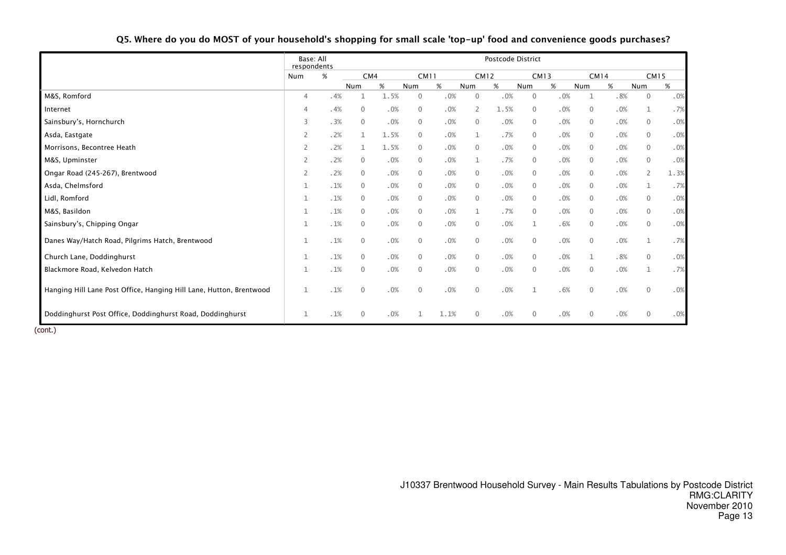|                                                                     | Base: All<br>respondents |     |              |      |              |      |              | Postcode District |              |             |              |             |                |      |
|---------------------------------------------------------------------|--------------------------|-----|--------------|------|--------------|------|--------------|-------------------|--------------|-------------|--------------|-------------|----------------|------|
|                                                                     | Num                      | %   | CM4          |      | <b>CM11</b>  |      |              | <b>CM12</b>       |              | <b>CM13</b> |              | <b>CM14</b> | <b>CM15</b>    |      |
|                                                                     |                          |     | Num          | %    | Num          | $\%$ | Num          | $\%$              | Num          | $\%$        | Num          | $\%$        | Num            | $\%$ |
| M&S, Romford                                                        | 4                        | .4% | $\mathbf{1}$ | 1.5% | $\mathbf{0}$ | .0%  | $\mathbf{0}$ | .0%               | $\mathbf{0}$ | .0%         | 1            | .8%         | $\mathbf 0$    | .0%  |
| Internet                                                            | 4                        | .4% | $\mathbf 0$  | .0%  | 0            | .0%  | 2            | 1.5%              | $\mathbf{0}$ | .0%         | $\mathbf 0$  | .0%         | $\mathbf 1$    | .7%  |
| Sainsbury's, Hornchurch                                             | 3                        | .3% | $\mathbf{0}$ | .0%  | $\mathbf{0}$ | .0%  | $\mathbf{0}$ | .0%               | $\Omega$     | .0%         | $\mathbf{0}$ | .0%         | $\overline{0}$ | .0%  |
| Asda, Eastgate                                                      | $\overline{2}$           | .2% | $\mathbf 1$  | 1.5% | 0            | .0%  | 1            | .7%               | $\Omega$     | .0%         | $\mathbf 0$  | .0%         | $\mathbf 0$    | .0%  |
| Morrisons, Becontree Heath                                          | 2                        | .2% | $\mathbf 1$  | 1.5% | 0            | .0%  | $\mathbf 0$  | .0%               | $\Omega$     | .0%         | $\mathbf 0$  | .0%         | $\mathbf 0$    | .0%  |
| M&S, Upminster                                                      | 2                        | .2% | $\mathbf 0$  | .0%  | 0            | .0%  | 1            | .7%               | $\Omega$     | .0%         | $\mathbf 0$  | .0%         | $\mathbf 0$    | .0%  |
| Ongar Road (245-267), Brentwood                                     | $\overline{2}$           | .2% | $\Omega$     | .0%  | $\mathbf 0$  | .0%  | $\Omega$     | .0%               | $\Omega$     | .0%         | $\mathbf{0}$ | .0%         | $\mathbf{2}$   | 1.3% |
| Asda, Chelmsford                                                    | 1                        | .1% | $\mathbf{0}$ | .0%  | 0            | .0%  | $\mathbf{0}$ | .0%               | $\mathbf 0$  | .0%         | $\mathbf{0}$ | .0%         | $\mathbf{1}$   | .7%  |
| Lidl, Romford                                                       | 1                        | .1% | $\mathbf{0}$ | .0%  | 0            | .0%  | $\mathbf{0}$ | .0%               | $\Omega$     | .0%         | $\mathbf{0}$ | .0%         | $\mathbf 0$    | .0%  |
| M&S, Basildon                                                       |                          | .1% | $\mathbf 0$  | .0%  | 0            | .0%  | 1            | .7%               | $\mathbf 0$  | .0%         | $\mathbf 0$  | .0%         | $\mathbf 0$    | .0%  |
| Sainsbury's, Chipping Ongar                                         |                          | .1% | $\Omega$     | .0%  | $\mathbf 0$  | .0%  | $\Omega$     | .0%               | $\mathbf{1}$ | .6%         | $\Omega$     | .0%         | $\mathbf{0}$   | .0%  |
| Danes Way/Hatch Road, Pilgrims Hatch, Brentwood                     | 1                        | .1% | $\mathbf{0}$ | .0%  | $\mathbf 0$  | .0%  | $\mathbf 0$  | .0%               | $\mathbf{0}$ | .0%         | $\mathbf{0}$ | .0%         | $\mathbf 1$    | .7%  |
| Church Lane, Doddinghurst                                           | 1                        | .1% | $\mathbf{0}$ | .0%  | $\mathbf 0$  | .0%  | $\mathbf{0}$ | .0%               | $\mathbf{0}$ | .0%         | 1            | .8%         | $\mathbf 0$    | .0%  |
| Blackmore Road, Kelvedon Hatch                                      | 1                        | .1% | $\mathbf{0}$ | .0%  | $\mathbf 0$  | .0%  | $\mathbf{0}$ | .0%               | $\mathbf{0}$ | .0%         | $\mathbf{0}$ | .0%         | $\mathbf 1$    | .7%  |
| Hanging Hill Lane Post Office, Hanging Hill Lane, Hutton, Brentwood | $\mathbf 1$              | .1% | $\mathbf{0}$ | .0%  | $\mathbf 0$  | .0%  | $\mathbf{0}$ | .0%               |              | .6%         | $\mathbf{0}$ | .0%         | $\mathbf{0}$   | .0%  |
| Doddinghurst Post Office, Doddinghurst Road, Doddinghurst           | 1                        | .1% | $\mathbf{0}$ | .0%  |              | 1.1% | $\mathbf 0$  | .0%               | $\mathbf 0$  | .0%         | $\mathbf{0}$ | .0%         | $\mathbf 0$    | .0%  |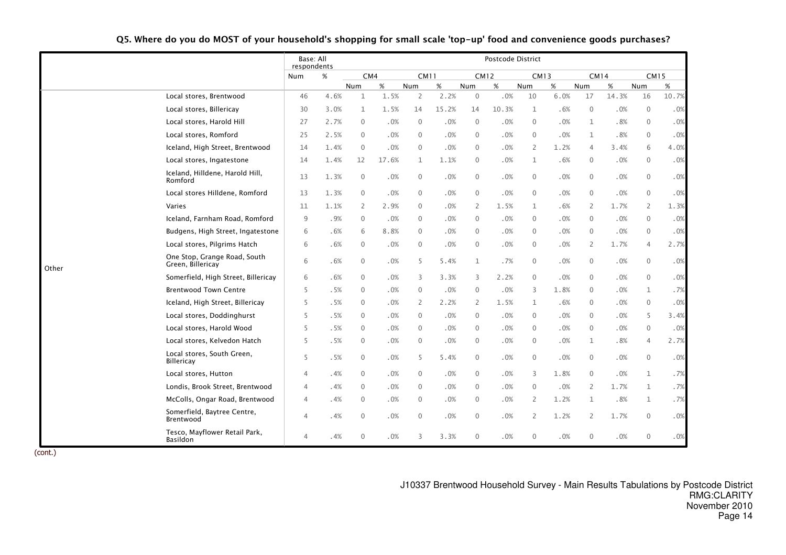|       |                                                   | Base: All<br>respondents |      |              |       |                |       |                | Postcode District |              |      |                |       |                  |       |
|-------|---------------------------------------------------|--------------------------|------|--------------|-------|----------------|-------|----------------|-------------------|--------------|------|----------------|-------|------------------|-------|
|       |                                                   | Num                      | $\%$ | CM4          |       | <b>CM11</b>    |       | <b>CM12</b>    |                   | <b>CM13</b>  |      | <b>CM14</b>    |       | <b>CM15</b>      |       |
|       |                                                   |                          |      | Num          | $\%$  | Num            | $\%$  | Num            | $\%$              | Num          | $\%$ | Num            | $\%$  | Num              | %     |
|       | Local stores, Brentwood                           | 46                       | 4.6% | $\mathbf{1}$ | 1.5%  | $\overline{2}$ | 2.2%  | $\mathbf 0$    | .0%               | 10           | 6.0% | 17             | 14.3% | 16               | 10.7% |
|       | Local stores, Billericay                          | 30                       | 3.0% | $\mathbf{1}$ | 1.5%  | 14             | 15.2% | 14             | 10.3%             | $\mathbf{1}$ | .6%  | $\mathbf 0$    | .0%   | $\boldsymbol{0}$ | .0%   |
|       | Local stores, Harold Hill                         | 27                       | 2.7% | $\mathbf{0}$ | .0%   | $\mathbf{0}$   | .0%   | $\mathbf 0$    | .0%               | $\Omega$     | .0%  | $\mathbf{1}$   | .8%   | $\mathbf 0$      | .0%   |
|       | Local stores, Romford                             | 25                       | 2.5% | $\Omega$     | .0%   | $\mathbf 0$    | .0%   | $\overline{0}$ | .0%               | $\mathbf{0}$ | .0%  | 1              | .8%   | $\mathbf 0$      | .0%   |
|       | Iceland, High Street, Brentwood                   | 14                       | 1.4% | $\mathbf{0}$ | .0%   | $\overline{0}$ | .0%   | $\overline{0}$ | .0%               | 2            | 1.2% | $\overline{4}$ | 3.4%  | 6                | 4.0%  |
|       | Local stores, Ingatestone                         | 14                       | 1.4% | 12           | 17.6% | 1              | 1.1%  | $\overline{0}$ | .0%               | 1            | .6%  | 0              | .0%   | 0                | .0%   |
|       | Iceland, Hilldene, Harold Hill,<br>Romford        | 13                       | 1.3% | $\mathbf 0$  | .0%   | $\mathbf 0$    | .0%   | $\overline{0}$ | .0%               | 0            | .0%  | $\mathbf 0$    | .0%   | 0                | .0%   |
|       | Local stores Hilldene, Romford                    | 13                       | 1.3% | $\mathbf{0}$ | .0%   | $\mathbf{0}$   | .0%   | $\overline{0}$ | .0%               | $\mathbf 0$  | .0%  | $\mathbf{0}$   | .0%   | $\mathbf 0$      | .0%   |
|       | Varies                                            | 11                       | 1.1% | 2            | 2.9%  | 0              | .0%   | 2              | 1.5%              | 1            | .6%  | 2              | 1.7%  | 2                | 1.3%  |
|       | Iceland, Farnham Road, Romford                    | 9                        | .9%  | $\mathbf{0}$ | .0%   | $\mathbf{0}$   | .0%   | $\overline{0}$ | .0%               | $\mathbf 0$  | .0%  | $\mathbf{0}$   | .0%   | $\mathbf 0$      | .0%   |
|       | Budgens, High Street, Ingatestone                 | 6                        | .6%  | 6            | 8.8%  | $\mathbf{0}$   | .0%   | $\mathbf{0}$   | .0%               | $\mathbf 0$  | .0%  | $\mathbf{0}$   | .0%   | $\mathbf 0$      | .0%   |
|       | Local stores, Pilgrims Hatch                      | 6                        | .6%  | $\mathbf{0}$ | .0%   | $\mathbf 0$    | .0%   | $\overline{0}$ | .0%               | $\mathbf 0$  | .0%  | 2              | 1.7%  | 4                | 2.7%  |
| Other | One Stop, Grange Road, South<br>Green, Billericay | 6                        | .6%  | $\mathbf{0}$ | .0%   | 5              | 5.4%  | 1              | .7%               | $\mathbf 0$  | .0%  | $\mathbf 0$    | .0%   | $\mathbf 0$      | .0%   |
|       | Somerfield, High Street, Billericay               | 6                        | .6%  | $\mathbf{0}$ | .0%   | 3              | 3.3%  | 3              | 2.2%              | $\Omega$     | .0%  | $\mathbf{0}$   | .0%   | $\mathbf 0$      | .0%   |
|       | <b>Brentwood Town Centre</b>                      | 5                        | .5%  | $\mathbf{0}$ | .0%   | $\mathbf{0}$   | .0%   | $\overline{0}$ | .0%               | 3            | 1.8% | $\mathbf{0}$   | .0%   | $\mathbf{1}$     | .7%   |
|       | Iceland, High Street, Billericay                  | 5                        | .5%  | $\mathbf{0}$ | .0%   | 2              | 2.2%  | 2              | 1.5%              | 1            | .6%  | $\mathbf 0$    | .0%   | $\mathbf 0$      | .0%   |
|       | Local stores, Doddinghurst                        | 5                        | .5%  | $\mathbf{0}$ | .0%   | $\mathbf 0$    | .0%   | $\overline{0}$ | .0%               | $\mathbf{0}$ | .0%  | $\mathbf{0}$   | .0%   | 5                | 3.4%  |
|       | Local stores, Harold Wood                         | 5                        | .5%  | $\mathbf{0}$ | .0%   | $\mathbf{0}$   | .0%   | $\overline{0}$ | .0%               | $\Omega$     | .0%  | $\mathbf{0}$   | .0%   | $\mathbf 0$      | .0%   |
|       | Local stores, Kelvedon Hatch                      | 5                        | .5%  | $\mathbf{0}$ | .0%   | $\overline{0}$ | .0%   | $\mathbf{0}$   | .0%               | $\Omega$     | .0%  | $\mathbf{1}$   | .8%   | 4                | 2.7%  |
|       | Local stores, South Green,<br><b>Billericay</b>   | 5                        | .5%  | $\mathbf{0}$ | .0%   | 5              | 5.4%  | $\mathbf 0$    | .0%               | $\mathbf 0$  | .0%  | $\mathbf{0}$   | .0%   | $\mathbf 0$      | .0%   |
|       | Local stores, Hutton                              | $\overline{4}$           | .4%  | $\mathbf{0}$ | .0%   | $\mathbf{0}$   | .0%   | $\mathbf{0}$   | .0%               | 3            | 1.8% | $\mathbf{0}$   | .0%   | $\mathbf 1$      | .7%   |
|       | Londis, Brook Street, Brentwood                   | 4                        | .4%  | $\mathbf{0}$ | .0%   | $\mathbf 0$    | .0%   | $\mathbf 0$    | .0%               | $\mathbf{0}$ | .0%  | 2              | 1.7%  | $\mathbf 1$      | .7%   |
|       | McColls, Ongar Road, Brentwood                    | 4                        | .4%  | $\mathbf{0}$ | .0%   | $\mathbf 0$    | .0%   | $\overline{0}$ | .0%               | 2            | 1.2% | $\mathbf 1$    | .8%   | $\mathbf{1}$     | .7%   |
|       | Somerfield, Baytree Centre,<br>Brentwood          | $\overline{4}$           | .4%  | $\theta$     | .0%   | $\mathbf 0$    | .0%   | $\mathbf 0$    | .0%               | 2            | 1.2% | 2              | 1.7%  | $\mathbf 0$      | .0%   |
|       | Tesco, Mayflower Retail Park,<br>Basildon         | $\overline{4}$           | .4%  | $\mathbf{0}$ | .0%   | 3              | 3.3%  | $\mathbf{0}$   | .0%               | $\mathbf{0}$ | .0%  | $\mathbf{0}$   | .0%   | $\mathbf 0$      | .0%   |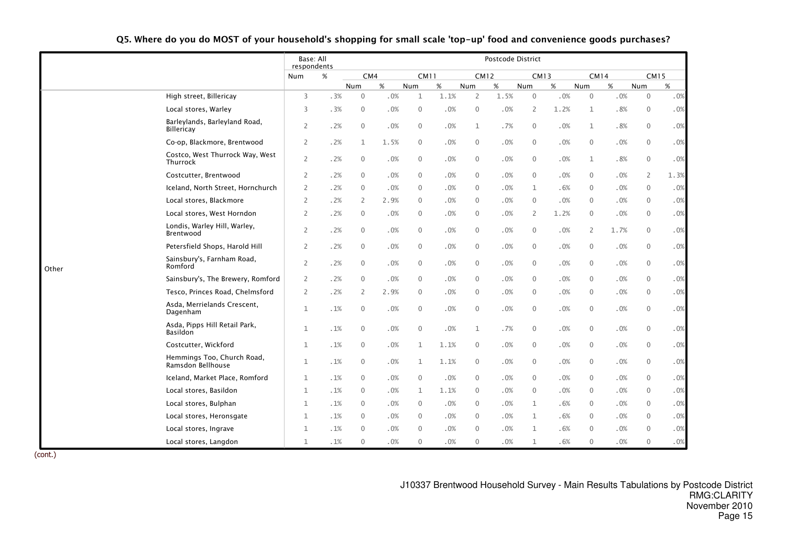|       |                                                    | Base: All<br>respondents |        |                |      |              |      |                | Postcode District |              |             |              |             |                  |      |
|-------|----------------------------------------------------|--------------------------|--------|----------------|------|--------------|------|----------------|-------------------|--------------|-------------|--------------|-------------|------------------|------|
|       |                                                    | Num                      | $\%$   | CM4            |      | <b>CM11</b>  |      |                | <b>CM12</b>       |              | <b>CM13</b> |              | <b>CM14</b> | <b>CM15</b>      |      |
|       |                                                    |                          |        | Num            | %    | Num          | $\%$ | Num            | $\%$              | Num          | $\%$        | Num          | %           | Num              | %    |
|       | High street, Billericay                            | 3                        | .3%    | $\mathbf{0}$   | .0%  | 1            | 1.1% | 2              | 1.5%              | $\mathbf 0$  | .0%         | $\mathbf 0$  | .0%         | $\mathbf 0$      | .0%  |
|       | Local stores, Warley                               | 3                        | .3%    | $\mathbf{0}$   | .0%  | $\mathbf 0$  | .0%  | $\mathbf 0$    | .0%               | 2            | 1.2%        | $\mathbf{1}$ | .8%         | $\mathbf 0$      | .0%  |
|       | Barleylands, Barleyland Road,<br><b>Billericay</b> | $\overline{2}$           | .2%    | $\mathbf{0}$   | .0%  | $\mathbf 0$  | .0%  | $\mathbf{1}$   | .7%               | $\mathbf 0$  | .0%         | $\mathbf{1}$ | .8%         | $\mathbf 0$      | .0%  |
|       | Co-op, Blackmore, Brentwood                        | 2                        | .2%    | $\mathbf{1}$   | 1.5% | $\mathbf 0$  | .0%  | $\mathbf 0$    | $.0\%$            | $\mathbf{0}$ | .0%         | $\mathbf 0$  | .0%         | $\mathbf 0$      | .0%  |
|       | Costco, West Thurrock Way, West<br>Thurrock        | $\overline{2}$           | .2%    | $\mathbf 0$    | .0%  | $\mathbf 0$  | .0%  | $\mathbf 0$    | .0%               | 0            | .0%         | $\mathbf{1}$ | .8%         | $\mathbf 0$      | .0%  |
|       | Costcutter, Brentwood                              | 2                        | .2%    | $\mathbf{0}$   | .0%  | $\mathbf{0}$ | .0%  | $\mathbf{0}$   | .0%               | $\mathbf{0}$ | .0%         | $\mathbf 0$  | .0%         | $\overline{2}$   | 1.3% |
|       | Iceland, North Street, Hornchurch                  | $\overline{2}$           | .2%    | $\mathbf{0}$   | .0%  | $\mathbf{0}$ | .0%  | $\mathbf{0}$   | .0%               | $\mathbf{1}$ | .6%         | $\mathbf 0$  | .0%         | $\mathbf 0$      | .0%  |
|       | Local stores, Blackmore                            | $\overline{2}$           | .2%    | $\overline{2}$ | 2.9% | $\mathbf{0}$ | .0%  | $\mathbf{0}$   | .0%               | $\Omega$     | .0%         | $\mathbf{0}$ | .0%         | $\mathbf 0$      | .0%  |
|       | Local stores, West Horndon                         | $\overline{2}$           | .2%    | $\mathbf{0}$   | .0%  | $\mathbf 0$  | .0%  | $\mathbf{0}$   | .0%               | 2            | 1.2%        | $\mathbf 0$  | .0%         | $\mathbf{0}$     | .0%  |
|       | Londis, Warley Hill, Warley,<br>Brentwood          | $\overline{2}$           | .2%    | $\mathbf{0}$   | .0%  | $\mathbf 0$  | .0%  | 0              | .0%               | $\mathbf{0}$ | .0%         | 2            | 1.7%        | $\overline{0}$   | .0%  |
|       | Petersfield Shops, Harold Hill                     | $\overline{2}$           | .2%    | $\mathbf 0$    | .0%  | $\mathbf 0$  | .0%  | $\mathbf 0$    | .0%               | $\mathbf 0$  | .0%         | $\mathbf 0$  | .0%         | $\mathbf 0$      | .0%  |
| Other | Sainsbury's, Farnham Road,<br>Romford              | 2                        | .2%    | $\mathbf{0}$   | .0%  | $\mathbf 0$  | .0%  | 0              | .0%               | $\mathbf{0}$ | .0%         | $\mathbf 0$  | .0%         | $\mathbf 0$      | .0%  |
|       | Sainsbury's, The Brewery, Romford                  | $\overline{2}$           | .2%    | $\mathbf{0}$   | .0%  | $\mathbf 0$  | .0%  | $\mathbf 0$    | $.0\%$            | $\mathbf{0}$ | .0%         | $\mathbf 0$  | .0%         | $\boldsymbol{0}$ | .0%  |
|       | Tesco, Princes Road, Chelmsford                    | 2                        | .2%    | $\overline{2}$ | 2.9% | $\mathbf 0$  | .0%  | $\mathbf 0$    | .0%               | $\mathbf{0}$ | .0%         | $\mathbf 0$  | .0%         | $\mathbf 0$      | .0%  |
|       | Asda, Merrielands Crescent,<br>Dagenham            | $\mathbf{1}$             | $.1\%$ | $\mathbf{0}$   | .0%  | $\mathbf 0$  | .0%  | $\mathbf 0$    | $.0\%$            | $\mathbf{0}$ | .0%         | $\mathbf 0$  | .0%         | $\overline{0}$   | .0%  |
|       | Asda, Pipps Hill Retail Park,<br>Basildon          | $\mathbf{1}$             | .1%    | $\mathbf{0}$   | .0%  | $\mathbf 0$  | .0%  | $\mathbf 1$    | .7%               | $\mathbf{0}$ | .0%         | $\mathbf 0$  | .0%         | $\mathbf 0$      | .0%  |
|       | Costcutter, Wickford                               | $\mathbf{1}$             | .1%    | 0              | .0%  | $\mathbf{1}$ | 1.1% | 0              | .0%               | $\mathbf{0}$ | .0%         | $\mathbf 0$  | .0%         | $\mathbf 0$      | .0%  |
|       | Hemmings Too, Church Road,<br>Ramsdon Bellhouse    | $\mathbf{1}$             | .1%    | $\mathbf 0$    | .0%  | $\mathbf{1}$ | 1.1% | $\mathbf 0$    | $.0\%$            | $\mathbf{0}$ | .0%         | $\mathbf 0$  | .0%         | $\mathbf 0$      | .0%  |
|       | Iceland, Market Place, Romford                     | $\mathbf{1}$             | $.1\%$ | $\mathbf 0$    | .0%  | $\mathbf 0$  | .0%  | $\overline{0}$ | .0%               | $\mathbf{0}$ | .0%         | $\mathbf 0$  | .0%         | $\overline{0}$   | .0%  |
|       | Local stores, Basildon                             | $\mathbf{1}$             | .1%    | $\mathbf{0}$   | .0%  | 1            | 1.1% | 0              | .0%               | $\mathbf{0}$ | .0%         | $\mathbf 0$  | .0%         | $\mathbf 0$      | .0%  |
|       | Local stores, Bulphan                              | $\mathbf{1}$             | .1%    | $\mathbf{0}$   | .0%  | $\mathbf 0$  | .0%  | 0              | .0%               | 1            | .6%         | $\mathbf 0$  | .0%         | $\mathbf 0$      | .0%  |
|       | Local stores, Heronsgate                           | $\mathbf{1}$             | .1%    | $\mathbf{0}$   | .0%  | $\mathbf 0$  | .0%  | $\mathbf{0}$   | .0%               | $\mathbf{1}$ | .6%         | $\mathbf 0$  | .0%         | $\mathbf 0$      | .0%  |
|       | Local stores, Ingrave                              | $\mathbf{1}$             | .1%    | $\Omega$       | .0%  | $\mathbf{0}$ | .0%  | $\Omega$       | .0%               | $\mathbf{1}$ | .6%         | $\mathbf{0}$ | .0%         | $\mathbf{0}$     | .0%  |
|       | Local stores, Langdon                              | $\mathbf{1}$             | .1%    | $\mathbf{0}$   | .0%  | $\mathbf{0}$ | .0%  | $\mathbf{0}$   | .0%               | $\mathbf{1}$ | .6%         | $\mathbf{0}$ | .0%         | $\mathbf{0}$     | .0%  |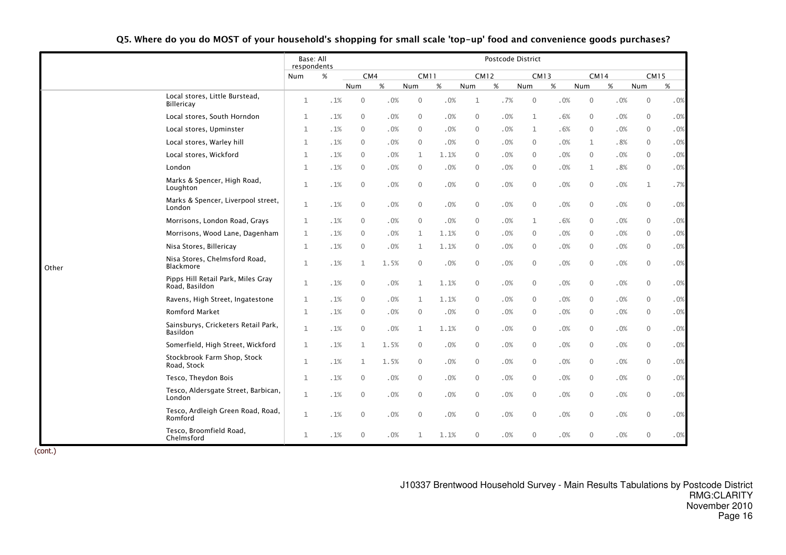|       |                                                      | Base: All<br>respondents |            |              |      |              |             |                  | Postcode District |              |             |                |             |              |             |
|-------|------------------------------------------------------|--------------------------|------------|--------------|------|--------------|-------------|------------------|-------------------|--------------|-------------|----------------|-------------|--------------|-------------|
|       |                                                      | Num                      | $\%$       |              | CM4  |              | <b>CM11</b> |                  | <b>CM12</b>       |              | <b>CM13</b> |                | <b>CM14</b> |              | <b>CM15</b> |
|       |                                                      |                          |            | Num          | $\%$ | Num          | $\%$        | Num              | %                 | Num          | $\%$        | Num            | %           | Num          | %           |
|       | Local stores, Little Burstead,<br>Billericay         | $\mathbf{1}$             | $. \, 1\%$ | $\mathbf{0}$ | .0%  | $\mathbf 0$  | .0%         | 1                | .7%               | $\mathbf 0$  | .0%         | $\mathbf 0$    | .0%         | $\mathbf 0$  | .0%         |
|       | Local stores, South Horndon                          | $\mathbf{1}$             | .1%        | $\mathbf{0}$ | .0%  | $\mathbf{0}$ | .0%         | $\mathbf{0}$     | .0%               | $\mathbf{1}$ | .6%         | $\mathbf 0$    | .0%         | $\mathbf 0$  | .0%         |
|       | Local stores, Upminster                              | $\mathbf{1}$             | .1%        | $\mathbf{0}$ | .0%  | $\mathbf{0}$ | .0%         | $\mathbf{0}$     | .0%               | 1            | .6%         | $\mathbf{0}$   | .0%         | $\mathbf{0}$ | .0%         |
|       | Local stores, Warley hill                            | $\mathbf{1}$             | .1%        | $\mathbf{0}$ | .0%  | $\mathbf 0$  | .0%         | $\mathbf{0}$     | .0%               | $\Omega$     | .0%         | 1              | .8%         | $\mathbf 0$  | .0%         |
|       | Local stores, Wickford                               | 1                        | .1%        | $\mathbf{0}$ | .0%  | 1            | 1.1%        | 0                | .0%               | $\mathbf{0}$ | .0%         | $\mathbf 0$    | .0%         | $\mathbf 0$  | .0%         |
|       | London                                               | 1                        | .1%        | $\mathbf{0}$ | .0%  | $\mathbf 0$  | .0%         | $\mathbf{0}$     | .0%               | $\mathbf{0}$ | .0%         | $\mathbf 1$    | .8%         | $\mathbf 0$  | .0%         |
|       | Marks & Spencer, High Road,<br>Loughton              | 1                        | .1%        | $\mathbf{0}$ | .0%  | $\mathbf 0$  | .0%         | 0                | .0%               | $\mathbf{0}$ | .0%         | $\mathbf 0$    | .0%         | $\mathbf{1}$ | .7%         |
|       | Marks & Spencer, Liverpool street,<br>London         | 1                        | .1%        | $\mathbf{0}$ | .0%  | $\mathbf 0$  | .0%         | $\mathbf 0$      | .0%               | $\mathbf{0}$ | .0%         | $\mathbf 0$    | .0%         | $\mathbf 0$  | $.0\%$      |
|       | Morrisons, London Road, Grays                        | 1                        | .1%        | $\mathbf{0}$ | .0%  | $\mathbf 0$  | .0%         | 0                | .0%               | 1            | .6%         | $\mathbf 0$    | .0%         | $\mathbf 0$  | .0%         |
|       | Morrisons, Wood Lane, Dagenham                       | 1                        | .1%        | $\mathbf{0}$ | .0%  | $\mathbf{1}$ | 1.1%        | $\mathbf{0}$     | .0%               | $\Omega$     | .0%         | $\mathbf{0}$   | .0%         | $\mathbf{0}$ | .0%         |
|       | Nisa Stores, Billericay                              | 1                        | .1%        | $\mathbf{0}$ | .0%  | $\mathbf{1}$ | 1.1%        | $\mathbf{0}$     | .0%               | $\mathbf{0}$ | .0%         | $\mathbf 0$    | .0%         | $\mathbf 0$  | .0%         |
| Other | Nisa Stores, Chelmsford Road,<br>Blackmore           | 1                        | .1%        | $\mathbf{1}$ | 1.5% | $\mathbf 0$  | .0%         | $\mathbf 0$      | .0%               | $\mathbf{0}$ | .0%         | $\mathbf 0$    | .0%         | $\mathbf 0$  | .0%         |
|       | Pipps Hill Retail Park, Miles Gray<br>Road, Basildon | 1                        | .1%        | $\mathbf{0}$ | .0%  | $\mathbf{1}$ | 1.1%        | 0                | .0%               | $\mathbf{0}$ | .0%         | $\mathbf 0$    | .0%         | 0            | $.0\%$      |
|       | Ravens, High Street, Ingatestone                     | 1                        | .1%        | $\mathbf{0}$ | .0%  | 1            | 1.1%        | 0                | .0%               | $\mathbf 0$  | .0%         | $\mathbf 0$    | .0%         | $\mathbf 0$  | .0%         |
|       | <b>Romford Market</b>                                | 1                        | .1%        | $\mathbf{0}$ | .0%  | $\mathbf 0$  | .0%         | 0                | .0%               | $\mathbf{0}$ | .0%         | $\overline{0}$ | .0%         | $\mathbf 0$  | .0%         |
|       | Sainsburys, Cricketers Retail Park,<br>Basildon      | $\mathbf{1}$             | .1%        | $\mathbf{0}$ | .0%  | 1            | 1.1%        | $\mathbf{0}$     | .0%               | $\mathbf{0}$ | .0%         | $\mathbf 0$    | .0%         | $\mathbf 0$  | .0%         |
|       | Somerfield, High Street, Wickford                    | 1                        | .1%        | $\mathbf{1}$ | 1.5% | $\mathbf{0}$ | .0%         | 0                | .0%               | $\mathbf{0}$ | .0%         | $\mathbf 0$    | .0%         | $\mathbf 0$  | .0%         |
|       | Stockbrook Farm Shop, Stock<br>Road, Stock           | 1                        | .1%        | 1            | 1.5% | 0            | .0%         | 0                | .0%               | $\mathbf{0}$ | .0%         | $\mathbf 0$    | .0%         | $\mathbf 0$  | .0%         |
|       | Tesco, Theydon Bois                                  | $\mathbf{1}$             | .1%        | $\mathbf{0}$ | .0%  | $\mathbf 0$  | .0%         | $\mathbf{0}$     | .0%               | $\mathbf{0}$ | .0%         | $\mathbf 0$    | .0%         | $\mathbf 0$  | .0%         |
|       | Tesco, Aldersgate Street, Barbican,<br>London        | $\mathbf{1}$             | .1%        | $\mathbf{0}$ | .0%  | $\mathbf 0$  | .0%         | $\mathbf 0$      | .0%               | $\mathbf{0}$ | .0%         | $\mathbf 0$    | .0%         | $\mathbf 0$  | .0%         |
|       | Tesco, Ardleigh Green Road, Road,<br>Romford         | 1                        | .1%        | $\mathbf{0}$ | .0%  | $\mathbf 0$  | .0%         | $\mathbf 0$      | .0%               | $\mathbf{0}$ | .0%         | $\mathbf 0$    | .0%         | $\mathbf 0$  | .0%         |
|       | Tesco, Broomfield Road,<br>Chelmsford                | $\mathbf{1}$             | .1%        | $\mathbf{0}$ | .0%  | $\mathbf 1$  | 1.1%        | $\boldsymbol{0}$ | .0%               | $\mathbf{0}$ | .0%         | $\mathbf 0$    | .0%         | $\mathbf 0$  | .0%         |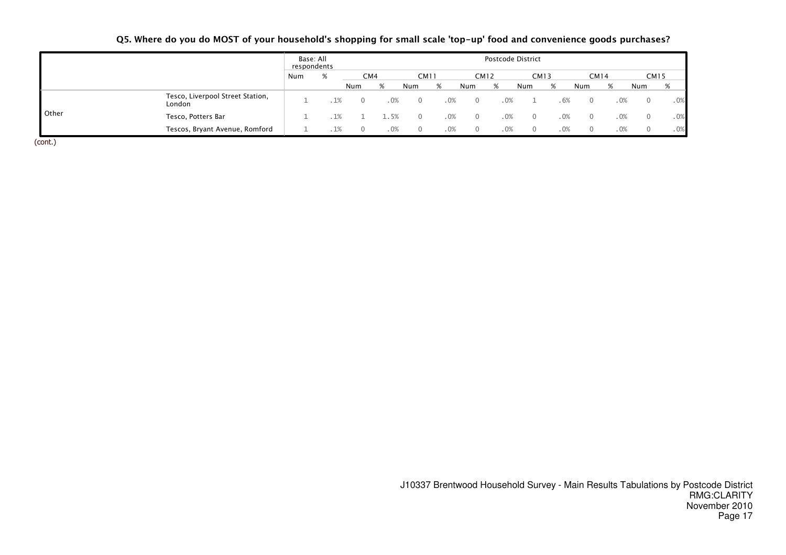|              |                                            | Base: All<br>respondents |     |     |        |             |     |             | Postcode District |     |             |          |      |             |     |
|--------------|--------------------------------------------|--------------------------|-----|-----|--------|-------------|-----|-------------|-------------------|-----|-------------|----------|------|-------------|-----|
|              |                                            | Num                      | %   | CM4 |        | <b>CM11</b> |     | <b>CM12</b> |                   |     | <b>CM13</b> |          | CM14 | <b>CM15</b> |     |
|              |                                            |                          |     | Num |        | Num         | %   | Num         | %                 | Num | %           | Num      | %    | Num         | %   |
|              | Tesco, Liverpool Street Station,<br>London |                          | 1%  |     | .0%    |             | .0% |             | .0%               |     | .6%         | $\Omega$ | .0%  |             | .0% |
| <b>Other</b> | Tesco, Potters Bar                         |                          | .1% |     | 1.5%   |             | .0% |             | .0%               |     | .0%         | $\Omega$ | .0%  |             | .0% |
|              | Tescos, Bryant Avenue, Romford             |                          | .1% |     | $.0\%$ |             | .0% |             | .0%               |     | $.0\%$      | $\Omega$ | .0%  |             | .0% |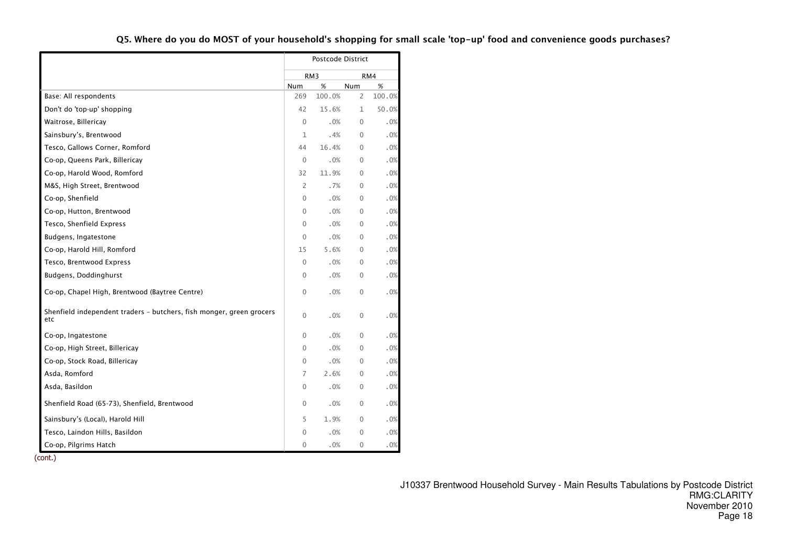|                                                                             |              | Postcode District |                |        |
|-----------------------------------------------------------------------------|--------------|-------------------|----------------|--------|
|                                                                             |              | RM <sub>3</sub>   |                | RM4    |
|                                                                             | Num          | %                 | Num            | $\%$   |
| Base: All respondents                                                       | 269          | 100.0%            | $\overline{2}$ | 100.0% |
| Don't do 'top-up' shopping                                                  | 42           | 15.6%             | 1              | 50.0%  |
| Waitrose, Billericay                                                        | $\Omega$     | .0%               | $\Omega$       | .0%    |
| Sainsbury's, Brentwood                                                      | 1            | .4%               | 0              | .0%    |
| Tesco, Gallows Corner, Romford                                              | 44           | 16.4%             | 0              | .0%    |
| Co-op, Queens Park, Billericay                                              | $\mathbf{0}$ | .0%               | $\mathbf{0}$   | .0%    |
| Co-op, Harold Wood, Romford                                                 | 32           | 11.9%             | 0              | .0%    |
| M&S, High Street, Brentwood                                                 | 2            | .7%               | $\Omega$       | .0%    |
| Co-op, Shenfield                                                            | $\mathbf 0$  | .0%               | 0              | .0%    |
| Co-op, Hutton, Brentwood                                                    | 0            | .0%               | $\Omega$       | .0%    |
| Tesco, Shenfield Express                                                    | $\mathbf 0$  | .0%               | $\mathbf{0}$   | .0%    |
| Budgens, Ingatestone                                                        | 0            | .0%               | 0              | .0%    |
| Co-op, Harold Hill, Romford                                                 | 15           | 5.6%              | 0              | .0%    |
| Tesco, Brentwood Express                                                    | $\mathbf 0$  | .0%               | $\Omega$       | .0%    |
| Budgens, Doddinghurst                                                       | 0            | .0%               | $\Omega$       | .0%    |
| Co-op, Chapel High, Brentwood (Baytree Centre)                              | 0            | .0%               | $\mathbf{0}$   | .0%    |
| Shenfield independent traders - butchers, fish monger, green grocers<br>etc | $\Omega$     | .0%               | 0              | .0%    |
| Co-op, Ingatestone                                                          | $\mathbf 0$  | .0%               | 0              | .0%    |
| Co-op, High Street, Billericay                                              | 0            | .0%               | $\Omega$       | .0%    |
| Co-op, Stock Road, Billericay                                               | 0            | .0%               | $\mathbf{0}$   | .0%    |
| Asda, Romford                                                               | 7            | 2.6%              | 0              | .0%    |
| Asda, Basildon                                                              | 0            | .0%               | 0              | .0%    |
| Shenfield Road (65-73), Shenfield, Brentwood                                | $\mathbf 0$  | .0%               | 0              | .0%    |
| Sainsbury's (Local), Harold Hill                                            | 5            | 1.9%              | $\mathbf{0}$   | .0%    |
| Tesco, Laindon Hills, Basildon                                              | 0            | .0%               | $\mathbf{0}$   | .0%    |
| Co-op, Pilgrims Hatch                                                       | 0            | .0%               | 0              | .0%    |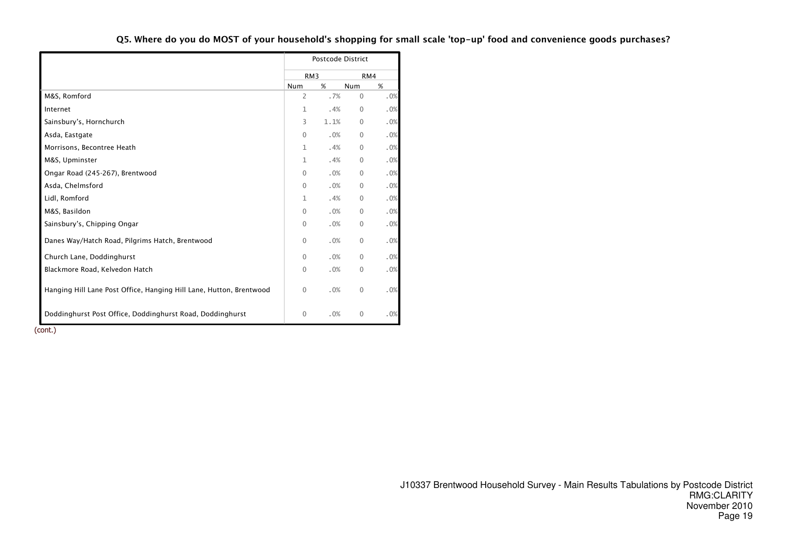|                                                                     |                 | <b>Postcode District</b> |              |     |
|---------------------------------------------------------------------|-----------------|--------------------------|--------------|-----|
|                                                                     | RM <sub>3</sub> |                          |              | RM4 |
|                                                                     | Num             | %                        | Num          | %   |
| M&S, Romford                                                        | $\overline{2}$  | .7%                      | $\mathbf{0}$ | .0% |
| Internet                                                            | 1               | .4%                      | $\mathbf{0}$ | .0% |
| Sainsbury's, Hornchurch                                             | 3               | 1.1%                     | $\Omega$     | .0% |
| Asda, Eastgate                                                      | $\Omega$        | .0%                      | $\mathbf{0}$ | .0% |
| Morrisons, Becontree Heath                                          | 1               | .4%                      | $\mathbf{0}$ | .0% |
| M&S, Upminster                                                      | $\mathbf{1}$    | .4%                      | $\mathbf{0}$ | .0% |
| Ongar Road (245-267), Brentwood                                     | $\Omega$        | .0%                      | $\mathbf{0}$ | .0% |
| Asda, Chelmsford                                                    | $\mathbf{0}$    | .0%                      | $\mathbf{0}$ | .0% |
| Lidl, Romford                                                       | $\mathbf{1}$    | .4%                      | $\mathbf{0}$ | .0% |
| M&S, Basildon                                                       | $\Omega$        | .0%                      | $\mathbf{0}$ | .0% |
| Sainsbury's, Chipping Ongar                                         | $\mathbf{0}$    | .0%                      | $\mathbf{0}$ | .0% |
| Danes Way/Hatch Road, Pilgrims Hatch, Brentwood                     | $\Omega$        | .0%                      | $\mathbf 0$  | .0% |
| Church Lane, Doddinghurst                                           | $\Omega$        | .0%                      | $\mathbf{0}$ | .0% |
| Blackmore Road, Kelvedon Hatch                                      | $\mathbf{0}$    | .0%                      | $\mathbf 0$  | .0% |
| Hanging Hill Lane Post Office, Hanging Hill Lane, Hutton, Brentwood | $\mathbf{0}$    | .0%                      | $\mathbf{0}$ | .0% |
| Doddinghurst Post Office, Doddinghurst Road, Doddinghurst           | $\mathbf 0$     | .0%                      | 0            | .0% |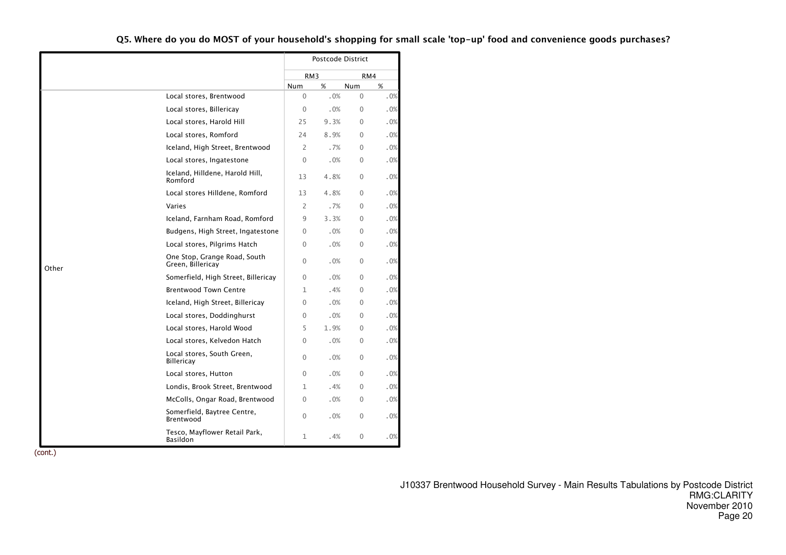|       |                                                   |              | Postcode District |             |     |
|-------|---------------------------------------------------|--------------|-------------------|-------------|-----|
|       |                                                   |              | RM <sub>3</sub>   | RM4         |     |
|       |                                                   | <b>Num</b>   | %                 | Num         | %   |
|       | Local stores, Brentwood                           | $\mathbf 0$  | .0%               | 0           | .0% |
|       | Local stores, Billericay                          | $\Omega$     | .0%               | $\Omega$    | .0% |
|       | Local stores, Harold Hill                         | 25           | 9.3%              | $\Omega$    | .0% |
|       | Local stores, Romford                             | 24           | 8.9%              | $\Omega$    | .0% |
|       | Iceland, High Street, Brentwood                   | 2            | .7%               | $\Omega$    | .0% |
|       | Local stores, Ingatestone                         | $\Omega$     | .0%               | $\Omega$    | .0% |
|       | Iceland, Hilldene, Harold Hill,<br>Romford        | 13           | 4.8%              | $\mathbf 0$ | .0% |
|       | Local stores Hilldene, Romford                    | 13           | 4.8%              | $\Omega$    | .0% |
|       | Varies                                            | 2            | .7%               | $\Omega$    | .0% |
|       | Iceland, Farnham Road, Romford                    | 9            | 3.3%              | $\Omega$    | .0% |
|       | Budgens, High Street, Ingatestone                 | $\Omega$     | .0%               | $\Omega$    | .0% |
|       | Local stores, Pilgrims Hatch                      | $\Omega$     | .0%               | 0           | .0% |
| Other | One Stop, Grange Road, South<br>Green, Billericay | $\Omega$     | .0%               | $\Omega$    | .0% |
|       | Somerfield, High Street, Billericay               | $\Omega$     | .0%               | $\Omega$    | .0% |
|       | <b>Brentwood Town Centre</b>                      | $\mathbf{1}$ | .4%               | $\Omega$    | .0% |
|       | Iceland, High Street, Billericay                  | $\Omega$     | .0%               | $\Omega$    | .0% |
|       | Local stores, Doddinghurst                        | $\Omega$     | .0%               | $\Omega$    | .0% |
|       | Local stores, Harold Wood                         | 5            | 1.9%              | $\Omega$    | .0% |
|       | Local stores, Kelvedon Hatch                      | $\Omega$     | .0%               | $\Omega$    | .0% |
|       | Local stores, South Green,<br><b>Billericay</b>   | $\Omega$     | .0%               | $\Omega$    | .0% |
|       | Local stores, Hutton                              | $\Omega$     | .0%               | $\Omega$    | .0% |
|       | Londis, Brook Street, Brentwood                   | 1            | .4%               | 0           | .0% |
|       | McColls, Ongar Road, Brentwood                    | 0            | .0%               | 0           | .0% |
|       | Somerfield, Baytree Centre,<br>Brentwood          | $\Omega$     | .0%               | $\Omega$    | .0% |
|       | Tesco, Mayflower Retail Park,<br>Basildon         | 1            | . 4%              | 0           | .0% |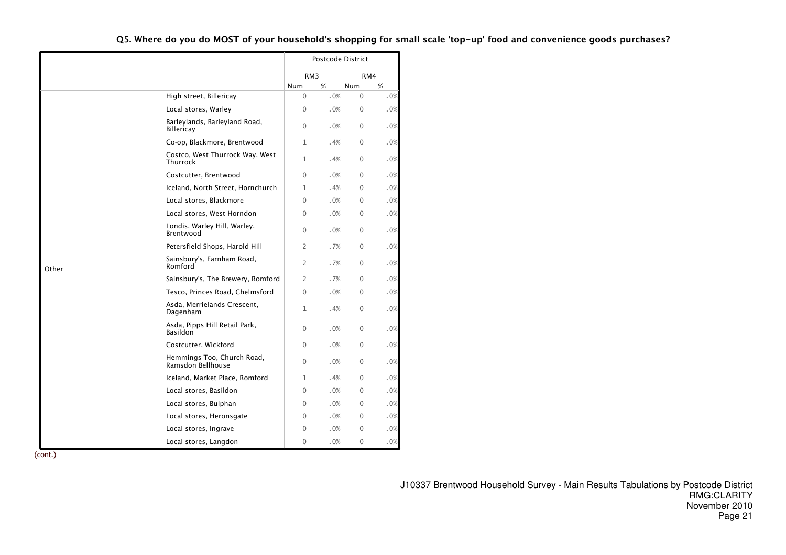|       |                                                    |                 | Postcode District |              |     |
|-------|----------------------------------------------------|-----------------|-------------------|--------------|-----|
|       |                                                    | RM <sub>3</sub> |                   | RM4          |     |
|       |                                                    | Num             | %                 | Num          | %   |
|       | High street, Billericay                            | $\Omega$        | .0%               | $\Omega$     | .0% |
|       | Local stores, Warley                               | $\Omega$        | .0%               | $\Omega$     | .0% |
|       | Barleylands, Barleyland Road,<br><b>Billericay</b> | $\Omega$        | .0%               | $\Omega$     | .0% |
|       | Co-op, Blackmore, Brentwood                        | $\mathbf{1}$    | .4%               | $\Omega$     | .0% |
|       | Costco, West Thurrock Way, West<br>Thurrock        | 1               | .4%               | $\mathbf{0}$ | .0% |
|       | Costcutter, Brentwood                              | $\mathbf 0$     | .0%               | $\mathbf{0}$ | .0% |
|       | Iceland, North Street, Hornchurch                  | 1               | .4%               | $\Omega$     | .0% |
|       | Local stores, Blackmore                            | $\Omega$        | .0%               | $\mathbf{0}$ | .0% |
|       | Local stores, West Horndon                         | 0               | .0%               | $\Omega$     | .0% |
|       | Londis, Warley Hill, Warley,<br>Brentwood          | $\Omega$        | .0%               | $\Omega$     | .0% |
|       | Petersfield Shops, Harold Hill                     | $\overline{2}$  | .7%               | $\Omega$     | .0% |
| Other | Sainsbury's, Farnham Road,<br>Romford              | $\overline{2}$  | .7%               | $\mathbf{0}$ | .0% |
|       | Sainsbury's, The Brewery, Romford                  | 2               | .7%               | $\Omega$     | .0% |
|       | Tesco, Princes Road, Chelmsford                    | $\Omega$        | .0%               | $\Omega$     | .0% |
|       | Asda, Merrielands Crescent,<br>Dagenham            | 1               | .4%               | $\mathbf{0}$ | .0% |
|       | Asda, Pipps Hill Retail Park,<br>Basildon          | $\Omega$        | .0%               | 0            | .0% |
|       | Costcutter, Wickford                               | $\Omega$        | .0%               | $\Omega$     | .0% |
|       | Hemmings Too, Church Road,<br>Ramsdon Bellhouse    | $\Omega$        | .0%               | $\Omega$     | .0% |
|       | Iceland, Market Place, Romford                     | 1               | .4%               | $\mathbf{0}$ | .0% |
|       | Local stores, Basildon                             | $\mathbf 0$     | .0%               | $\Omega$     | .0% |
|       | Local stores, Bulphan                              | $\mathbf 0$     | .0%               | $\Omega$     | .0% |
|       | Local stores, Heronsgate                           | $\Omega$        | .0%               | $\Omega$     | .0% |
|       | Local stores, Ingrave                              | $\Omega$        | .0%               | $\Omega$     | .0% |
|       | Local stores, Langdon                              | $\Omega$        | .0%               | $\Omega$     | .0% |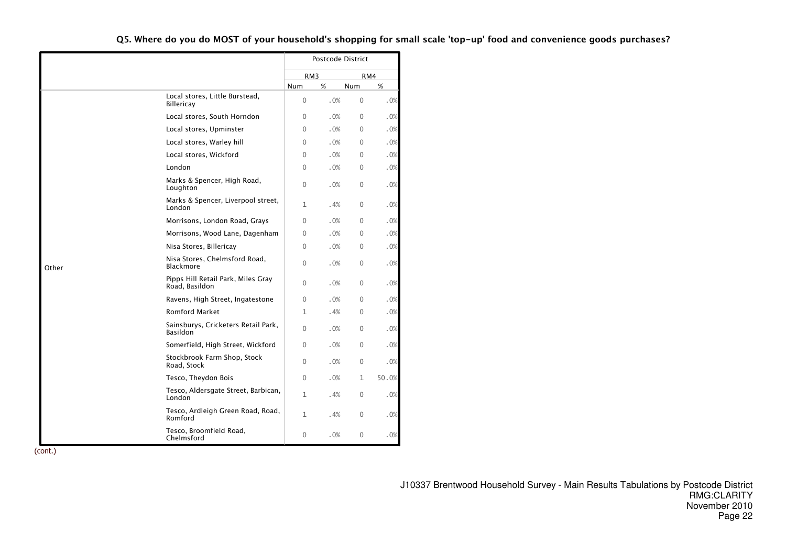|       |                                                      |                 | Postcode District |              |       |
|-------|------------------------------------------------------|-----------------|-------------------|--------------|-------|
|       |                                                      | RM <sub>3</sub> |                   |              | RM4   |
|       |                                                      | Num             | %                 | Num          | %     |
|       | Local stores, Little Burstead,<br><b>Billericay</b>  | $\Omega$        | .0%               | $\Omega$     | .0%   |
|       | Local stores, South Horndon                          | $\Omega$        | .0%               | $\Omega$     | .0%   |
|       | Local stores, Upminster                              | $\mathbf{0}$    | .0%               | $\Omega$     | .0%   |
|       | Local stores, Warley hill                            | $\Omega$        | .0%               | $\Omega$     | .0%   |
|       | Local stores, Wickford                               | 0               | .0%               | 0            | .0%   |
|       | London                                               | 0               | .0%               | 0            | .0%   |
|       | Marks & Spencer, High Road,<br>Loughton              | $\mathbf{0}$    | .0%               | 0            | .0%   |
|       | Marks & Spencer, Liverpool street,<br>London         | $\mathbf{1}$    | .4%               | $\mathbf{0}$ | .0%   |
|       | Morrisons, London Road, Grays                        | 0               | .0%               | 0            | .0%   |
|       | Morrisons, Wood Lane, Dagenham                       | $\overline{0}$  | .0%               | $\Omega$     | .0%   |
|       | Nisa Stores, Billericay                              | 0               | .0%               | $\Omega$     | .0%   |
| Other | Nisa Stores, Chelmsford Road,<br><b>Blackmore</b>    | $\mathbf{0}$    | .0%               | 0            | .0%   |
|       | Pipps Hill Retail Park, Miles Gray<br>Road, Basildon | 0               | .0%               | 0            | .0%   |
|       | Ravens, High Street, Ingatestone                     | $\mathbf{0}$    | .0%               | $\mathbf{0}$ | .0%   |
|       | <b>Romford Market</b>                                | 1               | . 4%              | 0            | .0%   |
|       | Sainsburys, Cricketers Retail Park,<br>Basildon      | $\mathbf{0}$    | .0%               | 0            | .0%   |
|       | Somerfield, High Street, Wickford                    | $\Omega$        | .0%               | $\mathbf 0$  | .0%   |
|       | Stockbrook Farm Shop, Stock<br>Road, Stock           | $\mathbf{0}$    | .0%               | $\Omega$     | .0%   |
|       | Tesco, Theydon Bois                                  | $\mathbf 0$     | .0%               | 1            | 50.0% |
|       | Tesco, Aldersgate Street, Barbican,<br>London        | 1               | . 4%              | 0            | .0%   |
|       | Tesco, Ardleigh Green Road, Road,<br>Romford         | 1               | . 4%              | 0            | .0%   |
|       | Tesco, Broomfield Road,<br>Chelmsford                | 0               | .0%               | 0            | .0%   |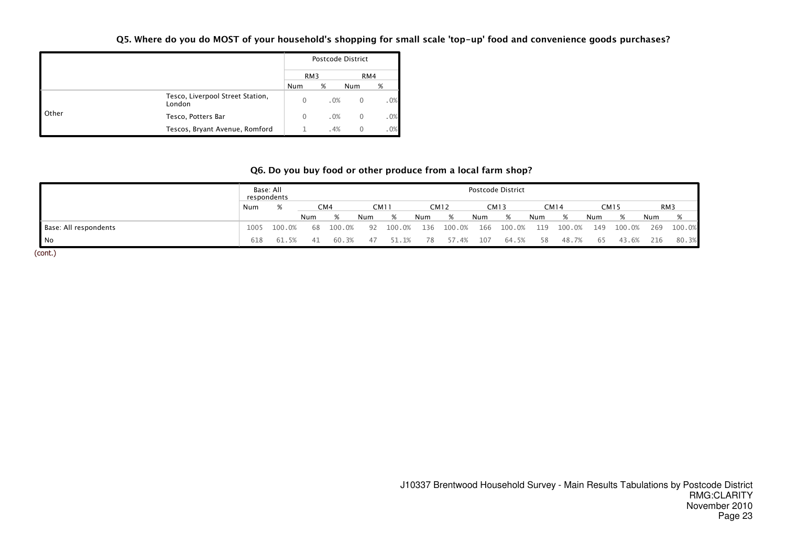|       |                                            |          | Postcode District |          |     |
|-------|--------------------------------------------|----------|-------------------|----------|-----|
|       |                                            | RM3      |                   | RM4      |     |
|       |                                            | Num      | %                 | Num      | %   |
|       | Tesco, Liverpool Street Station,<br>London | $\Omega$ | .0%               | $\Omega$ | .0% |
| Other | Tesco, Potters Bar                         | $\Omega$ | .0%               | 0        | .0% |
|       | Tescos, Bryant Avenue, Romford             |          | .4%               | 0        | .0% |

# Q6. Do you buy food or other produce from a local farm shop?

|                       | respondents | Base: All |     |        |     |        |     |        |     | Postcode District |     |        |     |             |     |        |
|-----------------------|-------------|-----------|-----|--------|-----|--------|-----|--------|-----|-------------------|-----|--------|-----|-------------|-----|--------|
|                       | Num         | %         |     | CM4    |     | CM11   |     | CM12   |     | <b>CM13</b>       |     | CM14   |     | <b>CM15</b> |     | RM3    |
|                       |             |           | Num | %      | Num | %      | Num | %      | Num | %                 | Num | %      | Num | %           | Num | %      |
| Base: All respondents | 1005        | 100.0%    | 68  | 100.0% | 92  | 100.0% | 136 | 100.0% | 166 | 100.0%            | 119 | 100.0% | 149 | 100.0%      | 269 | 100.0% |
| No                    | 618         | 61.5%     | 4 I | 60.3%  | 47  | . 1%   | 78  | 57.4%  | 107 | 64.5%             | 58  | 48.7%  | 65  | 43.6%       | 216 | 80.3%  |
| (cont.)               |             |           |     |        |     |        |     |        |     |                   |     |        |     |             |     |        |

J10337 Brentwood Household Survey - Main Results Tabulations by Postcode District RMG:CLARITY November 2010Page 23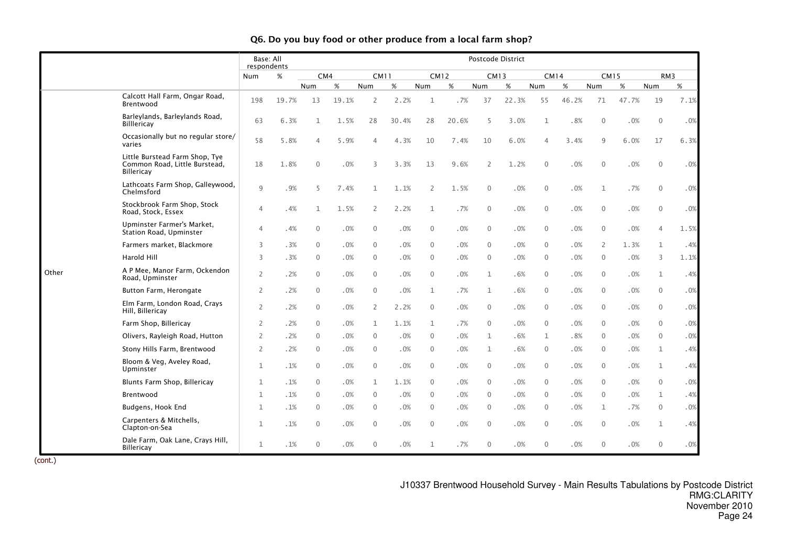|       |                                                                               | Base: All<br>respondents |       |                |       |                |       |                  |       |                | Postcode District |                |       |              |        |                |        |
|-------|-------------------------------------------------------------------------------|--------------------------|-------|----------------|-------|----------------|-------|------------------|-------|----------------|-------------------|----------------|-------|--------------|--------|----------------|--------|
|       |                                                                               | Num                      | $\%$  | CM4            |       | <b>CM11</b>    |       | <b>CM12</b>      |       | <b>CM13</b>    |                   | <b>CM14</b>    |       | <b>CM15</b>  |        | RM3            |        |
|       |                                                                               |                          |       | Num            | $\%$  | Num            | $\%$  | Num              | $\%$  | Num            | %                 | Num            | $\%$  | Num          | $\%$   | Num            | $\%$   |
|       | Calcott Hall Farm, Ongar Road,<br>Brentwood                                   | 198                      | 19.7% | 13             | 19.1% | 2              | 2.2%  | 1                | .7%   | 37             | 22.3%             | 55             | 46.2% | 71           | 47.7%  | 19             | 7.1%   |
|       | Barleylands, Barleylands Road,<br><b>Billlericay</b>                          | 63                       | 6.3%  | $\mathbf{1}$   | 1.5%  | 28             | 30.4% | 28               | 20.6% | 5              | 3.0%              | $\mathbf{1}$   | .8%   | $\mathbf 0$  | .0%    | $\mathbf{0}$   | .0%    |
|       | Occasionally but no regular store/<br>varies                                  | 58                       | 5.8%  | $\overline{4}$ | 5.9%  | $\overline{4}$ | 4.3%  | 10               | 7.4%  | 10             | 6.0%              | 4              | 3.4%  | 9            | 6.0%   | 17             | 6.3%   |
|       | Little Burstead Farm Shop, Tye<br>Common Road, Little Burstead,<br>Billericay | 18                       | 1.8%  | $\mathbf{0}$   | .0%   | 3              | 3.3%  | 13               | 9.6%  | $\overline{2}$ | 1.2%              | $\mathbf{0}$   | .0%   | $\mathbf 0$  | .0%    | $\mathbf 0$    | .0%    |
|       | Lathcoats Farm Shop, Galleywood,<br>Chelmsford                                | 9                        | .9%   | 5              | 7.4%  | $\mathbf 1$    | 1.1%  | 2                | 1.5%  | $\mathbf 0$    | .0%               | $\mathbf{0}$   | .0%   | 1            | .7%    | $\overline{0}$ | .0%    |
|       | Stockbrook Farm Shop, Stock<br>Road, Stock, Essex                             | $\overline{4}$           | .4%   | $\mathbf{1}$   | 1.5%  | 2              | 2.2%  | $\mathbf{1}$     | .7%   | $\mathbf 0$    | .0%               | $\mathbf{0}$   | .0%   | 0            | .0%    | $\mathbf 0$    | .0%    |
|       | Upminster Farmer's Market,<br>Station Road, Upminster                         | $\overline{4}$           | .4%   | $\mathbf{0}$   | .0%   | $\mathbf 0$    | .0%   | $\mathbf 0$      | .0%   | $\mathbf 0$    | .0%               | $\mathbf{0}$   | .0%   | 0            | .0%    | 4              | 1.5%   |
|       | Farmers market, Blackmore                                                     | 3                        | .3%   | $\mathbf{0}$   | .0%   | $\mathbf 0$    | .0%   | $\mathbf 0$      | .0%   | $\mathbf{0}$   | .0%               | $\mathbf{0}$   | .0%   | 2            | 1.3%   | $\mathbf{1}$   | .4%    |
|       | <b>Harold Hill</b>                                                            | 3                        | .3%   | $\mathbf{0}$   | .0%   | $\mathbf{0}$   | .0%   | $\mathbf 0$      | .0%   | $\mathbf{0}$   | .0%               | $\mathbf{0}$   | .0%   | $\mathbf{0}$ | .0%    | 3              | 1.1%   |
| Other | A P Mee, Manor Farm, Ockendon<br>Road, Upminster                              | $\mathbf{2}$             | .2%   | $\mathbf{0}$   | .0%   | $\mathbf 0$    | .0%   | $\mathbf 0$      | .0%   | 1              | .6%               | $\Omega$       | .0%   | $\mathbf{0}$ | .0%    | $\mathbf{1}$   | .4%    |
|       | Button Farm, Herongate                                                        | $\mathbf{2}$             | .2%   | $\mathbf{0}$   | .0%   | $\mathbf 0$    | .0%   | $\mathbf{1}$     | .7%   | $\mathbf{1}$   | .6%               | $\mathbf{0}$   | .0%   | $\mathbf{0}$ | .0%    | $\mathbf 0$    | .0%    |
|       | Elm Farm, London Road, Crays<br>Hill, Billericay                              | $\mathbf{2}$             | .2%   | $\mathbf{0}$   | .0%   | $\overline{2}$ | 2.2%  | $\mathbf 0$      | .0%   | $\mathbf{0}$   | .0%               | $\Omega$       | .0%   | $\mathbf{0}$ | .0%    | $\overline{0}$ | .0%    |
|       | Farm Shop, Billericay                                                         | $\overline{2}$           | .2%   | $\mathbf{0}$   | .0%   | $\mathbf{1}$   | 1.1%  | $\mathbf{1}$     | .7%   | $\mathbf{0}$   | .0%               | $\Omega$       | .0%   | $\mathbf{0}$ | .0%    | $\overline{0}$ | .0%    |
|       | Olivers, Rayleigh Road, Hutton                                                | $\overline{2}$           | .2%   | $\mathbf{0}$   | .0%   | $\mathbf 0$    | .0%   | $\mathbf 0$      | .0%   | 1              | .6%               | 1              | .8%   | $\mathbf{0}$ | .0%    | $\mathbf 0$    | $.0\%$ |
|       | Stony Hills Farm, Brentwood                                                   | $\overline{2}$           | .2%   | $\mathbf{0}$   | .0%   | $\mathbf 0$    | .0%   | $\overline{0}$   | .0%   | 1              | .6%               | $\mathbf{0}$   | .0%   | $\mathbf{0}$ | .0%    | $\mathbf{1}$   | .4%    |
|       | Bloom & Veg, Aveley Road,<br>Upminster                                        | $\mathbf{1}$             | .1%   | $\overline{0}$ | .0%   | $\mathbf 0$    | .0%   | $\mathbf 0$      | .0%   | $\mathbf{0}$   | .0%               | $\mathbf{0}$   | .0%   | $\mathbf{0}$ | .0%    | $\mathbf{1}$   | .4%    |
|       | Blunts Farm Shop, Billericay                                                  | $\mathbf{1}$             | .1%   | $\mathbf{0}$   | .0%   | $\mathbf{1}$   | 1.1%  | $\mathbf 0$      | .0%   | $\mathbf{0}$   | .0%               | $\mathbf{0}$   | .0%   | $\mathbf{0}$ | .0%    | $\overline{0}$ | .0%    |
|       | Brentwood                                                                     | 1                        | .1%   | $\mathbf{0}$   | .0%   | $\mathbf{0}$   | .0%   | $\mathbf 0$      | .0%   | $\mathbf{0}$   | .0%               | $\Omega$       | .0%   | $\mathbf 0$  | .0%    | $\mathbf{1}$   | .4%    |
|       | Budgens, Hook End                                                             | $\mathbf{1}$             | .1%   | $\mathbf{0}$   | .0%   | $\mathbf 0$    | .0%   | $\mathbf 0$      | .0%   | $\mathbf{0}$   | .0%               | $\mathbf{0}$   | .0%   | 1            | .7%    | $\mathbf 0$    | .0%    |
|       | Carpenters & Mitchells,<br>Clapton-on-Sea                                     | $\mathbf 1$              | .1%   | $\mathbf{0}$   | .0%   | $\mathbf 0$    | .0%   | $\boldsymbol{0}$ | .0%   | $\mathbf 0$    | .0%               | $\overline{0}$ | .0%   | $\mathbf 0$  | $.0\%$ | $\mathbf{1}$   | .4%    |
|       | Dale Farm, Oak Lane, Crays Hill,<br>Billericay                                | $\mathbf{1}$             | .1%   | $\mathbf 0$    | .0%   | $\mathbf{0}$   | .0%   | $\mathbf 1$      | .7%   | $\mathbf 0$    | .0%               | $\Omega$       | .0%   | $\Omega$     | .0%    | $\mathbf{0}$   | .0%    |

(cont.)

J10337 Brentwood Household Survey - Main Results Tabulations by Postcode District RMG:CLARITY November 2010Page 24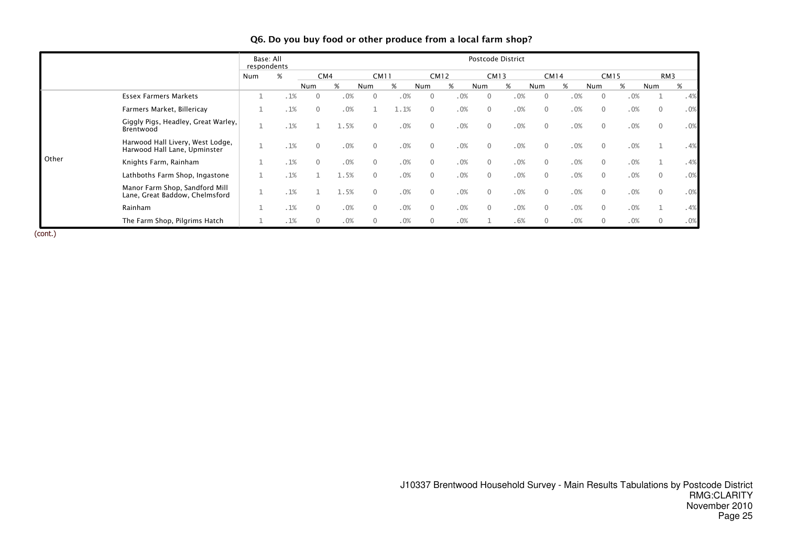|       |                                                                  | Base: All<br>respondents |     |              |      |              |      |                |     |              | Postcode District |              |             |                |             |                |     |
|-------|------------------------------------------------------------------|--------------------------|-----|--------------|------|--------------|------|----------------|-----|--------------|-------------------|--------------|-------------|----------------|-------------|----------------|-----|
|       |                                                                  | Num                      | %   | CM4          |      | <b>CM11</b>  |      | <b>CM12</b>    |     | <b>CM13</b>  |                   |              | <b>CM14</b> |                | <b>CM15</b> | RM3            |     |
|       |                                                                  |                          |     | <b>Num</b>   | %    | Num          | %    | Num            | %   | Num          | %                 | Num          | %           | Num            | %           | Num            | %   |
|       | <b>Essex Farmers Markets</b>                                     |                          | .1% |              | .0%  | $\Omega$     | .0%  | $\mathbf{0}$   | .0% | $\Omega$     | .0%               | $\mathbf 0$  | .0%         | $\overline{0}$ | .0%         |                | .4% |
|       | Farmers Market, Billericay                                       |                          | .1% | $\mathbf{0}$ | .0%  |              | 1.1% | $\mathbf{0}$   | .0% | $\Omega$     | .0%               | $\Omega$     | .0%         | $\overline{0}$ | .0%         | $\overline{0}$ | .0% |
|       | Giggly Pigs, Headley, Great Warley,<br>Brentwood                 |                          | .1% |              | 1.5% | $\mathbf{0}$ | .0%  | $\mathbf 0$    | .0% | $\mathbf{0}$ | .0%               | $\mathbf{0}$ | .0%         | $\mathbf{0}$   | .0%         | $\mathbf 0$    | .0% |
|       | Harwood Hall Livery, West Lodge,<br>Harwood Hall Lane, Upminster |                          | .1% | $\Omega$     | .0%  | $\Omega$     | .0%  | $\overline{0}$ | .0% | $\Omega$     | .0%               | $\Omega$     | .0%         | $\Omega$       | .0%         |                | .4% |
| Other | Knights Farm, Rainham                                            |                          | .1% | $\Omega$     | .0%  | $\Omega$     | .0%  | $\mathbf{0}$   | .0% | $\Omega$     | .0%               | $\mathbf{0}$ | .0%         | $\Omega$       | .0%         |                | .4% |
|       | Lathboths Farm Shop, Ingastone                                   |                          | .1% |              | 1.5% | $\Omega$     | .0%  | $\Omega$       | .0% | $\Omega$     | .0%               | $\mathbf{0}$ | .0%         | $\Omega$       | .0%         | $\overline{0}$ | .0% |
|       | Manor Farm Shop, Sandford Mill<br>Lane, Great Baddow, Chelmsford |                          | .1% |              | 1.5% | $\Omega$     | .0%  | $\mathbf{0}$   | .0% | $\Omega$     | .0%               | $\mathbf{0}$ | .0%         | $\overline{0}$ | .0%         | $\mathbf 0$    | .0% |
|       | Rainham                                                          |                          | .1% | $\Omega$     | .0%  | $\Omega$     | .0%  | $\mathbf{0}$   | .0% | $\Omega$     | .0%               | $\Omega$     | .0%         | $\Omega$       | .0%         |                | .4% |
|       | The Farm Shop, Pilgrims Hatch                                    |                          | .1% |              | .0%  | 0            | .0%  | $\mathbf{0}$   | .0% |              | .6%               | $\Omega$     | .0%         | 0              | .0%         | $\overline{0}$ | .0% |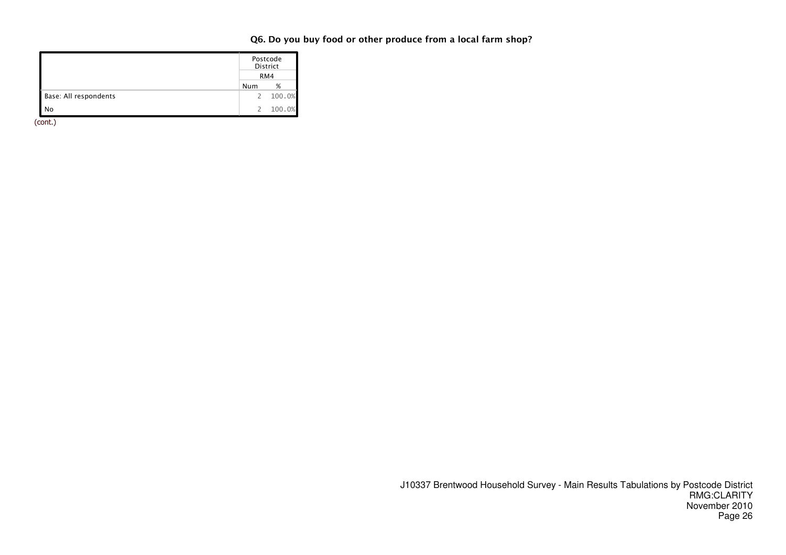|                       |               | Postcode<br>District<br>RM4 |  |  |  |  |
|-----------------------|---------------|-----------------------------|--|--|--|--|
|                       | Num<br>%      |                             |  |  |  |  |
| Base: All respondents | 2             | 100.0%                      |  |  |  |  |
| No                    | $\mathcal{P}$ | 100.0%                      |  |  |  |  |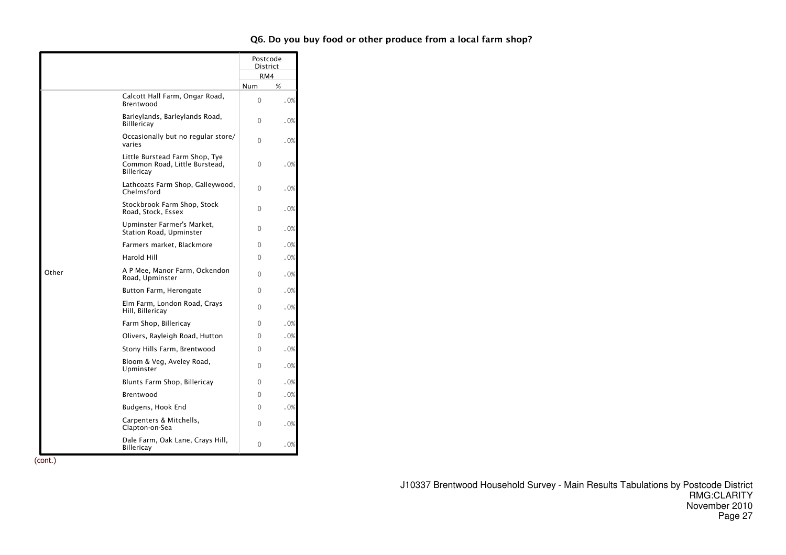|       |                                                                               | Postcode<br><b>District</b> |      |
|-------|-------------------------------------------------------------------------------|-----------------------------|------|
|       |                                                                               | RM4                         |      |
|       |                                                                               | Num                         | %    |
|       | Calcott Hall Farm, Ongar Road,<br>Brentwood                                   | $\Omega$                    | .0%  |
|       | Barleylands, Barleylands Road,<br><b>Billlericay</b>                          | $\Omega$                    | .0%  |
|       | Occasionally but no regular store/<br>varies                                  | $\Omega$                    | .0%  |
|       | Little Burstead Farm Shop, Tye<br>Common Road, Little Burstead,<br>Billericav | $\Omega$                    | .0%  |
|       | Lathcoats Farm Shop, Galleywood,<br>Chelmsford                                | $\Omega$                    | .0%  |
|       | Stockbrook Farm Shop, Stock<br>Road, Stock, Essex                             | $\Omega$                    | . 0% |
|       | Upminster Farmer's Market,<br>Station Road, Upminster                         | $\Omega$                    | .0%  |
|       | Farmers market, Blackmore                                                     | $\Omega$                    | .0%  |
|       | Harold Hill                                                                   | 0                           | .0%  |
| Other | A P Mee, Manor Farm, Ockendon<br>Road, Upminster                              | 0                           | .0%  |
|       | Button Farm, Herongate                                                        | 0                           | .0%  |
|       | Elm Farm, London Road, Crays<br>Hill, Billericay                              | $\Omega$                    | .0%  |
|       | Farm Shop, Billericay                                                         | $\Omega$                    | .0%  |
|       | Olivers, Rayleigh Road, Hutton                                                | $\Omega$                    | .0%  |
|       | Stony Hills Farm, Brentwood                                                   | $\Omega$                    | .0%  |
|       | Bloom & Veg, Aveley Road,<br>Upminster                                        | $\Omega$                    | .0%  |
|       | Blunts Farm Shop, Billericay                                                  | $\Omega$                    | .0%  |
|       | Brentwood                                                                     | 0                           | .0%  |
|       | Budgens, Hook End                                                             | $\Omega$                    | .0%  |
|       | Carpenters & Mitchells,<br>Clapton-on-Sea                                     | 0                           | . 0% |
|       | Dale Farm, Oak Lane, Crays Hill,<br><b>Billericay</b>                         | 0                           | .0%  |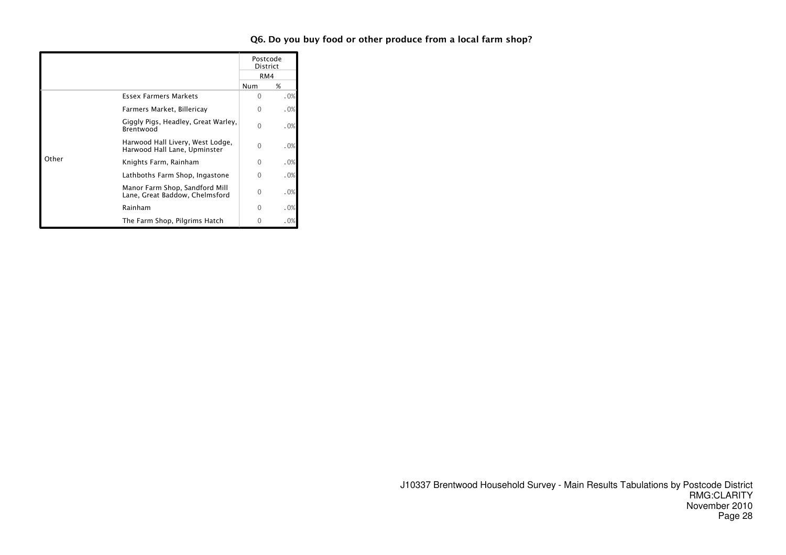|       |                                                                  | Postcode<br>District<br>RM4 |      |
|-------|------------------------------------------------------------------|-----------------------------|------|
|       |                                                                  | Num                         | %    |
|       | <b>Essex Farmers Markets</b>                                     | ∩                           | .0%  |
|       | Farmers Market, Billericay                                       | 0                           | .0%  |
|       | Giggly Pigs, Headley, Great Warley,<br>Brentwood                 | $\Omega$                    | .0%  |
|       | Harwood Hall Livery, West Lodge,<br>Harwood Hall Lane, Upminster | 0                           | .0%  |
| Other | Knights Farm, Rainham                                            | $\Omega$                    | .0%  |
|       | Lathboths Farm Shop, Ingastone                                   | U                           | .0%  |
|       | Manor Farm Shop, Sandford Mill<br>Lane, Great Baddow, Chelmsford | 0                           | .0%  |
|       | Rainham                                                          | O                           | .0%  |
|       | The Farm Shop, Pilgrims Hatch                                    | O                           | . 0% |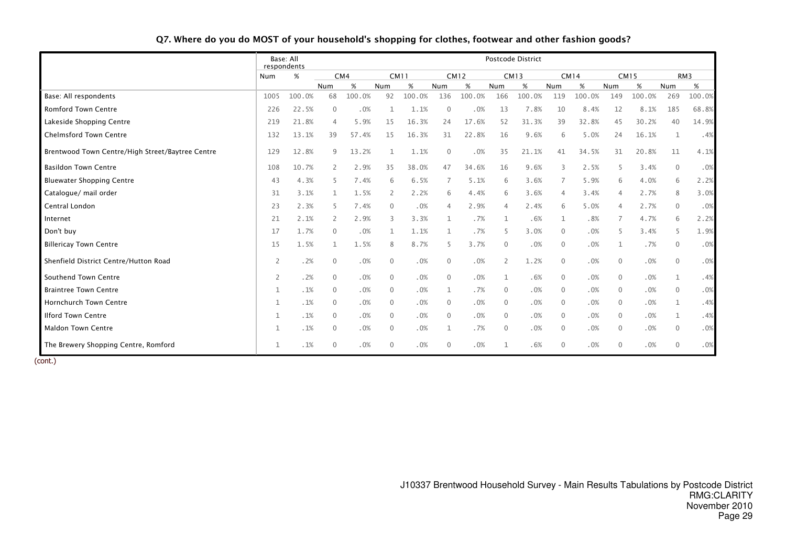|                                                  | Base: All<br>respondents |        |                |        |                |             |              |             |                | Postcode District |                |        |                |             |              |        |
|--------------------------------------------------|--------------------------|--------|----------------|--------|----------------|-------------|--------------|-------------|----------------|-------------------|----------------|--------|----------------|-------------|--------------|--------|
|                                                  | Num                      | %      |                | CM4    |                | <b>CM11</b> |              | <b>CM12</b> |                | <b>CM13</b>       |                | CM14   |                | <b>CM15</b> |              | RM3    |
|                                                  |                          |        | Num            | %      | Num            | $\%$        | Num          | $\%$        | Num            | %                 | Num            | %      | Num            | %           | Num          | $\%$   |
| Base: All respondents                            | 1005                     | 100.0% | 68             | 100.0% | 92             | 100.0%      | 136          | 100.0%      | 166            | 100.0%            | 119            | 100.0% | 149            | 100.0%      | 269          | 100.0% |
| Romford Town Centre                              | 226                      | 22.5%  | $\overline{0}$ | .0%    |                | 1.1%        | $\mathbf 0$  | .0%         | 13             | 7.8%              | 10             | 8.4%   | 12             | 8.1%        | 185          | 68.8%  |
| Lakeside Shopping Centre                         | 219                      | 21.8%  | $\overline{4}$ | 5.9%   | 15             | 16.3%       | 24           | 17.6%       | 52             | 31.3%             | 39             | 32.8%  | 45             | 30.2%       | 40           | 14.9%  |
| <b>Chelmsford Town Centre</b>                    | 132                      | 13.1%  | 39             | 57.4%  | 15             | 16.3%       | 31           | 22.8%       | 16             | 9.6%              | 6              | 5.0%   | 24             | 16.1%       | 1            | .4%    |
| Brentwood Town Centre/High Street/Baytree Centre | 129                      | 12.8%  | 9              | 13.2%  |                | 1.1%        | $\mathbf{0}$ | .0%         | 35             | 21.1%             | 41             | 34.5%  | 31             | 20.8%       | 11           | 4.1%   |
| <b>Basildon Town Centre</b>                      | 108                      | 10.7%  | 2              | 2.9%   | 35             | 38.0%       | 47           | 34.6%       | 16             | 9.6%              |                | 2.5%   | 5              | 3.4%        | $\mathbf{0}$ | .0%    |
| <b>Bluewater Shopping Centre</b>                 | 43                       | 4.3%   | -5             | 7.4%   | 6              | 6.5%        | 7            | 5.1%        | 6              | 3.6%              |                | 5.9%   | 6              | 4.0%        | 6            | 2.2%   |
| Catalogue/ mail order                            | 31                       | 3.1%   | 1              | 1.5%   | $\overline{2}$ | 2.2%        | 6            | 4.4%        | 6              | 3.6%              | $\overline{4}$ | 3.4%   | 4              | 2.7%        | 8            | 3.0%   |
| Central London                                   | 23                       | 2.3%   | -5             | 7.4%   | $\mathbf 0$    | .0%         | 4            | 2.9%        | 4              | 2.4%              | 6              | 5.0%   | 4              | 2.7%        | $\mathbf{0}$ | .0%    |
| Internet                                         | 21                       | 2.1%   | 2              | 2.9%   | 3              | 3.3%        | $\mathbf{1}$ | .7%         | $\mathbf{1}$   | .6%               | $\mathbf{1}$   | .8%    | $\overline{7}$ | 4.7%        | 6            | 2.2%   |
| Don't buy                                        | 17                       | 1.7%   | $\mathbf{0}$   | .0%    | 1              | 1.1%        | 1            | .7%         | 5              | 3.0%              | $\Omega$       | .0%    | 5              | 3.4%        | 5            | 1.9%   |
| <b>Billericay Town Centre</b>                    | 15                       | 1.5%   | 1              | 1.5%   | 8              | 8.7%        | 5            | 3.7%        | $\Omega$       | .0%               | $\Omega$       | .0%    | 1              | .7%         | $\mathbf{0}$ | .0%    |
| Shenfield District Centre/Hutton Road            | 2                        | .2%    | $\mathbf 0$    | .0%    | $\mathbf 0$    | .0%         | $\Omega$     | .0%         | $\overline{2}$ | 1.2%              | $\mathbf{0}$   | .0%    | 0              | .0%         | $\mathbf{0}$ | .0%    |
| Southend Town Centre                             | 2                        | .2%    | $\overline{0}$ | .0%    | 0              | .0%         | $\mathbf{0}$ | .0%         | $\mathbf{1}$   | .6%               | $\mathbf{0}$   | .0%    | 0              | .0%         | $\mathbf{1}$ | .4%    |
| <b>Braintree Town Centre</b>                     | $\mathbf 1$              | .1%    | $\overline{0}$ | .0%    | $\mathbf 0$    | .0%         | 1            | .7%         | $\Omega$       | .0%               | $\mathbf{0}$   | .0%    | 0              | .0%         | $\mathbf{0}$ | .0%    |
| <b>Hornchurch Town Centre</b>                    | 1                        | .1%    | $\overline{0}$ | .0%    | $\Omega$       | .0%         | $\Omega$     | .0%         | $\Omega$       | .0%               | $\overline{0}$ | .0%    | 0              | .0%         | 1            | .4%    |
| <b>Ilford Town Centre</b>                        | 1                        | .1%    | $\mathbf{0}$   | .0%    | $\Omega$       | .0%         | $\Omega$     | .0%         | $\mathbf{0}$   | .0%               | $\mathbf{0}$   | .0%    | $\mathbf 0$    | .0%         | $\mathbf{1}$ | .4%    |
| <b>Maldon Town Centre</b>                        | 1                        | .1%    | $\mathbf 0$    | .0%    | 0              | .0%         | 1            | .7%         | 0              | .0%               | $\overline{0}$ | .0%    | $\mathbf 0$    | .0%         | $\mathbf{0}$ | .0%    |
| The Brewery Shopping Centre, Romford             | 1                        | .1%    | $\overline{0}$ | .0%    | 0              | .0%         | 0            | .0%         | $\mathbf{1}$   | .6%               | $\mathbf{0}$   | .0%    | $\mathbf{0}$   | .0%         | $\mathbf{0}$ | .0%    |

### Q7. Where do you do MOST of your household's shopping for clothes, footwear and other fashion goods?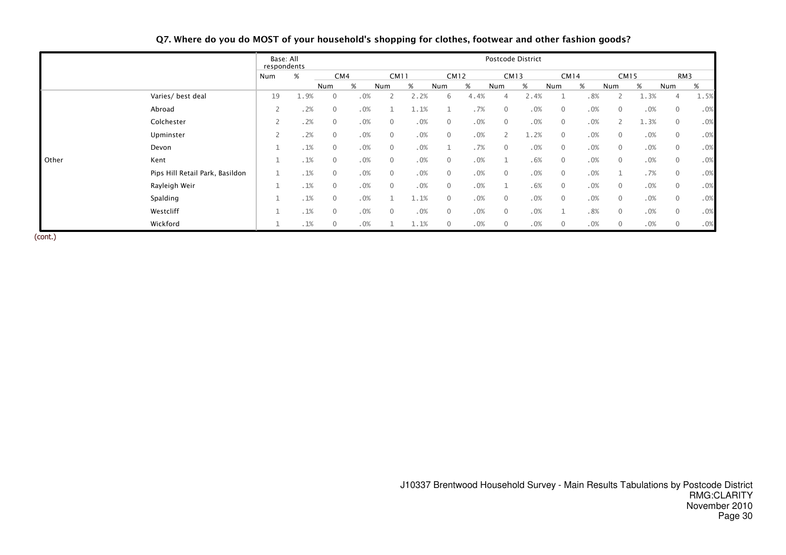|       |                                 | Base: All<br>respondents |      |                |     |                |             |              |             |                | Postcode District |                |      |                |             |                |      |
|-------|---------------------------------|--------------------------|------|----------------|-----|----------------|-------------|--------------|-------------|----------------|-------------------|----------------|------|----------------|-------------|----------------|------|
|       |                                 | Num                      | %    |                | CM4 |                | <b>CM11</b> |              | <b>CM12</b> |                | <b>CM13</b>       |                | CM14 |                | <b>CM15</b> |                | RM3  |
|       |                                 |                          |      | Num            | %   | Num            | %           | Num          | %           | Num            | %                 | Num            | %    | Num            | %           | Num            | %    |
|       | Varies/ best deal               | 19                       | 1.9% | $\mathbf 0$    | .0% |                | 2.2%        | 6            | 4.4%        | 4              | 2.4%              |                | .8%  |                | 1.3%        | 4              | 1.5% |
|       | Abroad                          | 2                        | .2%  | $\mathbf{0}$   | .0% |                | 1.1%        |              | .7%         | $\mathbf{0}$   | .0%               | $\overline{0}$ | .0%  | $\mathbf{0}$   | .0%         | $\overline{0}$ | .0%  |
|       | Colchester                      | 2                        | .2%  | $\mathbf{0}$   | .0% | $\mathbf{0}$   | .0%         | $\mathbf{0}$ | .0%         | $\mathbf{0}$   | .0%               | $\mathbf{0}$   | .0%  | $\overline{2}$ | 1.3%        | $\overline{0}$ | .0%  |
|       | Upminster                       | $\bigcap$<br>$\angle$    | .2%  | $\mathbf 0$    | .0% | $\overline{0}$ | .0%         | $\mathbf{0}$ | .0%         | $\overline{2}$ | 1.2%              | $\mathbf{0}$   | .0%  | $\mathbf 0$    | .0%         | $\overline{0}$ | .0%  |
|       | Devon                           | Τ.                       | .1%  | $\mathbf 0$    | .0% | $\overline{0}$ | .0%         |              | .7%         | $\mathbf{0}$   | .0%               | $\overline{0}$ | .0%  | $\overline{0}$ | .0%         | $\overline{0}$ | .0%  |
| Other | Kent                            |                          | .1%  | $\mathbf{0}$   | .0% | $\mathbf{0}$   | .0%         | $\mathbf{0}$ | .0%         | $\mathbf{1}$   | .6%               | $\overline{0}$ | .0%  | $\mathbf{0}$   | .0%         | $\mathbf{0}$   | .0%  |
|       | Pips Hill Retail Park, Basildon |                          | .1%  | $\mathbf{0}$   | .0% | $\overline{0}$ | .0%         | $\mathbf{0}$ | .0%         | $\mathbf{0}$   | .0%               | $\overline{0}$ | .0%  | 1              | .7%         | $\mathbf{0}$   | .0%  |
|       | Rayleigh Weir                   | Τ.                       | .1%  | $\mathbf 0$    | .0% | $\overline{0}$ | .0%         | $\mathbf{0}$ | .0%         | $\mathbf{1}$   | .6%               | $\overline{0}$ | .0%  | $\mathbf 0$    | .0%         | $\overline{0}$ | .0%  |
|       | Spalding                        | ᆠ                        | .1%  | $\mathbf{0}$   | .0% |                | 1.1%        | $\Omega$     | .0%         | $\mathbf{0}$   | .0%               | $\overline{0}$ | .0%  | $\mathbf 0$    | .0%         | $\mathbf{0}$   | .0%  |
|       | Westcliff                       | ᆠ                        | .1%  | $\mathbf{0}$   | .0% | $\overline{0}$ | .0%         | $\mathbf{0}$ | .0%         | $\mathbf{0}$   | .0%               |                | .8%  | $\mathbf 0$    | .0%         | $\mathbf{0}$   | .0%  |
|       | Wickford                        |                          | .1%  | $\overline{0}$ | .0% |                | 1.1%        | $\mathbf{0}$ | .0%         | $\mathbf{0}$   | .0%               | $\mathbf{0}$   | .0%  | $\mathbf 0$    | .0%         | $\mathbf 0$    | .0%  |

Q7. Where do you do MOST of your household's shopping for clothes, footwear and other fashion goods?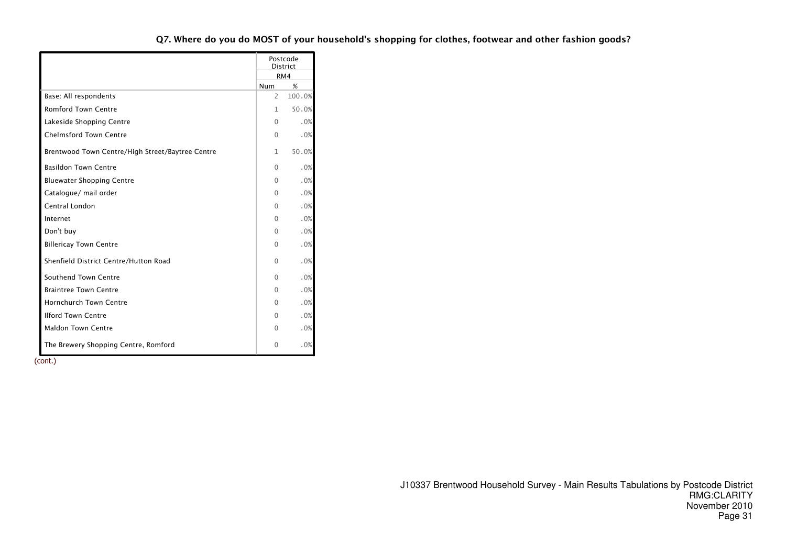|                                                  |              | Postcode<br><b>District</b> |
|--------------------------------------------------|--------------|-----------------------------|
|                                                  |              | RM4                         |
|                                                  | Num          | %                           |
| Base: All respondents                            | 2            | 100.0%                      |
| <b>Romford Town Centre</b>                       | $\mathbf{1}$ | 50.0%                       |
| Lakeside Shopping Centre                         | $\Omega$     | .0%                         |
| <b>Chelmsford Town Centre</b>                    | $\Omega$     | .0%                         |
| Brentwood Town Centre/High Street/Baytree Centre | $\mathbf{1}$ | 50.0%                       |
| <b>Basildon Town Centre</b>                      | $\Omega$     | .0%                         |
| <b>Bluewater Shopping Centre</b>                 | $\Omega$     | .0%                         |
| Catalogue/ mail order                            | 0            | .0%                         |
| Central London                                   | $\Omega$     | .0%                         |
| Internet                                         | 0            | .0%                         |
| Don't buy                                        | $\Omega$     | .0%                         |
| <b>Billericay Town Centre</b>                    | $\Omega$     | .0%                         |
| Shenfield District Centre/Hutton Road            | $\Omega$     | .0%                         |
| Southend Town Centre                             | 0            | .0%                         |
| <b>Braintree Town Centre</b>                     | 0            | .0%                         |
| <b>Hornchurch Town Centre</b>                    | 0            | .0%                         |
| <b>Ilford Town Centre</b>                        | 0            | .0%                         |
| <b>Maldon Town Centre</b>                        | $\Omega$     | .0%                         |
| The Brewery Shopping Centre, Romford             | 0            | .0%                         |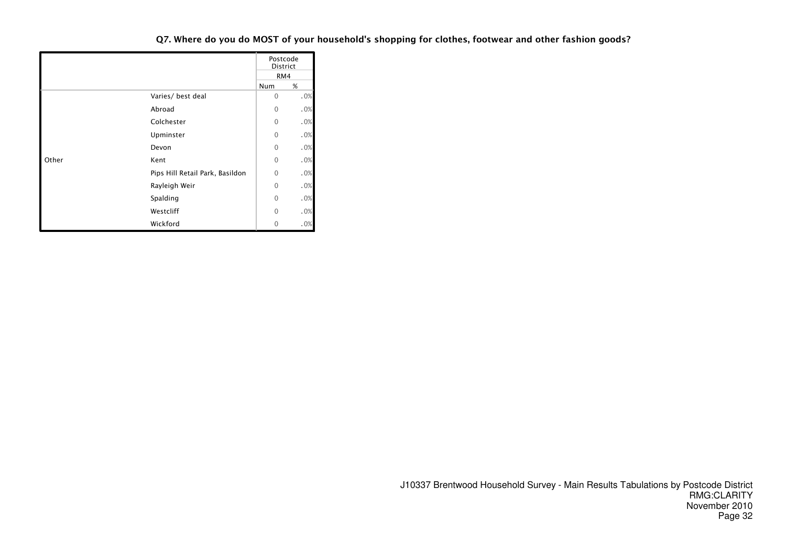|       |                                 |              | Postcode<br>District |
|-------|---------------------------------|--------------|----------------------|
|       |                                 |              | RM4                  |
|       |                                 | Num          | %                    |
|       | Varies/ best deal               | $\mathbf{0}$ | .0%                  |
|       | Abroad                          | $\mathbf{0}$ | .0%                  |
|       | Colchester                      | $\Omega$     | .0%                  |
|       | Upminster                       | $\Omega$     | .0%                  |
|       | Devon                           | $\mathbf{0}$ | .0%                  |
| Other | Kent                            | $\mathbf{0}$ | .0%                  |
|       | Pips Hill Retail Park, Basildon | $\Omega$     | .0%                  |
|       | Rayleigh Weir                   | $\mathbf{0}$ | .0%                  |
|       | Spalding                        | $\mathbf{0}$ | .0%                  |
|       | Westcliff                       | $\Omega$     | .0%                  |
|       | Wickford                        | $\mathbf{0}$ | .0%                  |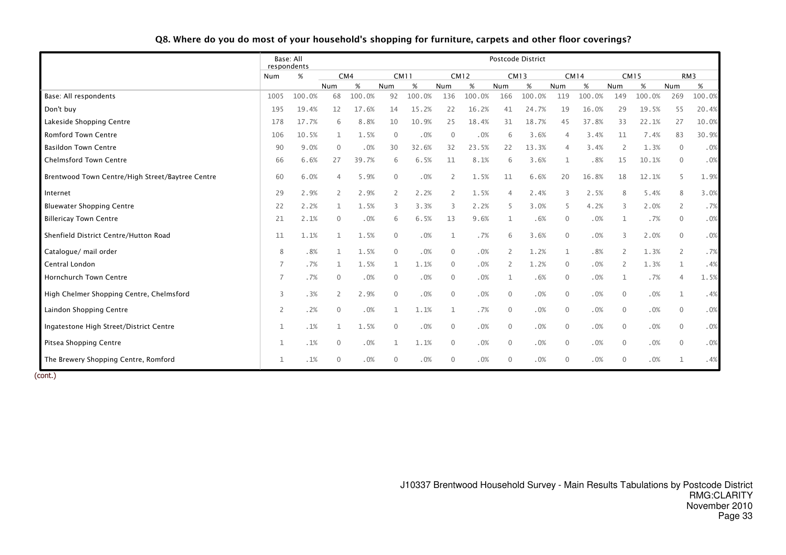|                                                  |                | Base: All<br>respondents |              |        |              |             |              |             |                | Postcode District |              |             |                |             |                |        |
|--------------------------------------------------|----------------|--------------------------|--------------|--------|--------------|-------------|--------------|-------------|----------------|-------------------|--------------|-------------|----------------|-------------|----------------|--------|
|                                                  | Num            | $\%$                     |              | CM4    |              | <b>CM11</b> |              | <b>CM12</b> |                | <b>CM13</b>       |              | <b>CM14</b> |                | <b>CM15</b> |                | RM3    |
|                                                  |                |                          | Num          | %      | Num          | %           | Num          | %           | Num            | %                 | Num          | %           | Num            | %           | Num            | $\%$   |
| Base: All respondents                            | 1005           | 100.0%                   | 68           | 100.0% | 92           | 100.0%      | 136          | 100.0%      | 166            | 100.0%            | 119          | 100.0%      | 149            | 100.0%      | 269            | 100.0% |
| Don't buy                                        | 195            | 19.4%                    | 12           | 17.6%  | 14           | 15.2%       | 22           | 16.2%       | 41             | 24.7%             | 19           | 16.0%       | 29             | 19.5%       | 55             | 20.4%  |
| Lakeside Shopping Centre                         | 178            | 17.7%                    | 6            | 8.8%   | 10           | 10.9%       | 25           | 18.4%       | 31             | 18.7%             | 45           | 37.8%       | 33             | 22.1%       | 27             | 10.0%  |
| <b>Romford Town Centre</b>                       | 106            | 10.5%                    |              | 1.5%   | $\Omega$     | .0%         | $\Omega$     | .0%         | 6              | 3.6%              | 4            | 3.4%        | 11             | 7.4%        | 83             | 30.9%  |
| <b>Basildon Town Centre</b>                      | 90             | 9.0%                     | $\mathbf{0}$ | .0%    | 30           | 32.6%       | 32           | 23.5%       | 22             | 13.3%             | 4            | 3.4%        | 2              | 1.3%        | $\overline{0}$ | .0%    |
| <b>Chelmsford Town Centre</b>                    | 66             | 6.6%                     | 27           | 39.7%  | 6            | 6.5%        | 11           | 8.1%        | 6              | 3.6%              |              | .8%         | 15             | 10.1%       | $\mathbf{0}$   | .0%    |
| Brentwood Town Centre/High Street/Baytree Centre | 60             | 6.0%                     | 4            | 5.9%   | $\mathbf{0}$ | .0%         | 2            | 1.5%        | 11             | 6.6%              | 20           | 16.8%       | 18             | 12.1%       | 5              | 1.9%   |
| Internet                                         | 29             | 2.9%                     | 2            | 2.9%   | 2            | 2.2%        | 2            | 1.5%        | $\overline{4}$ | 2.4%              | 3            | 2.5%        | 8              | 5.4%        | 8              | 3.0%   |
| <b>Bluewater Shopping Centre</b>                 | 22             | 2.2%                     | 1            | 1.5%   | 3            | 3.3%        | 3            | 2.2%        | 5              | 3.0%              | 5            | 4.2%        | 3              | 2.0%        | 2              | .7%    |
| <b>Billericay Town Centre</b>                    | 21             | 2.1%                     | $\Omega$     | .0%    | 6            | 6.5%        | 13           | 9.6%        |                | .6%               | 0            | .0%         | 1              | .7%         | $\overline{0}$ | .0%    |
| Shenfield District Centre/Hutton Road            | 11             | 1.1%                     | 1            | 1.5%   | $\mathbf{0}$ | .0%         | 1            | .7%         | 6              | 3.6%              | $\mathbf{0}$ | .0%         | 3              | 2.0%        | $\mathbf{0}$   | .0%    |
| Catalogue/ mail order                            | 8              | .8%                      | 1            | 1.5%   | $\Omega$     | .0%         | $\Omega$     | .0%         | $\overline{2}$ | 1.2%              | $\mathbf{1}$ | .8%         | 2              | 1.3%        | $\overline{2}$ | .7%    |
| Central London                                   | 7              | .7%                      | $\mathbf{1}$ | 1.5%   | 1            | 1.1%        | $\Omega$     | .0%         | 2              | 1.2%              | $\mathbf{0}$ | .0%         | 2              | 1.3%        | 1              | .4%    |
| <b>Hornchurch Town Centre</b>                    | 7              | .7%                      | $\Omega$     | .0%    | $\Omega$     | .0%         | $\Omega$     | .0%         | -1             | .6%               | $\mathbf{0}$ | .0%         | 1              | .7%         | $\overline{4}$ | 1.5%   |
| High Chelmer Shopping Centre, Chelmsford         | 3              | .3%                      | 2            | 2.9%   | $\mathbf{0}$ | .0%         | $\mathbf{0}$ | .0%         | $\overline{0}$ | .0%               | $\mathbf{0}$ | .0%         | $\mathbf{0}$   | .0%         | $\mathbf{1}$   | .4%    |
| Laindon Shopping Centre                          | $\overline{2}$ | .2%                      | $\mathbf{0}$ | .0%    | $\mathbf{1}$ | 1.1%        | 1            | .7%         | $\overline{0}$ | .0%               | $\mathbf{0}$ | .0%         | $\mathbf{0}$   | .0%         | $\mathbf{0}$   | .0%    |
| Ingatestone High Street/District Centre          | 1              | .1%                      | $\mathbf{1}$ | 1.5%   | $\mathbf{0}$ | .0%         | $\mathbf{0}$ | .0%         | $\overline{0}$ | .0%               | $\mathbf 0$  | .0%         | $\overline{0}$ | .0%         | $\mathbf 0$    | .0%    |
| Pitsea Shopping Centre                           | 1              | .1%                      | $\mathbf 0$  | .0%    | 1            | 1.1%        | $\mathbf{0}$ | .0%         | $\mathbf 0$    | .0%               | $\mathbf 0$  | .0%         | $\overline{0}$ | .0%         | $\overline{0}$ | .0%    |
| The Brewery Shopping Centre, Romford             | 1              | $.1\%$                   | 0            | .0%    | $\Omega$     | .0%         | $\Omega$     | .0%         | $\mathbf{0}$   | .0%               | $\mathbf{0}$ | .0%         | $\mathbf{0}$   | .0%         | $\mathbf{1}$   | .4%    |

### Q8. Where do you do most of your household's shopping for furniture, carpets and other floor coverings?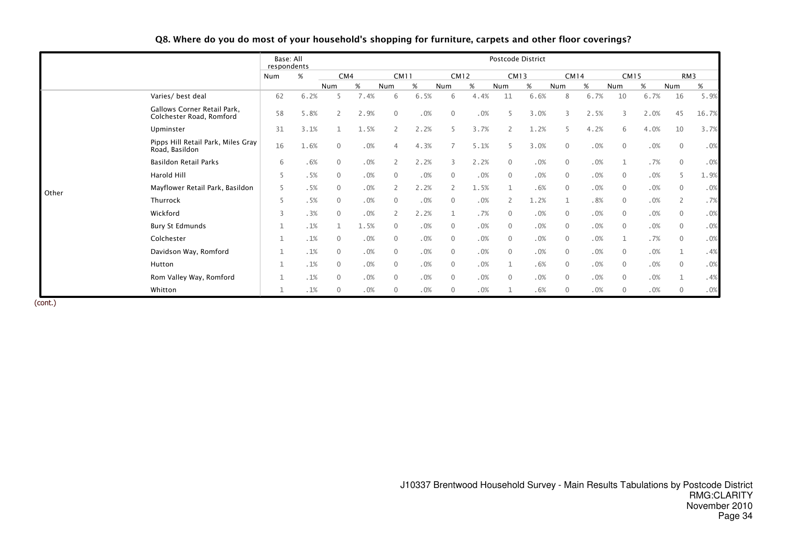|       |                                                         | Base: All<br>respondents |      |                | Postcode District |                |             |                |             |                |             |              |             |              |             |                |       |  |
|-------|---------------------------------------------------------|--------------------------|------|----------------|-------------------|----------------|-------------|----------------|-------------|----------------|-------------|--------------|-------------|--------------|-------------|----------------|-------|--|
|       |                                                         | Num                      | %    |                | CM4               |                | <b>CM11</b> |                | <b>CM12</b> |                | <b>CM13</b> |              | <b>CM14</b> |              | <b>CM15</b> |                | RM3   |  |
|       |                                                         |                          |      | Num            | $\%$              | Num            | $\%$        | Num            | %           | Num            | %           | Num          | $\%$        | Num          | %           | Num            | %     |  |
| Other | Varies/ best deal                                       | 62                       | 6.2% | 5              | 7.4%              | 6              | 6.5%        | 6              | 4.4%        | 11             | 6.6%        | 8            | 6.7%        | 10           | 6.7%        | 16             | 5.9%  |  |
|       | Gallows Corner Retail Park,<br>Colchester Road, Romford | 58                       | 5.8% | $\overline{2}$ | 2.9%              | $\Omega$       | .0%         | $\mathbf 0$    | .0%         |                | 3.0%        | 3            | 2.5%        | 3            | 2.0%        | 45             | 16.7% |  |
|       | Upminster                                               | 31                       | 3.1% |                | 1.5%              | $\mathbf{2}$   | 2.2%        | 5              | 3.7%        |                | 1.2%        | 5            | 4.2%        | 6            | 4.0%        | 10             | 3.7%  |  |
|       | Pipps Hill Retail Park, Miles Gray<br>Road, Basildon    | 16                       | 1.6% | $\Omega$       | .0%               | $\overline{4}$ | 4.3%        |                | 5.1%        |                | 3.0%        | $\mathbf{0}$ | .0%         | $\mathbf{0}$ | .0%         | $\overline{0}$ | .0%   |  |
|       | Basildon Retail Parks                                   | 6                        | .6%  | 0              | .0%               | 2              | 2.2%        | 3              | 2.2%        | $\overline{0}$ | .0%         | $\mathbf{0}$ | .0%         |              | .7%         | $\overline{0}$ | .0%   |  |
|       | Harold Hill                                             | 5                        | .5%  | $\Omega$       | .0%               | $\Omega$       | .0%         | $\mathbf{0}$   | .0%         | $\overline{0}$ | .0%         | $\mathbf 0$  | .0%         | $\mathbf 0$  | .0%         | 5              | 1.9%  |  |
|       | Mayflower Retail Park, Basildon                         | 5                        | .5%  | 0              | .0%               | $\overline{2}$ | 2.2%        | $\overline{2}$ | 1.5%        |                | .6%         | $\mathbf 0$  | .0%         | $\mathbf{0}$ | .0%         | $\Omega$       | .0%   |  |
|       | Thurrock                                                | 5                        | .5%  | $\Omega$       | .0%               | $\Omega$       | .0%         | 0              | .0%         |                | 1.2%        | $\mathbf 1$  | .8%         | $\mathbf 0$  | .0%         | 2              | .7%   |  |
|       | Wickford                                                | 3                        | .3%  | $\Omega$       | .0%               |                | 2.2%        |                | .7%         | $\Omega$       | .0%         | $\mathbf 0$  | .0%         | $\mathbf 0$  | .0%         | $\Omega$       | .0%   |  |
|       | <b>Bury St Edmunds</b>                                  | 1                        | .1%  |                | 1.5%              | $\Omega$       | .0%         | $\Omega$       | .0%         | $\Omega$       | .0%         | $\mathbf 0$  | .0%         | $\Omega$     | .0%         |                | .0%   |  |
|       | Colchester                                              | $\mathbf{1}$             | .1%  | 0              | .0%               | $\Omega$       | .0%         | $\Omega$       | .0%         | $\mathbf{0}$   | .0%         | $\mathbf 0$  | .0%         |              | .7%         | $\Omega$       | .0%   |  |
|       | Davidson Way, Romford                                   | 1                        | .1%  | 0              | .0%               | $\Omega$       | .0%         | $\Omega$       | .0%         | $\mathbf{0}$   | .0%         | $\mathbf{0}$ | .0%         | $\mathbf{0}$ | .0%         |                | .4%   |  |
|       | Hutton                                                  | $\mathbf{1}$             | .1%  | 0              | .0%               | $\Omega$       | .0%         | $\Omega$       | .0%         |                | .6%         | $\mathbf{0}$ | .0%         | $\mathbf{0}$ | .0%         | $\Omega$       | .0%   |  |
|       | Rom Valley Way, Romford                                 | $\mathbf{1}$             | .1%  | $\Omega$       | .0%               | $\Omega$       | .0%         | $\mathbf{0}$   | .0%         | $\Omega$       | .0%         | $\mathbf{0}$ | .0%         | $\mathbf{0}$ | .0%         |                | .4%   |  |
|       | Whitton                                                 | 1                        | .1%  | 0              | .0%               | $\mathbf{0}$   | .0%         | $\mathbf{0}$   | .0%         |                | .6%         | $\mathbf 0$  | .0%         | $\mathbf{0}$ | .0%         | $\Omega$       | .0%   |  |

Q8. Where do you do most of your household's shopping for furniture, carpets and other floor coverings?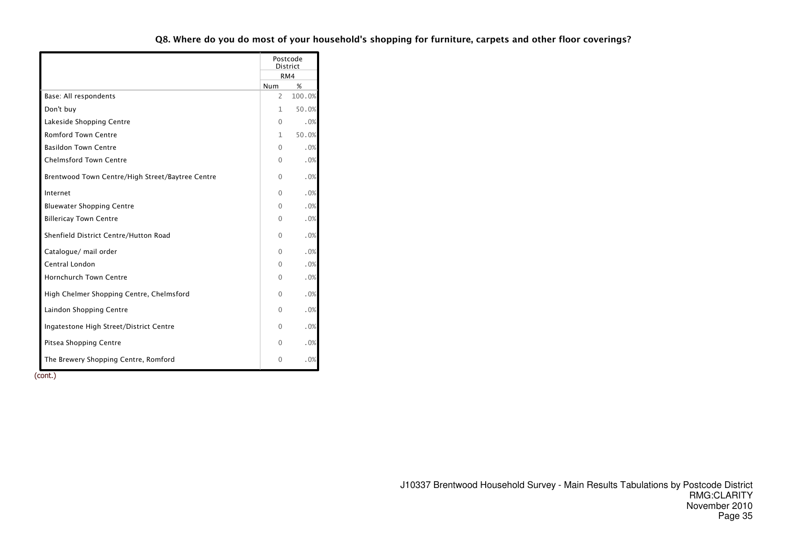|                                                  | Postcode<br><b>District</b> |        |  |
|--------------------------------------------------|-----------------------------|--------|--|
|                                                  | RM4                         |        |  |
|                                                  | Num                         | %      |  |
| Base: All respondents                            | 2                           | 100.0% |  |
| Don't buy                                        | 1                           | 50.0%  |  |
| Lakeside Shopping Centre                         | $\Omega$                    | .0%    |  |
| <b>Romford Town Centre</b>                       | 1                           | 50.0%  |  |
| <b>Basildon Town Centre</b>                      | $\Omega$                    | .0%    |  |
| <b>Chelmsford Town Centre</b>                    | $\Omega$                    | .0%    |  |
| Brentwood Town Centre/High Street/Baytree Centre | $\Omega$                    | .0%    |  |
| Internet                                         | $\Omega$                    | .0%    |  |
| <b>Bluewater Shopping Centre</b>                 | $\Omega$                    | .0%    |  |
| <b>Billericay Town Centre</b>                    | $\Omega$                    | .0%    |  |
| Shenfield District Centre/Hutton Road            | $\Omega$                    | .0%    |  |
| Catalogue/ mail order                            | $\Omega$                    | .0%    |  |
| Central London                                   | $\Omega$                    | .0%    |  |
| <b>Hornchurch Town Centre</b>                    | $\Omega$                    | .0%    |  |
| High Chelmer Shopping Centre, Chelmsford         | $\Omega$                    | .0%    |  |
| Laindon Shopping Centre                          | $\Omega$                    | .0%    |  |
| Ingatestone High Street/District Centre          | 0                           | .0%    |  |
| Pitsea Shopping Centre                           | $\Omega$                    | .0%    |  |
| The Brewery Shopping Centre, Romford             | $\Omega$                    | .0%    |  |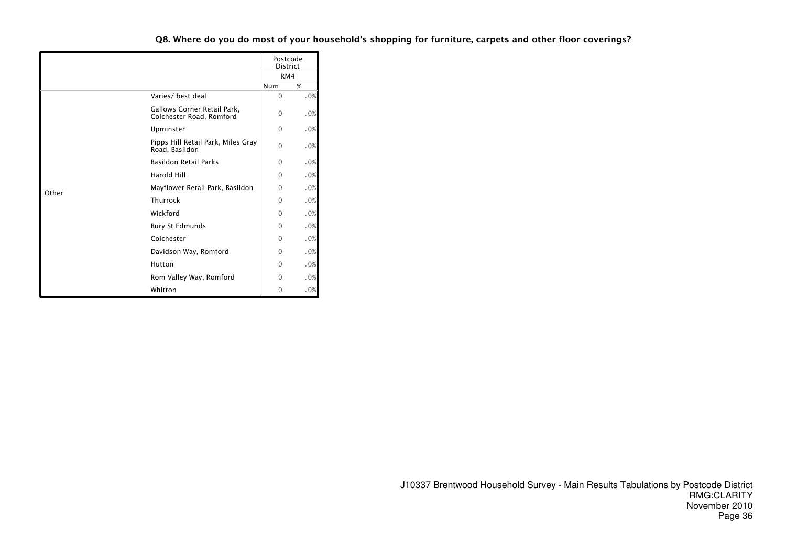|       |                                                         | Postcode<br><b>District</b><br>RM4 |     |  |
|-------|---------------------------------------------------------|------------------------------------|-----|--|
|       |                                                         |                                    |     |  |
|       |                                                         | Num                                | %   |  |
|       | Varies/ best deal                                       | $\Omega$                           | .0% |  |
|       | Gallows Corner Retail Park,<br>Colchester Road, Romford | $\Omega$                           | .0% |  |
|       | Upminster                                               | $\mathbf{0}$                       | .0% |  |
|       | Pipps Hill Retail Park, Miles Gray<br>Road, Basildon    | $\Omega$                           | .0% |  |
|       | <b>Basildon Retail Parks</b>                            | 0                                  | .0% |  |
|       | <b>Harold Hill</b>                                      | $\Omega$                           | .0% |  |
| Other | Mayflower Retail Park, Basildon                         | $\Omega$                           | .0% |  |
|       | Thurrock                                                | $\Omega$                           | .0% |  |
|       | Wickford                                                | $\Omega$                           | .0% |  |
|       | <b>Bury St Edmunds</b>                                  | 0                                  | .0% |  |
|       | Colchester                                              | 0                                  | .0% |  |
|       | Davidson Way, Romford                                   | $\Omega$                           | .0% |  |
|       | Hutton                                                  | $\Omega$                           | .0% |  |
|       | Rom Valley Way, Romford                                 | 0                                  | .0% |  |
|       | Whitton                                                 | 0                                  | .0% |  |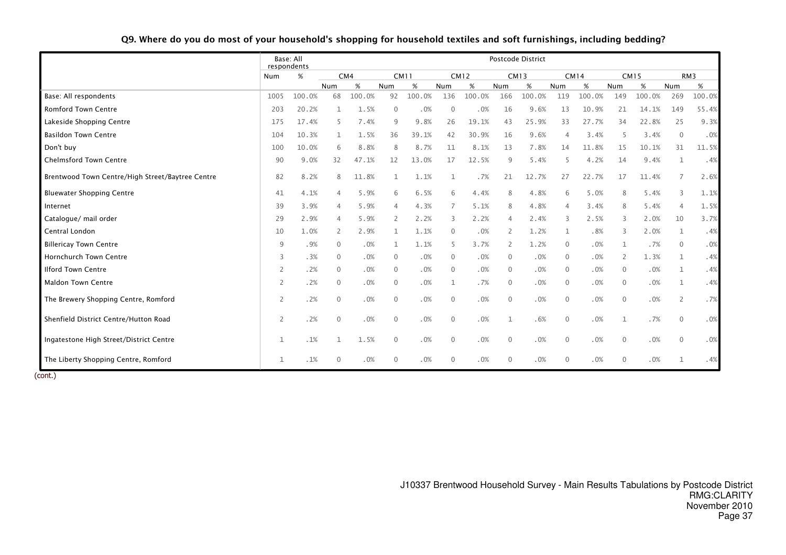|                                                  | Base: All<br>respondents |        | Postcode District |        |              |        |                |             |                |             |              |             |                |             |                |                 |
|--------------------------------------------------|--------------------------|--------|-------------------|--------|--------------|--------|----------------|-------------|----------------|-------------|--------------|-------------|----------------|-------------|----------------|-----------------|
|                                                  | Num                      | $\%$   |                   | CM4    | <b>CM11</b>  |        |                | <b>CM12</b> |                | <b>CM13</b> |              | <b>CM14</b> |                | <b>CM15</b> |                | RM <sub>3</sub> |
|                                                  |                          |        | Num               | %      | <b>Num</b>   | %      | Num            | %           | Num            | $\%$        | Num          | $\%$        | Num            | %           | Num            | $\%$            |
| Base: All respondents                            | 1005                     | 100.0% | 68                | 100.0% | 92           | 100.0% | 136            | 100.0%      | 166            | 100.0%      | 119          | 100.0%      | 149            | 100.0%      | 269            | 100.0%          |
| <b>Romford Town Centre</b>                       | 203                      | 20.2%  | 1                 | 1.5%   | $\mathbf{0}$ | .0%    | $\mathbf{0}$   | .0%         | 16             | 9.6%        | 13           | 10.9%       | 21             | 14.1%       | 149            | 55.4%           |
| Lakeside Shopping Centre                         | 175                      | 17.4%  | 5                 | 7.4%   | 9            | 9.8%   | 26             | 19.1%       | 43             | 25.9%       | 33           | 27.7%       | 34             | 22.8%       | 25             | 9.3%            |
| <b>Basildon Town Centre</b>                      | 104                      | 10.3%  | 1                 | 1.5%   | 36           | 39.1%  | 42             | 30.9%       | 16             | 9.6%        | 4            | 3.4%        | 5              | 3.4%        | $\overline{0}$ | .0%             |
| Don't buy                                        | 100                      | 10.0%  | 6                 | 8.8%   | 8            | 8.7%   | 11             | 8.1%        | 13             | 7.8%        | 14           | 11.8%       | 15             | 10.1%       | 31             | 11.5%           |
| <b>Chelmsford Town Centre</b>                    | 90                       | 9.0%   | 32                | 47.1%  | 12           | 13.0%  | 17             | 12.5%       | 9              | 5.4%        | 5            | 4.2%        | 14             | 9.4%        | 1              | .4%             |
| Brentwood Town Centre/High Street/Baytree Centre | 82                       | 8.2%   | 8                 | 11.8%  |              | 1.1%   |                | .7%         | 21             | 12.7%       | 27           | 22.7%       | 17             | 11.4%       | 7              | 2.6%            |
| <b>Bluewater Shopping Centre</b>                 | 41                       | 4.1%   | 4                 | 5.9%   | 6            | 6.5%   | 6              | 4.4%        | 8              | 4.8%        | 6            | 5.0%        | 8              | 5.4%        | 3              | 1.1%            |
| Internet                                         | 39                       | 3.9%   | 4                 | 5.9%   | 4            | 4.3%   | 7              | 5.1%        | 8              | 4.8%        | 4            | 3.4%        | 8              | 5.4%        | $\overline{4}$ | 1.5%            |
| Catalogue/ mail order                            | 29                       | 2.9%   | 4                 | 5.9%   | 2            | 2.2%   | 3              | 2.2%        | 4              | 2.4%        | 3            | 2.5%        | 3              | 2.0%        | 10             | 3.7%            |
| Central London                                   | 10                       | 1.0%   | 2                 | 2.9%   | $\mathbf{1}$ | 1.1%   | $\mathbf{0}$   | .0%         | 2              | 1.2%        | $\mathbf{1}$ | .8%         | 3              | 2.0%        | $\mathbf{1}$   | .4%             |
| <b>Billericay Town Centre</b>                    | 9                        | .9%    | $\Omega$          | .0%    | 1            | 1.1%   | 5              | 3.7%        | 2              | 1.2%        | $\mathbf{0}$ | .0%         | $\mathbf{1}$   | .7%         | $\overline{0}$ | .0%             |
| Hornchurch Town Centre                           | 3                        | .3%    | $\Omega$          | .0%    | $\mathbf{0}$ | .0%    | $\Omega$       | .0%         | $\overline{0}$ | .0%         | $\mathbf 0$  | .0%         | 2              | 1.3%        | $\mathbf{1}$   | .4%             |
| <b>Ilford Town Centre</b>                        | 2                        | .2%    | $\Omega$          | .0%    | $\Omega$     | .0%    | $\Omega$       | .0%         | $\overline{0}$ | .0%         | $\mathbf{0}$ | .0%         | $\mathbf{0}$   | .0%         | $\mathbf{1}$   | .4%             |
| <b>Maldon Town Centre</b>                        | $\overline{2}$           | .2%    | $\mathbf{0}$      | .0%    | $\mathbf{0}$ | .0%    | $\mathbf{1}$   | .7%         | $\overline{0}$ | .0%         | $\mathbf 0$  | .0%         | $\overline{0}$ | .0%         | 1              | .4%             |
| The Brewery Shopping Centre, Romford             | $\overline{2}$           | .2%    | $\mathbf{0}$      | .0%    | $\mathbf{0}$ | .0%    | $\overline{0}$ | .0%         | $\overline{0}$ | .0%         | $\mathbf 0$  | .0%         | $\mathbf 0$    | .0%         | $\overline{2}$ | .7%             |
| Shenfield District Centre/Hutton Road            | 2                        | .2%    | $\Omega$          | .0%    | $\Omega$     | .0%    | $\Omega$       | .0%         | 1              | .6%         | $\mathbf{0}$ | .0%         | 1              | .7%         | $\overline{0}$ | .0%             |
| Ingatestone High Street/District Centre          | 1                        | .1%    |                   | 1.5%   | $\mathbf{0}$ | .0%    | $\mathbf{0}$   | .0%         | $\overline{0}$ | .0%         | $\mathbf{0}$ | .0%         | $\mathbf 0$    | .0%         | $\Omega$       | .0%             |
| The Liberty Shopping Centre, Romford             | 1                        | .1%    | $\Omega$          | .0%    | $\mathbf{0}$ | .0%    | $\mathbf{0}$   | .0%         | $\overline{0}$ | .0%         | $\mathbf{0}$ | .0%         | $\mathbf{0}$   | .0%         |                | .4%             |

#### Q9. Where do you do most of your household's shopping for household textiles and soft furnishings, including bedding?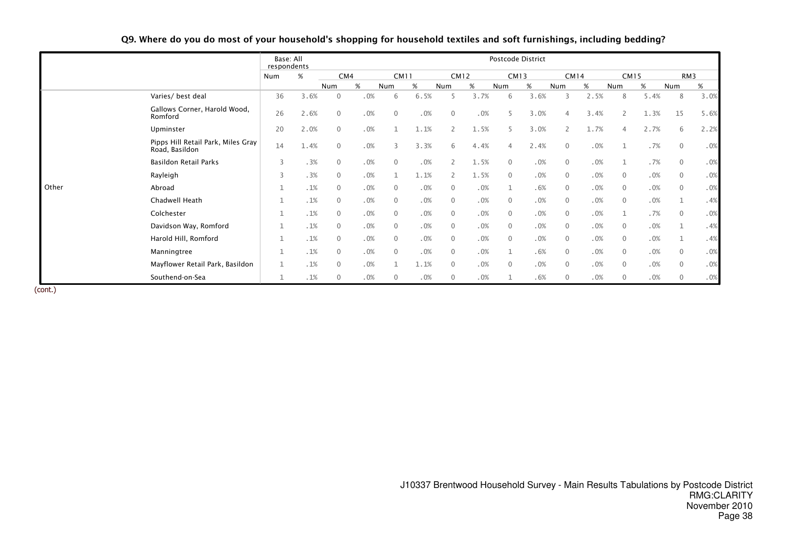|       |                                                      | Base: All<br>respondents |      |                |      |                |      |                |      |                | Postcode District |                |             |                |             |                |      |
|-------|------------------------------------------------------|--------------------------|------|----------------|------|----------------|------|----------------|------|----------------|-------------------|----------------|-------------|----------------|-------------|----------------|------|
|       |                                                      | Num                      | %    |                | CM4  |                | CM11 |                | CM12 |                | <b>CM13</b>       |                | <b>CM14</b> |                | <b>CM15</b> |                | RM3  |
|       |                                                      |                          |      | Num            | $\%$ | Num            | $\%$ | Num            | $\%$ | Num            | %                 | Num            | %           | Num            | %           | Num            | %    |
|       | Varies/ best deal                                    | 36                       | 3.6% | $\mathbf{0}$   | .0%  | 6              | 6.5% | 5              | 3.7% | 6              | 3.6%              | 3              | 2.5%        | 8              | 5.4%        | 8              | 3.0% |
|       | Gallows Corner, Harold Wood,<br>Romford              | 26                       | 2.6% | $\mathbf{0}$   | .0%  | $\mathbf{0}$   | .0%  | $\overline{0}$ | .0%  | 5              | 3.0%              | 4              | 3.4%        | $\overline{2}$ | 1.3%        | 15             | 5.6% |
|       | Upminster                                            | 20                       | 2.0% | $\mathbf{0}$   | .0%  |                | 1.1% | $\overline{2}$ | 1.5% | 5              | 3.0%              | $\overline{2}$ | 1.7%        | 4              | 2.7%        | 6              | 2.2% |
|       | Pipps Hill Retail Park, Miles Gray<br>Road, Basildon | 14                       | 1.4% | $\mathbf{0}$   | .0%  | 3              | 3.3% | 6              | 4.4% | 4              | 2.4%              | $\mathbf{0}$   | .0%         |                | .7%         | $\mathbf{0}$   | .0%  |
|       | Basildon Retail Parks                                | 3                        | .3%  | $\mathbf 0$    | .0%  | $\overline{0}$ | .0%  | $\mathsf{2}$   | 1.5% | $\overline{0}$ | .0%               | $\mathbf 0$    | .0%         |                | .7%         | $\mathbf{0}$   | .0%  |
|       | Rayleigh                                             | 3                        | .3%  | $\overline{0}$ | .0%  |                | 1.1% | 2              | 1.5% | $\overline{0}$ | .0%               | $\mathbf 0$    | .0%         | $\mathbf 0$    | .0%         | $\overline{0}$ | .0%  |
| Other | Abroad                                               | $\mathbf{1}$             | .1%  | $\mathbf 0$    | .0%  | $\mathbf{0}$   | .0%  | $\overline{0}$ | .0%  | 1              | .6%               | $\mathbf 0$    | .0%         | $\mathbf 0$    | .0%         | $\overline{0}$ | .0%  |
|       | Chadwell Heath                                       | $\mathbf{1}$             | .1%  | $\overline{0}$ | .0%  | $\mathbf{0}$   | .0%  | $\mathbf{0}$   | .0%  | $\overline{0}$ | .0%               | $\mathbf{0}$   | .0%         | $\mathbf{0}$   | .0%         |                | .4%  |
|       | Colchester                                           | $\mathbf{1}$             | .1%  | $\mathbf{0}$   | .0%  | $\mathbf{0}$   | .0%  | $\mathbf{0}$   | .0%  | $\overline{0}$ | .0%               | $\mathbf 0$    | .0%         | $\mathbf 1$    | .7%         | $\overline{0}$ | .0%  |
|       | Davidson Way, Romford                                | $\mathbf 1$              | .1%  | $\overline{0}$ | .0%  | $\mathbf{0}$   | .0%  | $\mathbf{0}$   | .0%  | $\overline{0}$ | .0%               | $\mathbf{0}$   | .0%         | $\mathbf{0}$   | .0%         |                | .4%  |
|       | Harold Hill, Romford                                 | $\mathbf{1}$             | .1%  | $\mathbf{0}$   | .0%  | $\mathbf{0}$   | .0%  | $\overline{0}$ | .0%  | $\overline{0}$ | .0%               | $\overline{0}$ | .0%         | $\mathbf 0$    | .0%         |                | .4%  |
|       | Manningtree                                          | $\mathbf{1}$             | .1%  | $\mathbf{0}$   | .0%  | $\Omega$       | .0%  | $\mathbf{0}$   | .0%  | 1              | .6%               | $\mathbf{0}$   | .0%         | $\mathbf{0}$   | .0%         | $\overline{0}$ | .0%  |
|       | Mayflower Retail Park, Basildon                      | $\mathbf{1}$             | .1%  | $\mathbf{0}$   | .0%  |                | 1.1% | $\mathbf{0}$   | .0%  | $\overline{0}$ | .0%               | $\mathbf 0$    | .0%         | $\overline{0}$ | .0%         | $\mathbf{0}$   | .0%  |
|       | Southend-on-Sea                                      |                          | .1%  | $\Omega$       | .0%  | $\Omega$       | .0%  | $\Omega$       | .0%  |                | .6%               | $\mathbf{0}$   | .0%         | $\mathbf{0}$   | .0%         | $\Omega$       | .0%  |

# Q9. Where do you do most of your household's shopping for household textiles and soft furnishings, including bedding?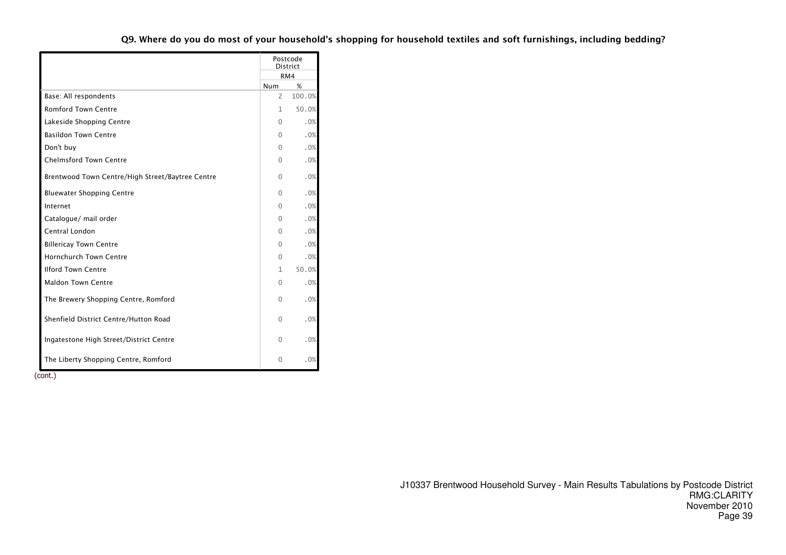|                                                  |              | Postcode<br>District |
|--------------------------------------------------|--------------|----------------------|
|                                                  |              | RM4                  |
|                                                  | Num          | %                    |
| Base: All respondents                            | 2            | 100.0%               |
| <b>Romford Town Centre</b>                       | 1            | 50.0%                |
| Lakeside Shopping Centre                         | 0            | .0%                  |
| <b>Basildon Town Centre</b>                      | $\Omega$     | .0%                  |
| Don't buy                                        | $\Omega$     | .0%                  |
| <b>Chelmsford Town Centre</b>                    | 0            | .0%                  |
| Brentwood Town Centre/High Street/Baytree Centre | 0            | .0%                  |
| <b>Bluewater Shopping Centre</b>                 | 0            | .0%                  |
| Internet                                         | $\Omega$     | .0%                  |
| Catalogue/ mail order                            | $\Omega$     | .0%                  |
| Central London                                   | 0            | .0%                  |
| <b>Billericay Town Centre</b>                    | $\Omega$     | .0%                  |
| <b>Hornchurch Town Centre</b>                    | $\mathbf{0}$ | .0%                  |
| <b>Ilford Town Centre</b>                        | 1            | 50.0%                |
| <b>Maldon Town Centre</b>                        | $\Omega$     | .0%                  |
| The Brewery Shopping Centre, Romford             | $\Omega$     | .0%                  |
| Shenfield District Centre/Hutton Road            | $\Omega$     | .0%                  |
| Ingatestone High Street/District Centre          | 0            | .0%                  |
| The Liberty Shopping Centre, Romford             | 0            | .0%                  |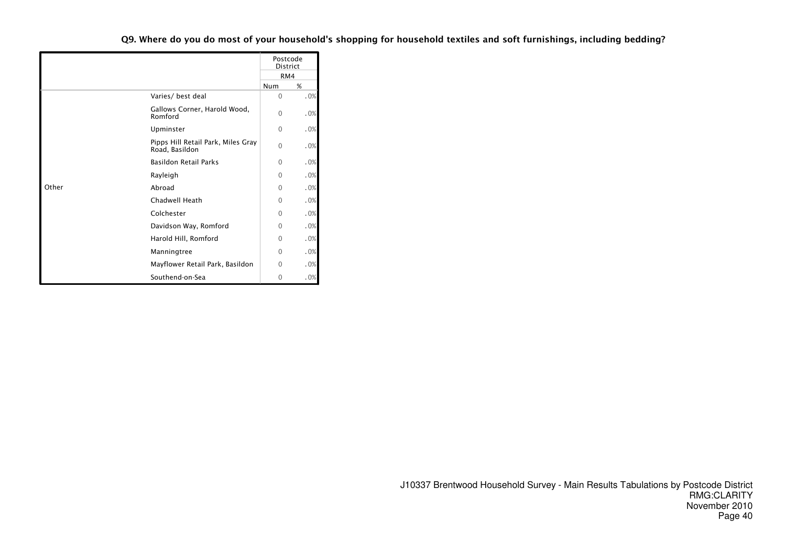Q9. Where do you do most of your household's shopping for household textiles and soft furnishings, including bedding?

|       |                                                      |          | Postcode<br><b>District</b> |
|-------|------------------------------------------------------|----------|-----------------------------|
|       |                                                      |          | RM4                         |
|       |                                                      | Num      | %                           |
|       | Varies/ best deal                                    | $\Omega$ | .0%                         |
|       | Gallows Corner, Harold Wood,<br>Romford              | $\Omega$ | .0%                         |
|       | Upminster                                            | $\Omega$ | .0%                         |
|       | Pipps Hill Retail Park, Miles Gray<br>Road, Basildon | $\Omega$ | .0%                         |
|       | <b>Basildon Retail Parks</b>                         | $\Omega$ | .0%                         |
|       | Rayleigh                                             | $\Omega$ | .0%                         |
| Other | Abroad                                               | $\Omega$ | .0%                         |
|       | Chadwell Heath                                       | $\Omega$ | .0%                         |
|       | Colchester                                           | $\Omega$ | .0%                         |
|       | Davidson Way, Romford                                | $\Omega$ | .0%                         |
|       | Harold Hill, Romford                                 | $\Omega$ | .0%                         |
|       | Manningtree                                          | $\Omega$ | .0%                         |
|       | Mayflower Retail Park, Basildon                      | $\Omega$ | .0%                         |
|       | Southend-on-Sea                                      | 0        | .0%                         |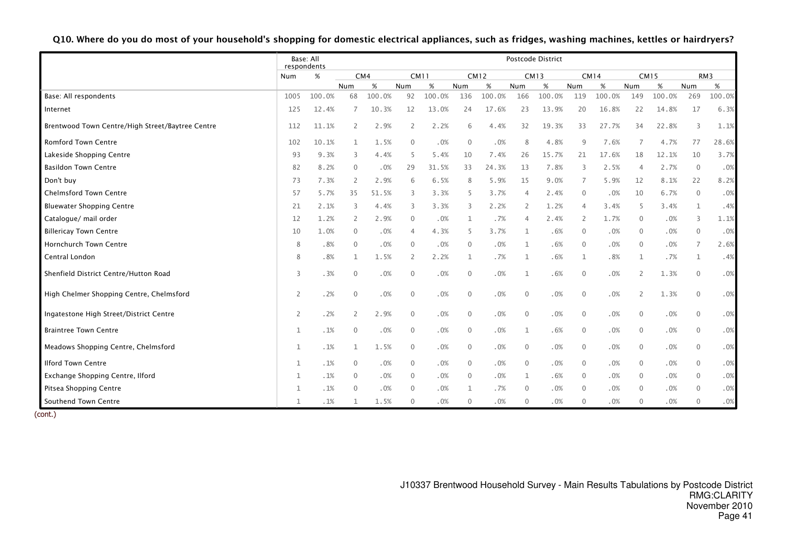|                                                  | respondents | Base: All |                |        | Postcode District |        |                |             |                |             |                |        |                |             |                |                 |
|--------------------------------------------------|-------------|-----------|----------------|--------|-------------------|--------|----------------|-------------|----------------|-------------|----------------|--------|----------------|-------------|----------------|-----------------|
|                                                  | Num         | %         |                | CM4    |                   | CM11   |                | <b>CM12</b> |                | <b>CM13</b> |                | CM14   |                | <b>CM15</b> |                | RM <sub>3</sub> |
|                                                  |             |           | Num            | %      | Num               | $\%$   | Num            | $\%$        | Num            | $\%$        | Num            | %      | Num            | %           | Num            | $\%$            |
| Base: All respondents                            | 1005        | 100.0%    | 68             | 100.0% | 92                | 100.0% | 136            | 100.0%      | 166            | 100.0%      | 119            | 100.0% | 149            | 100.0%      | 269            | 100.0%          |
| Internet                                         | 125         | 12.4%     | 7              | 10.3%  | 12                | 13.0%  | 24             | 17.6%       | 23             | 13.9%       | 20             | 16.8%  | 22             | 14.8%       | 17             | 6.3%            |
| Brentwood Town Centre/High Street/Baytree Centre | 112         | 11.1%     | 2              | 2.9%   | 2                 | 2.2%   | 6              | 4.4%        | 32             | 19.3%       | 33             | 27.7%  | 34             | 22.8%       | 3              | 1.1%            |
| <b>Romford Town Centre</b>                       | 102         | 10.1%     | $\mathbf{1}$   | 1.5%   | $\mathbf 0$       | .0%    | $\mathbf{0}$   | .0%         | 8              | 4.8%        | 9              | 7.6%   | $\overline{7}$ | 4.7%        | 77             | 28.6%           |
| Lakeside Shopping Centre                         | 93          | 9.3%      | 3              | 4.4%   | 5                 | 5.4%   | 10             | 7.4%        | 26             | 15.7%       | 21             | 17.6%  | 18             | 12.1%       | 10             | 3.7%            |
| <b>Basildon Town Centre</b>                      | 82          | 8.2%      | $\mathbf{0}$   | .0%    | 29                | 31.5%  | 33             | 24.3%       | 13             | 7.8%        | 3              | 2.5%   | $\overline{4}$ | 2.7%        | $\overline{0}$ | .0%             |
| Don't buy                                        | 73          | 7.3%      | $\overline{2}$ | 2.9%   | 6                 | 6.5%   | 8              | 5.9%        | 15             | 9.0%        | 7              | 5.9%   | 12             | 8.1%        | 22             | 8.2%            |
| <b>Chelmsford Town Centre</b>                    | 57          | 5.7%      | 35             | 51.5%  | 3                 | 3.3%   | 5              | 3.7%        | 4              | 2.4%        | $\mathbf 0$    | .0%    | 10             | 6.7%        | $\overline{0}$ | .0%             |
| <b>Bluewater Shopping Centre</b>                 | 21          | 2.1%      | 3              | 4.4%   | 3                 | 3.3%   | 3              | 2.2%        | 2              | 1.2%        | $\overline{4}$ | 3.4%   | 5              | 3.4%        | -1             | .4%             |
| Catalogue/ mail order                            | 12          | 1.2%      | 2              | 2.9%   | $\overline{0}$    | .0%    | 1              | .7%         | $\overline{4}$ | 2.4%        | 2              | 1.7%   | $\Omega$       | .0%         | 3              | 1.1%            |
| <b>Billericay Town Centre</b>                    | 10          | 1.0%      | $\mathbf 0$    | .0%    | $\overline{4}$    | 4.3%   | 5              | 3.7%        | 1              | .6%         | $\mathbf{0}$   | .0%    | $\Omega$       | .0%         | $\Omega$       | .0%             |
| Hornchurch Town Centre                           | 8           | .8%       | $\mathbf 0$    | .0%    | $\mathbf 0$       | .0%    | $\overline{0}$ | .0%         | $\mathbf 1$    | .6%         | $\mathbf{0}$   | .0%    | $\mathbf{0}$   | .0%         | 7              | 2.6%            |
| Central London                                   | 8           | .8%       | 1              | 1.5%   | 2                 | 2.2%   | $\mathbf{1}$   | .7%         | $\mathbf{1}$   | .6%         | 1              | .8%    | $\mathbf{1}$   | .7%         | -1             | .4%             |
| Shenfield District Centre/Hutton Road            | 3           | .3%       | $\mathbf{0}$   | .0%    | $\mathbf 0$       | .0%    | $\mathbf 0$    | .0%         | $\mathbf{1}$   | .6%         | $\mathbf{0}$   | .0%    | $\overline{2}$ | 1.3%        | $\Omega$       | .0%             |
| High Chelmer Shopping Centre, Chelmsford         | 2           | .2%       | $\mathbf 0$    | .0%    | $\mathbf 0$       | .0%    | $\mathbf 0$    | .0%         | $\mathbf{0}$   | .0%         | $\mathbf{0}$   | .0%    | 2              | 1.3%        | $\Omega$       | .0%             |
| Ingatestone High Street/District Centre          | 2           | .2%       | $\overline{2}$ | 2.9%   | $\mathbf{0}$      | .0%    | $\overline{0}$ | .0%         | $\mathbf{0}$   | .0%         | $\mathbf{0}$   | .0%    | $\Omega$       | .0%         | $\overline{0}$ | .0%             |
| <b>Braintree Town Centre</b>                     |             | .1%       | $\mathbf{0}$   | .0%    | $\mathbf 0$       | .0%    | $\mathbf 0$    | .0%         | 1              | .6%         | $\mathbf{0}$   | .0%    | $\mathbf{0}$   | .0%         | $\overline{0}$ | .0%             |
| Meadows Shopping Centre, Chelmsford              | 1           | .1%       | 1              | 1.5%   | $\mathbf 0$       | .0%    | $\overline{0}$ | .0%         | $\mathbf{0}$   | .0%         | $\mathbf{0}$   | .0%    | $\Omega$       | .0%         | $\Omega$       | .0%             |
| <b>Ilford Town Centre</b>                        |             | .1%       | $\mathbf{0}$   | .0%    | $\mathbf{0}$      | .0%    | $\mathbf{0}$   | .0%         | $\Omega$       | .0%         | $\mathbf{0}$   | .0%    | $\Omega$       | .0%         | $\Omega$       | .0%             |
| Exchange Shopping Centre, Ilford                 |             | .1%       | $\mathbf{0}$   | .0%    | $\mathbf 0$       | .0%    | $\mathbf 0$    | .0%         | 1              | .6%         | $\mathbf{0}$   | .0%    | $\Omega$       | .0%         | $\Omega$       | .0%             |
| Pitsea Shopping Centre                           |             | .1%       | $\Omega$       | .0%    | $\mathbf{0}$      | .0%    | $\mathbf{1}$   | .7%         | $\overline{0}$ | .0%         | $\mathbf{0}$   | .0%    | $\Omega$       | .0%         | $\Omega$       | .0%             |
| Southend Town Centre                             |             | .1%       | 1              | 1.5%   | $\mathbf 0$       | .0%    | 0              | .0%         | $\mathbf{0}$   | .0%         | $\mathbf 0$    | .0%    | $\Omega$       | .0%         | $\Omega$       | .0%             |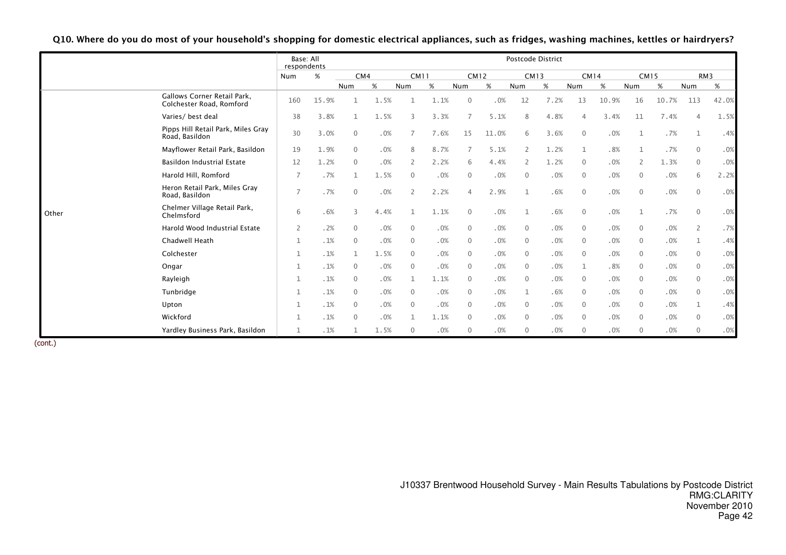|       |                                                         | Base: All<br>respondents |       |              |      |                |      |                |       | Postcode District |      |              |       |                |       |                 |       |  |  |
|-------|---------------------------------------------------------|--------------------------|-------|--------------|------|----------------|------|----------------|-------|-------------------|------|--------------|-------|----------------|-------|-----------------|-------|--|--|
|       |                                                         | Num                      | $\%$  | CM4          |      | <b>CM11</b>    |      | <b>CM12</b>    |       | <b>CM13</b>       |      | <b>CM14</b>  |       | <b>CM15</b>    |       | RM <sub>3</sub> |       |  |  |
|       |                                                         |                          |       | Num          | %    | Num            | $\%$ | Num            | $\%$  | Num               | %    | Num          | $\%$  | Num            | $\%$  | Num             | %     |  |  |
|       | Gallows Corner Retail Park,<br>Colchester Road, Romford | 160                      | 15.9% |              | 1.5% |                | 1.1% | $\mathbf{0}$   | .0%   | 12                | 7.2% | 13           | 10.9% | 16             | 10.7% | 113             | 42.0% |  |  |
|       | Varies/ best deal                                       | 38                       | 3.8%  |              | 1.5% | 3              | 3.3% | $\overline{7}$ | 5.1%  | 8                 | 4.8% |              | 3.4%  | 11             | 7.4%  |                 | 1.5%  |  |  |
|       | Pipps Hill Retail Park, Miles Gray<br>Road, Basildon    | 30                       | 3.0%  | $\Omega$     | .0%  |                | 7.6% | 15             | 11.0% | 6                 | 3.6% | $\mathbf{0}$ | .0%   | $\mathbf{1}$   | .7%   |                 | .4%   |  |  |
|       | Mayflower Retail Park, Basildon                         | 19                       | 1.9%  | $\mathbf{0}$ | .0%  | 8              | 8.7% |                | 5.1%  | 2                 | 1.2% | $\mathbf{1}$ | .8%   |                | .7%   | $\Omega$        | .0%   |  |  |
|       | <b>Basildon Industrial Estate</b>                       | 12                       | 1.2%  | $\Omega$     | .0%  | $\overline{2}$ | 2.2% | 6              | 4.4%  | $\overline{2}$    | 1.2% | $\mathbf{0}$ | .0%   | $\overline{2}$ | 1.3%  | $\Omega$        | .0%   |  |  |
|       | Harold Hill, Romford                                    | 7                        | .7%   |              | 1.5% | 0              | .0%  | $\mathbf{0}$   | .0%   | $\overline{0}$    | .0%  | $\mathbf{0}$ | .0%   | $\Omega$       | .0%   | 6               | 2.2%  |  |  |
|       | Heron Retail Park, Miles Gray<br>Road, Basildon         | $\overline{7}$           | .7%   | $\mathbf{0}$ | .0%  | $\overline{2}$ | 2.2% | $\overline{4}$ | 2.9%  | $\mathbf{1}$      | .6%  | $\mathbf{0}$ | .0%   | $\mathbf{0}$   | .0%   | $\Omega$        | .0%   |  |  |
| Other | Chelmer Village Retail Park,<br>Chelmsford              | 6                        | .6%   | 3            | 4.4% |                | 1.1% | $\mathbf{0}$   | .0%   | 1                 | .6%  | $\mathbf{0}$ | .0%   | $\mathbf{1}$   | .7%   | $\Omega$        | .0%   |  |  |
|       | Harold Wood Industrial Estate                           | $\overline{2}$           | .2%   | $\mathbf{0}$ | .0%  | $\overline{0}$ | .0%  | $\mathbf 0$    | .0%   | $\overline{0}$    | .0%  | $\mathbf{0}$ | .0%   | $\Omega$       | .0%   | 2               | .7%   |  |  |
|       | Chadwell Heath                                          | 1                        | .1%   | $\Omega$     | .0%  | $\mathbf{0}$   | .0%  | $\mathbf{0}$   | .0%   | $\overline{0}$    | .0%  | $\mathbf{0}$ | .0%   | $\Omega$       | .0%   | $\mathbf{1}$    | .4%   |  |  |
|       | Colchester                                              |                          | .1%   |              | 1.5% | $\mathbf{0}$   | .0%  | $\mathbf{0}$   | .0%   | $\overline{0}$    | .0%  | $\mathbf{0}$ | .0%   | $\Omega$       | .0%   | $\Omega$        | .0%   |  |  |
|       | Ongar                                                   |                          | .1%   | $\Omega$     | .0%  | $\mathbf{0}$   | .0%  | $\mathbf{0}$   | .0%   | $\mathbf{0}$      | .0%  | $\mathbf{1}$ | .8%   | $\Omega$       | .0%   | $\Omega$        | .0%   |  |  |
|       | Rayleigh                                                |                          | .1%   | 0            | .0%  |                | 1.1% | $\mathbf{0}$   | .0%   | $\overline{0}$    | .0%  | $\mathbf{0}$ | .0%   | $\Omega$       | .0%   | $\Omega$        | .0%   |  |  |
|       | Tunbridge                                               |                          | .1%   | $\mathbf{0}$ | .0%  | $\Omega$       | .0%  | $\mathbf{0}$   | .0%   | 1                 | .6%  | $\mathbf{0}$ | .0%   | $\Omega$       | .0%   | $\Omega$        | .0%   |  |  |
|       | Upton                                                   |                          | .1%   | $\Omega$     | .0%  | $\mathbf{0}$   | .0%  | $\mathbf{0}$   | .0%   | $\overline{0}$    | .0%  | $\mathbf{0}$ | .0%   | $\Omega$       | .0%   | $\mathbf{1}$    | .4%   |  |  |
|       | Wickford                                                |                          | .1%   |              | .0%  |                | 1.1% | $\mathbf{0}$   | .0%   | $\overline{0}$    | .0%  | $\mathbf{0}$ | .0%   | $\Omega$       | .0%   |                 | .0%   |  |  |
|       | Yardley Business Park, Basildon                         | 1                        | .1%   |              | 1.5% | $\Omega$       | .0%  | $\mathbf{0}$   | .0%   | $\Omega$          | .0%  | $\mathbf{0}$ | .0%   | $\Omega$       | .0%   | $\Omega$        | .0%   |  |  |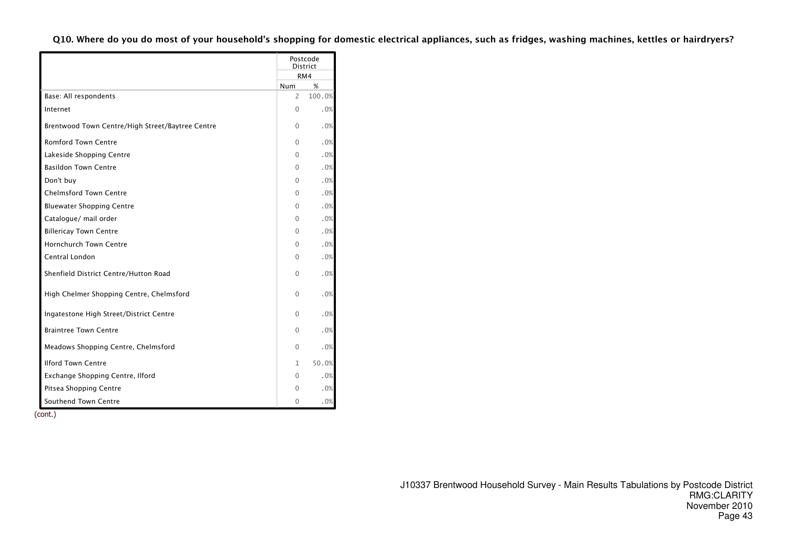|                                                  |              | Postcode<br><b>District</b> |
|--------------------------------------------------|--------------|-----------------------------|
|                                                  |              | RM4                         |
|                                                  | Num          | %                           |
| Base: All respondents                            | 2            | 100.0%                      |
| Internet                                         | 0            | .0%                         |
| Brentwood Town Centre/High Street/Baytree Centre | 0            | .0%                         |
| <b>Romford Town Centre</b>                       | 0            | .0%                         |
| Lakeside Shopping Centre                         | 0            | .0%                         |
| <b>Basildon Town Centre</b>                      | 0            | .0%                         |
| Don't buy                                        | 0            | .0%                         |
| <b>Chelmsford Town Centre</b>                    | 0            | .0%                         |
| <b>Bluewater Shopping Centre</b>                 | 0            | .0%                         |
| Catalogue/ mail order                            | 0            | .0%                         |
| <b>Billericay Town Centre</b>                    | 0            | .0%                         |
| <b>Hornchurch Town Centre</b>                    | $\Omega$     | .0%                         |
| Central London                                   | 0            | .0%                         |
| Shenfield District Centre/Hutton Road            | $\Omega$     | .0%                         |
| High Chelmer Shopping Centre, Chelmsford         | 0            | .0%                         |
| Ingatestone High Street/District Centre          | 0            | .0%                         |
| <b>Braintree Town Centre</b>                     | 0            | .0%                         |
| Meadows Shopping Centre, Chelmsford              | $\Omega$     | .0%                         |
| <b>Ilford Town Centre</b>                        | $\mathbf{1}$ | 50.0%                       |
| Exchange Shopping Centre, Ilford                 | 0            | .0%                         |
| Pitsea Shopping Centre                           | 0            | .0%                         |
| Southend Town Centre                             | 0            | .0%                         |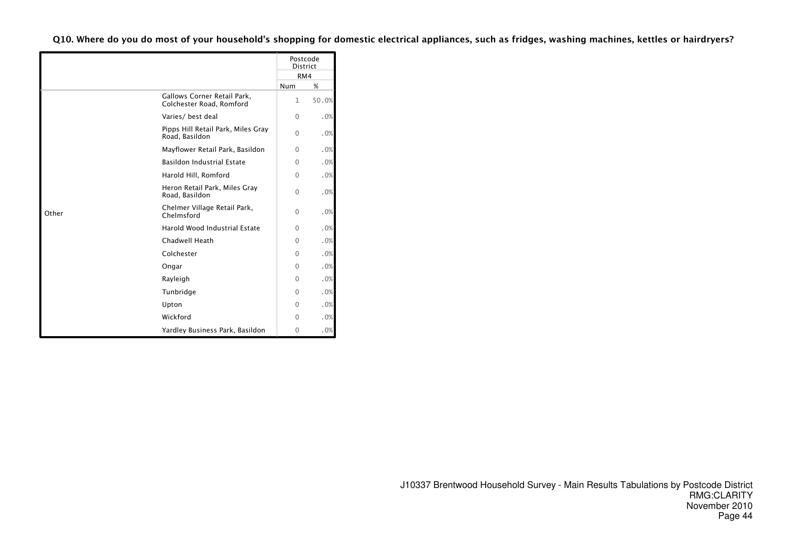|       |                                                         | Postcode     | <b>District</b> |
|-------|---------------------------------------------------------|--------------|-----------------|
|       |                                                         | RM4          |                 |
|       |                                                         | Num          | %               |
|       | Gallows Corner Retail Park,<br>Colchester Road, Romford | $\mathbf{1}$ | 50.0%           |
|       | Varies/ best deal                                       | $\Omega$     | .0%             |
|       | Pipps Hill Retail Park, Miles Gray<br>Road, Basildon    | $\Omega$     | .0%             |
|       | Mayflower Retail Park, Basildon                         | 0            | .0%             |
|       | <b>Basildon Industrial Estate</b>                       | $\Omega$     | .0%             |
|       | Harold Hill, Romford                                    | $\Omega$     | .0%             |
|       | Heron Retail Park, Miles Gray<br>Road, Basildon         | $\Omega$     | .0%             |
| Other | Chelmer Village Retail Park,<br>Chelmsford              | $\Omega$     | .0%             |
|       | Harold Wood Industrial Estate                           | $\Omega$     | .0%             |
|       | Chadwell Heath                                          | $\Omega$     | .0%             |
|       | Colchester                                              | $\Omega$     | .0%             |
|       | Ongar                                                   | $\Omega$     | .0%             |
|       | Rayleigh                                                | $\Omega$     | .0%             |
|       | Tunbridge                                               | $\Omega$     | .0%             |
|       | Upton                                                   | $\Omega$     | .0%             |
|       | Wickford                                                | $\Omega$     | .0%             |
|       | Yardley Business Park, Basildon                         | 0            | .0%             |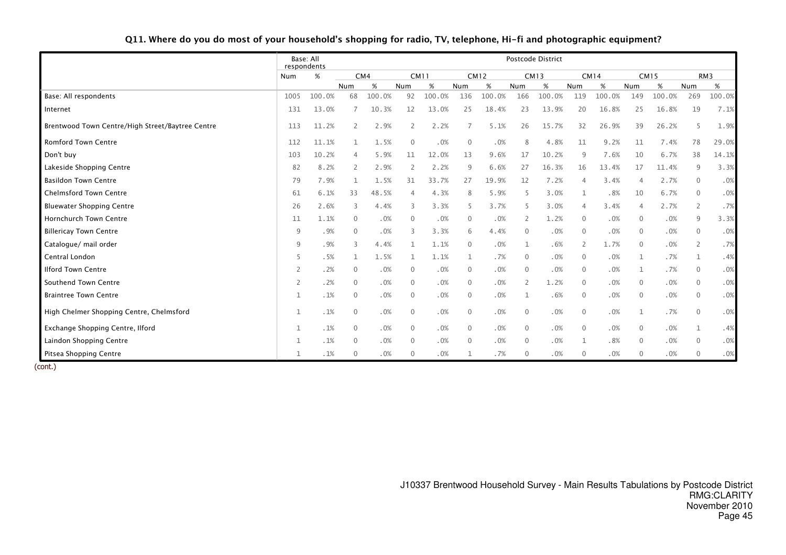#### Q11. Where do you do most of your household's shopping for radio, TV, telephone, Hi-fi and photographic equipment?

|                                                  |      | Base: All<br>respondents | Postcode District |        |                |             |                |             |                |             |                |             |                |             |                          |                 |
|--------------------------------------------------|------|--------------------------|-------------------|--------|----------------|-------------|----------------|-------------|----------------|-------------|----------------|-------------|----------------|-------------|--------------------------|-----------------|
|                                                  | Num  | %                        |                   | CM4    |                | <b>CM11</b> |                | <b>CM12</b> |                | <b>CM13</b> |                | <b>CM14</b> |                | <b>CM15</b> |                          | RM <sub>3</sub> |
|                                                  |      |                          | Num               | %      | Num            | %           | Num            | %           | Num            | $\%$        | Num            | %           | Num            | %           | Num                      | %               |
| Base: All respondents                            | 1005 | 100.0%                   | 68                | 100.0% | 92             | 100.0%      | 136            | 100.0%      | 166            | 100.0%      | 119            | 100.0%      | 149            | 100.0%      | 269                      | 100.0%          |
| Internet                                         | 131  | 13.0%                    | 7                 | 10.3%  | 12             | 13.0%       | 25             | 18.4%       | 23             | 13.9%       | 20             | 16.8%       | 25             | 16.8%       | 19                       | 7.1%            |
| Brentwood Town Centre/High Street/Baytree Centre | 113  | 11.2%                    | $\mathbf{2}$      | 2.9%   | 2              | 2.2%        | 7              | 5.1%        | 26             | 15.7%       | 32             | 26.9%       | 39             | 26.2%       | -5                       | 1.9%            |
| Romford Town Centre                              | 112  | 11.1%                    |                   | 1.5%   | $\overline{0}$ | .0%         | $\mathbf 0$    | .0%         | 8              | 4.8%        | 11             | 9.2%        | 11             | 7.4%        | 78                       | 29.0%           |
| Don't buy                                        | 103  | 10.2%                    | 4                 | 5.9%   | 11             | 12.0%       | 13             | 9.6%        | 17             | 10.2%       | 9              | 7.6%        | 10             | 6.7%        | 38                       | 14.1%           |
| Lakeside Shopping Centre                         | 82   | 8.2%                     | 2                 | 2.9%   | -2             | 2.2%        | 9              | 6.6%        | 27             | 16.3%       | 16             | 13.4%       | 17             | 11.4%       | 9                        | 3.3%            |
| <b>Basildon Town Centre</b>                      | 79   | 7.9%                     |                   | 1.5%   | 31             | 33.7%       | 27             | 19.9%       | 12             | 7.2%        | 4              | 3.4%        | $\overline{4}$ | 2.7%        | $\overline{0}$           | .0%             |
| <b>Chelmsford Town Centre</b>                    | 61   | 6.1%                     | 33                | 48.5%  | 4              | 4.3%        | 8              | 5.9%        | -5             | 3.0%        | 1              | .8%         | 10             | 6.7%        | $\overline{0}$           | .0%             |
| <b>Bluewater Shopping Centre</b>                 | 26   | 2.6%                     | 3                 | 4.4%   | 3              | 3.3%        | 5              | 3.7%        | -5             | 3.0%        | 4              | 3.4%        | $\overline{4}$ | 2.7%        | 2                        | .7%             |
| <b>Hornchurch Town Centre</b>                    | 11   | 1.1%                     | $\mathbf{0}$      | .0%    | $\mathbf{0}$   | .0%         | $\mathbf{0}$   | .0%         | 2              | 1.2%        | $\mathbf{0}$   | .0%         | $\mathbf{0}$   | .0%         | 9                        | 3.3%            |
| <b>Billericay Town Centre</b>                    | q    | .9%                      | $\mathbf{0}$      | .0%    | 3              | 3.3%        | 6              | 4.4%        | $\mathbf{0}$   | .0%         | $\mathbf{0}$   | .0%         | $\Omega$       | .0%         | $\Omega$                 | .0%             |
| Catalogue/ mail order                            | 9    | .9%                      | 3                 | 4.4%   | 1              | 1.1%        | $\mathbf{0}$   | .0%         | 1              | .6%         | $\overline{2}$ | 1.7%        | $\Omega$       | .0%         | $\overline{\phantom{0}}$ | .7%             |
| Central London                                   |      | .5%                      |                   | 1.5%   | 1              | 1.1%        | $\mathbf{1}$   | .7%         | $\mathbf{0}$   | .0%         | $\mathbf{0}$   | .0%         | $\mathbf{1}$   | .7%         |                          | .4%             |
| <b>Ilford Town Centre</b>                        | 2    | .2%                      | 0                 | .0%    | $\overline{0}$ | .0%         | $\overline{0}$ | .0%         | $\mathbf{0}$   | .0%         | $\Omega$       | .0%         | $\mathbf{1}$   | .7%         | $\Omega$                 | .0%             |
| Southend Town Centre                             | 2    | .2%                      | $\mathbf{0}$      | .0%    | $\mathbf{0}$   | .0%         | $\mathbf{0}$   | .0%         | $\overline{2}$ | 1.2%        | $\Omega$       | .0%         | $\Omega$       | .0%         | $\Omega$                 | .0%             |
| <b>Braintree Town Centre</b>                     | 1    | .1%                      | $\mathbf 0$       | .0%    | $\mathbf 0$    | .0%         | $\mathbf{0}$   | .0%         | 1              | .6%         | $\mathbf{0}$   | .0%         | $\Omega$       | .0%         | $\overline{0}$           | .0%             |
| High Chelmer Shopping Centre, Chelmsford         | 1    | .1%                      | $\mathbf 0$       | .0%    | $\mathbf 0$    | .0%         | $\mathbf{0}$   | .0%         | $\mathbf{0}$   | .0%         | $\mathbf{0}$   | .0%         | $\mathbf{1}$   | .7%         | $\Omega$                 | .0%             |
| Exchange Shopping Centre, Ilford                 | 1    | .1%                      | $\mathbf 0$       | .0%    | $\mathbf 0$    | .0%         | $\overline{0}$ | .0%         | $\mathbf 0$    | .0%         | $\mathbf{0}$   | .0%         | $\Omega$       | .0%         |                          | .4%             |
| Laindon Shopping Centre                          |      | .1%                      | $\mathbf 0$       | .0%    | $\overline{0}$ | .0%         | $\mathbf{0}$   | .0%         | $\mathbf{0}$   | .0%         |                | .8%         | $\Omega$       | .0%         | $\Omega$                 | .0%             |
| Pitsea Shopping Centre                           | 1    | .1%                      | $\mathbf 0$       | .0%    | $\overline{0}$ | .0%         | 1              | .7%         | $\mathbf{0}$   | .0%         | 0              | .0%         | $\Omega$       | .0%         | $\Omega$                 | .0%             |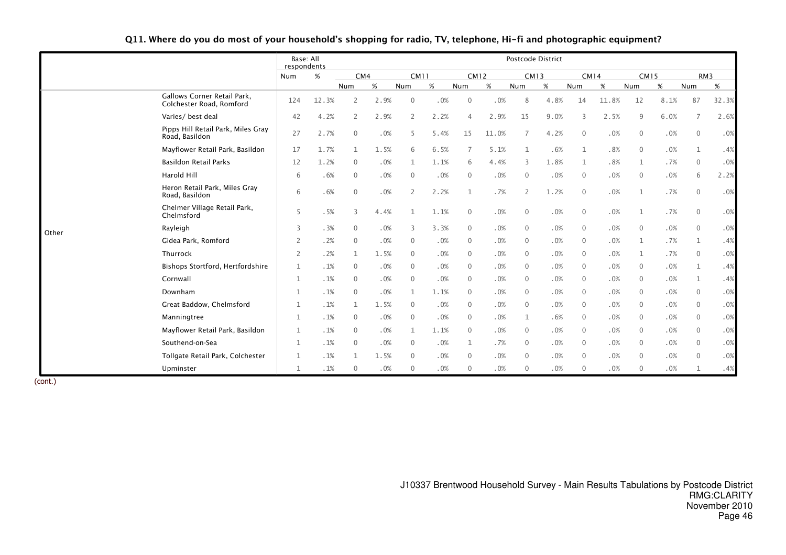|       |                                                         | Base: All<br>respondents |       |                |      |              |      |                |       | Postcode District |      |              |        |              |      |                |                 |
|-------|---------------------------------------------------------|--------------------------|-------|----------------|------|--------------|------|----------------|-------|-------------------|------|--------------|--------|--------------|------|----------------|-----------------|
|       |                                                         | Num                      | %     | CM4            |      | <b>CM11</b>  |      | <b>CM12</b>    |       | <b>CM13</b>       |      | <b>CM14</b>  |        | <b>CM15</b>  |      |                | RM <sub>3</sub> |
|       |                                                         |                          |       | Num            | %    | Num          | %    | Num            | %     | Num               | %    | Num          | $\%$   | Num          | %    | Num            | %               |
|       | Gallows Corner Retail Park,<br>Colchester Road, Romford | 124                      | 12.3% | 2              | 2.9% | $\mathbf{0}$ | .0%  | $\mathbf 0$    | .0%   | 8                 | 4.8% | 14           | 11.8%  | 12           | 8.1% | 87             | 32.3%           |
|       | Varies/ best deal                                       | 42                       | 4.2%  | 2              | 2.9% | 2            | 2.2% | $\overline{4}$ | 2.9%  | 15                | 9.0% | 3            | 2.5%   | 9            | 6.0% | -7             | 2.6%            |
|       | Pipps Hill Retail Park, Miles Gray<br>Road, Basildon    | 27                       | 2.7%  | $\Omega$       | .0%  | 5            | 5.4% | 15             | 11.0% | 7                 | 4.2% | $\mathbf{0}$ | .0%    | $\mathbf{0}$ | .0%  | $\Omega$       | .0%             |
|       | Mayflower Retail Park, Basildon                         | 17                       | 1.7%  | 1              | 1.5% | 6            | 6.5% | 7              | 5.1%  | $\mathbf{1}$      | .6%  | $\mathbf{1}$ | .8%    | $\mathbf{0}$ | .0%  | 1              | .4%             |
|       | Basildon Retail Parks                                   | 12                       | 1.2%  | $\overline{0}$ | .0%  | 1            | 1.1% | 6              | 4.4%  | 3                 | 1.8% | 1            | .8%    | 1            | .7%  | $\overline{0}$ | .0%             |
|       | Harold Hill                                             | 6                        | .6%   | $\mathbf{0}$   | .0%  | $\mathbf{0}$ | .0%  | $\overline{0}$ | .0%   | $\mathbf{0}$      | .0%  | $\mathbf{0}$ | $.0\%$ | $\Omega$     | .0%  | 6              | 2.2%            |
|       | Heron Retail Park, Miles Gray<br>Road, Basildon         | 6                        | .6%   | $\mathbf{0}$   | .0%  | 2            | 2.2% | $\mathbf 1$    | .7%   | $\overline{2}$    | 1.2% | $\mathbf{0}$ | $.0\%$ | $\mathbf{1}$ | .7%  | $\overline{0}$ | .0%             |
|       | Chelmer Village Retail Park,<br>Chelmsford              | 5                        | .5%   | 3              | 4.4% |              | 1.1% | $\mathbf 0$    | .0%   | $\mathbf{0}$      | .0%  | $\mathbf{0}$ | .0%    | 1            | .7%  | $\overline{0}$ | .0%             |
| Other | Rayleigh                                                | 3                        | .3%   | $\mathbf{0}$   | .0%  | 3            | 3.3% | $\mathbf 0$    | .0%   | $\mathbf{0}$      | .0%  | $\mathbf{0}$ | .0%    | $\Omega$     | .0%  | $\Omega$       | .0%             |
|       | Gidea Park, Romford                                     |                          | .2%   | $\mathbf{0}$   | .0%  | $\mathbf{0}$ | .0%  | $\overline{0}$ | .0%   | $\mathbf{0}$      | .0%  | $\mathbf{0}$ | .0%    | $\mathbf{1}$ | .7%  | 1              | .4%             |
|       | Thurrock                                                | 2                        | .2%   | $\mathbf{1}$   | 1.5% | $\mathbf{0}$ | .0%  | $\mathbf{0}$   | .0%   | $\mathbf{0}$      | .0%  | $\mathbf{0}$ | .0%    | 1            | .7%  | $\overline{0}$ | .0%             |
|       | Bishops Stortford, Hertfordshire                        | $\mathbf{1}$             | .1%   | $\mathbf{0}$   | .0%  | $\mathbf{0}$ | .0%  | $\mathbf{0}$   | .0%   | $\mathbf{0}$      | .0%  | $\mathbf{0}$ | .0%    | $\mathbf{0}$ | .0%  | $\mathbf{1}$   | .4%             |
|       | Cornwall                                                | $\mathbf{1}$             | .1%   | $\mathbf{0}$   | .0%  | $\mathbf 0$  | .0%  | $\mathbf 0$    | .0%   | $\mathbf{0}$      | .0%  | $\mathbf{0}$ | .0%    | $\mathbf{0}$ | .0%  | 1              | .4%             |
|       | Downham                                                 | 1                        | .1%   | $\overline{0}$ | .0%  | $\mathbf 1$  | 1.1% | $\overline{0}$ | .0%   | $\mathbf{0}$      | .0%  | $\mathbf{0}$ | .0%    | $\Omega$     | .0%  | $\overline{0}$ | .0%             |
|       | Great Baddow, Chelmsford                                | 1                        | .1%   | 1              | 1.5% | $\mathbf{0}$ | .0%  | $\mathbf 0$    | .0%   | $\mathbf{0}$      | .0%  | $\mathbf{0}$ | .0%    | $\mathbf{0}$ | .0%  | $\overline{0}$ | .0%             |
|       | Manningtree                                             | 1                        | .1%   | 0              | .0%  | $\mathbf{0}$ | .0%  | $\mathbf 0$    | .0%   | $\mathbf 1$       | .6%  | $\mathbf{0}$ | .0%    | $\Omega$     | .0%  | $\Omega$       | .0%             |
|       | Mayflower Retail Park, Basildon                         | $\mathbf{1}$             | .1%   | $\mathbf{0}$   | .0%  | $\mathbf 1$  | 1.1% | $\overline{0}$ | .0%   | $\mathbf{0}$      | .0%  | $\mathbf{0}$ | .0%    | $\mathbf{0}$ | .0%  | $\overline{0}$ | .0%             |
|       | Southend-on-Sea                                         | 1                        | .1%   | $\mathbf{0}$   | .0%  | $\mathbf{0}$ | .0%  | $\mathbf{1}$   | .7%   | $\mathbf{0}$      | .0%  | $\mathbf{0}$ | .0%    | $\Omega$     | .0%  | $\Omega$       | .0%             |
|       | Tollgate Retail Park, Colchester                        | 1                        | .1%   | 1              | 1.5% | $\mathbf{0}$ | .0%  | $\overline{0}$ | .0%   | $\mathbf 0$       | .0%  | $\mathbf 0$  | .0%    | $\mathbf{0}$ | .0%  | $\Omega$       | .0%             |
|       | Upminster                                               | 1                        | .1%   | $\mathbf 0$    | .0%  | $\mathbf{0}$ | .0%  | $\overline{0}$ | .0%   | $\mathbf{0}$      | .0%  | $\Omega$     | .0%    | $\Omega$     | .0%  |                | .4%             |

#### Q11. Where do you do most of your household's shopping for radio, TV, telephone, Hi-fi and photographic equipment?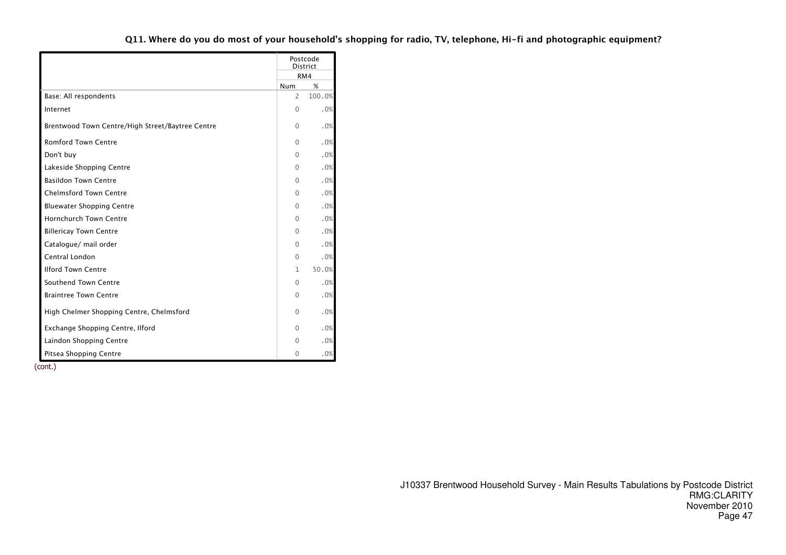|                                                  |                | Postcode<br><b>District</b> |
|--------------------------------------------------|----------------|-----------------------------|
|                                                  |                | RM4                         |
|                                                  | <b>Num</b>     | %                           |
| Base: All respondents                            | $\overline{2}$ | 100.0%                      |
| Internet                                         | $\Omega$       | .0%                         |
| Brentwood Town Centre/High Street/Baytree Centre | 0              | .0%                         |
| <b>Romford Town Centre</b>                       | $\Omega$       | .0%                         |
| Don't buy                                        | $\Omega$       | $.0\%$                      |
| Lakeside Shopping Centre                         | 0              | .0%                         |
| <b>Basildon Town Centre</b>                      | $\Omega$       | $.0\%$                      |
| <b>Chelmsford Town Centre</b>                    | 0              | .0%                         |
| <b>Bluewater Shopping Centre</b>                 | $\Omega$       | .0%                         |
| <b>Hornchurch Town Centre</b>                    | $\Omega$       | .0%                         |
| <b>Billericay Town Centre</b>                    | $\Omega$       | .0%                         |
| Catalogue/ mail order                            | $\Omega$       | .0%                         |
| Central London                                   | $\Omega$       | .0%                         |
| <b>Ilford Town Centre</b>                        | $\mathbf{1}$   | 50.0%                       |
| Southend Town Centre                             | $\Omega$       | .0%                         |
| <b>Braintree Town Centre</b>                     | $\Omega$       | .0%                         |
| High Chelmer Shopping Centre, Chelmsford         | 0              | .0%                         |
| Exchange Shopping Centre, Ilford                 | $\Omega$       | .0%                         |
| Laindon Shopping Centre                          | $\Omega$       | .0%                         |
| Pitsea Shopping Centre                           | $\mathbf 0$    | .0%                         |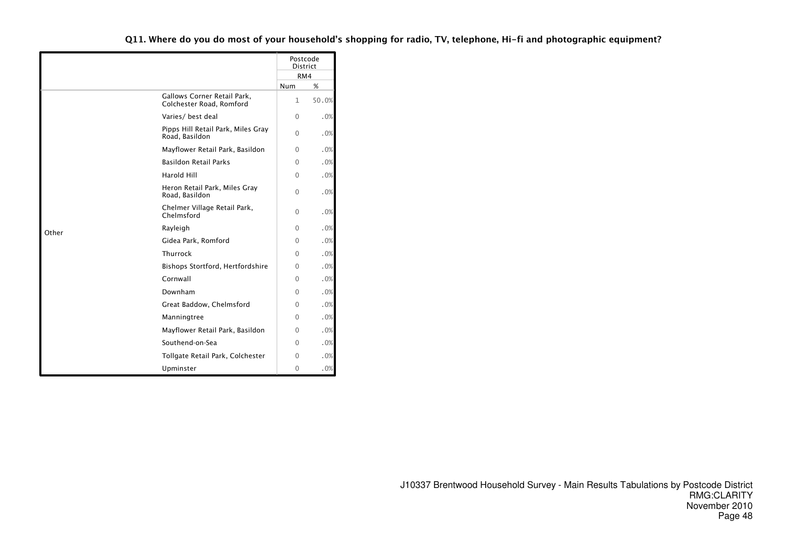|       |                                                         |          | Postcode<br><b>District</b> |
|-------|---------------------------------------------------------|----------|-----------------------------|
|       |                                                         |          | RM4                         |
|       |                                                         | Num      | %                           |
|       | Gallows Corner Retail Park,<br>Colchester Road, Romford | 1        | 50.0%                       |
|       | Varies/ best deal                                       | $\Omega$ | .0%                         |
|       | Pipps Hill Retail Park, Miles Gray<br>Road, Basildon    | 0        | .0%                         |
|       | Mayflower Retail Park, Basildon                         | 0        | .0%                         |
|       | <b>Basildon Retail Parks</b>                            | 0        | .0%                         |
|       | Harold Hill                                             | $\Omega$ | .0%                         |
|       | Heron Retail Park, Miles Gray<br>Road, Basildon         | 0        | .0%                         |
|       | Chelmer Village Retail Park,<br>Chelmsford              | 0        | .0%                         |
| Other | Rayleigh                                                | 0        | .0%                         |
|       | Gidea Park, Romford                                     | $\Omega$ | .0%                         |
|       | Thurrock                                                | $\Omega$ | .0%                         |
|       | Bishops Stortford, Hertfordshire                        | $\Omega$ | .0%                         |
|       | Cornwall                                                | 0        | .0%                         |
|       | Downham                                                 | $\Omega$ | .0%                         |
|       | Great Baddow, Chelmsford                                | 0        | .0%                         |
|       | Manningtree                                             | 0        | .0%                         |
|       | Mayflower Retail Park, Basildon                         | 0        | .0%                         |
|       | Southend-on-Sea                                         | 0        | .0%                         |
|       | Tollgate Retail Park, Colchester                        | $\Omega$ | .0%                         |
|       | Upminster                                               | 0        | .0%                         |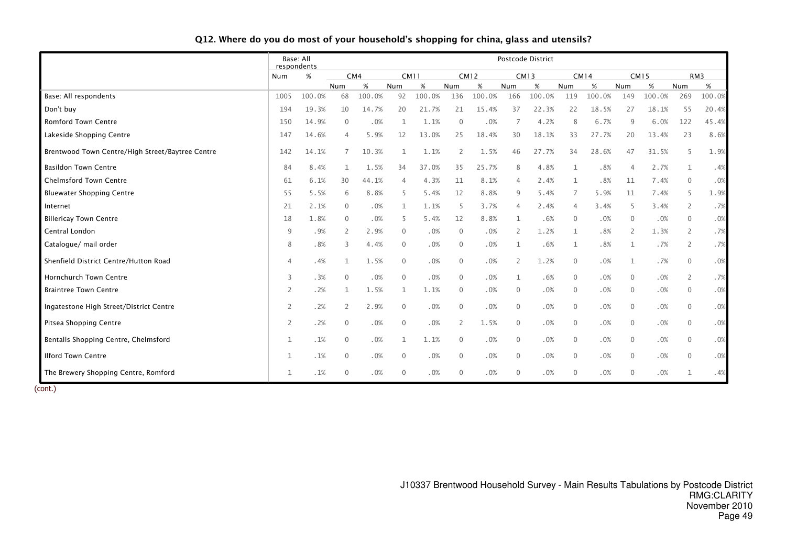|  |  | Q12. Where do you do most of your household's shopping for china, glass and utensils? |
|--|--|---------------------------------------------------------------------------------------|
|--|--|---------------------------------------------------------------------------------------|

|                                                  | respondents    | Base: All |                |        |              |        |                |             |                | Postcode District |                |             |                |        |                |        |
|--------------------------------------------------|----------------|-----------|----------------|--------|--------------|--------|----------------|-------------|----------------|-------------------|----------------|-------------|----------------|--------|----------------|--------|
|                                                  | Num            | %         |                | CM4    | <b>CM11</b>  |        |                | <b>CM12</b> |                | <b>CM13</b>       |                | <b>CM14</b> | <b>CM15</b>    |        |                | RM3    |
|                                                  |                |           | Num            | %      | Num          | %      | Num            | %           | Num            | $\%$              | Num            | %           | Num            | $\%$   | Num            | %      |
| Base: All respondents                            | 1005           | 100.0%    | 68             | 100.0% | 92           | 100.0% | 136            | 100.0%      | 166            | 100.0%            | 119            | 100.0%      | 149            | 100.0% | 269            | 100.0% |
| Don't buy                                        | 194            | 19.3%     | 10             | 14.7%  | 20           | 21.7%  | 21             | 15.4%       | 37             | 22.3%             | 22             | 18.5%       | 27             | 18.1%  | 55             | 20.4%  |
| <b>Romford Town Centre</b>                       | 150            | 14.9%     | $\Omega$       | .0%    | $\mathbf{1}$ | 1.1%   | $\Omega$       | .0%         |                | 4.2%              | 8              | 6.7%        | 9              | 6.0%   | 122            | 45.4%  |
| Lakeside Shopping Centre                         | 147            | 14.6%     | 4              | 5.9%   | 12           | 13.0%  | 25             | 18.4%       | 30             | 18.1%             | 33             | 27.7%       | 20             | 13.4%  | 23             | 8.6%   |
| Brentwood Town Centre/High Street/Baytree Centre | 142            | 14.1%     | 7              | 10.3%  | 1            | 1.1%   | 2              | 1.5%        | 46             | 27.7%             | 34             | 28.6%       | 47             | 31.5%  | 5              | 1.9%   |
| <b>Basildon Town Centre</b>                      | 84             | 8.4%      | 1              | 1.5%   | 34           | 37.0%  | 35             | 25.7%       | 8              | 4.8%              | $\mathbf{1}$   | .8%         | $\overline{4}$ | 2.7%   | $\mathbf 1$    | .4%    |
| <b>Chelmsford Town Centre</b>                    | 61             | 6.1%      | 30             | 44.1%  |              | 4.3%   | 11             | 8.1%        | 4              | 2.4%              | 1              | .8%         | 11             | 7.4%   | $\Omega$       | .0%    |
| <b>Bluewater Shopping Centre</b>                 | 55             | 5.5%      | 6              | 8.8%   | -5           | 5.4%   | 12             | 8.8%        | 9              | 5.4%              | 7              | 5.9%        | 11             | 7.4%   | 5              | 1.9%   |
| Internet                                         | 21             | 2.1%      | $\overline{0}$ | .0%    | 1            | 1.1%   | -5             | 3.7%        | 4              | 2.4%              | $\overline{4}$ | 3.4%        | 5              | 3.4%   | 2              | .7%    |
| <b>Billericay Town Centre</b>                    | 18             | 1.8%      | $\overline{0}$ | .0%    | -5           | 5.4%   | 12             | 8.8%        | 1              | .6%               | $\overline{0}$ | .0%         | $\overline{0}$ | .0%    | $\mathbf{0}$   | .0%    |
| Central London                                   | 9              | .9%       | 2              | 2.9%   | $\mathbf 0$  | .0%    | $\mathbf{0}$   | .0%         | $\overline{2}$ | 1.2%              | 1              | .8%         | 2              | 1.3%   | $\overline{2}$ | .7%    |
| Catalogue/ mail order                            | 8              | .8%       | 3              | 4.4%   | $\mathbf 0$  | .0%    | $\mathbf 0$    | .0%         | 1              | .6%               | 1              | .8%         |                | .7%    | 2              | .7%    |
| Shenfield District Centre/Hutton Road            | 4              | .4%       | $\mathbf{1}$   | 1.5%   | $\mathbf{0}$ | .0%    | $\mathbf 0$    | .0%         | 2              | 1.2%              | $\mathbf 0$    | .0%         | 1              | .7%    | $\mathbf{0}$   | .0%    |
| <b>Hornchurch Town Centre</b>                    | 3              | .3%       | $\Omega$       | .0%    | $\mathbf{0}$ | .0%    | $\mathbf{0}$   | .0%         | 1              | .6%               | $\overline{0}$ | .0%         | $\Omega$       | .0%    | $\overline{2}$ | .7%    |
| <b>Braintree Town Centre</b>                     | $\overline{2}$ | .2%       | 1              | 1.5%   | 1            | 1.1%   | $\mathbf 0$    | .0%         | $\mathbf 0$    | .0%               | $\mathbf{0}$   | .0%         | $\mathbf{0}$   | .0%    | $\mathbf{0}$   | .0%    |
| Ingatestone High Street/District Centre          | 2              | .2%       | 2              | 2.9%   | $\mathbf{0}$ | .0%    | $\mathbf{0}$   | .0%         | $\mathbf 0$    | .0%               | $\mathbf 0$    | .0%         | $\mathbf{0}$   | .0%    | $\Omega$       | .0%    |
| Pitsea Shopping Centre                           | $\overline{2}$ | .2%       | $\mathbf{0}$   | .0%    | $\mathbf{0}$ | .0%    | $\overline{2}$ | 1.5%        | $\mathbf{0}$   | .0%               | $\mathbf 0$    | .0%         | $\mathbf{0}$   | .0%    | $\mathbf{0}$   | .0%    |
| Bentalls Shopping Centre, Chelmsford             | $\mathbf{1}$   | .1%       | $\mathbf{0}$   | .0%    | $\mathbf{1}$ | 1.1%   | $\mathbf{0}$   | .0%         | 0              | .0%               | $\mathbf 0$    | .0%         | $\overline{0}$ | .0%    | $\mathbf{0}$   | .0%    |
| <b>Ilford Town Centre</b>                        | $\mathbf{1}$   | .1%       | $\mathbf{0}$   | .0%    | $\mathbf{0}$ | .0%    | $\mathbf{0}$   | .0%         | $\mathbf{0}$   | .0%               | $\mathbf 0$    | .0%         | $\overline{0}$ | .0%    | $\mathbf{0}$   | .0%    |
| The Brewery Shopping Centre, Romford             | $\mathbf 1$    | .1%       | $\mathbf{0}$   | .0%    | $\mathbf 0$  | .0%    | 0              | .0%         | $\mathbf 0$    | .0%               | $\mathbf 0$    | .0%         | $\mathbf 0$    | .0%    |                | .4%    |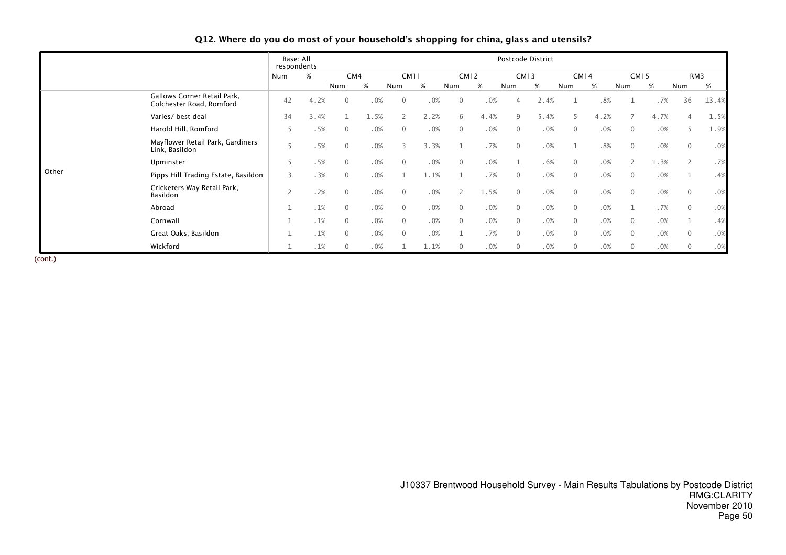|                |                                                         | Base: All<br>respondents |      |                |      |                          |             |                |             |                | Postcode District |                |             |                |             |                |       |
|----------------|---------------------------------------------------------|--------------------------|------|----------------|------|--------------------------|-------------|----------------|-------------|----------------|-------------------|----------------|-------------|----------------|-------------|----------------|-------|
|                |                                                         | Num                      | %    |                | CM4  |                          | <b>CM11</b> |                | <b>CM12</b> |                | <b>CM13</b>       |                | <b>CM14</b> |                | <b>CM15</b> |                | RM3   |
|                |                                                         |                          |      | Num            | %    | Num                      | %           | Num            | %           | Num            | $\%$              | Num            | %           | Num            | %           | Num            | %     |
|                | Gallows Corner Retail Park,<br>Colchester Road, Romford | 42                       | 4.2% | $\mathbf{0}$   | .0%  | $\mathbf{0}$             | .0%         | $\overline{0}$ | .0%         | $\overline{4}$ | 2.4%              |                | .8%         |                | .7%         | 36             | 13.4% |
|                | Varies/ best deal                                       | 34                       | 3.4% |                | 1.5% | $\overline{\phantom{a}}$ | 2.2%        | 6              | 4.4%        | 9              | 5.4%              | 5              | 4.2%        |                | 4.7%        | 4              | 1.5%  |
|                | Harold Hill, Romford                                    | 5                        | .5%  | $\mathbf{0}$   | .0%  | $\mathbf{0}$             | .0%         | $\overline{0}$ | .0%         | $\mathbf{0}$   | .0%               | $\mathbf{0}$   | .0%         | $\mathbf{0}$   | .0%         | 5              | 1.9%  |
| Link, Basildon | Mayflower Retail Park, Gardiners                        | 5                        | .5%  | $\mathbf{0}$   | .0%  |                          | 3.3%        |                | .7%         | $\mathbf 0$    | .0%               |                | .8%         | $\overline{0}$ | .0%         | $\mathbf{0}$   | .0%   |
|                | Upminster                                               | 5                        | .5%  | $\Omega$       | .0%  | $\mathbf{0}$             | .0%         | $\Omega$       | .0%         |                | .6%               | $\mathbf{0}$   | .0%         |                | 1.3%        | $\overline{2}$ | .7%   |
| Other          | Pipps Hill Trading Estate, Basildon                     | 3                        | .3%  | $\mathbf{0}$   | .0%  |                          | 1.1%        |                | .7%         | $\mathbf{0}$   | .0%               | $\mathbf{0}$   | .0%         | $\overline{0}$ | .0%         |                | .4%   |
|                | Cricketers Way Retail Park,<br>Basildon                 |                          | .2%  | $\mathbf{0}$   | .0%  | $\mathbf{0}$             | .0%         | $\mathbf{2}$   | 1.5%        | $\mathbf{0}$   | .0%               | $\mathbf{0}$   | .0%         | $\overline{0}$ | .0%         | $\mathbf{0}$   | .0%   |
|                | Abroad                                                  |                          | .1%  | $\overline{0}$ | .0%  | $\mathbf{0}$             | .0%         | $\overline{0}$ | .0%         | $\overline{0}$ | .0%               | $\overline{0}$ | .0%         |                | .7%         | $\overline{0}$ | .0%   |
|                | Cornwall                                                |                          | .1%  | $\Omega$       | .0%  | $\mathbf{0}$             | .0%         | $\Omega$       | .0%         | $\mathbf{0}$   | .0%               | $\mathbf{0}$   | .0%         | $\mathbf{0}$   | .0%         | $\mathbf{1}$   | .4%   |
|                | Great Oaks, Basildon                                    |                          | .1%  | $\mathbf{0}$   | .0%  | $\mathbf{0}$             | .0%         |                | .7%         | $\mathbf{0}$   | .0%               | $\mathbf{0}$   | .0%         | $\mathbf{0}$   | .0%         | $\mathbf{0}$   | .0%   |
|                | Wickford                                                |                          | .1%  | $\mathbf{0}$   | .0%  |                          | 1.1%        | $\mathbf{0}$   | .0%         | 0              | .0%               | 0              | .0%         | 0              | .0%         | $\mathbf{0}$   | .0%   |

#### Q12. Where do you do most of your household's shopping for china, glass and utensils?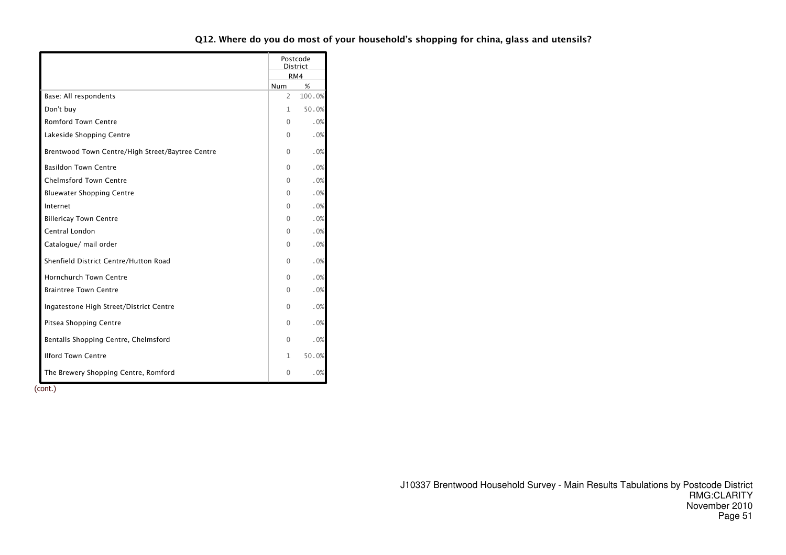|                                                  |          | Postcode<br><b>District</b> |
|--------------------------------------------------|----------|-----------------------------|
|                                                  |          | RM4                         |
|                                                  | Num      | %                           |
| Base: All respondents                            | 2        | 100.0%                      |
| Don't buy                                        | 1        | 50.0%                       |
| <b>Romford Town Centre</b>                       | 0        | .0%                         |
| Lakeside Shopping Centre                         | 0        | .0%                         |
| Brentwood Town Centre/High Street/Baytree Centre | $\Omega$ | .0%                         |
| <b>Basildon Town Centre</b>                      | $\Omega$ | .0%                         |
| <b>Chelmsford Town Centre</b>                    | 0        | .0%                         |
| <b>Bluewater Shopping Centre</b>                 | 0        | .0%                         |
| Internet                                         | $\Omega$ | .0%                         |
| <b>Billericay Town Centre</b>                    | $\Omega$ | .0%                         |
| Central London                                   | 0        | .0%                         |
| Catalogue/ mail order                            | 0        | .0%                         |
| Shenfield District Centre/Hutton Road            | $\Omega$ | .0%                         |
| <b>Hornchurch Town Centre</b>                    | $\Omega$ | .0%                         |
| <b>Braintree Town Centre</b>                     | 0        | .0%                         |
| Ingatestone High Street/District Centre          | $\Omega$ | .0%                         |
| Pitsea Shopping Centre                           | $\Omega$ | .0%                         |
| Bentalls Shopping Centre, Chelmsford             | $\Omega$ | .0%                         |
| <b>Ilford Town Centre</b>                        | 1        | 50.0%                       |
| The Brewery Shopping Centre, Romford             | 0        | .0%                         |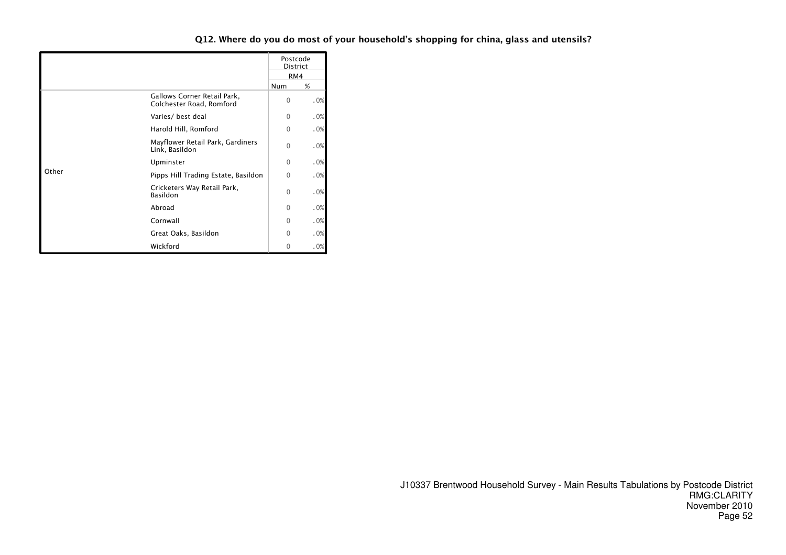|       |                                                         |          | Postcode<br>District<br>RM4 |
|-------|---------------------------------------------------------|----------|-----------------------------|
|       |                                                         | Num      | %                           |
|       | Gallows Corner Retail Park,<br>Colchester Road, Romford | $\Omega$ | .0%                         |
|       | Varies/ best deal                                       | $\Omega$ | .0%                         |
|       | Harold Hill, Romford                                    | $\Omega$ | .0%                         |
|       | Mayflower Retail Park, Gardiners<br>Link, Basildon      | 0        | .0%                         |
|       | Upminster                                               | 0        | .0%                         |
| Other | Pipps Hill Trading Estate, Basildon                     | $\Omega$ | .0%                         |
|       | Cricketers Way Retail Park,<br>Basildon                 | $\Omega$ | .0%                         |
|       | Abroad                                                  | $\Omega$ | .0%                         |
|       | Cornwall                                                | $\cap$   | .0%                         |
|       | Great Oaks, Basildon                                    | $\Omega$ | .0%                         |
|       | Wickford                                                |          | .0%                         |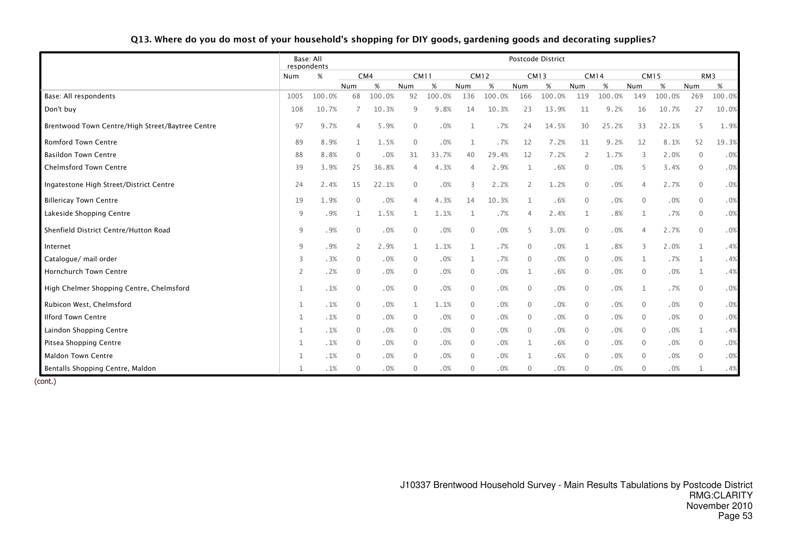| Q13. Where do you do most of your household's shopping for DIY goods, gardening goods and decorating supplies? |  |  |
|----------------------------------------------------------------------------------------------------------------|--|--|
|----------------------------------------------------------------------------------------------------------------|--|--|

|                                                  |      | Base: All<br>respondents |                |        |                |             |              |             |                | Postcode District |                |             |              |             |                |                 |
|--------------------------------------------------|------|--------------------------|----------------|--------|----------------|-------------|--------------|-------------|----------------|-------------------|----------------|-------------|--------------|-------------|----------------|-----------------|
|                                                  | Num  | $\%$                     |                | CM4    |                | <b>CM11</b> |              | <b>CM12</b> |                | <b>CM13</b>       |                | <b>CM14</b> |              | <b>CM15</b> |                | RM <sub>3</sub> |
|                                                  |      |                          | Num            | $\%$   | Num            | %           | Num          | $\%$        | Num            | $\%$              | Num            | $\%$        | Num          | $\%$        | Num            | %               |
| Base: All respondents                            | 1005 | 100.0%                   | 68             | 100.0% | 92             | 100.0%      | 136          | 100.0%      | 166            | 100.0%            | 119            | 100.0%      | 149          | 100.0%      | 269            | 100.0%          |
| Don't buy                                        | 108  | 10.7%                    | 7              | 10.3%  | 9              | 9.8%        | 14           | 10.3%       | 23             | 13.9%             | 11             | 9.2%        | 16           | 10.7%       | 27             | 10.0%           |
| Brentwood Town Centre/High Street/Baytree Centre | 97   | 9.7%                     | $\overline{4}$ | 5.9%   | $\mathbf{0}$   | .0%         | $\mathbf{1}$ | .7%         | 24             | 14.5%             | 30             | 25.2%       | 33           | 22.1%       | 5              | 1.9%            |
| <b>Romford Town Centre</b>                       | 89   | 8.9%                     | 1              | 1.5%   | $\mathbf{0}$   | .0%         | $\mathbf{1}$ | .7%         | 12             | 7.2%              | 11             | 9.2%        | 12           | 8.1%        | 52             | 19.3%           |
| <b>Basildon Town Centre</b>                      | 88   | 8.8%                     | $\mathbf 0$    | .0%    | 31             | 33.7%       | 40           | 29.4%       | 12             | 7.2%              | 2              | 1.7%        | 3            | 2.0%        | $\overline{0}$ | .0%             |
| <b>Chelmsford Town Centre</b>                    | 39   | 3.9%                     | 25             | 36.8%  | $\overline{4}$ | 4.3%        | 4            | 2.9%        | 1              | .6%               | $\overline{0}$ | $.0\%$      | 5            | 3.4%        | $\overline{0}$ | .0%             |
| Ingatestone High Street/District Centre          | 24   | 2.4%                     | 15             | 22.1%  | $\mathbf{0}$   | .0%         | 3            | 2.2%        | 2              | 1.2%              | $\overline{0}$ | $.0\%$      | 4            | 2.7%        | $\overline{0}$ | .0%             |
| <b>Billericay Town Centre</b>                    | 19   | 1.9%                     | $\mathbf{0}$   | .0%    | $\overline{4}$ | 4.3%        | 14           | 10.3%       | $\mathbf{1}$   | .6%               | $\overline{0}$ | .0%         | $\mathbf{0}$ | .0%         | $\mathbf{0}$   | .0%             |
| Lakeside Shopping Centre                         | 9    | .9%                      | 1              | 1.5%   | 1              | 1.1%        | 1            | .7%         | $\overline{4}$ | 2.4%              | 1              | .8%         | $\mathbf{1}$ | .7%         | $\Omega$       | .0%             |
| Shenfield District Centre/Hutton Road            | 9    | .9%                      | $\mathbf 0$    | .0%    | $\overline{0}$ | .0%         | $\mathbf{0}$ | .0%         | 5              | 3.0%              | $\mathbf 0$    | .0%         | 4            | 2.7%        | $\mathbf{0}$   | .0%             |
| Internet                                         | 9    | .9%                      | $\overline{2}$ | 2.9%   | $\mathbf{1}$   | 1.1%        | $\mathbf{1}$ | .7%         | $\mathbf{0}$   | .0%               | $\mathbf{1}$   | .8%         | 3            | 2.0%        | $\mathbf{1}$   | .4%             |
| Catalogue/ mail order                            | 3    | .3%                      | $\mathbf{0}$   | .0%    | $\overline{0}$ | .0%         | $\mathbf{1}$ | .7%         | $\mathbf{0}$   | .0%               | $\overline{0}$ | .0%         | 1            | .7%         | 1              | .4%             |
| <b>Hornchurch Town Centre</b>                    | 2    | .2%                      | $\mathbf{0}$   | .0%    | $\mathbf{0}$   | .0%         | $\mathbf{0}$ | .0%         | 1              | .6%               | $\mathbf{0}$   | .0%         | $\mathbf{0}$ | .0%         |                | .4%             |
| High Chelmer Shopping Centre, Chelmsford         | 1    | .1%                      | $\mathbf 0$    | .0%    | $\mathbf{0}$   | .0%         | $\mathbf{0}$ | .0%         | $\mathbf{0}$   | .0%               | $\overline{0}$ | .0%         | $\mathbf{1}$ | .7%         | $\mathbf{0}$   | .0%             |
| Rubicon West, Chelmsford                         | 1    | .1%                      | $\mathbf 0$    | .0%    | $\mathbf{1}$   | 1.1%        | $\mathbf 0$  | .0%         | $\mathbf{0}$   | .0%               | $\mathbf{0}$   | .0%         | $\mathbf{0}$ | .0%         | $\Omega$       | .0%             |
| <b>Ilford Town Centre</b>                        |      | .1%                      | $\mathbf 0$    | .0%    | $\mathbf{0}$   | .0%         | $\mathbf{0}$ | .0%         | $\mathbf{0}$   | .0%               | $\mathbf{0}$   | .0%         | $\mathbf 0$  | .0%         | $\Omega$       | .0%             |
| Laindon Shopping Centre                          |      | .1%                      | $\mathbf 0$    | .0%    | $\mathbf{0}$   | .0%         | $\mathbf{0}$ | .0%         | $\mathbf{0}$   | .0%               | $\mathbf{0}$   | .0%         | $\Omega$     | .0%         |                | .4%             |
| Pitsea Shopping Centre                           |      | .1%                      | $\mathbf 0$    | .0%    | $\mathbf{0}$   | .0%         | $\mathbf{0}$ | .0%         | $\mathbf{1}$   | .6%               | $\mathbf{0}$   | .0%         | $\mathbf 0$  | .0%         | $\Omega$       | .0%             |
| <b>Maldon Town Centre</b>                        | 1    | .1%                      | $\mathbf 0$    | .0%    | $\overline{0}$ | .0%         | $\mathbf{0}$ | .0%         | 1              | .6%               | $\mathbf{0}$   | .0%         | $\mathbf 0$  | .0%         | $\Omega$       | .0%             |
| Bentalls Shopping Centre, Maldon                 |      | .1%                      | $\Omega$       | .0%    | $\Omega$       | .0%         | $\Omega$     | .0%         | $\mathbf{0}$   | .0%               | $\Omega$       | .0%         | $\Omega$     | .0%         |                | .4%             |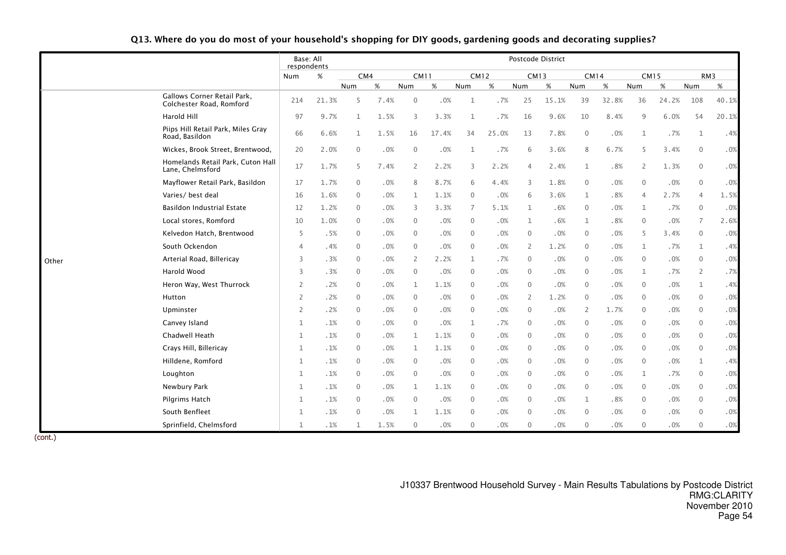|       |                                                         | Base: All<br>respondents |       |              |      |                |       |                |       | Postcode District |       |              |       |                |       |                |                 |
|-------|---------------------------------------------------------|--------------------------|-------|--------------|------|----------------|-------|----------------|-------|-------------------|-------|--------------|-------|----------------|-------|----------------|-----------------|
|       |                                                         | Num                      | $\%$  | CM4          |      | <b>CM11</b>    |       | <b>CM12</b>    |       | <b>CM13</b>       |       | CM14         |       | <b>CM15</b>    |       |                | RM <sub>3</sub> |
|       |                                                         |                          |       | Num          | %    | <b>Num</b>     | %     | Num            | %     | Num               | %     | Num          | %     | Num            | $\%$  | Num            | $\%$            |
|       | Gallows Corner Retail Park,<br>Colchester Road, Romford | 214                      | 21.3% | 5            | 7.4% | $\mathbf 0$    | .0%   | $\mathbf{1}$   | .7%   | 25                | 15.1% | 39           | 32.8% | 36             | 24.2% | 108            | 40.1%           |
|       | Harold Hill                                             | 97                       | 9.7%  | $\mathbf{1}$ | 1.5% | 3              | 3.3%  | 1              | .7%   | 16                | 9.6%  | 10           | 8.4%  | 9              | 6.0%  | 54             | 20.1%           |
|       | Piips Hill Retail Park, Miles Gray<br>Road, Basildon    | 66                       | 6.6%  | 1            | 1.5% | 16             | 17.4% | 34             | 25.0% | 13                | 7.8%  | $\mathbf{0}$ | .0%   | $\mathbf 1$    | .7%   | 1              | .4%             |
|       | Wickes, Brook Street, Brentwood,                        | 20                       | 2.0%  | $\mathbf{0}$ | .0%  | $\mathbf{0}$   | .0%   | 1              | .7%   | 6                 | 3.6%  | 8            | 6.7%  | 5              | 3.4%  | $\mathbf 0$    | .0%             |
|       | Homelands Retail Park, Cuton Hall<br>Lane, Chelmsford   | 17                       | 1.7%  | 5            | 7.4% | $\overline{2}$ | 2.2%  | 3              | 2.2%  | 4                 | 2.4%  | 1            | .8%   | 2              | 1.3%  | $\mathbf{0}$   | .0%             |
|       | Mayflower Retail Park, Basildon                         | 17                       | 1.7%  | 0            | .0%  | 8              | 8.7%  | 6              | 4.4%  | 3                 | 1.8%  | $\mathbf{0}$ | .0%   | $\mathbf{0}$   | .0%   | $\mathbf{0}$   | .0%             |
|       | Varies/ best deal                                       | 16                       | 1.6%  | 0            | .0%  | $\mathbf{1}$   | 1.1%  | $\overline{0}$ | .0%   | 6                 | 3.6%  | 1            | .8%   | $\overline{4}$ | 2.7%  | $\overline{4}$ | 1.5%            |
|       | <b>Basildon Industrial Estate</b>                       | 12                       | 1.2%  | 0            | .0%  | 3              | 3.3%  | 7              | 5.1%  | $\mathbf{1}$      | .6%   | $\mathbf{0}$ | .0%   | $\mathbf{1}$   | .7%   | $\mathbf{0}$   | .0%             |
|       | Local stores, Romford                                   | 10                       | 1.0%  | 0            | .0%  | $\mathbf 0$    | .0%   | $\overline{0}$ | .0%   | $\mathbf{1}$      | .6%   | 1            | .8%   | $\mathbf{0}$   | .0%   | 7              | 2.6%            |
|       | Kelvedon Hatch, Brentwood                               | 5                        | .5%   | 0            | .0%  | $\overline{0}$ | .0%   | $\overline{0}$ | .0%   | $\mathbf 0$       | .0%   | $\mathbf 0$  | .0%   | 5              | 3.4%  | 0              | .0%             |
|       | South Ockendon                                          | 4                        | .4%   | $\mathbf 0$  | .0%  | $\mathbf 0$    | .0%   | $\overline{0}$ | .0%   | $\overline{2}$    | 1.2%  | $\mathbf 0$  | .0%   | $\mathbf 1$    | .7%   | 1              | .4%             |
| Other | Arterial Road, Billericay                               | 3                        | .3%   | 0            | .0%  | 2              | 2.2%  | 1              | .7%   | $\mathbf{0}$      | .0%   | $\mathbf{0}$ | .0%   | $\mathbf{0}$   | .0%   | $\mathbf{0}$   | .0%             |
|       | Harold Wood                                             | 3                        | .3%   | 0            | .0%  | $\mathbf 0$    | .0%   | $\overline{0}$ | .0%   | $\mathbf 0$       | .0%   | $\mathbf 0$  | .0%   | 1              | .7%   | 2              | .7%             |
|       | Heron Way, West Thurrock                                | 2                        | .2%   | $\mathbf 0$  | .0%  | $\mathbf{1}$   | 1.1%  | $\overline{0}$ | .0%   | $\mathbf{0}$      | .0%   | $\mathbf{0}$ | .0%   | $\mathbf 0$    | .0%   | 1              | .4%             |
|       | Hutton                                                  | 2                        | .2%   | $\mathbf 0$  | .0%  | $\overline{0}$ | .0%   | $\overline{0}$ | .0%   | 2                 | 1.2%  | $\mathbf 0$  | .0%   | $\mathbf 0$    | .0%   | $\mathbf 0$    | .0%             |
|       | Upminster                                               | 2                        | .2%   | $\mathbf{0}$ | .0%  | $\mathbf{0}$   | .0%   | $\mathbf{0}$   | .0%   | $\mathbf{0}$      | .0%   | 2            | 1.7%  | $\mathbf{0}$   | .0%   | $\mathbf 0$    | .0%             |
|       | Canvey Island                                           | 1                        | .1%   | 0            | .0%  | $\mathbf 0$    | .0%   | 1              | .7%   | $\mathbf 0$       | .0%   | $\mathbf 0$  | .0%   | $\mathbf 0$    | .0%   | $\mathbf 0$    | .0%             |
|       | Chadwell Heath                                          | $\mathbf 1$              | .1%   | $\mathbf 0$  | .0%  | $\mathbf{1}$   | 1.1%  | $\overline{0}$ | .0%   | $\mathbf 0$       | .0%   | $\mathbf{0}$ | .0%   | $\mathbf 0$    | .0%   | $\mathbf 0$    | .0%             |
|       | Crays Hill, Billericay                                  | 1                        | .1%   | $\mathbf 0$  | .0%  | $\mathbf{1}$   | 1.1%  | $\overline{0}$ | .0%   | $\mathbf 0$       | .0%   | $\mathbf 0$  | .0%   | $\mathbf 0$    | .0%   | $\mathbf 0$    | .0%             |
|       | Hilldene, Romford                                       | $\mathbf 1$              | .1%   | $\mathbf{0}$ | .0%  | $\mathbf{0}$   | .0%   | $\mathbf{0}$   | .0%   | $\mathbf{0}$      | .0%   | $\mathbf{0}$ | .0%   | $\mathbf{0}$   | .0%   | $\mathbf{1}$   | .4%             |
|       | Loughton                                                | 1                        | .1%   | 0            | .0%  | $\mathbf 0$    | .0%   | $\overline{0}$ | .0%   | $\mathbf 0$       | .0%   | $\mathbf 0$  | .0%   | 1              | .7%   | $\mathbf 0$    | .0%             |
|       | Newbury Park                                            | $\mathbf{1}$             | .1%   | 0            | .0%  | $\mathbf{1}$   | 1.1%  | $\overline{0}$ | .0%   | $\mathbf 0$       | .0%   | $\mathbf{0}$ | .0%   | $\mathbf 0$    | .0%   | $\mathbf 0$    | .0%             |
|       | Pilgrims Hatch                                          | 1                        | .1%   | $\mathbf 0$  | .0%  | $\overline{0}$ | .0%   | $\overline{0}$ | .0%   | $\mathbf 0$       | .0%   | 1            | .8%   | $\mathbf 0$    | .0%   | $\mathbf 0$    | .0%             |
|       | South Benfleet                                          | $\mathbf 1$              | .1%   | $\mathbf{0}$ | .0%  | $\mathbf{1}$   | 1.1%  | $\mathbf{0}$   | .0%   | $\mathbf{0}$      | .0%   | $\Omega$     | .0%   | $\mathbf{0}$   | .0%   | $\Omega$       | .0%             |
|       | Sprinfield, Chelmsford                                  | 1                        | .1%   | 1            | 1.5% | $\mathbf 0$    | .0%   | $\mathbf 0$    | .0%   | $\mathbf 0$       | .0%   | $\mathbf 0$  | .0%   | $\mathbf 0$    | .0%   | $\mathbf 0$    | .0%             |

Q13. Where do you do most of your household's shopping for DIY goods, gardening goods and decorating supplies?

(cont.)

J10337 Brentwood Household Survey - Main Results Tabulations by Postcode District RMG:CLARITY November 2010Page 54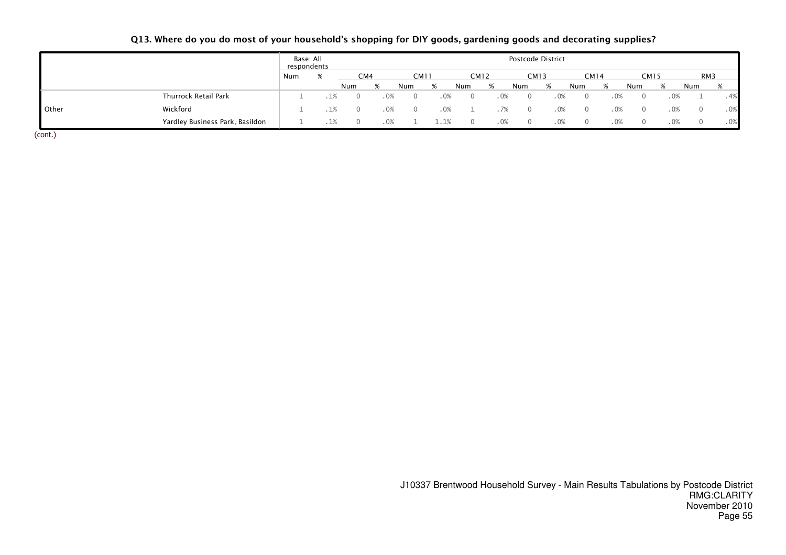## Q13. Where do you do most of your household's shopping for DIY goods, gardening goods and decorating supplies?

|       |                                 | Base: All<br>respondents |     |     |      |      |             |        | Postcode District |      |      |        |             |        |                 |      |
|-------|---------------------------------|--------------------------|-----|-----|------|------|-------------|--------|-------------------|------|------|--------|-------------|--------|-----------------|------|
|       |                                 | Num                      | CM4 |     | CM11 |      | <b>CM12</b> |        | <b>CM13</b>       |      | CM14 |        | <b>CM15</b> |        | RM <sub>3</sub> |      |
|       |                                 |                          | Num |     | Num  | %    | Num         | %      | Num               | %    | Num  | %      | Num         |        | Num             |      |
|       | Thurrock Retail Park            |                          |     | .0% |      | . 0% | $\cup$      | $.0\%$ |                   | . 0% |      | $.0\%$ |             |        |                 | . 4% |
| Other | Wickford                        |                          |     | 0%  |      | .0%  |             |        | $\left( \right)$  | .0%  |      | .0%    |             | $.0\%$ |                 | .0%  |
|       | Yardley Business Park, Basildon |                          |     |     |      | - 1% |             | . 0%   |                   | .0%  |      | .0%    |             |        |                 | .0%  |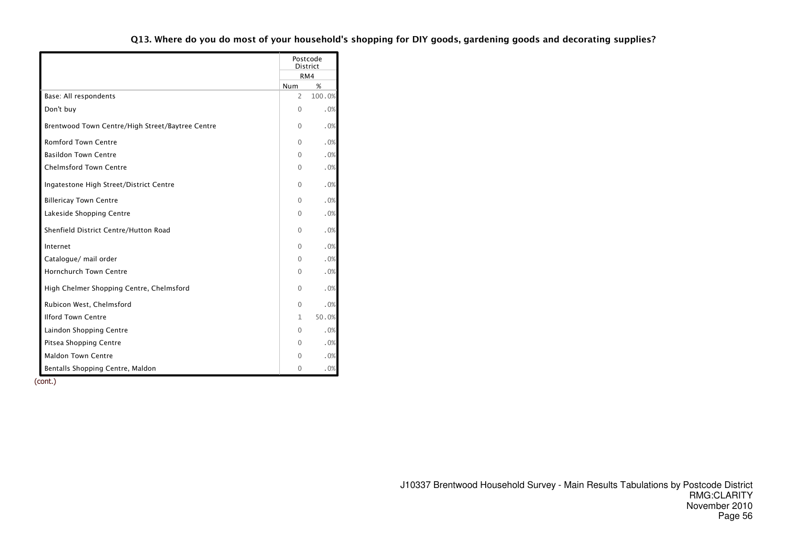|                                                  |                | Postcode<br><b>District</b> |
|--------------------------------------------------|----------------|-----------------------------|
|                                                  |                | RM4                         |
|                                                  | Num            | %                           |
| Base: All respondents                            | $\overline{2}$ | 100.0%                      |
| Don't buy                                        | 0              | .0%                         |
| Brentwood Town Centre/High Street/Baytree Centre | 0              | .0%                         |
| <b>Romford Town Centre</b>                       | 0              | .0%                         |
| <b>Basildon Town Centre</b>                      | 0              | .0%                         |
| <b>Chelmsford Town Centre</b>                    | 0              | .0%                         |
| Ingatestone High Street/District Centre          | 0              | .0%                         |
| <b>Billericay Town Centre</b>                    | 0              | .0%                         |
| Lakeside Shopping Centre                         | 0              | .0%                         |
| Shenfield District Centre/Hutton Road            | 0              | .0%                         |
| Internet                                         | 0              | .0%                         |
| Catalogue/ mail order                            | 0              | .0%                         |
| <b>Hornchurch Town Centre</b>                    | 0              | .0%                         |
| High Chelmer Shopping Centre, Chelmsford         | 0              | .0%                         |
| Rubicon West, Chelmsford                         | 0              | .0%                         |
| <b>Ilford Town Centre</b>                        | 1              | 50.0%                       |
| Laindon Shopping Centre                          | 0              | .0%                         |
| Pitsea Shopping Centre                           | 0              | .0%                         |
| <b>Maldon Town Centre</b>                        | 0              | .0%                         |
| Bentalls Shopping Centre, Maldon                 | 0              | .0%                         |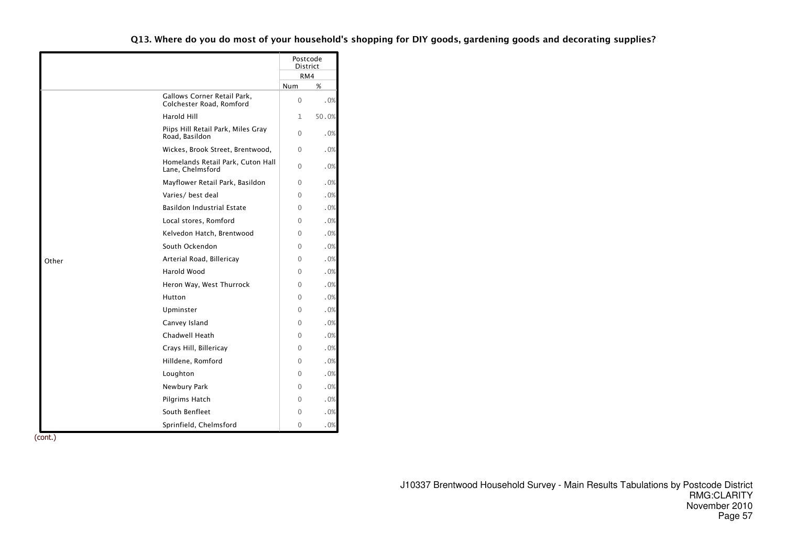|       |                                                         |              | Postcode<br><b>District</b> |
|-------|---------------------------------------------------------|--------------|-----------------------------|
|       |                                                         |              | RM4                         |
|       |                                                         | <b>Num</b>   | %                           |
|       | Gallows Corner Retail Park,<br>Colchester Road, Romford | $\Omega$     | .0%                         |
|       | Harold Hill                                             | $\mathbf{1}$ | 50.0%                       |
|       | Piips Hill Retail Park, Miles Gray<br>Road, Basildon    | 0            | .0%                         |
|       | Wickes, Brook Street, Brentwood,                        | 0            | .0%                         |
|       | Homelands Retail Park, Cuton Hall<br>Lane, Chelmsford   | 0            | .0%                         |
|       | Mayflower Retail Park, Basildon                         | 0            | .0%                         |
|       | Varies/ best deal                                       | 0            | .0%                         |
|       | <b>Basildon Industrial Estate</b>                       | $\Omega$     | .0%                         |
|       | Local stores, Romford                                   | 0            | .0%                         |
|       | Kelvedon Hatch, Brentwood                               | $\Omega$     | .0%                         |
|       | South Ockendon                                          | 0            | .0%                         |
| Other | Arterial Road, Billericay                               | $\Omega$     | .0%                         |
|       | Harold Wood                                             | 0            | .0%                         |
|       | Heron Way, West Thurrock                                | 0            | .0%                         |
|       | Hutton                                                  | 0            | .0%                         |
|       | Upminster                                               | $\Omega$     | .0%                         |
|       | Canvey Island                                           | 0            | .0%                         |
|       | Chadwell Heath                                          | $\Omega$     | .0%                         |
|       | Crays Hill, Billericay                                  | 0            | .0%                         |
|       | Hilldene, Romford                                       | $\Omega$     | .0%                         |
|       | Loughton                                                | 0            | .0%                         |
|       | Newbury Park                                            | $\Omega$     | .0%                         |
|       | Pilgrims Hatch                                          | 0            | .0%                         |
|       | South Benfleet                                          | 0            | .0%                         |
|       | Sprinfield, Chelmsford                                  | 0            | .0%                         |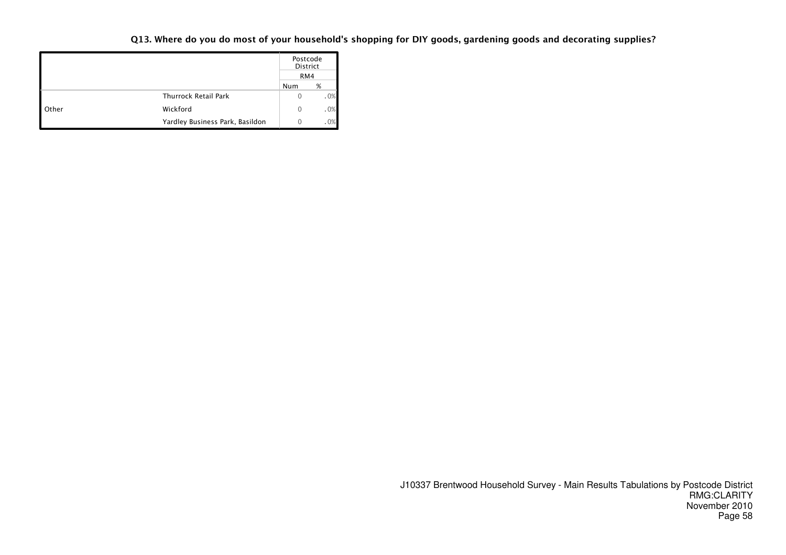#### Q13. Where do you do most of your household's shopping for DIY goods, gardening goods and decorating supplies?

|                      |                                 |     | Postcode<br>District |  |  |
|----------------------|---------------------------------|-----|----------------------|--|--|
|                      |                                 | RM4 |                      |  |  |
|                      |                                 | Num | %                    |  |  |
|                      | <b>Thurrock Retail Park</b>     | 0   | .0%                  |  |  |
| $\blacksquare$ Other | Wickford                        | 0   | .0%                  |  |  |
|                      | Yardley Business Park, Basildon | Ω   | .0%                  |  |  |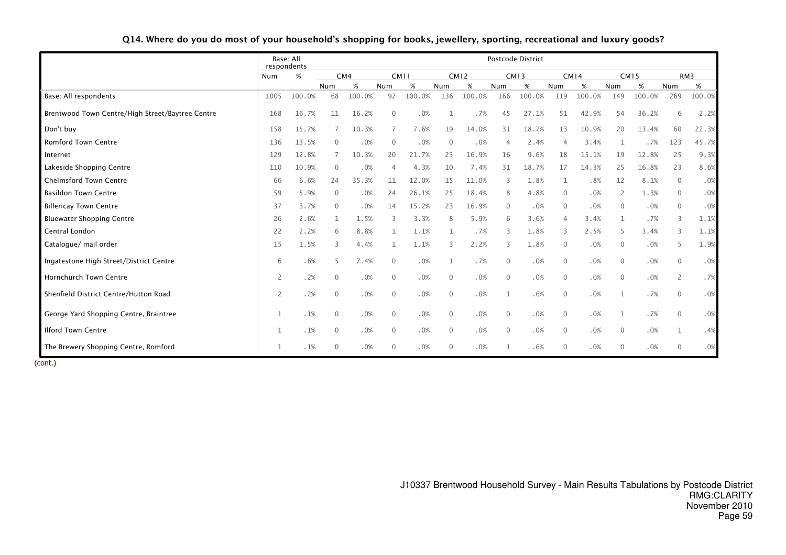|                                                  | respondents    | Base: All |              |        |              |             |              |             |                | Postcode District |             |             |                |             |                |                 |
|--------------------------------------------------|----------------|-----------|--------------|--------|--------------|-------------|--------------|-------------|----------------|-------------------|-------------|-------------|----------------|-------------|----------------|-----------------|
|                                                  | Num            | %         |              | CM4    |              | <b>CM11</b> |              | <b>CM12</b> |                | <b>CM13</b>       |             | <b>CM14</b> |                | <b>CM15</b> |                | RM <sub>3</sub> |
|                                                  |                |           | Num          | %      | Num          | %           | Num          | %           | Num            | %                 | Num         | %           | Num            | %           | Num            | %               |
| Base: All respondents                            | 1005           | 100.0%    | 68           | 100.0% | 92           | 100.0%      | 136          | 100.0%      | 166            | 100.0%            | 119         | 100.0%      | 149            | 100.0%      | 269            | 100.0%          |
| Brentwood Town Centre/High Street/Baytree Centre | 168            | 16.7%     | 11           | 16.2%  | $\mathbf 0$  | .0%         |              | .7%         | 45             | 27.1%             | 51          | 42.9%       | 54             | 36.2%       | 6              | 2.2%            |
| Don't buy                                        | 158            | 15.7%     |              | 10.3%  |              | 7.6%        | 19           | 14.0%       | 31             | 18.7%             | 13          | 10.9%       | 20             | 13.4%       | 60             | 22.3%           |
| <b>Romford Town Centre</b>                       | 136            | 13.5%     | $\Omega$     | .0%    | $\mathbf{0}$ | .0%         | $\mathbf{0}$ | .0%         | $\overline{4}$ | 2.4%              | 4           | 3.4%        | 1              | .7%         | 123            | 45.7%           |
| Internet                                         | 129            | 12.8%     |              | 10.3%  | 20           | 21.7%       | 23           | 16.9%       | 16             | 9.6%              | 18          | 15.1%       | 19             | 12.8%       | 25             | 9.3%            |
| Lakeside Shopping Centre                         | 110            | 10.9%     | $\Omega$     | .0%    | $\Delta$     | 4.3%        | 10           | 7.4%        | 31             | 18.7%             | 17          | 14.3%       | 25             | 16.8%       | 23             | 8.6%            |
| <b>Chelmsford Town Centre</b>                    | 66             | 6.6%      | 24           | 35.3%  | 11           | 12.0%       | 15           | 11.0%       | 3              | 1.8%              | 1           | .8%         | 12             | 8.1%        | $\mathbf{0}$   | .0%             |
| <b>Basildon Town Centre</b>                      | 59             | 5.9%      | $\mathbf 0$  | .0%    | 24           | 26.1%       | 25           | 18.4%       | 8              | 4.8%              | 0           | .0%         | 2              | 1.3%        | $\mathbf{0}$   | .0%             |
| <b>Billericay Town Centre</b>                    | 37             | 3.7%      | $\Omega$     | .0%    | 14           | 15.2%       | 23           | 16.9%       | $\overline{0}$ | .0%               | $\mathbf 0$ | .0%         | $\overline{0}$ | .0%         | $\mathbf{0}$   | .0%             |
| <b>Bluewater Shopping Centre</b>                 | 26             | 2.6%      |              | 1.5%   | 3            | 3.3%        | 8            | 5.9%        | 6              | 3.6%              | 4           | 3.4%        | 1              | .7%         | 3              | 1.1%            |
| Central London                                   | 22             | 2.2%      | 6            | 8.8%   | 1            | 1.1%        | $\mathbf{1}$ | .7%         | 3              | 1.8%              | 3           | 2.5%        | 5              | 3.4%        | 3              | 1.1%            |
| Catalogue/ mail order                            | 15             | 1.5%      | 3            | 4.4%   | 1            | 1.1%        | 3            | 2.2%        | 3              | 1.8%              | $\mathbf 0$ | .0%         | $\mathbf{0}$   | .0%         | 5              | 1.9%            |
| Ingatestone High Street/District Centre          | 6              | .6%       |              | 7.4%   | $\mathbf{0}$ | .0%         | $\mathbf{1}$ | .7%         | $\mathbf{0}$   | .0%               | $\mathbf 0$ | .0%         | $\mathbf{0}$   | .0%         | $\Omega$       | .0%             |
| Hornchurch Town Centre                           | 2              | .2%       | $\Omega$     | .0%    | $\mathbf{0}$ | .0%         | $\Omega$     | .0%         | $\Omega$       | .0%               | 0           | .0%         | $\mathbf{0}$   | .0%         | 2              | .7%             |
| Shenfield District Centre/Hutton Road            | $\overline{2}$ | .2%       | $\mathbf{0}$ | .0%    | $\mathbf{0}$ | .0%         | $\mathbf 0$  | .0%         | 1              | .6%               | $\mathbf 0$ | .0%         | 1              | .7%         | $\mathbf{0}$   | .0%             |
| George Yard Shopping Centre, Braintree           | 1              | .1%       | $\Omega$     | .0%    | $\mathbf{0}$ | .0%         | $\mathbf{0}$ | .0%         | $\overline{0}$ | .0%               | $\mathbf 0$ | .0%         | 1              | .7%         | $\mathbf{0}$   | .0%             |
| <b>Ilford Town Centre</b>                        | $\mathbf{1}$   | .1%       | $\Omega$     | .0%    | $\mathbf{0}$ | .0%         | $\mathbf{0}$ | .0%         | $\overline{0}$ | .0%               | $\mathbf 0$ | .0%         | $\overline{0}$ | .0%         | $\mathbf{1}$   | .4%             |
| The Brewery Shopping Centre, Romford             | 1              | .1%       | $\Omega$     | .0%    | $\mathbf{0}$ | .0%         | $\mathbf{0}$ | .0%         | 1              | .6%               | $\mathbf 0$ | .0%         | $\mathbf{0}$   | .0%         | $\overline{0}$ | .0%             |

Q14. Where do you do most of your household's shopping for books, jewellery, sporting, recreational and luxury goods?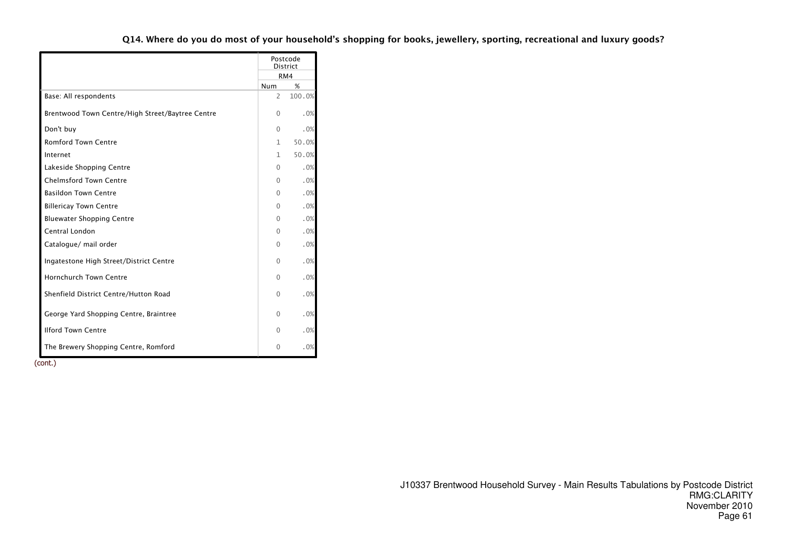#### Q14. Where do you do most of your household's shopping for books, jewellery, sporting, recreational and luxury goods?

|                                                  |                | Postcode<br><b>District</b> |
|--------------------------------------------------|----------------|-----------------------------|
|                                                  |                | RM4                         |
|                                                  | Num            | %                           |
| Base: All respondents                            | $\overline{2}$ | 100.0%                      |
| Brentwood Town Centre/High Street/Baytree Centre | $\Omega$       | .0%                         |
| Don't buy                                        | $\Omega$       | .0%                         |
| Romford Town Centre                              | $\mathbf{1}$   | 50.0%                       |
| Internet                                         | 1              | 50.0%                       |
| Lakeside Shopping Centre                         | 0              | .0%                         |
| <b>Chelmsford Town Centre</b>                    | $\Omega$       | .0%                         |
| <b>Basildon Town Centre</b>                      | $\Omega$       | .0%                         |
| <b>Billericay Town Centre</b>                    | $\Omega$       | .0%                         |
| <b>Bluewater Shopping Centre</b>                 | $\Omega$       | .0%                         |
| Central London                                   | $\Omega$       | .0%                         |
| Catalogue/ mail order                            | $\Omega$       | .0%                         |
| Ingatestone High Street/District Centre          | $\Omega$       | .0%                         |
| <b>Hornchurch Town Centre</b>                    | $\Omega$       | .0%                         |
| Shenfield District Centre/Hutton Road            | $\Omega$       | .0%                         |
| George Yard Shopping Centre, Braintree           | $\Omega$       | .0%                         |
| <b>Ilford Town Centre</b>                        | $\Omega$       | .0%                         |
| The Brewery Shopping Centre, Romford             | $\mathbf{0}$   | .0%                         |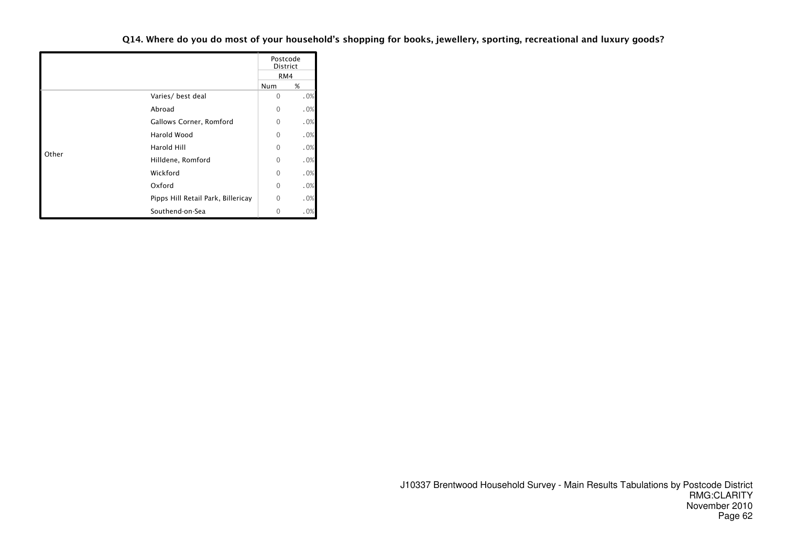Q14. Where do you do most of your household's shopping for books, jewellery, sporting, recreational and luxury goods?

|       |                                    |              | Postcode<br><b>District</b> |
|-------|------------------------------------|--------------|-----------------------------|
|       |                                    |              | RM4                         |
|       |                                    | Num          | %                           |
|       | Varies/ best deal                  | 0            | .0%                         |
|       | Abroad                             | 0            | .0%                         |
|       | Gallows Corner, Romford            | 0            | .0%                         |
|       | <b>Harold Wood</b>                 | 0            | .0%                         |
|       | Harold Hill                        | 0            | .0%                         |
| Other | Hilldene, Romford                  | 0            | .0%                         |
|       | Wickford                           | 0            | .0%                         |
|       | Oxford                             | 0            | .0%                         |
|       | Pipps Hill Retail Park, Billericay | $\mathbf{0}$ | .0%                         |
|       | Southend-on-Sea                    | 0            | .0%                         |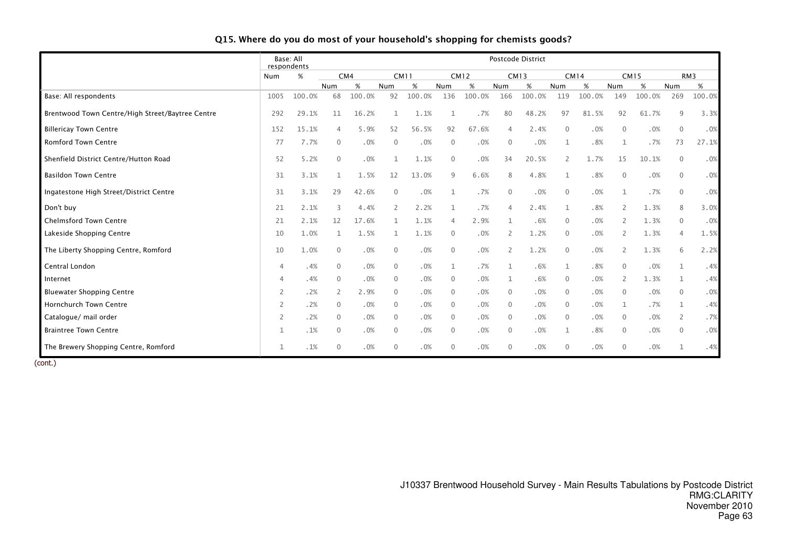|                                                  | respondents    | Base: All |               |        |              |        |                |             |                          | Postcode District |                |             |                |             |                |                 |
|--------------------------------------------------|----------------|-----------|---------------|--------|--------------|--------|----------------|-------------|--------------------------|-------------------|----------------|-------------|----------------|-------------|----------------|-----------------|
|                                                  | Num            | %         |               | CM4    | <b>CM11</b>  |        |                | <b>CM12</b> |                          | <b>CM13</b>       |                | <b>CM14</b> |                | <b>CM15</b> |                | RM <sub>3</sub> |
|                                                  |                |           | Num           | %      | Num          | %      | Num            | %           | Num                      | %                 | Num            | %           | Num            | %           | Num            | %               |
| Base: All respondents                            | 1005           | 100.0%    | 68            | 100.0% | 92           | 100.0% | 136            | 100.0%      | 166                      | 100.0%            | 119            | 100.0%      | 149            | 100.0%      | 269            | 100.0%          |
| Brentwood Town Centre/High Street/Baytree Centre | 292            | 29.1%     | 11            | 16.2%  | 1            | 1.1%   | $\mathbf{1}$   | .7%         | 80                       | 48.2%             | 97             | 81.5%       | 92             | 61.7%       | 9              | 3.3%            |
| <b>Billericay Town Centre</b>                    | 152            | 15.1%     | 4             | 5.9%   | 52           | 56.5%  | 92             | 67.6%       | $\overline{4}$           | 2.4%              | $\mathbf{0}$   | .0%         | $\mathbf{0}$   | .0%         | $\mathbf{0}$   | .0%             |
| Romford Town Centre                              | 77             | 7.7%      | $\mathbf{0}$  | .0%    | $\mathbf{0}$ | .0%    | $\mathbf{0}$   | .0%         | $\overline{0}$           | .0%               | $\mathbf{1}$   | .8%         | $\mathbf 1$    | .7%         | 73             | 27.1%           |
| Shenfield District Centre/Hutton Road            | 52             | 5.2%      | $\mathbf{0}$  | .0%    | 1            | 1.1%   | $\mathbf{0}$   | .0%         | 34                       | 20.5%             | $\overline{2}$ | 1.7%        | 15             | 10.1%       | $\mathbf{0}$   | .0%             |
| <b>Basildon Town Centre</b>                      | 31             | 3.1%      | 1             | 1.5%   | 12           | 13.0%  | 9              | 6.6%        | 8                        | 4.8%              | $\mathbf{1}$   | .8%         | $\mathbf 0$    | .0%         | $\mathbf 0$    | .0%             |
| Ingatestone High Street/District Centre          | 31             | 3.1%      | 29            | 42.6%  | $\mathbf{0}$ | .0%    | $\mathbf{1}$   | .7%         | $\overline{0}$           | .0%               | $\mathbf{0}$   | .0%         | $\mathbf{1}$   | .7%         | $\mathbf{0}$   | .0%             |
| Don't buy                                        | 21             | 2.1%      | ς             | 4.4%   | 2            | 2.2%   | $\mathbf{1}$   | .7%         | $\Delta$                 | 2.4%              | $\mathbf{1}$   | .8%         | $\overline{2}$ | 1.3%        | 8              | 3.0%            |
| <b>Chelmsford Town Centre</b>                    | 21             | 2.1%      | 12            | 17.6%  |              | 1.1%   |                | 2.9%        |                          | .6%               | $\mathbf{0}$   | .0%         | 2              | 1.3%        | $\mathbf{0}$   | .0%             |
| Lakeside Shopping Centre                         | 10             | 1.0%      |               | 1.5%   | 1            | 1.1%   | $\overline{0}$ | .0%         | $\overline{\phantom{0}}$ | 1.2%              | $\mathbf 0$    | .0%         | 2              | 1.3%        | $\overline{4}$ | 1.5%            |
| The Liberty Shopping Centre, Romford             | 10             | 1.0%      | $\Omega$      | .0%    | $\mathbf{0}$ | .0%    | $\Omega$       | .0%         | 2                        | 1.2%              | $\mathbf{0}$   | .0%         | 2              | 1.3%        | 6              | 2.2%            |
| Central London                                   | $\overline{4}$ | .4%       | $\mathbf{0}$  | .0%    | $\mathbf{0}$ | .0%    | 1              | .7%         | $\mathbf{1}$             | .6%               | 1              | .8%         | $\mathbf{0}$   | .0%         | $\mathbf{1}$   | .4%             |
| Internet                                         | $\overline{4}$ | .4%       | $\Omega$      | .0%    | $\Omega$     | .0%    | $\Omega$       | .0%         | 1                        | .6%               | $\mathbf{0}$   | .0%         | 2              | 1.3%        | 1              | .4%             |
| <b>Bluewater Shopping Centre</b>                 | 2              | .2%       | $\mathcal{P}$ | 2.9%   | $\Omega$     | .0%    | $\Omega$       | .0%         | $\overline{0}$           | .0%               | $\mathbf{0}$   | .0%         | $\mathbf 0$    | .0%         | $\mathbf 0$    | .0%             |
| <b>Hornchurch Town Centre</b>                    | 2              | .2%       | $\mathbf{0}$  | .0%    | $\mathbf{0}$ | .0%    | $\overline{0}$ | .0%         | $\overline{0}$           | .0%               | $\mathbf{0}$   | .0%         | 1              | .7%         | $\mathbf{1}$   | .4%             |
| Catalogue/ mail order                            | 2              | .2%       | $\mathbf{0}$  | .0%    | $\Omega$     | .0%    | $\Omega$       | .0%         | $\overline{0}$           | .0%               | $\mathbf{0}$   | .0%         | $\mathbf{0}$   | .0%         | 2              | .7%             |
| <b>Braintree Town Centre</b>                     | 1              | .1%       | $\mathbf{0}$  | .0%    | $\Omega$     | .0%    | $\overline{0}$ | .0%         | $\overline{0}$           | .0%               | 1              | .8%         | $\mathbf 0$    | .0%         | $\mathbf 0$    | .0%             |
| The Brewery Shopping Centre, Romford             | 1              | .1%       | $\Omega$      | .0%    | $\mathbf{0}$ | .0%    | $\mathbf{0}$   | .0%         | $\overline{0}$           | .0%               | $\mathbf{0}$   | .0%         | $\mathbf{0}$   | .0%         |                | .4%             |

#### Q15. Where do you do most of your household's shopping for chemists goods?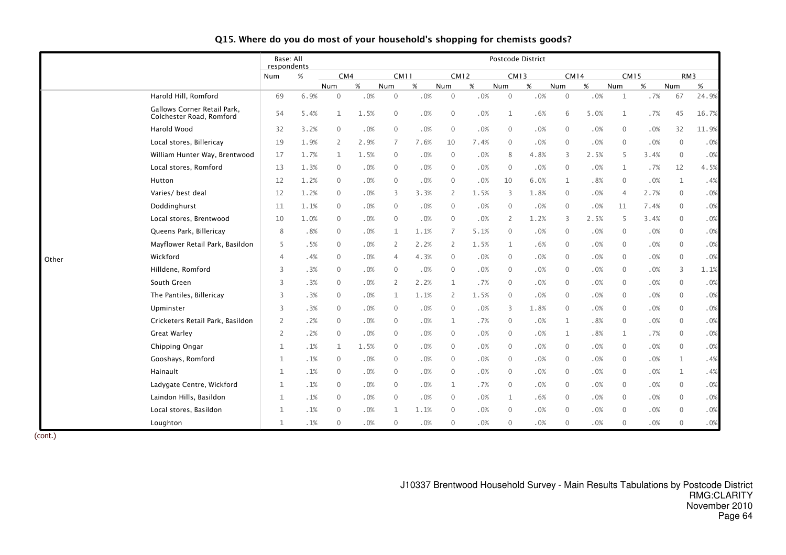|       |                                                         | Base: All<br>respondents |        |                     |        |                |      |                |             |                         | Postcode District |                     |      |                |      |              |       |
|-------|---------------------------------------------------------|--------------------------|--------|---------------------|--------|----------------|------|----------------|-------------|-------------------------|-------------------|---------------------|------|----------------|------|--------------|-------|
|       |                                                         | Num                      | %      | CM4                 |        | <b>CM11</b>    |      |                | <b>CM12</b> | <b>CM13</b>             |                   | <b>CM14</b>         |      | <b>CM15</b>    |      |              | RM3   |
|       |                                                         |                          |        | Num                 | $\%$   | Num            | %    | Num            | $\%$        | Num                     | $\%$              | Num                 | $\%$ | Num            | %    | Num          | $\%$  |
|       | Harold Hill, Romford                                    | 69                       | 6.9%   | $\mathsf{O}\xspace$ | .0%    | $\mathbf 0$    | .0%  | $\mathbf 0$    | .0%         | $\overline{0}$          | .0%               | $\mathsf{O}\xspace$ | .0%  | $\mathbf{1}$   | .7%  | 67           | 24.9% |
|       | Gallows Corner Retail Park,<br>Colchester Road, Romford | 54                       | 5.4%   | $\mathbf{1}$        | 1.5%   | $\mathbf{0}$   | .0%  | $\mathbf{0}$   | .0%         | $\mathbf{1}$            | .6%               | 6                   | 5.0% | $\mathbf 1$    | .7%  | 45           | 16.7% |
|       | <b>Harold Wood</b>                                      | 32                       | 3.2%   | 0                   | .0%    | $\mathbf{0}$   | .0%  | $\mathbf{0}$   | .0%         | $\mathbf{0}$            | .0%               | $\mathbf{0}$        | .0%  | $\mathbf 0$    | .0%  | 32           | 11.9% |
|       | Local stores, Billericay                                | 19                       | 1.9%   | $\overline{c}$      | 2.9%   | $\overline{7}$ | 7.6% | 10             | 7.4%        | $\mathbf 0$             | .0%               | $\mathbf 0$         | .0%  | $\mathbf 0$    | .0%  | $\mathbf 0$  | .0%   |
|       | William Hunter Way, Brentwood                           | 17                       | 1.7%   | $\mathbf{1}$        | 1.5%   | $\mathbf 0$    | .0%  | $\mathbf 0$    | .0%         | 8                       | 4.8%              | 3                   | 2.5% | 5              | 3.4% | $\mathbf 0$  | .0%   |
|       | Local stores, Romford                                   | 13                       | 1.3%   | 0                   | .0%    | $\mathbf{0}$   | .0%  | $\mathbf{0}$   | .0%         | $\overline{0}$          | .0%               | $\mathbf 0$         | .0%  | $\mathbf{1}$   | .7%  | 12           | 4.5%  |
|       | Hutton                                                  | 12                       | 1.2%   | 0                   | .0%    | $\mathbf{0}$   | .0%  | $\mathbf{0}$   | .0%         | 10                      | 6.0%              | $\mathbf{1}$        | .8%  | $\mathbf 0$    | .0%  | $\mathbf{1}$ | .4%   |
|       | Varies/ best deal                                       | 12                       | 1.2%   | 0                   | .0%    | 3              | 3.3% | 2              | 1.5%        | $\overline{\mathbf{3}}$ | 1.8%              | $\mathbf 0$         | .0%  | $\overline{4}$ | 2.7% | $\mathbf 0$  | .0%   |
|       | Doddinghurst                                            | 11                       | 1.1%   | 0                   | .0%    | $\mathbf{0}$   | .0%  | $\overline{0}$ | .0%         | $\mathbf{0}$            | .0%               | $\mathbf 0$         | .0%  | 11             | 7.4% | $\mathbf{0}$ | .0%   |
|       | Local stores, Brentwood                                 | 10                       | 1.0%   | $\overline{0}$      | .0%    | $\Omega$       | .0%  | $\mathbf{0}$   | .0%         | 2                       | 1.2%              | 3                   | 2.5% | 5              | 3.4% | $\mathbf{0}$ | .0%   |
|       | Queens Park, Billericay                                 | 8                        | .8%    | $\Omega$            | .0%    | 1              | 1.1% | $\overline{7}$ | 5.1%        | $\mathbf{0}$            | .0%               | $\mathbf{0}$        | .0%  | $\mathbf 0$    | .0%  | $\mathbf{0}$ | .0%   |
|       | Mayflower Retail Park, Basildon                         | 5                        | .5%    | $\Omega$            | .0%    | $\overline{2}$ | 2.2% | $\overline{2}$ | 1.5%        | 1                       | .6%               | $\mathbf{0}$        | .0%  | $\mathbf 0$    | .0%  | $\mathbf{0}$ | .0%   |
| Other | Wickford                                                | $\overline{4}$           | .4%    | 0                   | .0%    | $\overline{4}$ | 4.3% | $\mathbf{0}$   | .0%         | $\mathbf{0}$            | .0%               | $\mathbf{0}$        | .0%  | $\mathbf{0}$   | .0%  | $\mathbf{0}$ | .0%   |
|       | Hilldene, Romford                                       | 3                        | .3%    | 0                   | .0%    | $\mathbf{0}$   | .0%  | $\mathbf 0$    | .0%         | $\mathbf 0$             | .0%               | $\mathbf 0$         | .0%  | $\mathbf 0$    | .0%  | 3            | 1.1%  |
|       | South Green                                             | 3                        | .3%    | 0                   | .0%    | $\overline{2}$ | 2.2% | $\mathbf{1}$   | .7%         | $\mathbf 0$             | .0%               | $\mathbf 0$         | .0%  | $\mathbf 0$    | .0%  | $\mathbf 0$  | .0%   |
|       | The Pantiles, Billericay                                | 3                        | .3%    | 0                   | .0%    | $\mathbf{1}$   | 1.1% | 2              | 1.5%        | $\mathbf 0$             | .0%               | $\mathbf 0$         | .0%  | $\overline{0}$ | .0%  | $\mathbf 0$  | .0%   |
|       | Upminster                                               | 3                        | .3%    | $\Omega$            | .0%    | $\mathbf{0}$   | .0%  | $\mathbf{0}$   | .0%         | 3                       | 1.8%              | $\mathbf 0$         | .0%  | $\mathbf 0$    | .0%  | $\mathbf 0$  | .0%   |
|       | Cricketers Retail Park, Basildon                        | $\overline{2}$           | .2%    | $\Omega$            | .0%    | $\mathbf{0}$   | .0%  | 1              | .7%         | $\overline{0}$          | .0%               | $\mathbf{1}$        | .8%  | $\mathbf 0$    | .0%  | $\mathbf{0}$ | .0%   |
|       | <b>Great Warley</b>                                     | $\overline{2}$           | .2%    | 0                   | .0%    | $\mathbf{0}$   | .0%  | $\mathbf{0}$   | .0%         | $\mathbf 0$             | .0%               | $\mathbf 1$         | .8%  | $\mathbf{1}$   | .7%  | $\mathbf 0$  | .0%   |
|       | Chipping Ongar                                          | 1                        | .1%    | 1                   | 1.5%   | $\mathbf{0}$   | .0%  | $\mathbf{0}$   | .0%         | $\mathbf 0$             | .0%               | $\mathbf 0$         | .0%  | $\mathbf 0$    | .0%  | $\mathbf 0$  | .0%   |
|       | Gooshays, Romford                                       | 1                        | .1%    | $\Omega$            | .0%    | $\mathbf{0}$   | .0%  | $\mathbf{0}$   | .0%         | $\mathbf{0}$            | .0%               | $\mathbf 0$         | .0%  | $\mathbf 0$    | .0%  | $\mathbf{1}$ | .4%   |
|       | Hainault                                                | 1                        | .1%    | $\Omega$            | .0%    | $\Omega$       | .0%  | $\mathbf{0}$   | .0%         | $\mathbf{0}$            | .0%               | $\mathbf 0$         | .0%  | $\mathbf 0$    | .0%  | $\mathbf{1}$ | .4%   |
|       | Ladygate Centre, Wickford                               | 1                        | .1%    | 0                   | .0%    | $\Omega$       | .0%  | 1              | .7%         | $\mathbf{0}$            | .0%               | $\mathbf 0$         | .0%  | $\mathbf 0$    | .0%  | $\mathbf{0}$ | .0%   |
|       | Laindon Hills, Basildon                                 | 1                        | .1%    | 0                   | .0%    | $\mathbf{0}$   | .0%  | $\mathbf{0}$   | .0%         | 1                       | .6%               | $\mathbf 0$         | .0%  | $\mathbf 0$    | .0%  | $\mathbf{0}$ | .0%   |
|       | Local stores, Basildon                                  | 1                        | .1%    | 0                   | .0%    | 1              | 1.1% | $\mathbf{0}$   | .0%         | $\mathbf 0$             | .0%               | $\mathbf 0$         | .0%  | $\mathbf 0$    | .0%  | $\mathbf 0$  | .0%   |
|       | Loughton                                                | $\mathbf{1}$             | $.1\%$ | 0                   | $.0\%$ | $\mathbf 0$    | .0%  | $\mathbf{0}$   | .0%         | $\mathbf 0$             | .0%               | $\mathbf 0$         | .0%  | $\mathbf 0$    | .0%  | $\mathbb O$  | .0%   |

#### Q15. Where do you do most of your household's shopping for chemists goods?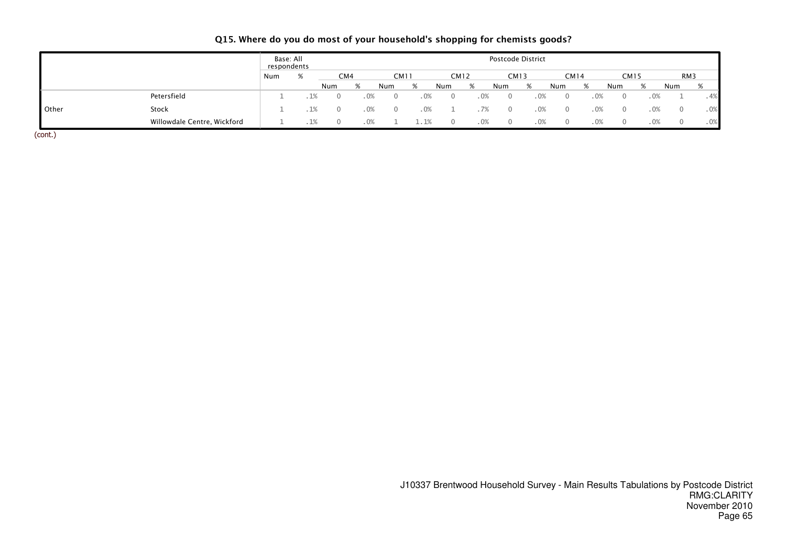|  | Q15. Where do you do most of your household's shopping for chemists goods? |  |  |  |  |
|--|----------------------------------------------------------------------------|--|--|--|--|
|--|----------------------------------------------------------------------------|--|--|--|--|

|              |                             | Base: All<br>respondents |      |     |     |      |             |        |             |      |          | Postcode District |          |             |     |             |     |     |
|--------------|-----------------------------|--------------------------|------|-----|-----|------|-------------|--------|-------------|------|----------|-------------------|----------|-------------|-----|-------------|-----|-----|
|              |                             | Num                      | %    |     | CM4 |      | <b>CM11</b> |        | <b>CM12</b> |      |          | CM13              |          | <b>CM14</b> |     | <b>CM15</b> |     | RM3 |
|              |                             |                          |      | Num | O   | Num  | %           |        | Num         |      | Num      | %                 | Num      | %           | Num | %           | Num | %   |
|              | Petersfield                 |                          | . 1% |     |     | . 0% |             | $.0\%$ |             | 0%   | $\Omega$ | .0%               | $\Omega$ |             | .0% | .0%         |     | .4% |
| <b>Other</b> | Stock                       |                          | . 1% |     |     | . 0% |             | .0%    |             |      | $\Omega$ | . 0%              | $\Omega$ |             | .0% | .0%         |     | .0% |
|              | Willowdale Centre, Wickford |                          | . 1% |     |     | .0%  |             | .1%    |             | . 0% | $\Omega$ | $.0\%$            | $\Omega$ |             | .0% | $.0\%$      |     | .0% |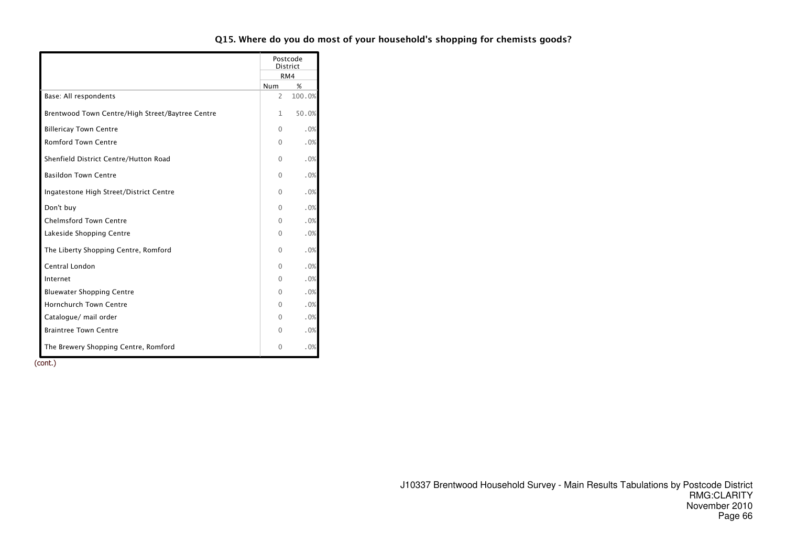|                                                  |          | Postcode<br><b>District</b> |
|--------------------------------------------------|----------|-----------------------------|
|                                                  |          | RM4                         |
|                                                  | Num      | %                           |
| Base: All respondents                            | 2        | 100.0%                      |
| Brentwood Town Centre/High Street/Baytree Centre | 1        | 50.0%                       |
| <b>Billericay Town Centre</b>                    | 0        | .0%                         |
| <b>Romford Town Centre</b>                       | $\Omega$ | .0%                         |
| Shenfield District Centre/Hutton Road            | $\Omega$ | .0%                         |
| <b>Basildon Town Centre</b>                      | $\Omega$ | .0%                         |
| Ingatestone High Street/District Centre          | $\Omega$ | $.0\%$                      |
| Don't buy                                        | 0        | .0%                         |
| <b>Chelmsford Town Centre</b>                    | 0        | .0%                         |
| Lakeside Shopping Centre                         | 0        | .0%                         |
| The Liberty Shopping Centre, Romford             | $\Omega$ | .0%                         |
| Central London                                   | $\Omega$ | .0%                         |
| Internet                                         | $\Omega$ | .0%                         |
| <b>Bluewater Shopping Centre</b>                 | 0        | .0%                         |
| <b>Hornchurch Town Centre</b>                    | 0        | .0%                         |
| Catalogue/ mail order                            | 0        | .0%                         |
| <b>Braintree Town Centre</b>                     | 0        | .0%                         |
| The Brewery Shopping Centre, Romford             | 0        | .0%                         |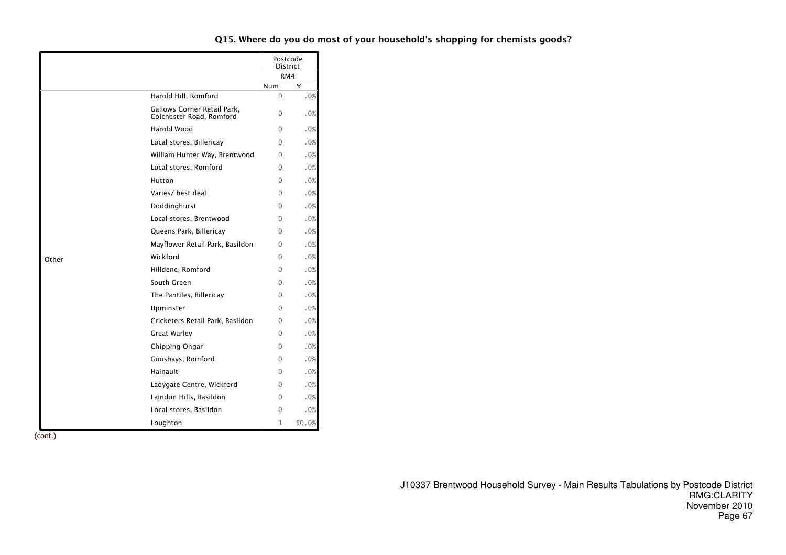|       |                                                         |              | Postcode<br><b>District</b> |
|-------|---------------------------------------------------------|--------------|-----------------------------|
|       |                                                         |              | RM4                         |
|       |                                                         | <b>Num</b>   | %                           |
|       | Harold Hill, Romford                                    | $\mathbf{0}$ | .0%                         |
|       | Gallows Corner Retail Park,<br>Colchester Road, Romford | $\Omega$     | .0%                         |
|       | Harold Wood                                             | 0            | .0%                         |
|       | Local stores, Billericay                                | 0            | .0%                         |
|       | William Hunter Way, Brentwood                           | 0            | .0%                         |
|       | Local stores, Romford                                   | $\Omega$     | .0%                         |
|       | Hutton                                                  | 0            | .0%                         |
|       | Varies/ best deal                                       | $\Omega$     | .0%                         |
|       | Doddinghurst                                            | 0            | .0%                         |
|       | Local stores, Brentwood                                 | $\Omega$     | .0%                         |
|       | Queens Park, Billericay                                 | 0            | .0%                         |
|       | Mayflower Retail Park, Basildon                         | 0            | .0%                         |
| Other | Wickford                                                | 0            | .0%                         |
|       | Hilldene, Romford                                       | 0            | .0%                         |
|       | South Green                                             | 0            | .0%                         |
|       | The Pantiles, Billericay                                | $\Omega$     | .0%                         |
|       | Upminster                                               | $\Omega$     | .0%                         |
|       | Cricketers Retail Park, Basildon                        | 0            | .0%                         |
|       | Great Warley                                            | 0            | .0%                         |
|       | Chipping Ongar                                          | 0            | .0%                         |
|       | Gooshays, Romford                                       | 0            | .0%                         |
|       | Hainault                                                | 0            | .0%                         |
|       | Ladygate Centre, Wickford                               | 0            | .0%                         |
|       | Laindon Hills, Basildon                                 | 0            | .0%                         |
|       | Local stores, Basildon                                  | $\mathbf{0}$ | .0%                         |
|       | Loughton                                                | 1            | 50.0%                       |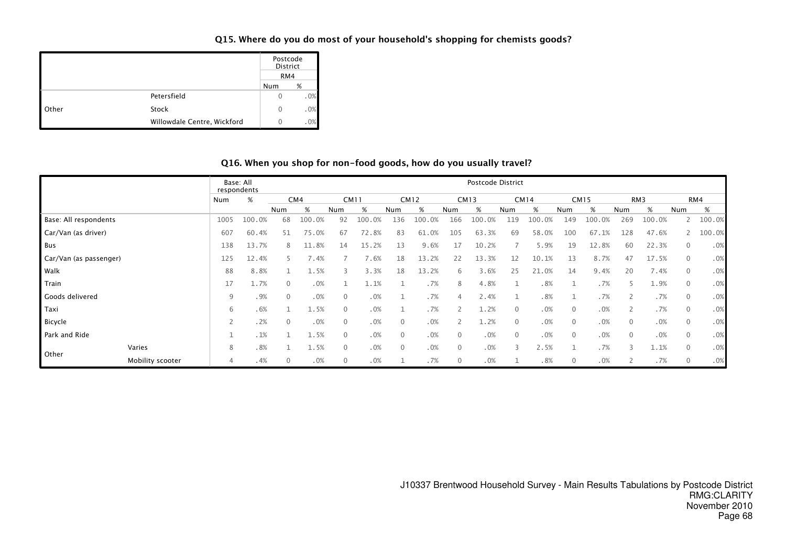#### Q15. Where do you do most of your household's shopping for chemists goods?

|       |                             | Postcode<br>District<br>RM4 |     |
|-------|-----------------------------|-----------------------------|-----|
|       |                             | Num                         | %   |
|       | Petersfield                 |                             | .0% |
| Other | Stock                       | O                           | .0% |
|       | Willowdale Centre, Wickford | $^{(+)}$                    | .0% |

#### Q16. When you shop for non-food goods, how do you usually travel?

|                        |                  | Base: All | respondents |              |        |                |             |                |           |                | Postcode District |                |             |              |             |              |        |                |        |
|------------------------|------------------|-----------|-------------|--------------|--------|----------------|-------------|----------------|-----------|----------------|-------------------|----------------|-------------|--------------|-------------|--------------|--------|----------------|--------|
|                        |                  | Num       | %           |              | CM4    |                | <b>CM11</b> |                | CM12      |                | <b>CM13</b>       |                | <b>CM14</b> |              | <b>CM15</b> |              | RM3    |                | RM4    |
|                        |                  |           |             | Num          | %      | Num            | %           | Num            | %         | Num            | %                 | Num            | %           | Num          | %           | Num          | %      | Num            | %      |
| Base: All respondents  |                  | 1005      | 100.0%      | 68           | 100.0% | 92             | 100.0%      | 136            | 100.0%    | 166            | 100.0%            | 119            | 100.0%      | 149          | 100.0%      | 269          | 100.0% | $\mathsf{2}$   | 100.0% |
| Car/Van (as driver)    |                  | 607       | 60.4%       | 51           | 75.0%  | 67             | 72.8%       | 83             | 61<br>.0% | 105            | 63.3%             | 69             | 58.0%       | 100          | 67.1%       | 128          | 47.6%  |                | 100.0% |
| Bus                    |                  | 138       | 13.7%       | 8            | 11.8%  | 14             | 15.2%       | 13             | 9.6%      | 17             | 10.2%             |                | 5.9%        | 19           | 12.8%       | 60           | 22.3%  | $\mathbf{0}$   | .0%    |
| Car/Van (as passenger) |                  | 125       | 12.4%       |              | 7.4%   |                | 7.6%        | 18             | 13.2%     | 22             | 13.3%             | 12             | 10.1%       | 13           | 8.7%        | 47           | 17.5%  | $\overline{0}$ | .0%    |
| Walk                   |                  | 88        | 8.8%        |              | 1.5%   | 3              | 3.3%        | 18             | 13.2%     | 6              | 3.6%              | 25             | 21.0%       | 14           | 9.4%        | 20           | 7.4%   | $\mathbf 0$    | .0%    |
| Train                  |                  | 17        | 1.7%        | $\Omega$     | .0%    |                | 1.1%        |                | .7%       | $\mathcal{R}$  | 4.8%              |                | .8%         |              | .7%         | ╮            | 1.9%   | $\overline{0}$ | .0%    |
| Goods delivered        |                  | 9         | .9%         | $\mathbf{0}$ | .0%    | $\overline{0}$ | .0%         |                | .7%       | $\overline{4}$ | 2.4%              |                | .8%         |              | .7%         | 2            | .7%    | $\overline{0}$ | .0%    |
| Taxi                   |                  | 6         | .6%         |              | 1.5%   | $\mathbf{0}$   | .0%         |                | .7%       |                | 1.2%              | $\Omega$       | .0%         | $\mathbf{0}$ | .0%         | 2            | .7%    | $\mathbf 0$    | .0%    |
| Bicycle                |                  |           | .2%         | $\mathbf 0$  | .0%    | $\overline{0}$ | .0%         | $\mathbf{0}$   | .0%       |                | 1.2%              | $\overline{0}$ | .0%         | $\mathbf{0}$ | .0%         | $\mathbf 0$  | .0%    | $\overline{0}$ | .0%    |
| Park and Ride          |                  |           | .1%         |              | 1.5%   | $\mathbf{0}$   | .0%         | $\overline{0}$ | .0%       | $\Omega$       | .0%               | $\mathbf{0}$   | .0%         | $\mathbf{0}$ | .0%         | $\mathbf{0}$ | .0%    | $\mathbf 0$    | .0%    |
|                        | Varies           | 8         | .8%         |              | 1.5%   | $\mathbf{0}$   | .0%         | $\overline{0}$ | .0%       | $\Omega$       | .0%               |                | 2.5%        |              | .7%         | 3            | 1.1%   | $\overline{0}$ | .0%    |
| Other                  | Mobility scooter | 4         | .4%         | 0            | .0%    | $\overline{0}$ | .0%         |                | .7%       | $\Omega$       | .0%               |                | .8%         | 0            | .0%         |              | .7%    | $\mathbf 0$    | .0%    |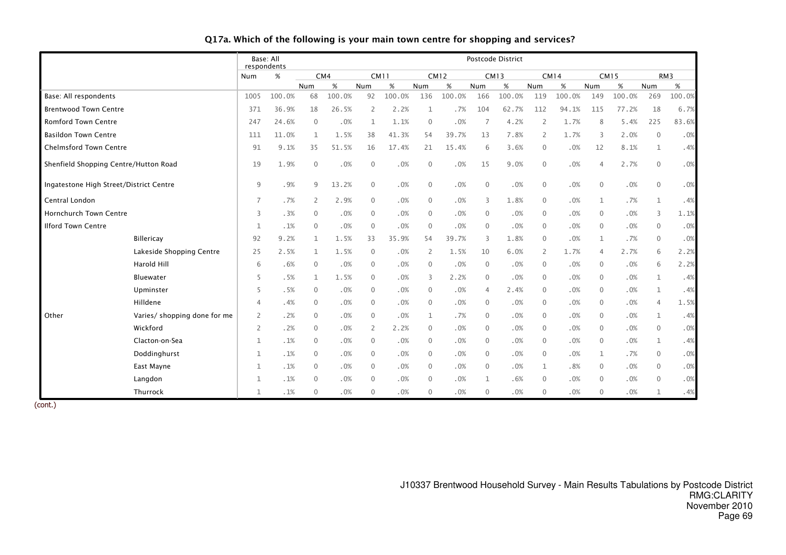|                                         |                              | respondents    | Base: All |              |        |                |        |              |             |                | Postcode District |                |             |                |             |              |                 |
|-----------------------------------------|------------------------------|----------------|-----------|--------------|--------|----------------|--------|--------------|-------------|----------------|-------------------|----------------|-------------|----------------|-------------|--------------|-----------------|
|                                         |                              | Num            | %         |              | CM4    | <b>CM11</b>    |        |              | <b>CM12</b> |                | <b>CM13</b>       |                | <b>CM14</b> |                | <b>CM15</b> |              | RM <sub>3</sub> |
|                                         |                              |                |           | Num          | $\%$   | Num            | $\%$   | Num          | %           | Num            | $\%$              | <b>Num</b>     | $\%$        | Num            | %           | Num          | %               |
| Base: All respondents                   |                              | 1005           | 100.0%    | 68           | 100.0% | 92             | 100.0% | 136          | 100.0%      | 166            | 100.0%            | 119            | 100.0%      | 149            | 100.0%      | 269          | 100.0%          |
| <b>Brentwood Town Centre</b>            |                              | 371            | 36.9%     | 18           | 26.5%  | 2              | 2.2%   | $\mathbf 1$  | .7%         | 104            | 62.7%             | 112            | 94.1%       | 115            | 77.2%       | 18           | 6.7%            |
| <b>Romford Town Centre</b>              |                              | 247            | 24.6%     | $\mathbf{0}$ | .0%    | 1              | 1.1%   | $\mathbf 0$  | .0%         | $\overline{7}$ | 4.2%              | 2              | 1.7%        | 8              | 5.4%        | 225          | 83.6%           |
| <b>Basildon Town Centre</b>             |                              | 111            | 11.0%     | 1            | 1.5%   | 38             | 41.3%  | 54           | 39.7%       | 13             | 7.8%              | 2              | 1.7%        | 3              | 2.0%        | $\mathbf{0}$ | .0%             |
| <b>Chelmsford Town Centre</b>           |                              | 91             | 9.1%      | 35           | 51.5%  | 16             | 17.4%  | 21           | 15.4%       | 6              | 3.6%              | $\mathbf{0}$   | .0%         | 12             | 8.1%        | $\mathbf{1}$ | .4%             |
| Shenfield Shopping Centre/Hutton Road   |                              | 19             | 1.9%      | $\mathbf{0}$ | $.0\%$ | $\mathbf{0}$   | .0%    | $\mathbf 0$  | .0%         | 15             | 9.0%              | $\mathbf{0}$   | .0%         | $\overline{4}$ | 2.7%        | $\mathbf 0$  | .0%             |
| Ingatestone High Street/District Centre |                              | 9              | .9%       | 9            | 13.2%  | $\mathbf 0$    | .0%    | $\mathbf 0$  | .0%         | $\overline{0}$ | .0%               | $\mathbf{0}$   | .0%         | $\mathbf{0}$   | .0%         | $\mathbf 0$  | .0%             |
| Central London                          |                              | 7              | .7%       | 2            | 2.9%   | $\mathbf 0$    | .0%    | $\mathbf 0$  | .0%         | 3              | 1.8%              | $\overline{0}$ | .0%         | $\mathbf{1}$   | .7%         | $\mathbf 1$  | .4%             |
| <b>Hornchurch Town Centre</b>           |                              | 3              | .3%       | $\mathbf{0}$ | .0%    | $\mathbf{0}$   | .0%    | $\mathbf{0}$ | .0%         | $\overline{0}$ | .0%               | $\Omega$       | .0%         | $\mathbf{0}$   | .0%         | 3            | 1.1%            |
| <b>Ilford Town Centre</b>               |                              | 1              | .1%       | $\mathbf{0}$ | .0%    | $\mathbf 0$    | .0%    | $\mathbf 0$  | .0%         | $\overline{0}$ | .0%               | $\mathbf{0}$   | .0%         | $\mathbf{0}$   | .0%         | $\mathbf 0$  | .0%             |
|                                         | Billericay                   | 92             | 9.2%      | $\mathbf{1}$ | 1.5%   | 33             | 35.9%  | 54           | 39.7%       | 3              | 1.8%              | $\Omega$       | .0%         | $\mathbf{1}$   | .7%         | $\mathbf 0$  | .0%             |
|                                         | Lakeside Shopping Centre     | 25             | 2.5%      | $\mathbf{1}$ | 1.5%   | $\mathbf{0}$   | .0%    | 2            | 1.5%        | 10             | 6.0%              | 2              | 1.7%        | $\overline{4}$ | 2.7%        | 6            | 2.2%            |
|                                         | Harold Hill                  | 6              | .6%       | $\mathbf{0}$ | .0%    | $\mathbf{0}$   | .0%    | $\mathbf 0$  | .0%         | $\overline{0}$ | .0%               | $\mathbf{0}$   | .0%         | $\mathbf{0}$   | .0%         | 6            | 2.2%            |
|                                         | Bluewater                    | 5              | .5%       | $\mathbf{1}$ | 1.5%   | 0              | .0%    | 3            | 2.2%        | $\overline{0}$ | .0%               | $\mathbf{0}$   | .0%         | $\mathbf{0}$   | .0%         | $\mathbf 1$  | .4%             |
|                                         | Upminster                    | 5              | .5%       | $\mathbf{0}$ | .0%    | $\mathbf{0}$   | .0%    | $\mathbf{0}$ | .0%         | $\overline{4}$ | 2.4%              | $\Omega$       | .0%         | $\Omega$       | .0%         | $\mathbf 1$  | .4%             |
|                                         | Hilldene                     | 4              | .4%       | $\mathbf{0}$ | .0%    | $\mathbf 0$    | .0%    | $\mathbf 0$  | .0%         | $\overline{0}$ | .0%               | $\mathbf{0}$   | .0%         | $\mathbf{0}$   | .0%         | 4            | 1.5%            |
| Other                                   | Varies/ shopping done for me | $\overline{2}$ | .2%       | $\mathbf{0}$ | .0%    | $\mathbf{0}$   | .0%    | $\mathbf 1$  | .7%         | $\Omega$       | .0%               | $\mathbf{0}$   | .0%         | $\mathbf{0}$   | .0%         | $\mathbf 1$  | .4%             |
|                                         | Wickford                     | 2              | .2%       | $\mathbf{0}$ | .0%    | 2              | 2.2%   | $\mathbf 0$  | .0%         | $\mathbf{0}$   | .0%               | $\mathbf{0}$   | .0%         | $\mathbf 0$    | .0%         | $\mathbf 0$  | .0%             |
|                                         | Clacton-on-Sea               | $\mathbf{1}$   | .1%       | $\mathbf{0}$ | .0%    | $\mathbf{0}$   | .0%    | $\mathbf 0$  | .0%         | $\mathbf{0}$   | .0%               | $\mathbf{0}$   | .0%         | $\mathbf{0}$   | .0%         | $\mathbf 1$  | .4%             |
|                                         | Doddinghurst                 | 1              | .1%       | $\mathbf 0$  | .0%    | $\mathbf 0$    | .0%    | $\mathbf 0$  | .0%         | $\mathbf 0$    | .0%               | $\mathbf{0}$   | .0%         | 1              | .7%         | $\mathbf 0$  | .0%             |
|                                         | East Mayne                   | $\mathbf{1}$   | .1%       | $\mathbf{0}$ | .0%    | $\mathbf{0}$   | .0%    | $\mathbf 0$  | .0%         | $\mathbf{0}$   | .0%               | $\mathbf{1}$   | .8%         | $\mathbf{0}$   | .0%         | $\mathbf 0$  | .0%             |
|                                         | Langdon                      | 1              | .1%       | $\mathbf{0}$ | .0%    | $\overline{0}$ | .0%    | $\mathbf 0$  | .0%         | 1              | .6%               | $\mathbf{0}$   | .0%         | 0              | .0%         | $\mathbf 0$  | .0%             |
|                                         | Thurrock                     | $\mathbf{1}$   | .1%       | $\mathbf{0}$ | .0%    | $\mathbf{0}$   | .0%    | $\mathbf 0$  | .0%         | $\mathbf{0}$   | .0%               | $\mathbf{0}$   | .0%         | $\mathbf{0}$   | .0%         | $\mathbf 1$  | .4%             |

# Q17a. Which of the following is your main town centre for shopping and services?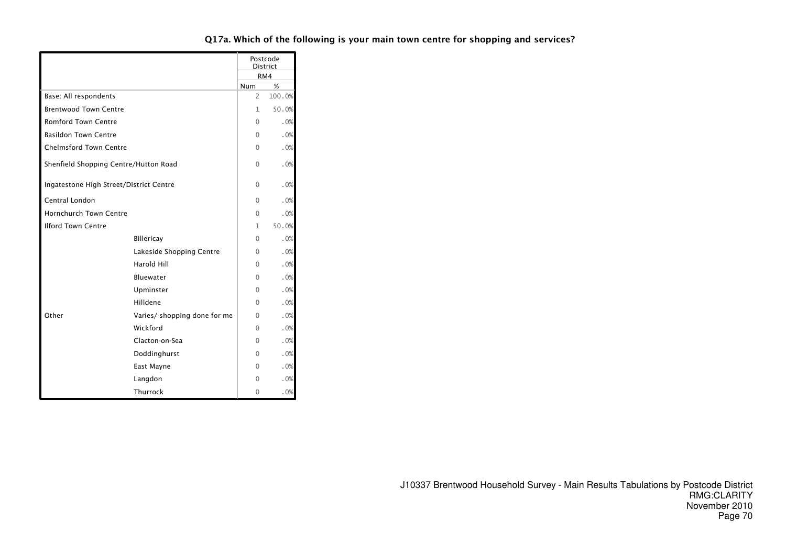|                                         |                              |          | Postcode<br><b>District</b><br>RM4 |
|-----------------------------------------|------------------------------|----------|------------------------------------|
|                                         |                              | Num      | %                                  |
| Base: All respondents                   | $\overline{2}$               | 100.0%   |                                    |
| <b>Brentwood Town Centre</b>            | 1                            | 50.0%    |                                    |
| <b>Romford Town Centre</b>              | 0                            | .0%      |                                    |
| <b>Basildon Town Centre</b>             |                              | 0        | .0%                                |
| <b>Chelmsford Town Centre</b>           |                              | 0        | .0%                                |
| Shenfield Shopping Centre/Hutton Road   | 0                            | .0%      |                                    |
| Ingatestone High Street/District Centre | 0                            | .0%      |                                    |
| Central London                          | 0                            | .0%      |                                    |
| <b>Hornchurch Town Centre</b>           | $\Omega$                     | .0%      |                                    |
| <b>Ilford Town Centre</b>               | 1                            | 50.0%    |                                    |
|                                         | <b>Billericay</b>            | $\Omega$ | .0%                                |
|                                         | Lakeside Shopping Centre     | 0        | .0%                                |
|                                         | Harold Hill                  | 0        | .0%                                |
|                                         | Bluewater                    | 0        | .0%                                |
|                                         | Upminster                    | 0        | .0%                                |
|                                         | Hilldene                     | 0        | .0%                                |
| Other                                   | Varies/ shopping done for me | 0        | .0%                                |
|                                         | Wickford                     | 0        | .0%                                |
|                                         | Clacton-on-Sea               | 0        | .0%                                |
|                                         | Doddinghurst                 | 0        | .0%                                |
|                                         | East Mayne                   | 0        | .0%                                |
|                                         | Langdon                      | 0        | .0%                                |
|                                         | Thurrock                     | 0        | .0%                                |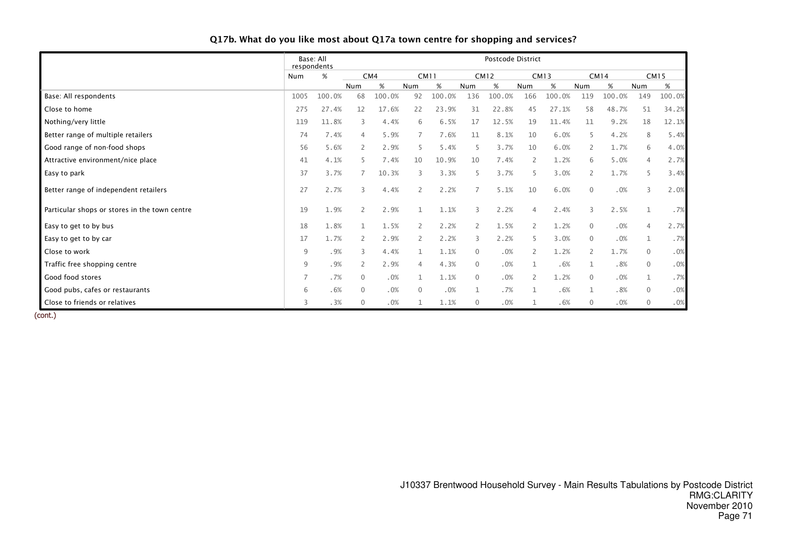|                                               | Base: All<br>respondents |        |          |        |                |        |                | Postcode District |                |        |                |        |                |        |  |  |  |  |  |  |  |  |
|-----------------------------------------------|--------------------------|--------|----------|--------|----------------|--------|----------------|-------------------|----------------|--------|----------------|--------|----------------|--------|--|--|--|--|--|--|--|--|
|                                               | %<br>Num                 |        |          | CM4    | <b>CM11</b>    |        |                | <b>CM12</b>       | <b>CM13</b>    |        | <b>CM14</b>    |        | <b>CM15</b>    |        |  |  |  |  |  |  |  |  |
|                                               |                          |        | Num      | %      | Num            | %      | Num            | %                 | Num            | %      | Num            | %      | Num            | %      |  |  |  |  |  |  |  |  |
| Base: All respondents                         | 1005                     | 100.0% | 68       | 100.0% | 92             | 100.0% | 136            | 100.0%            | 166            | 100.0% | 119            | 100.0% | 149            | 100.0% |  |  |  |  |  |  |  |  |
| Close to home                                 | 275                      | 27.4%  | 12       | 17.6%  | 22             | 23.9%  | 31             | 22.8%             | 45             | 27.1%  | 58             | 48.7%  | 51             | 34.2%  |  |  |  |  |  |  |  |  |
| Nothing/very little                           | 119                      | 11.8%  | 3        | 4.4%   | 6              | 6.5%   | 17             | 12.5%             | 19             | 11.4%  | 11             | 9.2%   | 18             | 12.1%  |  |  |  |  |  |  |  |  |
| Better range of multiple retailers            | 74                       | 7.4%   | 4        | 5.9%   |                | 7.6%   | 11             | 8.1%              | 10             | 6.0%   | 5              | 4.2%   | 8              | 5.4%   |  |  |  |  |  |  |  |  |
| Good range of non-food shops                  | 56                       | 5.6%   | 2        | 2.9%   | 5              | 5.4%   | 5              | 3.7%              | 10             | 6.0%   | $\overline{2}$ | 1.7%   | 6              | 4.0%   |  |  |  |  |  |  |  |  |
| Attractive environment/nice place             | 41                       | 4.1%   |          | 7.4%   | 10             | 10.9%  | 10             | 7.4%              |                | 1.2%   | 6              | 5.0%   | 4              | 2.7%   |  |  |  |  |  |  |  |  |
| Easy to park                                  | 37                       | 3.7%   |          | 10.3%  | 3              | 3.3%   | 5              | 3.7%              | 5              | 3.0%   | $\overline{2}$ | 1.7%   | 5              | 3.4%   |  |  |  |  |  |  |  |  |
| Better range of independent retailers         | 27                       | 2.7%   | 3        | 4.4%   | $\mathbf{2}$   | 2.2%   | $\overline{7}$ | 5.1%              | 10             | 6.0%   | $\mathbf{0}$   | .0%    | 3              | 2.0%   |  |  |  |  |  |  |  |  |
| Particular shops or stores in the town centre | 19                       | 1.9%   | 2        | 2.9%   |                | 1.1%   | 3              | 2.2%              | 4              | 2.4%   | 3              | 2.5%   |                | .7%    |  |  |  |  |  |  |  |  |
| Easy to get to by bus                         | 18                       | 1.8%   | 1        | 1.5%   | $\overline{2}$ | 2.2%   | 2              | 1.5%              | $\overline{2}$ | 1.2%   | $\mathbf{0}$   | .0%    | $\overline{4}$ | 2.7%   |  |  |  |  |  |  |  |  |
| Easy to get to by car                         | 17                       | 1.7%   | 2        | 2.9%   | $\mathbf{2}$   | 2.2%   | 3              | 2.2%              | 5.             | 3.0%   | $\mathbf{0}$   | .0%    | $\mathbf{1}$   | .7%    |  |  |  |  |  |  |  |  |
| Close to work                                 | 9                        | .9%    | 3        | 4.4%   |                | 1.1%   | $\mathbf{0}$   | .0%               | 2              | 1.2%   | $\overline{2}$ | 1.7%   | $\mathbf{0}$   | .0%    |  |  |  |  |  |  |  |  |
| Traffic free shopping centre                  | 9                        | .9%    | 2        | 2.9%   |                | 4.3%   | $\mathbf 0$    | .0%               |                | .6%    |                | .8%    | $\mathbf{0}$   | .0%    |  |  |  |  |  |  |  |  |
| Good food stores                              | 7                        | .7%    | $\Omega$ | .0%    |                | 1.1%   | $\mathbf{0}$   | .0%               |                | 1.2%   | $\mathbf{0}$   | .0%    | 1              | .7%    |  |  |  |  |  |  |  |  |
| Good pubs, cafes or restaurants               | 6                        | .6%    | $\Omega$ | .0%    | $\Omega$       | .0%    | $\mathbf{1}$   | .7%               |                | .6%    | $\mathbf{1}$   | .8%    | $\mathbf 0$    | .0%    |  |  |  |  |  |  |  |  |
| Close to friends or relatives                 | 3                        | .3%    | 0        | .0%    |                | 1.1%   | $\mathbf 0$    | .0%               |                | .6%    | $\mathbf 0$    | .0%    | $\mathbf 0$    | .0%    |  |  |  |  |  |  |  |  |

#### Q17b. What do you like most about Q17a town centre for shopping and services?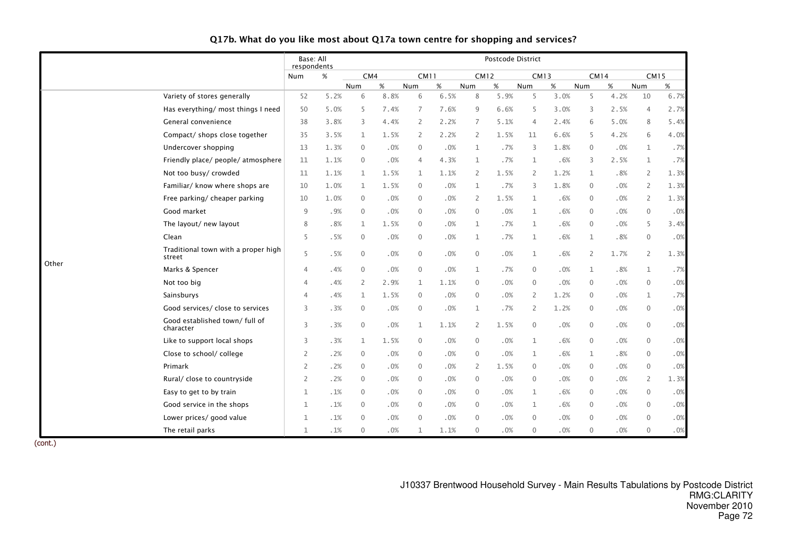|       |                                               | respondents    | Base: All<br>Postcode District |                |      |                |        |                |        |                |      |                     |        |                  |      |
|-------|-----------------------------------------------|----------------|--------------------------------|----------------|------|----------------|--------|----------------|--------|----------------|------|---------------------|--------|------------------|------|
|       |                                               | Num            | %                              | CM4            |      | <b>CM11</b>    |        | <b>CM12</b>    |        | <b>CM13</b>    |      | <b>CM14</b>         |        | <b>CM15</b>      |      |
|       |                                               |                |                                | Num            | $\%$ | Num            | $\%$   | Num            | $\%$   | Num            | $\%$ | Num                 | $\%$   | Num              | %    |
|       | Variety of stores generally                   | 52             | 5.2%                           | 6              | 8.8% | 6              | 6.5%   | 8              | 5.9%   | 5              | 3.0% | 5                   | 4.2%   | 10               | 6.7% |
|       | Has everything/ most things I need            | 50             | 5.0%                           | 5              | 7.4% | 7              | 7.6%   | 9              | 6.6%   | 5              | 3.0% | 3                   | 2.5%   | 4                | 2.7% |
|       | General convenience                           | 38             | 3.8%                           | 3              | 4.4% | $\overline{2}$ | 2.2%   | $\overline{7}$ | 5.1%   | $\overline{4}$ | 2.4% | 6                   | 5.0%   | 8                | 5.4% |
|       | Compact/ shops close together                 | 35             | 3.5%                           | $\mathbf{1}$   | 1.5% | $\overline{2}$ | 2.2%   | $\overline{2}$ | 1.5%   | 11             | 6.6% | 5                   | 4.2%   | 6                | 4.0% |
|       | Undercover shopping                           | 13             | 1.3%                           | $\mathbf 0$    | .0%  | $\mathbf 0$    | .0%    | $\mathbf{1}$   | .7%    | 3              | 1.8% | $\mathbf{0}$        | .0%    | $\mathbf{1}$     | .7%  |
|       | Friendly place/ people/ atmosphere            | 11             | 1.1%                           | $\mathbf{0}$   | .0%  | $\overline{4}$ | 4.3%   | 1              | .7%    | 1              | .6%  | 3                   | 2.5%   | $\mathbf{1}$     | .7%  |
|       | Not too busy/ crowded                         | 11             | 1.1%                           | 1              | 1.5% | 1              | 1.1%   | $\mathbf{2}$   | 1.5%   | $\overline{2}$ | 1.2% | 1                   | .8%    | $\overline{2}$   | 1.3% |
|       | Familiar/ know where shops are                | 10             | 1.0%                           | 1              | 1.5% | $\overline{0}$ | .0%    | 1              | .7%    | 3              | 1.8% | $\mathbf{0}$        | .0%    | $\overline{2}$   | 1.3% |
|       | Free parking/ cheaper parking                 | 10             | 1.0%                           | $\mathbf 0$    | .0%  | $\overline{0}$ | .0%    | $\overline{2}$ | 1.5%   | $\mathbf{1}$   | .6%  | $\mathbf{0}$        | .0%    | $\overline{2}$   | 1.3% |
| Other | Good market                                   | 9              | .9%                            | $\mathbf{0}$   | .0%  | $\mathbf 0$    | .0%    | $\mathbf 0$    | .0%    | $\mathbf{1}$   | .6%  | $\mathbf 0$         | .0%    | $\mathbf 0$      | .0%  |
|       | The layout/ new layout                        | 8              | .8%                            | $\mathbf{1}$   | 1.5% | $\mathbf 0$    | .0%    | $\mathbf 1$    | .7%    | $\mathbf{1}$   | .6%  | $\mathbf 0$         | .0%    | 5                | 3.4% |
|       | Clean                                         | 5              | .5%                            | $\mathbf 0$    | .0%  | $\mathbf 0$    | .0%    | 1              | .7%    | 1              | .6%  | $\mathbf 1$         | .8%    | $\mathbf 0$      | .0%  |
|       | Traditional town with a proper high<br>street | 5              | .5%                            | $\mathbf{0}$   | .0%  | $\overline{0}$ | .0%    | $\mathbf 0$    | .0%    | $\mathbf{1}$   | .6%  | $\overline{2}$      | 1.7%   | $\overline{2}$   | 1.3% |
|       | Marks & Spencer                               | $\overline{4}$ | .4%                            | $\Omega$       | .0%  | $\overline{0}$ | .0%    | $\mathbf 1$    | .7%    | $\Omega$       | .0%  | $\mathbf{1}$        | .8%    | $\mathbf 1$      | .7%  |
|       | Not too big                                   | $\overline{4}$ | .4%                            | $\overline{2}$ | 2.9% | 1              | 1.1%   | 0              | .0%    | $\Omega$       | .0%  | $\mathbf 0$         | .0%    | $\mathbf 0$      | .0%  |
|       | Sainsburys                                    | $\overline{4}$ | .4%                            | $\mathbf{1}$   | 1.5% | $\overline{0}$ | .0%    | $\mathbf 0$    | .0%    | $\overline{2}$ | 1.2% | $\mathbf 0$         | .0%    | $\mathbf{1}$     | .7%  |
|       | Good services/ close to services              | 3              | .3%                            | $\mathbf{0}$   | .0%  | $\overline{0}$ | $.0\%$ | $\mathbf{1}$   | .7%    | $\overline{2}$ | 1.2% | $\mathsf{O}\xspace$ | $.0\%$ | $\boldsymbol{0}$ | .0%  |
|       | Good established town/ full of<br>character   | 3              | .3%                            | $\mathbf{0}$   | .0%  | $\mathbf{1}$   | 1.1%   | $\overline{2}$ | 1.5%   | $\mathbf{0}$   | .0%  | $\mathbf 0$         | .0%    | $\boldsymbol{0}$ | .0%  |
|       | Like to support local shops                   | 3              | .3%                            | $\mathbf{1}$   | 1.5% | $\mathbf 0$    | .0%    | $\mathbf 0$    | .0%    | $\mathbf{1}$   | .6%  | $\mathbf 0$         | .0%    | $\boldsymbol{0}$ | .0%  |
|       | Close to school/ college                      | $\overline{2}$ | .2%                            | $\mathbf{0}$   | .0%  | $\mathbf 0$    | .0%    | 0              | .0%    | 1              | .6%  | 1                   | .8%    | $\mathbf 0$      | .0%  |
|       | Primark                                       | $\overline{2}$ | .2%                            | $\Omega$       | .0%  | $\overline{0}$ | .0%    | $\overline{2}$ | 1.5%   | $\Omega$       | .0%  | $\Omega$            | .0%    | $\mathbf 0$      | .0%  |
|       | Rural/ close to countryside                   | $\overline{2}$ | .2%                            | $\mathbf{0}$   | .0%  | $\overline{0}$ | .0%    | 0              | .0%    | $\mathbf{0}$   | .0%  | $\mathbf{0}$        | .0%    | $\overline{2}$   | 1.3% |
|       | Easy to get to by train                       | $\mathbf{1}$   | .1%                            | $\mathbf{0}$   | .0%  | $\overline{0}$ | .0%    | $\mathbf 0$    | .0%    | $\mathbf{1}$   | .6%  | $\mathbf 0$         | .0%    | $\mathbf 0$      | .0%  |
|       | Good service in the shops                     | $\mathbf{1}$   | .1%                            | $\mathbf{0}$   | .0%  | $\mathbf 0$    | .0%    | $\mathbf 0$    | .0%    | 1              | .6%  | $\mathbf{0}$        | .0%    | $\mathbf 0$      | .0%  |
|       | Lower prices/ good value                      | $\mathbf 1$    | .1%                            | $\mathbf{0}$   | .0%  | $\overline{0}$ | .0%    | 0              | $.0\%$ | $\Omega$       | .0%  | $\mathbf{0}$        | .0%    | $\mathbf 0$      | .0%  |
|       | The retail parks                              | $\mathbf{1}$   | .1%                            | $\mathbf{0}$   | .0%  | 1              | 1.1%   | $\mathbf{0}$   | .0%    | $\mathbf{0}$   | .0%  | $\mathbf 0$         | .0%    | $\mathbf{0}$     | .0%  |

## Q17b. What do you like most about Q17a town centre for shopping and services?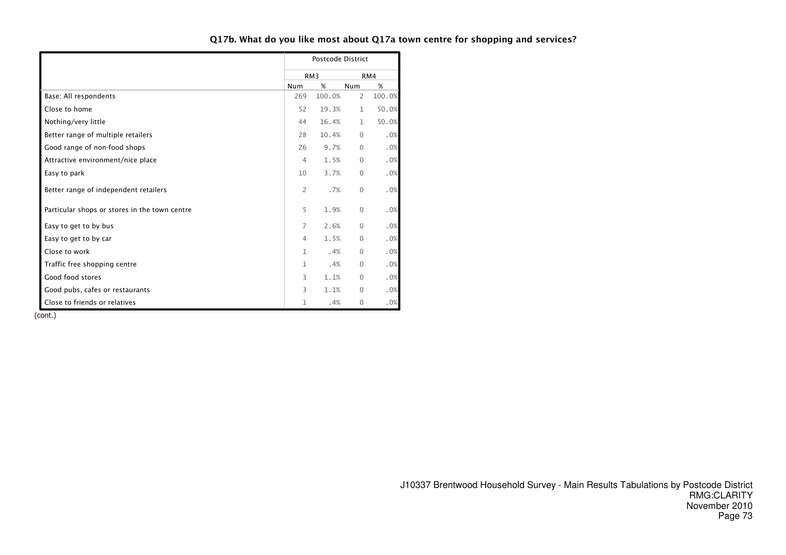|                                               |                | <b>Postcode District</b> |                |        |
|-----------------------------------------------|----------------|--------------------------|----------------|--------|
|                                               |                | RM <sub>3</sub>          |                | RM4    |
|                                               | <b>Num</b>     | %                        | <b>Num</b>     | %      |
| Base: All respondents                         | 269            | 100.0%                   | $\overline{2}$ | 100.0% |
| Close to home                                 | 52             | 19.3%                    | $\mathbf{1}$   | 50.0%  |
| Nothing/very little                           | 44             | 16.4%                    | $\mathbf{1}$   | 50.0%  |
| Better range of multiple retailers            | 28             | 10.4%                    | $\Omega$       | .0%    |
| Good range of non-food shops                  | 26             | 9.7%                     | $\mathbf{0}$   | .0%    |
| Attractive environment/nice place             | 4              | 1.5%                     | $\Omega$       | .0%    |
| Easy to park                                  | 10             | 3.7%                     | $\Omega$       | .0%    |
| Better range of independent retailers         | $\overline{2}$ | .7%                      | $\mathbf{0}$   | .0%    |
| Particular shops or stores in the town centre | 5              | 1.9%                     | $\mathbf{0}$   | .0%    |
| Easy to get to by bus                         | 7              | 2.6%                     | $\Omega$       | .0%    |
| Easy to get to by car                         | 4              | 1.5%                     | $\Omega$       | .0%    |
| Close to work                                 | $\mathbf 1$    | .4%                      | $\mathbf{0}$   | .0%    |
| Traffic free shopping centre                  | 1              | .4%                      | $\Omega$       | .0%    |
| Good food stores                              | 3              | 1.1%                     | $\Omega$       | .0%    |
| Good pubs, cafes or restaurants               | 3              | 1.1%                     | $\Omega$       | .0%    |
| Close to friends or relatives                 | 1              | .4%                      | $\mathbf{0}$   | .0%    |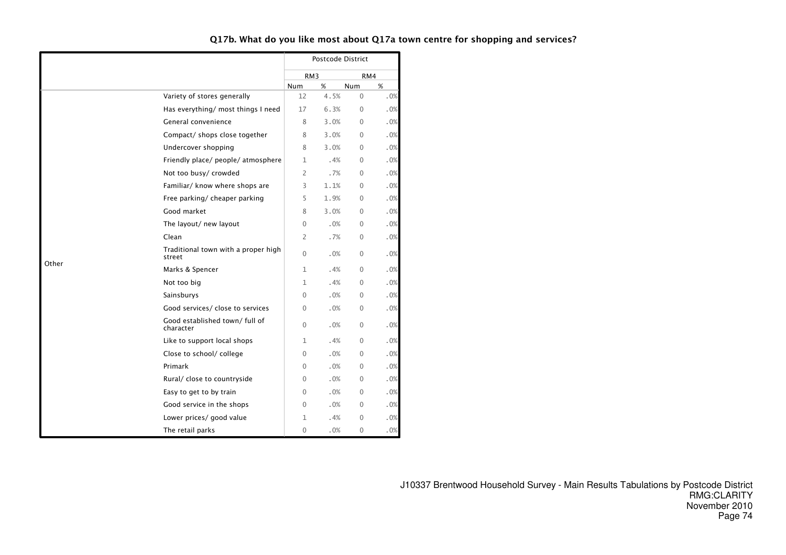|       |                                               |                 | Postcode District |            |     |
|-------|-----------------------------------------------|-----------------|-------------------|------------|-----|
|       |                                               | RM <sub>3</sub> |                   | RM4        |     |
|       |                                               | Num             | %                 | <b>Num</b> | %   |
|       | Variety of stores generally                   | 12              | 4.5%              | $\Omega$   | .0% |
|       | Has everything/ most things I need            | 17              | 6.3%              | $\Omega$   | .0% |
|       | General convenience                           | 8               | 3.0%              | $\Omega$   | .0% |
|       | Compact/ shops close together                 | 8               | 3.0%              | $\Omega$   | .0% |
|       | Undercover shopping                           | 8               | 3.0%              | $\Omega$   | .0% |
|       | Friendly place/ people/ atmosphere            | 1               | .4%               | $\Omega$   | .0% |
|       | Not too busy/ crowded                         | 2               | .7%               | $\Omega$   | .0% |
|       | Familiar/ know where shops are                | 3               | 1.1%              | $\Omega$   | .0% |
|       | Free parking/ cheaper parking                 | 5               | 1.9%              | $\Omega$   | .0% |
|       | Good market                                   | 8               | 3.0%              | $\Omega$   | .0% |
|       | The layout/ new layout                        | 0               | .0%               | $\Omega$   | .0% |
|       | Clean                                         | 2               | .7%               | $\Omega$   | .0% |
|       | Traditional town with a proper high<br>street | $\Omega$        | .0%               | $\Omega$   | .0% |
| Other | Marks & Spencer                               | 1               | .4%               | $\Omega$   | .0% |
|       | Not too big                                   | 1               | .4%               | $\Omega$   | .0% |
|       | Sainsburys                                    | 0               | .0%               | $\Omega$   | .0% |
|       | Good services/ close to services              | 0               | .0%               | 0          | .0% |
|       | Good established town/ full of<br>character   | $\mathbf{0}$    | .0%               | $\Omega$   | .0% |
|       | Like to support local shops                   | 1               | .4%               | $\Omega$   | .0% |
|       | Close to school/ college                      | 0               | .0%               | $\Omega$   | .0% |
|       | Primark                                       | 0               | .0%               | $\Omega$   | .0% |
|       | Rural/ close to countryside                   | 0               | .0%               | $\Omega$   | .0% |
|       | Easy to get to by train                       | $\Omega$        | .0%               | $\Omega$   | .0% |
|       | Good service in the shops                     | $\Omega$        | .0%               | $\Omega$   | .0% |
|       | Lower prices/ good value                      | 1               | .4%               | $\Omega$   | .0% |
|       | The retail parks                              | $\Omega$        | .0%               | $\Omega$   | .0% |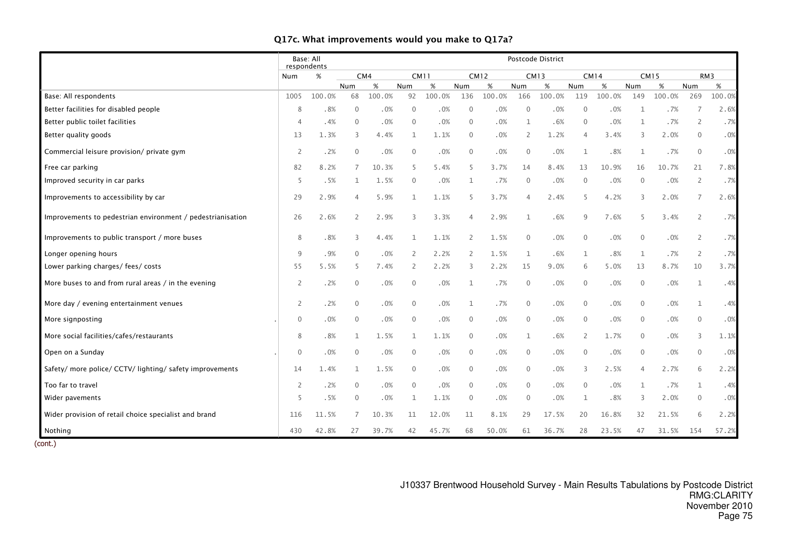|                                                            | Base: All<br>respondents |        |                |        |              |        |                |        |              | Postcode District |                |             |              |        |                |        |
|------------------------------------------------------------|--------------------------|--------|----------------|--------|--------------|--------|----------------|--------|--------------|-------------------|----------------|-------------|--------------|--------|----------------|--------|
|                                                            | Num                      | $\%$   |                | CM4    | <b>CM11</b>  |        | <b>CM12</b>    |        |              | <b>CM13</b>       |                | <b>CM14</b> | <b>CM15</b>  |        |                | RM3    |
|                                                            |                          |        | Num            | %      | Num          | %      | Num            | %      | Num          | %                 | Num            | %           | Num          | %      | <b>Num</b>     | %      |
| Base: All respondents                                      | 1005                     | 100.0% | 68             | 100.0% | 92           | 100.0% | 136            | 100.0% | 166          | 100.0%            | 119            | 100.0%      | 149          | 100.0% | 269            | 100.0% |
| Better facilities for disabled people                      |                          | .8%    | $\Omega$       | .0%    | $\mathbf{0}$ | .0%    | $\theta$       | .0%    | $\Omega$     | .0%               | $\overline{0}$ | .0%         | $\mathbf{1}$ | .7%    | $\overline{7}$ | 2.6%   |
| Better public toilet facilities                            |                          | .4%    | $\mathbf{0}$   | .0%    | $\mathbf 0$  | .0%    | $\mathbf{0}$   | .0%    | $\mathbf{1}$ | .6%               | $\mathbf{0}$   | .0%         | 1            | .7%    | 2              | .7%    |
| Better quality goods                                       | 13                       | 1.3%   | 3              | 4.4%   | $\mathbf{1}$ | 1.1%   | $\mathbf{0}$   | .0%    | 2            | 1.2%              | $\overline{4}$ | 3.4%        | 3            | 2.0%   | $\mathbf{0}$   | .0%    |
| Commercial leisure provision/ private gym                  | 2                        | .2%    | $\mathbf{0}$   | .0%    | $\mathbf 0$  | .0%    | $\mathbf 0$    | .0%    | $\mathbf 0$  | .0%               | $\mathbf{1}$   | .8%         | $\mathbf{1}$ | .7%    | $\mathbf{0}$   | .0%    |
| Free car parking                                           | 82                       | 8.2%   | 7              | 10.3%  | 5            | 5.4%   | 5              | 3.7%   | 14           | 8.4%              | 13             | 10.9%       | 16           | 10.7%  | 21             | 7.8%   |
| Improved security in car parks                             | 5                        | .5%    |                | 1.5%   | $\mathbf 0$  | .0%    | 1              | .7%    | $\mathbf 0$  | .0%               | $\overline{0}$ | .0%         | $\mathbf{0}$ | .0%    | $\overline{2}$ | .7%    |
| Improvements to accessibility by car                       | 29                       | 2.9%   | 4              | 5.9%   | $\mathbf{1}$ | 1.1%   | 5              | 3.7%   | $\Delta$     | 2.4%              | 5              | 4.2%        | 3            | 2.0%   | $\overline{7}$ | 2.6%   |
| Improvements to pedestrian environment / pedestrianisation | 26                       | 2.6%   | $\overline{2}$ | 2.9%   | 3            | 3.3%   | $\overline{4}$ | 2.9%   | $\mathbf{1}$ | .6%               | $\mathsf{Q}$   | 7.6%        | 5            | 3.4%   | $\overline{2}$ | .7%    |
| Improvements to public transport / more buses              | 8                        | .8%    | 3              | 4.4%   | 1            | 1.1%   | $\overline{2}$ | 1.5%   | $\mathbf{0}$ | .0%               | $\mathbf{0}$   | .0%         | $\mathbf{0}$ | .0%    | $\overline{2}$ | .7%    |
| Longer opening hours                                       | 9                        | .9%    | $\Omega$       | .0%    | 2            | 2.2%   | 2              | 1.5%   | $\mathbf 1$  | .6%               | $\mathbf{1}$   | .8%         | $\mathbf{1}$ | .7%    | $\overline{2}$ | .7%    |
| Lower parking charges/ fees/ costs                         | 55                       | 5.5%   | 5              | 7.4%   | 2            | 2.2%   | 3              | 2.2%   | 15           | 9.0%              | 6              | 5.0%        | 13           | 8.7%   | 10             | 3.7%   |
| More buses to and from rural areas / in the evening        | 2                        | .2%    | $\mathbf{0}$   | .0%    | $\mathbf{0}$ | .0%    | 1              | .7%    | $\mathbf{0}$ | .0%               | $\mathbf{0}$   | .0%         | $\mathbf{0}$ | .0%    | $\mathbf{1}$   | .4%    |
| More day / evening entertainment venues                    | $\mathbf{2}$             | .2%    | $\mathbf{0}$   | .0%    | $\mathbf 0$  | .0%    | $\mathbf{1}$   | .7%    | $\mathbf 0$  | .0%               | $\mathbf{0}$   | .0%         | $\mathbf{0}$ | $.0\%$ | $\mathbf{1}$   | .4%    |
| More signposting                                           | $\mathbf{0}$             | .0%    | $\mathbf 0$    | .0%    | $\mathbf 0$  | .0%    | $\mathbf 0$    | .0%    | $\mathbf 0$  | .0%               | $\mathbf{0}$   | .0%         | $\mathbf{0}$ | $.0\%$ | $\mathbf 0$    | .0%    |
| More social facilities/cafes/restaurants                   | 8                        | .8%    | $\mathbf{1}$   | 1.5%   | $\mathbf{1}$ | 1.1%   | $\mathbf{0}$   | .0%    | $\mathbf 1$  | .6%               | 2              | 1.7%        | $\Omega$     | $.0\%$ | 3              | 1.1%   |
| Open on a Sunday                                           | $\mathbf{0}$             | .0%    | $\mathbf{0}$   | .0%    | $\mathbf 0$  | .0%    | $\mathbf{0}$   | .0%    | $\mathbf{0}$ | .0%               | $\overline{0}$ | .0%         | $\mathbf 0$  | .0%    | $\theta$       | .0%    |
| Safety/ more police/ CCTV/ lighting/ safety improvements   | 14                       | 1.4%   | 1              | 1.5%   | $\mathbf 0$  | .0%    | $\mathbf 0$    | .0%    | $\mathbf{0}$ | .0%               | 3              | 2.5%        | 4            | 2.7%   | 6              | 2.2%   |
| Too far to travel                                          | $\overline{\phantom{0}}$ | .2%    | $\mathbf{0}$   | .0%    | $\mathbf{0}$ | .0%    | $\overline{0}$ | .0%    | $\mathbf{0}$ | .0%               | $\Omega$       | .0%         | $\mathbf{1}$ | .7%    | $\mathbf{1}$   | .4%    |
| Wider pavements                                            | 5                        | .5%    | $\Omega$       | .0%    | $\mathbf{1}$ | 1.1%   | $\mathbf{0}$   | .0%    | $\mathbf{0}$ | .0%               | $\mathbf{1}$   | .8%         | 3            | 2.0%   | $\Omega$       | .0%    |
| Wider provision of retail choice specialist and brand      | 116                      | 11.5%  |                | 10.3%  | 11           | 12.0%  | 11             | 8.1%   | 29           | 17.5%             | 20             | 16.8%       | 32           | 21.5%  | 6              | 2.2%   |
| Nothing                                                    | 430                      | 42.8%  | 27             | 39.7%  | 42           | 45.7%  | 68             | 50.0%  | 61           | 36.7%             | 28             | 23.5%       | 47           | 31.5%  | 154            | 57.2%  |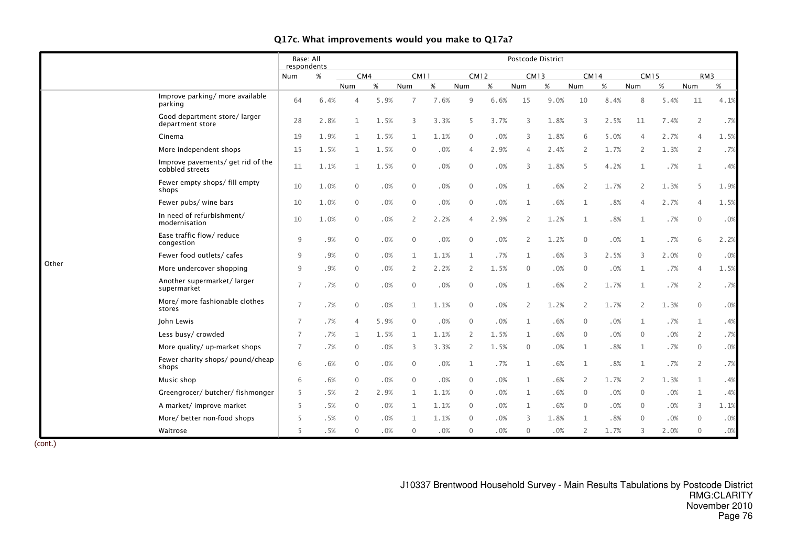|       |                                                      | Base: All<br>respondents |      |                |      |                |      |                |             |                | Postcode District |                |      |                |      |                |      |
|-------|------------------------------------------------------|--------------------------|------|----------------|------|----------------|------|----------------|-------------|----------------|-------------------|----------------|------|----------------|------|----------------|------|
|       |                                                      | Num                      | $\%$ | CM4            |      | CM11           |      |                | <b>CM12</b> | <b>CM13</b>    |                   | <b>CM14</b>    |      | <b>CM15</b>    |      | RM3            |      |
|       |                                                      |                          |      | Num            | %    | <b>Num</b>     | %    | Num            | %           | Num            | %                 | Num            | %    | Num            | %    | Num            | %    |
|       | Improve parking/ more available<br>parking           | 64                       | 6.4% | 4              | 5.9% | 7              | 7.6% | 9              | 6.6%        | 15             | 9.0%              | 10             | 8.4% | 8              | 5.4% | 11             | 4.1% |
|       | Good department store/larger<br>department store     | 28                       | 2.8% | $\mathbf{1}$   | 1.5% | 3              | 3.3% | 5              | 3.7%        | 3              | 1.8%              | 3              | 2.5% | 11             | 7.4% | $\overline{2}$ | .7%  |
|       | Cinema                                               | 19                       | 1.9% | $\mathbf{1}$   | 1.5% | $\mathbf{1}$   | 1.1% | $\mathbf{0}$   | .0%         | 3              | 1.8%              | 6              | 5.0% | $\overline{4}$ | 2.7% | 4              | 1.5% |
|       | More independent shops                               | 15                       | 1.5% | $\mathbf{1}$   | 1.5% | $\mathbf{0}$   | .0%  | $\overline{4}$ | 2.9%        | 4              | 2.4%              | 2              | 1.7% | 2              | 1.3% | $\overline{2}$ | .7%  |
|       | Improve pavements/ get rid of the<br>cobbled streets | 11                       | 1.1% | $\mathbf{1}$   | 1.5% | $\mathbf{0}$   | .0%  | $\overline{0}$ | .0%         | 3              | 1.8%              | 5              | 4.2% | $\mathbf{1}$   | .7%  | $\mathbf{1}$   | .4%  |
|       | Fewer empty shops/ fill empty<br>shops               | 10                       | 1.0% | $\mathbf{0}$   | .0%  | $\mathbf{0}$   | .0%  | $\mathbf{0}$   | .0%         | $\mathbf{1}$   | .6%               | $\overline{2}$ | 1.7% | 2              | 1.3% | 5              | 1.9% |
|       | Fewer pubs/ wine bars                                | 10                       | 1.0% | $\mathbf{0}$   | .0%  | $\mathbf{0}$   | .0%  | $\overline{0}$ | .0%         | $\mathbf 1$    | .6%               | $\mathbf{1}$   | .8%  | $\overline{4}$ | 2.7% | $\overline{4}$ | 1.5% |
|       | In need of refurbishment/<br>modernisation           | 10                       | 1.0% | $\mathbf 0$    | .0%  | $\overline{2}$ | 2.2% | $\overline{4}$ | 2.9%        | $\overline{2}$ | 1.2%              | $\mathbf{1}$   | .8%  | 1              | .7%  | $\mathbf 0$    | .0%  |
|       | Ease traffic flow/ reduce<br>congestion              | 9                        | .9%  | $\mathbf 0$    | .0%  | $\mathbf 0$    | .0%  | $\overline{0}$ | .0%         | 2              | 1.2%              | $\mathbf 0$    | .0%  | $\mathbf{1}$   | .7%  | 6              | 2.2% |
|       | Fewer food outlets/cafes                             | 9                        | .9%  | $\mathbf{0}$   | .0%  | $\mathbf{1}$   | 1.1% | $\mathbf{1}$   | .7%         | $\mathbf{1}$   | .6%               | 3              | 2.5% | 3              | 2.0% | $\mathbf{0}$   | .0%  |
| Other | More undercover shopping                             | 9                        | .9%  | $\mathbf{0}$   | .0%  | 2              | 2.2% | $\overline{2}$ | 1.5%        | $\mathbf{0}$   | .0%               | $\mathbf{0}$   | .0%  | 1              | .7%  | 4              | 1.5% |
|       | Another supermarket/larger<br>supermarket            | $\overline{7}$           | .7%  | $\mathbf{0}$   | .0%  | $\mathbf{0}$   | .0%  | $\overline{0}$ | .0%         | $\mathbf 1$    | .6%               | $\overline{2}$ | 1.7% | $\mathbf{1}$   | .7%  | $\overline{2}$ | .7%  |
|       | More/ more fashionable clothes<br>stores             | $\overline{7}$           | .7%  | $\mathbf{0}$   | .0%  | $\mathbf{1}$   | 1.1% | $\mathbf{0}$   | .0%         | 2              | 1.2%              | 2              | 1.7% | $\overline{2}$ | 1.3% | $\mathbf{0}$   | .0%  |
|       | John Lewis                                           | $\overline{7}$           | .7%  | 4              | 5.9% | $\mathbf{0}$   | .0%  | $\mathbf{0}$   | .0%         | $\mathbf{1}$   | .6%               | $\mathbf{0}$   | .0%  | 1              | .7%  | $\mathbf{1}$   | .4%  |
|       | Less busy/ crowded                                   | $\overline{7}$           | .7%  | $\mathbf{1}$   | 1.5% | 1              | 1.1% | 2              | 1.5%        | $\mathbf{1}$   | .6%               | $\mathbf{0}$   | .0%  | $\Omega$       | .0%  | $\overline{2}$ | .7%  |
|       | More quality/ up-market shops                        | $\overline{7}$           | .7%  | $\mathbf{0}$   | .0%  | 3              | 3.3% | $\overline{2}$ | 1.5%        | $\Omega$       | .0%               | $\mathbf{1}$   | .8%  | $\mathbf{1}$   | .7%  | $\Omega$       | .0%  |
|       | Fewer charity shops/ pound/cheap<br>shops            | 6                        | .6%  | $\mathbf{0}$   | .0%  | $\mathbf{0}$   | .0%  | 1              | .7%         | $\mathbf{1}$   | .6%               | $\mathbf{1}$   | .8%  | 1              | .7%  | $\overline{2}$ | .7%  |
|       | Music shop                                           | 6                        | .6%  | $\mathbf 0$    | .0%  | $\mathbf{0}$   | .0%  | $\overline{0}$ | .0%         | 1              | .6%               | 2              | 1.7% | 2              | 1.3% | 1              | .4%  |
|       | Greengrocer/butcher/fishmonger                       | 5                        | .5%  | $\overline{2}$ | 2.9% | $\mathbf{1}$   | 1.1% | $\mathbf{0}$   | .0%         | $\mathbf{1}$   | .6%               | $\mathbf{0}$   | .0%  | $\mathbf{0}$   | .0%  | $\mathbf{1}$   | .4%  |
|       | A market/ improve market                             | 5                        | .5%  | $\mathbf{0}$   | .0%  | 1              | 1.1% | $\overline{0}$ | .0%         | $\mathbf{1}$   | .6%               | $\mathbf{0}$   | .0%  | $\mathbf{0}$   | .0%  | 3              | 1.1% |
|       | More/ better non-food shops                          | 5                        | .5%  | $\Omega$       | .0%  |                | 1.1% | $\Omega$       | .0%         | 3              | 1.8%              | 1              | .8%  | $\Omega$       | .0%  | $\Omega$       | .0%  |
|       | Waitrose                                             | 5                        | .5%  | $\mathbf{0}$   | .0%  | $\mathbf{0}$   | .0%  | $\mathbf{0}$   | .0%         | $\mathbf{0}$   | .0%               | 2              | 1.7% | 3              | 2.0% | $\overline{0}$ | .0%  |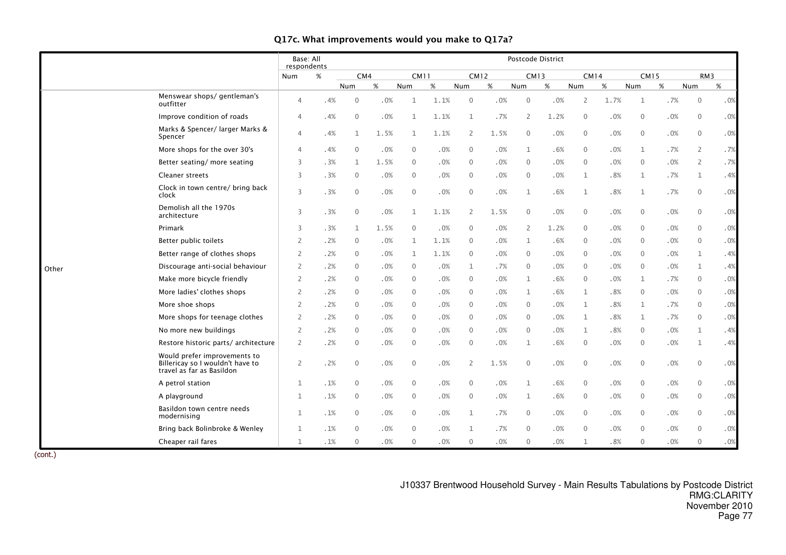|       |                                                                                               | Base: All<br>respondents |      |              |      |                |      |                |      |                | Postcode District |                |        |              |        |              |     |
|-------|-----------------------------------------------------------------------------------------------|--------------------------|------|--------------|------|----------------|------|----------------|------|----------------|-------------------|----------------|--------|--------------|--------|--------------|-----|
|       |                                                                                               | <b>Num</b>               | $\%$ | CM4          |      | <b>CM11</b>    |      | <b>CM12</b>    |      | <b>CM13</b>    |                   | <b>CM14</b>    |        | <b>CM15</b>  |        | RM3          |     |
|       |                                                                                               |                          |      | Num          | $\%$ | Num            | $\%$ | Num            | $\%$ | Num            | $\%$              | Num            | $\%$   | Num          | $\%$   | Num          | %   |
|       | Menswear shops/ gentleman's<br>outfitter                                                      | 4                        | .4%  | $\mathbf{0}$ | .0%  | 1              | 1.1% | $\mathbf{0}$   | .0%  | $\mathbf{0}$   | .0%               | $\overline{2}$ | 1.7%   | $\mathbf{1}$ | .7%    | $\mathbf{0}$ | .0% |
|       | Improve condition of roads                                                                    | 4                        | .4%  | $\mathbf{0}$ | .0%  | $\mathbf{1}$   | 1.1% | $\mathbf{1}$   | .7%  | $\overline{2}$ | 1.2%              | $\mathbf{0}$   | .0%    | $\mathbf{0}$ | .0%    | $\mathbf{0}$ | .0% |
|       | Marks & Spencer/ larger Marks &<br>Spencer                                                    | 4                        | .4%  | $\mathbf{1}$ | 1.5% | $\mathbf{1}$   | 1.1% | $\overline{2}$ | 1.5% | $\mathbf{0}$   | .0%               | $\mathbf{0}$   | .0%    | $\mathbf{0}$ | .0%    | $\mathbf{0}$ | .0% |
|       | More shops for the over 30's                                                                  | 4                        | .4%  | $\mathbf{0}$ | .0%  | $\mathbf 0$    | .0%  | $\overline{0}$ | .0%  | $\mathbf{1}$   | .6%               | $\overline{0}$ | .0%    | 1            | .7%    | 2            | .7% |
|       | Better seating/ more seating                                                                  | 3                        | .3%  | 1            | 1.5% | $\mathbf{0}$   | .0%  | $\overline{0}$ | .0%  | $\mathbf{0}$   | .0%               | $\overline{0}$ | .0%    | $\mathbf{0}$ | .0%    | 2            | .7% |
|       | <b>Cleaner streets</b>                                                                        | 3                        | .3%  | $\mathbf{0}$ | .0%  | $\mathbf 0$    | .0%  | $\overline{0}$ | .0%  | $\mathbf{0}$   | .0%               | $\mathbf{1}$   | .8%    | 1            | .7%    | 1            | .4% |
|       | Clock in town centre/ bring back<br>clock                                                     | 3                        | .3%  | $\mathbf 0$  | .0%  | $\mathbf 0$    | .0%  | $\overline{0}$ | .0%  | $\mathbf{1}$   | .6%               | 1              | $.8\%$ | $\mathbf 1$  | .7%    | $\mathbf{0}$ | .0% |
|       | Demolish all the 1970s<br>architecture                                                        | 3                        | .3%  | $\mathbf 0$  | .0%  | $\mathbf{1}$   | 1.1% | $\overline{2}$ | 1.5% | $\mathbf 0$    | .0%               | $\mathbf 0$    | $.0\%$ | $\mathbf 0$  | .0%    | $\Omega$     | .0% |
|       | Primark                                                                                       | 3                        | .3%  | 1            | 1.5% | $\mathbf 0$    | .0%  | $\mathbf{0}$   | .0%  | $\overline{2}$ | 1.2%              | $\mathbf{0}$   | .0%    | $\mathbf{0}$ | .0%    | $\Omega$     | .0% |
|       | Better public toilets                                                                         | $\overline{2}$           | .2%  | $\mathbf{0}$ | .0%  | $\mathbf{1}$   | 1.1% | $\mathbf{0}$   | .0%  | $\mathbf{1}$   | .6%               | $\overline{0}$ | .0%    | $\mathbf{0}$ | .0%    | $\Omega$     | .0% |
|       | Better range of clothes shops                                                                 | 2                        | .2%  | $\mathbf{0}$ | .0%  | $\mathbf{1}$   | 1.1% | $\overline{0}$ | .0%  | $\mathbf{0}$   | .0%               | $\overline{0}$ | .0%    | $\Omega$     | .0%    | $\mathbf{1}$ | .4% |
| Other | Discourage anti-social behaviour                                                              | $\overline{2}$           | .2%  | $\mathbf{0}$ | .0%  | $\mathbf 0$    | .0%  | 1              | .7%  | $\mathbf{0}$   | .0%               | $\overline{0}$ | .0%    | $\mathbf{0}$ | .0%    | 1            | .4% |
|       | Make more bicycle friendly                                                                    | 2                        | .2%  | $\mathbf{0}$ | .0%  | $\overline{0}$ | .0%  | $\overline{0}$ | .0%  | 1              | .6%               | $\overline{0}$ | .0%    | $\mathbf{1}$ | .7%    | $\mathbf{0}$ | .0% |
|       | More ladies' clothes shops                                                                    | $\overline{2}$           | .2%  | $\mathbf 0$  | .0%  | $\mathbf 0$    | .0%  | $\overline{0}$ | .0%  | 1              | .6%               | $\mathbf{1}$   | .8%    | $\mathbf{0}$ | .0%    | $\Omega$     | .0% |
|       | More shoe shops                                                                               | 2                        | .2%  | $\mathbf 0$  | .0%  | $\mathbf 0$    | .0%  | $\overline{0}$ | .0%  | $\mathbf 0$    | .0%               | $\mathbf{1}$   | .8%    | $\mathbf 1$  | .7%    | $\mathbf 0$  | .0% |
|       | More shops for teenage clothes                                                                | 2                        | .2%  | $\mathbf{0}$ | .0%  | $\overline{0}$ | .0%  | $\overline{0}$ | .0%  | $\mathbf{0}$   | .0%               | 1              | .8%    | $\mathbf 1$  | .7%    | $\mathbf 0$  | .0% |
|       | No more new buildings                                                                         | 2                        | .2%  | $\mathbf 0$  | .0%  | $\overline{0}$ | .0%  | $\overline{0}$ | .0%  | $\mathbf 0$    | .0%               | 1              | .8%    | $\mathbf 0$  | .0%    | 1            | .4% |
|       | Restore historic parts/architecture                                                           | 2                        | .2%  | $\mathbf{0}$ | .0%  | $\mathbf 0$    | .0%  | $\overline{0}$ | .0%  | 1              | .6%               | $\overline{0}$ | .0%    | $\mathbf{0}$ | .0%    | 1            | .4% |
|       | Would prefer improvements to<br>Billericay so I wouldn't have to<br>travel as far as Basildon | 2                        | .2%  | $\mathbf{0}$ | .0%  | $\mathbf 0$    | .0%  | $\overline{2}$ | 1.5% | $\mathbf{0}$   | .0%               | $\mathbf{0}$   | $.0\%$ | $\mathbf{0}$ | $.0\%$ | $\Omega$     | .0% |
|       | A petrol station                                                                              | 1                        | .1%  | $\mathbf 0$  | .0%  | $\mathbf 0$    | .0%  | $\mathbf 0$    | .0%  | 1              | .6%               | $\mathbf 0$    | .0%    | $\mathbf{0}$ | .0%    | $\Omega$     | .0% |
|       | A playground                                                                                  | 1                        | .1%  | $\mathbf{0}$ | .0%  | $\overline{0}$ | .0%  | $\mathbf{0}$   | .0%  | 1              | .6%               | $\overline{0}$ | .0%    | $\mathbf 0$  | .0%    | $\mathbf 0$  | .0% |
|       | Basildon town centre needs<br>modernising                                                     | $\mathbf{1}$             | .1%  | $\mathbf{0}$ | .0%  | $\mathbf 0$    | .0%  | 1              | .7%  | $\mathbf{0}$   | .0%               | $\mathbf{0}$   | .0%    | $\mathbf{0}$ | .0%    | $\mathbf 0$  | .0% |
|       | Bring back Bolinbroke & Wenley                                                                | 1                        | .1%  | $\Omega$     | .0%  | $\mathbf{0}$   | .0%  | $\mathbf{1}$   | .7%  | $\mathbf{0}$   | .0%               | $\Omega$       | .0%    | $\Omega$     | .0%    | $\Omega$     | .0% |
|       | Cheaper rail fares                                                                            | $\mathbf{1}$             | .1%  | $\mathbf{0}$ | .0%  | $\mathbf{0}$   | .0%  | $\mathbf{0}$   | .0%  | $\mathbf{0}$   | .0%               | $\mathbf{1}$   | .8%    | $\mathbf{0}$ | .0%    | $\mathbf{0}$ | .0% |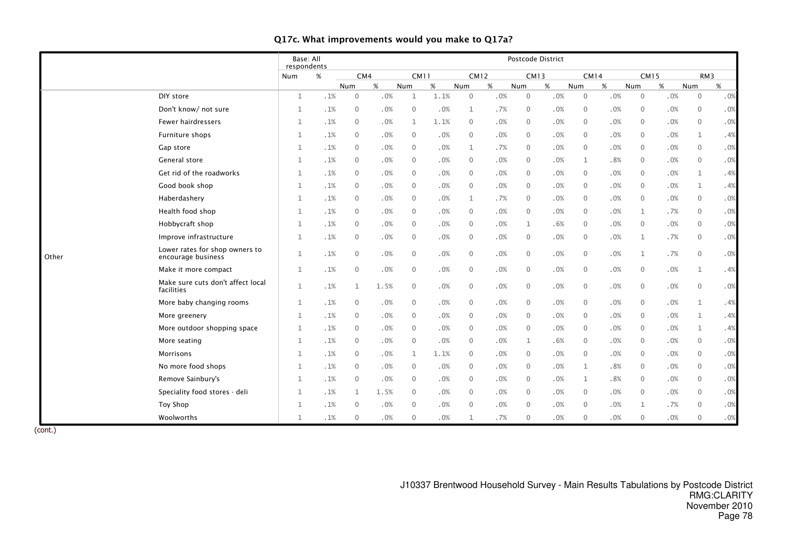|       |                                                      | Base: All<br>respondents |     |                |      |                |      |                |     | Postcode District |     |              |        |                |        |              |                 |
|-------|------------------------------------------------------|--------------------------|-----|----------------|------|----------------|------|----------------|-----|-------------------|-----|--------------|--------|----------------|--------|--------------|-----------------|
|       |                                                      | <b>Num</b>               | %   | CM4            |      | <b>CM11</b>    |      | <b>CM12</b>    |     | <b>CM13</b>       |     | <b>CM14</b>  |        | <b>CM15</b>    |        |              | RM <sub>3</sub> |
|       |                                                      |                          |     | Num            | %    | Num            | %    | Num            | %   | Num               | %   | Num          | $\%$   | Num            | %      | Num          | %               |
|       | DIY store                                            | 1                        | .1% | $\mathbf 0$    | .0%  | $\mathbf{1}$   | 1.1% | $\mathbf{0}$   | .0% | $\mathbf{0}$      | .0% | $\mathbf{0}$ | .0%    | $\mathbf{0}$   | .0%    | $\mathbf{0}$ | .0%             |
|       | Don't know/ not sure                                 | 1                        | .1% | $\mathbf 0$    | .0%  | $\mathbf 0$    | .0%  | $\mathbf{1}$   | .7% | $\mathbf 0$       | .0% | $\mathbf{0}$ | .0%    | $\mathbf{0}$   | .0%    | $\mathbf{0}$ | .0%             |
|       | Fewer hairdressers                                   | 1                        | .1% | $\overline{0}$ | .0%  | $\mathbf{1}$   | 1.1% | $\overline{0}$ | .0% | $\mathbf 0$       | .0% | $\mathbf{0}$ | .0%    | $\mathbf{0}$   | .0%    | $\mathbf{0}$ | .0%             |
|       | Furniture shops                                      | $\mathbf 1$              | .1% | $\mathbf 0$    | .0%  | $\overline{0}$ | .0%  | $\mathbf 0$    | .0% | $\mathbf 0$       | .0% | $\mathbf{0}$ | .0%    | $\mathbf{0}$   | .0%    | 1            | .4%             |
|       | Gap store                                            | $\mathbf{1}$             | .1% | $\mathbf{0}$   | .0%  | $\mathbf{0}$   | .0%  | 1              | .7% | $\mathbf{0}$      | .0% | $\mathbf{0}$ | .0%    | $\Omega$       | .0%    | $\mathbf{0}$ | .0%             |
|       | General store                                        | 1                        | .1% | $\mathbf{0}$   | .0%  | $\overline{0}$ | .0%  | $\mathbf{0}$   | .0% | $\mathbf{0}$      | .0% | $\mathbf{1}$ | .8%    | $\mathbf{0}$   | .0%    | $\mathbf{0}$ | .0%             |
|       | Get rid of the roadworks                             | 1                        | .1% | $\overline{0}$ | .0%  | $\mathbf 0$    | .0%  | $\overline{0}$ | .0% | $\mathbf 0$       | .0% | $\mathbf{0}$ | .0%    | $\overline{0}$ | .0%    | 1            | .4%             |
|       | Good book shop                                       | $\mathbf{1}$             | .1% | $\mathbf{0}$   | .0%  | $\mathbf 0$    | .0%  | $\mathbf 0$    | .0% | $\mathbf{0}$      | .0% | $\mathbf{0}$ | .0%    | $\mathbf{0}$   | .0%    | 1            | .4%             |
|       | Haberdashery                                         | $\mathbf{1}$             | .1% | $\mathbf{0}$   | .0%  | $\mathbf 0$    | .0%  | $\mathbf{1}$   | .7% | $\mathbf{0}$      | .0% | $\mathbf{0}$ | .0%    | $\Omega$       | .0%    | $\mathbf{0}$ | .0%             |
|       | Health food shop                                     | $\mathbf 1$              | .1% | $\mathbf 0$    | .0%  | $\mathbf 0$    | .0%  | $\mathbf 0$    | .0% | $\mathbf 0$       | .0% | $\mathbf{0}$ | .0%    | $\mathbf{1}$   | .7%    | $\mathbf{0}$ | .0%             |
|       | Hobbycraft shop                                      | $\mathbf 1$              | .1% | $\mathbf 0$    | .0%  | $\overline{0}$ | .0%  | $\mathbf 0$    | .0% | $\mathbf 1$       | .6% | $\mathbf 0$  | .0%    | $\mathbf{0}$   | .0%    | $\mathbf{0}$ | .0%             |
|       | Improve infrastructure                               | 1                        | .1% | $\mathbf{0}$   | .0%  | $\mathbf 0$    | .0%  | $\mathbf{0}$   | .0% | $\mathbf{0}$      | .0% | $\mathbf{0}$ | .0%    | $\mathbf{1}$   | .7%    | $\mathbf{0}$ | .0%             |
| Other | Lower rates for shop owners to<br>encourage business | $\mathbf{1}$             | .1% | $\mathbf 0$    | .0%  | $\mathbf 0$    | .0%  | $\overline{0}$ | .0% | $\mathbf 0$       | .0% | $\mathbf{0}$ | .0%    | $\mathbf{1}$   | .7%    | $\mathbf 0$  | .0%             |
|       | Make it more compact                                 | $\mathbf 1$              | .1% | $\mathbf 0$    | .0%  | $\mathbf 0$    | .0%  | $\mathbf 0$    | .0% | $\mathbf{0}$      | .0% | $\mathbf{0}$ | .0%    | $\mathbf{0}$   | .0%    | $\mathbf 1$  | .4%             |
|       | Make sure cuts don't affect local<br>facilities      | $\mathbf 1$              | .1% | $\mathbf{1}$   | 1.5% | $\mathbf 0$    | .0%  | $\mathbf 0$    | .0% | $\mathbf 0$       | .0% | $\mathbf{0}$ | $.0\%$ | $\mathbf{0}$   | $.0\%$ | $\mathbf{0}$ | .0%             |
|       | More baby changing rooms                             | 1                        | .1% | $\mathbf{0}$   | .0%  | $\mathbf 0$    | .0%  | $\mathbf{0}$   | .0% | $\mathbf{0}$      | .0% | $\mathbf{0}$ | .0%    | $\mathbf{0}$   | .0%    | $\mathbf{1}$ | .4%             |
|       | More greenery                                        | 1                        | .1% | $\mathbf{0}$   | .0%  | $\mathbf{0}$   | .0%  | $\mathbf{0}$   | .0% | $\mathbf{0}$      | .0% | $\mathbf{0}$ | .0%    | $\Omega$       | .0%    | $\mathbf 1$  | .4%             |
|       | More outdoor shopping space                          | 1                        | .1% | $\mathbf 0$    | .0%  | $\mathbf 0$    | .0%  | $\mathbf{0}$   | .0% | $\mathbf{0}$      | .0% | $\mathbf{0}$ | .0%    | 0              | .0%    | 1            | .4%             |
|       | More seating                                         | $\mathbf{1}$             | .1% | $\mathbf{0}$   | .0%  | $\mathbf{0}$   | .0%  | $\mathbf{0}$   | .0% | $\mathbf{1}$      | .6% | $\mathbf{0}$ | .0%    | $\mathbf{0}$   | .0%    | $\mathbf{0}$ | .0%             |
|       | Morrisons                                            | $\mathbf{1}$             | .1% | $\mathbf{0}$   | .0%  | $\mathbf{1}$   | 1.1% | $\mathbf{0}$   | .0% | $\mathbf{0}$      | .0% | $\Omega$     | .0%    | $\Omega$       | .0%    | $\mathbf{0}$ | .0%             |
|       | No more food shops                                   | $\mathbf{1}$             | .1% | $\mathbf{0}$   | .0%  | $\mathbf 0$    | .0%  | $\mathbf{0}$   | .0% | $\mathbf{0}$      | .0% | $\mathbf{1}$ | .8%    | $\Omega$       | $.0\%$ | $\Omega$     | .0%             |
|       | Remove Sainbury's                                    | $\mathbf 1$              | .1% | $\mathbf 0$    | .0%  | $\mathbf 0$    | .0%  | $\mathbf 0$    | .0% | $\mathbf 0$       | .0% | $\mathbf{1}$ | .8%    | $\mathbf{0}$   | .0%    | $\mathbf{0}$ | .0%             |
|       | Speciality food stores - deli                        | 1                        | .1% | $\mathbf{1}$   | 1.5% | $\mathbf 0$    | .0%  | $\mathbf{0}$   | .0% | $\mathbf{0}$      | .0% | $\mathbf{0}$ | .0%    | $\Omega$       | .0%    | $\mathbf{0}$ | .0%             |
|       | Toy Shop                                             | 1                        | .1% | $\mathbf{0}$   | .0%  | $\mathbf{0}$   | .0%  | $\mathbf{0}$   | .0% | $\mathbf{0}$      | .0% | $\mathbf{0}$ | .0%    | 1              | .7%    | $\mathbf{0}$ | .0%             |
|       | Woolworths                                           | 1                        | .1% | $\mathbf 0$    | .0%  | $\mathbf 0$    | .0%  | $\mathbf{1}$   | .7% | $\mathbf 0$       | .0% | $\mathbf{0}$ | .0%    | $\mathbf{0}$   | $.0\%$ | $\Omega$     | .0%             |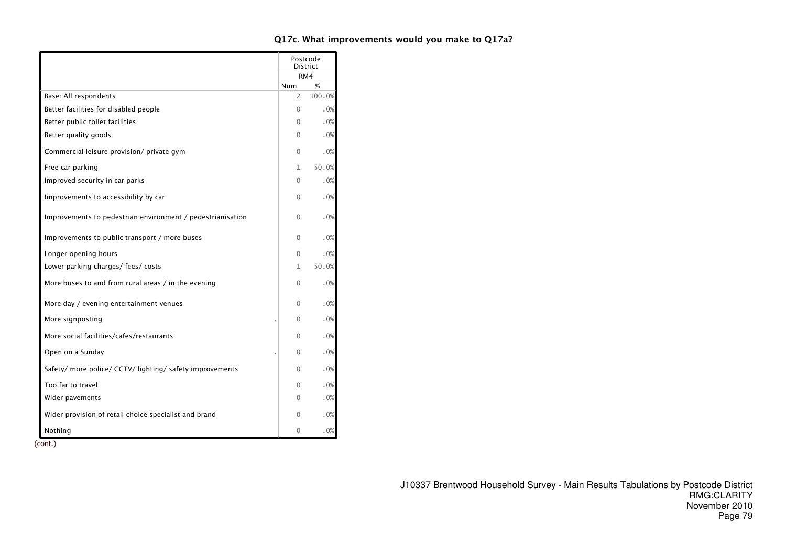|                                                            |              | Postcode<br>District |
|------------------------------------------------------------|--------------|----------------------|
|                                                            |              | RM4                  |
|                                                            | Num          | %                    |
| Base: All respondents                                      | 2            | 100.0%               |
| Better facilities for disabled people                      | $\Omega$     | .0%                  |
| Better public toilet facilities                            | $\Omega$     | .0%                  |
| Better quality goods                                       | 0            | .0%                  |
| Commercial leisure provision/ private gym                  | $\Omega$     | .0%                  |
| Free car parking                                           | $\mathbf{1}$ | 50.0%                |
| Improved security in car parks                             | $\Omega$     | .0%                  |
| Improvements to accessibility by car                       | $\Omega$     | .0%                  |
| Improvements to pedestrian environment / pedestrianisation | $\Omega$     | .0%                  |
| Improvements to public transport / more buses              | $\Omega$     | .0%                  |
| Longer opening hours                                       | $\Omega$     | .0%                  |
| Lower parking charges/ fees/ costs                         | 1            | 50.0%                |
| More buses to and from rural areas / in the evening        | 0            | .0%                  |
| More day / evening entertainment venues                    | $\Omega$     | .0%                  |
| More signposting                                           | $\Omega$     | .0%                  |
| More social facilities/cafes/restaurants                   | $\Omega$     | .0%                  |
| Open on a Sunday                                           | $\Omega$     | .0%                  |
| Safety/ more police/ CCTV/ lighting/ safety improvements   | $\Omega$     | .0%                  |
| Too far to travel                                          | $\Omega$     | .0%                  |
| Wider pavements                                            | 0            | .0%                  |
| Wider provision of retail choice specialist and brand      | 0            | .0%                  |
| Nothing                                                    | 0            | .0%                  |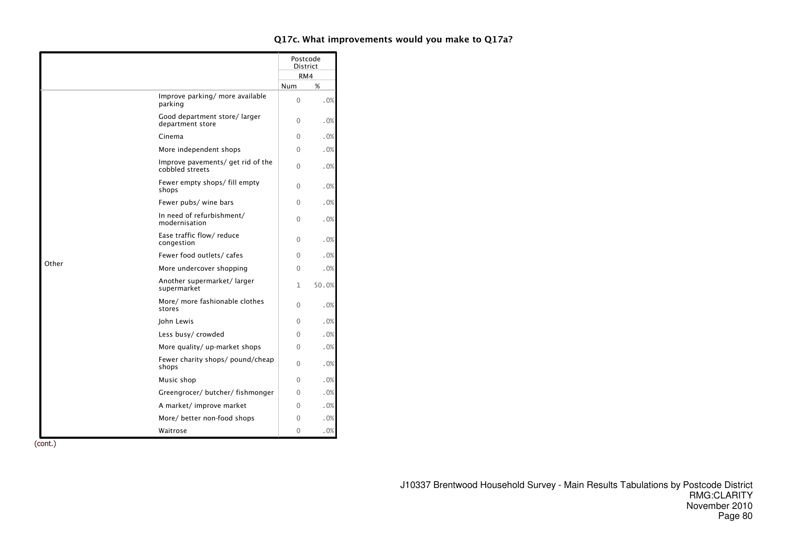|       |                                                      | Postcode<br><b>District</b> |       |
|-------|------------------------------------------------------|-----------------------------|-------|
|       |                                                      | RM4                         |       |
|       |                                                      | <b>Num</b>                  | %     |
|       | Improve parking/ more available<br>parking           | $\Omega$                    | .0%   |
|       | Good department store/larger<br>department store     | 0                           | .0%   |
|       | Cinema                                               | 0                           | .0%   |
|       | More independent shops                               | 0                           | .0%   |
|       | Improve pavements/ get rid of the<br>cobbled streets | $\Omega$                    | .0%   |
|       | Fewer empty shops/ fill empty<br>shops               | 0                           | .0%   |
|       | Fewer pubs/ wine bars                                | $\Omega$                    | .0%   |
|       | In need of refurbishment/<br>modernisation           | 0                           | .0%   |
|       | Ease traffic flow/ reduce<br>congestion              | $\Omega$                    | .0%   |
|       | Fewer food outlets/cafes                             | 0                           | .0%   |
| Other | More undercover shopping                             | 0                           | .0%   |
|       | Another supermarket/larger<br>supermarket            | 1                           | 50.0% |
|       | More/ more fashionable clothes<br>stores             | 0                           | .0%   |
|       | John Lewis                                           | $\Omega$                    | .0%   |
|       | Less busy/ crowded                                   | $\Omega$                    | .0%   |
|       | More quality/ up-market shops                        | 0                           | .0%   |
|       | Fewer charity shops/ pound/cheap<br>shops            | 0                           | .0%   |
|       | Music shop                                           | $\Omega$                    | .0%   |
|       | Greengrocer/ butcher/ fishmonger                     | $\Omega$                    | .0%   |
|       | A market/ improve market                             | 0                           | .0%   |
|       | More/ better non-food shops                          | 0                           | .0%   |
|       | Waitrose                                             | 0                           | .0%   |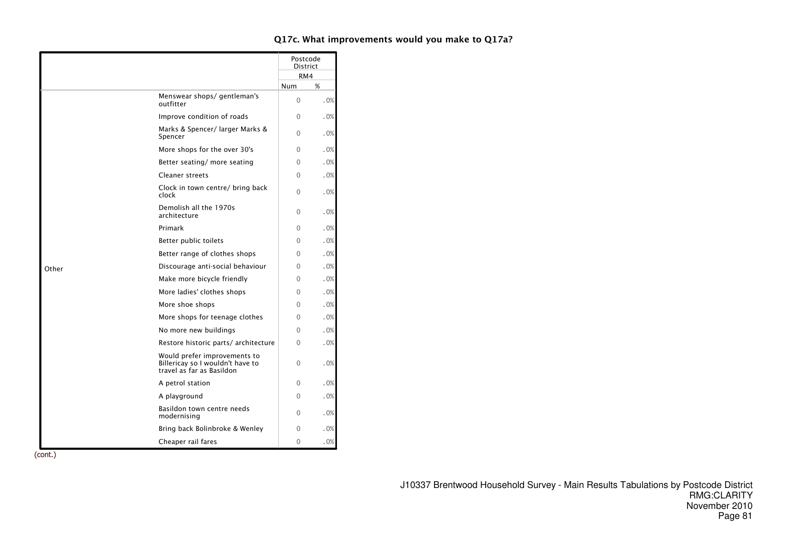|       |                                                                                               | Postcode<br><b>District</b> |     |
|-------|-----------------------------------------------------------------------------------------------|-----------------------------|-----|
|       |                                                                                               | RM4                         |     |
|       |                                                                                               | <b>Num</b>                  | %   |
|       | Menswear shops/gentleman's<br>outfitter                                                       | $\Omega$                    | .0% |
|       | Improve condition of roads                                                                    | $\Omega$                    | .0% |
|       | Marks & Spencer/ larger Marks &<br>Spencer                                                    | 0                           | .0% |
|       | More shops for the over 30's                                                                  | $\Omega$                    | .0% |
|       | Better seating/ more seating                                                                  | $\Omega$                    | .0% |
|       | <b>Cleaner streets</b>                                                                        | $\Omega$                    | .0% |
|       | Clock in town centre/ bring back<br>clock                                                     | $\Omega$                    | .0% |
|       | Demolish all the 1970s<br>architecture                                                        | $\Omega$                    | .0% |
|       | Primark                                                                                       | 0                           | .0% |
|       | Better public toilets                                                                         | 0                           | .0% |
|       | Better range of clothes shops                                                                 | 0                           | .0% |
| Other | Discourage anti-social behaviour                                                              | $\Omega$                    | .0% |
|       | Make more bicycle friendly                                                                    | $\Omega$                    | .0% |
|       | More ladies' clothes shops                                                                    | $\Omega$                    | .0% |
|       | More shoe shops                                                                               | $\Omega$                    | .0% |
|       | More shops for teenage clothes                                                                | $\Omega$                    | .0% |
|       | No more new buildings                                                                         | $\Omega$                    | .0% |
|       | Restore historic parts/architecture                                                           | $\Omega$                    | .0% |
|       | Would prefer improvements to<br>Billericay so I wouldn't have to<br>travel as far as Basildon | 0                           | .0% |
|       | A petrol station                                                                              | $\Omega$                    | .0% |
|       | A playground                                                                                  | $\Omega$                    | .0% |
|       | Basildon town centre needs<br>modernising                                                     | $\Omega$                    | .0% |
|       | Bring back Bolinbroke & Wenley                                                                | $\Omega$                    | .0% |
|       | Cheaper rail fares                                                                            | $\Omega$                    | .0% |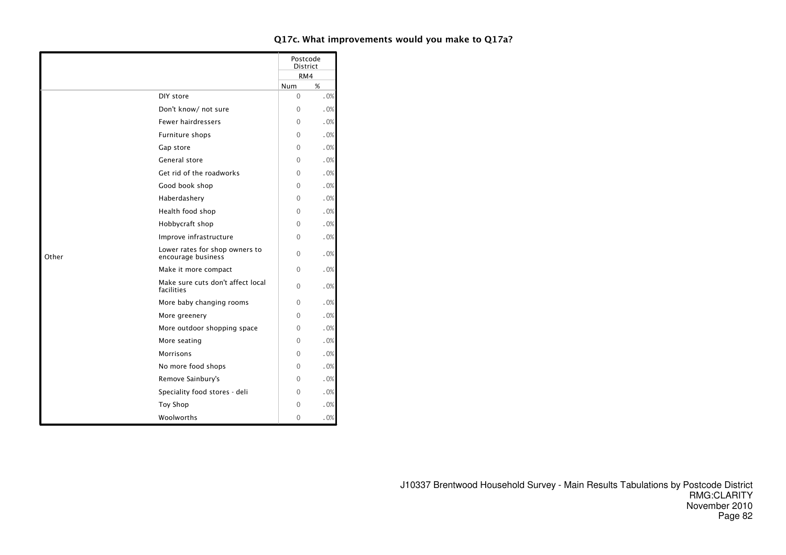|       |                                                      |            | Postcode<br>District |
|-------|------------------------------------------------------|------------|----------------------|
|       |                                                      |            | RM4                  |
|       |                                                      | <b>Num</b> | %                    |
|       | DIY store                                            | $\Omega$   | .0%                  |
|       | Don't know/ not sure                                 | $\Omega$   | .0%                  |
|       | <b>Fewer hairdressers</b>                            | $\Omega$   | .0%                  |
|       | Furniture shops                                      | $\Omega$   | .0%                  |
|       | Gap store                                            | 0          | .0%                  |
|       | General store                                        | $\Omega$   | .0%                  |
|       | Get rid of the roadworks                             | $\Omega$   | .0%                  |
|       | Good book shop                                       | $\Omega$   | .0%                  |
|       | Haberdashery                                         | 0          | .0%                  |
|       | Health food shop                                     | 0          | .0%                  |
|       | Hobbycraft shop                                      | $\Omega$   | .0%                  |
|       | Improve infrastructure                               | $\Omega$   | .0%                  |
| Other | Lower rates for shop owners to<br>encourage business | $\Omega$   | .0%                  |
|       | Make it more compact                                 | $\Omega$   | .0%                  |
|       | Make sure cuts don't affect local<br>facilities      | $\Omega$   | .0%                  |
|       | More baby changing rooms                             | 0          | .0%                  |
|       | More greenery                                        | $\Omega$   | .0%                  |
|       | More outdoor shopping space                          | $\Omega$   | .0%                  |
|       | More seating                                         | $\Omega$   | .0%                  |
|       | Morrisons                                            | 0          | .0%                  |
|       | No more food shops                                   | $\Omega$   | .0%                  |
|       | Remove Sainbury's                                    | 0          | .0%                  |
|       | Speciality food stores - deli                        | $\Omega$   | .0%                  |
|       | <b>Toy Shop</b>                                      | $\Omega$   | .0%                  |
|       | Woolworths                                           | $\Omega$   | .0%                  |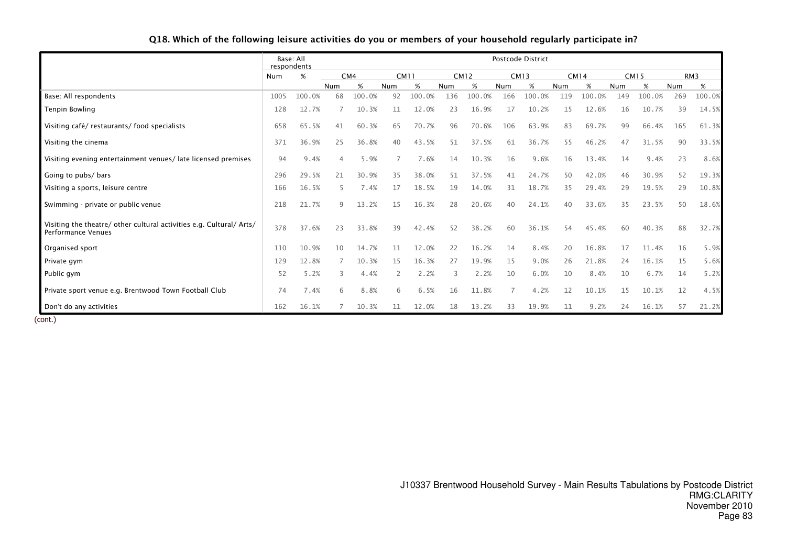|                                                                                          | respondents | Base: All |     |        |     |             |     |             |                | <b>Postcode District</b> |     |             |     |             |     |                 |
|------------------------------------------------------------------------------------------|-------------|-----------|-----|--------|-----|-------------|-----|-------------|----------------|--------------------------|-----|-------------|-----|-------------|-----|-----------------|
|                                                                                          | Num         | %         |     | CM4    |     | <b>CM11</b> |     | <b>CM12</b> |                | <b>CM13</b>              |     | <b>CM14</b> |     | <b>CM15</b> |     | RM <sub>3</sub> |
|                                                                                          |             |           | Num | $\%$   | Num | %           | Num | %           | Num            | %                        | Num | %           | Num | %           | Num | %               |
| Base: All respondents                                                                    | 1005        | 100.0%    | 68  | 100.0% | 92  | 100.0%      | 136 | 100.0%      | 166            | 100.0%                   | 119 | 100.0%      | 149 | 100.0%      | 269 | 100.0%          |
| <b>Tenpin Bowling</b>                                                                    | 128         | 12.7%     |     | 10.3%  | 11  | 12.0%       | 23  | 16.9%       | 17             | 10.2%                    | 15  | 12.6%       | 16  | 10.7%       | 39  | 14.5%           |
| Visiting café/restaurants/food specialists                                               | 658         | 65.5%     | 41  | 60.3%  | 65  | 70.7%       | 96  | 70.6%       | 106            | 63.9%                    | 83  | 69.7%       | 99  | 66.4%       | 165 | 61.3%           |
| Visiting the cinema                                                                      | 371         | 36.9%     | 25  | 36.8%  | 40  | 43.5%       | 51  | 37.5%       | 61             | 36.7%                    | 55  | 46.2%       | 47  | 31.5%       | 90  | 33.5%           |
| Visiting evening entertainment venues/late licensed premises                             | 94          | 9.4%      | 4   | 5.9%   |     | 7.6%        | 14  | 10.3%       | 16             | 9.6%                     | 16  | 13.4%       | 14  | 9.4%        | 23  | 8.6%            |
| Going to pubs/ bars                                                                      | 296         | 29.5%     | 21  | 30.9%  | 35  | 38.0%       | 51  | 37.5%       | 41             | 24.7%                    | 50  | 42.0%       | 46  | 30.9%       | 52  | 19.3%           |
| Visiting a sports, leisure centre                                                        | 166         | 16.5%     | 5   | 7.4%   | 17  | 18.5%       | 19  | 14.0%       | 31             | 18.7%                    | 35  | 29.4%       | 29  | 19.5%       | 29  | 10.8%           |
| Swimming - private or public venue                                                       | 218         | 21.7%     | 9   | 13.2%  | 15  | 16.3%       | 28  | 20.6%       | 40             | 24.1%                    | 40  | 33.6%       | 35  | 23.5%       | 50  | 18.6%           |
| Visiting the theatre/other cultural activities e.g. Cultural/Arts/<br>Performance Venues | 378         | 37.6%     | 23  | 33.8%  | 39  | 42.4%       | 52  | 38.2%       | 60             | 36.1%                    | 54  | 45.4%       | 60  | 40.3%       | 88  | 32.7%           |
| Organised sport                                                                          | 110         | 10.9%     | 10  | 14.7%  | 11  | 12.0%       | 22  | 16.2%       | 14             | 8.4%                     | 20  | 16.8%       | 17  | 11.4%       | 16  | 5.9%            |
| Private gym                                                                              | 129         | 12.8%     |     | 10.3%  | 15  | 16.3%       | 27  | 19.9%       | 15             | 9.0%                     | 26  | 21.8%       | 24  | 16.1%       | 15  | 5.6%            |
| Public gym                                                                               | 52          | 5.2%      | 3   | 4.4%   |     | 2.2%        |     | 2.2%        | 10             | 6.0%                     | 10  | 8.4%        | 10  | 6.7%        | 14  | 5.2%            |
| Private sport venue e.g. Brentwood Town Football Club                                    | 74          | 7.4%      | 6   | 8.8%   | 6   | 6.5%        | 16  | 11.8%       | $\overline{7}$ | 4.2%                     | 12  | 10.1%       | 15  | 10.1%       | 12  | 4.5%            |
| Don't do any activities                                                                  | 162         | 16.1%     |     | 10.3%  | 11  | 12.0%       | 18  | 13.2%       | 33             | 19.9%                    | 11  | 9.2%        | 24  | 16.1%       | 57  | 21.2%           |

# Q18. Which of the following leisure activities do you or members of your household regularly participate in?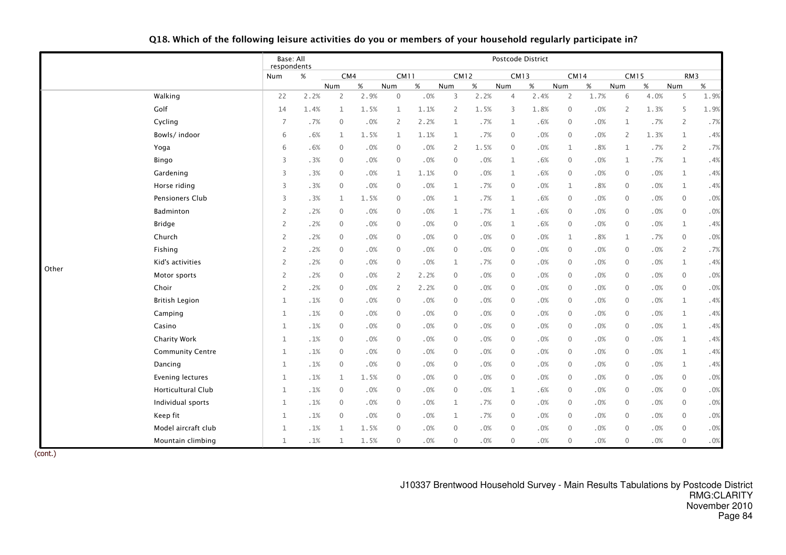|       |                           | Base: All<br>respondents |      |                |        |                |        |                |             |                | Postcode District |                |        |                |      |                |      |
|-------|---------------------------|--------------------------|------|----------------|--------|----------------|--------|----------------|-------------|----------------|-------------------|----------------|--------|----------------|------|----------------|------|
|       |                           | Num                      | $\%$ |                | CM4    | CM11           |        |                | <b>CM12</b> | <b>CM13</b>    |                   | <b>CM14</b>    |        | <b>CM15</b>    |      | RM3            |      |
|       |                           |                          |      | Num            | $\%$   | Num            | $\%$   | Num            | $\%$        | Num            | $\%$              | Num            | $\%$   | Num            | $\%$ | Num            | $\%$ |
|       | Walking                   | 22                       | 2.2% | 2              | 2.9%   | $\mathbf 0$    | .0%    | 3              | 2.2%        | $\overline{4}$ | 2.4%              | $\overline{2}$ | 1.7%   | 6              | 4.0% | 5              | 1.9% |
|       | Golf                      | 14                       | 1.4% | $\mathbf{1}$   | 1.5%   | $\mathbf{1}$   | 1.1%   | 2              | 1.5%        | 3              | 1.8%              | $\mathbf 0$    | $.0\%$ | $\overline{2}$ | 1.3% | 5              | 1.9% |
|       | Cycling                   | 7                        | .7%  | $\mathbf 0$    | .0%    | 2              | 2.2%   | $\mathbf{1}$   | .7%         | 1              | .6%               | $\mathbf 0$    | .0%    | 1              | .7%  | $\overline{2}$ | .7%  |
|       | Bowls/indoor              | 6                        | .6%  | $\mathbf{1}$   | 1.5%   | $\mathbf{1}$   | 1.1%   | 1              | .7%         | $\mathbf 0$    | .0%               | $\mathbf 0$    | .0%    | $\overline{2}$ | 1.3% | $\mathbf{1}$   | .4%  |
|       | Yoga                      | 6                        | .6%  | $\mathbf 0$    | .0%    | $\mathbf{0}$   | $.0\%$ | $\overline{2}$ | 1.5%        | $\mathbf 0$    | .0%               | $\mathbf 1$    | .8%    | $\mathbf{1}$   | .7%  | $\overline{2}$ | .7%  |
|       | Bingo                     | 3                        | .3%  | $\mathbf 0$    | .0%    | $\mathbf{0}$   | .0%    | $\mathbf{0}$   | .0%         | $\mathbf{1}$   | .6%               | $\mathbf 0$    | .0%    | $\mathbf{1}$   | .7%  | $\mathbf{1}$   | .4%  |
|       | Gardening                 | 3                        | .3%  | $\mathbf{0}$   | .0%    | $\mathbf{1}$   | 1.1%   | $\Omega$       | .0%         | $\mathbf{1}$   | .6%               | $\mathbf 0$    | .0%    | $\mathbf{0}$   | .0%  | $\mathbf 1$    | .4%  |
|       | Horse riding              | 3                        | .3%  | $\mathbf 0$    | .0%    | $\mathbf{0}$   | .0%    | $\mathbf{1}$   | .7%         | $\mathbf 0$    | .0%               | $\mathbf 1$    | .8%    | $\mathbf{0}$   | .0%  | $\mathbf{1}$   | .4%  |
|       | Pensioners Club           | 3                        | .3%  | $\mathbf{1}$   | 1.5%   | $\mathbf{0}$   | .0%    | $\mathbf{1}$   | .7%         | 1              | .6%               | $\mathbf 0$    | .0%    | $\mathbf 0$    | .0%  | $\mathbf{0}$   | .0%  |
|       | Badminton                 | 2                        | .2%  | $\mathbf{0}$   | $.0\%$ | $\mathbf{0}$   | .0%    | $\mathbf{1}$   | .7%         | $\mathbf{1}$   | .6%               | $\mathbf 0$    | .0%    | $\mathbf 0$    | .0%  | $\mathbf 0$    | .0%  |
|       | <b>Bridge</b>             | $\overline{2}$           | .2%  | $\mathbf 0$    | .0%    | $\mathbf{0}$   | .0%    | $\mathbf{0}$   | .0%         | $\mathbf{1}$   | .6%               | $\mathbf 0$    | .0%    | $\mathbf{0}$   | .0%  | $\mathbf{1}$   | .4%  |
|       | Church                    | $\overline{2}$           | .2%  | $\mathbf{0}$   | .0%    | $\Omega$       | .0%    | $\Omega$       | .0%         | $\mathbf{0}$   | .0%               | $\mathbf{1}$   | .8%    | $\mathbf{1}$   | .7%  | $\mathbf{0}$   | .0%  |
|       | Fishing                   | $\overline{2}$           | .2%  | $\mathbf 0$    | .0%    | $\Omega$       | .0%    | $\mathbf{0}$   | .0%         | $\mathbf{0}$   | .0%               | $\mathbf 0$    | .0%    | $\mathbf{0}$   | .0%  | $\overline{2}$ | .7%  |
| Other | Kid's activities          | $\overline{2}$           | .2%  | $\mathbf{0}$   | .0%    | $\mathbf{0}$   | .0%    | $\mathbf{1}$   | .7%         | $\mathbf 0$    | .0%               | $\mathbf 0$    | .0%    | $\mathbf{0}$   | .0%  | $\mathbf{1}$   | .4%  |
|       | Motor sports              | 2                        | .2%  | $\mathbf{0}$   | .0%    | 2              | 2.2%   | $\mathbf{0}$   | .0%         | $\mathbf{0}$   | .0%               | $\mathbf 0$    | .0%    | $\mathbf{0}$   | .0%  | $\mathbf{0}$   | .0%  |
|       | Choir                     | $\overline{2}$           | .2%  | $\mathbf{0}$   | .0%    | $\overline{2}$ | 2.2%   | $\mathbf 0$    | .0%         | $\mathbf 0$    | .0%               | $\mathbf 0$    | .0%    | $\mathbf 0$    | .0%  | $\mathbf 0$    | .0%  |
|       | <b>British Legion</b>     | $\mathbf 1$              | .1%  | $\mathbf{0}$   | .0%    | $\mathbf{0}$   | $.0\%$ | $\mathbf{0}$   | .0%         | $\mathbf 0$    | .0%               | $\mathbf 0$    | $.0\%$ | $\mathbf 0$    | .0%  | $\mathbf 1$    | .4%  |
|       | Camping                   | $\mathbf 1$              | .1%  | $\mathbf 0$    | .0%    | $\mathbf{0}$   | .0%    | $\mathbf 0$    | .0%         | $\mathbf 0$    | .0%               | $\mathbf 0$    | .0%    | $\mathbf 0$    | .0%  | $\mathbf{1}$   | .4%  |
|       | Casino                    | $\mathbf{1}$             | .1%  | $\mathbf{0}$   | .0%    | $\mathbf{0}$   | .0%    | $\mathbf 0$    | .0%         | $\mathbf 0$    | .0%               | $\overline{0}$ | .0%    | $\overline{0}$ | .0%  | $\mathbf{1}$   | .4%  |
|       | <b>Charity Work</b>       | $\mathbf 1$              | .1%  | $\overline{0}$ | .0%    | $\mathbf{0}$   | .0%    | $\mathbf{0}$   | .0%         | $\mathbf 0$    | $.0\%$            | $\mathbf 0$    | .0%    | $\mathbf 0$    | .0%  | $\mathbf 1$    | .4%  |
|       | <b>Community Centre</b>   | $\mathbf{1}$             | .1%  | $\mathbf{0}$   | .0%    | $\mathbf{0}$   | .0%    | $\mathbf{0}$   | .0%         | $\mathbf 0$    | .0%               | $\mathbf 0$    | .0%    | $\mathbf 0$    | .0%  | $\mathbf{1}$   | .4%  |
|       | Dancing                   | $\mathbf 1$              | .1%  | $\mathbf{0}$   | .0%    | $\mathbf{0}$   | .0%    | $\mathbf{0}$   | .0%         | $\mathbf 0$    | .0%               | $\mathbf 0$    | .0%    | $\mathbf{0}$   | .0%  | $\mathbf{1}$   | .4%  |
|       | <b>Evening lectures</b>   | $\mathbf 1$              | .1%  | $\mathbf{1}$   | 1.5%   | $\mathbf{0}$   | .0%    | $\mathbf{0}$   | .0%         | $\mathbf 0$    | .0%               | $\mathbf 0$    | .0%    | $\mathbf 0$    | .0%  | $\mathbf 0$    | .0%  |
|       | <b>Horticultural Club</b> | 1                        | .1%  | $\overline{0}$ | .0%    | $\mathbf{0}$   | .0%    | $\mathbf 0$    | .0%         | 1              | .6%               | $\overline{0}$ | .0%    | $\mathbf 0$    | .0%  | $\mathbf 0$    | .0%  |
|       | Individual sports         | $\mathbf 1$              | .1%  | $\mathbf 0$    | .0%    | $\mathbf{0}$   | .0%    | 1              | .7%         | $\mathbf 0$    | .0%               | $\mathbf 0$    | .0%    | $\mathbf 0$    | .0%  | $\mathbf{0}$   | .0%  |
|       | Keep fit                  | $\mathbf{1}$             | .1%  | $\mathbf{0}$   | .0%    | $\mathbf{0}$   | .0%    | $\mathbf{1}$   | .7%         | $\mathbf 0$    | .0%               | $\mathbf 0$    | .0%    | $\mathbf 0$    | .0%  | $\mathbf{0}$   | .0%  |
|       | Model aircraft club       | $\mathbf 1$              | .1%  | $\mathbf{1}$   | 1.5%   | $\Omega$       | .0%    | $\Omega$       | .0%         | $\mathbf{0}$   | .0%               | $\mathbf{0}$   | .0%    | $\mathbf{0}$   | .0%  | $\mathbf{0}$   | .0%  |
|       | Mountain climbing         | $\mathbf 1$              | .1%  | $\mathbf{1}$   | 1.5%   | $\mathbf{0}$   | .0%    | $\mathbf{0}$   | .0%         | $\mathbf{0}$   | .0%               | $\mathbf{0}$   | .0%    | $\mathbf{0}$   | .0%  | $\mathbf{0}$   | .0%  |

Q18. Which of the following leisure activities do you or members of your household regularly participate in?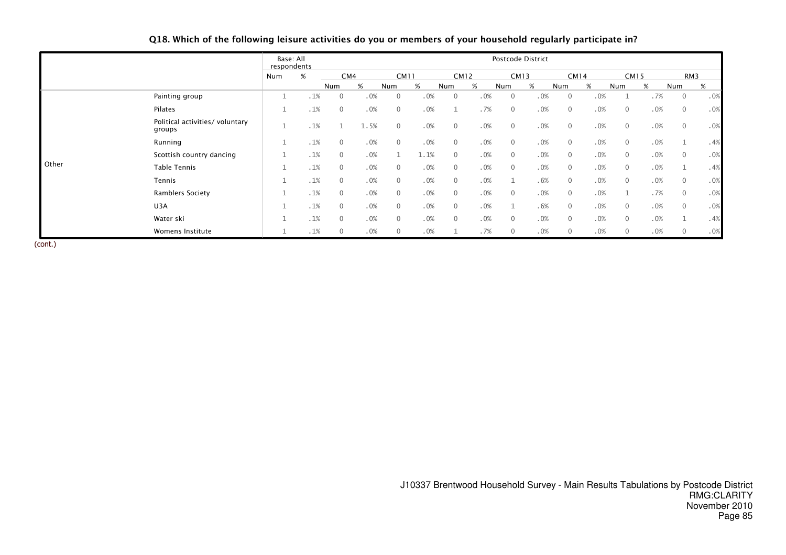|       |                                           | Base: All<br>respondents |     |              |     |      |              |      |              |             |     |                | Postcode District |              |             |              |             |              |     |
|-------|-------------------------------------------|--------------------------|-----|--------------|-----|------|--------------|------|--------------|-------------|-----|----------------|-------------------|--------------|-------------|--------------|-------------|--------------|-----|
|       |                                           | Num                      | %   |              | CM4 |      | <b>CM11</b>  |      |              | <b>CM12</b> |     | CM13           |                   |              | <b>CM14</b> |              | <b>CM15</b> |              | RM3 |
|       |                                           |                          |     | Num          | %   | Num  |              | %    | Num          | %           | Num |                | %                 | Num          | %           | Num          | %           | Num          | %   |
|       | Painting group                            |                          | .1% | $\Omega$     |     | .0%  | $\mathbf{0}$ | .0%  | $\mathbf{0}$ |             | .0% | $\Omega$       | .0%               | $\mathbf{0}$ | .0%         |              | .7%         | $\mathbf{0}$ | .0% |
|       | Pilates                                   |                          | .1% | $\mathbf{0}$ |     | .0%  | $\mathbf{0}$ | .0%  |              |             | .7% | $\mathbf{0}$   | .0%               | $\mathbf{0}$ | .0%         | $\mathbf{0}$ | .0%         | $\mathbf{0}$ | .0% |
|       | Political activities/ voluntary<br>groups |                          | .1% |              |     | 1.5% | $\Omega$     | .0%  | $\mathbf{0}$ |             | .0% | $\overline{0}$ | .0%               | $\mathbf 0$  | .0%         | $\mathbf{0}$ | .0%         | $\mathbf{0}$ | .0% |
|       | Running                                   |                          | .1% | $\mathbf{0}$ |     | .0%  | $\mathbf{0}$ | .0%  | $\mathbf{0}$ |             | .0% | $\mathbf{0}$   | .0%               | $\mathbf{0}$ | .0%         | $\mathbf{0}$ | .0%         |              | .4% |
|       | Scottish country dancing                  |                          | .1% | $\Omega$     |     | .0%  |              | 1.1% | $\Omega$     |             | .0% | $\mathbf{0}$   | .0%               | $\mathbf{0}$ | .0%         | $\mathbf{0}$ | .0%         | $\mathbf{0}$ | .0% |
| Other | <b>Table Tennis</b>                       |                          | .1% | $\mathbf{0}$ |     | .0%  | $\mathbf{0}$ | .0%  | $\mathbf{0}$ |             | .0% | $\overline{0}$ | .0%               | $\mathbf 0$  | .0%         | $\mathbf{0}$ | .0%         |              | .4% |
|       | Tennis                                    |                          | .1% | $\mathbf{0}$ |     | .0%  | $\mathbf{0}$ | .0%  | $\mathbf{0}$ |             | .0% |                | .6%               | $\mathbf{0}$ | .0%         | $\mathbf{0}$ | .0%         | $\mathbf{0}$ | .0% |
|       | Ramblers Society                          |                          | .1% | $\mathbf{0}$ |     | .0%  | $\mathbf{0}$ | .0%  | $\mathbf{0}$ |             | .0% | $\overline{0}$ | .0%               | $\mathbf{0}$ | .0%         |              | .7%         | $\mathbf{0}$ | .0% |
|       | U3A                                       |                          | .1% | $\mathbf{0}$ |     | .0%  | $\mathbf{0}$ | .0%  | $\mathbf{0}$ |             | .0% |                | .6%               | $\mathbf{0}$ | .0%         | $\mathbf{0}$ | .0%         | $\mathbf{0}$ | .0% |
|       | Water ski                                 |                          | .1% | $\Omega$     |     | .0%  | $\Omega$     | .0%  | $\Omega$     |             | .0% | $\mathbf{0}$   | .0%               | $\mathbf{0}$ | .0%         | $\mathbf{0}$ | .0%         |              | .4% |
|       | Womens Institute                          |                          | .1% | $\mathbf{0}$ |     | .0%  | $\mathbf{0}$ | .0%  |              |             | .7% | $\mathbf{0}$   | .0%               | $\mathbf 0$  | .0%         | $\mathbf 0$  | .0%         | $\mathbf{0}$ | .0% |

# Q18. Which of the following leisure activities do you or members of your household regularly participate in?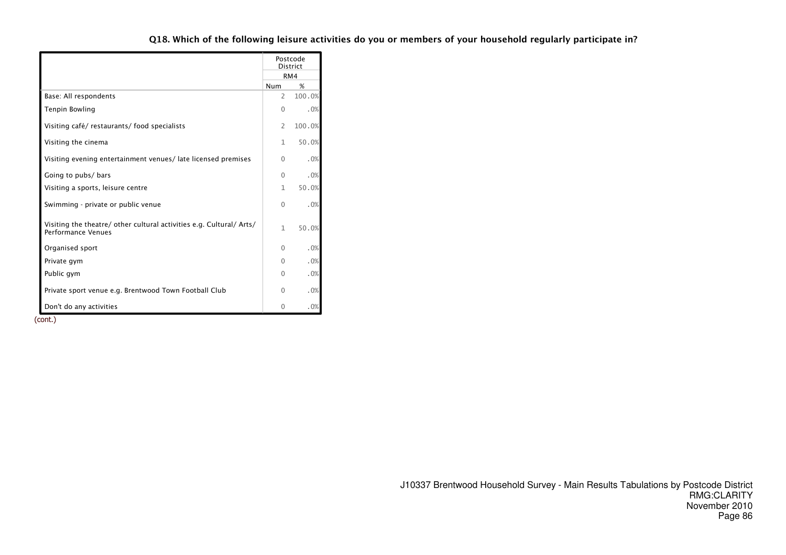|                                                                                                   |              | Postcode<br><b>District</b> |
|---------------------------------------------------------------------------------------------------|--------------|-----------------------------|
|                                                                                                   |              | RM4                         |
|                                                                                                   | <b>Num</b>   | %                           |
| Base: All respondents                                                                             | 2            | 100.0%                      |
| Tenpin Bowling                                                                                    | $\Omega$     | .0%                         |
| Visiting café/restaurants/food specialists                                                        | 2            | 100.0%                      |
| Visiting the cinema                                                                               | 1            | 50.0%                       |
| Visiting evening entertainment venues/late licensed premises                                      | 0            | .0%                         |
| Going to pubs/ bars                                                                               | $\Omega$     | .0%                         |
| Visiting a sports, leisure centre                                                                 | 1            | 50.0%                       |
| Swimming - private or public venue                                                                | $\Omega$     | .0%                         |
| Visiting the theatre/ other cultural activities e.g. Cultural/ Arts/<br><b>Performance Venues</b> | $\mathbf{1}$ | 50.0%                       |
| Organised sport                                                                                   | 0            | .0%                         |
| Private gym                                                                                       | 0            | .0%                         |
| Public gym                                                                                        | 0            | .0%                         |
| Private sport venue e.g. Brentwood Town Football Club                                             | 0            | .0%                         |
| Don't do any activities                                                                           | $\Omega$     | .0%                         |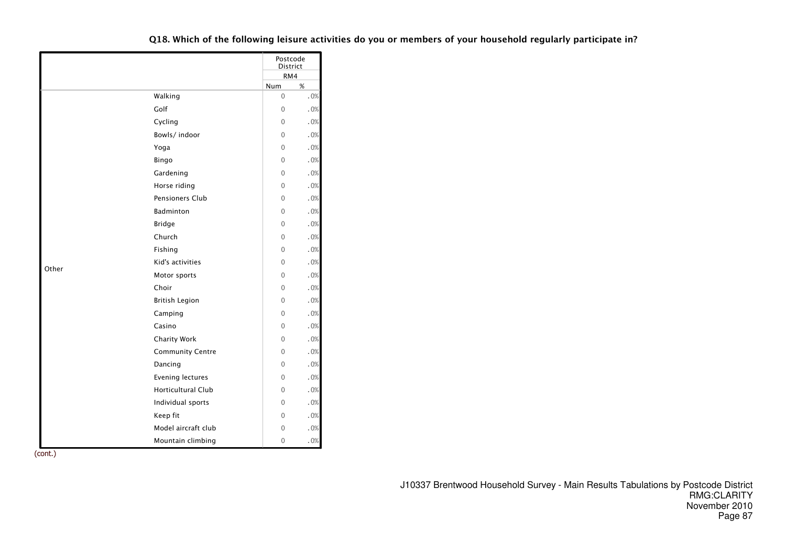|       |                           | Postcode<br><b>District</b> |     |
|-------|---------------------------|-----------------------------|-----|
|       |                           | RM4                         |     |
|       |                           | Num                         | %   |
|       | Walking                   | $\mathbf 0$                 | .0% |
|       | Golf                      | $\overline{0}$              | .0% |
|       | Cycling                   | $\Omega$                    | .0% |
|       | Bowls/indoor              | $\Omega$                    | .0% |
|       | Yoga                      | $\Omega$                    | .0% |
|       | Bingo                     | $\Omega$                    | .0% |
|       | Gardening                 | $\mathbf 0$                 | .0% |
|       | Horse riding              | $\Omega$                    | .0% |
|       | Pensioners Club           | $\mathbf 0$                 | .0% |
|       | Badminton                 | $\Omega$                    | .0% |
|       | <b>Bridge</b>             | $\overline{0}$              | .0% |
|       | Church                    | $\Omega$                    | .0% |
|       | Fishing                   | $\Omega$                    | .0% |
| Other | Kid's activities          | $\Omega$                    | .0% |
|       | Motor sports              | $\mathbf 0$                 | .0% |
|       | Choir                     | $\Omega$                    | .0% |
|       | <b>British Legion</b>     | $\mathbf 0$                 | .0% |
|       | Camping                   | $\Omega$                    | .0% |
|       | Casino                    | $\Omega$                    | .0% |
|       | Charity Work              | $\Omega$                    | .0% |
|       | <b>Community Centre</b>   | $\Omega$                    | .0% |
|       | Dancing                   | $\Omega$                    | .0% |
|       | Evening lectures          | $\Omega$                    | .0% |
|       | <b>Horticultural Club</b> | 0                           | .0% |
|       | Individual sports         | $\mathbf 0$                 | .0% |
|       | Keep fit                  | $\overline{0}$              | .0% |
|       | Model aircraft club       | $\Omega$                    | .0% |
|       | Mountain climbing         | $\overline{0}$              | .0% |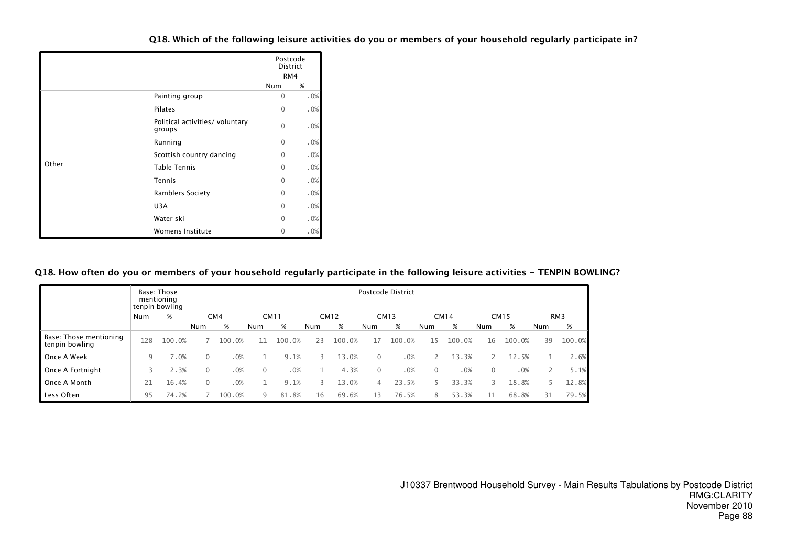|       |                                           | Postcode<br><b>District</b> |     |
|-------|-------------------------------------------|-----------------------------|-----|
|       |                                           | RM4                         |     |
|       |                                           | Num                         | %   |
|       | Painting group                            | $\Omega$                    | .0% |
|       | <b>Pilates</b>                            | $\Omega$                    | .0% |
|       | Political activities/ voluntary<br>groups | $\Omega$                    | .0% |
|       | Running                                   | $\Omega$                    | .0% |
|       | Scottish country dancing                  | $\Omega$                    | .0% |
| Other | <b>Table Tennis</b>                       | $\Omega$                    | .0% |
|       | Tennis                                    | $\Omega$                    | .0% |
|       | <b>Ramblers Society</b>                   | $\Omega$                    | .0% |
|       | U3A                                       | $\Omega$                    | .0% |
|       | Water ski                                 | $\Omega$                    | .0% |
|       | Womens Institute                          | $\Omega$                    | .0% |

# Q18. How often do you or members of your household regularly participate in the following leisure activities - TENPIN BOWLING?

|                                          |     | Base: Those<br>mentioning<br>tenpin bowling |          |                 |          |             |     |             |              | Postcode District |                |             |              |             |     |                 |
|------------------------------------------|-----|---------------------------------------------|----------|-----------------|----------|-------------|-----|-------------|--------------|-------------------|----------------|-------------|--------------|-------------|-----|-----------------|
|                                          | Num | %                                           |          | CM <sub>4</sub> |          | <b>CM11</b> |     | <b>CM12</b> |              | <b>CM13</b>       |                | <b>CM14</b> |              | <b>CM15</b> |     | RM <sub>3</sub> |
|                                          |     |                                             | Num      | %               | Num      | %           | Num | %           | <b>Num</b>   | %                 | Num            | %           | Num          | %           | Num | %               |
| Base: Those mentioning<br>tenpin bowling | 128 | 100.0%                                      |          | 100.0%          | 11       | 100.0%      | 23  | 100.0%      | 17           | 100.0%            | 15             | 100.0%      | 16           | 100.0%      | 39  | 100.0%          |
| Once A Week                              | 9   | 7.0%                                        | 0        | .0%             |          | 9.1%        | 3   | 13.0%       | $\Omega$     | .0%               |                | 13.3%       |              | 12.5%       |     | 2.6%            |
| Once A Fortnight                         |     | 2.3%                                        | $\Omega$ | .0%             | $\Omega$ | .0%         |     | 4.3%        | $\mathbf{0}$ | .0%               | $\overline{0}$ | .0%         | $\mathbf{0}$ | .0%         |     | 5.1%            |
| Once A Month                             | 21  | 16.4%                                       | 0        | .0%             |          | 9.1%        | 3   | 13.0%       | 4            | 23.5%             |                | 33.3%       | 3            | 18.8%       | 5.  | 12.8%           |
| Less Often                               | 95  | 74.2%                                       |          | 100.0%          | 9        | 81.8%       | 16  | 69.6%       | 13           | 76.5%             | 8              | 53.3%       |              | 68.8%       | 31  | 79.5%           |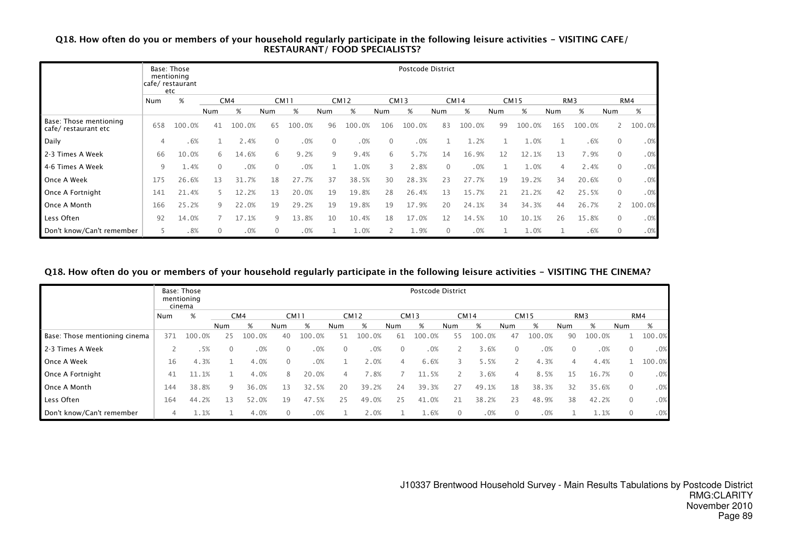# Q18. How often do you or members of your household regularly participate in the following leisure activities - VISITING CAFE/ RESTAURANT/ FOOD SPECIALISTS?

|                                                |               | Base: Those<br>mentioning<br>cafe/restaurant<br>etc |             |        |              |             |     |             |             | Postcode District |             |             |     |             |                |                 |              |        |
|------------------------------------------------|---------------|-----------------------------------------------------|-------------|--------|--------------|-------------|-----|-------------|-------------|-------------------|-------------|-------------|-----|-------------|----------------|-----------------|--------------|--------|
|                                                | Num           | %                                                   |             | CM4    |              | <b>CM11</b> |     | <b>CM12</b> |             | <b>CM13</b>       |             | <b>CM14</b> |     | <b>CM15</b> |                | RM <sub>3</sub> |              | RM4    |
|                                                |               |                                                     | Num         | %      | Num          | %           | Num | %           | Num         | %                 | Num         | %           | Num | %           | Num            | %               | Num          | %      |
| Base: Those mentioning<br>cafe/ restaurant etc | 658           | 100.0%                                              | 41          | 100.0% | 65           | 100.0%      | 96  | 100.0%      | 106         | 100.0%            | 83          | 100.0%      | 99  | 100.0%      | 165            | 100.0%          |              | 100.0% |
| Daily                                          | 4             | .6%                                                 |             | 2.4%   | $\mathbf{0}$ | .0%         | 0   | .0%         | $\mathbf 0$ | .0%               |             | 1.2%        |     | 1.0%        |                | .6%             | 0            | .0%    |
| 2-3 Times A Week                               | 66            | 10.0%                                               | 6           | 14.6%  | 6            | 9.2%        | 9   | 9.4%        | 6           | 5.7%              | 14          | 16.9%       | 12  | 12.1%       | 13             | 7.9%            | $\mathbf{0}$ | .0%    |
| 4-6 Times A Week                               | 9             | 1.4%                                                | $\Omega$    | .0%    | $\mathbf{0}$ | .0%         |     | 1.0%        | 3           | 2.8%              | $\Omega$    | .0%         |     | 1.0%        | $\overline{4}$ | 2.4%            | $\mathbf{0}$ | .0%    |
| Once A Week                                    | 175           | 26.6%                                               | 13          | 31.7%  | 18           | 27.7%       | 37  | 38.5%       | 30          | 28.3%             | 23          | .7%<br>27   | 19  | 19.2%       | 34             | 20.6%           | $\mathbf 0$  | .0%    |
| Once A Fortnight                               | 141           | 21.4%                                               |             | 12.2%  | 13           | 20.0%       | 19  | 19.8%       | 28          | 26.4%             | 13          | 15.7%       | 21  | 21.2%       | 42             | 25.5%           | $\mathbf{0}$ | .0%    |
| Once A Month                                   | 166           | 25.2%                                               | 9           | 22.0%  | 19           | 29.2%       | 19  | 19.8%       | 19          | 17.9%             | 20          | 24.1%       | 34  | 34.3%       | 44             | 26.7%           |              | 100.0% |
| Less Often                                     | 92            | 14.0%                                               |             | 17.1%  | 9            | 13.8%       | 10  | 10.4%       | 18          | 17.0%             | 12          | 14.5%       | 10  | 10.1%       | 26             | 15.8%           | 0            | .0%    |
| Don't know/Can't remember                      | $\mathcal{L}$ | .8%                                                 | $\mathbf 0$ | .0%    | 0            | .0%         |     | 1.0%        | 2           | 1.9%              | $\mathbf 0$ | .0%         | 1   | 1.0%        |                | .6%             | 0            | .0%    |

#### Q18. How often do you or members of your household regularly participate in the following leisure activities - VISITING THE CINEMA?

|                               |     | Base: Those<br>mentioning<br>cinema |          |        |             |             |              |                  |     | <b>Postcode District</b> |     |             |                |             |            |                 |                |        |
|-------------------------------|-----|-------------------------------------|----------|--------|-------------|-------------|--------------|------------------|-----|--------------------------|-----|-------------|----------------|-------------|------------|-----------------|----------------|--------|
|                               | Num | %                                   |          | CM4    |             | <b>CM11</b> |              | <b>CM12</b>      |     | CM13                     |     | <b>CM14</b> |                | <b>CM15</b> |            | RM <sub>3</sub> |                | RM4    |
|                               |     |                                     | Num      | %      | Num         | %           | Num          | %                | Num | %                        | Num | %           | Num            | %           | <b>Num</b> | %               | Num            | %      |
| Base: Those mentioning cinema | 371 | 100.0%                              | 25       | 100.0% | 40          | 100.0%      | 51           | 100.0%           | -61 | 100.0%                   | 55  | 100.0%      | 47             | 100.0%      | 90         | 100.0%          |                | 100.0% |
| 2-3 Times A Week              |     | .5%                                 | $\Omega$ | .0%    | $\Omega$    | .0%         | $\mathbf{0}$ | .0%              |     | .0%                      |     | .6%         | $\mathbf 0$    | .0%         | $\Omega$   | .0%             | $\mathbf{0}$   | .0%    |
| Once A Week                   | 16  | 4.3%                                |          | 4.0%   | $\Omega$    | .0%         |              | 2.0%             | 4   | 6.6%                     | 3   | 5.5%        |                | 4.3%        | 4          | 4.4%            |                | 100.0% |
| Once A Fortnight              | 41  | 11.1%                               |          | 4.0%   | 8           | 20.0%       | 4            | $^{\prime}$ . 8% |     | 11.5%                    |     | .6%         | $\overline{4}$ | 8.5%        | 15         | 16.7%           | $\mathbf{0}$   | .0%    |
| Once A Month                  | 144 | 38.8%                               | 9        | 36.0%  | 13          | 32.5%       | 20           | 39.2%            | 24  | 39.3%                    | 27  | 49.1%       | 18             | 38.3%       | 32         | 35.6%           | $\overline{0}$ | .0%    |
| Less Often                    | 164 | 44.2%                               | 13       | 52.0%  | 19          | 47.5%       | 25           | .0%<br>49        | 25  | 41.0%                    | 21  | 38.2%       | 23             | 48.9%       | 38         | 42.2%           | $\mathbf{0}$   | .0%    |
| Don't know/Can't remember     |     | 1.1%                                |          | 4.0%   | $\mathbf 0$ | .0%         |              | 2.0%             |     | 1.6%                     | 0   | .0%         | $\mathbf 0$    | .0%         |            | 1.1%            | $\mathbf{0}$   | .0%    |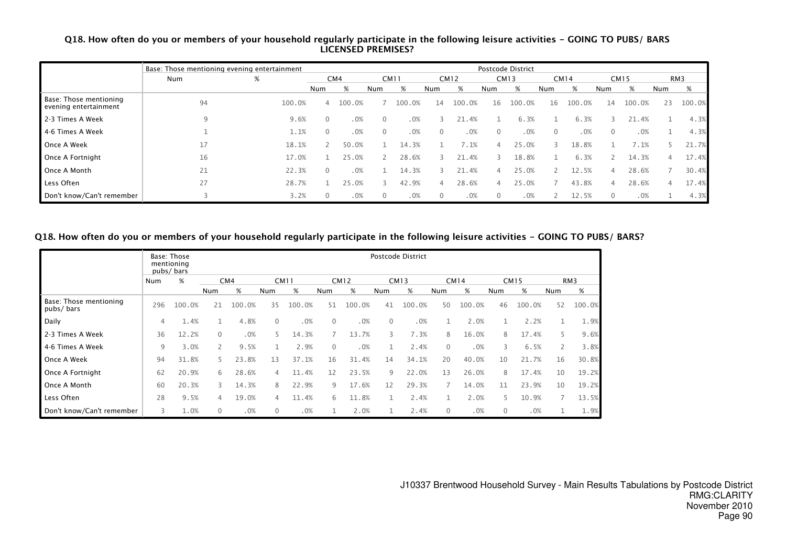# Q18. How often do you or members of your household regularly participate in the following leisure activities - GOING TO PUBS/ BARS LICENSED PREMISES?

|                                                 | Base: Those mentioning evening entertainment |        |                |        |             |             |          |             |     | Postcode District |     |             |          |             |     |        |
|-------------------------------------------------|----------------------------------------------|--------|----------------|--------|-------------|-------------|----------|-------------|-----|-------------------|-----|-------------|----------|-------------|-----|--------|
|                                                 | Num                                          | %      |                | CM4    |             | <b>CM11</b> |          | <b>CM12</b> |     | <b>CM13</b>       |     | <b>CM14</b> |          | <b>CM15</b> |     | RM3    |
|                                                 |                                              |        | Num            | %      | Num         | %           | Num      | %           | Num | %                 | Num | %           | Num      | %           | Num | %      |
| Base: Those mentioning<br>evening entertainment | 94                                           | 100.0% | $\overline{4}$ | 100.0% |             | 100.0%      | 14       | 100.0%      | 16  | 100.0%            | 16  | 100.0%      | 14       | 100.0%      | 23  | 100.0% |
| 2-3 Times A Week                                |                                              | 9.6%   | $\mathbf{0}$   | .0%    | $\Omega$    | .0%         |          | 21.4%       |     | 6.3%              |     | 6.3%        |          | 21.4%       |     | 4.3%   |
| l 4-6 Times A Week                              |                                              | 1.1%   | $\mathbf{0}$   | .0%    | $\mathbf 0$ | .0%         |          | .0%         | 0   | .0%               |     | .0%         | $\Omega$ | .0%         |     | 4.3%   |
| Once A Week                                     | 17                                           | 18.1%  |                | 50.0%  |             | 14.3%       |          | 7.1%        | 4   | 25.0%             |     | 18.8%       |          | 7.1%        |     | 21.7%  |
| Once A Fortnight                                | 16                                           | 17.0%  |                | 25.0%  |             | 28.6%       |          | 21.4%       |     | 18.8%             |     | 6.3%        |          | 14.3%       | 4   | 17.4%  |
| Once A Month                                    | 21                                           | 22.3%  | $\mathbf{0}$   | .0%    |             | 14.3%       |          | 21.4%       | 4   | 25.0%             |     | 12.5%       |          | 28.6%       |     | 30.4%  |
| Less Often                                      | 27                                           | 28.7%  |                | 25.0%  |             | 42.9%       | $\Delta$ | 28.6%       | 4   | 25.0%             |     | 43.8%       |          | 28.6%       | 4   | 17.4%  |
| Don't know/Can't remember                       |                                              | 3.2%   | $\Omega$       | .0%    | 0           | .0%         |          | .0%         | 0   | .0%               |     | 12.5%       | $\Omega$ | .0%         |     | 4.3%   |

# Q18. How often do you or members of your household regularly participate in the following leisure activities - GOING TO PUBS/ BARS?

|                                     |     | Base: Those<br>mentioning<br>pubs/bars |              |        |     |             |              |             |          | Postcode District |              |             |     |             |     |                 |
|-------------------------------------|-----|----------------------------------------|--------------|--------|-----|-------------|--------------|-------------|----------|-------------------|--------------|-------------|-----|-------------|-----|-----------------|
|                                     | Num | %                                      |              | CM4    |     | <b>CM11</b> |              | <b>CM12</b> |          | <b>CM13</b>       |              | <b>CM14</b> |     | <b>CM15</b> |     | RM <sub>3</sub> |
|                                     |     |                                        | Num          | %      | Num | %           | Num          | %           | Num      | %                 | Num          | %           | Num | %           | Num | %               |
| Base: Those mentioning<br>pubs/bars | 296 | 100.0%                                 | 21           | 100.0% | 35  | 100.0%      | 51           | 100.0%      | 41       | 100.0%            | 50           | 100.0%      | 46  | 100.0%      | 52  | 100.0%          |
| Daily                               | 4   | 1.4%                                   |              | 4.8%   | 0   | .0%         | $\mathbf{0}$ | .0%         | $\Omega$ | .0%               | 1            | 2.0%        |     | 2.2%        | 1   | 1.9%            |
| 2-3 Times A Week                    | 36  | 12.2%                                  | $\mathbf{0}$ | .0%    | 5.  | 14.3%       | 7            | 13.7%       | 3        | 7.3%              | 8            | 16.0%       | 8   | 17.4%       | 5   | 9.6%            |
| 4-6 Times A Week                    | 9   | 3.0%                                   | $\mathsf{2}$ | 9.5%   | 1   | 2.9%        | $\Omega$     | .0%         |          | 2.4%              | $\mathbf{0}$ | .0%         | 3   | 6.5%        | 2   | 3.8%            |
| Once A Week                         | 94  | 31.8%                                  | 5            | 23.8%  | 13  | 37.1%       | 16           | 31.4%       | 14       | 34.1%             | 20           | 40.0%       | 10  | 21.7%       | 16  | 30.8%           |
| Once A Fortnight                    | 62  | 20.9%                                  | 6            | 28.6%  | 4   | 11.4%       | 12           | 23.5%       | 9        | 22.0%             | 13           | 26.0%       | 8   | 17.4%       | 10  | 19.2%           |
| Once A Month                        | 60  | 20.3%                                  | 3            | 14.3%  | 8   | 22.9%       | 9            | 17.6%       | 12       | 29.3%             |              | 14.0%       | 11  | 23.9%       | 10  | 19.2%           |
| Less Often                          | 28  | 9.5%                                   | 4            | 19.0%  | 4   | 11.4%       | 6            | 11.8%       |          | 2.4%              | 1            | 2.0%        | 5.  | 10.9%       |     | 13.5%           |
| Don't know/Can't remember           | 3   | 1.0%                                   | $\mathbf 0$  | .0%    | 0   | .0%         |              | 2.0%        |          | 2.4%              | 0            | .0%         | 0   | .0%         |     | 1.9%            |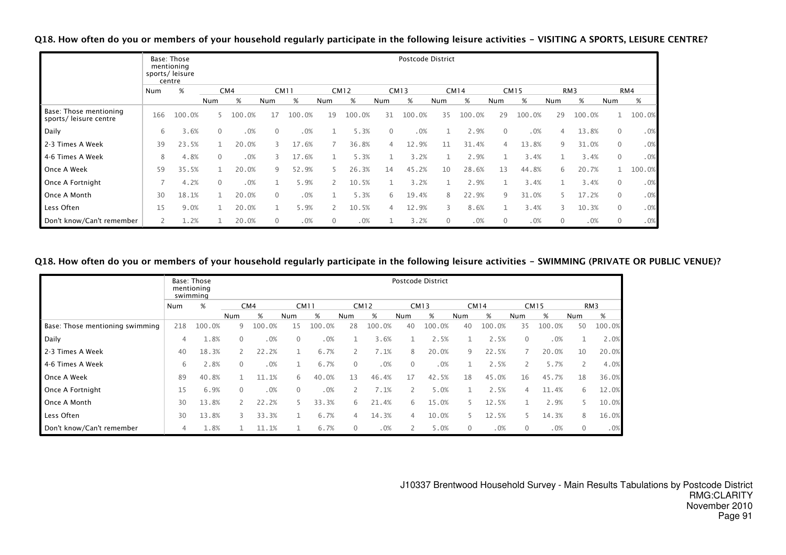Q18. How often do you or members of your household regularly participate in the following leisure activities - VISITING A SPORTS, LEISURE CENTRE?

|                                                  |     | Base: Those<br>mentioning<br>sports/leisure<br>centre |          |        |                |             |                          |             |          | Postcode District |              |             |              |             |             |                 |                |        |
|--------------------------------------------------|-----|-------------------------------------------------------|----------|--------|----------------|-------------|--------------------------|-------------|----------|-------------------|--------------|-------------|--------------|-------------|-------------|-----------------|----------------|--------|
|                                                  | Num | $\%$                                                  |          | CM4    |                | <b>CM11</b> |                          | <b>CM12</b> |          | <b>CM13</b>       |              | <b>CM14</b> |              | <b>CM15</b> |             | RM <sub>3</sub> |                | RM4    |
|                                                  |     |                                                       | Num      | %      | Num            | %           | Num                      | %           | Num      | %                 | Num          | %           | Num          | %           | Num         | %               | Num            | %      |
| Base: Those mentioning<br>sports/ leisure centre | 166 | 100.0%                                                | 5.       | 100.0% | 17             | 100.0%      | 19                       | 100.0%      | 31       | 100.0%            | 35           | 100.0%      | 29           | 100.0%      | 29          | 100.0%          |                | 100.0% |
| Daily                                            | 6   | 3.6%                                                  | $\Omega$ | .0%    | $\Omega$       | .0%         |                          | 5.3%        | $\Omega$ | .0%               |              | 2.9%        | $\mathbf{0}$ | .0%         | 4           | 13.8%           | $\overline{0}$ | .0%    |
| 2-3 Times A Week                                 | 39  | 23.5%                                                 |          | 20.0%  | 3              | 17.6%       |                          | 36.8%       | 4        | 12.9%             | 11           | 31.4%       | 4            | 13.8%       | 9           | 31.0%           | $\overline{0}$ | .0%    |
| 4-6 Times A Week                                 | 8   | 4.8%                                                  | $\Omega$ | .0%    | 3              | 17.6%       |                          | 5.3%        |          | 3.2%              |              | 2.9%        |              | 3.4%        |             | 3.4%            | $\mathbf{0}$   | .0%    |
| Once A Week                                      | 59  | 35.5%                                                 |          | 20.0%  | 9              | 52.9%       | 5.                       | 26.3%       | 14       | 45.2%             | 10           | 28.6%       | 13           | 44.8%       | 6           | 20.7%           |                | 100.0% |
| Once A Fortnight                                 |     | 4.2%                                                  | $\Omega$ | .0%    | 1              | 5.9%        |                          | 10.5%       |          | 3.2%              |              | 2.9%        | 1            | 3.4%        |             | 3.4%            | $\mathbf{0}$   | .0%    |
| Once A Month                                     | 30  | 18.1%                                                 |          | 20.0%  | $\mathbf{0}$   | .0%         |                          | 5.3%        | 6        | 19.4%             | 8            | 22.9%       | 9            | 31.0%       |             | 17.2%           | $\overline{0}$ | .0%    |
| Less Often                                       | 15  | 9.0%                                                  |          | 20.0%  |                | 5.9%        | $\overline{\phantom{0}}$ | 10.5%       | 4        | 12.9%             | 3            | 8.6%        |              | 3.4%        |             | 10.3%           | $\mathbf{0}$   | .0%    |
| Don't know/Can't remember                        | 2   | 1.2%                                                  |          | 20.0%  | $\overline{0}$ | .0%         | $\mathbf{0}$             | .0%         |          | 3.2%              | $\mathbf{0}$ | .0%         | $\mathbf{0}$ | .0%         | $\mathbf 0$ | .0%             | $\overline{0}$ | .0%    |

#### Q18. How often do you or members of your household regularly participate in the following leisure activities - SWIMMING (PRIVATE OR PUBLIC VENUE)?

|                                 |     | Base: Those<br>mentioning<br>swimming |     |        |          |             |              |             |          | Postcode District |     |             |              |             |              |        |
|---------------------------------|-----|---------------------------------------|-----|--------|----------|-------------|--------------|-------------|----------|-------------------|-----|-------------|--------------|-------------|--------------|--------|
|                                 | Num | %                                     |     | CM4    |          | <b>CM11</b> |              | <b>CM12</b> |          | <b>CM13</b>       |     | <b>CM14</b> |              | <b>CM15</b> |              | RM3    |
|                                 |     |                                       | Num | %      | Num      | %           | Num          | %           | Num      | %                 | Num | %           | Num          | %           | Num          | %      |
| Base: Those mentioning swimming | 218 | 100.0%                                | 9   | 100.0% | 15       | 100.0%      | 28           | 100.0%      | 40       | 100.0%            | 40  | 100.0%      | 35           | 100.0%      | 50           | 100.0% |
| Daily                           | 4   | 1.8%                                  | 0   | .0%    | $\Omega$ | .0%         |              | 3.6%        |          | 2.5%              |     | 2.5%        | $\mathbf 0$  | .0%         |              | 2.0%   |
| 2-3 Times A Week                | 40  | 18.3%                                 |     | 22.2%  |          | 6.7%        | $\mathbf{2}$ | 7.1%        | 8        | 20.0%             | 9   | 22.5%       |              | 20.0%       | 10           | 20.0%  |
| 4-6 Times A Week                | 6   | 2.8%                                  | 0   | .0%    |          | 6.7%        | $\Omega$     | .0%         | $\Omega$ | .0%               |     | 2.5%        | 2            | 5.7%        | 2            | 4.0%   |
| Once A Week                     | 89  | 40.8%                                 |     | 11.1%  | 6        | 40.0%       | 13           | 46.4%       | 17       | 42.5%             | 18  | 45.0%       | 16           | 45.7%       | 18           | 36.0%  |
| Once A Fortnight                | 15  | 6.9%                                  | 0   | .0%    | $\Omega$ | .0%         | 2            | 7.1%        |          | 5.0%              |     | 2.5%        | 4            | 11.4%       | 6            | 12.0%  |
| Once A Month                    | 30  | 13.8%                                 |     | 22.2%  | 5        | 33.3%       | 6            | 21.4%       | 6        | 15.0%             | 5   | 12.5%       |              | 2.9%        | 5.           | 10.0%  |
| Less Often                      | 30  | 13.8%                                 | 3   | 33.3%  |          | 6.7%        | 4            | 14.3%       | 4        | 10.0%             | 5   | 12.5%       |              | 14.3%       | 8            | 16.0%  |
| Don't know/Can't remember       | 4   | 1.8%                                  |     | 11.1%  |          | 6.7%        | $\mathbf{0}$ | .0%         |          | 5.0%              | 0   | .0%         | $\mathbf{0}$ | .0%         | $\mathbf{0}$ | .0%    |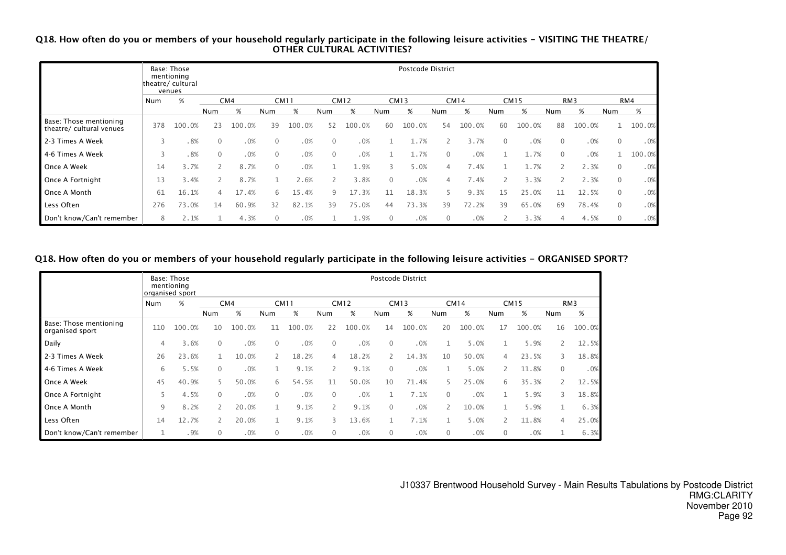# Q18. How often do you or members of your household regularly participate in the following leisure activities - VISITING THE THEATRE/ OTHER CULTURAL ACTIVITIES?

|                                                    |     | Base: Those<br>mentioning<br>theatre/ cultural<br>venues |                |        |              |        |              |             |              | Postcode District |          |             |                       |             |              |        |                |        |
|----------------------------------------------------|-----|----------------------------------------------------------|----------------|--------|--------------|--------|--------------|-------------|--------------|-------------------|----------|-------------|-----------------------|-------------|--------------|--------|----------------|--------|
|                                                    | Num | %                                                        |                | CM4    | <b>CM11</b>  |        |              | <b>CM12</b> |              | <b>CM13</b>       |          | <b>CM14</b> |                       | <b>CM15</b> |              | RM3    |                | RM4    |
|                                                    |     |                                                          | Num            | %      | Num          | %      | Num          | %           | Num          | %                 | Num      | %           | Num                   | %           | Num          | $\%$   | Num            | %      |
| Base: Those mentioning<br>theatre/ cultural venues | 378 | 100.0%                                                   | 23             | 100.0% | 39           | 100.0% | 52           | 100.0%      | 60           | 100.0%            | 54       | 100.0%      | 60                    | 100.0%      | 88           | 100.0% |                | 100.0% |
| 2-3 Times A Week                                   | 3   | .8%                                                      | $\mathbf 0$    | .0%    | $\mathbf 0$  | .0%    | $\Omega$     | .0%         |              | 1.7%              |          | 3.7%        | $\mathbf{0}$          | .0%         |              | .0%    | $\mathbf 0$    | .0%    |
| 4-6 Times A Week                                   | 3   | .8%                                                      | $\mathbf{0}$   | .0%    | $\mathbf{0}$ | .0%    | $\mathbf{0}$ | .0%         |              | 1.7%              | $\Omega$ | .0%         |                       | 1.7%        | $\mathbf{0}$ | .0%    |                | 100.0% |
| Once A Week                                        | 14  | 3.7%                                                     | $\overline{2}$ | 8.7%   | $\mathbf{0}$ | .0%    | и            | 1.9%        | 3            | 5.0%              | 4        | 7.4%        |                       | 1.7%        |              | 2.3%   | $\mathbf 0$    | .0%    |
| Once A Fortnight                                   | 13  | 3.4%                                                     | 2              | 8.7%   |              | 2.6%   |              | 3.8%        | $\mathbf{0}$ | .0%               | 4        | 7.4%        | $\mathbf{2}^{\prime}$ | 3.3%        |              | 2.3%   | $\mathbf{0}$   | .0%    |
| l Once A Month                                     | 61  | 16.1%                                                    | 4              | 17.4%  | 6            | 15.4%  | q            | 17.3%       | 11           | 18.3%             |          | 9.3%        | 15                    | 25.0%       |              | 12.5%  | $\overline{0}$ | .0%    |
| Less Often                                         | 276 | 73.0%                                                    | 14             | 60.9%  | 32           | 82.1%  | 39           | 75.0%       | 44           | 73.3%             | 39       | 72.2%       | 39                    | 65.0%       | 69           | 78.4%  | $\mathbf 0$    | .0%    |
| Don't know/Can't remember                          | 8   | 2.1%                                                     |                | 4.3%   | $\mathbf 0$  | .0%    |              | 1.9%        | 0            | .0%               | 0        | .0%         | 2                     | 3.3%        | 4            | 4.5%   | 0              | .0%    |

#### Q18. How often do you or members of your household regularly participate in the following leisure activities - ORGANISED SPORT?

|                                           |     | Base: Those<br>mentioning<br>organised sport |                |        |              |             |                          |             |              | <b>Postcode District</b> |                |             |                |             |              |                 |
|-------------------------------------------|-----|----------------------------------------------|----------------|--------|--------------|-------------|--------------------------|-------------|--------------|--------------------------|----------------|-------------|----------------|-------------|--------------|-----------------|
|                                           | Num | %                                            |                | CM4    |              | <b>CM11</b> |                          | <b>CM12</b> |              | <b>CM13</b>              |                | <b>CM14</b> |                | <b>CM15</b> |              | RM <sub>3</sub> |
|                                           |     |                                              | Num            | %      | Num          | %           | Num                      | %           | Num          | %                        | <b>Num</b>     | %           | Num            | %           | Num          | %               |
| Base: Those mentioning<br>organised sport | 110 | 100.0%                                       | 10             | 100.0% | 11           | 100.0%      | 22                       | 100<br>.0%  | 14           | 100.0%                   | 20             | 100.0%      | 17             | 100.0%      | 16           | 100.0%          |
| Daily                                     | 4   | 3.6%                                         | $\mathbf{0}$   | .0%    | $\Omega$     | .0%         | $\Omega$                 | .0%         | $\mathbf{0}$ | .0%                      |                | 5.0%        | $\mathbf{1}$   | 5.9%        | 2            | 12.5%           |
| 2-3 Times A Week                          | 26  | 23.6%                                        |                | 10.0%  |              | 18.2%       | 4                        | 18.2%       | 2            | 14.3%                    | 10             | 50.0%       | 4              | 23.5%       | 3            | 18.8%           |
| 4-6 Times A Week                          | 6   | 5.5%                                         | $\mathbf{0}$   | .0%    |              | 9.1%        |                          | 9.1%        | $\mathbf{0}$ | .0%                      | 1              | 5.0%        | $\overline{2}$ | 11.8%       | $\mathbf{0}$ | .0%             |
| Once A Week                               | 45  | 40.9%                                        | 5              | 50.0%  | 6            | 54.5%       | 11                       | 50.0%       | 10           | 71.4%                    | 5              | 25.0%       | 6              | 35.3%       | 2            | 12.5%           |
| Once A Fortnight                          | 5   | 4.5%                                         | $\Omega$       | .0%    | $\Omega$     | .0%         | $\Omega$                 | .0%         |              | 7.1%                     | $\mathbf{0}$   | .0%         |                | 5.9%        | 3            | 18.8%           |
| Once A Month                              | 9   | 8.2%                                         | 2              | 20.0%  |              | 9.1%        | $\overline{\phantom{a}}$ | 9.1%        | $\Omega$     | .0%                      | $\overline{2}$ | 10.0%       | $\mathbf 1$    | 5.9%        |              | 6.3%            |
| Less Often                                | 14  | 12.7%                                        | $\overline{2}$ | 20.0%  |              | 9.1%        | 3                        | .6%<br>13   |              | 7.1%                     |                | 5.0%        |                | 11.8%       | 4            | 25.0%           |
| Don't know/Can't remember                 | 1   | .9%                                          | $\mathbf 0$    | .0%    | $\mathbf{0}$ | .0%         | 0                        | .0%         | $\mathbf{0}$ | .0%                      | $\mathbf 0$    | .0%         | $\mathbf{0}$   | .0%         |              | 6.3%            |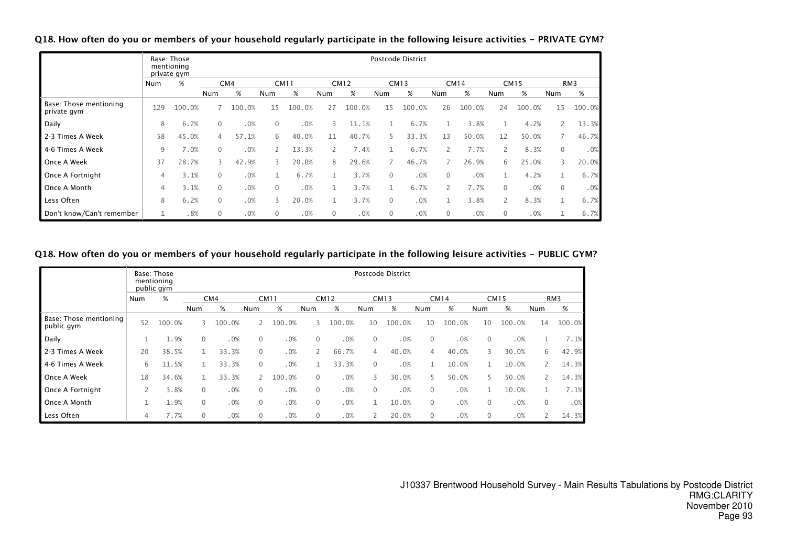Q18. How often do you or members of your household regularly participate in the following leisure activities - PRIVATE GYM?

|                                       |                | Base: Those<br>mentioning<br>private gym |                |        |                |             |              |             |              | Postcode District |              |             |                |             |              |                 |
|---------------------------------------|----------------|------------------------------------------|----------------|--------|----------------|-------------|--------------|-------------|--------------|-------------------|--------------|-------------|----------------|-------------|--------------|-----------------|
|                                       | Num            | %                                        |                | CM4    |                | <b>CM11</b> |              | <b>CM12</b> |              | CM13              |              | <b>CM14</b> |                | <b>CM15</b> |              | RM <sub>3</sub> |
|                                       |                |                                          | Num            | %      | Num            | %           | Num          | %           | Num          | %                 | Num          | %           | Num            | %           | Num          | %               |
| Base: Those mentioning<br>private gym | 129            | 100.0%                                   | 7              | 100.0% | 15             | 100.0%      | 27           | 100.0%      | 15           | 100.0%            | 26           | 100.0%      | 24             | 100.0%      | 15           | 100.0%          |
| Daily                                 | 8              | 6.2%                                     | $\mathbf{0}$   | .0%    | $\mathbf{0}$   | .0%         | 3            | 11.1%       |              | 6.7%              |              | 3.8%        | 1              | 4.2%        |              | 13.3%           |
| 2-3 Times A Week                      | 58             | 45.0%                                    | $\overline{4}$ | 57.1%  | 6              | 40.0%       | 11           | 40.7%       | 5.           | 33.3%             | 13           | 50.0%       | 12             | 50.0%       |              | 46.7%           |
| 4-6 Times A Week                      | 9              | 7.0%                                     | $\mathbf{0}$   | .0%    | $\overline{2}$ | 13.3%       |              | 7.4%        |              | 6.7%              | 2            | 7.7%        |                | 8.3%        | $\mathbf{0}$ | .0%             |
| Once A Week                           | 37             | 28.7%                                    | 3              | 42.9%  | 3              | 20.0%       | 8            | 29.6%       |              | 46.7%             |              | 26.9%       | 6              | 25.0%       | 3            | 20.0%           |
| Once A Fortnight                      | $\overline{4}$ | 3.1%                                     | $\mathbf{0}$   | .0%    |                | 6.7%        |              | 3.7%        | $\Omega$     | .0%               | $\mathbf{0}$ | .0%         |                | 4.2%        |              | 6.7%            |
| Once A Month                          | 4              | 3.1%                                     | $\mathbf{0}$   | .0%    | $\mathbf{0}$   | .0%         |              | 3.7%        |              | 6.7%              | 2            | 7.7%        | $\Omega$       | .0%         | $\mathbf{0}$ | .0%             |
| Less Often                            | 8              | 6.2%                                     | $\mathbf{0}$   | .0%    | 3              | 20.0%       |              | 3.7%        | $\Omega$     | .0%               |              | 3.8%        | $\overline{2}$ | 8.3%        | 1            | 6.7%            |
| Don't know/Can't remember             |                | .8%                                      | $\mathbf{0}$   | .0%    | $\mathbf{0}$   | .0%         | $\mathbf{0}$ | .0%         | $\mathbf{0}$ | .0%               | $\mathbf 0$  | .0%         | 0              | .0%         | 1            | 6.7%            |

# Q18. How often do you or members of your household regularly participate in the following leisure activities - PUBLIC GYM?

|                                      |     | Base: Those<br>mentioning<br>public gym |              |                 |                |             |              |             |             | <b>Postcode District</b> |              |             |              |             |              |                 |
|--------------------------------------|-----|-----------------------------------------|--------------|-----------------|----------------|-------------|--------------|-------------|-------------|--------------------------|--------------|-------------|--------------|-------------|--------------|-----------------|
|                                      | Num | %                                       |              | CM <sub>4</sub> |                | <b>CM11</b> |              | <b>CM12</b> |             | <b>CM13</b>              |              | <b>CM14</b> |              | <b>CM15</b> |              | RM <sub>3</sub> |
|                                      |     |                                         | Num          | %               | Num            | %           | Num          | %           | Num         | %                        | Num          | %           | Num          | %           | Num          | %               |
| Base: Those mentioning<br>public gym | 52  | 100.0%                                  | 3            | 100.0%          | $\mathbf{2}$   | 100.0%      | 3            | 100.0%      | 10          | 100.0%                   | 10           | 100.0%      | 10           | 100.0%      | 14           | 100.0%          |
| Daily                                |     | 1.9%                                    | $\mathbf{0}$ | .0%             | $\mathbf{0}$   | .0%         | $\mathbf{0}$ | .0%         | 0           | .0%                      | 0            | .0%         | $\mathbf{0}$ | .0%         |              | 7.1%            |
| 2-3 Times A Week                     | 20  | 38.5%                                   |              | 33.3%           | $\mathbf{0}$   | .0%         | $\mathsf{2}$ | 66.7%       | 4           | 40.0%                    | 4            | 40.0%       | 3            | 30.0%       | 6            | 42.9%           |
| 4-6 Times A Week                     | 6   | 11.5%                                   |              | 33.3%           | $\mathbf{0}$   | .0%         |              | 33.3%       | $\Omega$    | .0%                      |              | 10.0%       |              | 10.0%       | 2            | 14.3%           |
| Once A Week                          | 18  | 34.6%                                   |              | 33.3%           | $\overline{2}$ | 100.0%      | $\mathbf{0}$ | .0%         | 3           | 30.0%                    | 5.           | 50.0%       | 5            | 50.0%       | 2            | 14.3%           |
| Once A Fortnight                     |     | 3.8%                                    | $\mathbf 0$  | .0%             | $\mathbf{0}$   | .0%         | $\mathbf{0}$ | .0%         | $\mathbf 0$ | .0%                      | $\Omega$     | .0%         |              | 10.0%       |              | 7.1%            |
| Once A Month                         |     | 1.9%                                    | $\mathbf 0$  | .0%             | $\mathbf{0}$   | .0%         | $\mathbf{0}$ | .0%         | 1           | 10.0%                    | $\mathbf{0}$ | .0%         | $\mathbf{0}$ | .0%         | $\mathbf{0}$ | .0%             |
| Less Often                           | 4   | 7.7%                                    | $\mathbf{0}$ | .0%             | $\mathbf{0}$   | .0%         | $\mathbf{0}$ | .0%         |             | 20.0%                    | $\Omega$     | .0%         | $\mathbf{0}$ | .0%         |              | 14.3%           |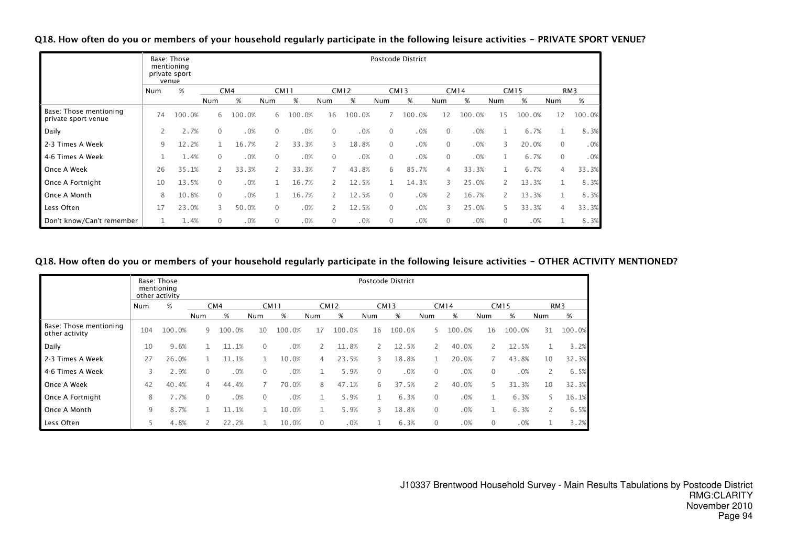Q18. How often do you or members of your household regularly participate in the following leisure activities - PRIVATE SPORT VENUE?

|                                               |     | Base: Those<br>mentioning<br>private sport<br>venue |              |        |              |             |          |             |              | Postcode District |              |             |                       |             |                |        |
|-----------------------------------------------|-----|-----------------------------------------------------|--------------|--------|--------------|-------------|----------|-------------|--------------|-------------------|--------------|-------------|-----------------------|-------------|----------------|--------|
|                                               | Num | %                                                   |              | CM4    |              | <b>CM11</b> |          | <b>CM12</b> |              | <b>CM13</b>       |              | <b>CM14</b> |                       | <b>CM15</b> |                | RM3    |
|                                               |     |                                                     | Num          | $\%$   | Num          | %           | Num      | %           | Num          | %                 | Num          | %           | Num                   | %           | Num            | %      |
| Base: Those mentioning<br>private sport venue | 74  | 100.0%                                              | 6            | 100.0% | 6            | 100.0%      | 16       | 100.0%      |              | 100.0%            | 12           | 100.0%      | 15                    | 100.0%      | 12             | 100.0% |
| Daily                                         | 2   | 2.7%                                                | 0            | .0%    | $\Omega$     | .0%         | $\Omega$ | .0%         | $\mathbf{0}$ | .0%               | $\mathbf{0}$ | .0%         |                       | 6.7%        |                | 8.3%   |
| 2-3 Times A Week                              | 9   | 12.2%                                               |              | 16.7%  |              | 33.3%       | 3        | 18.8%       | $\mathbf{0}$ | .0%               | $\mathbf{0}$ | .0%         | 3                     | 20.0%       | $\mathbf{0}$   | .0%    |
| 4-6 Times A Week                              | 1   | 1.4%                                                | $\mathbf{0}$ | .0%    | $\Omega$     | .0%         | $\Omega$ | .0%         | $\mathbf{0}$ | .0%               | $\mathbf{0}$ | .0%         |                       | 6.7%        | $\overline{0}$ | .0%    |
| Once A Week                                   | 26  | 35.1%                                               |              | 33.3%  | 2            | 33.3%       |          | 43.8%       | 6            | 85.7%             | 4            | 33.3%       |                       | 6.7%        | $\overline{4}$ | 33.3%  |
| Once A Fortnight                              | 10  | 13.5%                                               | $\Omega$     | .0%    |              | 16.7%       |          | 12.5%       | $\mathbf{1}$ | 14.3%             | 3            | 25.0%       | $\mathbf{2}^{\prime}$ | 13.3%       | 1              | 8.3%   |
| Once A Month                                  | 8   | 10.8%                                               | $\mathbf{0}$ | .0%    |              | 16.7%       |          | 12.5%       | $\Omega$     | .0%               | $\mathbf{2}$ | 16.7%       | $\overline{2}$        | 13.3%       |                | 8.3%   |
| Less Often                                    | 17  | 23.0%                                               | 3            | 50.0%  | $\Omega$     | .0%         |          | 12.5%       | $\mathbf{0}$ | .0%               | 3            | 25.0%       |                       | 33.3%       | 4              | 33.3%  |
| Don't know/Can't remember                     | 1   | 1.4%                                                | 0            | .0%    | $\mathbf{0}$ | .0%         | 0        | .0%         | $\mathbf{0}$ | .0%               | $\mathbf{0}$ | .0%         | $\mathbf 0$           | .0%         |                | 8.3%   |

# Q18. How often do you or members of your household regularly participate in the following leisure activities - OTHER ACTIVITY MENTIONED?

|                                          |     | Base: Those<br>mentioning<br>other activity |              |        |          |             |                |             |              | Postcode District |              |             |             |             |              |                 |
|------------------------------------------|-----|---------------------------------------------|--------------|--------|----------|-------------|----------------|-------------|--------------|-------------------|--------------|-------------|-------------|-------------|--------------|-----------------|
|                                          | Num | %                                           |              | CM4    |          | <b>CM11</b> |                | <b>CM12</b> |              | <b>CM13</b>       |              | <b>CM14</b> |             | <b>CM15</b> |              | RM <sub>3</sub> |
|                                          |     |                                             | Num          | %      | Num      | %           | Num            | %           | Num          | %                 | Num          | %           | Num         | %           | Num          | %               |
| Base: Those mentioning<br>other activity | 104 | 100.0%                                      | 9            | 100.0% | 10       | 100.0%      | 17             | 100.0%      | 16           | 100.0%            | 5.           | 100.0%      | 16          | 100.0%      | 31           | 100.0%          |
| Daily                                    | 10  | 9.6%                                        |              | 11.1%  | $\Omega$ | .0%         |                | 11.8%       |              | 12.5%             | 2            | 40.0%       |             | 12.5%       |              | 3.2%            |
| 2-3 Times A Week                         | 27  | 26.0%                                       |              | 11.1%  |          | 10.0%       | $\overline{4}$ | 23.5%       | 3            | 18.8%             | 1            | 20.0%       |             | 43.8%       | 10           | 32.3%           |
| 4-6 Times A Week                         | 3   | 2.9%                                        | $\mathbf{0}$ | .0%    | 0        | .0%         | 1              | 5.9%        | $\mathbf{0}$ | .0%               | $\mathbf{0}$ | .0%         | 0           | .0%         | $\mathsf{2}$ | 6.5%            |
| Once A Week                              | 42  | 40.4%                                       | 4            | 44.4%  |          | 70.0%       | 8              | 47.1%       | 6            | 37.5%             | 2            | 40.0%       | 5.          | 31.3%       | 10           | 32.3%           |
| Once A Fortnight                         | 8   | 7.7%                                        | $\Omega$     | .0%    | 0        | .0%         |                | 5.9%        |              | 6.3%              | $\mathbf{0}$ | .0%         |             | 6.3%        | 5.           | 16.1%           |
| Once A Month                             | 9   | 8.7%                                        |              | 11.1%  |          | 10.0%       | 1              | 5.9%        | 3            | 18.8%             | $\mathbf{0}$ | .0%         |             | 6.3%        | 2            | 6.5%            |
| Less Often                               | 5   | 4.8%                                        |              | 22.2%  |          | 10.0%       | $\mathbf 0$    | .0%         |              | 6.3%              | $\mathbf{0}$ | .0%         | $\mathbf 0$ | .0%         | Τ.           | 3.2%            |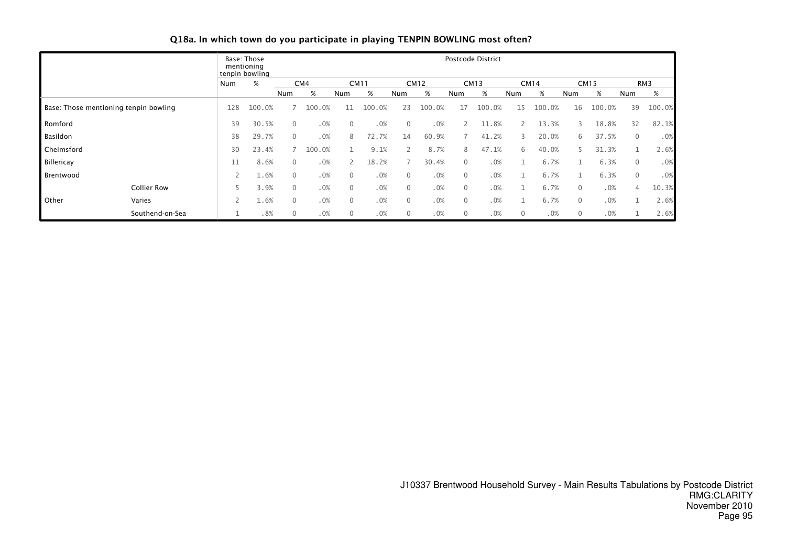# Q18a. In which town do you participate in playing TENPIN BOWLING most often?

|            |                                       |     | Base: Those<br>mentioning<br>tenpin bowling |          |        |              |             |              |             |              | Postcode District |              |        |              |             |              |        |
|------------|---------------------------------------|-----|---------------------------------------------|----------|--------|--------------|-------------|--------------|-------------|--------------|-------------------|--------------|--------|--------------|-------------|--------------|--------|
|            |                                       | Num | %                                           |          | CM4    |              | <b>CM11</b> |              | <b>CM12</b> |              | <b>CM13</b>       |              | CM14   |              | <b>CM15</b> |              | RM3    |
|            |                                       |     |                                             | Num      | %      | Num          | %           | Num          | %           | Num          | %                 | Num          | %      | Num          | %           | Num          | %      |
|            | Base: Those mentioning tenpin bowling | 128 | 100.0%                                      |          | 100.0% | 11           | 100.0%      | 23           | 100.0%      | 17           | 100.0%            | 15           | 100.0% | 16           | 100.0%      | 39           | 100.0% |
| Romford    |                                       | 39  | 30.5%                                       | 0        | .0%    | $\mathbf{0}$ | .0%         | $\Omega$     | .0%         |              | 11.8%             | 2            | 13.3%  | 3            | 18.8%       | 32           | 82.1%  |
| Basildon   |                                       | 38  | 29.7%                                       | 0        | .0%    | 8            | 72.7%       | 14           | 60.9%       |              | 41.2%             | 3            | 20.0%  | 6            | 37.5%       | $\mathbf{0}$ | .0%    |
| Chelmsford |                                       | 30  | 23.4%                                       |          | 100.0% |              | 9.1%        |              | 8.7%        | 8            | 47.1%             | 6            | 40.0%  |              | 31.3%       |              | 2.6%   |
| Billericay |                                       |     | 8.6%                                        | $\Omega$ | .0%    |              | 18.2%       |              | 30.4%       | 0            | .0%               |              | 6.7%   |              | 6.3%        | $\mathbf{0}$ | .0%    |
| Brentwood  |                                       |     | 1.6%                                        | $\Omega$ | .0%    | $\mathbf{0}$ | .0%         | $\Omega$     | .0%         | $\mathbf{0}$ | .0%               |              | 6.7%   |              | 6.3%        | $\mathbf{0}$ | .0%    |
|            | <b>Collier Row</b>                    |     | 3.9%                                        | 0        | .0%    | $\mathbf{0}$ | .0%         | $\Omega$     | .0%         | $\mathbf{0}$ | .0%               |              | 6.7%   | $\Omega$     | .0%         | 4            | 10.3%  |
| Other      | Varies                                |     | 1.6%                                        | 0        | .0%    | $\mathbf{0}$ | .0%         | $\mathbf{0}$ | .0%         | $\mathbf{0}$ | .0%               |              | 6.7%   | $\mathbf{0}$ | .0%         |              | 2.6%   |
|            | Southend-on-Sea                       |     | .8%                                         | 0        | .0%    | $\mathbf{0}$ | .0%         | $\Omega$     | .0%         | 0            | .0%               | $\mathbf{0}$ | .0%    | $\Omega$     | .0%         |              | 2.6%   |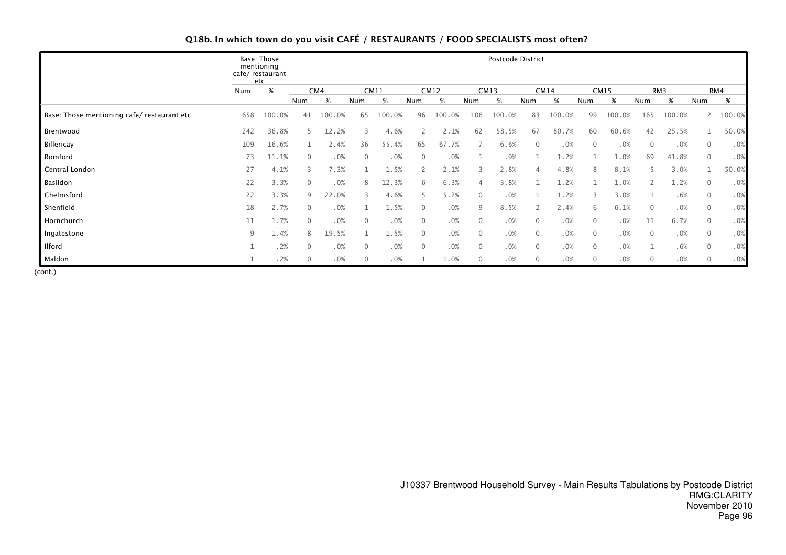# Q18b. In which town do you visit CAFÉ / RESTAURANTS / FOOD SPECIALISTS most often?

|                                             |     | Base: Those<br>mentioning<br>cafe/ restaurant<br>etc |                |        |                |             |                |             |                | Postcode District |                |             |              |             |             |        |              |        |
|---------------------------------------------|-----|------------------------------------------------------|----------------|--------|----------------|-------------|----------------|-------------|----------------|-------------------|----------------|-------------|--------------|-------------|-------------|--------|--------------|--------|
|                                             | Num | %                                                    |                | CM4    |                | <b>CM11</b> |                | <b>CM12</b> |                | CM13              |                | <b>CM14</b> |              | <b>CM15</b> |             | RM3    |              | RM4    |
|                                             |     |                                                      | Num            | %      | Num            | %           | Num            | %           | Num            | %                 | Num            | %           | Num          | $\%$        | Num         | $\%$   | Num          | $\%$   |
| Base: Those mentioning cafe/ restaurant etc | 658 | 100.0%                                               | 41             | 100.0% | 65             | 100.0%      | 96             | 100.0%      | 106            | 100.0%            | 83             | 100.0%      | 99           | 100.0%      | 165         | 100.0% |              | 100.0% |
| Brentwood                                   | 242 | 36.8%                                                | 5              | 12.2%  | 3              | 4.6%        | 2              | 2.1%        | 62             | 58.5%             | 67             | 80.7%       | 60           | 60.6%       | 42          | 25.5%  | 1            | 50.0%  |
| Billericay                                  | 109 | 16.6%                                                |                | 2.4%   | 36             | 55.4%       | 65             | 67.7%       |                | 6.6%              | $\overline{0}$ | .0%         | $\mathbf{0}$ | .0%         | $\mathbf 0$ | .0%    | $\mathbf{0}$ | .0%    |
| Romford                                     | 73  | 11.1%                                                | $\overline{0}$ | .0%    | $\overline{0}$ | .0%         | $\overline{0}$ | .0%         |                | .9%               |                | 1.2%        |              | 1.0%        | 69          | 41.8%  | $\mathbf{0}$ | .0%    |
| Central London                              | 27  | 4.1%                                                 | 3              | 7.3%   |                | 1.5%        | $\overline{2}$ | 2.1%        | 3              | 2.8%              | 4              | 4.8%        | 8            | 8.1%        |             | 3.0%   |              | 50.0%  |
| Basildon                                    | 22  | 3.3%                                                 | $\mathbf{0}$   | .0%    | 8              | 12.3%       | 6              | 6.3%        | $\overline{4}$ | 3.8%              |                | 1.2%        |              | 1.0%        |             | 1.2%   | $\mathbf{0}$ | .0%    |
| Chelmsford                                  | 22  | 3.3%                                                 | 9              | 22.0%  |                | 4.6%        |                | 5.2%        | $\overline{0}$ | .0%               |                | 1.2%        | 3            | 3.0%        |             | .6%    | $\mathbf{0}$ | .0%    |
| Shenfield                                   | 18  | 2.7%                                                 | $\mathbf{0}$   | .0%    |                | 1.5%        | $\mathbf{0}$   | .0%         | 9              | 8.5%              | $\overline{2}$ | 2.4%        | 6            | 6.1%        | $\mathbf 0$ | .0%    | $\mathbf 0$  | .0%    |
| Hornchurch                                  | 11  | .7%                                                  | 0              | .0%    | $\overline{0}$ | .0%         | 0              | .0%         | $\overline{0}$ | .0%               | $\mathbf 0$    | .0%         | $\mathbf 0$  | .0%         | 11          | 6.7%   | $\mathbf 0$  | .0%    |
| Ingatestone                                 | 9   | 1.4%                                                 | 8              | 19.5%  |                | 1.5%        | $\mathbf{0}$   | .0%         | $\overline{0}$ | .0%               | $\overline{0}$ | .0%         | $\mathbf{0}$ | .0%         | $\mathbf 0$ | .0%    | $\mathbf{0}$ | .0%    |
| <b>Ilford</b>                               |     | .2%                                                  | $\mathbf{0}$   | .0%    | $\mathbf{0}$   | .0%         | $\mathbf{0}$   | .0%         | $\mathbf{0}$   | .0%               | $\mathbf{0}$   | .0%         | $\mathbf 0$  | .0%         |             | .6%    | $\mathbf{0}$ | .0%    |
| Maldon<br>-----                             |     | .2%                                                  | $\mathbf 0$    | .0%    | $\mathbf 0$    | .0%         |                | 1.0%        | $\mathbf 0$    | .0%               | $\mathbf{0}$   | .0%         | 0            | .0%         | 0           | .0%    | 0            | .0%    |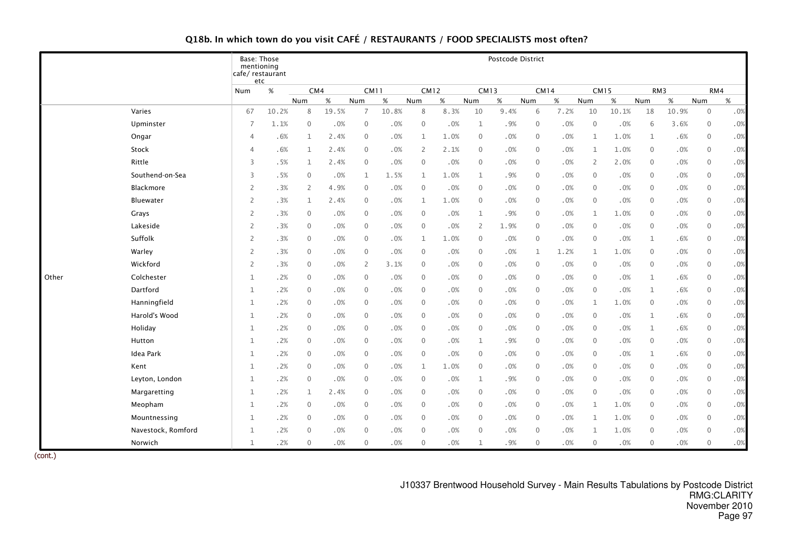# Q18b. In which town do you visit CAFÉ / RESTAURANTS / FOOD SPECIALISTS most often?

|       |                    | Base: Those<br>mentioning | cafe/restaurant<br>etc |                |        |                |        |              |        |                | Postcode District |              |      |                |       |              |        |                |        |
|-------|--------------------|---------------------------|------------------------|----------------|--------|----------------|--------|--------------|--------|----------------|-------------------|--------------|------|----------------|-------|--------------|--------|----------------|--------|
|       |                    | Num                       | $\%$                   | CM4            |        | <b>CM11</b>    |        | <b>CM12</b>  |        | <b>CM13</b>    |                   | <b>CM14</b>  |      | <b>CM15</b>    |       | RM3          |        | RM4            |        |
|       |                    |                           |                        | Num            | $\%$   | Num            | $\%$   | Num          | %      | Num            | $\%$              | Num          | %    | Num            | $\%$  | Num          | $\%$   | Num            | $\%$   |
|       | Varies             | 67                        | 10.2%                  | 8              | 19.5%  | 7              | 10.8%  | 8            | 8.3%   | 10             | 9.4%              | 6            | 7.2% | 10             | 10.1% | 18           | 10.9%  | $\mathbf 0$    | .0%    |
|       | Upminster          | $\overline{7}$            | 1.1%                   | $\mathbf{0}$   | .0%    | $\mathbf 0$    | .0%    | $\mathbf{0}$ | .0%    | $\mathbf 1$    | .9%               | $\mathbf{0}$ | .0%  | $\overline{0}$ | .0%   | 6            | 3.6%   | $\mathbf 0$    | .0%    |
|       | Ongar              | $\overline{4}$            | .6%                    | 1              | 2.4%   | $\mathbf{0}$   | .0%    | $\mathbf{1}$ | 1.0%   | $\mathbf 0$    | .0%               | $\mathbf{0}$ | .0%  | 1              | 1.0%  | $\mathbf{1}$ | .6%    | $\mathbf 0$    | $.0\%$ |
|       | Stock              | $\overline{4}$            | .6%                    | 1              | 2.4%   | $\mathbf{0}$   | .0%    | 2            | 2.1%   | $\mathbf{0}$   | .0%               | $\mathbf{0}$ | .0%  | 1              | 1.0%  | $\mathbf{0}$ | .0%    | $\mathbf 0$    | .0%    |
|       | Rittle             | 3                         | .5%                    | $\mathbf{1}$   | 2.4%   | $\mathbf{0}$   | .0%    | $\mathbf{0}$ | .0%    | $\mathbf{0}$   | .0%               | $\mathbf{0}$ | .0%  | 2              | 2.0%  | $\mathbf{0}$ | $.0\%$ | $\overline{0}$ | $.0\%$ |
|       | Southend-on-Sea    | 3                         | .5%                    | $\overline{0}$ | .0%    | 1              | 1.5%   | 1            | 1.0%   | 1              | .9%               | $\mathbf{0}$ | .0%  | $\mathbf{0}$   | .0%   | $\mathbf{0}$ | .0%    | $\mathbf 0$    | .0%    |
|       | Blackmore          | $\overline{2}$            | .3%                    | 2              | 4.9%   | 0              | .0%    | $\mathbf 0$  | .0%    | $\mathbf 0$    | .0%               | $\mathbf{0}$ | .0%  | $\mathbf{0}$   | .0%   | $\mathbf 0$  | $.0\%$ | $\mathbf{0}$   | .0%    |
|       | Bluewater          | $\overline{2}$            | .3%                    | $\mathbf{1}$   | 2.4%   | $\mathbf 0$    | .0%    | $\mathbf{1}$ | 1.0%   | $\mathbf 0$    | .0%               | $\mathbf 0$  | .0%  | $\mathbf 0$    | .0%   | $\mathbf 0$  | $.0\%$ | $\mathbf 0$    | $.0\%$ |
|       | Grays              | $\overline{2}$            | .3%                    | $\overline{0}$ | .0%    | $\mathbf{0}$   | .0%    | $\mathbf{0}$ | $.0\%$ | 1              | .9%               | $\mathbf{0}$ | .0%  | 1              | 1.0%  | $\mathbf{0}$ | .0%    | $\overline{0}$ | .0%    |
|       | Lakeside           | $\overline{2}$            | .3%                    | $\mathbf{0}$   | .0%    | $\mathbf{0}$   | .0%    | $\mathbf{0}$ | .0%    | 2              | 1.9%              | $\mathbf{0}$ | .0%  | $\mathbf{0}$   | .0%   | $\mathbf{0}$ | .0%    | $\overline{0}$ | .0%    |
|       | Suffolk            | 2                         | .3%                    | $\mathbf{0}$   | .0%    | 0              | .0%    | $\mathbf 1$  | 1.0%   | $\mathbf 0$    | .0%               | $\mathbf 0$  | .0%  | $\mathbf 0$    | .0%   | 1            | .6%    | $\mathbf 0$    | .0%    |
|       | Warley             | 2                         | .3%                    | $\mathbf 0$    | .0%    | 0              | .0%    | $\mathbf 0$  | .0%    | $\mathbf 0$    | .0%               | 1            | 1.2% | 1              | 1.0%  | $\mathbf 0$  | .0%    | $\mathbf 0$    | .0%    |
|       | Wickford           | $\overline{2}$            | .3%                    | $\mathbf 0$    | $.0\%$ | $\overline{2}$ | 3.1%   | $\mathbf 0$  | $.0\%$ | $\mathbf 0$    | .0%               | $\mathbf 0$  | .0%  | $\overline{0}$ | .0%   | $\mathbf 0$  | $.0\%$ | $\overline{0}$ | $.0\%$ |
| Other | Colchester         | 1                         | .2%                    | $\mathbf{0}$   | .0%    | $\mathbf{0}$   | .0%    | $\mathbf{0}$ | .0%    | $\mathbf{0}$   | .0%               | $\mathbf{0}$ | .0%  | $\mathbf{0}$   | .0%   | 1            | .6%    | $\overline{0}$ | .0%    |
|       | Dartford           | $\mathbf{1}$              | .2%                    | $\mathbf{0}$   | .0%    | $\mathbf{0}$   | .0%    | $\mathbf{0}$ | .0%    | $\mathbf{0}$   | .0%               | $\mathbf{0}$ | .0%  | $\Omega$       | .0%   | $\mathbf{1}$ | .6%    | $\overline{0}$ | $.0\%$ |
|       | Hanningfield       | $\mathbf{1}$              | .2%                    | $\mathbf{0}$   | .0%    | $\mathbf{0}$   | .0%    | $\mathbf{0}$ | $.0\%$ | $\mathbf{0}$   | .0%               | $\mathbf{0}$ | .0%  | $\mathbf{1}$   | 1.0%  | $\mathbf 0$  | $.0\%$ | $\mathbf 0$    | $.0\%$ |
|       | Harold's Wood      | $\mathbf{1}$              | .2%                    | $\mathbf 0$    | .0%    | $\mathbf 0$    | .0%    | $\mathbf{0}$ | $.0\%$ | $\mathbf{0}$   | .0%               | $\mathbf{0}$ | .0%  | $\mathbf{0}$   | .0%   | $\mathbf{1}$ | .6%    | $\overline{0}$ | .0%    |
|       | Holiday            | $\mathbf{1}$              | .2%                    | $\mathbf 0$    | .0%    | $\mathbf 0$    | $.0\%$ | $\mathbf 0$  | $.0\%$ | $\mathbf 0$    | .0%               | $\mathbf 0$  | .0%  | $\mathbf{0}$   | .0%   | $\mathbf{1}$ | .6%    | $\overline{0}$ | $.0\%$ |
|       | Hutton             | 1                         | .2%                    | $\mathbf{0}$   | .0%    | 0              | $.0\%$ | $\mathbf{0}$ | .0%    | 1              | .9%               | $\mathbf{0}$ | .0%  | $\mathbf{0}$   | .0%   | $\mathbf 0$  | $.0\%$ | $\mathbf 0$    | .0%    |
|       | Idea Park          | 1                         | .2%                    | $\mathbf{0}$   | .0%    | $\mathbf{0}$   | .0%    | $\mathbf{0}$ | .0%    | $\mathbf{0}$   | .0%               | $\mathbf{0}$ | .0%  | $\mathbf{0}$   | .0%   | $\mathbf{1}$ | .6%    | $\mathbf{0}$   | .0%    |
|       | Kent               | $\mathbf{1}$              | .2%                    | $\mathbf{0}$   | .0%    | $\mathbf{0}$   | .0%    | $\mathbf 1$  | 1.0%   | $\overline{0}$ | .0%               | $\mathbf{0}$ | .0%  | $\Omega$       | .0%   | $\mathbf{0}$ | $.0\%$ | $\overline{0}$ | $.0\%$ |
|       | Leyton, London     | 1                         | .2%                    | $\mathbf{0}$   | .0%    | $\mathbf{0}$   | .0%    | $\mathbf{0}$ | $.0\%$ | 1              | .9%               | $\mathbf{0}$ | .0%  | $\mathbf{0}$   | .0%   | $\mathbf{0}$ | .0%    | $\overline{0}$ | .0%    |
|       | Margaretting       | 1                         | .2%                    | $\mathbf{1}$   | 2.4%   | $\mathbf{0}$   | .0%    | $\mathbf{0}$ | .0%    | $\mathbf{0}$   | .0%               | $\mathbf{0}$ | .0%  | $\mathbf{0}$   | .0%   | $\mathbf{0}$ | .0%    | $\mathbf{0}$   | $.0\%$ |
|       | Meopham            | $\mathbf{1}$              | .2%                    | $\mathbf 0$    | .0%    | 0              | .0%    | $\mathbf 0$  | .0%    | $\mathbf 0$    | .0%               | $\mathbf 0$  | .0%  | $\mathbf 1$    | 1.0%  | $\mathbf 0$  | .0%    | $\mathbf 0$    | $.0\%$ |
|       | Mountnessing       | 1                         | .2%                    | $\mathbf{0}$   | .0%    | $\mathbf{0}$   | .0%    | $\mathbf{0}$ | .0%    | $\mathbf{0}$   | .0%               | $\mathbf{0}$ | .0%  | 1              | 1.0%  | $\mathbf{0}$ | .0%    | $\overline{0}$ | .0%    |
|       | Navestock, Romford | $\mathbf{1}$              | .2%                    | $\mathbf{0}$   | .0%    | $\mathbf{0}$   | .0%    | $\mathbf{0}$ | $.0\%$ | $\overline{0}$ | .0%               | $\Omega$     | .0%  | $\mathbf{1}$   | 1.0%  | $\mathbf{0}$ | .0%    | $\overline{0}$ | $.0\%$ |
|       | Norwich            | $\mathbf{1}$              | .2%                    | $\mathbf 0$    | .0%    | $\mathbf{0}$   | .0%    | $\mathbf{0}$ | .0%    | $\mathbf{1}$   | .9%               | $\mathbf{0}$ | .0%  | $\mathbf{0}$   | .0%   | $\mathbf{0}$ | .0%    | $\mathbf{0}$   | .0%    |

(cont.)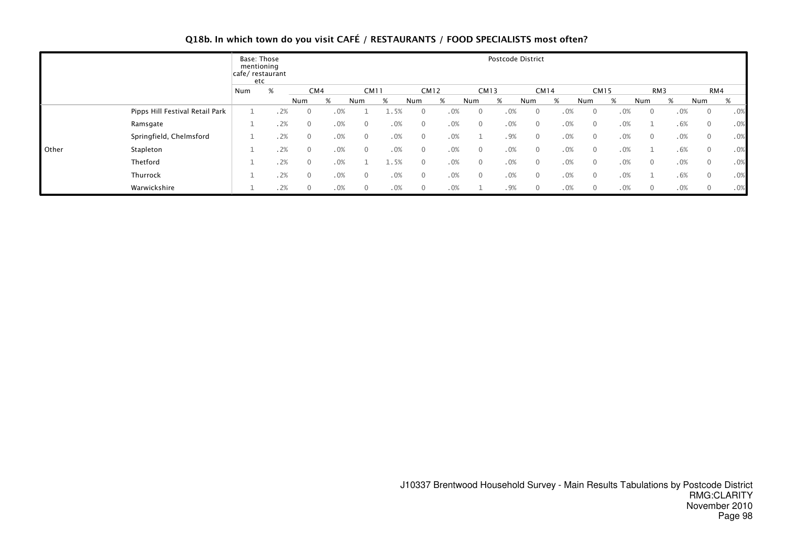# Q18b. In which town do you visit CAFÉ / RESTAURANTS / FOOD SPECIALISTS most often?

|       |                                 | Base: Those<br>mentioning<br>cafe/ restaurant<br>etc |      |                |     |              |      |                |             |                | Postcode District |              |     |              |             |              |     |                |     |
|-------|---------------------------------|------------------------------------------------------|------|----------------|-----|--------------|------|----------------|-------------|----------------|-------------------|--------------|-----|--------------|-------------|--------------|-----|----------------|-----|
|       |                                 | Num                                                  | $\%$ | CM4            |     | <b>CM11</b>  |      |                | <b>CM12</b> | <b>CM13</b>    |                   | <b>CM14</b>  |     |              | <b>CM15</b> | RM3          |     |                | RM4 |
|       |                                 |                                                      |      | Num            | %   | Num          | %    | Num            | %           | Num            | %                 | Num          | %   | Num          | %           | Num          | %   | Num            | %   |
|       | Pipps Hill Festival Retail Park |                                                      | .2%  | $\overline{0}$ | .0% |              | 1.5% | $\overline{0}$ | .0%         | $\mathbf 0$    | .0%               | 0            | .0% | $\mathbf{0}$ | .0%         | $\mathbf{0}$ | .0% | $\overline{0}$ | .0% |
|       | Ramsgate                        | ᅩ                                                    | .2%  | $\mathbf{0}$   | .0% | $\mathbf{0}$ | .0%  | $\mathbf{0}$   | .0%         | $\mathbf{0}$   | .0%               | $\mathbf{0}$ | .0% | $\mathbf{0}$ | .0%         |              | .6% | $\overline{0}$ | .0% |
|       | Springfield, Chelmsford         |                                                      | .2%  | $\mathbf{0}$   | .0% | $\mathbf{0}$ | .0%  | $\mathbf{0}$   | .0%         |                | .9%               | $\mathbf{0}$ | .0% | $\mathbf{0}$ | .0%         | $\mathbf{0}$ | .0% | $\Omega$       | .0% |
| Other | Stapleton                       | ᅩ                                                    | .2%  | $\overline{0}$ | .0% | $\mathbf{0}$ | .0%  | $\mathbf{0}$   | .0%         | $\mathbf{0}$   | .0%               | $\mathbf{0}$ | .0% | $\mathbf{0}$ | .0%         |              | .6% | $\Omega$       | .0% |
|       | Thetford                        |                                                      | .2%  | $\mathbf{0}$   | .0% |              | 1.5% | $\mathbf{0}$   | .0%         | $\overline{0}$ | .0%               | $\mathbf{0}$ | .0% | $\mathbf{0}$ | .0%         | $\mathbf{0}$ | .0% | $\overline{0}$ | .0% |
|       | Thurrock                        |                                                      | .2%  | $\mathbf{0}$   | .0% | $\mathbf{0}$ | .0%  | $\mathbf{0}$   | .0%         | $\overline{0}$ | .0%               | $\mathbf{0}$ | .0% | $\mathbf{0}$ | .0%         |              | .6% | $\overline{0}$ | .0% |
|       | Warwickshire                    | ᅩ                                                    | .2%  | $\overline{0}$ | .0% | $\mathbf{0}$ | .0%  | $\mathbf{0}$   | .0%         |                | .9%               | 0            | .0% | $\mathbf{0}$ | .0%         | $\mathbf 0$  | .0% | $\mathbf 0$    | .0% |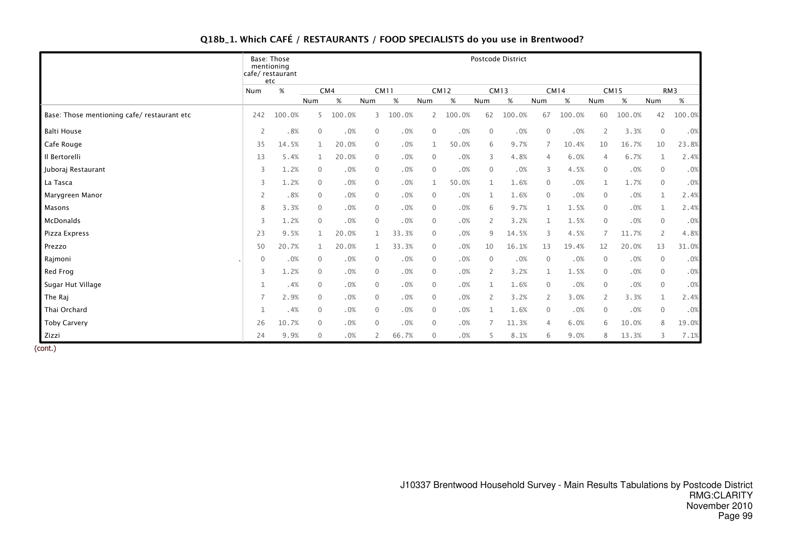# Q18b\_1. Which CAFÉ / RESTAURANTS / FOOD SPECIALISTS do you use in Brentwood?

|                                            |                | <b>Base: Those</b><br>mentioning<br>cafe/ restaurant<br>etc |                |        |              |             |              |             |                | Postcode District |                |             |                |             |                |                 |
|--------------------------------------------|----------------|-------------------------------------------------------------|----------------|--------|--------------|-------------|--------------|-------------|----------------|-------------------|----------------|-------------|----------------|-------------|----------------|-----------------|
|                                            | Num            | %                                                           | CM4            |        |              | <b>CM11</b> |              | <b>CM12</b> |                | <b>CM13</b>       |                | <b>CM14</b> |                | <b>CM15</b> |                | RM <sub>3</sub> |
|                                            |                |                                                             | Num            | $\%$   | Num          | $\%$        | Num          | %           | Num            | $\%$              | Num            | $\%$        | Num            | $\%$        | Num            | $\%$            |
| Base: Those mentioning cafe/restaurant etc | 242            | 100.0%                                                      | 5              | 100.0% | 3            | 100.0%      | 2            | 100.0%      | 62             | 100.0%            | 67             | 100.0%      | 60             | 100.0%      | 42             | 100.0%          |
| Balti House                                | $\overline{2}$ | .8%                                                         | $\overline{0}$ | .0%    | $\mathbf 0$  | .0%         | $\mathbf 0$  | .0%         | 0              | .0%               | $\mathbf 0$    | .0%         | 2              | 3.3%        | $\mathbf 0$    | .0%             |
| Cafe Rouge                                 | 35             | 14.5%                                                       | $\mathbf{1}$   | 20.0%  | $\mathbf 0$  | .0%         | 1            | 50.0%       | 6              | 9.7%              |                | 10.4%       | 10             | 16.7%       | 10             | 23.8%           |
| Il Bertorelli                              | 13             | 5.4%                                                        | $\mathbf{1}$   | 20.0%  | $\mathbf{0}$ | .0%         | $\mathbf{0}$ | .0%         | 3              | 4.8%              | $\overline{4}$ | 6.0%        | $\overline{4}$ | 6.7%        | 1              | 2.4%            |
| Juboraj Restaurant                         | 3              | 1.2%                                                        | $\overline{0}$ | .0%    | $\mathbf 0$  | .0%         | $\mathbf{0}$ | .0%         | $\Omega$       | .0%               | 3              | 4.5%        | $\Omega$       | $.0\%$      | $\mathbf 0$    | .0%             |
| La Tasca                                   | 3              | 1.2%                                                        | $\mathbf{0}$   | .0%    | $\mathbf 0$  | .0%         | 1            | 50.0%       |                | 1.6%              | $\mathbf{0}$   | .0%         |                | 1.7%        | $\mathbf{0}$   | .0%             |
| Marygreen Manor                            | 2              | .8%                                                         | $\overline{0}$ | .0%    | $\mathbf 0$  | .0%         | $\mathbf 0$  | .0%         | $\mathbf{1}$   | 1.6%              | $\mathbf{0}$   | .0%         | $\mathbf{0}$   | .0%         | $\mathbf{1}$   | 2.4%            |
| Masons                                     | 8              | 3.3%                                                        | $\overline{0}$ | .0%    | $\mathbf 0$  | .0%         | $\mathbf{0}$ | .0%         | 6              | 9.7%              | $\mathbf 1$    | 1.5%        | $\mathbf{0}$   | .0%         | $\mathbf{1}$   | 2.4%            |
| McDonalds                                  | 3              | 1.2%                                                        | $\mathbf{0}$   | .0%    | $\mathbf{0}$ | .0%         | $\mathbf{0}$ | .0%         | 2              | 3.2%              | 1              | 1.5%        | $\overline{0}$ | .0%         | $\mathbf{0}$   | .0%             |
| Pizza Express                              | 23             | 9.5%                                                        | $\mathbf{1}$   | 20.0%  | 1            | 33.3%       | $\mathbf{0}$ | .0%         | 9              | 14.5%             | $\overline{3}$ | 4.5%        |                | 11.7%       | 2              | 4.8%            |
| Prezzo                                     | 50             | 20.7%                                                       |                | 20.0%  | 1            | 33.3%       | $\mathbf 0$  | .0%         | 10             | 16.1%             | 13             | 19.4%       | 12             | 20.0%       | 13             | 31.0%           |
| Rajmoni                                    | $\mathbf 0$    | .0%                                                         | $\overline{0}$ | .0%    | $\mathbf{0}$ | .0%         | $\mathbf{0}$ | .0%         | $\Omega$       | .0%               | $\mathbf{0}$   | .0%         | $\mathbf{0}$   | .0%         | $\mathbf{0}$   | .0%             |
| Red Frog                                   | 3              | 1.2%                                                        | $\overline{0}$ | .0%    | $\mathbf 0$  | .0%         | $\mathbf{0}$ | .0%         | 2              | 3.2%              | $\mathbf{1}$   | 1.5%        | $\overline{0}$ | .0%         | $\mathbf 0$    | .0%             |
| Sugar Hut Village                          | $\mathbf{1}$   | .4%                                                         | $\overline{0}$ | .0%    | $\mathbf 0$  | .0%         | $\mathbf{0}$ | .0%         | $\mathbf{1}$   | 1.6%              | $\mathbf{0}$   | .0%         | $\mathbf{0}$   | .0%         | $\mathbf{0}$   | .0%             |
| The Rai                                    | $\overline{7}$ | 2.9%                                                        | $\mathbf 0$    | .0%    | $\mathbf 0$  | .0%         | $\mathbf 0$  | .0%         | $\overline{2}$ | 3.2%              | 2              | 3.0%        | 2              | 3.3%        | $\mathbf 1$    | 2.4%            |
| Thai Orchard                               | $\mathbf{1}$   | .4%                                                         | $\overline{0}$ | .0%    | $\mathbf 0$  | .0%         | $\mathbf{0}$ | .0%         | $\mathbf{1}$   | 1.6%              | $\Omega$       | .0%         | $\overline{0}$ | .0%         | $\overline{0}$ | .0%             |
| <b>Toby Carvery</b>                        | 26             | 10.7%                                                       | $\mathbf{0}$   | .0%    | $\mathbf 0$  | .0%         | $\mathbf{0}$ | .0%         |                | 11.3%             | $\overline{4}$ | 6.0%        | 6              | 10.0%       | 8              | 19.0%           |
| Zizzi                                      | 24             | 9.9%                                                        | $\mathbf{0}$   | .0%    | 2            | 66.7%       | $\mathbf{0}$ | .0%         | 5              | 8.1%              | 6              | 9.0%        | 8              | 13.3%       | 3              | 7.1%            |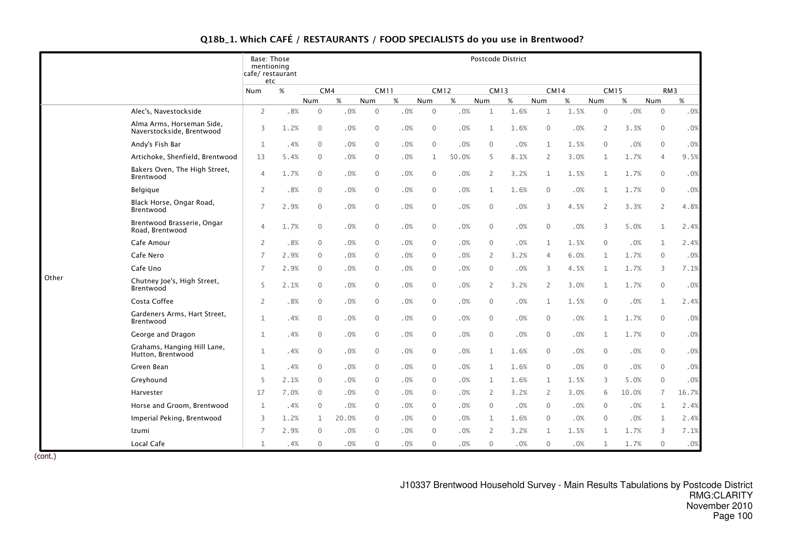| Q18b_1. Which CAFÉ / RESTAURANTS / FOOD SPECIALISTS do you use in Brentwood? |  |  |  |
|------------------------------------------------------------------------------|--|--|--|
|------------------------------------------------------------------------------|--|--|--|

|       |                                                        | <b>Base: Those</b><br>mentioning<br>cafe/ restaurant |      |              |       |              |     |              |        |                | Postcode District |                |      |                |       |                 |        |
|-------|--------------------------------------------------------|------------------------------------------------------|------|--------------|-------|--------------|-----|--------------|--------|----------------|-------------------|----------------|------|----------------|-------|-----------------|--------|
|       |                                                        | etc<br>Num                                           | %    | CM4          |       | <b>CM11</b>  |     | <b>CM12</b>  |        |                | <b>CM13</b>       | <b>CM14</b>    |      | <b>CM15</b>    |       | RM <sub>3</sub> |        |
|       |                                                        |                                                      |      | <b>Num</b>   | %     | Num          | %   | Num          | %      | Num            | %                 | <b>Num</b>     | %    | Num            | %     | Num             | %      |
|       | Alec's, Navestockside                                  | $\overline{2}$                                       | .8%  | 0            | .0%   | $\mathbf{0}$ | .0% | $\mathbf{0}$ | .0%    | $\mathbf{1}$   | 1.6%              | $\mathbf{1}$   | 1.5% | $\mathbf 0$    | .0%   | $\mathbf 0$     | $.0\%$ |
|       | Alma Arms, Horseman Side,<br>Naverstockside, Brentwood | 3                                                    | 1.2% | $\mathbf 0$  | .0%   | $\mathbf 0$  | .0% | $\mathbf 0$  | .0%    | $\mathbf{1}$   | 1.6%              | $\mathbf{0}$   | .0%  | $\overline{2}$ | 3.3%  | $\mathbf 0$     | .0%    |
|       | Andy's Fish Bar                                        | $\mathbf{1}$                                         | .4%  | $\mathbf{0}$ | .0%   | $\mathbf 0$  | .0% | $\mathbf{0}$ | .0%    | $\mathbf{0}$   | .0%               | 1              | 1.5% | $\mathbf 0$    | .0%   | $\mathbf 0$     | $.0\%$ |
|       | Artichoke, Shenfield, Brentwood                        | 13                                                   | 5.4% | 0            | .0%   | $\mathbf 0$  | .0% | $\mathbf 1$  | 50.0%  | 5              | 8.1%              | 2              | 3.0% | $\mathbf 1$    | 1.7%  | 4               | 9.5%   |
|       | Bakers Oven, The High Street,<br>Brentwood             | 4                                                    | 1.7% | $\mathbf{0}$ | .0%   | $\mathbf 0$  | .0% | $\mathbf 0$  | .0%    | 2              | 3.2%              | 1              | 1.5% | $\mathbf{1}$   | 1.7%  | $\mathbf 0$     | $.0\%$ |
|       | Belgique                                               | $\overline{2}$                                       | .8%  | 0            | .0%   | $\mathbf 0$  | .0% | $\mathbf 0$  | .0%    | $\mathbf 1$    | 1.6%              | $\mathbf{0}$   | .0%  | $\mathbf{1}$   | 1.7%  | $\mathbf 0$     | .0%    |
|       | Black Horse, Ongar Road,<br>Brentwood                  | $\overline{7}$                                       | 2.9% | $\Omega$     | .0%   | $\mathbf{0}$ | .0% | $\mathbf{0}$ | .0%    | $\Omega$       | .0%               | 3              | 4.5% | 2              | 3.3%  | 2               | 4.8%   |
|       | Brentwood Brasserie, Ongar<br>Road, Brentwood          | 4                                                    | 1.7% | 0            | .0%   | $\mathbf 0$  | .0% | $\mathbf 0$  | $.0\%$ | $\mathbf{0}$   | .0%               | $\mathbf{0}$   | .0%  | 3              | 5.0%  | $\mathbf 1$     | 2.4%   |
|       | Cafe Amour                                             | $\overline{2}$                                       | .8%  | 0            | .0%   | $\mathbf{0}$ | .0% | $\mathbf{0}$ | .0%    | $\mathbf{0}$   | .0%               | 1              | 1.5% | $\mathbf{0}$   | .0%   | $\mathbf{1}$    | 2.4%   |
|       | Cafe Nero                                              | 7                                                    | 2.9% | 0            | .0%   | $\mathbf{0}$ | .0% | $\mathbf{0}$ | .0%    | $\overline{2}$ | 3.2%              | 4              | 6.0% | $\mathbf{1}$   | 1.7%  | $\mathbf 0$     | .0%    |
|       | Cafe Uno                                               | $\overline{7}$                                       | 2.9% | 0            | .0%   | $\mathbf{0}$ | .0% | $\mathbf{0}$ | .0%    | $\Omega$       | .0%               | 3              | 4.5% | 1              | 1.7%  | 3               | 7.1%   |
| Other | Chutney Joe's, High Street,<br>Brentwood               | 5                                                    | 2.1% | 0            | .0%   | $\mathbf 0$  | .0% | $\mathbf 0$  | $.0\%$ | $\overline{2}$ | 3.2%              | 2              | 3.0% | $\mathbf{1}$   | 1.7%  | $\mathbf 0$     | .0%    |
|       | Costa Coffee                                           | 2                                                    | .8%  | 0            | .0%   | $\mathbf 0$  | .0% | $\mathbf 0$  | .0%    | $\mathbf{0}$   | .0%               | 1              | 1.5% | $\mathbf 0$    | .0%   | $\mathbf 1$     | 2.4%   |
|       | Gardeners Arms, Hart Street,<br>Brentwood              | $\mathbf{1}$                                         | .4%  | $\mathbf{0}$ | .0%   | $\mathbf 0$  | .0% | $\mathbf 0$  | .0%    | $\mathbf{0}$   | .0%               | $\mathbf{0}$   | .0%  | $\mathbf{1}$   | 1.7%  | $\mathbf 0$     | $.0\%$ |
|       | George and Dragon                                      | $\mathbf{1}$                                         | .4%  | $\Omega$     | .0%   | $\mathbf{0}$ | .0% | $\mathbf{0}$ | .0%    | $\Omega$       | .0%               | $\mathbf{0}$   | .0%  | $\mathbf{1}$   | 1.7%  | $\mathbf{0}$    | .0%    |
|       | Grahams, Hanging Hill Lane,<br>Hutton, Brentwood       | $\mathbf{1}$                                         | .4%  | $\mathbf{0}$ | .0%   | $\mathbf{0}$ | .0% | $\mathbf{0}$ | .0%    | $\mathbf{1}$   | 1.6%              | $\mathbf{0}$   | .0%  | $\mathbf{0}$   | .0%   | $\mathbf 0$     | .0%    |
|       | Green Bean                                             | $\mathbf{1}$                                         | .4%  | $\Omega$     | .0%   | $\mathbf{0}$ | .0% | $\mathbf{0}$ | .0%    | $\mathbf{1}$   | 1.6%              | $\mathbf{0}$   | .0%  | $\mathbf{0}$   | .0%   | $\mathbf 0$     | $.0\%$ |
|       | Greyhound                                              | 5                                                    | 2.1% | $\Omega$     | .0%   | $\mathbf{0}$ | .0% | $\mathbf{0}$ | .0%    | 1              | 1.6%              | 1              | 1.5% | 3              | 5.0%  | $\mathbf{0}$    | .0%    |
|       | Harvester                                              | 17                                                   | 7.0% | 0            | .0%   | $\mathbf{0}$ | .0% | $\mathbf 0$  | .0%    | $\overline{2}$ | 3.2%              | $\overline{2}$ | 3.0% | 6              | 10.0% | $\overline{7}$  | 16.7%  |
|       | Horse and Groom, Brentwood                             | $\mathbf{1}$                                         | .4%  | 0            | .0%   | $\mathbf{0}$ | .0% | $\mathbf{0}$ | .0%    | $\Omega$       | .0%               | $\mathbf{0}$   | .0%  | $\mathbf{0}$   | .0%   | 1               | 2.4%   |
|       | Imperial Peking, Brentwood                             | 3                                                    | 1.2% | $\mathbf{1}$ | 20.0% | $\mathbf{0}$ | .0% | $\mathbf{0}$ | .0%    | $\mathbf{1}$   | 1.6%              | $\mathbf{0}$   | .0%  | $\mathbf{0}$   | .0%   | $\mathbf{1}$    | 2.4%   |
|       | Izumi                                                  | $\overline{7}$                                       | 2.9% | $\Omega$     | .0%   | $\mathbf{0}$ | .0% | $\mathbf 0$  | .0%    | $\overline{2}$ | 3.2%              | $\mathbf{1}$   | 1.5% | $\mathbf{1}$   | 1.7%  | 3               | 7.1%   |
|       | Local Cafe                                             | $\mathbf{1}$                                         | .4%  | 0            | .0%   | $\mathbf{0}$ | .0% | $\Omega$     | .0%    | $\mathbf{0}$   | .0%               | $\mathbf{0}$   | .0%  | $\mathbf{1}$   | 1.7%  | $\mathbf{0}$    | .0%    |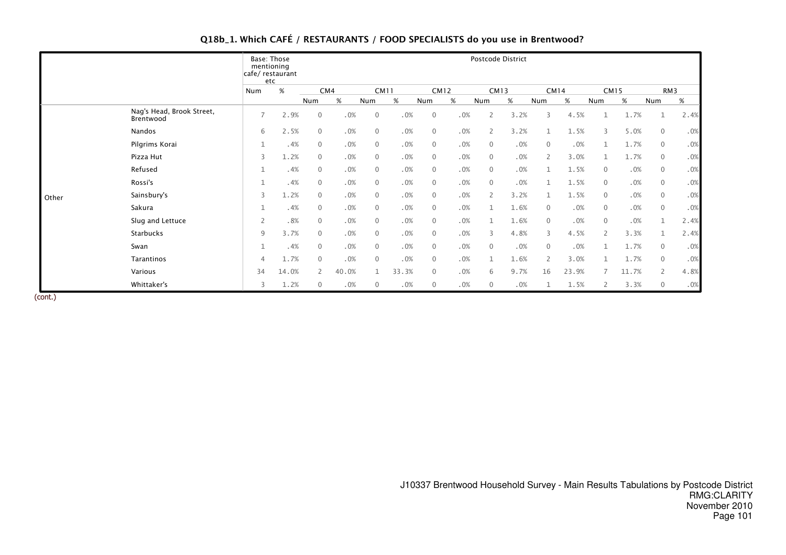|  |  | Q18b_1. Which CAFÉ / RESTAURANTS / FOOD SPECIALISTS do you use in Brentwood? |  |
|--|--|------------------------------------------------------------------------------|--|
|--|--|------------------------------------------------------------------------------|--|

|       |                                        |                | Base: Those<br>mentioning<br>cafe/restaurant<br>etc |                |       |                |       |                |             |                | Postcode District |                |             |                |             |                |      |
|-------|----------------------------------------|----------------|-----------------------------------------------------|----------------|-------|----------------|-------|----------------|-------------|----------------|-------------------|----------------|-------------|----------------|-------------|----------------|------|
|       |                                        | Num            | %                                                   |                | CM4   | <b>CM11</b>    |       |                | <b>CM12</b> |                | <b>CM13</b>       |                | <b>CM14</b> |                | <b>CM15</b> |                | RM3  |
|       |                                        |                |                                                     | Num            | %     | Num            | $\%$  | Num            | $\%$        | Num            | %                 | Num            | $\%$        | Num            | %           | Num            | %    |
|       | Nag's Head, Brook Street,<br>Brentwood | $\overline{7}$ | 2.9%                                                | $\mathbf 0$    | .0%   | $\mathbf{0}$   | .0%   | $\mathbf 0$    | .0%         | 2              | 3.2%              | 3              | 4.5%        |                | 1.7%        | 1              | 2.4% |
|       | Nandos                                 | 6              | 2.5%                                                | $\mathbf{0}$   | .0%   | $\mathbf{0}$   | .0%   | $\mathbf{0}$   | .0%         | $\overline{2}$ | 3.2%              | $\mathbf{1}$   | 1.5%        | 3              | 5.0%        | $\mathbf 0$    | .0%  |
|       | Pilgrims Korai                         | $\mathbf{1}$   | .4%                                                 | $\overline{0}$ | .0%   | $\mathbf{0}$   | .0%   | $\overline{0}$ | .0%         | $\mathbf{0}$   | .0%               | $\mathbf{0}$   | .0%         |                | 1.7%        | $\mathbf{0}$   | .0%  |
|       | Pizza Hut                              | 3              | 1.2%                                                | $\mathbf{0}$   | .0%   | $\mathbf{0}$   | .0%   | $\mathbf 0$    | .0%         | $\mathbf{0}$   | .0%               | $\overline{2}$ | 3.0%        |                | 1.7%        | $\mathbf 0$    | .0%  |
|       | Refused                                | $\mathbf{1}$   | .4%                                                 | $\mathbf{0}$   | .0%   | $\mathbf 0$    | .0%   | $\mathbf 0$    | .0%         | $\mathbf{0}$   | .0%               |                | 1.5%        | $\mathbf{0}$   | .0%         | $\mathbf 0$    | .0%  |
|       | Rossi's                                | $\mathbf{1}$   | .4%                                                 | $\mathbf 0$    | .0%   | $\mathbf 0$    | .0%   | $\mathbf 0$    | .0%         | $\Omega$       | .0%               |                | 1.5%        | $\mathbf 0$    | .0%         | $\mathbf 0$    | .0%  |
| Other | Sainsbury's                            | 3              | 1.2%                                                | $\mathbf{0}$   | .0%   | $\mathbf 0$    | .0%   | $\mathbf{0}$   | .0%         | $\overline{2}$ | 3.2%              |                | 1.5%        | $\mathbf{0}$   | .0%         | $\mathbf 0$    | .0%  |
|       | Sakura                                 | $\mathbf{1}$   | .4%                                                 | $\mathbf 0$    | .0%   | $\mathbf 0$    | .0%   | $\mathbf 0$    | .0%         |                | 1.6%              | $\Omega$       | .0%         | $\mathbf 0$    | .0%         | $\mathbf 0$    | .0%  |
|       | Slug and Lettuce                       | 2              | .8%                                                 | $\mathbf 0$    | .0%   | $\overline{0}$ | .0%   | $\mathbf{0}$   | .0%         |                | 1.6%              | $\mathbf{0}$   | .0%         | $\mathbf{0}$   | .0%         | $\mathbf{1}$   | 2.4% |
|       | Starbucks                              | 9              | 3.7%                                                | $\mathbf{0}$   | .0%   | $\overline{0}$ | .0%   | $\overline{0}$ | .0%         | 3              | 4.8%              | 3              | 4.5%        | $\overline{2}$ | 3.3%        | 1              | 2.4% |
|       | Swan                                   | $\mathbf{1}$   | .4%                                                 | $\mathbf{0}$   | .0%   | $\mathbf{0}$   | .0%   | $\mathbf{0}$   | .0%         | $\Omega$       | .0%               | $\Omega$       | .0%         |                | 1.7%        | $\mathbf 0$    | .0%  |
|       | Tarantinos                             | $\overline{4}$ | 1.7%                                                | $\mathbf{0}$   | .0%   | $\mathbf{0}$   | .0%   | $\overline{0}$ | .0%         |                | 1.6%              | $\overline{2}$ | 3.0%        |                | 1.7%        | $\mathbf 0$    | .0%  |
|       | Various                                | 34             | 14.0%                                               | 2              | 40.0% | 1              | 33.3% | $\overline{0}$ | .0%         | 6              | 9.7%              | 16             | 23.9%       |                | 11.7%       | $\overline{2}$ | 4.8% |
|       | Whittaker's                            | 3              | 1.2%                                                | $\overline{0}$ | .0%   | $\mathbf{0}$   | .0%   | $\mathbf{0}$   | .0%         | 0              | .0%               |                | 1.5%        |                | 3.3%        | $\overline{0}$ | .0%  |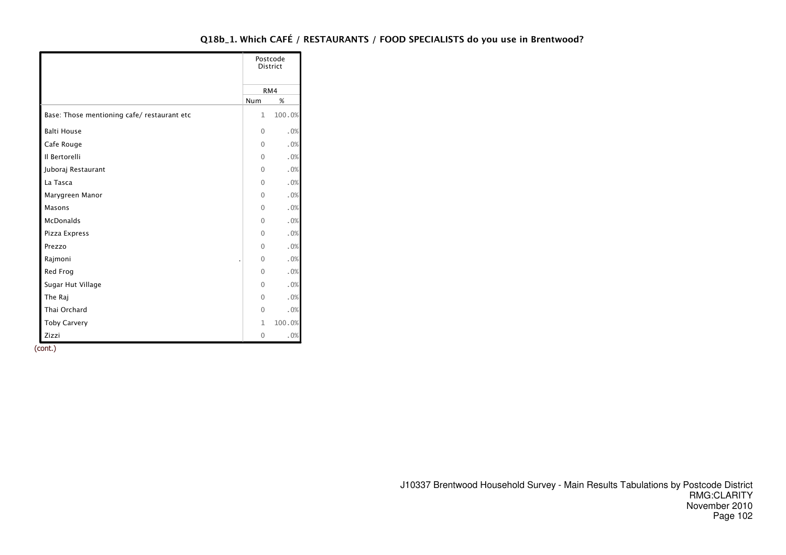|                                            |                | Postcode<br><b>District</b> |
|--------------------------------------------|----------------|-----------------------------|
|                                            |                | RM4                         |
|                                            | Num            | %                           |
| Base: Those mentioning cafe/restaurant etc | 1              | 100.0%                      |
| <b>Balti House</b>                         | $\Omega$       | .0%                         |
| Cafe Rouge                                 | $\overline{0}$ | .0%                         |
| Il Bertorelli                              | $\Omega$       | .0%                         |
| Juboraj Restaurant                         | $\Omega$       | .0%                         |
| La Tasca                                   | $\Omega$       | .0%                         |
| Marygreen Manor                            | $\Omega$       | .0%                         |
| Masons                                     | $\Omega$       | .0%                         |
| <b>McDonalds</b>                           | $\Omega$       | .0%                         |
| Pizza Express                              | $\Omega$       | .0%                         |
| Prezzo                                     | $\Omega$       | .0%                         |
| Rajmoni                                    | $\Omega$       | .0%                         |
| Red Frog                                   | $\Omega$       | .0%                         |
| Sugar Hut Village                          | $\Omega$       | .0%                         |
| The Raj                                    | $\Omega$       | .0%                         |
| Thai Orchard                               | $\mathbf{0}$   | .0%                         |
| <b>Toby Carvery</b>                        | $\mathbf{1}$   | 100.0%                      |
| Zizzi                                      | 0              | .0%                         |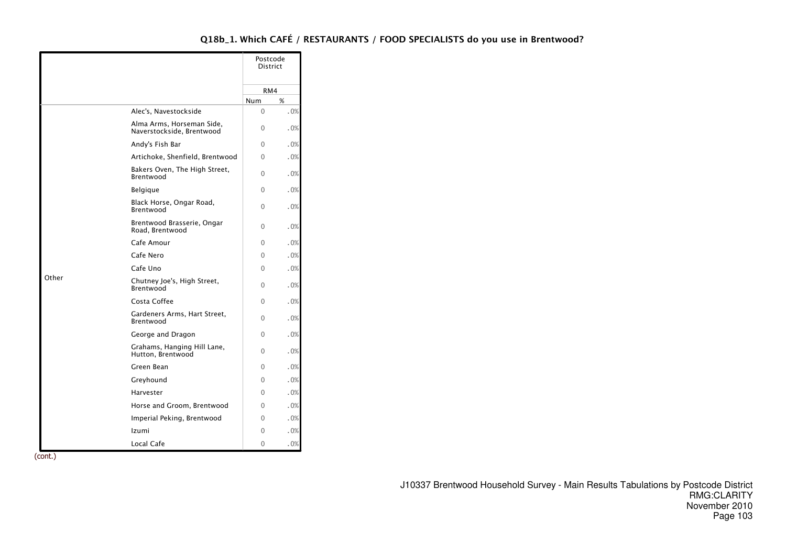|       |                                                        | Postcode<br><b>District</b> |     |
|-------|--------------------------------------------------------|-----------------------------|-----|
|       |                                                        | RM4                         |     |
|       |                                                        | Num                         | %   |
|       | Alec's, Navestockside                                  | $\Omega$                    | .0% |
|       | Alma Arms, Horseman Side,<br>Naverstockside. Brentwood | $\Omega$                    | .0% |
|       | Andy's Fish Bar                                        | 0                           | .0% |
|       | Artichoke, Shenfield, Brentwood                        | $\Omega$                    | .0% |
|       | Bakers Oven, The High Street,<br>Brentwood             | $\Omega$                    | .0% |
|       | <b>Belgique</b>                                        | 0                           | .0% |
|       | Black Horse, Ongar Road,<br>Brentwood                  | $\Omega$                    | .0% |
|       | Brentwood Brasserie, Ongar<br>Road, Brentwood          | $\Omega$                    | .0% |
|       | Cafe Amour                                             | $\Omega$                    | .0% |
|       | Cafe Nero                                              | 0                           | .0% |
|       | Cafe Uno                                               | 0                           | .0% |
| Other | Chutney Joe's, High Street,<br>Brentwood               | $\Omega$                    | .0% |
|       | Costa Coffee                                           | $\Omega$                    | .0% |
|       | Gardeners Arms, Hart Street,<br>Brentwood              | $\Omega$                    | .0% |
|       | George and Dragon                                      | $\Omega$                    | .0% |
|       | Grahams, Hanging Hill Lane,<br>Hutton, Brentwood       | $\Omega$                    | .0% |
|       | Green Bean                                             | 0                           | .0% |
|       | Greyhound                                              | $\Omega$                    | .0% |
|       | Harvester                                              | 0                           | .0% |
|       | Horse and Groom, Brentwood                             | 0                           | .0% |
|       | Imperial Peking, Brentwood                             | $\Omega$                    | .0% |
|       | Izumi                                                  | $\Omega$                    | .0% |
|       | Local Cafe                                             | $\Omega$                    | .0% |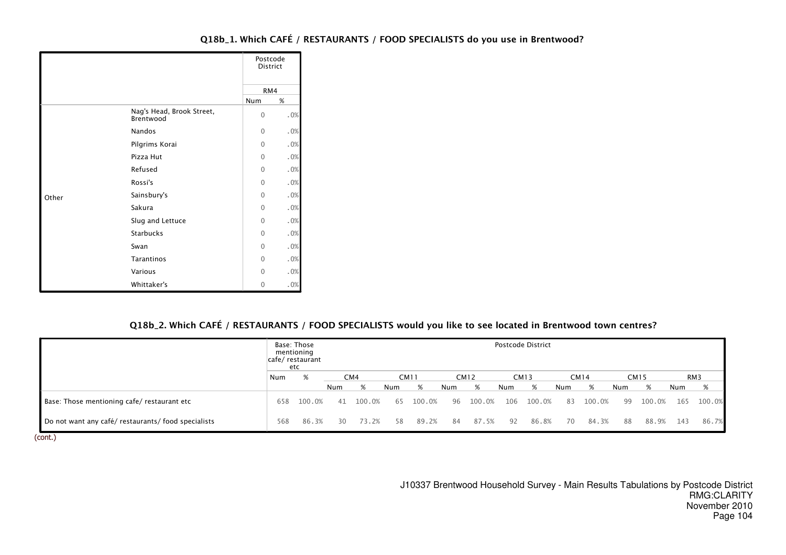|       |                                        | Postcode<br><b>District</b> |     |
|-------|----------------------------------------|-----------------------------|-----|
|       |                                        | RM4                         |     |
|       |                                        | Num                         | %   |
|       | Nag's Head, Brook Street,<br>Brentwood | $\mathbf{0}$                | .0% |
|       | Nandos                                 | $\Omega$                    | .0% |
|       | Pilgrims Korai                         | $\Omega$                    | .0% |
|       | Pizza Hut                              | $\Omega$                    | .0% |
|       | Refused                                | $\Omega$                    | .0% |
|       | Rossi's                                | $\Omega$                    | .0% |
| Other | Sainsbury's                            | $\Omega$                    | .0% |
|       | Sakura                                 | $\Omega$                    | .0% |
|       | Slug and Lettuce                       | $\Omega$                    | .0% |
|       | <b>Starbucks</b>                       | $\Omega$                    | .0% |
|       | Swan                                   | $\Omega$                    | .0% |
|       | Tarantinos                             | $\Omega$                    | .0% |
|       | Various                                | $\Omega$                    | .0% |
|       | Whittaker's                            | $\mathbf{0}$                | .0% |

# Q18b\_2. Which CAFÉ / RESTAURANTS / FOOD SPECIALISTS would you like to see located in Brentwood town centres?

|                                                     |     | Base: Those<br>mentioning<br> cafe/ restaurant<br>etc |     |                 |     |             |     |             |     | Postcode District |     |             |     |             |     |        |
|-----------------------------------------------------|-----|-------------------------------------------------------|-----|-----------------|-----|-------------|-----|-------------|-----|-------------------|-----|-------------|-----|-------------|-----|--------|
|                                                     | Num | %                                                     |     | CM <sub>4</sub> |     | <b>CM11</b> |     | <b>CM12</b> |     | <b>CM13</b>       |     | <b>CM14</b> |     | <b>CM15</b> |     | RM3    |
|                                                     |     |                                                       | Num | %               | Num | %           | Num | %           | Num | %                 | Num | %           | Num | %           | Num | %      |
| Base: Those mentioning cafe/ restaurant etc         | 658 | 100.0%                                                | 41  | 100.0%          | 65  | 100.0%      | 96  | 100.0%      | 106 | 100.0%            | 83  | 100.0%      | 99  | 100.0%      | 165 | 100.0% |
| Do not want any café/ restaurants/ food specialists | 568 | 86.3%                                                 | 30  | 73.2%           | 58  | 89.2%       | 84  | 87.5%       | 92  | 86.8%             | 70  | 84.3%       | 88  | 88.9%       | 143 | 86.7%  |

(cont.)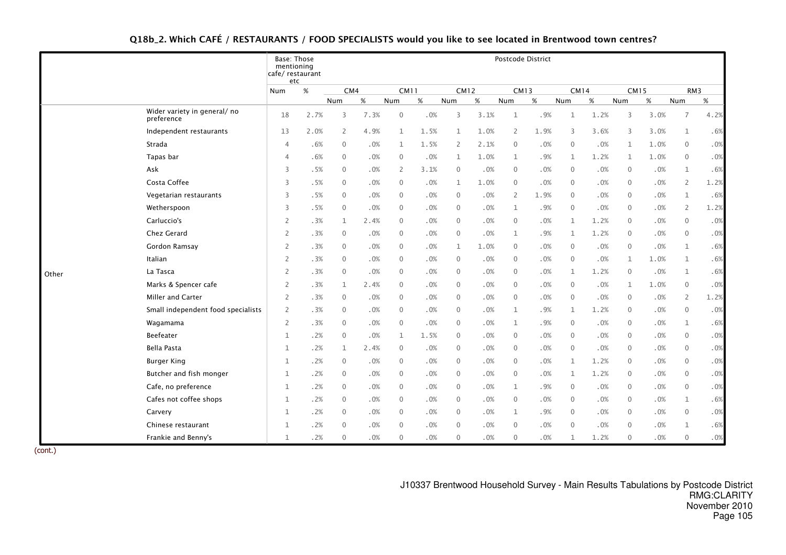|  |  | Q18b_2. Which CAFÉ / RESTAURANTS / FOOD SPECIALISTS would you like to see located in Brentwood town centres? |  |
|--|--|--------------------------------------------------------------------------------------------------------------|--|
|--|--|--------------------------------------------------------------------------------------------------------------|--|

|       |                                            | Base: Those<br>mentioning<br>cafe/ restaurant<br>etc |      |              |      |                |      |                |      |                | Postcode District |              |      |              |        |                |        |
|-------|--------------------------------------------|------------------------------------------------------|------|--------------|------|----------------|------|----------------|------|----------------|-------------------|--------------|------|--------------|--------|----------------|--------|
|       |                                            | Num                                                  | $\%$ | CM4          |      | <b>CM11</b>    |      | <b>CM12</b>    |      | <b>CM13</b>    |                   | <b>CM14</b>  |      | <b>CM15</b>  |        |                | RM3    |
|       |                                            |                                                      |      | Num          | %    | Num            | $\%$ | Num            | $\%$ | Num            | $\%$              | Num          | %    | Num          | %      | Num            | $\%$   |
|       | Wider variety in general/ no<br>preference | 18                                                   | 2.7% | 3            | 7.3% | $\mathbf{0}$   | .0%  | $\overline{3}$ | 3.1% | $\mathbf{1}$   | .9%               | $\mathbf{1}$ | 1.2% | 3            | 3.0%   | $\overline{7}$ | 4.2%   |
|       | Independent restaurants                    | 13                                                   | 2.0% | 2            | 4.9% | 1              | 1.5% | 1              | 1.0% | $\overline{2}$ | 1.9%              | 3            | 3.6% | 3            | 3.0%   | $\mathbf{1}$   | .6%    |
|       | Strada                                     | $\overline{4}$                                       | .6%  | $\mathbf{0}$ | .0%  | $\mathbf{1}$   | 1.5% | 2              | 2.1% | $\mathbf 0$    | .0%               | $\mathbf 0$  | .0%  | $\mathbf 1$  | 1.0%   | $\mathbf 0$    | .0%    |
|       | Tapas bar                                  | $\overline{4}$                                       | .6%  | $\Omega$     | .0%  | $\mathbf{0}$   | .0%  | 1              | 1.0% | $\mathbf{1}$   | .9%               | $\mathbf{1}$ | 1.2% | $\mathbf{1}$ | 1.0%   | $\mathbf{0}$   | $.0\%$ |
|       | Ask                                        | 3                                                    | .5%  | $\Omega$     | .0%  | $\overline{2}$ | 3.1% | $\mathbf{0}$   | .0%  | $\mathbf{0}$   | .0%               | $\mathbf{0}$ | .0%  | $\mathbf{0}$ | .0%    | $\mathbf{1}$   | .6%    |
|       | Costa Coffee                               | 3                                                    | .5%  | $\Omega$     | .0%  | $\mathbf{0}$   | .0%  | $\mathbf{1}$   | 1.0% | $\mathbf{0}$   | .0%               | $\mathbf{0}$ | .0%  | $\mathbf{0}$ | .0%    | $\overline{2}$ | 1.2%   |
|       | Vegetarian restaurants                     | 3                                                    | .5%  | $\Omega$     | .0%  | $\mathbf{0}$   | .0%  | $\overline{0}$ | .0%  | $\overline{2}$ | 1.9%              | $\mathbf 0$  | .0%  | $\mathbf{0}$ | .0%    | $\mathbf{1}$   | .6%    |
|       | Wetherspoon                                | 3                                                    | .5%  | $\mathbf{0}$ | .0%  | 0              | .0%  | $\mathbf 0$    | .0%  | $\mathbf{1}$   | .9%               | $\mathbf 0$  | .0%  | $\mathbf 0$  | .0%    | 2              | 1.2%   |
|       | Carluccio's                                | $\overline{2}$                                       | .3%  | $\mathbf{1}$ | 2.4% | $\mathbf{0}$   | .0%  | $\mathbf{0}$   | .0%  | $\mathbf{0}$   | .0%               | $\mathbf{1}$ | 1.2% | $\mathbf{0}$ | .0%    | $\mathbf{0}$   | $.0\%$ |
|       | Chez Gerard                                | 2                                                    | .3%  | $\Omega$     | .0%  | $\mathbf{0}$   | .0%  | $\mathbf{0}$   | .0%  | $\mathbf{1}$   | .9%               | $\mathbf{1}$ | 1.2% | $\mathbf{0}$ | .0%    | $\mathbf 0$    | .0%    |
|       | Gordon Ramsay                              | $\overline{2}$                                       | .3%  | $\Omega$     | .0%  | $\mathbf{0}$   | .0%  | 1              | 1.0% | $\mathbf{0}$   | .0%               | $\mathbf 0$  | .0%  | $\mathbf{0}$ | .0%    | $\mathbf{1}$   | .6%    |
|       | Italian                                    | $\overline{2}$                                       | .3%  | $\Omega$     | .0%  | $\mathbf{0}$   | .0%  | $\mathbf{0}$   | .0%  | $\mathbf 0$    | .0%               | $\mathbf 0$  | .0%  | $\mathbf{1}$ | 1.0%   | $\mathbf{1}$   | .6%    |
| Other | La Tasca                                   | $\overline{2}$                                       | .3%  | $\mathbf{0}$ | .0%  | $\mathbf{0}$   | .0%  | $\mathbf{0}$   | .0%  | $\mathbf 0$    | .0%               | $\mathbf{1}$ | 1.2% | $\mathbf 0$  | .0%    | $\mathbf{1}$   | .6%    |
|       | Marks & Spencer cafe                       | 2                                                    | .3%  | $\mathbf{1}$ | 2.4% | $\mathbf{0}$   | .0%  | $\mathbf{0}$   | .0%  | $\mathbf{0}$   | .0%               | $\mathbf{0}$ | .0%  | $\mathbf{1}$ | 1.0%   | $\mathbf{0}$   | .0%    |
|       | Miller and Carter                          | $\overline{2}$                                       | .3%  | $\Omega$     | .0%  | $\mathbf{0}$   | .0%  | $\mathbf{0}$   | .0%  | $\mathbf{0}$   | .0%               | $\mathbf{0}$ | .0%  | $\mathbf{0}$ | .0%    | $\overline{2}$ | 1.2%   |
|       | Small independent food specialists         | 2                                                    | .3%  | $\Omega$     | .0%  | $\mathbf{0}$   | .0%  | $\mathbf{0}$   | .0%  | $\mathbf{1}$   | .9%               | $\mathbf{1}$ | 1.2% | $\mathbf{0}$ | .0%    | $\mathbf{0}$   | .0%    |
|       | Wagamama                                   | $\overline{2}$                                       | .3%  | $\Omega$     | .0%  | $\mathbf{0}$   | .0%  | $\mathbf 0$    | .0%  | $\mathbf{1}$   | .9%               | $\mathbf 0$  | .0%  | $\mathbf{0}$ | .0%    | $\mathbf{1}$   | .6%    |
|       | Beefeater                                  | $\mathbf{1}$                                         | .2%  | $\mathbf{0}$ | .0%  | $\mathbf 1$    | 1.5% | $\mathbf 0$    | .0%  | $\mathbf 0$    | .0%               | $\mathbf 0$  | .0%  | $\mathbf 0$  | $.0\%$ | $\mathbf 0$    | $.0\%$ |
|       | Bella Pasta                                | $\mathbf{1}$                                         | .2%  | $\mathbf{1}$ | 2.4% | $\mathbf{0}$   | .0%  | $\overline{0}$ | .0%  | $\mathbf{0}$   | .0%               | $\mathbf{0}$ | .0%  | $\mathbf{0}$ | .0%    | $\mathbf{0}$   | .0%    |
|       | <b>Burger King</b>                         | $\mathbf{1}$                                         | .2%  | $\Omega$     | .0%  | $\mathbf{0}$   | .0%  | $\mathbf{0}$   | .0%  | $\mathbf{0}$   | .0%               | $\mathbf{1}$ | 1.2% | $\Omega$     | .0%    | $\mathbf 0$    | .0%    |
|       | Butcher and fish monger                    | $\mathbf{1}$                                         | .2%  | $\Omega$     | .0%  | $\mathbf{0}$   | .0%  | $\overline{0}$ | .0%  | $\mathbf{0}$   | .0%               | $\mathbf{1}$ | 1.2% | $\mathbf{0}$ | .0%    | $\mathbf{0}$   | .0%    |
|       | Cafe, no preference                        | $\mathbf{1}$                                         | .2%  | $\mathbf{0}$ | .0%  | $\mathbf{0}$   | .0%  | $\mathbf 0$    | .0%  | $\mathbf{1}$   | .9%               | $\mathbf 0$  | .0%  | 0            | .0%    | $\mathbf 0$    | .0%    |
|       | Cafes not coffee shops                     | $\mathbf{1}$                                         | .2%  | $\mathbf{0}$ | .0%  | $\mathbf{0}$   | .0%  | $\mathbf 0$    | .0%  | $\mathbf 0$    | .0%               | $\mathbf 0$  | .0%  | $\mathbf{0}$ | $.0\%$ | $\mathbf{1}$   | .6%    |
|       | Carvery                                    | $\mathbf{1}$                                         | .2%  | $\mathbf{0}$ | .0%  | $\mathbf{0}$   | .0%  | $\mathbf{0}$   | .0%  | $\mathbf{1}$   | .9%               | $\mathbf{0}$ | .0%  | $\mathbf{0}$ | .0%    | $\mathbf{0}$   | .0%    |
|       | Chinese restaurant                         | $\mathbf{1}$                                         | .2%  | $\Omega$     | .0%  | $\Omega$       | .0%  | $\mathbf{0}$   | .0%  | $\mathbf{0}$   | .0%               | $\mathbf{0}$ | .0%  | $\Omega$     | .0%    | $\mathbf{1}$   | .6%    |
|       | Frankie and Benny's                        | $\mathbf{1}$                                         | .2%  | $\Omega$     | .0%  | $\Omega$       | .0%  | $\mathbf{0}$   | .0%  | $\mathbf{0}$   | .0%               | $\mathbf{1}$ | 1.2% | $\mathbf{0}$ | .0%    | $\mathbf{0}$   | $.0\%$ |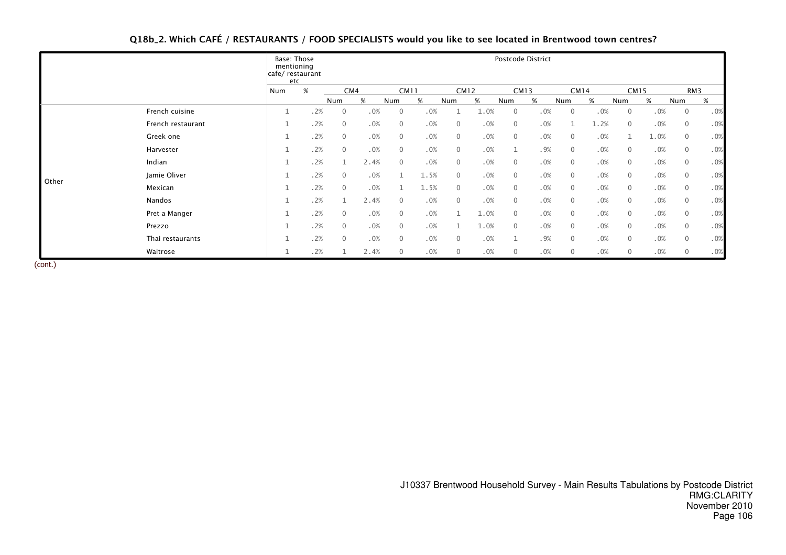# Q18b\_2. Which CAFÉ / RESTAURANTS / FOOD SPECIALISTS would you like to see located in Brentwood town centres?

|       |                   | Base: Those<br>mentioning<br>cafe/ restaurant<br>etc |     |                |      |                |      |                |      |                | Postcode District |              |             |                |             |              |     |
|-------|-------------------|------------------------------------------------------|-----|----------------|------|----------------|------|----------------|------|----------------|-------------------|--------------|-------------|----------------|-------------|--------------|-----|
|       |                   | Num                                                  | %   | CM4            |      | <b>CM11</b>    |      |                | CM12 |                | CM13              |              | <b>CM14</b> |                | <b>CM15</b> |              | RM3 |
|       |                   |                                                      |     | Num            | %    | Num            | %    | Num            | %    | Num            | %                 | Num          | %           | Num            | %           | Num          | %   |
|       | French cuisine    |                                                      | .2% | $\overline{0}$ | .0%  | $\mathbf 0$    | .0%  |                | 1.0% | $\overline{0}$ | .0%               | $\mathbf 0$  | .0%         | $\overline{0}$ | .0%         | $\mathbf 0$  | .0% |
|       | French restaurant |                                                      | .2% | $\mathbf{0}$   | .0%  | $\overline{0}$ | .0%  | $\mathbf{0}$   | .0%  | $\mathbf{0}$   | .0%               |              | 1.2%        | $\overline{0}$ | .0%         | $\mathbf 0$  | .0% |
|       | Greek one         |                                                      | .2% | $\overline{0}$ | .0%  | $\overline{0}$ | .0%  | $\mathbf{0}$   | .0%  | $\mathbf{0}$   | .0%               | $\mathbf 0$  | .0%         | $\mathbf{1}$   | 1.0%        | $\mathbf 0$  | .0% |
|       | Harvester         |                                                      | .2% | $\Omega$       | .0%  | $\mathbf{0}$   | .0%  | $\mathbf{0}$   | .0%  |                | .9%               | $\mathbf{0}$ | .0%         | $\overline{0}$ | .0%         | $\mathbf{0}$ | .0% |
|       | Indian            |                                                      | .2% |                | 2.4% | $\mathbf{0}$   | .0%  | $\mathbf{0}$   | .0%  | $\mathbf{0}$   | .0%               | $\mathbf 0$  | .0%         | $\mathbf 0$    | .0%         | $\mathbf 0$  | .0% |
| Other | Jamie Oliver      |                                                      | .2% | $\mathbf{0}$   | .0%  |                | 1.5% | $\overline{0}$ | .0%  | $\mathbf{0}$   | .0%               | $\mathbf{0}$ | .0%         | $\overline{0}$ | .0%         | $\mathbf{0}$ | .0% |
|       | Mexican           |                                                      | .2% | $\overline{0}$ | .0%  |                | 1.5% | $\mathbf{0}$   | .0%  | $\mathbf{0}$   | .0%               | $\mathbf 0$  | .0%         | $\mathbf 0$    | .0%         | $\mathbf 0$  | .0% |
|       | Nandos            |                                                      | .2% |                | 2.4% | $\mathbf{0}$   | .0%  | $\mathbf{0}$   | .0%  | $\mathbf{0}$   | .0%               | $\mathbf{0}$ | .0%         | $\mathbf{0}$   | .0%         | $\mathbf{0}$ | .0% |
|       | Pret a Manger     |                                                      | .2% | $\mathbf{0}$   | .0%  | $\overline{0}$ | .0%  |                | 1.0% | $\mathbf{0}$   | .0%               | $\mathbf{0}$ | .0%         | $\mathbf 0$    | .0%         | $\mathbf 0$  | .0% |
|       | Prezzo            |                                                      | .2% | $\mathbf{0}$   | .0%  | $\overline{0}$ | .0%  |                | 1.0% | $\Omega$       | .0%               | $\mathbf{0}$ | .0%         | $\overline{0}$ | .0%         | $\mathbf{0}$ | .0% |
|       | Thai restaurants  |                                                      | .2% | $\overline{0}$ | .0%  | $\mathbf{0}$   | .0%  | $\overline{0}$ | .0%  |                | .9%               | $\mathbf{0}$ | .0%         | $\overline{0}$ | .0%         | $\mathbf{0}$ | .0% |
|       | Waitrose          |                                                      | .2% |                | 2.4% | $\mathbf{0}$   | .0%  | $\mathbf 0$    | .0%  | $\mathbf 0$    | .0%               | $\mathbf 0$  | .0%         | $\overline{0}$ | .0%         | 0            | .0% |

(cont.)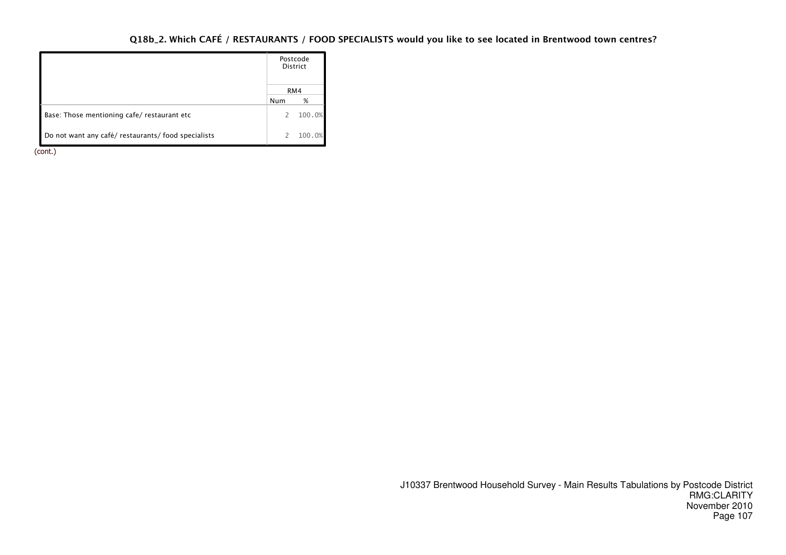# Q18b\_2. Which CAFÉ / RESTAURANTS / FOOD SPECIALISTS would you like to see located in Brentwood town centres?

|                                                     |     | Postcode<br><b>District</b> |
|-----------------------------------------------------|-----|-----------------------------|
|                                                     |     | RM4                         |
|                                                     | Num | %                           |
| Base: Those mentioning cafe/restaurant etc          | 2   | 100.0%                      |
| Do not want any café/ restaurants/ food specialists |     | 100.0%                      |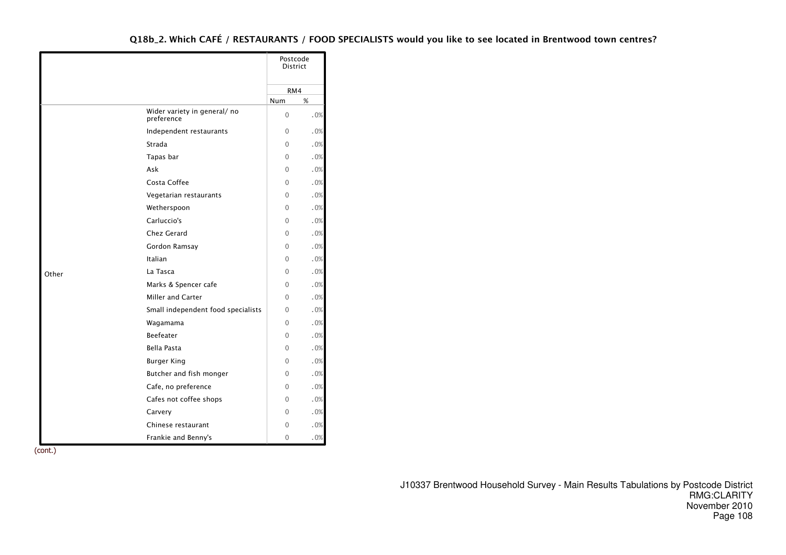|       |                                           |              | Postcode<br><b>District</b> |
|-------|-------------------------------------------|--------------|-----------------------------|
|       |                                           |              | RM4                         |
|       |                                           | Num          | %                           |
|       | Wider variety in general/no<br>preference | 0            | .0%                         |
|       | Independent restaurants                   | $\Omega$     | .0%                         |
|       | Strada                                    | $\Omega$     | .0%                         |
|       | Tapas bar                                 | $\Omega$     | .0%                         |
|       | Ask                                       | $\Omega$     | .0%                         |
|       | Costa Coffee                              | $\Omega$     | .0%                         |
|       | Vegetarian restaurants                    | 0            | .0%                         |
|       | Wetherspoon                               | $\Omega$     | .0%                         |
|       | Carluccio's                               | 0            | .0%                         |
|       | Chez Gerard                               | $\mathbf{0}$ | .0%                         |
|       | Gordon Ramsay                             | 0            | .0%                         |
|       | Italian                                   | $\Omega$     | .0%                         |
| Other | La Tasca                                  | $\Omega$     | .0%                         |
|       | Marks & Spencer cafe                      | $\Omega$     | .0%                         |
|       | <b>Miller and Carter</b>                  | $\Omega$     | .0%                         |
|       | Small independent food specialists        | 0            | .0%                         |
|       | Wagamama                                  | $\mathbf{0}$ | .0%                         |
|       | <b>Beefeater</b>                          | 0            | .0%                         |
|       | <b>Bella Pasta</b>                        | $\Omega$     | .0%                         |
|       | <b>Burger King</b>                        | 0            | .0%                         |
|       | Butcher and fish monger                   | $\Omega$     | .0%                         |
|       | Cafe, no preference                       | $\Omega$     | .0%                         |
|       | Cafes not coffee shops                    | 0            | .0%                         |
|       | Carvery                                   | $\Omega$     | .0%                         |
|       | Chinese restaurant                        | $\Omega$     | .0%                         |
|       | Frankie and Benny's                       | $\mathbf{0}$ | $.0\%$                      |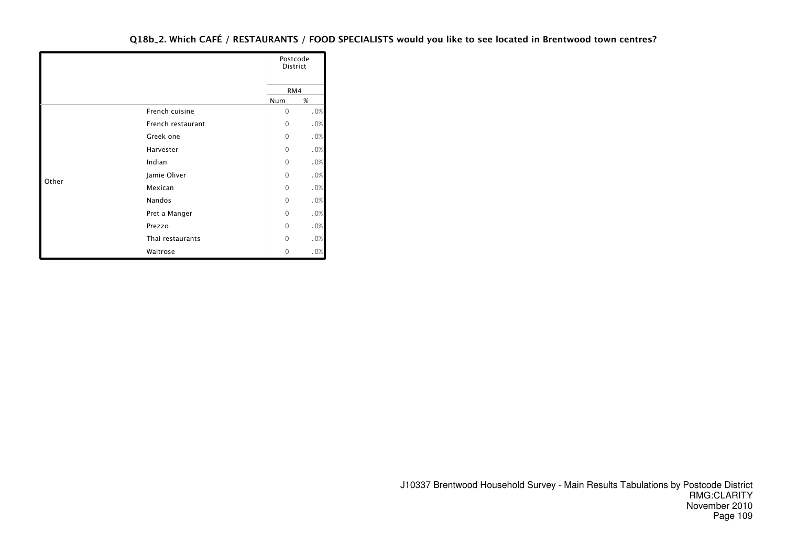|       |                   | Postcode<br><b>District</b> |     |
|-------|-------------------|-----------------------------|-----|
|       |                   | RM4                         |     |
|       |                   | Num                         | %   |
|       | French cuisine    | $\mathbf{0}$                | .0% |
|       | French restaurant | $\mathbf{0}$                | .0% |
|       | Greek one         | $\Omega$                    | .0% |
|       | Harvester         | $\mathbf{0}$                | .0% |
|       | Indian            | $\mathbf{0}$                | .0% |
|       | Jamie Oliver      | $\Omega$                    | .0% |
| Other | Mexican           | $\Omega$                    | .0% |
|       | Nandos            | $\mathbf{0}$                | .0% |
|       | Pret a Manger     | $\Omega$                    | .0% |
|       | Prezzo            | $\Omega$                    | .0% |
|       | Thai restaurants  | 0                           | .0% |
|       | Waitrose          | 0                           | .0% |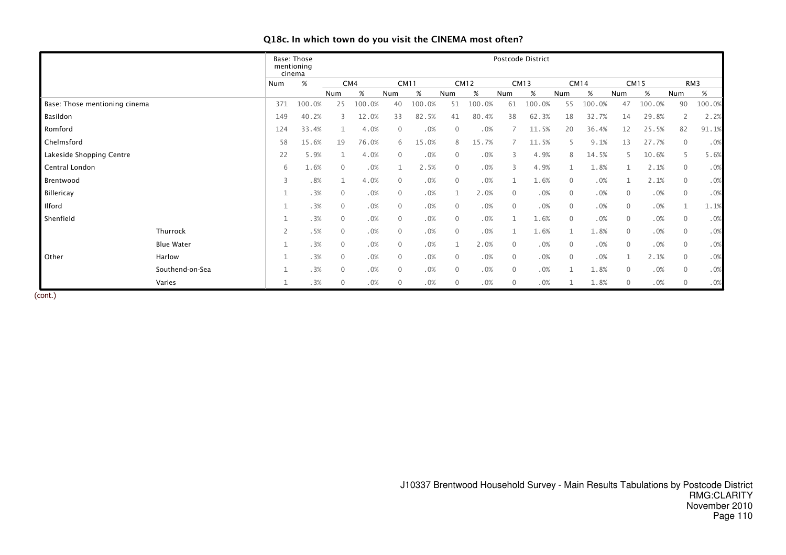|                               |                   |                | Postcode District<br>Base: Those<br>mentioning<br>cinema |                |        |              |             |              |             |                |             |                |             |              |             |                |        |
|-------------------------------|-------------------|----------------|----------------------------------------------------------|----------------|--------|--------------|-------------|--------------|-------------|----------------|-------------|----------------|-------------|--------------|-------------|----------------|--------|
|                               |                   | Num            | $\%$                                                     |                | CM4    |              | <b>CM11</b> |              | <b>CM12</b> |                | <b>CM13</b> |                | <b>CM14</b> |              | <b>CM15</b> |                | RM3    |
|                               |                   |                |                                                          | Num            | %      | Num          | %           | Num          | %           | Num            | %           | Num            | $\%$        | Num          | $\%$        | Num            | %      |
| Base: Those mentioning cinema |                   | 371            | 100.0%                                                   | 25             | 100.0% | 40           | 100.0%      | 51           | 100.0%      | 61             | 100.0%      | 55             | 100.0%      | 47           | 100.0%      | 90             | 100.0% |
| Basildon                      |                   | 149            | 40.2%                                                    | 3              | 12.0%  | 33           | 82.5%       | 41           | 80.4%       | 38             | 62.3%       | 18             | 32.7%       | 14           | 29.8%       | 2              | 2.2%   |
| Romford                       |                   | 124            | 33.4%                                                    |                | 4.0%   | $\mathbf{0}$ | .0%         | $\mathbf{0}$ | .0%         |                | 11.5%       | 20             | 36.4%       | 12           | 25.5%       | 82             | 91.1%  |
| Chelmsford                    |                   | 58             | 15.6%                                                    | 19             | 76.0%  | 6            | 15.0%       | 8            | 15.7%       |                | 11.5%       | 5.             | 9.1%        | 13           | 27.7%       | $\mathbf{0}$   | .0%    |
| Lakeside Shopping Centre      |                   | 22             | 5.9%                                                     | $\mathbf{1}$   | 4.0%   | $\Omega$     | .0%         | $\mathbf{0}$ | .0%         | 3              | 4.9%        | 8              | 14.5%       | 5            | 10.6%       | 5              | 5.6%   |
| Central London                |                   | 6              | 1.6%                                                     | $\mathbf{0}$   | .0%    |              | 2.5%        | $\mathbf{0}$ | .0%         | 3              | 4.9%        |                | 1.8%        |              | 2.1%        | $\mathbf{0}$   | .0%    |
| Brentwood                     |                   | 3              | .8%                                                      | $\mathbf{1}$   | 4.0%   | $\Omega$     | .0%         | $\mathbf 0$  | .0%         |                | 1.6%        | $\overline{0}$ | .0%         | 1            | 2.1%        | $\mathbf 0$    | .0%    |
| Billericay                    |                   |                | .3%                                                      | $\mathbf{0}$   | .0%    | $\mathbf{0}$ | .0%         | $\mathbf{1}$ | 2.0%        | $\mathbf{0}$   | .0%         | $\mathbf{0}$   | .0%         | $\mathbf 0$  | .0%         | $\overline{0}$ | .0%    |
| Ilford                        |                   |                | .3%                                                      | $\mathbf{0}$   | .0%    | $\mathbf{0}$ | .0%         | $\mathbf{0}$ | .0%         | $\overline{0}$ | .0%         | $\mathbf{0}$   | .0%         | $\mathbf 0$  | .0%         |                | 1.1%   |
| Shenfield                     |                   |                | .3%                                                      | $\mathbf{0}$   | .0%    | $\mathbf{0}$ | .0%         | $\mathbf{0}$ | .0%         | 1              | 1.6%        | $\mathbf{0}$   | .0%         | $\mathbf{0}$ | .0%         | $\overline{0}$ | .0%    |
|                               | Thurrock          | $\overline{2}$ | .5%                                                      | $\mathbf{0}$   | .0%    | $\mathbf{0}$ | .0%         | $\mathbf{0}$ | .0%         | 1              | 1.6%        |                | 1.8%        | $\mathbf{0}$ | .0%         | $\overline{0}$ | .0%    |
|                               | <b>Blue Water</b> | $\mathbf{1}$   | .3%                                                      | $\mathbf{0}$   | .0%    | $\Omega$     | .0%         | 1            | 2.0%        | $\mathbf{0}$   | .0%         | $\mathbf{0}$   | .0%         | $\mathbf 0$  | .0%         | $\overline{0}$ | .0%    |
| Other                         | Harlow            |                | .3%                                                      | $\mathbf{0}$   | .0%    | $\mathbf{0}$ | .0%         | $\mathbf{0}$ | .0%         | $\mathbf{0}$   | .0%         | $\mathbf{0}$   | .0%         | $\mathbf 1$  | 2.1%        | $\mathbf{0}$   | .0%    |
|                               | Southend-on-Sea   |                | .3%                                                      | $\mathbf{0}$   | .0%    | $\Omega$     | .0%         | $\mathbf{0}$ | .0%         | $\mathbf{0}$   | .0%         |                | 1.8%        | $\mathbf 0$  | .0%         | $\mathbf 0$    | .0%    |
|                               | Varies            |                | .3%                                                      | $\overline{0}$ | .0%    | $\mathbf{0}$ | .0%         | $\mathbf 0$  | .0%         | 0              | .0%         |                | 1.8%        | $\mathbf{0}$ | .0%         | $\mathbf{0}$   | .0%    |

# Q18c. In which town do you visit the CINEMA most often?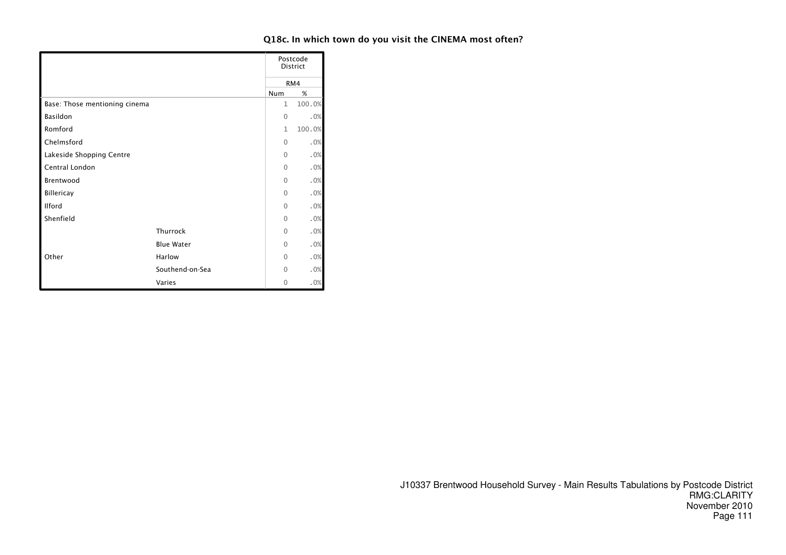# Q18c. In which town do you visit the CINEMA most often?

|                               |                   |              | Postcode<br>District |
|-------------------------------|-------------------|--------------|----------------------|
|                               |                   |              | RM4                  |
|                               |                   | Num          | %                    |
| Base: Those mentioning cinema |                   | $\mathbf{1}$ | 100.0%               |
| Basildon                      |                   | $\Omega$     | .0%                  |
| Romford                       |                   | $\mathbf{1}$ | 100.0%               |
| Chelmsford                    |                   | $\Omega$     | .0%                  |
| Lakeside Shopping Centre      |                   | $\Omega$     | .0%                  |
| Central London                |                   | $\Omega$     | .0%                  |
| Brentwood                     |                   | $\Omega$     | .0%                  |
| Billericay                    |                   | $\Omega$     | .0%                  |
| Ilford                        |                   | $\Omega$     | .0%                  |
| Shenfield                     |                   | $\Omega$     | .0%                  |
|                               | Thurrock          | $\Omega$     | .0%                  |
|                               | <b>Blue Water</b> | $\Omega$     | .0%                  |
| Other                         | Harlow            | $\Omega$     | .0%                  |
|                               | Southend-on-Sea   | $\Omega$     | .0%                  |
|                               | Varies            | $\Omega$     | .0%                  |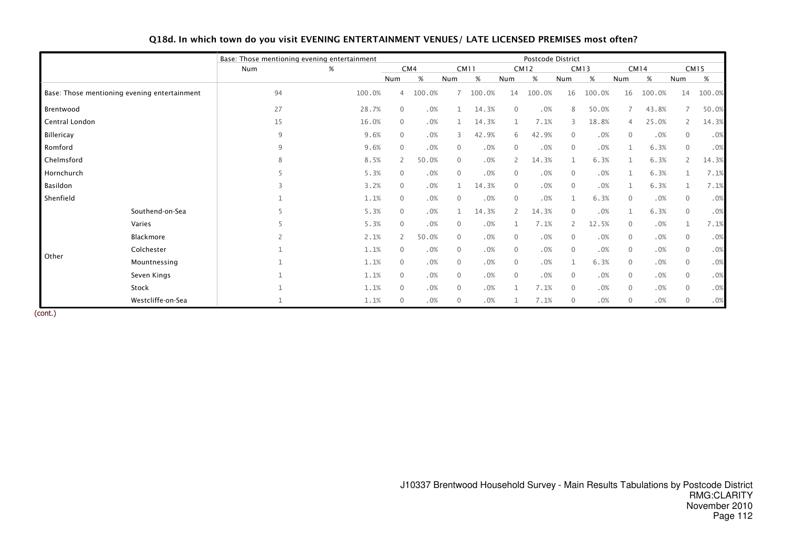|                |                                              |     | Base: Those mentioning evening entertainment |                |        |                |             |                | Postcode District |                |             |                |             |                |             |
|----------------|----------------------------------------------|-----|----------------------------------------------|----------------|--------|----------------|-------------|----------------|-------------------|----------------|-------------|----------------|-------------|----------------|-------------|
|                |                                              | Num | %                                            |                | CM4    |                | <b>CM11</b> |                | <b>CM12</b>       |                | <b>CM13</b> |                | <b>CM14</b> |                | <b>CM15</b> |
|                |                                              |     |                                              | Num            | %      | Num            | %           | Num            | %                 | Num            | $\%$        | Num            | $\%$        | Num            | $\%$        |
|                | Base: Those mentioning evening entertainment | 94  | 100.0%                                       | 4              | 100.0% |                | 100.0%      | 14             | 100.0%            | 16             | 100.0%      | 16             | 100.0%      | 14             | 100.0%      |
| Brentwood      |                                              | 27  | 28.7%                                        | $\Omega$       | .0%    |                | 14.3%       | $\Omega$       | .0%               | 8              | 50.0%       |                | 43.8%       | 7              | 50.0%       |
| Central London |                                              | 15  | 16.0%                                        | $\mathbf{0}$   | .0%    |                | 14.3%       |                | 7.1%              | 3              | 18.8%       | 4              | 25.0%       | $\overline{2}$ | 14.3%       |
| Billericay     |                                              | 9   | 9.6%                                         | $\mathbf{0}$   | .0%    | $\overline{3}$ | 42.9%       | 6              | 42.9%             | $\mathbf 0$    | .0%         | $\mathbf{0}$   | .0%         | $\mathbf{0}$   | .0%         |
| Romford        |                                              | 9   | 9.6%                                         | $\mathbf{0}$   | .0%    | $\overline{0}$ | .0%         | 0              | .0%               | $\mathbf{0}$   | .0%         | $\mathbf 1$    | 6.3%        | $\mathbf{0}$   | .0%         |
| Chelmsford     |                                              |     | 8.5%                                         | $\overline{2}$ | 50.0%  | $\mathbf{0}$   | .0%         | $\overline{2}$ | 14.3%             | 1              | 6.3%        | 1              | 6.3%        | $\overline{2}$ | 14.3%       |
| Hornchurch     |                                              |     | 5.3%                                         | $\mathbf{0}$   | .0%    | $\overline{0}$ | .0%         | 0              | .0%               | 0              | .0%         | 1              | 6.3%        |                | 7.1%        |
| Basildon       |                                              |     | 3.2%                                         | $\Omega$       | .0%    |                | 14.3%       | 0              | .0%               | $\mathbf{0}$   | .0%         |                | 6.3%        |                | 7.1%        |
| Shenfield      |                                              |     | 1.1%                                         | $\Omega$       | .0%    | $\overline{0}$ | .0%         | $\mathbf{0}$   | .0%               |                | 6.3%        | $\mathbf{0}$   | .0%         | $\Omega$       | .0%         |
|                | Southend-on-Sea                              |     | 5.3%                                         | $\mathbf{0}$   | .0%    |                | 14.3%       |                | 14.3%             | $\mathbf{0}$   | .0%         | $\mathbf 1$    | 6.3%        | $\mathbf{0}$   | .0%         |
|                | Varies                                       |     | 5.3%                                         | $\mathbf{0}$   | .0%    | $\overline{0}$ | .0%         |                | 7.1%              | $\overline{2}$ | 12.5%       | $\mathbf{0}$   | .0%         | $\mathbf{1}$   | 7.1%        |
|                | Blackmore                                    |     | 2.1%                                         | $\overline{2}$ | 50.0%  | $\overline{0}$ | .0%         | $\mathbf{0}$   | .0%               | $\mathbf 0$    | .0%         | $\mathbf{0}$   | .0%         | $\mathbf{0}$   | .0%         |
|                | Colchester                                   |     | 1.1%                                         | $\Omega$       | .0%    | $\overline{0}$ | .0%         | $\mathbf{0}$   | .0%               | $\mathbf 0$    | .0%         | $\overline{0}$ | .0%         | $\overline{0}$ | .0%         |
| Other          | Mountnessing                                 |     | 1.1%                                         | $\mathbf{0}$   | .0%    | $\overline{0}$ | .0%         | $\mathbf 0$    | .0%               |                | 6.3%        | $\overline{0}$ | .0%         | $\overline{0}$ | .0%         |
|                | Seven Kings                                  |     | 1.1%                                         | $\Omega$       | .0%    | $\overline{0}$ | .0%         | $\mathbf{0}$   | .0%               | $\mathbf 0$    | .0%         | $\mathbf{0}$   | .0%         | $\mathbf{0}$   | .0%         |
|                | Stock                                        |     | 1.1%                                         | $\Omega$       | .0%    | $\overline{0}$ | .0%         |                | 7.1%              | $\mathbf{0}$   | .0%         | $\mathbf{0}$   | .0%         | $\Omega$       | .0%         |
|                | Westcliffe-on-Sea                            |     | 1.1%                                         | $\Omega$       | .0%    | $\overline{0}$ | .0%         |                | 7.1%              | $\mathbf 0$    | .0%         | $\mathbf{0}$   | .0%         | $\Omega$       | .0%         |

# Q18d. In which town do you visit EVENING ENTERTAINMENT VENUES/ LATE LICENSED PREMISES most often?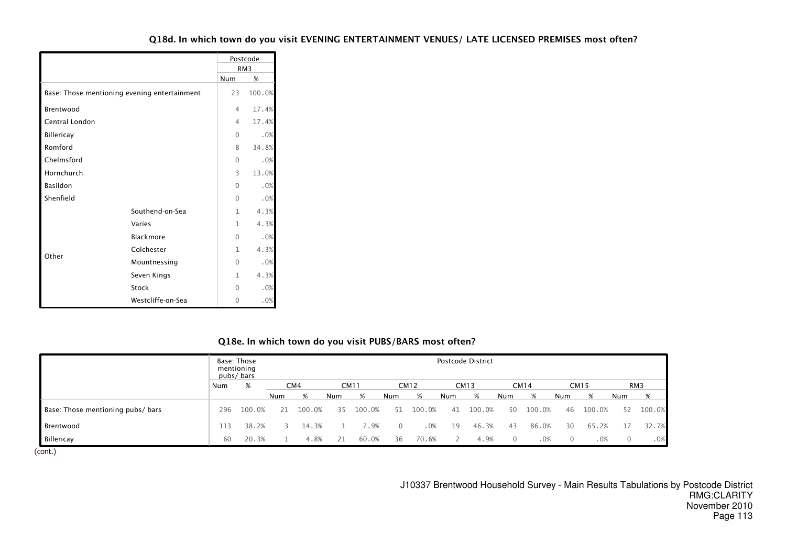# Q18d. In which town do you visit EVENING ENTERTAINMENT VENUES/ LATE LICENSED PREMISES most often?

|                                              |                   |              | Postcode        |
|----------------------------------------------|-------------------|--------------|-----------------|
|                                              |                   |              | RM <sub>3</sub> |
|                                              |                   | Num          | %               |
| Base: Those mentioning evening entertainment |                   | 23           | 100.0%          |
| Brentwood                                    |                   | 4            | 17.4%           |
| Central London                               |                   | 4            | 17.4%           |
| <b>Billericay</b>                            |                   | $\cap$       | .0%             |
| Romford                                      |                   | 8            | 34.8%           |
| Chelmsford                                   |                   | $\Omega$     | .0%             |
| Hornchurch                                   |                   | 3            | 13.0%           |
| <b>Basildon</b>                              |                   | $\Omega$     | .0%             |
| Shenfield                                    |                   | $\Omega$     | .0%             |
|                                              | Southend-on-Sea   | $\mathbf{1}$ | 4.3%            |
|                                              | Varies            | $\mathbf{1}$ | 4.3%            |
|                                              | Blackmore         | $\mathbf{0}$ | .0%             |
|                                              | Colchester        | 1            | 4.3%            |
| Other                                        | Mountnessing      | 0            | .0%             |
|                                              | Seven Kings       | 1            | 4.3%            |
|                                              | Stock             | <sup>0</sup> | .0%             |
|                                              | Westcliffe-on-Sea | $\Omega$     | .0%             |

#### Q18e. In which town do you visit PUBS/BARS most often?

|                                   |     | Base: Those<br>mentioning<br>pubs/bars |     |        |     |             |     |             |     | Postcode District |          |             |        |             |          |                 |
|-----------------------------------|-----|----------------------------------------|-----|--------|-----|-------------|-----|-------------|-----|-------------------|----------|-------------|--------|-------------|----------|-----------------|
|                                   | Num | %                                      |     | CM4    |     | <b>CM11</b> |     | <b>CM12</b> |     | <b>CM13</b>       |          | <b>CM14</b> |        | <b>CM15</b> |          | RM <sub>3</sub> |
|                                   |     |                                        | Num | %      | Num | %           | Num | %           | Num | %                 | Num      | %           | Num    | %           | Num      | %               |
| Base: Those mentioning pubs/ bars | 296 | 100.0%                                 | 21  | 100.0% | 35. | 100.0%      |     | 100.0%      | 41  | 100.0%            | 50       | 100.0%      | 46     | 100.0%      | 52       | 100.0%          |
| Brentwood                         | 113 | 38.2%                                  |     | 14.3%  |     | 2.9%        |     | .0%         | 19  | 46.3%             | 43       | 86.0%       | 30     | 65.2%       |          | 32.7%           |
| Billericay                        | 60  | 20.3%                                  |     | 4.8%   | 21  | 60.0%       | 36  | 70.6%       |     | 4.9%              | $\Omega$ | $.0\%$      | $\cup$ | .0%         | $\Omega$ | .0%             |

(cont.)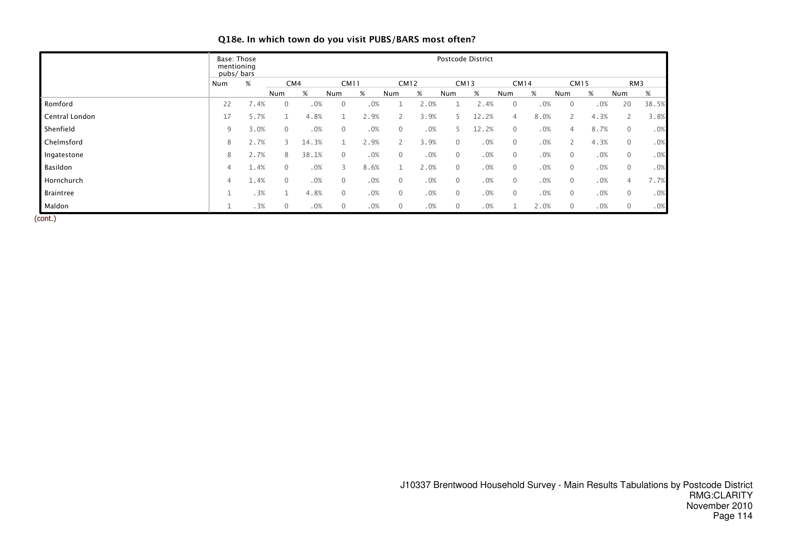|                | Base: Those<br>mentioning<br>pubs/bars |      |              |       |              |      |                |      |                | Postcode District |              |      |              |      |                |       |
|----------------|----------------------------------------|------|--------------|-------|--------------|------|----------------|------|----------------|-------------------|--------------|------|--------------|------|----------------|-------|
|                | Num                                    | %    | CM4          |       | <b>CM11</b>  |      | <b>CM12</b>    |      |                | <b>CM13</b>       | <b>CM14</b>  |      | <b>CM15</b>  |      | RM3            |       |
|                |                                        |      | Num          | $\%$  | Num          | %    | Num            | %    | Num            | %                 | Num          | %    | Num          | %    | Num            | %     |
| Romford        | 22                                     | 7.4% | $\mathbf{0}$ | .0%   | 0            | .0%  |                | 2.0% |                | 2.4%              | 0            | .0%  | $\mathbf{0}$ | .0%  | 20             | 38.5% |
| Central London | 17                                     | 5.7% |              | 4.8%  |              | 2.9% |                | 3.9% | 5              | 12.2%             | 4            | 8.0% |              | 4.3% | 2              | 3.8%  |
| Shenfield      | 9                                      | 3.0% | $\mathbf{0}$ | .0%   | $\mathbf{0}$ | .0%  | $\overline{0}$ | .0%  | 5              | 12.2%             | $\mathbf 0$  | .0%  | 4            | 8.7% | $\overline{0}$ | .0%   |
| Chelmsford     | 8                                      | 2.7% | $\prec$      | 14.3% |              | 2.9% |                | 3.9% | $\overline{0}$ | .0%               | $\mathbf 0$  | .0%  |              | 4.3% | $\overline{0}$ | .0%   |
| Ingatestone    | 8                                      | 2.7% | 8            | 38.1% | $\mathbf{0}$ | .0%  | 0              | .0%  | $\overline{0}$ | .0%               | $\mathbf{0}$ | .0%  | $\mathbf{0}$ | .0%  | $\mathbf{0}$   | .0%   |
| Basildon       | 4                                      | 1.4% | $\Omega$     | .0%   | 3            | 8.6% |                | 2.0% | $\overline{0}$ | .0%               | $\mathbf 0$  | .0%  | $\mathbf{0}$ | .0%  | 0              | .0%   |
| Hornchurch     | 4                                      | 1.4% | $\mathbf{0}$ | .0%   | $\mathbf{0}$ | .0%  | 0              | .0%  | $\overline{0}$ | .0%               | $\mathbf{0}$ | .0%  | $\mathbf{0}$ | .0%  | $\overline{4}$ | 7.7%  |
| Braintree      | ᅩ                                      | .3%  |              | 4.8%  | $\mathbf{0}$ | .0%  | 0              | .0%  | $\overline{0}$ | .0%               | 0            | .0%  | $\mathbf 0$  | .0%  | 0              | .0%   |
| Maldon         | J.                                     | .3%  | $\mathbf{0}$ | .0%   | 0            | .0%  | 0              | .0%  | $\overline{0}$ | .0%               |              | 2.0% | $\mathbf{0}$ | .0%  | 0              | .0%   |

# Q18e. In which town do you visit PUBS/BARS most often?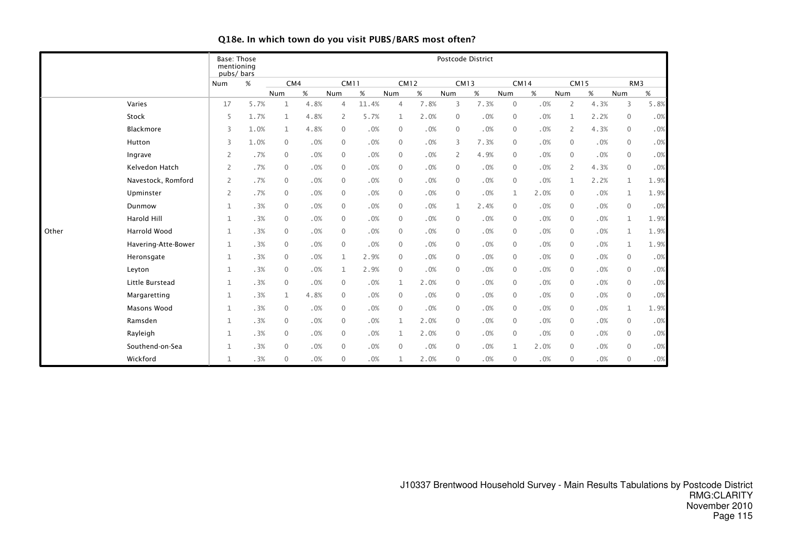|       |                     | <b>Base: Those</b><br>mentioning<br>pubs/bars |      |              |      |                |       |                |      |                | Postcode District |              |        |                |      |                |        |
|-------|---------------------|-----------------------------------------------|------|--------------|------|----------------|-------|----------------|------|----------------|-------------------|--------------|--------|----------------|------|----------------|--------|
|       |                     | Num                                           | %    | CM4          |      | <b>CM11</b>    |       | <b>CM12</b>    |      |                | <b>CM13</b>       | <b>CM14</b>  |        | <b>CM15</b>    |      |                | RM3    |
|       |                     |                                               |      | Num          | %    | Num            | $\%$  | Num            | $\%$ | Num            | $\%$              | Num          | %      | Num            | %    | Num            | $\%$   |
|       | Varies              | 17                                            | 5.7% | $\mathbf{1}$ | 4.8% | $\overline{4}$ | 11.4% | $\overline{4}$ | 7.8% | 3              | 7.3%              | $\mathbf 0$  | .0%    | $\overline{2}$ | 4.3% | 3              | 5.8%   |
|       | Stock               | 5                                             | 1.7% | $\mathbf{1}$ | 4.8% | 2              | 5.7%  | 1              | 2.0% | $\mathbf 0$    | .0%               | $\mathbf 0$  | $.0\%$ | $\mathbf{1}$   | 2.2% | $\overline{0}$ | .0%    |
|       | Blackmore           | 3                                             | 1.0% | $\mathbf{1}$ | 4.8% | 0              | .0%   | $\mathbf{0}$   | .0%  | $\mathbf{0}$   | .0%               | $\mathbf 0$  | .0%    | 2              | 4.3% | 0              | $.0\%$ |
|       | Hutton              | 3                                             | 1.0% | $\mathbf{0}$ | .0%  | 0              | .0%   | $\mathbf 0$    | .0%  | 3              | 7.3%              | $\mathbf 0$  | .0%    | $\Omega$       | .0%  | $\mathbf 0$    | .0%    |
|       | Ingrave             | $\overline{2}$                                | .7%  | $\mathbf{0}$ | .0%  | $\mathbf 0$    | .0%   | $\mathbf 0$    | .0%  | $\overline{2}$ | 4.9%              | $\mathbf 0$  | .0%    | $\Omega$       | .0%  | $\mathbf 0$    | .0%    |
|       | Kelvedon Hatch      | $\overline{2}$                                | .7%  | $\mathbf{0}$ | .0%  | 0              | .0%   | 0              | .0%  | $\mathbf{0}$   | .0%               | $\mathbf 0$  | .0%    | 2              | 4.3% | $\mathbf 0$    | .0%    |
|       | Navestock, Romford  | $\overline{2}$                                | .7%  | $\mathbf{0}$ | .0%  | 0              | .0%   | $\mathbf 0$    | .0%  | $\mathbf 0$    | .0%               | $\mathbf 0$  | .0%    | $\mathbf 1$    | 2.2% | $\mathbf{1}$   | 1.9%   |
|       | Upminster           | $\overline{2}$                                | .7%  | $\mathbf{0}$ | .0%  | 0              | .0%   | $\mathbf 0$    | .0%  | $\mathbf 0$    | .0%               | $\mathbf{1}$ | 2.0%   | $\mathbf{0}$   | .0%  | $\mathbf{1}$   | 1.9%   |
|       | Dunmow              | $\mathbf{1}$                                  | .3%  | $\mathbf{0}$ | .0%  | 0              | .0%   | $\mathbf{0}$   | .0%  | $\mathbf{1}$   | 2.4%              | $\mathbf 0$  | .0%    | $\mathbf{0}$   | .0%  | $\mathbf 0$    | .0%    |
|       | Harold Hill         | $\mathbf{1}$                                  | .3%  | $\mathbf{0}$ | .0%  | 0              | .0%   | $\mathbf{0}$   | .0%  | $\mathbf{0}$   | .0%               | $\mathbf 0$  | .0%    | $\mathbf{0}$   | .0%  | $\mathbf{1}$   | 1.9%   |
| Other | Harrold Wood        | $1\,$                                         | .3%  | $\mathbf{0}$ | .0%  | 0              | .0%   | $\mathbf{0}$   | .0%  | $\mathbf 0$    | .0%               | $\mathbf 0$  | $.0\%$ | $\mathbf{0}$   | .0%  | $\mathbf{1}$   | 1.9%   |
|       | Havering-Atte-Bower | $\mathbf{1}$                                  | .3%  | $\mathbf{0}$ | .0%  | 0              | .0%   | $\mathbf{0}$   | .0%  | $\mathbf 0$    | .0%               | $\mathbf 0$  | $.0\%$ | $\mathbf{0}$   | .0%  | $\mathbf{1}$   | 1.9%   |
|       | Heronsgate          | $\mathbf 1$                                   | .3%  | $\mathbf{0}$ | .0%  | $\mathbf 1$    | 2.9%  | $\mathbf{0}$   | .0%  | $\mathbf 0$    | .0%               | $\mathbf 0$  | .0%    | $\mathbf{0}$   | .0%  | $\mathbf 0$    | .0%    |
|       | Leyton              | $1\,$                                         | .3%  | $\mathbf{0}$ | .0%  | 1              | 2.9%  | $\mathbf 0$    | .0%  | $\mathbf 0$    | .0%               | $\mathbf 0$  | .0%    | $\mathbf{0}$   | .0%  | $\mathbf 0$    | .0%    |
|       | Little Burstead     | $\mathbf 1$                                   | .3%  | $\mathbf{0}$ | .0%  | $\mathbf{0}$   | .0%   | 1              | 2.0% | $\mathbf{0}$   | .0%               | $\mathbf 0$  | $.0\%$ | $\mathbf{0}$   | .0%  | $\mathbf 0$    | .0%    |
|       | Margaretting        | $\mathbf 1$                                   | .3%  | $\mathbf{1}$ | 4.8% | $\mathbf{0}$   | .0%   | $\mathbf{0}$   | .0%  | $\mathbf{0}$   | .0%               | $\mathbf 0$  | $.0\%$ | $\mathbf{0}$   | .0%  | $\mathbf 0$    | .0%    |
|       | Masons Wood         | $\mathbf{1}$                                  | .3%  | $\mathbf{0}$ | .0%  | $\mathbf{0}$   | .0%   | $\mathbf{0}$   | .0%  | $\mathbf{0}$   | .0%               | $\mathbf 0$  | .0%    | $\Omega$       | .0%  | $\mathbf{1}$   | 1.9%   |
|       | Ramsden             | $\mathbf 1$                                   | .3%  | $\mathbf{0}$ | .0%  | $\mathbf{0}$   | .0%   | $\mathbf{1}$   | 2.0% | $\mathbf{0}$   | .0%               | $\mathbf 0$  | .0%    | $\Omega$       | .0%  | $\mathbf 0$    | .0%    |
|       | Rayleigh            | $\mathbf 1$                                   | .3%  | $\mathbf{0}$ | .0%  | 0              | .0%   | 1              | 2.0% | $\mathbf{0}$   | .0%               | $\mathbf 0$  | .0%    | $\Omega$       | .0%  | $\mathbf 0$    | .0%    |
|       | Southend-on-Sea     | $1\,$                                         | .3%  | $\mathbf{0}$ | .0%  | 0              | .0%   | $\mathbf{0}$   | .0%  | $\mathbf 0$    | .0%               | 1            | 2.0%   | $\mathbf{0}$   | .0%  | $\overline{0}$ | .0%    |
|       | Wickford            | $\mathbf 1$                                   | .3%  | $\mathbf{0}$ | .0%  | $\mathbf{0}$   | .0%   | 1              | 2.0% | $\mathbf 0$    | .0%               | $\mathbf{0}$ | .0%    | $\mathbf{0}$   | .0%  | $\mathbf 0$    | $.0\%$ |

# Q18e. In which town do you visit PUBS/BARS most often?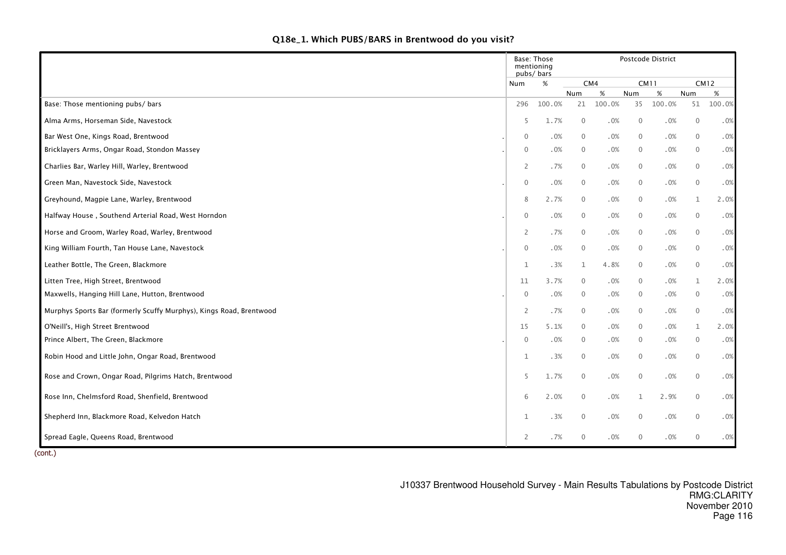| Q18e_1. Which PUBS/BARS in Brentwood do you visit? |  |
|----------------------------------------------------|--|
|----------------------------------------------------|--|

|                                                                     | mentioning<br>pubs/bars | <b>Base: Those</b> |                |        |              | Postcode District |                |             |
|---------------------------------------------------------------------|-------------------------|--------------------|----------------|--------|--------------|-------------------|----------------|-------------|
|                                                                     | Num                     | %                  |                | CM4    | <b>CM11</b>  |                   |                | <b>CM12</b> |
|                                                                     |                         |                    | Num            | $\%$   | Num          | $\%$              | Num            | %           |
| Base: Those mentioning pubs/ bars                                   | 296                     | 100.0%             | 21             | 100.0% | 35           | 100.0%            | 51             | 100.0%      |
| Alma Arms, Horseman Side, Navestock                                 | 5                       | 1.7%               | $\overline{0}$ | .0%    | $\mathbf 0$  | .0%               | $\mathbf 0$    | .0%         |
| Bar West One, Kings Road, Brentwood                                 | $\mathbf{0}$            | .0%                | $\overline{0}$ | .0%    | $\mathbf{0}$ | .0%               | $\mathbf{0}$   | .0%         |
| Bricklayers Arms, Ongar Road, Stondon Massey                        | $\mathbf 0$             | .0%                | $\overline{0}$ | .0%    | $\mathbf 0$  | .0%               | $\mathbf 0$    | .0%         |
| Charlies Bar, Warley Hill, Warley, Brentwood                        | $\overline{2}$          | .7%                | $\overline{0}$ | .0%    | $\mathbf 0$  | .0%               | $\mathbf 0$    | .0%         |
| Green Man, Navestock Side, Navestock                                | $\mathbf 0$             | .0%                | $\overline{0}$ | .0%    | $\mathbf 0$  | .0%               | $\mathbf 0$    | .0%         |
| Greyhound, Magpie Lane, Warley, Brentwood                           | 8                       | 2.7%               | $\overline{0}$ | .0%    | $\mathbf 0$  | .0%               | $\mathbf{1}$   | 2.0%        |
| Halfway House, Southend Arterial Road, West Horndon                 | $\mathbf 0$             | .0%                | $\overline{0}$ | .0%    | $\mathbf 0$  | .0%               | $\mathbf 0$    | .0%         |
| Horse and Groom, Warley Road, Warley, Brentwood                     | $\overline{2}$          | .7%                | $\overline{0}$ | .0%    | $\mathbf 0$  | .0%               | $\mathbf 0$    | .0%         |
| King William Fourth, Tan House Lane, Navestock                      | $\mathbf 0$             | .0%                | $\overline{0}$ | .0%    | $\mathbf 0$  | .0%               | $\overline{0}$ | .0%         |
| Leather Bottle, The Green, Blackmore                                | $\mathbf{1}$            | .3%                | 1              | 4.8%   | $\mathbf 0$  | .0%               | $\mathbf 0$    | .0%         |
| Litten Tree, High Street, Brentwood                                 | 11                      | 3.7%               | $\overline{0}$ | .0%    | $\mathbf 0$  | .0%               | $\mathbf{1}$   | 2.0%        |
| Maxwells, Hanging Hill Lane, Hutton, Brentwood                      | $\mathbf 0$             | .0%                | $\overline{0}$ | .0%    | $\mathbf 0$  | .0%               | $\overline{0}$ | .0%         |
| Murphys Sports Bar (formerly Scuffy Murphys), Kings Road, Brentwood | $\overline{2}$          | .7%                | $\overline{0}$ | .0%    | $\mathbf 0$  | .0%               | $\mathbf 0$    | .0%         |
| O'Neill's, High Street Brentwood                                    | 15                      | 5.1%               | $\overline{0}$ | .0%    | $\mathbf{0}$ | .0%               | $\mathbf{1}$   | 2.0%        |
| Prince Albert, The Green, Blackmore                                 | $\mathbf 0$             | .0%                | $\overline{0}$ | .0%    | $\mathbf 0$  | .0%               | $\mathbf 0$    | .0%         |
| Robin Hood and Little John, Ongar Road, Brentwood                   | $\mathbf{1}$            | .3%                | $\overline{0}$ | .0%    | $\mathbf 0$  | .0%               | $\mathbf 0$    | .0%         |
| Rose and Crown, Ongar Road, Pilgrims Hatch, Brentwood               | 5                       | 1.7%               | $\overline{0}$ | .0%    | $\mathbf{0}$ | .0%               | $\mathbf{0}$   | .0%         |
| Rose Inn, Chelmsford Road, Shenfield, Brentwood                     | 6                       | 2.0%               | $\overline{0}$ | .0%    | 1            | 2.9%              | $\mathbf 0$    | .0%         |
| Shepherd Inn, Blackmore Road, Kelvedon Hatch                        | $\mathbf{1}$            | .3%                | $\overline{0}$ | .0%    | $\mathbf 0$  | .0%               | $\mathbf 0$    | .0%         |
| Spread Eagle, Queens Road, Brentwood                                | $\overline{2}$          | . 7%               | $\mathbf{0}$   | .0%    | $\mathbf{0}$ | .0%               | $\mathbf{0}$   | .0%         |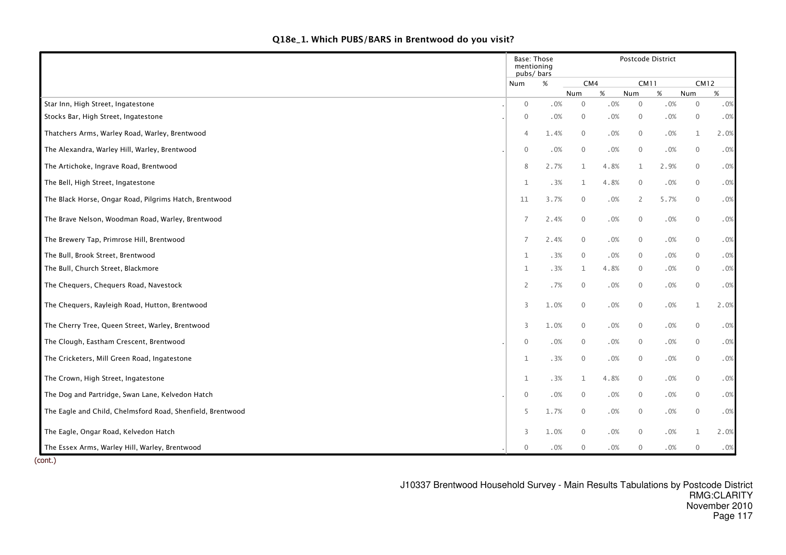| Q18e_1. Which PUBS/BARS in Brentwood do you visit? |  |
|----------------------------------------------------|--|
|----------------------------------------------------|--|

|                                                            | Base: Those<br>mentioning<br>pubs/bars |      |                |        |              | Postcode District |                     |            |
|------------------------------------------------------------|----------------------------------------|------|----------------|--------|--------------|-------------------|---------------------|------------|
|                                                            | Num                                    | %    | CM4            |        | <b>CM11</b>  |                   | <b>CM12</b>         |            |
|                                                            |                                        |      | Num            | %      | Num          | %                 | Num                 | %          |
| Star Inn, High Street, Ingatestone                         | $\mathbf 0$<br>$\mathbf 0$             | .0%  | $\mathbf 0$    | $.0\%$ | $\mathbf 0$  | $.0\%$            | $\mathbf 0$         | .0%<br>.0% |
| Stocks Bar, High Street, Ingatestone                       |                                        | .0%  | $\overline{0}$ | .0%    | $\mathbf 0$  | .0%               | $\mathbf 0$         |            |
| Thatchers Arms, Warley Road, Warley, Brentwood             | $\overline{4}$                         | 1.4% | $\overline{0}$ | .0%    | $\mathbf 0$  | .0%               | $\mathbf{1}$        | 2.0%       |
| The Alexandra, Warley Hill, Warley, Brentwood              | $\mathbf 0$                            | .0%  | $\overline{0}$ | .0%    | $\mathbf 0$  | .0%               | $\mathbf 0$         | .0%        |
| The Artichoke, Ingrave Road, Brentwood                     | 8                                      | 2.7% | 1              | 4.8%   | $\mathbf{1}$ | 2.9%              | $\overline{0}$      | .0%        |
| The Bell, High Street, Ingatestone                         | $\mathbf 1$                            | .3%  | 1              | 4.8%   | $\mathbf 0$  | .0%               | $\mathbf 0$         | .0%        |
| The Black Horse, Ongar Road, Pilgrims Hatch, Brentwood     | 11                                     | 3.7% | $\overline{0}$ | .0%    | 2            | 5.7%              | $\mathbf 0$         | .0%        |
| The Brave Nelson, Woodman Road, Warley, Brentwood          | $\overline{7}$                         | 2.4% | $\mathbf 0$    | $.0\%$ | $\mathbf 0$  | .0%               | $\mathsf{O}\xspace$ | .0%        |
| The Brewery Tap, Primrose Hill, Brentwood                  | $\overline{7}$                         | 2.4% | $\overline{0}$ | .0%    | $\mathbf 0$  | .0%               | $\mathbf 0$         | .0%        |
| The Bull, Brook Street, Brentwood                          | 1                                      | .3%  | $\overline{0}$ | .0%    | $\mathbf 0$  | .0%               | $\overline{0}$      | .0%        |
| The Bull, Church Street, Blackmore                         | $1\,$                                  | .3%  | 1              | 4.8%   | $\mathbf 0$  | .0%               | $\overline{0}$      | .0%        |
| The Chequers, Chequers Road, Navestock                     | 2                                      | .7%  | $\overline{0}$ | .0%    | $\mathbf 0$  | .0%               | $\overline{0}$      | .0%        |
| The Chequers, Rayleigh Road, Hutton, Brentwood             | 3                                      | 1.0% | $\overline{0}$ | $.0\%$ | $\mathbf 0$  | .0%               | $\mathbf{1}$        | 2.0%       |
| The Cherry Tree, Queen Street, Warley, Brentwood           | 3                                      | 1.0% | $\overline{0}$ | .0%    | $\mathbf 0$  | .0%               | $\mathbf 0$         | .0%        |
| The Clough, Eastham Crescent, Brentwood                    | $\mathbf 0$                            | .0%  | $\overline{0}$ | .0%    | $\mathbf 0$  | .0%               | $\overline{0}$      | .0%        |
| The Cricketers, Mill Green Road, Ingatestone               | $\mathbf{1}$                           | .3%  | $\overline{0}$ | .0%    | $\mathbf 0$  | .0%               | $\mathbf 0$         | .0%        |
| The Crown, High Street, Ingatestone                        | $\mathbf{1}$                           | .3%  | $\mathbf{1}$   | 4.8%   | $\mathbf{0}$ | .0%               | $\mathbf 0$         | .0%        |
| The Dog and Partridge, Swan Lane, Kelvedon Hatch           | $\mathbf 0$                            | .0%  | $\overline{0}$ | .0%    | $\mathbf 0$  | .0%               | $\overline{0}$      | $.0\%$     |
| The Eagle and Child, Chelmsford Road, Shenfield, Brentwood | 5                                      | 1.7% | $\overline{0}$ | .0%    | $\mathbf 0$  | .0%               | $\mathbf 0$         | .0%        |
| The Eagle, Ongar Road, Kelvedon Hatch                      | 3                                      | 1.0% | $\overline{0}$ | .0%    | $\mathbf 0$  | .0%               | $\mathbf{1}$        | 2.0%       |
| The Essex Arms, Warley Hill, Warley, Brentwood             | $\mathbf{0}$                           | .0%  | $\overline{0}$ | .0%    | $\mathbf 0$  | .0%               | $\mathbf 0$         | .0%        |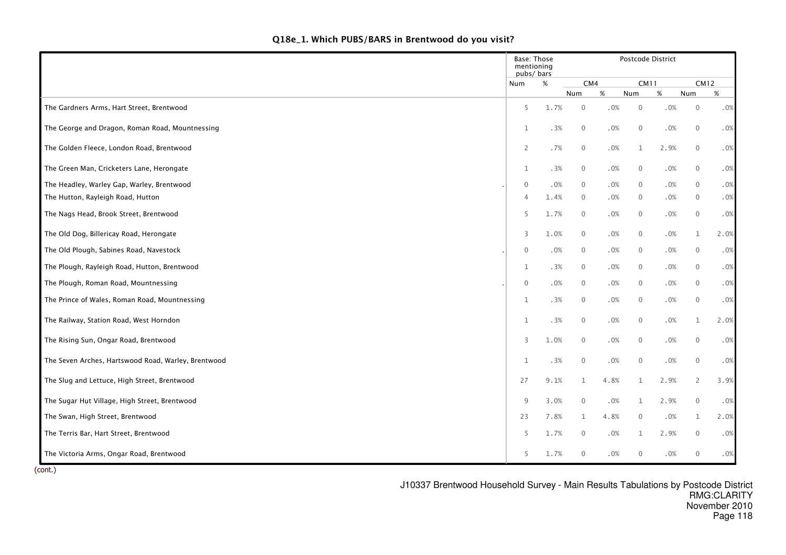|  | Q18e_1. Which PUBS/BARS in Brentwood do you visit? |  |  |
|--|----------------------------------------------------|--|--|
|--|----------------------------------------------------|--|--|

|                                                     | Base: Those<br>mentioning<br>pubs/bars |        |                |      |                | Postcode District |                |      |
|-----------------------------------------------------|----------------------------------------|--------|----------------|------|----------------|-------------------|----------------|------|
|                                                     | Num                                    | $\%$   | CM4            |      | <b>CM11</b>    |                   | <b>CM12</b>    |      |
|                                                     |                                        |        | Num            | $\%$ | Num            | $\%$              | Num            | %    |
| The Gardners Arms, Hart Street, Brentwood           | 5                                      | 1.7%   | $\overline{0}$ | .0%  | $\mathbf{0}$   | .0%               | $\mathbf 0$    | .0%  |
| The George and Dragon, Roman Road, Mountnessing     | $\mathbf 1$                            | .3%    | $\overline{0}$ | .0%  | $\mathbf 0$    | .0%               | $\mathbf 0$    | .0%  |
| The Golden Fleece, London Road, Brentwood           | $\overline{2}$                         | .7%    | $\mathbf 0$    | .0%  | $\mathbf{1}$   | 2.9%              | $\mathbf 0$    | .0%  |
| The Green Man, Cricketers Lane, Herongate           | $\mathbf{1}$                           | .3%    | $\mathbf 0$    | .0%  | $\mathbf 0$    | .0%               | $\overline{0}$ | .0%  |
| The Headley, Warley Gap, Warley, Brentwood          | $\mathbf{0}$                           | .0%    | $\overline{0}$ | .0%  | $\overline{0}$ | .0%               | $\overline{0}$ | .0%  |
| The Hutton, Rayleigh Road, Hutton                   | $\overline{4}$                         | 1.4%   | $\overline{0}$ | .0%  | $\overline{0}$ | .0%               | $\overline{0}$ | .0%  |
| The Nags Head, Brook Street, Brentwood              | 5                                      | 1.7%   | $\overline{0}$ | .0%  | $\mathbf 0$    | .0%               | $\overline{0}$ | .0%  |
| The Old Dog, Billericay Road, Herongate             | 3                                      | 1.0%   | $\overline{0}$ | .0%  | $\mathbf 0$    | .0%               | $\mathbf{1}$   | 2.0% |
| The Old Plough, Sabines Road, Navestock             | $\mathbf 0$                            | .0%    | $\overline{0}$ | .0%  | $\mathbf 0$    | .0%               | $\overline{0}$ | .0%  |
| The Plough, Rayleigh Road, Hutton, Brentwood        | $\mathbf{1}$                           | .3%    | $\overline{0}$ | .0%  | $\overline{0}$ | .0%               | $\overline{0}$ | .0%  |
| The Plough, Roman Road, Mountnessing                | $\mathbf 0$                            | $.0\%$ | $\overline{0}$ | .0%  | $\mathbf 0$    | .0%               | $\mathbf 0$    | .0%  |
| The Prince of Wales, Roman Road, Mountnessing       | $\mathbf{1}$                           | .3%    | $\overline{0}$ | .0%  | $\mathbf 0$    | .0%               | $\overline{0}$ | .0%  |
| The Railway, Station Road, West Horndon             | $\mathbf{1}$                           | .3%    | $\mathbf 0$    | .0%  | $\mathbf 0$    | .0%               | $\mathbf{1}$   | 2.0% |
| The Rising Sun, Ongar Road, Brentwood               | $\overline{3}$                         | 1.0%   | $\mathbf 0$    | .0%  | $\mathbf 0$    | .0%               | $\mathbf 0$    | .0%  |
| The Seven Arches, Hartswood Road, Warley, Brentwood | $\mathbf 1$                            | .3%    | $\mathbf 0$    | .0%  | $\overline{0}$ | .0%               | $\overline{0}$ | .0%  |
| The Slug and Lettuce, High Street, Brentwood        | 27                                     | 9.1%   | $\mathbf{1}$   | 4.8% | $\mathbf{1}$   | 2.9%              | $\overline{2}$ | 3.9% |
| The Sugar Hut Village, High Street, Brentwood       | 9                                      | 3.0%   | $\mathbf 0$    | .0%  | $\mathbf{1}$   | 2.9%              | $\overline{0}$ | .0%  |
| The Swan, High Street, Brentwood                    | 23                                     | 7.8%   | $\mathbf{1}$   | 4.8% | $\mathbf 0$    | .0%               | $\mathbf{1}$   | 2.0% |
| The Terris Bar, Hart Street, Brentwood              | 5                                      | 1.7%   | $\overline{0}$ | .0%  | $\mathbf{1}$   | 2.9%              | $\mathbf 0$    | .0%  |
| The Victoria Arms, Ongar Road, Brentwood            | 5                                      | 1.7%   | $\mathbf 0$    | .0%  | $\mathbf 0$    | .0%               | $\mathbf 0$    | .0%  |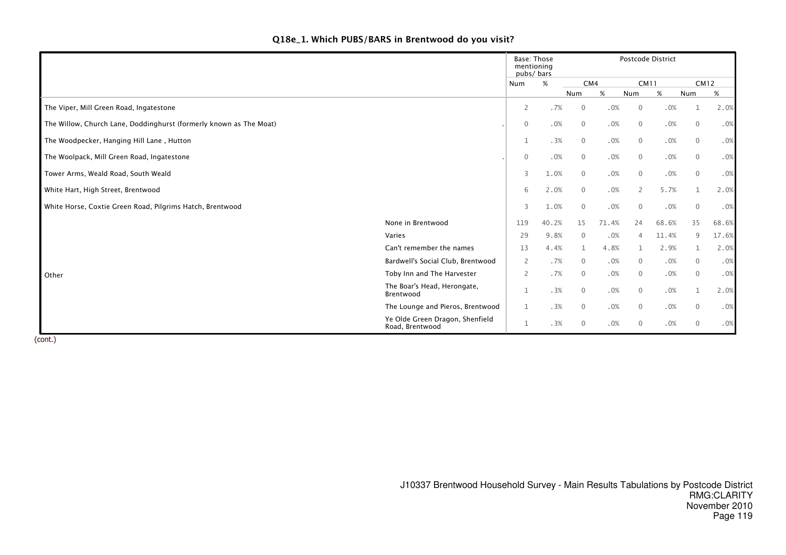# Q18e\_1. Which PUBS/BARS in Brentwood do you visit?

|                                                                    |                                                    | Base: Those<br>mentioning<br>pubs/bars |       |                | Postcode District |                |       |              |       |  |  |  |  |
|--------------------------------------------------------------------|----------------------------------------------------|----------------------------------------|-------|----------------|-------------------|----------------|-------|--------------|-------|--|--|--|--|
|                                                                    |                                                    | Num                                    | $\%$  | CM4            |                   | <b>CM11</b>    |       | <b>CM12</b>  |       |  |  |  |  |
|                                                                    |                                                    |                                        |       | Num            | $\%$              | Num            | %     | Num          | %     |  |  |  |  |
| The Viper, Mill Green Road, Ingatestone                            |                                                    | $\overline{2}$                         | .7%   | $\mathbf 0$    | .0%               | $\mathbf 0$    | .0%   |              | 2.0%  |  |  |  |  |
| The Willow, Church Lane, Doddinghurst (formerly known as The Moat) |                                                    | $\mathbf 0$                            | .0%   | $\overline{0}$ | .0%               | $\overline{0}$ | .0%   | $\mathbf{0}$ | .0%   |  |  |  |  |
| The Woodpecker, Hanging Hill Lane, Hutton                          |                                                    | $\mathbf{1}$                           | .3%   | $\mathbf 0$    | .0%               | $\overline{0}$ | .0%   | $\mathbf{0}$ | .0%   |  |  |  |  |
| The Woolpack, Mill Green Road, Ingatestone                         |                                                    | $\mathbf 0$                            | .0%   | $\overline{0}$ | .0%               | $\mathbf 0$    | .0%   | $\mathbf 0$  | .0%   |  |  |  |  |
| Tower Arms, Weald Road, South Weald                                |                                                    | 3                                      | 1.0%  | $\overline{0}$ | .0%               | $\mathbf{0}$   | .0%   | $\mathbf{0}$ | .0%   |  |  |  |  |
| White Hart, High Street, Brentwood                                 |                                                    | 6                                      | 2.0%  | $\mathbf{0}$   | .0%               | 2              | 5.7%  | $\mathbf{1}$ | 2.0%  |  |  |  |  |
| White Horse, Coxtie Green Road, Pilgrims Hatch, Brentwood          |                                                    | 3                                      | 1.0%  | $\mathbf 0$    | .0%               | $\mathbf 0$    | .0%   | $\mathbf 0$  | .0%   |  |  |  |  |
|                                                                    | None in Brentwood                                  | 119                                    | 40.2% | 15             | 71.4%             | 24             | 68.6% | 35           | 68.6% |  |  |  |  |
|                                                                    | Varies                                             | 29                                     | 9.8%  | $\mathbf 0$    | .0%               | $\overline{4}$ | 11.4% | 9            | 17.6% |  |  |  |  |
|                                                                    | Can't remember the names                           | 13                                     | 4.4%  | $\mathbf{1}$   | 4.8%              | 1              | 2.9%  | $\mathbf{1}$ | 2.0%  |  |  |  |  |
|                                                                    | Bardwell's Social Club, Brentwood                  | 2                                      | .7%   | $\overline{0}$ | .0%               | $\overline{0}$ | .0%   | $\mathbf{0}$ | .0%   |  |  |  |  |
| Other                                                              | Toby Inn and The Harvester                         | $\overline{2}$                         | .7%   | $\mathbf 0$    | .0%               | $\mathbf 0$    | .0%   | $\mathbf{0}$ | .0%   |  |  |  |  |
|                                                                    | The Boar's Head, Herongate,<br>Brentwood           | $\mathbf 1$                            | .3%   | $\mathbf 0$    | .0%               | $\mathbf 0$    | .0%   | 1            | 2.0%  |  |  |  |  |
|                                                                    | The Lounge and Pieros, Brentwood                   | $\mathbf{1}$                           | .3%   | $\overline{0}$ | .0%               | $\overline{0}$ | .0%   | $\mathbf{0}$ | .0%   |  |  |  |  |
|                                                                    | Ye Olde Green Dragon, Shenfield<br>Road, Brentwood | 1                                      | .3%   | $\mathbf 0$    | .0%               | $\overline{0}$ | .0%   | $\mathbf{0}$ | .0%   |  |  |  |  |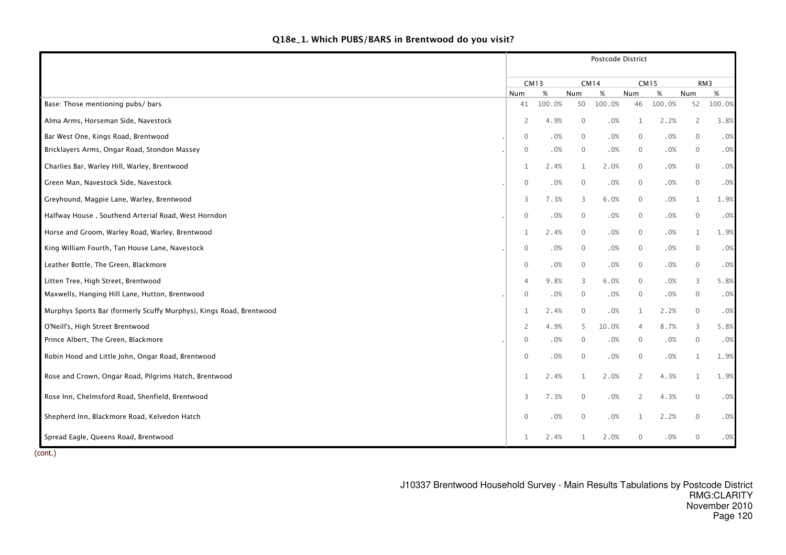| Q18e_1. Which PUBS/BARS in Brentwood do you visit? |  |  |  |  |
|----------------------------------------------------|--|--|--|--|
|----------------------------------------------------|--|--|--|--|

|                                                                     | Postcode District |             |                |             |                |             |                |        |  |  |
|---------------------------------------------------------------------|-------------------|-------------|----------------|-------------|----------------|-------------|----------------|--------|--|--|
|                                                                     |                   | <b>CM13</b> |                | <b>CM14</b> |                | <b>CM15</b> |                | RM3    |  |  |
|                                                                     | Num               | %           | Num            | %           | Num            | %           | Num            | $\%$   |  |  |
| Base: Those mentioning pubs/ bars                                   | 41                | 100.0%      | 50             | 100.0%      | 46             | 100.0%      | 52             | 100.0% |  |  |
| Alma Arms, Horseman Side, Navestock                                 | 2                 | 4.9%        | $\overline{0}$ | .0%         | 1              | 2.2%        | $\overline{2}$ | 3.8%   |  |  |
| Bar West One, Kings Road, Brentwood                                 | $\mathbf 0$       | .0%         | $\overline{0}$ | .0%         | $\mathbf 0$    | .0%         | $\mathbf 0$    | .0%    |  |  |
| Bricklayers Arms, Ongar Road, Stondon Massey                        | $\mathbf{0}$      | .0%         | $\overline{0}$ | .0%         | $\mathbf 0$    | .0%         | $\overline{0}$ | .0%    |  |  |
| Charlies Bar, Warley Hill, Warley, Brentwood                        | $\mathbf{1}$      | 2.4%        | $\mathbf{1}$   | 2.0%        | $\mathbf{0}$   | .0%         | $\mathbf 0$    | .0%    |  |  |
| Green Man, Navestock Side, Navestock                                | $\mathbf 0$       | .0%         | $\overline{0}$ | .0%         | $\overline{0}$ | .0%         | $\overline{0}$ | .0%    |  |  |
| Greyhound, Magpie Lane, Warley, Brentwood                           | 3                 | 7.3%        | 3              | 6.0%        | $\mathbf 0$    | .0%         | $\mathbf{1}$   | 1.9%   |  |  |
| Halfway House, Southend Arterial Road, West Horndon                 | $\mathbf 0$       | .0%         | $\overline{0}$ | .0%         | $\mathbf 0$    | .0%         | $\mathbf 0$    | .0%    |  |  |
| Horse and Groom, Warley Road, Warley, Brentwood                     | 1                 | 2.4%        | $\overline{0}$ | $.0\%$      | $\mathbf 0$    | .0%         | $\mathbf{1}$   | 1.9%   |  |  |
| King William Fourth, Tan House Lane, Navestock                      | $\mathbf{0}$      | .0%         | $\overline{0}$ | .0%         | $\mathbf 0$    | .0%         | $\mathbf 0$    | .0%    |  |  |
| Leather Bottle, The Green, Blackmore                                | $\mathbf 0$       | .0%         | $\overline{0}$ | .0%         | $\mathbf 0$    | .0%         | $\mathbf 0$    | .0%    |  |  |
| Litten Tree, High Street, Brentwood                                 | $\overline{4}$    | 9.8%        | 3              | 6.0%        | $\mathbf{0}$   | .0%         | 3              | 5.8%   |  |  |
| Maxwells, Hanging Hill Lane, Hutton, Brentwood                      | $\mathbf 0$       | .0%         | $\overline{0}$ | .0%         | $\mathbf 0$    | .0%         | $\overline{0}$ | .0%    |  |  |
| Murphys Sports Bar (formerly Scuffy Murphys), Kings Road, Brentwood | $\mathbf{1}$      | 2.4%        | $\mathbf 0$    | .0%         | $\mathbf{1}$   | 2.2%        | $\mathbf 0$    | .0%    |  |  |
| O'Neill's, High Street Brentwood                                    | $\overline{2}$    | 4.9%        | 5              | 10.0%       | $\overline{4}$ | 8.7%        | 3              | 5.8%   |  |  |
| Prince Albert, The Green, Blackmore                                 | $\mathbf 0$       | .0%         | $\overline{0}$ | .0%         | $\mathbf 0$    | .0%         | $\mathbf 0$    | .0%    |  |  |
| Robin Hood and Little John, Ongar Road, Brentwood                   | $\mathbf 0$       | .0%         | $\overline{0}$ | .0%         | $\mathbf 0$    | .0%         | $\mathbf{1}$   | 1.9%   |  |  |
| Rose and Crown, Ongar Road, Pilgrims Hatch, Brentwood               | 1                 | 2.4%        | $\mathbf{1}$   | 2.0%        | $\overline{2}$ | 4.3%        | $\mathbf{1}$   | 1.9%   |  |  |
| Rose Inn, Chelmsford Road, Shenfield, Brentwood                     | 3                 | 7.3%        | $\mathbf 0$    | .0%         | $\overline{2}$ | 4.3%        | $\mathbf 0$    | .0%    |  |  |
| Shepherd Inn, Blackmore Road, Kelvedon Hatch                        | $\mathbf 0$       | .0%         | $\mathbf 0$    | .0%         | 1              | 2.2%        | $\mathbf 0$    | .0%    |  |  |
| Spread Eagle, Queens Road, Brentwood                                | 1                 | 2.4%        | 1              | 2.0%        | $\mathbf{0}$   | .0%         | $\mathbf{0}$   | .0%    |  |  |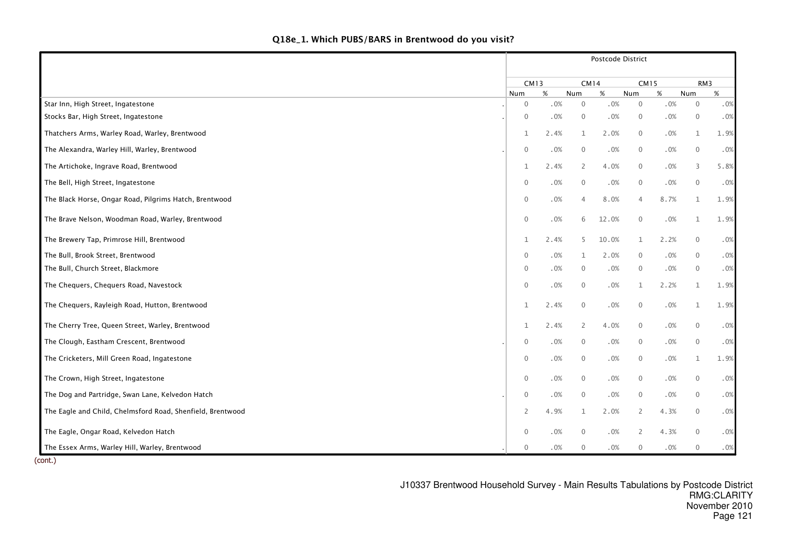|  | Q18e_1. Which PUBS/BARS in Brentwood do you visit? |  |  |  |
|--|----------------------------------------------------|--|--|--|
|--|----------------------------------------------------|--|--|--|

|                                                            | Postcode District   |      |                |       |                |        |                |        |  |  |  |
|------------------------------------------------------------|---------------------|------|----------------|-------|----------------|--------|----------------|--------|--|--|--|
|                                                            | <b>CM13</b>         |      | <b>CM14</b>    |       | <b>CM15</b>    |        | RM3            |        |  |  |  |
|                                                            | Num                 | %    | Num            | %     | Num            | %      | Num            | $\%$   |  |  |  |
| Star Inn, High Street, Ingatestone                         | $\mathbf 0$         | .0%  | $\mathbf 0$    | .0%   | $\mathbf 0$    | .0%    | $\mathbf 0$    | .0%    |  |  |  |
| Stocks Bar, High Street, Ingatestone                       | $\overline{0}$      | .0%  | $\overline{0}$ | .0%   | $\overline{0}$ | .0%    | $\overline{0}$ | .0%    |  |  |  |
| Thatchers Arms, Warley Road, Warley, Brentwood             | $\mathbf{1}$        | 2.4% | $\mathbf{1}$   | 2.0%  | $\mathbf 0$    | $.0\%$ | $\mathbf{1}$   | 1.9%   |  |  |  |
| The Alexandra, Warley Hill, Warley, Brentwood              | $\mathbf 0$         | .0%  | $\mathbf 0$    | .0%   | $\mathbf 0$    | .0%    | $\overline{0}$ | .0%    |  |  |  |
| The Artichoke, Ingrave Road, Brentwood                     | $\mathbf{1}$        | 2.4% | $\overline{2}$ | 4.0%  | $\overline{0}$ | .0%    | 3              | 5.8%   |  |  |  |
| The Bell, High Street, Ingatestone                         | $\overline{0}$      | .0%  | $\mathbf 0$    | .0%   | $\mathbf 0$    | .0%    | $\overline{0}$ | .0%    |  |  |  |
| The Black Horse, Ongar Road, Pilgrims Hatch, Brentwood     | $\overline{0}$      | .0%  | $\overline{4}$ | 8.0%  | $\overline{4}$ | 8.7%   | $\mathbf{1}$   | 1.9%   |  |  |  |
| The Brave Nelson, Woodman Road, Warley, Brentwood          | $\mathsf{O}\xspace$ | .0%  | 6              | 12.0% | $\mathbf 0$    | $.0\%$ | 1              | 1.9%   |  |  |  |
| The Brewery Tap, Primrose Hill, Brentwood                  | $\mathbf{1}$        | 2.4% | 5              | 10.0% | $\mathbf{1}$   | 2.2%   | $\overline{0}$ | .0%    |  |  |  |
| The Bull, Brook Street, Brentwood                          | $\overline{0}$      | .0%  | $\mathbf{1}$   | 2.0%  | $\mathbf{0}$   | .0%    | $\mathbf 0$    | .0%    |  |  |  |
| The Bull, Church Street, Blackmore                         | $\mathbf 0$         | .0%  | $\overline{0}$ | .0%   | $\mathbf 0$    | .0%    | $\overline{0}$ | .0%    |  |  |  |
| The Chequers, Chequers Road, Navestock                     | $\mathbf 0$         | .0%  | $\overline{0}$ | .0%   | $\mathbf{1}$   | 2.2%   | 1              | 1.9%   |  |  |  |
| The Chequers, Rayleigh Road, Hutton, Brentwood             | $\mathbf{1}$        | 2.4% | $\overline{0}$ | .0%   | $\mathbf 0$    | .0%    | $\mathbf 1$    | 1.9%   |  |  |  |
| The Cherry Tree, Queen Street, Warley, Brentwood           | $\mathbf{1}$        | 2.4% | $\overline{2}$ | 4.0%  | $\mathbf{0}$   | .0%    | $\mathbf 0$    | .0%    |  |  |  |
| The Clough, Eastham Crescent, Brentwood                    | $\overline{0}$      | .0%  | $\mathbf 0$    | .0%   | $\overline{0}$ | .0%    | $\mathbf 0$    | .0%    |  |  |  |
| The Cricketers, Mill Green Road, Ingatestone               | $\overline{0}$      | .0%  | $\overline{0}$ | .0%   | $\mathbf 0$    | .0%    | $\mathbf{1}$   | 1.9%   |  |  |  |
| The Crown, High Street, Ingatestone                        | $\mathbf 0$         | .0%  | $\overline{0}$ | .0%   | $\overline{0}$ | .0%    | $\mathbf 0$    | .0%    |  |  |  |
| The Dog and Partridge, Swan Lane, Kelvedon Hatch           | $\mathbf 0$         | .0%  | $\mathbf 0$    | .0%   | $\mathbf 0$    | .0%    | $\mathbf 0$    | .0%    |  |  |  |
| The Eagle and Child, Chelmsford Road, Shenfield, Brentwood | $\overline{2}$      | 4.9% | $\mathbf{1}$   | 2.0%  | 2              | 4.3%   | $\mathbf{0}$   | .0%    |  |  |  |
| The Eagle, Ongar Road, Kelvedon Hatch                      | $\mathbb O$         | .0%  | $\overline{0}$ | .0%   | 2              | 4.3%   | $\mathbf 0$    | $.0\%$ |  |  |  |
| The Essex Arms, Warley Hill, Warley, Brentwood             | $\mathbf 0$         | .0%  | $\mathbf 0$    | .0%   | $\mathbf 0$    | .0%    | 0              | .0%    |  |  |  |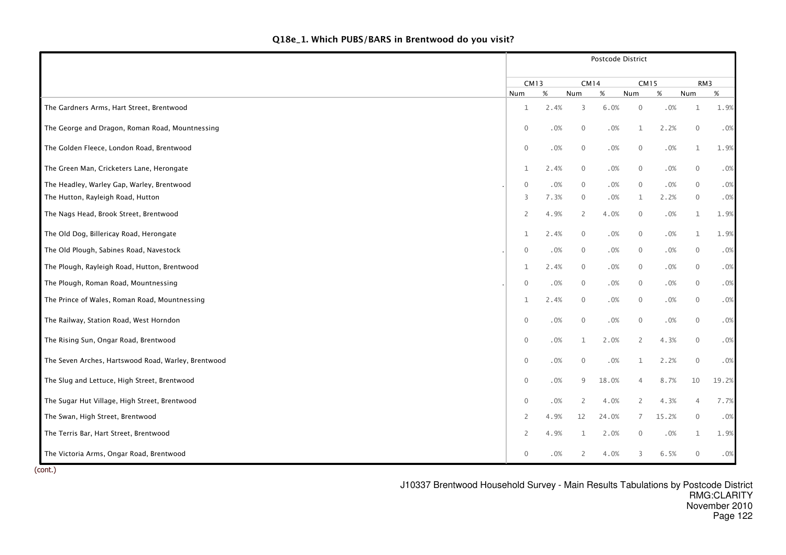|                                                     | Postcode District |        |                |        |              |       |                |        |  |  |  |  |
|-----------------------------------------------------|-------------------|--------|----------------|--------|--------------|-------|----------------|--------|--|--|--|--|
|                                                     | <b>CM13</b>       |        | <b>CM14</b>    |        | <b>CM15</b>  |       | RM3            |        |  |  |  |  |
|                                                     | Num               | $\%$   | Num            | %      | Num          | %     | Num            | %      |  |  |  |  |
| The Gardners Arms, Hart Street, Brentwood           | 1                 | 2.4%   | 3              | 6.0%   | $\mathbf 0$  | .0%   | $\mathbf 1$    | 1.9%   |  |  |  |  |
| The George and Dragon, Roman Road, Mountnessing     | $\mathbf 0$       | .0%    | $\overline{0}$ | .0%    | 1            | 2.2%  | $\mathbf 0$    | .0%    |  |  |  |  |
| The Golden Fleece, London Road, Brentwood           | $\mathbf 0$       | .0%    | $\overline{0}$ | .0%    | $\mathbf 0$  | .0%   | $\mathbf{1}$   | 1.9%   |  |  |  |  |
| The Green Man, Cricketers Lane, Herongate           | $\mathbf{1}$      | 2.4%   | $\overline{0}$ | .0%    | $\mathbf 0$  | .0%   | $\overline{0}$ | .0%    |  |  |  |  |
| The Headley, Warley Gap, Warley, Brentwood          | $\mathbf 0$       | .0%    | $\overline{0}$ | .0%    | $\mathbf 0$  | .0%   | $\overline{0}$ | .0%    |  |  |  |  |
| The Hutton, Rayleigh Road, Hutton                   | 3                 | 7.3%   | $\overline{0}$ | .0%    | $\mathbf{1}$ | 2.2%  | $\overline{0}$ | .0%    |  |  |  |  |
| The Nags Head, Brook Street, Brentwood              | $\overline{2}$    | 4.9%   | $\overline{2}$ | 4.0%   | $\mathbf 0$  | .0%   | $\mathbf{1}$   | 1.9%   |  |  |  |  |
| The Old Dog, Billericay Road, Herongate             | $\mathbf{1}$      | 2.4%   | $\mathbf 0$    | .0%    | $\mathbf 0$  | .0%   | $\mathbf{1}$   | 1.9%   |  |  |  |  |
| The Old Plough, Sabines Road, Navestock             | $\mathbf{0}$      | .0%    | $\overline{0}$ | .0%    | $\mathbf 0$  | .0%   | $\mathbf 0$    | .0%    |  |  |  |  |
| The Plough, Rayleigh Road, Hutton, Brentwood        | $\mathbf 1$       | 2.4%   | $\overline{0}$ | .0%    | $\mathbf 0$  | .0%   | $\overline{0}$ | .0%    |  |  |  |  |
| The Plough, Roman Road, Mountnessing                | $\mathbf 0$       | .0%    | $\overline{0}$ | .0%    | $\mathbf 0$  | .0%   | $\mathbf 0$    | .0%    |  |  |  |  |
| The Prince of Wales, Roman Road, Mountnessing       | $\mathbf 1$       | 2.4%   | $\overline{0}$ | .0%    | $\mathbf 0$  | .0%   | $\overline{0}$ | .0%    |  |  |  |  |
| The Railway, Station Road, West Horndon             | $\mathbf 0$       | $.0\%$ | $\mathbf 0$    | .0%    | $\mathbf 0$  | .0%   | $\mathbf 0$    | $.0\%$ |  |  |  |  |
| The Rising Sun, Ongar Road, Brentwood               | $\mathbf 0$       | .0%    | $\mathbf{1}$   | 2.0%   | 2            | 4.3%  | $\overline{0}$ | .0%    |  |  |  |  |
| The Seven Arches, Hartswood Road, Warley, Brentwood | $\mathbf 0$       | $.0\%$ | $\overline{0}$ | $.0\%$ | $\mathbf{1}$ | 2.2%  | $\mathbf 0$    | .0%    |  |  |  |  |
| The Slug and Lettuce, High Street, Brentwood        | $\mathbf 0$       | $.0\%$ | 9              | 18.0%  | 4            | 8.7%  | 10             | 19.2%  |  |  |  |  |
| The Sugar Hut Village, High Street, Brentwood       | $\mathbf 0$       | .0%    | 2              | 4.0%   | 2            | 4.3%  | 4              | 7.7%   |  |  |  |  |
| The Swan, High Street, Brentwood                    | 2                 | 4.9%   | 12             | 24.0%  | 7            | 15.2% | $\mathbf 0$    | .0%    |  |  |  |  |
| The Terris Bar, Hart Street, Brentwood              | $\overline{2}$    | 4.9%   | 1              | 2.0%   | $\mathbf 0$  | .0%   | $\mathbf{1}$   | 1.9%   |  |  |  |  |
| The Victoria Arms, Ongar Road, Brentwood            | $\mathbf{0}$      | $.0\%$ | 2              | 4.0%   | 3            | 6.5%  | $\mathbf 0$    | .0%    |  |  |  |  |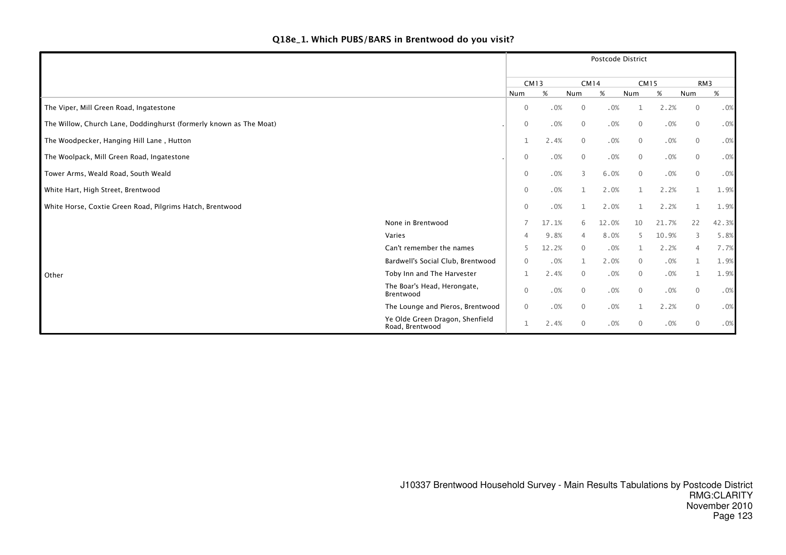|                                                                    |                                                    | Postcode District |       |                |       |                |       |                 |       |  |
|--------------------------------------------------------------------|----------------------------------------------------|-------------------|-------|----------------|-------|----------------|-------|-----------------|-------|--|
|                                                                    |                                                    | <b>CM13</b>       |       | CM14           |       | <b>CM15</b>    |       | RM <sub>3</sub> |       |  |
|                                                                    |                                                    | Num               | %     | <b>Num</b>     | $\%$  | Num            | %     | Num             | %     |  |
| The Viper, Mill Green Road, Ingatestone                            |                                                    | $\mathbf 0$       | .0%   | $\mathbf{0}$   | .0%   |                | 2.2%  | $\overline{0}$  | .0%   |  |
| The Willow, Church Lane, Doddinghurst (formerly known as The Moat) |                                                    | $\mathbf 0$       | .0%   | $\mathbf 0$    | .0%   | $\overline{0}$ | .0%   | $\mathbf{0}$    | .0%   |  |
| The Woodpecker, Hanging Hill Lane, Hutton                          |                                                    | $\mathbf{1}$      | 2.4%  | $\overline{0}$ | .0%   | $\overline{0}$ | .0%   | $\mathbf{0}$    | .0%   |  |
| The Woolpack, Mill Green Road, Ingatestone                         |                                                    | $\mathbf 0$       | .0%   | $\overline{0}$ | .0%   | $\mathbf 0$    | .0%   | $\mathbf 0$     | .0%   |  |
| Tower Arms, Weald Road, South Weald                                |                                                    | $\mathbf 0$       | .0%   | 3              | 6.0%  | $\mathbf{0}$   | .0%   | $\mathbf{0}$    | .0%   |  |
| White Hart, High Street, Brentwood                                 |                                                    | $\mathbf 0$       | .0%   | $\mathbf{1}$   | 2.0%  |                | 2.2%  |                 | 1.9%  |  |
| White Horse, Coxtie Green Road, Pilgrims Hatch, Brentwood          |                                                    | $\mathbf 0$       | .0%   |                | 2.0%  |                | 2.2%  |                 | 1.9%  |  |
|                                                                    | None in Brentwood                                  |                   | 17.1% | 6              | 12.0% | 10             | 21.7% | 22              | 42.3% |  |
|                                                                    | Varies                                             | 4                 | 9.8%  | $\overline{4}$ | 8.0%  | 5              | 10.9% | 3               | 5.8%  |  |
|                                                                    | Can't remember the names                           | 5                 | 12.2% | $\mathbf{0}$   | .0%   | 1              | 2.2%  | $\overline{4}$  | 7.7%  |  |
|                                                                    | Bardwell's Social Club, Brentwood                  | $\mathbf{0}$      | .0%   | 1              | 2.0%  | $\overline{0}$ | .0%   |                 | 1.9%  |  |
| Other                                                              | Toby Inn and The Harvester                         | 1                 | 2.4%  | $\mathbf 0$    | .0%   | $\overline{0}$ | .0%   |                 | 1.9%  |  |
|                                                                    | The Boar's Head, Herongate,<br>Brentwood           | $\mathbf{0}$      | .0%   | $\mathbf{0}$   | .0%   | $\overline{0}$ | .0%   | $\mathbf{0}$    | .0%   |  |
|                                                                    | The Lounge and Pieros, Brentwood                   | $\mathbf{0}$      | .0%   | $\mathbf{0}$   | .0%   | 1              | 2.2%  | $\mathbf{0}$    | .0%   |  |
|                                                                    | Ye Olde Green Dragon, Shenfield<br>Road, Brentwood | 1                 | 2.4%  | $\mathbf 0$    | .0%   | $\overline{0}$ | .0%   | $\mathbf{0}$    | .0%   |  |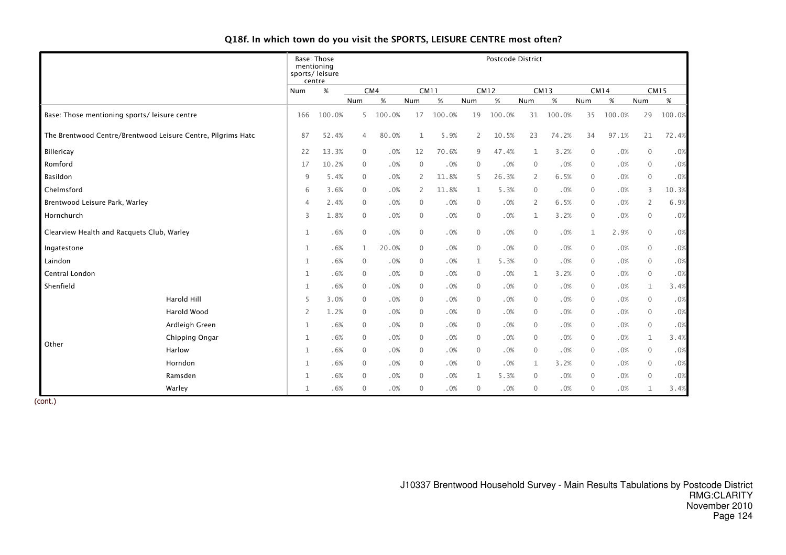# Q18f. In which town do you visit the SPORTS, LEISURE CENTRE most often?

|                                               |                                                              |                | Base: Those<br>mentioning<br>sports/leisure<br>centre | Postcode District |        |                |             |                |             |                |             |              |             |                |             |
|-----------------------------------------------|--------------------------------------------------------------|----------------|-------------------------------------------------------|-------------------|--------|----------------|-------------|----------------|-------------|----------------|-------------|--------------|-------------|----------------|-------------|
|                                               |                                                              | Num            | $\%$                                                  |                   | CM4    |                | <b>CM11</b> |                | <b>CM12</b> |                | <b>CM13</b> |              | <b>CM14</b> |                | <b>CM15</b> |
|                                               |                                                              |                |                                                       | Num               | %      | Num            | $\%$        | Num            | $\%$        | Num            | $\%$        | Num          | $\%$        | Num            | $\%$        |
| Base: Those mentioning sports/ leisure centre |                                                              | 166            | 100.0%                                                | 5                 | 100.0% | 17             | 100.0%      | 19             | 100.0%      | 31             | 100.0%      | 35           | 100.0%      | 29             | 100.0%      |
|                                               | The Brentwood Centre/Brentwood Leisure Centre, Pilgrims Hatc | 87             | 52.4%                                                 | $\overline{4}$    | 80.0%  | $\mathbf{1}$   | 5.9%        | $\overline{2}$ | 10.5%       | 23             | 74.2%       | 34           | 97.1%       | 21             | 72.4%       |
| Billericay                                    |                                                              | 22             | 13.3%                                                 | $\mathbf{0}$      | .0%    | 12             | 70.6%       | 9              | 47.4%       | $\mathbf{1}$   | 3.2%        | $\mathbf{0}$ | .0%         | $\mathbf 0$    | .0%         |
| Romford                                       |                                                              | 17             | 10.2%                                                 | $\mathbf{0}$      | .0%    | $\overline{0}$ | .0%         | $\mathbf{0}$   | .0%         | $\overline{0}$ | .0%         | $\mathbf{0}$ | .0%         | $\mathbf 0$    | .0%         |
| Basildon                                      |                                                              | 9              | 5.4%                                                  | $\mathbf{0}$      | .0%    | 2              | 11.8%       | 5              | 26.3%       | $\mathbf{2}$   | 6.5%        | $\mathbf{0}$ | .0%         | $\mathbf 0$    | .0%         |
| Chelmsford                                    |                                                              | 6              | 3.6%                                                  | $\mathbf{0}$      | .0%    | $\overline{2}$ | 11.8%       | 1              | 5.3%        | $\overline{0}$ | .0%         | $\mathbf{0}$ | .0%         | 3              | 10.3%       |
| Brentwood Leisure Park, Warley                |                                                              | $\overline{4}$ | 2.4%                                                  | $\mathbf{0}$      | .0%    | $\mathbf 0$    | .0%         | $\mathbf{0}$   | .0%         | 2              | 6.5%        | $\mathbf{0}$ | .0%         | $\overline{2}$ | 6.9%        |
| Hornchurch                                    |                                                              | 3              | 1.8%                                                  | $\mathbf{0}$      | .0%    | $\mathbf 0$    | .0%         | $\mathbf{0}$   | .0%         | 1              | 3.2%        | $\mathbf{0}$ | .0%         | $\mathbf 0$    | .0%         |
| Clearview Health and Racquets Club, Warley    |                                                              | 1              | .6%                                                   | $\mathbf{0}$      | .0%    | $\mathbf 0$    | .0%         | $\mathbf 0$    | .0%         | $\mathbf{0}$   | .0%         | $\mathbf{1}$ | 2.9%        | $\mathbf 0$    | .0%         |
| Ingatestone                                   |                                                              | 1              | .6%                                                   | $\mathbf 1$       | 20.0%  | $\mathbf 0$    | .0%         | $\mathbf 0$    | .0%         | $\overline{0}$ | .0%         | $\mathbf 0$  | .0%         | $\mathbf 0$    | .0%         |
| Laindon                                       |                                                              | $\mathbf{1}$   | .6%                                                   | $\mathbf{0}$      | .0%    | $\mathbf{0}$   | .0%         | $\mathbf{1}$   | 5.3%        | $\Omega$       | .0%         | $\mathbf{0}$ | .0%         | $\mathbf 0$    | .0%         |
| Central London                                |                                                              | 1              | .6%                                                   | $\mathbf{0}$      | .0%    | $\overline{0}$ | .0%         | $\mathbf{0}$   | .0%         | 1              | 3.2%        | $\mathbf{0}$ | .0%         | $\mathbf{0}$   | .0%         |
| Shenfield                                     |                                                              | 1              | .6%                                                   | $\mathbf{0}$      | .0%    | $\mathbf 0$    | .0%         | $\mathbf{0}$   | .0%         | $\Omega$       | .0%         | $\mathbf{0}$ | .0%         | $\mathbf{1}$   | 3.4%        |
|                                               | Harold Hill                                                  | 5              | 3.0%                                                  | $\mathbf{0}$      | .0%    | $\overline{0}$ | .0%         | $\mathbf{0}$   | .0%         | $\Omega$       | .0%         | $\mathbf{0}$ | .0%         | $\mathbf{0}$   | .0%         |
|                                               | Harold Wood                                                  | 2              | 1.2%                                                  | $\mathbf{0}$      | .0%    | $\mathbf 0$    | .0%         | $\mathbf{0}$   | .0%         | $\Omega$       | $.0\%$      | $\mathbf{0}$ | .0%         | $\mathbf 0$    | .0%         |
|                                               | Ardleigh Green                                               | 1              | .6%                                                   | $\Omega$          | .0%    | $\mathbf 0$    | .0%         | $\mathbf{0}$   | .0%         | $\Omega$       | .0%         | $\mathbf{0}$ | .0%         | $\mathbf 0$    | .0%         |
|                                               | Chipping Ongar                                               | $\mathbf{1}$   | .6%                                                   | $\mathbf{0}$      | .0%    | $\mathbf 0$    | .0%         | $\mathbf 0$    | .0%         | $\Omega$       | .0%         | $\mathbf{0}$ | .0%         | $\mathbf 1$    | 3.4%        |
| Other                                         | Harlow                                                       | 1              | .6%                                                   | $\mathbf{0}$      | .0%    | $\mathbf 0$    | .0%         | $\mathbf{0}$   | .0%         | $\Omega$       | .0%         | $\mathbf{0}$ | .0%         | $\mathbf 0$    | .0%         |
|                                               | Horndon                                                      | 1              | .6%                                                   | $\mathbf{0}$      | .0%    | $\mathbf 0$    | .0%         | $\mathbf{0}$   | .0%         | 1              | 3.2%        | $\mathbf{0}$ | .0%         | $\mathbf 0$    | .0%         |
|                                               | Ramsden                                                      | 1              | .6%                                                   | $\mathbf{0}$      | .0%    | $\overline{0}$ | .0%         | $\mathbf{1}$   | 5.3%        | $\overline{0}$ | .0%         | $\mathbf{0}$ | .0%         | $\mathbf 0$    | .0%         |
|                                               | Warley                                                       | 1              | .6%                                                   | $\mathbf{0}$      | .0%    | $\overline{0}$ | .0%         | $\mathbf{0}$   | .0%         | 0              | .0%         | $\mathbf{0}$ | .0%         | 1              | 3.4%        |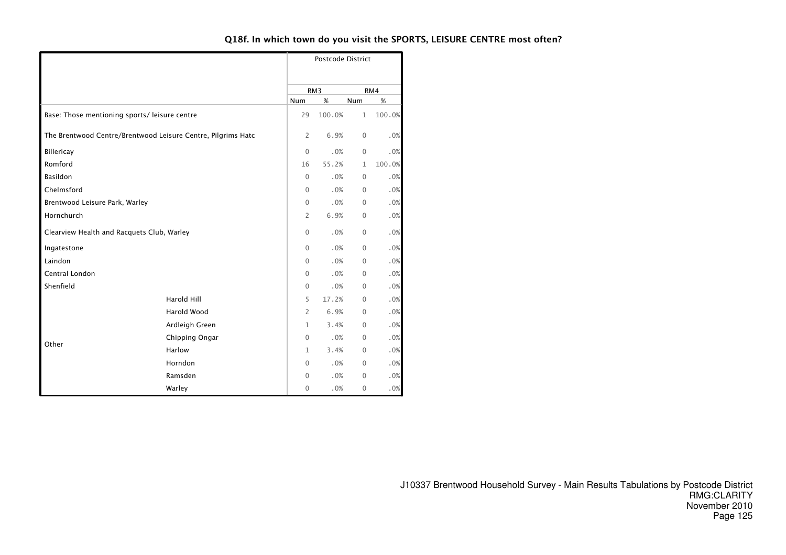# Q18f. In which town do you visit the SPORTS, LEISURE CENTRE most often?

|                                                              |                    |                | Postcode District |              |        |
|--------------------------------------------------------------|--------------------|----------------|-------------------|--------------|--------|
|                                                              |                    |                | RM <sub>3</sub>   |              | RM4    |
|                                                              |                    | Num            | %                 | %            |        |
| Base: Those mentioning sports/ leisure centre                |                    | 29             | 100.0%            | $\mathbf{1}$ | 100.0% |
| The Brentwood Centre/Brentwood Leisure Centre, Pilgrims Hatc |                    | $\overline{2}$ | 6.9%              | $\mathbf{0}$ | .0%    |
| Billericay                                                   |                    | $\mathbf 0$    | .0%               | $\mathbf{0}$ | .0%    |
| Romford                                                      |                    | 16             | 55.2%             | $\mathbf{1}$ | 100.0% |
| Basildon                                                     |                    | $\Omega$       | .0%               | $\mathbf{0}$ | .0%    |
| Chelmsford                                                   |                    | $\Omega$       | .0%               | $\mathbf{0}$ | .0%    |
| Brentwood Leisure Park, Warley                               |                    | $\mathbf 0$    | .0%               | $\mathbf 0$  | .0%    |
| Hornchurch                                                   | $\overline{2}$     | 6.9%           | $\mathbf 0$       | .0%          |        |
| Clearview Health and Racquets Club, Warley                   |                    | $\Omega$       | .0%               | $\mathbf{0}$ | .0%    |
| Ingatestone                                                  |                    | $\Omega$       | .0%               | $\mathbf{0}$ | .0%    |
| Laindon                                                      |                    | $\Omega$       | .0%               | 0            | .0%    |
| Central London                                               |                    | $\Omega$       | .0%               | $\mathbf{0}$ | .0%    |
| Shenfield                                                    |                    | $\mathbf{0}$   | .0%               | $\mathbf{0}$ | .0%    |
|                                                              | Harold Hill        | 5              | 17.2%             | $\mathbf{0}$ | .0%    |
|                                                              | <b>Harold Wood</b> | $\overline{2}$ | 6.9%              | 0            | .0%    |
|                                                              | Ardleigh Green     | $\mathbf{1}$   | 3.4%              | $\Omega$     | .0%    |
|                                                              | Chipping Ongar     | $\mathbf{0}$   | .0%               | $\mathbf{0}$ | .0%    |
| Other                                                        | Harlow             | $\mathbf{1}$   | 3.4%              | $\mathbf{0}$ | $.0\%$ |
|                                                              | Horndon            | 0              | .0%               | 0            | .0%    |
|                                                              | Ramsden            | 0              | .0%               | 0            | .0%    |
|                                                              | Warley             | $\mathbf 0$    | .0%               | $\mathbf 0$  | $.0\%$ |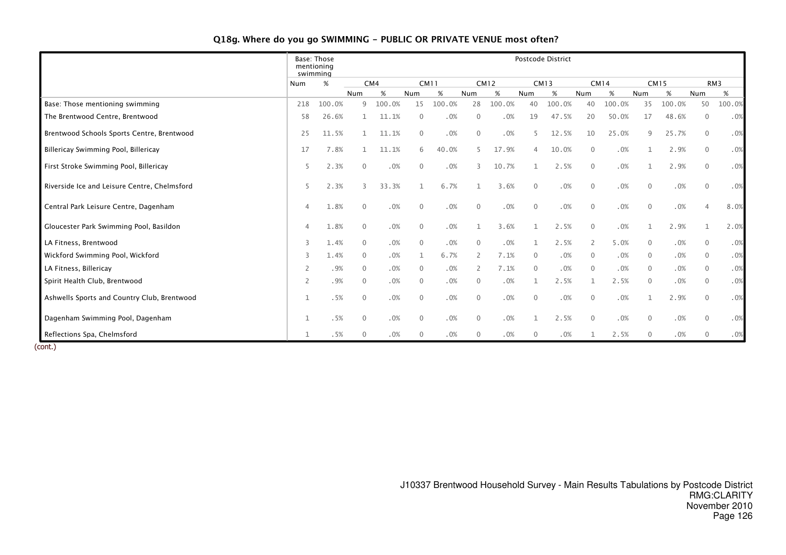# Q18g. Where do you go SWIMMING - PUBLIC OR PRIVATE VENUE most often?

|                                              |                | Base: Those<br>mentioning<br>swimming |                |        |              |             |              |             |                | Postcode District |                |             |                |             |                |        |
|----------------------------------------------|----------------|---------------------------------------|----------------|--------|--------------|-------------|--------------|-------------|----------------|-------------------|----------------|-------------|----------------|-------------|----------------|--------|
|                                              | Num            | %                                     |                | CM4    |              | <b>CM11</b> |              | <b>CM12</b> |                | <b>CM13</b>       |                | <b>CM14</b> |                | <b>CM15</b> |                | RM3    |
|                                              |                |                                       | Num            |        | Num          | %           | Num          | %           | Num            | %                 | Num            | $\%$        | Num            | $\%$        | Num            | $\%$   |
| Base: Those mentioning swimming              | 218            | 100.0%                                | $\mathsf{Q}$   | 100.0% | 15           | 100.0%      | 28           | 100.0%      | 40             | 100.0%            | 40             | 100.0%      | 35             | 100.0%      | 50             | 100.0% |
| The Brentwood Centre, Brentwood              | 58             | 26.6%                                 |                | 11.1%  | $\mathbf{0}$ | .0%         | $\Omega$     | .0%         | 19             | 47.5%             | 20             | 50.0%       | 17             | 48.6%       | $\mathbf{0}$   | .0%    |
| Brentwood Schools Sports Centre, Brentwood   | 25             | 11.5%                                 |                | 11.1%  | $\mathbf{0}$ | .0%         | $\mathbf{0}$ | .0%         |                | 12.5%             | 10             | 25.0%       | 9              | 25.7%       | $\mathbf{0}$   | .0%    |
| Billericay Swimming Pool, Billericay         | 17             | 7.8%                                  |                | 11.1%  | 6            | 40.0%       | 5            | 17.9%       | $\overline{4}$ | 10.0%             | $\overline{0}$ | .0%         |                | 2.9%        | $\mathbf 0$    | .0%    |
| First Stroke Swimming Pool, Billericay       | 5              | 2.3%                                  | $\mathbf{0}$   | .0%    | $\mathbf{0}$ | .0%         | 3            | 10.7%       | 1              | 2.5%              | $\mathbf 0$    | .0%         |                | 2.9%        | $\mathbf 0$    | .0%    |
| Riverside Ice and Leisure Centre, Chelmsford | 5              | 2.3%                                  | $\mathcal{E}$  | 33.3%  |              | 6.7%        |              | 3.6%        | $\mathbf{0}$   | .0%               | $\mathbf 0$    | .0%         | $\mathbf 0$    | .0%         | $\mathbf 0$    | .0%    |
| Central Park Leisure Centre, Dagenham        | $\overline{4}$ | 1.8%                                  | $\overline{0}$ | .0%    | $\mathbf{0}$ | .0%         | $\mathbf{0}$ | .0%         | $\mathbf{0}$   | .0%               | $\overline{0}$ | .0%         | $\mathbf{0}$   | .0%         | $\overline{4}$ | 8.0%   |
| Gloucester Park Swimming Pool, Basildon      |                | 1.8%                                  | $\overline{0}$ | .0%    | $\mathbf{0}$ | .0%         |              | 3.6%        |                | 2.5%              | $\overline{0}$ | .0%         |                | 2.9%        | 1              | 2.0%   |
| LA Fitness, Brentwood                        | 3              | 1.4%                                  | $\mathbf{0}$   | .0%    | $\mathbf{0}$ | .0%         | $\mathbf{0}$ | .0%         |                | 2.5%              | 2              | 5.0%        | $\overline{0}$ | .0%         | $\mathbf{0}$   | .0%    |
| Wickford Swimming Pool, Wickford             | 3              | 1.4%                                  | $\overline{0}$ | .0%    |              | 6.7%        | 2            | 7.1%        | $\mathbf{0}$   | .0%               | $\mathbf 0$    | .0%         | $\overline{0}$ | .0%         | $\overline{0}$ | .0%    |
| LA Fitness, Billericay                       | 2              | .9%                                   | $\mathbf 0$    | .0%    | $\mathbf{0}$ | .0%         | 2            | 7.1%        | $\mathbf{0}$   | .0%               | $\overline{0}$ | .0%         | $\mathbf{0}$   | .0%         | $\mathbf{0}$   | .0%    |
| Spirit Health Club, Brentwood                | 2              | .9%                                   | $\mathbf{0}$   | .0%    | $\mathbf{0}$ | .0%         | $\mathbf{0}$ | .0%         | $\mathbf{1}$   | 2.5%              | $\mathbf{1}$   | 2.5%        | $\mathbf{0}$   | .0%         | $\mathbf{0}$   | .0%    |
| Ashwells Sports and Country Club, Brentwood  |                | .5%                                   | $\mathbf{0}$   | .0%    | $\mathbf{0}$ | .0%         | $\mathbf{0}$ | .0%         | $\mathbf{0}$   | .0%               | $\mathbf{0}$   | .0%         |                | 2.9%        | $\mathbf{0}$   | .0%    |
| Dagenham Swimming Pool, Dagenham             |                | .5%                                   | $\overline{0}$ | .0%    | $\mathbf{0}$ | .0%         | $\mathbf{0}$ | .0%         |                | 2.5%              | $\overline{0}$ | .0%         | $\mathbf{0}$   | .0%         | $\mathbf{0}$   | .0%    |
| Reflections Spa, Chelmsford                  |                | .5%                                   | $\Omega$       | .0%    | $\mathbf{0}$ | .0%         | $\mathbf{0}$ | .0%         | $\overline{0}$ | .0%               |                | 2.5%        | $\mathbf{0}$   | .0%         | $\mathbf{0}$   | .0%    |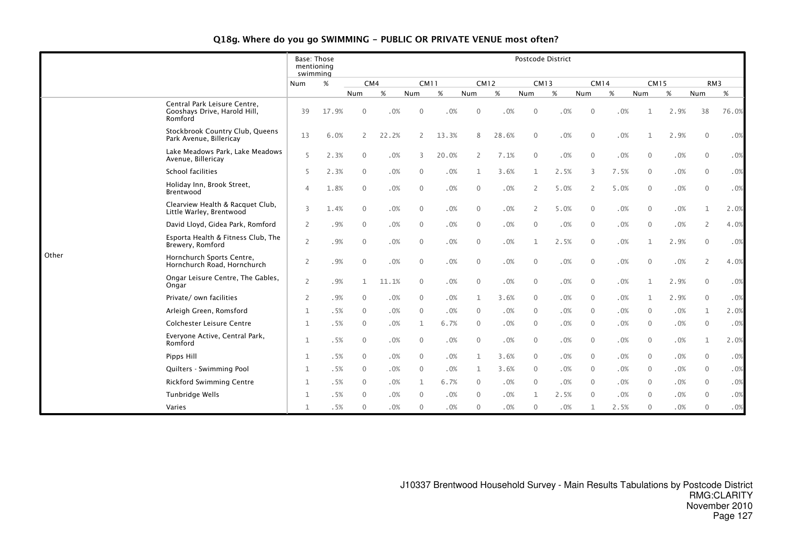# Q18g. Where do you go SWIMMING - PUBLIC OR PRIVATE VENUE most often?

|       |                                                                         | Base: Those<br>mentioning<br>swimming |       |              |       |              |       |                |             | Postcode District |      |                |             |              |      |                |                 |
|-------|-------------------------------------------------------------------------|---------------------------------------|-------|--------------|-------|--------------|-------|----------------|-------------|-------------------|------|----------------|-------------|--------------|------|----------------|-----------------|
|       |                                                                         | Num                                   | %     | CM4          |       | <b>CM11</b>  |       |                | <b>CM12</b> | <b>CM13</b>       |      |                | <b>CM14</b> | <b>CM15</b>  |      |                | RM <sub>3</sub> |
|       |                                                                         |                                       |       | Num          | $\%$  | Num          | $\%$  | Num            | $\%$        | Num               | $\%$ | Num            | $\%$        | Num          | $\%$ | Num            | $\%$            |
|       | Central Park Leisure Centre,<br>Gooshays Drive, Harold Hill,<br>Romford | 39                                    | 17.9% | $\Omega$     | .0%   | $\Omega$     | .0%   | $\Omega$       | .0%         | $\Omega$          | .0%  | $\Omega$       | .0%         |              | 2.9% | 38             | 76.0%           |
|       | Stockbrook Country Club, Queens<br>Park Avenue, Billericay              | 13                                    | 6.0%  | 2            | 22.2% | 2            | 13.3% | 8              | 28.6%       | $\Omega$          | .0%  | $\Omega$       | .0%         |              | 2.9% | $\Omega$       | .0%             |
|       | Lake Meadows Park, Lake Meadows<br>Avenue, Billericay                   | 5                                     | 2.3%  | $\mathbf{0}$ | .0%   | 3            | 20.0% | $\overline{2}$ | 7.1%        | $\overline{0}$    | .0%  | $\mathbf{0}$   | .0%         | $\Omega$     | .0%  | $\mathbf{0}$   | .0%             |
|       | School facilities                                                       | 5                                     | 2.3%  | $\mathbf{0}$ | .0%   | $\Omega$     | .0%   | $\mathbf{1}$   | 3.6%        | $\mathbf{1}$      | 2.5% | 3              | 7.5%        | $\mathbf{0}$ | .0%  | $\mathbf{0}$   | .0%             |
|       | Holiday Inn, Brook Street,<br>Brentwood                                 | $\Delta$                              | 1.8%  | $\mathbf{0}$ | .0%   | $\Omega$     | .0%   | $\mathbf{0}$   | .0%         | $\overline{2}$    | 5.0% | $\overline{2}$ | 5.0%        | $\mathbf{0}$ | .0%  | $\mathbf{0}$   | .0%             |
|       | Clearview Health & Racquet Club.<br>Little Warley, Brentwood            | 3                                     | 1.4%  | $\mathbf{0}$ | .0%   | $\mathbf{0}$ | .0%   | $\mathbf{0}$   | .0%         | $\overline{2}$    | 5.0% | $\mathbf{0}$   | .0%         | $\mathbf{0}$ | .0%  | 1              | 2.0%            |
|       | David Lloyd, Gidea Park, Romford                                        | $\overline{2}$                        | .9%   | $\mathbf{0}$ | .0%   | $\mathbf{0}$ | .0%   | $\mathbf{0}$   | .0%         | $\overline{0}$    | .0%  | $\mathbf{0}$   | .0%         | $\mathbf{0}$ | .0%  | $\overline{2}$ | 4.0%            |
|       | Esporta Health & Fitness Club, The<br>Brewery, Romford                  | $\overline{2}$                        | .9%   | $\Omega$     | .0%   | $\Omega$     | .0%   | $\Omega$       | .0%         | $\mathbf{1}$      | 2.5% | $\Omega$       | .0%         | 1            | 2.9% | $\mathbf{0}$   | .0%             |
| Other | Hornchurch Sports Centre,<br>Hornchurch Road, Hornchurch                | $\overline{2}$                        | .9%   | $\Omega$     | .0%   | $\mathbf{0}$ | .0%   | $\overline{0}$ | .0%         | $\overline{0}$    | .0%  | $\mathbf{0}$   | .0%         | $\Omega$     | .0%  | $\overline{2}$ | 4.0%            |
|       | Ongar Leisure Centre, The Gables,<br>Ongar                              | $\overline{2}$                        | .9%   | 1            | 11.1% | $\mathbf{0}$ | .0%   | $\mathbf{0}$   | .0%         | $\mathbf{0}$      | .0%  | 0              | .0%         | $\mathbf{1}$ | 2.9% | $\mathbf{0}$   | .0%             |
|       | Private/own facilities                                                  | 2                                     | .9%   | $\Omega$     | .0%   | $\Omega$     | .0%   | $\mathbf{1}$   | 3.6%        | $\Omega$          | .0%  | $\Omega$       | .0%         | $\mathbf{1}$ | 2.9% | $\Omega$       | .0%             |
|       | Arleigh Green, Romsford                                                 | $\mathbf{1}$                          | .5%   | $\Omega$     | .0%   | $\Omega$     | .0%   | $\Omega$       | .0%         | $\Omega$          | .0%  | $\Omega$       | .0%         | $\Omega$     | .0%  | 1              | 2.0%            |
|       | <b>Colchester Leisure Centre</b>                                        | 1                                     | .5%   | $\mathbf{0}$ | .0%   | 1            | 6.7%  | $\overline{0}$ | .0%         | $\overline{0}$    | .0%  | $\mathbf{0}$   | .0%         | $\mathbf{0}$ | .0%  | $\overline{0}$ | .0%             |
|       | Everyone Active, Central Park,<br>Romford                               | 1                                     | .5%   | 0            | .0%   | $\mathbf 0$  | .0%   | $\mathbf{0}$   | .0%         | $\overline{0}$    | .0%  | $\mathbf{0}$   | .0%         | $\mathbf 0$  | .0%  | 1              | 2.0%            |
|       | Pipps Hill                                                              | 1                                     | .5%   | $\Omega$     | .0%   | $\Omega$     | .0%   | $\mathbf{1}$   | 3.6%        | $\overline{0}$    | .0%  | $\Omega$       | .0%         | $\Omega$     | .0%  | $\overline{0}$ | .0%             |
|       | Quilters - Swimming Pool                                                | 1                                     | .5%   | $\mathbf{0}$ | .0%   | 0            | .0%   | 1              | 3.6%        | $\mathbf{0}$      | .0%  | $\mathbf{0}$   | .0%         | 0            | .0%  | $\mathbf{0}$   | .0%             |
|       | <b>Rickford Swimming Centre</b>                                         | $\mathbf{1}$                          | .5%   | 0            | .0%   | 1            | 6.7%  | $\mathbf{0}$   | .0%         | $\overline{0}$    | .0%  | $\Omega$       | .0%         | $\Omega$     | .0%  | $\mathbf{0}$   | .0%             |
|       | Tunbridge Wells                                                         | 1                                     | .5%   | $\Omega$     | .0%   | $\Omega$     | .0%   | $\Omega$       | .0%         | 1                 | 2.5% | $\Omega$       | .0%         | $\Omega$     | .0%  | $\Omega$       | .0%             |
|       | Varies                                                                  | 1                                     | .5%   | $\Omega$     | .0%   | $\Omega$     | .0%   | $\Omega$       | .0%         | $\Omega$          | .0%  | 1              | 2.5%        | $\Omega$     | .0%  | $\Omega$       | .0%             |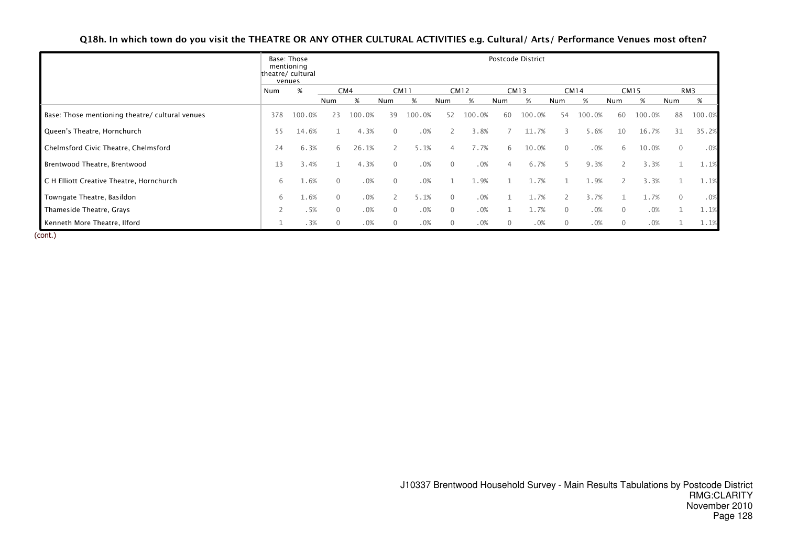|                                                 |     | Base: Those<br>mentioning<br>theatre/ cultural<br>venues |          |        |          |             |                |             |                | Postcode District |             |             |                |             |              |        |
|-------------------------------------------------|-----|----------------------------------------------------------|----------|--------|----------|-------------|----------------|-------------|----------------|-------------------|-------------|-------------|----------------|-------------|--------------|--------|
|                                                 | Num | %                                                        |          | CM4    |          | <b>CM11</b> |                | <b>CM12</b> |                | <b>CM13</b>       |             | <b>CM14</b> |                | <b>CM15</b> |              | RM3    |
|                                                 |     |                                                          | Num      | %      | Num      | %           | Num            | %           | Num            | %                 | Num         | %           | Num            | %           | Num          | %      |
| Base: Those mentioning theatre/ cultural venues | 378 | 100.0%                                                   | 23       | 100.0% | 39       | 100.0%      | 52             | 100.0%      | 60             | 100.0%            | 54          | 100.0%      | 60             | 100.0%      | 88           | 100.0% |
| Queen's Theatre, Hornchurch                     | 55  | 14.6%                                                    |          | 4.3%   |          | .0%         |                | 3.8%        |                | 11.7%             |             | 5.6%        | 10             | 16.7%       | 31           | 35.2%  |
| Chelmsford Civic Theatre, Chelmsford            | 24  | 6.3%                                                     | 6        | 26.1%  |          | 5.1%        | $\Delta$       | 7.7%        | 6              | 10.0%             | $\Omega$    | .0%         | 6              | 10.0%       | $\mathbf{0}$ | .0%    |
| Brentwood Theatre, Brentwood                    | 13  | 3.4%                                                     |          | 4.3%   | $\Omega$ | .0%         | $\Omega$       | .0%         |                | 6.7%              |             | 9.3%        |                | 3.3%        |              | 1.1%   |
| C H Elliott Creative Theatre, Hornchurch        | 6   | 1.6%                                                     | $\Omega$ | .0%    | $\Omega$ | .0%         |                | 1.9%        |                | 1.7%              |             | 1.9%        | 2              | 3.3%        |              | 1.1%   |
| Towngate Theatre, Basildon                      | 6   | 1.6%                                                     | $\Omega$ | .0%    |          | 5.1%        | $\Omega$       | .0%         |                | 1.7%              |             | 3.7%        |                | L.7%        | $\mathbf{0}$ | .0%    |
| Thameside Theatre, Grays                        | 2   | .5%                                                      | $\Omega$ | .0%    | $\Omega$ | .0%         | $\overline{0}$ | .0%         |                | 1.7%              | $\Omega$    | .0%         | $\overline{0}$ | .0%         |              | 1.1%   |
| Kenneth More Theatre, Ilford                    |     | .3%                                                      |          | .0%    | $\Omega$ | .0%         | $\mathbf 0$    | .0%         | $\overline{0}$ | .0%               | $\mathbf 0$ | .0%         | $\mathbf{0}$   | .0%         |              | 1.1%   |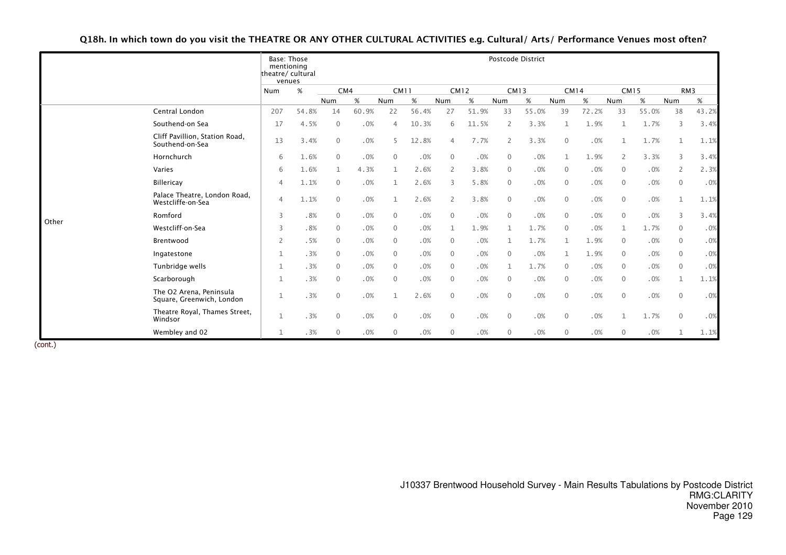|       |                                                      | mentioning<br>theatre/cultural | Base: Those<br>venues |              |        |              |       |                |             |                | Postcode District |                |             |                |             |                |                 |
|-------|------------------------------------------------------|--------------------------------|-----------------------|--------------|--------|--------------|-------|----------------|-------------|----------------|-------------------|----------------|-------------|----------------|-------------|----------------|-----------------|
|       |                                                      | Num                            | %                     | CM4          |        | <b>CM11</b>  |       |                | <b>CM12</b> |                | <b>CM13</b>       |                | <b>CM14</b> |                | <b>CM15</b> |                | RM <sub>3</sub> |
|       |                                                      |                                |                       | Num          | %      | <b>Num</b>   | %     | Num            | %           | Num            | %                 | Num            | %           | Num            | %           | Num            | %               |
|       | Central London                                       | 207                            | 54.8%                 | 14           | 60.9%  | 22           | 56.4% | 27             | 51.9%       | 33             | 55.0%             | 39             | 72.2%       | 33             | 55.0%       | 38             | 43.2%           |
|       | Southend-on Sea                                      | 17                             | 4.5%                  | $\mathbf{0}$ | .0%    | $\Delta$     | 10.3% | 6              | 11.5%       | $\overline{2}$ | 3.3%              | 1              | 1.9%        | $\mathbf{1}$   | 1.7%        | 3              | 3.4%            |
|       | Cliff Pavillion, Station Road,<br>Southend-on-Sea    | 13                             | 3.4%                  | $\Omega$     | $.0\%$ | 5            | 12.8% | $\overline{4}$ | 7.7%        | 2              | 3.3%              | $\mathbf{0}$   | .0%         |                | 1.7%        | $\mathbf{1}$   | 1.1%            |
|       | Hornchurch                                           | 6                              | 1.6%                  | $\Omega$     | .0%    | $\Omega$     | .0%   | $\Omega$       | .0%         | $\mathbf{0}$   | .0%               | $\mathbf{1}$   | 1.9%        | 2              | 3.3%        | 3              | 3.4%            |
|       | Varies                                               | 6                              | 1.6%                  | 1            | 4.3%   | $\mathbf{1}$ | 2.6%  | 2              | 3.8%        | $\overline{0}$ | .0%               | $\Omega$       | .0%         | $\mathbf{0}$   | .0%         | 2              | 2.3%            |
|       | <b>Billericay</b>                                    | $\overline{4}$                 | 1.1%                  | $\mathbf{0}$ | .0%    | 1            | 2.6%  | 3              | 5.8%        | $\overline{0}$ | .0%               | $\mathbf{0}$   | .0%         | $\overline{0}$ | .0%         | $\mathbf{0}$   | .0%             |
|       | Palace Theatre, London Road,<br>Westcliffe-on-Sea    | $\overline{4}$                 | 1.1%                  | $\Omega$     | .0%    | $\mathbf{1}$ | 2.6%  | 2              | 3.8%        | $\mathbf 0$    | .0%               | $\mathbf 0$    | .0%         | $\mathbf 0$    | .0%         | $\mathbf{1}$   | 1.1%            |
| Other | Romford                                              | 3                              | .8%                   | $\Omega$     | .0%    | $\mathbf{0}$ | .0%   | $\Omega$       | .0%         | $\overline{0}$ | .0%               | $\mathbf{0}$   | .0%         | $\overline{0}$ | .0%         | 3              | 3.4%            |
|       | Westcliff-on-Sea                                     | 3                              | .8%                   | $\Omega$     | .0%    | $\mathbf{0}$ | .0%   | $\mathbf 1$    | 1.9%        | 1              | 1.7%              | $\overline{0}$ | .0%         | $\mathbf{1}$   | 1.7%        | 0              | .0%             |
|       | Brentwood                                            | 2                              | .5%                   | $\Omega$     | .0%    | $\Omega$     | .0%   | $\Omega$       | .0%         | $\overline{1}$ | 1.7%              | 1              | 1.9%        | $\mathbf{0}$   | .0%         | $\mathbf 0$    | .0%             |
|       | Ingatestone                                          | $\mathbf{1}$                   | .3%                   | $\Omega$     | .0%    | $\Omega$     | .0%   | $\Omega$       | .0%         | $\mathbf{0}$   | .0%               |                | 1.9%        | $\mathbf{0}$   | .0%         | $\overline{0}$ | .0%             |
|       | Tunbridge wells                                      | $\mathbf{1}$                   | .3%                   | $\Omega$     | .0%    | $\Omega$     | .0%   | $\Omega$       | .0%         | 1              | 1.7%              | $\mathbf{0}$   | .0%         | $\mathbf{0}$   | .0%         | $\mathbf{0}$   | .0%             |
|       | Scarborough                                          | $\mathbf{1}$                   | .3%                   | $\Omega$     | .0%    | $\Omega$     | .0%   | $\Omega$       | .0%         | $\mathbf{0}$   | .0%               | $\mathbf{0}$   | .0%         | $\mathbf{0}$   | .0%         | $\mathbf{1}$   | 1.1%            |
|       | The O2 Arena, Peninsula<br>Square, Greenwich, London | $\mathbf{1}$                   | .3%                   | $\Omega$     | .0%    | $\mathbf{1}$ | 2.6%  | $\Omega$       | .0%         | $\overline{0}$ | .0%               | $\mathbf{0}$   | .0%         | $\mathbf{0}$   | .0%         | $\mathbf{0}$   | .0%             |
|       | Theatre Royal, Thames Street,<br>Windsor             | $\mathbf{1}$                   | .3%                   | $\Omega$     | .0%    | $\Omega$     | .0%   | $\mathbf{0}$   | .0%         | $\overline{0}$ | .0%               | $\mathbf{0}$   | .0%         | $\mathbf{1}$   | 1.7%        | $\mathbf{0}$   | .0%             |
|       | Wembley and 02                                       | $\mathbf{1}$                   | .3%                   | $\Omega$     | .0%    | $\Omega$     | .0%   | $\mathbf{0}$   | .0%         | $\Omega$       | .0%               | $\Omega$       | .0%         | $\mathbf{0}$   | .0%         |                | 1.1%            |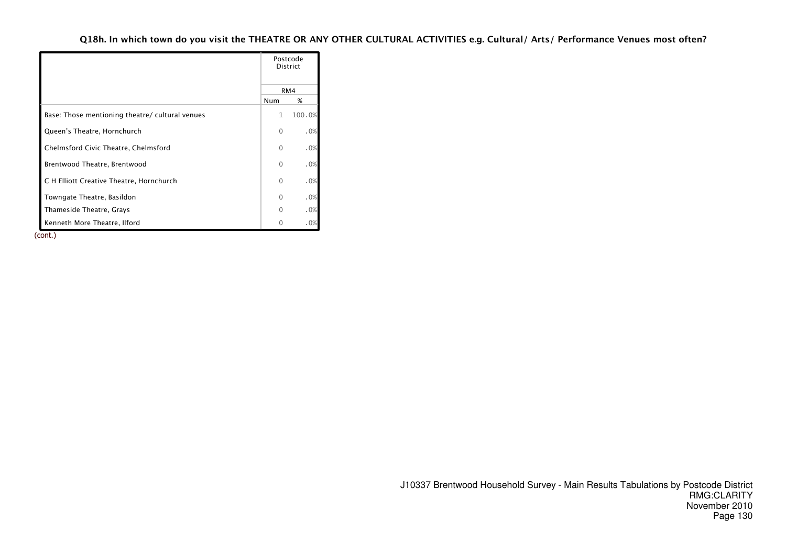|                                                 |              | Postcode<br><b>District</b> |
|-------------------------------------------------|--------------|-----------------------------|
|                                                 |              | RM4                         |
|                                                 | Num          | %                           |
| Base: Those mentioning theatre/ cultural venues | $\mathbf{1}$ | 100.0%                      |
| Queen's Theatre, Hornchurch                     | $\Omega$     | .0%                         |
| Chelmsford Civic Theatre, Chelmsford            | 0            | .0%                         |
| Brentwood Theatre, Brentwood                    | $\Omega$     | .0%                         |
| C H Elliott Creative Theatre, Hornchurch        | $\Omega$     | .0%                         |
| Towngate Theatre, Basildon                      | $\Omega$     | .0%                         |
| Thameside Theatre, Grays                        | $\Omega$     | .0%                         |
| Kenneth More Theatre, Ilford                    |              | .0%                         |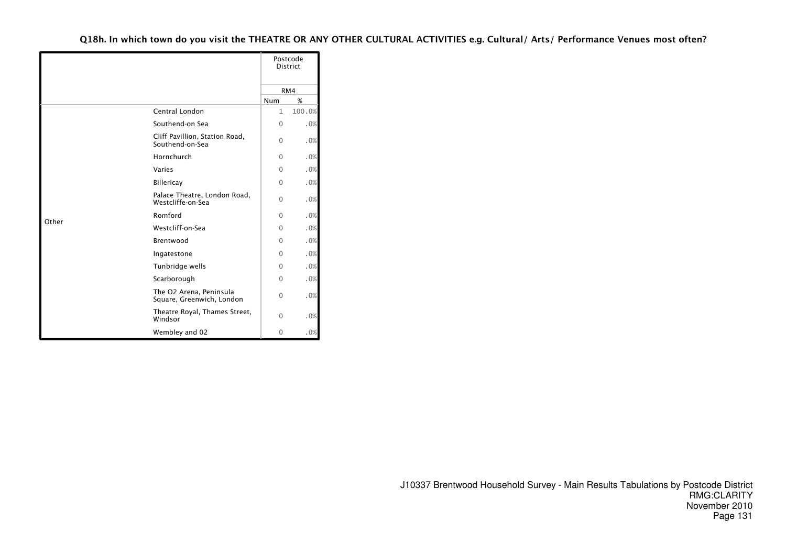|       |                                                      |              | Postcode<br><b>District</b> |
|-------|------------------------------------------------------|--------------|-----------------------------|
|       |                                                      |              | RM4                         |
|       |                                                      | Num          | %                           |
|       | Central London                                       | $\mathbf{1}$ | 100.0%                      |
|       | Southend-on Sea                                      | $\Omega$     | .0%                         |
|       | Cliff Pavillion, Station Road,<br>Southend-on-Sea    | $\Omega$     | .0%                         |
|       | Hornchurch                                           | $\Omega$     | .0%                         |
|       | Varies                                               | $\Omega$     | .0%                         |
|       | Billericay                                           | $\Omega$     | .0%                         |
|       | Palace Theatre, London Road,<br>Westcliffe-on-Sea    | 0            | .0%                         |
|       | Romford                                              | $\Omega$     | .0%                         |
| Other | Westcliff-on-Sea                                     | $\Omega$     | .0%                         |
|       | Brentwood                                            | $\Omega$     | .0%                         |
|       | Ingatestone                                          | 0            | .0%                         |
|       | Tunbridge wells                                      | $\Omega$     | .0%                         |
|       | Scarborough                                          | $\Omega$     | .0%                         |
|       | The O2 Arena, Peninsula<br>Square, Greenwich, London | $\Omega$     | .0%                         |
|       | Theatre Royal, Thames Street,<br>Windsor             | 0            | .0%                         |
|       | Wembley and 02                                       | 0            | .0%                         |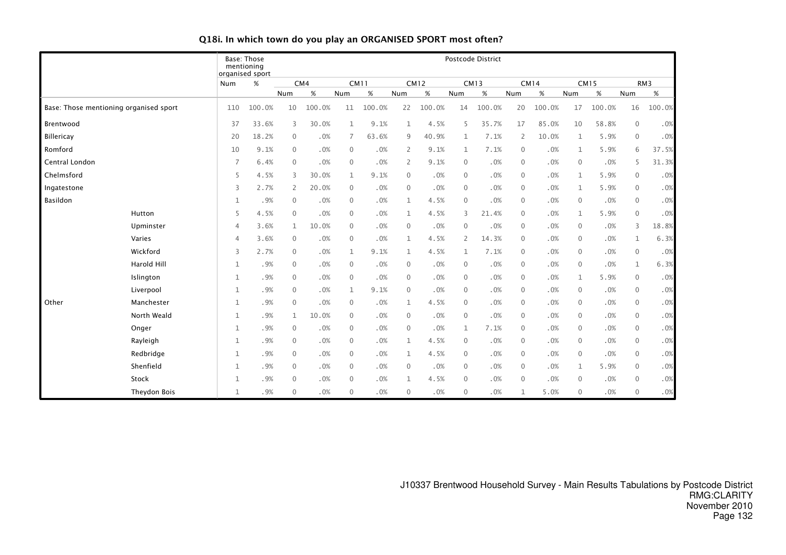|                |                                        | mentioning     | Base: Those             |              |        |              |             |                |             |              | Postcode District |                  |             |              |             |                |                 |
|----------------|----------------------------------------|----------------|-------------------------|--------------|--------|--------------|-------------|----------------|-------------|--------------|-------------------|------------------|-------------|--------------|-------------|----------------|-----------------|
|                |                                        | Num            | organised sport<br>$\%$ |              | CM4    |              | <b>CM11</b> |                | <b>CM12</b> |              | <b>CM13</b>       |                  | <b>CM14</b> |              | <b>CM15</b> |                | RM <sub>3</sub> |
|                |                                        |                |                         | Num          | $\%$   | Num          | $\%$        | Num            | $\%$        | Num          | $\%$              | Num              | $\%$        | Num          | $\%$        | Num            | $\%$            |
|                | Base: Those mentioning organised sport | 110            | 100.0%                  | 10           | 100.0% | 11           | 100.0%      | 22             | 100.0%      | 14           | 100.0%            | 20               | 100.0%      | 17           | 100.0%      | 16             | 100.0%          |
| Brentwood      |                                        | 37             | 33.6%                   | 3            | 30.0%  | $\mathbf 1$  | 9.1%        | $\mathbf{1}$   | 4.5%        | 5            | 35.7%             | 17               | 85.0%       | 10           | 58.8%       | $\mathbf 0$    | .0%             |
| Billericay     |                                        | 20             | 18.2%                   | $\mathbf 0$  | .0%    | 7            | 63.6%       | 9              | 40.9%       | 1            | 7.1%              | $\overline{2}$   | 10.0%       | $\mathbf{1}$ | 5.9%        | $\mathbf 0$    | .0%             |
| Romford        |                                        | 10             | 9.1%                    | $\mathbf{0}$ | .0%    | $\mathbf{0}$ | .0%         | 2              | 9.1%        | $\mathbf{1}$ | 7.1%              | $\mathbf{0}$     | .0%         | 1            | 5.9%        | 6              | 37.5%           |
| Central London |                                        | $\overline{7}$ | 6.4%                    | $\mathbf 0$  | .0%    | $\mathbf 0$  | .0%         | $\overline{2}$ | 9.1%        | 0            | .0%               | $\mathbf 0$      | .0%         | $\mathbf{0}$ | .0%         | 5              | 31.3%           |
| Chelmsford     |                                        | 5              | 4.5%                    | 3            | 30.0%  | $\mathbf{1}$ | 9.1%        | $\overline{0}$ | .0%         | $\mathbf{0}$ | .0%               | $\mathbf{0}$     | .0%         | $\mathbf{1}$ | 5.9%        | $\overline{0}$ | .0%             |
| Ingatestone    |                                        | 3              | 2.7%                    | 2            | 20.0%  | $\mathbf 0$  | .0%         | $\mathbf{0}$   | .0%         | $\mathbf 0$  | .0%               | $\mathbf{0}$     | .0%         | 1            | 5.9%        | $\mathbf 0$    | .0%             |
| Basildon       |                                        | 1              | .9%                     | 0            | .0%    | $\mathbf 0$  | .0%         | $\mathbf 1$    | 4.5%        | $\mathbf 0$  | .0%               | $\boldsymbol{0}$ | .0%         | $\mathbf 0$  | .0%         | $\overline{0}$ | .0%             |
|                | Hutton                                 | 5              | 4.5%                    | $\mathbf{0}$ | .0%    | $\mathbf 0$  | .0%         | $\mathbf{1}$   | 4.5%        | 3            | 21.4%             | $\mathbf{0}$     | .0%         | $\mathbf{1}$ | 5.9%        | $\mathbf 0$    | .0%             |
|                | Upminster                              | 4              | 3.6%                    | $\mathbf{1}$ | 10.0%  | $\mathbf 0$  | .0%         | $\mathbf{0}$   | .0%         | $\mathbf{0}$ | .0%               | $\mathbf 0$      | .0%         | $\mathbf{0}$ | .0%         | 3              | 18.8%           |
|                | Varies                                 | $\overline{4}$ | 3.6%                    | $\mathbf{0}$ | .0%    | $\mathbf 0$  | .0%         | $\mathbf{1}$   | 4.5%        | $\mathbf{2}$ | 14.3%             | $\mathbf{0}$     | .0%         | $\mathbf{0}$ | .0%         | $\mathbf 1$    | 6.3%            |
|                | Wickford                               | 3              | 2.7%                    | $\mathbf{0}$ | .0%    | $\mathbf{1}$ | 9.1%        | $\mathbf{1}$   | 4.5%        | 1            | 7.1%              | $\mathbf{0}$     | .0%         | $\mathbf{0}$ | .0%         | $\overline{0}$ | .0%             |
|                | Harold Hill                            | $\mathbf{1}$   | .9%                     | $\mathbf{0}$ | .0%    | $\mathbf 0$  | .0%         | $\mathbf{0}$   | .0%         | $\mathbf{0}$ | .0%               | $\mathbf{0}$     | .0%         | $\mathbf{0}$ | .0%         | $\mathbf{1}$   | 6.3%            |
|                | Islington                              | 1              | .9%                     | $\mathbf 0$  | .0%    | $\mathbf 0$  | .0%         | $\mathbf{0}$   | .0%         | $\mathbf 0$  | .0%               | $\mathbf 0$      | .0%         | 1            | 5.9%        | $\mathbf 0$    | $.0\%$          |
|                | Liverpool                              | 1              | .9%                     | 0            | .0%    | $\mathbf{1}$ | 9.1%        | $\mathbf{0}$   | .0%         | 0            | .0%               | $\mathbf 0$      | .0%         | $\mathbf{0}$ | .0%         | $\mathbf 0$    | .0%             |
| Other          | Manchester                             | 1              | .9%                     | $\mathbf{0}$ | .0%    | $\mathbf 0$  | .0%         | $\mathbf{1}$   | 4.5%        | 0            | .0%               | $\boldsymbol{0}$ | .0%         | $\mathbf{0}$ | .0%         | $\mathbf 0$    | $.0\%$          |
|                | North Weald                            | $\mathbf{1}$   | .9%                     | 1            | 10.0%  | $\mathbf 0$  | .0%         | $\mathbf{0}$   | .0%         | $\mathbf 0$  | .0%               | $\mathbf 0$      | .0%         | $\mathbf{0}$ | .0%         | $\mathbf 0$    | .0%             |
|                | Onger                                  | $\mathbf{1}$   | .9%                     | $\mathbf{0}$ | .0%    | $\mathbf 0$  | .0%         | $\mathbf{0}$   | .0%         | $\mathbf{1}$ | 7.1%              | $\mathbf{0}$     | .0%         | $\mathbf{0}$ | .0%         | $\mathbf 0$    | $.0\%$          |
|                | Rayleigh                               | $\mathbf{1}$   | .9%                     | $\mathbf 0$  | .0%    | $\mathbf 0$  | .0%         | $\mathbf{1}$   | 4.5%        | $\mathbf{0}$ | .0%               | $\mathbf 0$      | .0%         | $\mathbf 0$  | .0%         | $\mathbf 0$    | .0%             |
|                | Redbridge                              | 1              | .9%                     | 0            | .0%    | $\mathbf 0$  | .0%         | 1              | 4.5%        | 0            | .0%               | $\mathbf 0$      | .0%         | $\mathbf{0}$ | .0%         | $\overline{0}$ | .0%             |
|                | Shenfield                              | $\mathbf{1}$   | .9%                     | $\mathbf 0$  | .0%    | $\mathbf 0$  | .0%         | $\mathbf{0}$   | .0%         | $\mathbf{0}$ | .0%               | $\mathbf 0$      | .0%         | $\mathbf{1}$ | 5.9%        | $\mathbf 0$    | $.0\%$          |
|                | Stock                                  | 1              | .9%                     | $\mathbf 0$  | .0%    | $\mathbf 0$  | .0%         | 1              | 4.5%        | $\mathbf 0$  | .0%               | $\mathbf 0$      | .0%         | $\mathbf 0$  | .0%         | $\mathbf 0$    | $.0\%$          |
|                | Theydon Bois                           | $\mathbf{1}$   | .9%                     | $\mathbf{0}$ | .0%    | $\mathbf{0}$ | .0%         | $\mathbf{0}$   | .0%         | $\mathbf 0$  | .0%               | 1                | 5.0%        | $\mathbf{0}$ | .0%         | $\mathbf{0}$   | $.0\%$          |

# Q18i. In which town do you play an ORGANISED SPORT most often?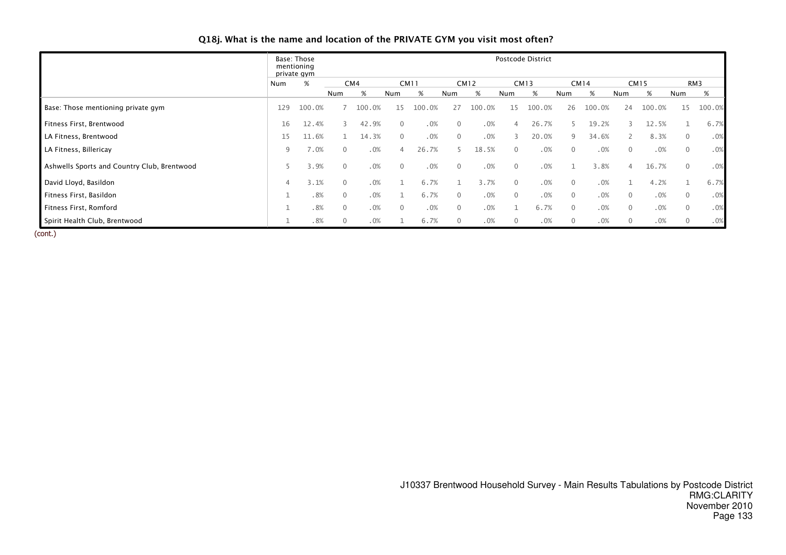| Q18j. What is the name and location of the PRIVATE GYM you visit most often? |  |  |
|------------------------------------------------------------------------------|--|--|
|------------------------------------------------------------------------------|--|--|

|                                             |     | Base: Those<br>mentioning<br>private gym |              |        |          |             |                |             |                | Postcode District |              |             |                |             |                |        |
|---------------------------------------------|-----|------------------------------------------|--------------|--------|----------|-------------|----------------|-------------|----------------|-------------------|--------------|-------------|----------------|-------------|----------------|--------|
|                                             | Num | $\%$                                     |              | CM4    |          | <b>CM11</b> |                | <b>CM12</b> |                | <b>CM13</b>       |              | <b>CM14</b> |                | <b>CM15</b> |                | RM3    |
|                                             |     |                                          | Num          | %      | Num      | %           | Num            | %           | Num            | %                 | Num          | %           | Num            | %           | Num            | %      |
| Base: Those mentioning private gym          | 129 | 100.0%                                   |              | 100.0% | 15       | 100.0%      | 27             | 100.0%      | 15             | 100.0%            | 26           | 100<br>.0%  | 24             | 100.0%      | 15             | 100.0% |
| Fitness First, Brentwood                    | 16  | 12.4%                                    |              | 42.9%  | $\Omega$ | .0%         | $\Omega$       | .0%         |                | 26.7%             |              | 19.2%       |                | 12.5%       |                | 6.7%   |
| LA Fitness, Brentwood                       | 15  | 11.6%                                    |              | 14.3%  | $\Omega$ | .0%         | $\overline{0}$ | .0%         | $\mathcal{L}$  | 20.0%             | 9            | 34.6%       | $\overline{2}$ | 8.3%        | $\overline{0}$ | .0%    |
| LA Fitness, Billericay                      | 9   | 7.0%                                     | $\Omega$     | .0%    |          | 26.7%       |                | 18.5%       | $\Omega$       | .0%               | $\mathbf{0}$ | .0%         | $\mathbf{0}$   | .0%         | $\overline{0}$ | .0%    |
| Ashwells Sports and Country Club, Brentwood |     | 3.9%                                     | $\mathbf{0}$ | .0%    | $\Omega$ | .0%         | $\mathbf{0}$   | .0%         | $\overline{0}$ | .0%               |              | 3.8%        | 4              | 16.7%       | $\overline{0}$ | .0%    |
| David Lloyd, Basildon                       |     | 3.1%                                     | $\Omega$     | .0%    |          | 6.7%        |                | 3.7%        | $\Omega$       | .0%               | $\mathbf{0}$ | .0%         |                | 4.2%        |                | 6.7%   |
| Fitness First, Basildon                     |     | .8%                                      | $\mathbf{0}$ | .0%    |          | 6.7%        | $\mathbf{0}$   | .0%         | $\mathbf{0}$   | .0%               | $\mathbf{0}$ | .0%         | $\mathbf{0}$   | .0%         | $\mathbf{0}$   | .0%    |
| Fitness First, Romford                      |     | .8%                                      | $\Omega$     | .0%    | $\Omega$ | .0%         | $\Omega$       | .0%         |                | 6.7%              | $\mathbf{0}$ | .0%         | $\overline{0}$ | .0%         | $\overline{0}$ | .0%    |
| Spirit Health Club, Brentwood               |     | .8%                                      | $\Omega$     | .0%    |          | 6.7%        | $\Omega$       | .0%         |                | .0%               | $\mathbf{0}$ | .0%         | $\mathbf{0}$   | .0%         | $\mathbf{0}$   | .0%    |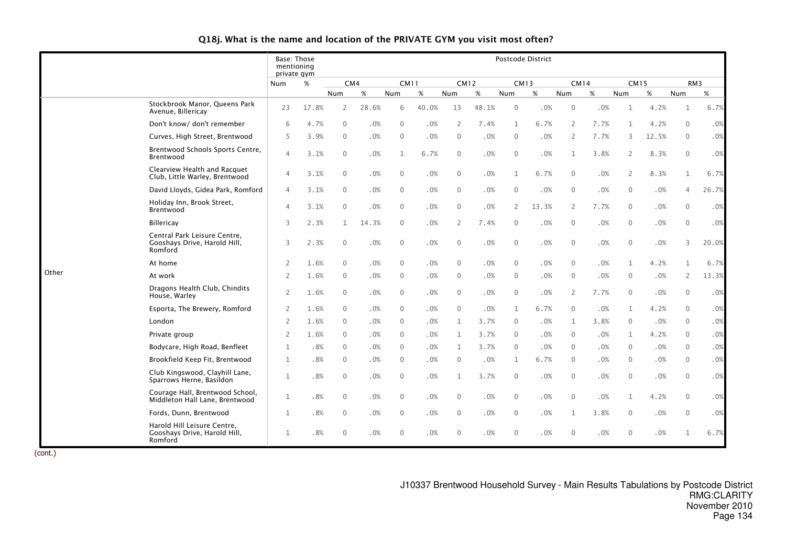# Q18j. What is the name and location of the PRIVATE GYM you visit most often?

|       |                                                                         | Base: Those<br>mentioning<br>private gym |       |                |       |              |       |                          |             |                | Postcode District |                |      |                |             |                |                 |
|-------|-------------------------------------------------------------------------|------------------------------------------|-------|----------------|-------|--------------|-------|--------------------------|-------------|----------------|-------------------|----------------|------|----------------|-------------|----------------|-----------------|
|       |                                                                         | <b>Num</b>                               | %     | CM4            |       | <b>CM11</b>  |       |                          | <b>CM12</b> | <b>CM13</b>    |                   | <b>CM14</b>    |      |                | <b>CM15</b> |                | RM <sub>3</sub> |
|       |                                                                         |                                          |       | Num            | $\%$  | Num          | %     | Num                      | $\%$        | Num            | $\%$              | Num            | %    | Num            | $\%$        | Num            | $\%$            |
|       | Stockbrook Manor, Queens Park<br>Avenue, Billericay                     | 23                                       | 17.8% | $\overline{2}$ | 28.6% | 6            | 40.0% | 13                       | 48.1%       | $\mathbf{0}$   | .0%               | $\overline{0}$ | .0%  | $\mathbf{1}$   | 4.2%        | $\mathbf{1}$   | 6.7%            |
|       | Don't know/ don't remember                                              | 6                                        | 4.7%  | $\mathbf{0}$   | .0%   | $\mathbf{0}$ | .0%   | $\overline{\phantom{0}}$ | 7.4%        | 1              | 6.7%              | $\overline{2}$ | 7.7% | $\mathbf 1$    | 4.2%        | $\mathbf{0}$   | .0%             |
|       | Curves, High Street, Brentwood                                          | 5                                        | 3.9%  | $\mathbf{0}$   | .0%   | $\mathbf{0}$ | .0%   | $\mathbf{0}$             | .0%         | $\mathbf{0}$   | .0%               | 2              | 7.7% | 3              | 12.5%       | $\mathbf{0}$   | $.0\%$          |
|       | Brentwood Schools Sports Centre,<br>Brentwood                           | $\overline{4}$                           | 3.1%  | $\Omega$       | .0%   | 1            | 6.7%  | $\mathbf{0}$             | .0%         | $\mathbf{0}$   | .0%               | $\mathbf 1$    | 3.8% | $\overline{2}$ | 8.3%        | $\Omega$       | .0%             |
|       | Clearview Health and Racquet<br>Club, Little Warley, Brentwood          | $\overline{4}$                           | 3.1%  | $\mathbf{0}$   | .0%   | $\mathbf{0}$ | .0%   | $\mathbf{0}$             | .0%         | 1              | 6.7%              | $\mathbf{0}$   | .0%  | $\overline{2}$ | 8.3%        | $\mathbf 1$    | 6.7%            |
|       | David Lloyds, Gidea Park, Romford                                       | $\overline{4}$                           | 3.1%  | $\mathbf{0}$   | .0%   | $\Omega$     | .0%   | $\overline{0}$           | .0%         | $\mathbf{0}$   | .0%               | $\mathbf{0}$   | .0%  | $\mathbf{0}$   | .0%         | $\overline{4}$ | 26.7%           |
|       | Holiday Inn, Brook Street,<br>Brentwood                                 | $\overline{4}$                           | 3.1%  | $\mathbf{0}$   | .0%   | $\mathbf{0}$ | .0%   | $\overline{0}$           | .0%         | $\mathsf{2}$   | 13.3%             | $\mathbf{2}$   | 7.7% | $\mathbf 0$    | .0%         | $\mathbf{0}$   | .0%             |
|       | <b>Billericay</b>                                                       | 3                                        | 2.3%  | $\mathbf{1}$   | 14.3% | $\Omega$     | .0%   | 2                        | 7.4%        | $\Omega$       | .0%               | $\mathbf{0}$   | .0%  | $\mathbf{0}$   | .0%         | $\mathbf{0}$   | .0%             |
|       | Central Park Leisure Centre,<br>Gooshays Drive, Harold Hill,<br>Romford | 3                                        | 2.3%  | $\mathbf{0}$   | .0%   | $\mathbf{0}$ | .0%   | $\mathbf 0$              | .0%         | $\mathbf{0}$   | .0%               | $\mathbf 0$    | .0%  | $\mathbf 0$    | .0%         | 3              | 20.0%           |
|       | At home                                                                 | 2                                        | 1.6%  | $\mathbf{0}$   | .0%   | $\mathbf{0}$ | .0%   | $\mathbf 0$              | .0%         | $\mathbf 0$    | .0%               | $\mathbf 0$    | .0%  | $\mathbf{1}$   | 4.2%        | $\mathbf{1}$   | 6.7%            |
| Other | At work                                                                 | $\overline{2}$                           | 1.6%  | $\Omega$       | .0%   | $\Omega$     | .0%   | $\mathbf{0}$             | .0%         | $\Omega$       | .0%               | $\mathbf{0}$   | .0%  | $\Omega$       | .0%         | $\overline{2}$ | 13.3%           |
|       | Dragons Health Club, Chindits<br>House, Warley                          | $\overline{2}$                           | 1.6%  | $\mathbf{0}$   | .0%   | $\mathbf{0}$ | .0%   | $\overline{0}$           | .0%         | $\overline{0}$ | .0%               | 2              | 7.7% | $\overline{0}$ | .0%         | $\mathbf 0$    | .0%             |
|       | Esporta, The Brewery, Romford                                           | 2                                        | 1.6%  | $\Omega$       | .0%   | $\Omega$     | .0%   | $\mathbf{0}$             | .0%         | $\mathbf{1}$   | 6.7%              | $\mathbf{0}$   | .0%  | 1              | 4.2%        | $\mathbf{0}$   | .0%             |
|       | London                                                                  | 2                                        | 1.6%  | $\Omega$       | .0%   | $\Omega$     | .0%   | 1                        | 3.7%        | $\mathbf{0}$   | .0%               | $\mathbf{1}$   | 3.8% | $\mathbf{0}$   | .0%         | $\Omega$       | $.0\%$          |
|       | Private group                                                           | 2                                        | 1.6%  | $\Omega$       | .0%   | $\Omega$     | .0%   | 1                        | 3.7%        | $\mathbf{0}$   | .0%               | $\mathbf{0}$   | .0%  | 1              | 4.2%        | $\Omega$       | .0%             |
|       | Bodycare, High Road, Benfleet                                           | $\mathbf{1}$                             | .8%   | $\mathbf{0}$   | .0%   | $\mathbf{0}$ | .0%   | 1                        | 3.7%        | $\mathbf{0}$   | .0%               | $\mathbf{0}$   | .0%  | $\overline{0}$ | .0%         | $\mathbf{0}$   | .0%             |
|       | Brookfield Keep Fit, Brentwood                                          | $\mathbf{1}$                             | .8%   | $\mathbf{0}$   | .0%   | $\mathbf{0}$ | .0%   | $\overline{0}$           | .0%         | $\mathbf{1}$   | 6.7%              | $\mathbf{0}$   | .0%  | $\overline{0}$ | .0%         | $\mathbf{0}$   | .0%             |
|       | Club Kingswood, Clayhill Lane,<br>Sparrows Herne, Basildon              | $\mathbf{1}$                             | .8%   | $\mathbf{0}$   | .0%   | $\Omega$     | .0%   | 1                        | 3.7%        | $\mathbf{0}$   | .0%               | $\mathbf{0}$   | .0%  | $\mathbf{0}$   | .0%         | $\mathbf{0}$   | .0%             |
|       | Courage Hall, Brentwood School,<br>Middleton Hall Lane, Brentwood       | $\mathbf{1}$                             | .8%   | $\Omega$       | .0%   | $\Omega$     | .0%   | $\overline{0}$           | .0%         | $\mathbf{0}$   | .0%               | $\mathbf 0$    | .0%  | 1              | 4.2%        | $\mathbf{0}$   | .0%             |
|       | Fords, Dunn, Brentwood                                                  | $\mathbf{1}$                             | .8%   | $\mathbf{0}$   | .0%   | $\Omega$     | .0%   | $\mathbf{0}$             | .0%         | $\mathbf{0}$   | .0%               | $\mathbf 1$    | 3.8% | $\mathbf{0}$   | .0%         | $\Omega$       | .0%             |
|       | Harold Hill Leisure Centre,<br>Gooshays Drive, Harold Hill,<br>Romford  | $\mathbf{1}$                             | .8%   | $\Omega$       | .0%   | $\Omega$     | .0%   | $\Omega$                 | .0%         | $\Omega$       | .0%               | $\Omega$       | .0%  | $\mathbf{0}$   | .0%         | $\mathbf{1}$   | 6.7%            |

(cont.)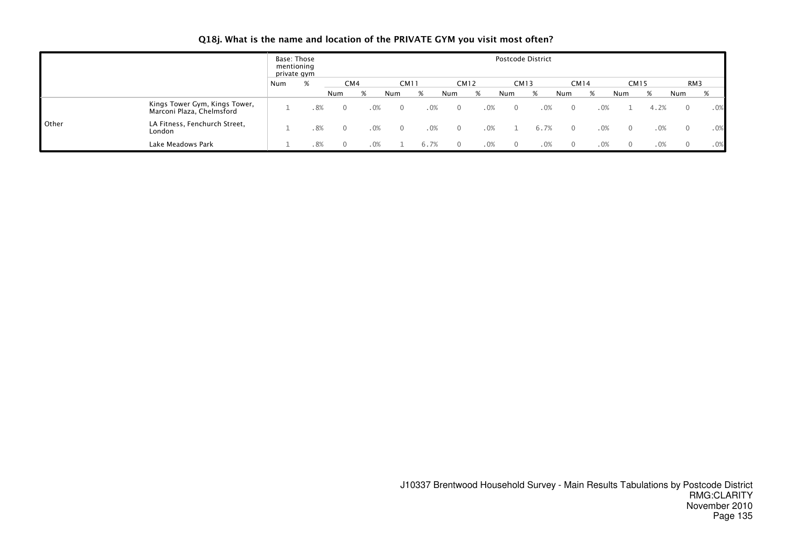# Q18j. What is the name and location of the PRIVATE GYM you visit most often?

|              |                                                            |     | Base: Those<br>mentioning<br>private gym |          |        |             |      |          |     | Postcode District |     |             |     |             |        |     |     |
|--------------|------------------------------------------------------------|-----|------------------------------------------|----------|--------|-------------|------|----------|-----|-------------------|-----|-------------|-----|-------------|--------|-----|-----|
|              |                                                            | Num | %                                        | CM4      |        | <b>CM11</b> |      | CM12     |     | <b>CM13</b>       |     | <b>CM14</b> |     | <b>CM15</b> |        |     | RM3 |
|              |                                                            |     |                                          | Num      | %      | Num         |      | Num      | %   | Num               | %   | Num         | %   | Num         | %      | Num | %   |
|              | Kings Tower Gym, Kings Tower,<br>Marconi Plaza, Chelmsford |     | . 8%                                     | $\Omega$ | .0%    |             | .0%  | $\Omega$ | .0% | $\Omega$          | .0% |             | .0% |             | 4.2%   |     | .0% |
| <b>Other</b> | LA Fitness, Fenchurch Street,<br>London                    |     | .8%                                      |          | .0%    |             | .0%  |          | .0% |                   |     |             | .0% | $\Omega$    | .0%    |     | .0% |
|              | Lake Meadows Park                                          |     | .8%                                      | $\Omega$ | $.0\%$ |             | 6.7% |          | .0% | $\Omega$          | .0% |             | .0% | $\Omega$    | $.0\%$ |     | .0% |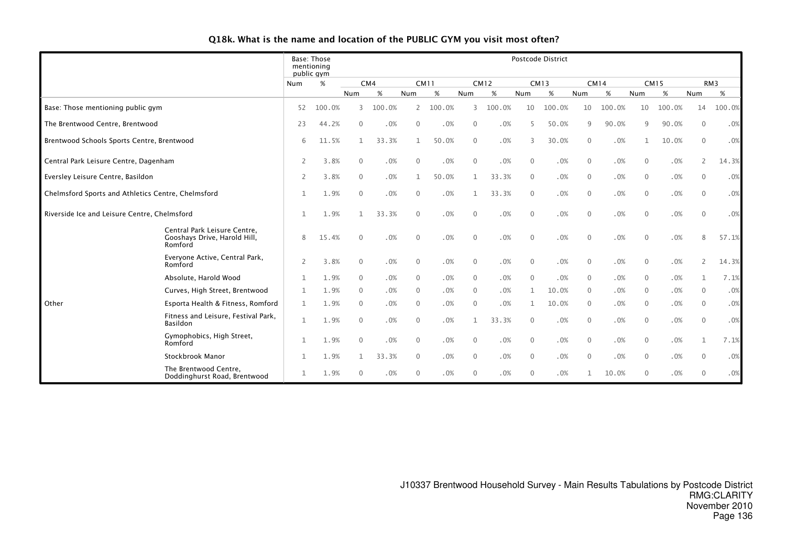| Q18k. What is the name and location of the PUBLIC GYM you visit most often? |  |  |  |
|-----------------------------------------------------------------------------|--|--|--|
|-----------------------------------------------------------------------------|--|--|--|

|                                                    |                                                                         |                | Base: Those<br>mentioning<br>public gym |                |        |                |        |              |             |              | <b>Postcode District</b> |                |        |              |             |                |        |
|----------------------------------------------------|-------------------------------------------------------------------------|----------------|-----------------------------------------|----------------|--------|----------------|--------|--------------|-------------|--------------|--------------------------|----------------|--------|--------------|-------------|----------------|--------|
|                                                    |                                                                         | Num            | $\%$                                    |                | CM4    | <b>CM11</b>    |        |              | <b>CM12</b> |              | <b>CM13</b>              | <b>CM14</b>    |        |              | <b>CM15</b> |                | RM3    |
|                                                    |                                                                         |                |                                         | Num            | %      | Num            | %      | Num          | %           | Num          | %                        | Num            | %      | Num          | $\%$        | Num            | %      |
| Base: Those mentioning public gym                  |                                                                         | 52             | 100.0%                                  | 3              | 100.0% | 2              | 100.0% | 3            | 100.0%      | 10           | 100.0%                   | 10             | 100.0% | 10           | 100.0%      | 14             | 100.0% |
| The Brentwood Centre, Brentwood                    |                                                                         | 23             | 44.2%                                   | $\mathbf{0}$   | .0%    | $\overline{0}$ | .0%    | $\mathbf{0}$ | .0%         |              | 50.0%                    | 9              | 90.0%  | 9            | 90.0%       | $\mathbf{0}$   | .0%    |
| Brentwood Schools Sports Centre, Brentwood         |                                                                         | 6              | 11.5%                                   | $\mathbf{1}$   | 33.3%  | $\mathbf{1}$   | 50.0%  | $\mathbf{0}$ | .0%         |              | 30.0%                    | $\mathbf{0}$   | .0%    | $\mathbf{1}$ | 10.0%       | $\mathbf{0}$   | .0%    |
| Central Park Leisure Centre, Dagenham              |                                                                         | 2              | 3.8%                                    | $\Omega$       | .0%    | $\Omega$       | .0%    | $\mathbf{0}$ | .0%         | $\mathbf{0}$ | .0%                      | $\mathbf{0}$   | .0%    | $\Omega$     | .0%         | $\overline{2}$ | 14.3%  |
| Eversley Leisure Centre, Basildon                  |                                                                         | $\overline{2}$ | 3.8%                                    | $\mathbf{0}$   | .0%    |                | 50.0%  |              | 33.3%       | $\mathbf 0$  | .0%                      | $\mathbf{0}$   | .0%    | $\mathbf{0}$ | .0%         | $\mathbf{0}$   | .0%    |
| Chelmsford Sports and Athletics Centre, Chelmsford |                                                                         |                | 1.9%                                    | $\mathbf{0}$   | .0%    | $\mathbf{0}$   | .0%    |              | 33.3%       | $\mathbf{0}$ | .0%                      | $\mathbf{0}$   | .0%    | $\mathbf{0}$ | .0%         | $\mathbf{0}$   | .0%    |
| Riverside Ice and Leisure Centre, Chelmsford       |                                                                         | $\mathbf{1}$   | 1.9%                                    | $\mathbf{1}$   | 33.3%  | $\mathbf 0$    | .0%    | $\Omega$     | .0%         | $\mathbf{0}$ | .0%                      | $\mathbf{0}$   | .0%    | $\Omega$     | .0%         | $\Omega$       | .0%    |
|                                                    | Central Park Leisure Centre.<br>Gooshays Drive, Harold Hill,<br>Romford | 8              | 15.4%                                   | $\overline{0}$ | .0%    | $\overline{0}$ | .0%    | $\mathbf{0}$ | .0%         | $\Omega$     | .0%                      | $\Omega$       | .0%    | $\Omega$     | .0%         | 8              | 57.1%  |
|                                                    | Everyone Active, Central Park,<br>Romford                               | 2              | 3.8%                                    | $\mathbf{0}$   | .0%    | $\overline{0}$ | .0%    | $\mathbf{0}$ | .0%         | $\mathbf{0}$ | .0%                      | $\mathbf{0}$   | .0%    | $\Omega$     | .0%         | 2              | 14.3%  |
|                                                    | Absolute, Harold Wood                                                   |                | 1.9%                                    | $\mathbf{0}$   | .0%    | $\mathbf 0$    | .0%    | $\mathbf{0}$ | .0%         | $\Omega$     | .0%                      | $\mathbf{0}$   | .0%    | $\mathbf{0}$ | .0%         | 1              | 7.1%   |
|                                                    | Curves, High Street, Brentwood                                          | 1              | 1.9%                                    | $\mathbf{0}$   | .0%    | $\mathbf{0}$   | .0%    | $\mathbf{0}$ | .0%         |              | 10.0%                    | $\overline{0}$ | .0%    | $\mathbf{0}$ | .0%         | $\mathbf{0}$   | .0%    |
| Other                                              | Esporta Health & Fitness, Romford                                       | 1              | 1.9%                                    | $\mathbf{0}$   | .0%    | $\overline{0}$ | .0%    | $\Omega$     | .0%         |              | 10.0%                    | $\overline{0}$ | .0%    | $\Omega$     | .0%         | $\Omega$       | .0%    |
|                                                    | Fitness and Leisure, Festival Park,<br>Basildon                         | $\mathbf{1}$   | 1.9%                                    | $\mathbf{0}$   | .0%    | $\overline{0}$ | .0%    |              | 33.3%       | $\Omega$     | .0%                      | $\mathbf{0}$   | .0%    | $\Omega$     | .0%         | $\Omega$       | .0%    |
|                                                    | Gymophobics, High Street,<br>Romford                                    |                | 1.9%                                    | $\mathbf{0}$   | .0%    | $\mathbf 0$    | .0%    | $\mathbf{0}$ | .0%         | $\mathbf{0}$ | .0%                      | $\Omega$       | .0%    | $\Omega$     | .0%         | 1              | 7.1%   |
|                                                    | Stockbrook Manor                                                        | $\mathbf{1}$   | 1.9%                                    |                | 33.3%  | $\overline{0}$ | .0%    | $\mathbf{0}$ | .0%         | $\mathbf{0}$ | .0%                      | $\Omega$       | .0%    | $\mathbf{0}$ | .0%         | $\mathbf{0}$   | .0%    |
|                                                    | The Brentwood Centre,<br>Doddinghurst Road, Brentwood                   |                | 1.9%                                    | $\Omega$       | .0%    | $\overline{0}$ | .0%    | $\mathbf{0}$ | .0%         | $\Omega$     | .0%                      |                | 10.0%  | $\Omega$     | .0%         | $\Omega$       | .0%    |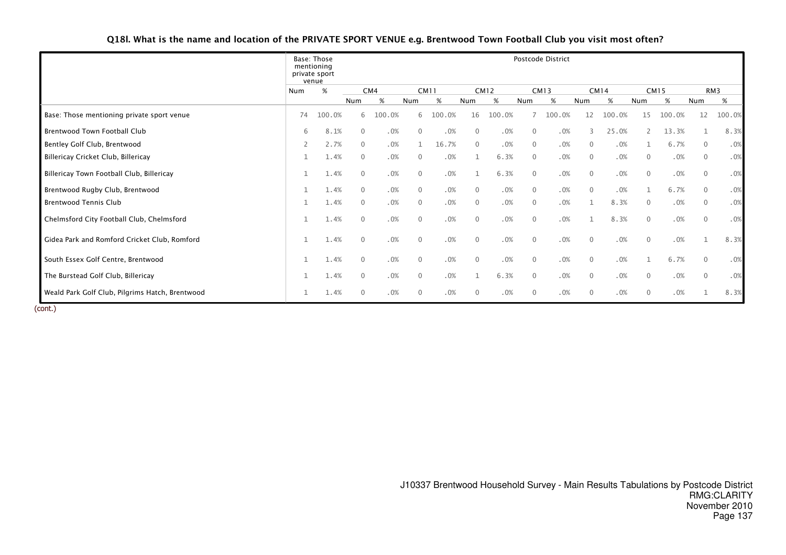Q18l. What is the name and location of the PRIVATE SPORT VENUE e.g. Brentwood Town Football Club you visit most often?

|                                                 |     | Base: Those<br>mentioning<br>private sport<br>venue |              |        |                |        |              |             |                | Postcode District |                |             |              |             |              |        |
|-------------------------------------------------|-----|-----------------------------------------------------|--------------|--------|----------------|--------|--------------|-------------|----------------|-------------------|----------------|-------------|--------------|-------------|--------------|--------|
|                                                 | Num | %                                                   |              | CM4    | <b>CM11</b>    |        |              | <b>CM12</b> |                | <b>CM13</b>       |                | <b>CM14</b> |              | <b>CM15</b> |              | RM3    |
|                                                 |     |                                                     | Num          | $\%$   | Num            | %      | Num          | $\%$        | Num            | %                 | Num            | %           | Num          | $\%$        | Num          | %      |
| Base: Those mentioning private sport venue      | 74  | 100.0%                                              | 6            | 100.0% | 6              | 100.0% | 16           | 100.0%      |                | 100.0%            | 12             | 100.0%      | 15           | 100.0%      | 12           | 100.0% |
| <b>Brentwood Town Football Club</b>             | 6   | 8.1%                                                | $\mathbf{0}$ | .0%    | $\Omega$       | .0%    | $\Omega$     | .0%         | $\overline{0}$ | .0%               | $\mathcal{E}$  | 25.0%       |              | 13.3%       | 1            | 8.3%   |
| Bentley Golf Club, Brentwood                    | 2   | 2.7%                                                | 0            | .0%    |                | 16.7%  | $\mathbf 0$  | .0%         | $\overline{0}$ | .0%               | $\overline{0}$ | .0%         |              | 6.7%        | 0            | .0%    |
| Billericay Cricket Club, Billericay             |     | 1.4%                                                | 0            | .0%    | $\mathbf{0}$   | .0%    |              | 6.3%        | $\mathbf 0$    | .0%               | $\overline{0}$ | .0%         | 0            | .0%         | 0            | .0%    |
| Billericay Town Football Club, Billericay       |     | 1.4%                                                | $\mathbf 0$  | .0%    | $\overline{0}$ | .0%    |              | 6.3%        | $\overline{0}$ | .0%               | $\mathbf{0}$   | .0%         | $\mathbf 0$  | .0%         | $\mathbf 0$  | .0%    |
| Brentwood Rugby Club, Brentwood                 |     | 1.4%                                                | $\mathbf{0}$ | .0%    | $\overline{0}$ | .0%    | $\mathbf{0}$ | .0%         | $\mathbf{0}$   | .0%               | $\Omega$       | .0%         |              | 6.7%        | $\mathbf{0}$ | .0%    |
| <b>Brentwood Tennis Club</b>                    |     | 1.4%                                                | $\mathbf{0}$ | .0%    | $\overline{0}$ | .0%    | $\mathbf{0}$ | .0%         | $\mathbf{0}$   | .0%               |                | 8.3%        | $\mathbf{0}$ | .0%         | $\mathbf{0}$ | .0%    |
| Chelmsford City Football Club, Chelmsford       |     | 1.4%                                                | $\mathbf{0}$ | .0%    | $\overline{0}$ | .0%    | $\mathbf{0}$ | .0%         | $\mathbf 0$    | .0%               |                | 8.3%        | $\mathbf{0}$ | .0%         | $\mathbf{0}$ | .0%    |
| Gidea Park and Romford Cricket Club, Romford    |     | 1.4%                                                | $\mathbf{0}$ | .0%    | $\Omega$       | .0%    | $\mathbf{0}$ | .0%         | $\mathbf 0$    | .0%               | $\Omega$       | .0%         | $\mathbf{0}$ | .0%         | $\mathbf{1}$ | 8.3%   |
| South Essex Golf Centre, Brentwood              |     | 1.4%                                                | $\mathbf{0}$ | .0%    | $\overline{0}$ | .0%    | $\mathbf{0}$ | .0%         | $\overline{0}$ | .0%               | $\mathbf{0}$   | .0%         |              | 6.7%        | 0            | .0%    |
| The Burstead Golf Club, Billericay              |     | 1.4%                                                | $\mathbf 0$  | .0%    | $\mathbf{0}$   | .0%    |              | 6.3%        | $\mathbf 0$    | .0%               | $\mathbf{0}$   | .0%         | $\mathbf 0$  | .0%         | 0            | .0%    |
| Weald Park Golf Club, Pilgrims Hatch, Brentwood |     | 1.4%                                                | $\mathbf{0}$ | .0%    | $\Omega$       | .0%    | $\Omega$     | .0%         | $\mathbf{0}$   | .0%               | $\Omega$       | .0%         | $\mathbf{0}$ | .0%         |              | 8.3%   |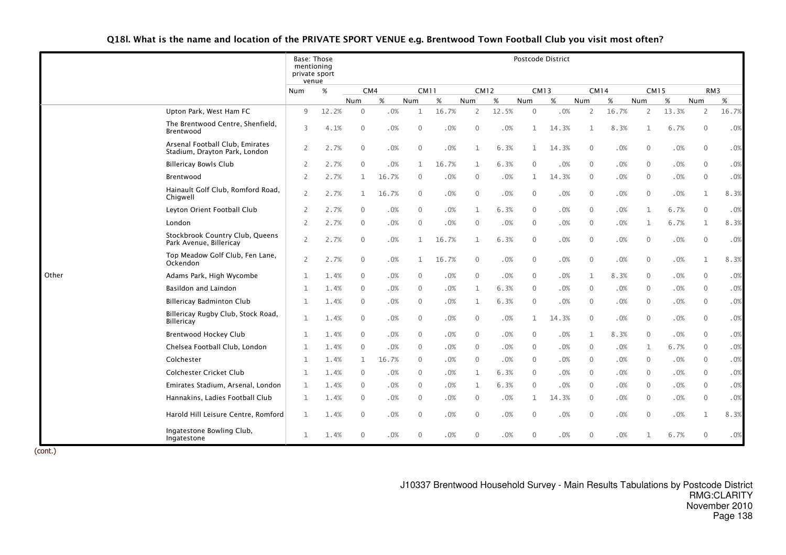Q18l. What is the name and location of the PRIVATE SPORT VENUE e.g. Brentwood Town Football Club you visit most often?

|       |                                                                  | Base: Those<br>mentioning<br>private sport<br>venue |       |              |        |              |       |                |       |              | Postcode District |              |        |              |       |                 |       |
|-------|------------------------------------------------------------------|-----------------------------------------------------|-------|--------------|--------|--------------|-------|----------------|-------|--------------|-------------------|--------------|--------|--------------|-------|-----------------|-------|
|       |                                                                  | Num                                                 | $\%$  | CM4          |        | <b>CM11</b>  |       | <b>CM12</b>    |       |              | <b>CM13</b>       | <b>CM14</b>  |        | <b>CM15</b>  |       | RM <sub>3</sub> |       |
|       |                                                                  |                                                     |       | Num          | %      | Num          | $\%$  | Num            | $\%$  | Num          | %                 | Num          | $\%$   | Num          | %     | Num             | %     |
|       | Upton Park, West Ham FC                                          | 9                                                   | 12.2% | $\mathbf{0}$ | .0%    | 1            | 16.7% | 2              | 12.5% | 0            | .0%               | 2            | 16.7%  | 2            | 13.3% | 2               | 16.7% |
|       | The Brentwood Centre, Shenfield,<br>Brentwood                    | 3                                                   | 4.1%  | $\mathbf{0}$ | .0%    | $\mathbf{0}$ | .0%   | $\mathbf{0}$   | .0%   | $\mathbf{1}$ | 14.3%             | 1            | 8.3%   | $\mathbf{1}$ | 6.7%  | $\Omega$        | .0%   |
|       | Arsenal Football Club, Emirates<br>Stadium, Drayton Park, London | 2                                                   | 2.7%  | $\mathbf{0}$ | .0%    | $\mathbf{0}$ | .0%   | 1              | 6.3%  | $\mathbf{1}$ | 14.3%             | $\mathbf{0}$ | .0%    | $\mathbf{0}$ | .0%   | $\mathbf{0}$    | .0%   |
|       | <b>Billericay Bowls Club</b>                                     | $\overline{2}$                                      | 2.7%  | $\mathbf{0}$ | .0%    | $\mathbf{1}$ | 16.7% | $\mathbf{1}$   | 6.3%  | $\Omega$     | .0%               | $\mathbf{0}$ | .0%    | $\Omega$     | .0%   | $\Omega$        | .0%   |
|       | Brentwood                                                        | 2                                                   | 2.7%  | $\mathbf{1}$ | 16.7%  | $\mathbf 0$  | .0%   | $\overline{0}$ | .0%   | 1            | 14.3%             | $\mathbf{0}$ | .0%    | $\mathbf{0}$ | .0%   | $\mathbf{0}$    | .0%   |
|       | Hainault Golf Club, Romford Road,<br>Chigwell                    | $\overline{2}$                                      | 2.7%  | $\mathbf{1}$ | 16.7%  | $\mathbf{0}$ | .0%   | $\mathbf{0}$   | .0%   | $\Omega$     | .0%               | $\mathbf{0}$ | .0%    | $\mathbf{0}$ | .0%   | $\mathbf{1}$    | 8.3%  |
|       | Leyton Orient Football Club                                      | $\overline{2}$                                      | 2.7%  | $\mathbf{0}$ | .0%    | $\mathbf{0}$ | .0%   | $\mathbf{1}$   | 6.3%  | $\Omega$     | .0%               | $\mathbf{0}$ | .0%    | $\mathbf{1}$ | 6.7%  | $\theta$        | .0%   |
|       | London                                                           | $\overline{2}$                                      | 2.7%  | $\mathbf{0}$ | .0%    | $\mathbf{0}$ | .0%   | $\Omega$       | .0%   | $\Omega$     | .0%               | $\mathbf{0}$ | .0%    | $\mathbf 1$  | 6.7%  | 1               | 8.3%  |
|       | Stockbrook Country Club, Queens<br>Park Avenue, Billericay       | $\overline{2}$                                      | 2.7%  | $\mathbf{0}$ | .0%    | 1            | 16.7% | $\mathbf{1}$   | 6.3%  | $\Omega$     | .0%               | $\mathbf{0}$ | $.0\%$ | $\mathbf{0}$ | .0%   | $\Omega$        | .0%   |
|       | Top Meadow Golf Club, Fen Lane,<br>Ockendon                      | $\overline{2}$                                      | 2.7%  | $\mathbf 0$  | $.0\%$ | 1            | 16.7% | $\overline{0}$ | .0%   | $\mathbf 0$  | .0%               | 0            | $.0\%$ | $\mathbf 0$  | .0%   | 1               | 8.3%  |
| Other | Adams Park, High Wycombe                                         | 1                                                   | 1.4%  | $\mathbf{0}$ | .0%    | $\mathbf{0}$ | .0%   | $\mathbf{0}$   | .0%   | $\mathbf{0}$ | .0%               | 1            | 8.3%   | $\mathbf{0}$ | .0%   | $\Omega$        | .0%   |
|       | Basildon and Laindon                                             | $\mathbf{1}$                                        | 1.4%  | $\mathbf{0}$ | .0%    | $\mathbf{0}$ | .0%   | $\mathbf{1}$   | 6.3%  | $\Omega$     | .0%               | $\Omega$     | .0%    | $\Omega$     | .0%   | $\Omega$        | .0%   |
|       | <b>Billericay Badminton Club</b>                                 | $\mathbf{1}$                                        | 1.4%  | $\mathbf{0}$ | .0%    | $\mathbf{0}$ | .0%   | 1              | 6.3%  | $\mathbf{0}$ | .0%               | $\mathbf{0}$ | .0%    | $\mathbf{0}$ | .0%   | $\mathbf{0}$    | .0%   |
|       | Billericay Rugby Club, Stock Road,<br><b>Billericay</b>          | $\mathbf{1}$                                        | 1.4%  | $\mathbf 0$  | .0%    | $\mathbf 0$  | .0%   | $\overline{0}$ | .0%   | 1            | 14.3%             | 0            | .0%    | $\mathbf 0$  | .0%   | $\mathbf{0}$    | .0%   |
|       | <b>Brentwood Hockey Club</b>                                     | $\mathbf{1}$                                        | 1.4%  | $\mathbf{0}$ | .0%    | $\mathbf{0}$ | .0%   | $\mathbf{0}$   | .0%   | 0            | .0%               | 1            | 8.3%   | $\mathbf{0}$ | .0%   | $\mathbf{0}$    | .0%   |
|       | Chelsea Football Club, London                                    | $\mathbf{1}$                                        | 1.4%  | $\mathbf{0}$ | .0%    | $\mathbf{0}$ | .0%   | $\mathbf{0}$   | .0%   | $\Omega$     | .0%               | $\mathbf{0}$ | .0%    | $\mathbf{1}$ | 6.7%  | $\Omega$        | .0%   |
|       | Colchester                                                       | $\mathbf{1}$                                        | 1.4%  | $\mathbf{1}$ | 16.7%  | $\mathbf{0}$ | .0%   | $\overline{0}$ | .0%   | $\mathbf{0}$ | .0%               | $\mathbf{0}$ | .0%    | $\mathbf{0}$ | .0%   | $\Omega$        | .0%   |
|       | <b>Colchester Cricket Club</b>                                   | $\mathbf{1}$                                        | 1.4%  | $\mathbf{0}$ | .0%    | $\mathbf{0}$ | .0%   | $\mathbf{1}$   | 6.3%  | $\Omega$     | .0%               | $\Omega$     | .0%    | $\Omega$     | .0%   | $\Omega$        | .0%   |
|       | Emirates Stadium, Arsenal, London                                | 1                                                   | 1.4%  | $\mathbf{0}$ | .0%    | $\mathbf{0}$ | .0%   | 1              | 6.3%  | $\mathbf{0}$ | .0%               | $\mathbf{0}$ | .0%    | $\mathbf{0}$ | .0%   | $\Omega$        | .0%   |
|       | Hannakins, Ladies Football Club                                  | 1                                                   | 1.4%  | $\mathbf 0$  | .0%    | $\mathbf 0$  | .0%   | $\overline{0}$ | .0%   | 1            | 14.3%             | $\mathbf{0}$ | .0%    | $\mathbf{0}$ | .0%   | $\mathbf{0}$    | .0%   |
|       | Harold Hill Leisure Centre, Romford                              | $\mathbf{1}$                                        | 1.4%  | $\mathbf{0}$ | .0%    | $\mathbf{0}$ | .0%   | $\mathbf{0}$   | .0%   | $\Omega$     | .0%               | $\Omega$     | .0%    | $\Omega$     | .0%   | $\mathbf{1}$    | 8.3%  |
|       | Ingatestone Bowling Club,<br>Ingatestone                         | $\mathbf{1}$                                        | 1.4%  | $\mathbf{0}$ | .0%    | $\mathbf{0}$ | .0%   | $\mathbf{0}$   | .0%   | $\Omega$     | .0%               | $\mathbf{0}$ | .0%    | $\mathbf{1}$ | 6.7%  | $\mathbf{0}$    | .0%   |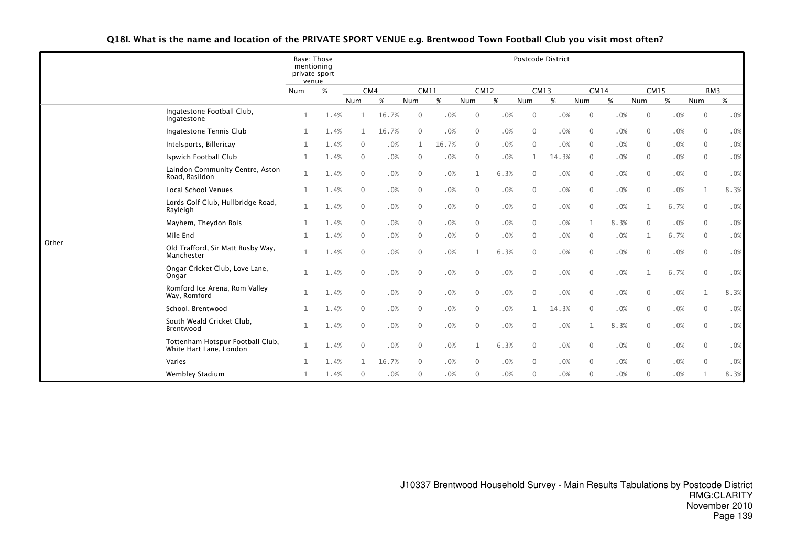Q18l. What is the name and location of the PRIVATE SPORT VENUE e.g. Brentwood Town Football Club you visit most often?

|       |                                                             | Base: Those<br>mentioning<br>private sport<br>venue |      |              |       |                |        |                |      |                | Postcode District |                |             |              |        |                 |      |
|-------|-------------------------------------------------------------|-----------------------------------------------------|------|--------------|-------|----------------|--------|----------------|------|----------------|-------------------|----------------|-------------|--------------|--------|-----------------|------|
|       |                                                             | Num                                                 | $\%$ | CM4          |       | <b>CM11</b>    |        | <b>CM12</b>    |      | <b>CM13</b>    |                   |                | <b>CM14</b> | <b>CM15</b>  |        | RM <sub>3</sub> |      |
|       |                                                             |                                                     |      | Num          | %     | Num            | %      | Num            | $\%$ | Num            | $\%$              | Num            | %           | Num          | $\%$   | Num             | $\%$ |
|       | Ingatestone Football Club,<br>Ingatestone                   | $\mathbf{1}$                                        | 1.4% | 1            | 16.7% | $\mathbf{0}$   | .0%    | $\mathbf{0}$   | .0%  | $\mathbf{0}$   | .0%               | $\mathbf{0}$   | .0%         | $\mathbf 0$  | .0%    | $\mathbf 0$     | .0%  |
|       | Ingatestone Tennis Club                                     | 1                                                   | 1.4% | $\mathbf{1}$ | 16.7% | $\mathbf{0}$   | .0%    | $\mathbf{0}$   | .0%  | $\mathbf{0}$   | .0%               | $\mathbf{0}$   | .0%         | $\Omega$     | .0%    | $\mathbf{0}$    | .0%  |
|       | Intelsports, Billericay                                     | $\mathbf{1}$                                        | 1.4% | $\Omega$     | .0%   | 1              | 16.7%  | $\Omega$       | .0%  | $\mathbf{0}$   | .0%               | $\Omega$       | .0%         | $\Omega$     | .0%    | $\Omega$        | .0%  |
|       | Ispwich Football Club                                       | $\mathbf{1}$                                        | 1.4% | $\mathbf{0}$ | .0%   | $\mathbf{0}$   | .0%    | $\mathbf{0}$   | .0%  | 1              | 14.3%             | $\mathbf{0}$   | .0%         | $\mathbf{0}$ | .0%    | $\mathbf{0}$    | .0%  |
|       | Laindon Community Centre, Aston<br>Road, Basildon           | $\mathbf{1}$                                        | 1.4% | $\mathbf{0}$ | .0%   | $\mathbf 0$    | .0%    | 1              | 6.3% | $\mathbf 0$    | .0%               | $\mathbf 0$    | $.0\%$      | $\mathbf 0$  | $.0\%$ | $\mathbf{0}$    | .0%  |
|       | <b>Local School Venues</b>                                  | 1                                                   | 1.4% | $\mathbf{0}$ | .0%   | $\mathbf{0}$   | .0%    | $\mathbf{0}$   | .0%  | $\mathbf{0}$   | .0%               | $\mathbf{0}$   | .0%         | $\mathbf 0$  | .0%    | $\mathbf{1}$    | 8.3% |
|       | Lords Golf Club, Hullbridge Road,<br>Rayleigh               | $\mathbf{1}$                                        | 1.4% | $\mathbf{0}$ | .0%   | $\mathbf{0}$   | .0%    | $\mathbf{0}$   | .0%  | $\mathbf{0}$   | .0%               | $\mathbf{0}$   | .0%         | $\mathbf{1}$ | 6.7%   | $\mathbf{0}$    | .0%  |
|       | Mayhem, Theydon Bois                                        | $\mathbf{1}$                                        | 1.4% | $\mathbf{0}$ | .0%   | $\mathbf{0}$   | .0%    | $\mathbf{0}$   | .0%  | $\mathbf{0}$   | .0%               | $\mathbf{1}$   | 8.3%        | $\Omega$     | .0%    | $\mathbf{0}$    | .0%  |
|       | Mile End                                                    | $\mathbf{1}$                                        | 1.4% | $\mathbf{0}$ | .0%   | $\mathbf{0}$   | .0%    | $\mathbf{0}$   | .0%  | $\mathbf{0}$   | .0%               | $\mathbf{0}$   | .0%         | 1            | 6.7%   | $\Omega$        | .0%  |
| Other | Old Trafford, Sir Matt Busby Way,<br>Manchester             | $\mathbf{1}$                                        | 1.4% | $\mathbf{0}$ | .0%   | $\Omega$       | .0%    |                | 6.3% | $\mathbf{0}$   | .0%               | $\mathbf{0}$   | .0%         | $\Omega$     | .0%    | $\mathbf{0}$    | .0%  |
|       | Ongar Cricket Club, Love Lane,<br>Ongar                     | $\mathbf{1}$                                        | 1.4% | $\mathbf{0}$ | .0%   | $\mathbf{0}$   | .0%    | $\mathbf{0}$   | .0%  | $\mathbf 0$    | .0%               | $\mathbf 0$    | .0%         | 1            | 6.7%   | $\mathbf{0}$    | .0%  |
|       | Romford Ice Arena, Rom Valley<br>Way, Romford               | $\mathbf{1}$                                        | 1.4% | $\mathbf{0}$ | .0%   | $\mathbf{0}$   | $.0\%$ | $\mathbf{0}$   | .0%  | $\mathbf{0}$   | .0%               | $\mathbf{0}$   | .0%         | $\Omega$     | $.0\%$ | $\mathbf{1}$    | 8.3% |
|       | School, Brentwood                                           | $\mathbf{1}$                                        | 1.4% | $\mathbf{0}$ | .0%   | $\mathbf{0}$   | .0%    | $\mathbf{0}$   | .0%  | $\mathbf{1}$   | 14.3%             | $\mathbf{0}$   | .0%         | $\mathbf{0}$ | .0%    | $\mathbf{0}$    | .0%  |
|       | South Weald Cricket Club,<br>Brentwood                      | $\mathbf{1}$                                        | 1.4% | $\mathbf{0}$ | .0%   | $\mathbf{0}$   | .0%    | $\mathbf{0}$   | .0%  | $\mathbf{0}$   | .0%               | $\mathbf{1}$   | 8.3%        | $\mathbf{0}$ | .0%    | $\mathbf{0}$    | .0%  |
|       | Tottenham Hotspur Football Club,<br>White Hart Lane, London | $\mathbf{1}$                                        | 1.4% | $\Omega$     | .0%   | $\mathbf{0}$   | .0%    | 1              | 6.3% | $\mathbf{0}$   | .0%               | $\Omega$       | .0%         | $\Omega$     | .0%    | $\mathbf{0}$    | .0%  |
|       | Varies                                                      | $\mathbf{1}$                                        | 1.4% | $\mathbf{1}$ | 16.7% | $\overline{0}$ | .0%    | $\overline{0}$ | .0%  | $\overline{0}$ | .0%               | $\overline{0}$ | .0%         | $\mathbf{0}$ | .0%    | $\mathbf{0}$    | .0%  |
|       | Wembley Stadium                                             | 1                                                   | 1.4% | $\mathbf{0}$ | .0%   | $\mathbf{0}$   | .0%    | $\mathbf{0}$   | .0%  | $\mathbf{0}$   | .0%               | $\mathbf{0}$   | .0%         | $\Omega$     | .0%    | $\mathbf{1}$    | 8.3% |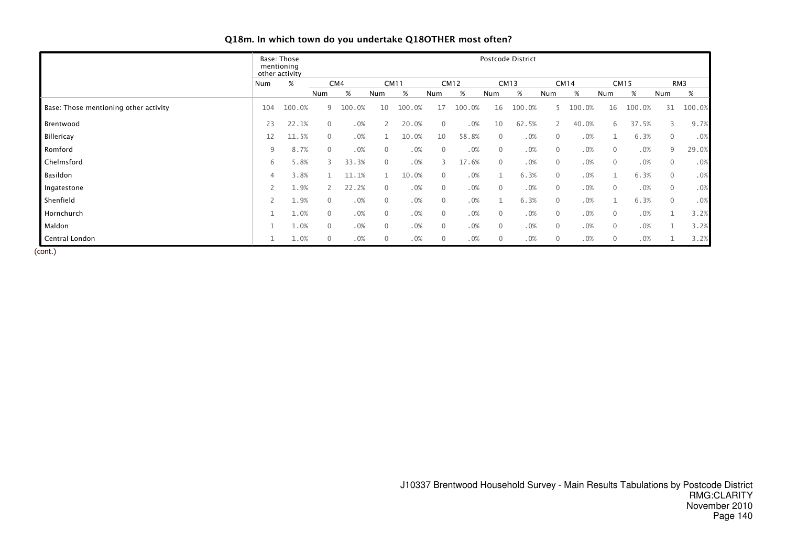|                                       |                | Base: Those<br>mentioning<br>other activity |              |        |                |             |              |             |              | Postcode District |              |        |              |             |                |        |
|---------------------------------------|----------------|---------------------------------------------|--------------|--------|----------------|-------------|--------------|-------------|--------------|-------------------|--------------|--------|--------------|-------------|----------------|--------|
|                                       | Num            | $\%$                                        |              | CM4    |                | <b>CM11</b> |              | <b>CM12</b> |              | <b>CM13</b>       |              | CM14   |              | <b>CM15</b> |                | RM3    |
|                                       |                |                                             | Num          | %      | Num            | %           | Num          | %           | Num          | $\%$              | Num          | %      | Num          | %           | Num            | %      |
| Base: Those mentioning other activity | 104            | 100.0%                                      | 9            | 100.0% | 10             | 100.0%      | 17           | 100.0%      | 16           | 100.0%            |              | 100.0% | 16           | 100.0%      | 31             | 100.0% |
| Brentwood                             | 23             | 22.1%                                       | $\mathbf{0}$ | .0%    |                | 20.0%       | $\mathbf 0$  | .0%         | 10           | 62.5%             |              | 40.0%  | 6            | 37.5%       | 3              | 9.7%   |
| Billericay                            | 12             | 11.5%                                       | $\mathbf{0}$ | .0%    |                | 10.0%       | 10           | 58.8%       | $\mathbf 0$  | .0%               | $\mathbf{0}$ | .0%    |              | 6.3%        | $\mathbf{0}$   | .0%    |
| Romford                               | 9              | 8.7%                                        | $\mathbf{0}$ | .0%    | $\Omega$       | .0%         | $\Omega$     | .0%         | $\Omega$     | .0%               | $\mathbf{0}$ | .0%    | $\mathbf{0}$ | .0%         | 9              | 29.0%  |
| Chelmsford                            | 6              | 5.8%                                        | 3            | 33.3%  | $\Omega$       | .0%         | 3            | 17.6%       | $\Omega$     | .0%               | $\mathbf{0}$ | .0%    | $\mathbf{0}$ | .0%         | $\overline{0}$ | .0%    |
| Basildon                              | 4              | 3.8%                                        |              | 11.1%  |                | 10.0%       | 0            | .0%         | $\mathbf{1}$ | 6.3%              | $\Omega$     | .0%    |              | 6.3%        | $\mathbf{0}$   | .0%    |
| Ingatestone                           |                | 1.9%                                        | $\mathsf{2}$ | 22.2%  | $\mathbf{0}$   | .0%         | $\mathbf{0}$ | .0%         | $\mathbf{0}$ | .0%               | $\mathbf{0}$ | .0%    | $\mathbf{0}$ | .0%         | $\mathbf 0$    | .0%    |
| Shenfield                             | $\overline{2}$ | 1.9%                                        | $\mathbf{0}$ | .0%    | $\overline{0}$ | .0%         | $\mathbf{0}$ | .0%         | $\mathbf{1}$ | 6.3%              | $\mathbf{0}$ | .0%    |              | 6.3%        | $\mathbf{0}$   | .0%    |
| Hornchurch                            |                | 1.0%                                        | $\mathbf{0}$ | .0%    | $\Omega$       | .0%         | 0            | .0%         | $\Omega$     | .0%               | $\mathbf{0}$ | .0%    | $\mathbf{0}$ | .0%         |                | 3.2%   |
| Maldon                                |                | 1.0%                                        | $\mathbf{0}$ | .0%    | $\mathbf{0}$   | .0%         | $\mathbf{0}$ | .0%         | $\mathbf{0}$ | .0%               | $\mathbf{0}$ | .0%    | $\mathbf{0}$ | .0%         |                | 3.2%   |
| Central London                        |                | 1.0%                                        | $\mathbf 0$  | .0%    | $\mathbf{0}$   | .0%         | $\mathbf{0}$ | .0%         | $\mathbf{0}$ | .0%               | $\mathbf{0}$ | .0%    | $\mathbf 0$  | .0%         |                | 3.2%   |

# Q18m. In which town do you undertake Q18OTHER most often?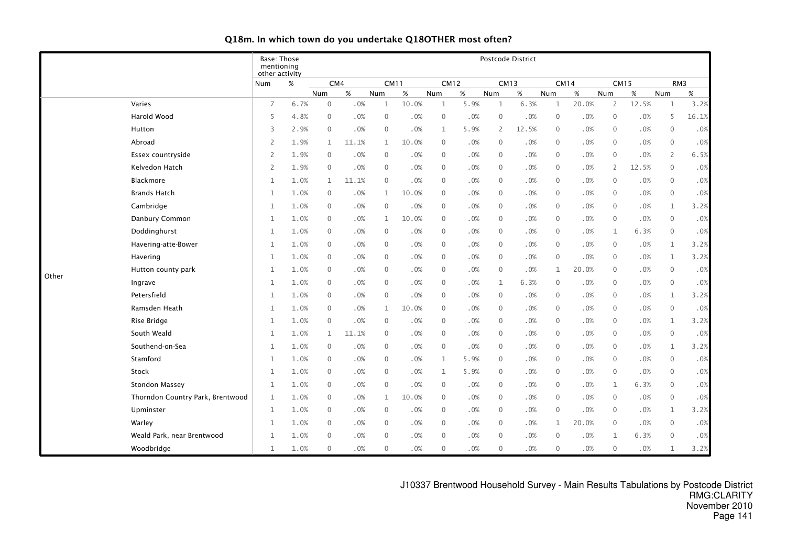|       |                                  | <b>Base: Those</b><br>mentioning<br>other activity |      |                |       |                  |             |              |             |                | Postcode District |              |        |                  |             |                     |       |
|-------|----------------------------------|----------------------------------------------------|------|----------------|-------|------------------|-------------|--------------|-------------|----------------|-------------------|--------------|--------|------------------|-------------|---------------------|-------|
|       |                                  | Num                                                | $\%$ |                | CM4   |                  | <b>CM11</b> |              | <b>CM12</b> | <b>CM13</b>    |                   | <b>CM14</b>  |        |                  | <b>CM15</b> | RM3                 |       |
|       |                                  |                                                    |      | Num            | %     | Num              | %           | Num          | $\%$        | Num            | %                 | Num          | %      | Num              | $\%$        | <b>Num</b>          | $\%$  |
|       | Varies                           | $\overline{7}$                                     | 6.7% | $\mathbf 0$    | .0%   | $\mathbf 1$      | 10.0%       | 1            | 5.9%        | $\mathbf{1}$   | 6.3%              | $\mathbf{1}$ | 20.0%  | 2                | 12.5%       | $\mathbf{1}$        | 3.2%  |
|       | Harold Wood                      | 5                                                  | 4.8% | $\overline{0}$ | .0%   | $\boldsymbol{0}$ | .0%         | $\mathbf 0$  | .0%         | $\mathbf 0$    | .0%               | 0            | .0%    | 0                | .0%         | 5                   | 16.1% |
|       | Hutton                           | 3                                                  | 2.9% | $\overline{0}$ | .0%   | $\mathbf 0$      | .0%         | $\mathbf{1}$ | 5.9%        | $\overline{2}$ | 12.5%             | $\mathbf 0$  | .0%    | $\mathbf 0$      | .0%         | $\mathbf 0$         | .0%   |
|       | Abroad                           | 2                                                  | 1.9% | $\mathbf{1}$   | 11.1% | 1                | 10.0%       | $\mathbf{0}$ | .0%         | $\mathbf{0}$   | .0%               | $\mathbf{0}$ | .0%    | $\mathbf{0}$     | .0%         | $\mathbf 0$         | .0%   |
|       | Essex countryside                | 2                                                  | 1.9% | $\overline{0}$ | .0%   | $\mathbf{0}$     | .0%         | $\Omega$     | $.0\%$      | $\mathbf{0}$   | $.0\%$            | $\mathbf{0}$ | .0%    | $\boldsymbol{0}$ | .0%         | $\overline{2}$      | 6.5%  |
|       | Kelvedon Hatch                   | 2                                                  | 1.9% | $\overline{0}$ | .0%   | $\mathbf{0}$     | .0%         | $\Omega$     | .0%         | $\mathbf{0}$   | .0%               | $\mathbf{0}$ | .0%    | 2                | 12.5%       | $\mathbf 0$         | .0%   |
|       | Blackmore                        | $\mathbf{1}$                                       | 1.0% | $\mathbf{1}$   | 11.1% | $\mathbf 0$      | .0%         | $\mathbf{0}$ | $.0\%$      | $\mathbf{0}$   | $.0\%$            | 0            | .0%    | $\boldsymbol{0}$ | .0%         | $\mathbf 0$         | .0%   |
|       | <b>Brands Hatch</b>              | 1                                                  | 1.0% | $\mathbf{0}$   | .0%   | $\mathbf{1}$     | 10.0%       | $\Omega$     | .0%         | $\mathbf{0}$   | .0%               | $\mathbf 0$  | .0%    | $\mathbf{0}$     | .0%         | $\mathbf 0$         | .0%   |
|       | Cambridge                        | 1                                                  | 1.0% | $\overline{0}$ | .0%   | $\mathbf{0}$     | .0%         | $\Omega$     | .0%         | $\mathbf{0}$   | .0%               | $\mathbf 0$  | .0%    | $\mathbf 0$      | .0%         | $\mathbf{1}$        | 3.2%  |
|       | Danbury Common                   | 1                                                  | 1.0% | $\overline{0}$ | .0%   | $\mathbf{1}$     | 10.0%       | $\mathbf{0}$ | .0%         | $\mathbf{0}$   | .0%               | 0            | .0%    | $\mathbf 0$      | .0%         | $\mathbf 0$         | .0%   |
|       | Doddinghurst                     | 1                                                  | 1.0% | $\overline{0}$ | .0%   | $\mathbf 0$      | .0%         | $\Omega$     | $.0\%$      | $\mathbf{0}$   | .0%               | $\mathbf 0$  | .0%    | $\mathbf{1}$     | 6.3%        | $\mathbf 0$         | .0%   |
|       | Havering-atte-Bower              | 1                                                  | 1.0% | $\overline{0}$ | .0%   | $\mathbf{0}$     | .0%         | $\mathbf{0}$ | .0%         | $\mathbf{0}$   | .0%               | 0            | .0%    | $\mathbf 0$      | .0%         | $\mathbf{1}$        | 3.2%  |
|       | Havering                         | 1                                                  | 1.0% | $\overline{0}$ | .0%   | $\mathbf 0$      | .0%         | $\mathbf{0}$ | $.0\%$      | $\mathbf{0}$   | $.0\%$            | $\mathbf{0}$ | .0%    | $\mathbf 0$      | .0%         | $\mathbf{1}$        | 3.2%  |
|       | Hutton county park               | $\mathbf{1}$                                       | 1.0% | $\overline{0}$ | .0%   | $\mathbf 0$      | .0%         | $\mathbf{0}$ | .0%         | $\mathbf 0$    | .0%               | $\mathbf{1}$ | 20.0%  | $\mathbf{0}$     | .0%         | $\mathbf 0$         | .0%   |
| Other | Ingrave                          | 1                                                  | 1.0% | $\overline{0}$ | .0%   | $\Omega$         | .0%         | $\Omega$     | .0%         | $\mathbf{1}$   | 6.3%              | $\mathbf 0$  | .0%    | $\mathbf{0}$     | .0%         | $\mathbf 0$         | .0%   |
|       | Petersfield                      | 1                                                  | 1.0% | $\overline{0}$ | .0%   | $\mathbf{0}$     | .0%         | $\Omega$     | .0%         | $\mathbf{0}$   | .0%               | $\mathbf{0}$ | .0%    | $\mathbf{0}$     | .0%         | $\mathbf{1}$        | 3.2%  |
|       | Ramsden Heath                    | 1                                                  | 1.0% | $\overline{0}$ | .0%   | $\mathbf 1$      | 10.0%       | $\mathbf{0}$ | .0%         | $\mathbf 0$    | $.0\%$            | 0            | .0%    | $\mathbf 0$      | .0%         | $\mathsf{O}\xspace$ | .0%   |
|       | Rise Bridge                      | 1                                                  | 1.0% | $\overline{0}$ | .0%   | $\mathbf 0$      | .0%         | $\mathbf{0}$ | .0%         | $\mathbf{0}$   | .0%               | $\mathbf{0}$ | .0%    | $\mathbf 0$      | .0%         | $\mathbf{1}$        | 3.2%  |
|       | South Weald                      | $\mathbf 1$                                        | 1.0% | $\mathbf{1}$   | 11.1% | $\mathbf 0$      | $.0\%$      | $\mathbf{0}$ | $.0\%$      | $\mathbf 0$    | $.0\%$            | $\mathbf 0$  | $.0\%$ | $\mathbf 0$      | $.0\%$      | $\mathsf{O}\xspace$ | .0%   |
|       | Southend-on-Sea                  | 1                                                  | 1.0% | $\overline{0}$ | .0%   | $\mathbf{0}$     | .0%         | $\Omega$     | .0%         | $\mathbf{0}$   | .0%               | $\mathbf{0}$ | .0%    | $\mathbf{0}$     | .0%         | $\mathbf{1}$        | 3.2%  |
|       | Stamford                         | 1                                                  | 1.0% | $\overline{0}$ | .0%   | $\mathbf 0$      | .0%         | 1            | 5.9%        | $\mathbf{0}$   | .0%               | $\mathbf 0$  | .0%    | $\mathbf 0$      | .0%         | $\mathbf 0$         | .0%   |
|       | Stock                            | 1                                                  | 1.0% | $\mathbf{0}$   | .0%   | $\mathbf 0$      | .0%         | 1            | 5.9%        | $\mathbf{0}$   | .0%               | $\mathbf 0$  | .0%    | $\mathbf{0}$     | .0%         | $\mathbf 0$         | .0%   |
|       | <b>Stondon Massey</b>            | 1                                                  | 1.0% | $\overline{0}$ | .0%   | $\mathbf 0$      | .0%         | $\mathbf{0}$ | .0%         | $\mathbf 0$    | .0%               | $\mathbf 0$  | .0%    | $\mathbf{1}$     | 6.3%        | $\mathbf 0$         | .0%   |
|       | Thorndon Country Park, Brentwood | 1                                                  | 1.0% | $\overline{0}$ | .0%   | $\mathbf{1}$     | 10.0%       | $\mathbf{0}$ | $.0\%$      | $\mathbf{0}$   | $.0\%$            | 0            | .0%    | $\mathbf 0$      | .0%         | $\mathsf{O}\xspace$ | .0%   |
|       | Upminster                        | 1                                                  | 1.0% | $\overline{0}$ | .0%   | $\mathbf 0$      | .0%         | $\Omega$     | .0%         | $\mathbf{0}$   | .0%               | $\mathbf 0$  | .0%    | $\mathbf{0}$     | .0%         | $\mathbf{1}$        | 3.2%  |
|       | Warley                           | 1                                                  | 1.0% | $\overline{0}$ | .0%   | $\mathbf 0$      | .0%         | $\Omega$     | $.0\%$      | $\mathbf{0}$   | .0%               | $\mathbf{1}$ | 20.0%  | $\mathbf 0$      | .0%         | $\mathsf{O}\xspace$ | .0%   |
|       | Weald Park, near Brentwood       | -1                                                 | 1.0% | $\mathbf{0}$   | .0%   | $\Omega$         | .0%         | $\Omega$     | .0%         | $\mathbf{0}$   | .0%               | $\Omega$     | .0%    | $\mathbf{1}$     | 6.3%        | $\mathbf{0}$        | .0%   |
|       | Woodbridge                       | 1                                                  | 1.0% | $\overline{0}$ | .0%   | $\mathbf 0$      | .0%         | $\mathbf{0}$ | .0%         | $\mathbf{0}$   | .0%               | $\mathbf 0$  | .0%    | $\mathbf{0}$     | .0%         | $\mathbf 1$         | 3.2%  |

# Q18m. In which town do you undertake Q18OTHER most often?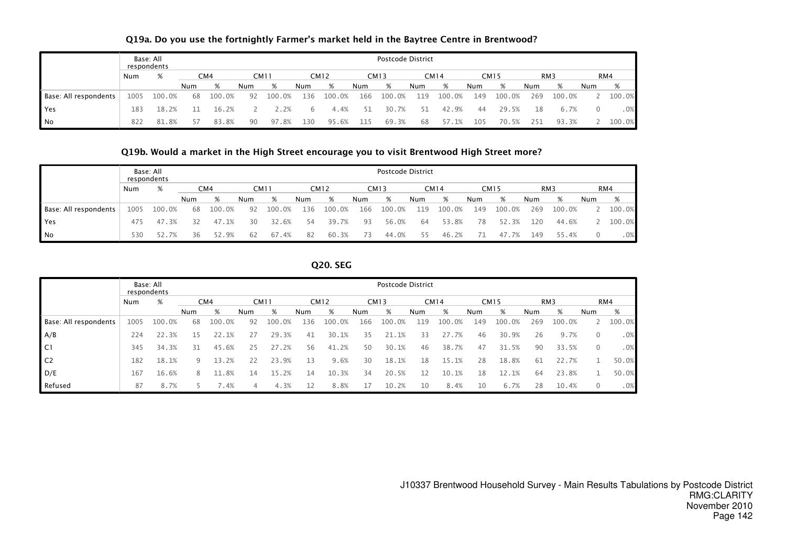|                       |      | Base: All<br>respondents |     |        |     |        |     |                  |     | Postcode District |     |             |     |        |     |                 |     |        |
|-----------------------|------|--------------------------|-----|--------|-----|--------|-----|------------------|-----|-------------------|-----|-------------|-----|--------|-----|-----------------|-----|--------|
|                       | Num  | %                        |     | CM4    |     | CM11   |     | CM <sub>12</sub> |     | <b>CM13</b>       |     | <b>CM14</b> |     | CM15   |     | RM <sub>3</sub> |     | RM4    |
|                       |      |                          | Num | %      | Num | %      | Num | %                | Num | %                 | Num | %           | Num | %      | Num | %               | Num | %      |
| Base: All respondents | 1005 | 100.0%                   | 68  | 100.0% | 92  | 100.0% | 136 | 100.0%           | 166 | 100.0%            | 119 | 100.0%      | 149 | 100.0% | 269 | 100.0%          |     | 100.0% |
| Yes                   | 183  | 18.2%                    |     | 16.2%  |     | 2.2%   | 6   | 4.4%             | 51  | 30.7%             | 51  | 42.9%       | 44  | 29.5%  | 18  | 6.7%            |     | . 0%   |
| No                    | 822  | 81.8%                    |     | 83.8%  | 90  | 97.8%  | 130 | 95.6%            | 115 | 69.3%             | 68  | 57.1%       | 105 | 70.5%  | 251 | 93.3%           |     | 100.0% |

# Q19a. Do you use the fortnightly Farmer's market held in the Baytree Centre in Brentwood?

#### Q19b. Would a market in the High Street encourage you to visit Brentwood High Street more?

|                       |      | Base: All<br>respondents |     |        |     |             |     |             |     | Postcode District |     |        |     |        |     |                 |     |        |
|-----------------------|------|--------------------------|-----|--------|-----|-------------|-----|-------------|-----|-------------------|-----|--------|-----|--------|-----|-----------------|-----|--------|
|                       | Num  | %                        |     | CM4    |     | <b>CM11</b> |     | <b>CM12</b> |     | <b>CM13</b>       |     | CM14   |     | CM15   |     | RM <sub>3</sub> |     | RM4    |
|                       |      |                          | Num | %      | Num | %           | Num | %           | Num | %                 | Num | %      | Num | %      | Num | %               | Num | %      |
| Base: All respondents | 1005 | 100.0%                   | 68  | 100.0% | 92  | 100.0%      | 136 | 100.0%      | 166 | 100.0%            | 119 | 100.0% | 149 | 100.0% | 269 | 100.0%          |     | 100.0% |
| Yes                   | 475  | 47.3%                    | 32  | 47.1%  | 30  | 32.6%       | 54  | 39.7%       | 93  | 56.0%             | 64  | 53.8%  | 78  | 52.3%  | 120 | 44.6%           |     | 100.0% |
| N <sub>o</sub>        | 530  | 52.7%                    | 36  | 52.9%  | 62  | 67.4%       | 82  | 60.3%       | 73  | 44.0%             | 55. | 46.2%  | 71  | 47.7%  | 149 | 55.4%           | 0   | .0%    |

#### Q20. SEG

|                       |      | Base: All<br>respondents |            |        |             |        |     |             |     | Postcode District |     |             |     |             |     |                 |                |        |
|-----------------------|------|--------------------------|------------|--------|-------------|--------|-----|-------------|-----|-------------------|-----|-------------|-----|-------------|-----|-----------------|----------------|--------|
|                       | Num  | %                        |            | CM4    | <b>CM11</b> |        |     | <b>CM12</b> |     | <b>CM13</b>       |     | <b>CM14</b> |     | <b>CM15</b> |     | RM <sub>3</sub> |                | RM4    |
|                       |      |                          | <b>Num</b> | %      | Num         | %      | Num | %           | Num | %                 | Num | %           | Num | %           | Num | %               | Num            | %      |
| Base: All respondents | 1005 | 100.0%                   | 68         | 100.0% | 92          | 100.0% | 136 | 100.0%      | 166 | 100.0%            | 119 | 100.0%      | 149 | 100.0%      | 269 | 100.0%          |                | 100.0% |
| A/B                   | 224  | 22.3%                    | 15         | 22.1%  | 27          | 29.3%  | 41  | 30.1%       | 35  | 21.1%             | 33  | 27.7%       | 46  | 30.9%       | 26  | 9.7%            | $\Omega$       | .0%    |
| C1                    | 345  | 34.3%                    | 31         | 45.6%  | 25          | 27.2%  | 56  | 41.2%       | 50  | 30.1%             | 46  | 38.7%       | 47  | 31.5%       | 90  | 33.5%           | $\overline{0}$ | .0%    |
| C <sub>2</sub>        | 182  | 18.1%                    | 9          | 13.2%  | 22          | 23.9%  | 13  | 9.6%        | 30  | 18.1%             | 18  | 15.1%       | 28  | 18.8%       | 61  | 22.7%           |                | 50.0%  |
| D/E                   | 167  | 16.6%                    | 8          | 11.8%  | 14          | 15.2%  | 14  | 10.3%       | 34  | 20.5%             | 12  | 10.1%       | 18  | 12.1%       | 64  | 23.8%           |                | 50.0%  |
| Refused               | 87   | 8.7%                     |            | .4%    | 4           | 4.3%   | 12  | 8.8%        | 17  | 10.2%             | 10  | 8.4%        | 10  | 6.7%        | 28  | 10.4%           | $\Omega$       | .0%    |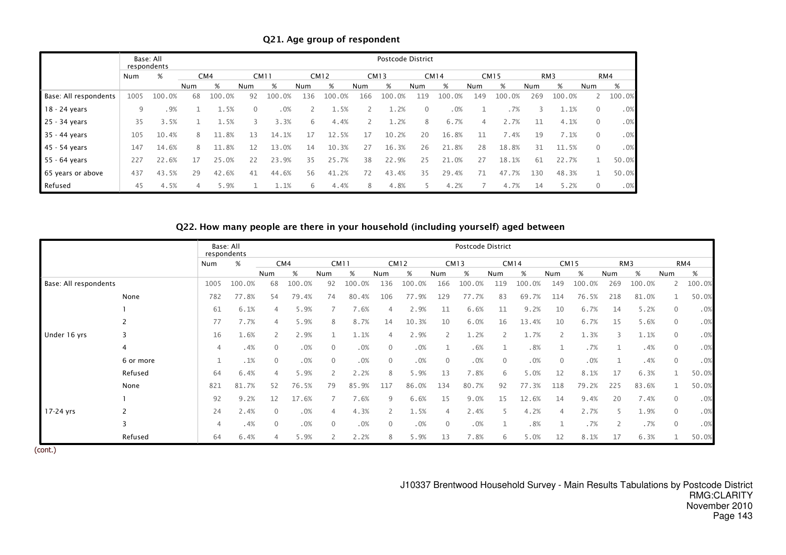|                       |      | Base: All<br>respondents |     |        |          |             |     |             |                | Postcode District |              |        |     |             |     |                 |                |        |
|-----------------------|------|--------------------------|-----|--------|----------|-------------|-----|-------------|----------------|-------------------|--------------|--------|-----|-------------|-----|-----------------|----------------|--------|
|                       | Num  | %                        |     | CM4    |          | <b>CM11</b> |     | <b>CM12</b> |                | <b>CM13</b>       |              | CM14   |     | <b>CM15</b> |     | RM <sub>3</sub> |                | RM4    |
|                       |      |                          | Num | %      | Num      | %           | Num | %           | Num            | %                 | <b>Num</b>   | %      | Num | %           | Num | %               | Num            | %      |
| Base: All respondents | 1005 | 100.0%                   | 68  | 100.0% | 92       | 100.0%      | 136 | 100.0%      | 166            | 100.0%            | 119          | 100.0% | 149 | 100.0%      | 269 | 100.0%          |                | 100.0% |
| 18 - 24 years         | 9    | .9%                      |     | 1.5%   | $\Omega$ | .0%         |     | 1.5%        |                | 1.2%              | $\mathbf{0}$ | .0%    |     | .7%         | 3   | 1.1%            | $\mathbf{0}$   | .0%    |
| 25 - 34 years         | 35   | 3.5%                     | 1   | 1.5%   | 3        | 3.3%        | 6   | 4.4%        | $\overline{2}$ | 1.2%              | 8            | 6.7%   | 4   | 2.7%        | 11  | 4.1%            | $\Omega$       | .0%    |
| 35 - 44 years         | 105  | 10.4%                    | 8   | 11.8%  | 13       | 14.1%       | 17  | 12.5%       | 17             | 10.2%             | 20           | 16.8%  | 11  | 7.4%        | 19  | 7.1%            | $\overline{0}$ | .0%    |
| 45 - 54 years         | 147  | 14.6%                    | 8   | 11.8%  | 12       | 13.0%       | 14  | 10.3%       | 27             | 16.3%             | 26           | 21.8%  | 28  | 18.8%       | 31  | 11.5%           | $\mathbf{0}$   | .0%    |
| 55 - 64 years         | 227  | 22.6%                    | 17  | 25.0%  | 22       | 23.9%       | 35  | 25.7%       | 38             | 22.9%             | 25           | 21.0%  | 27  | 18.1%       | 61  | 22.7%           |                | 50.0%  |
| 65 years or above     | 437  | 43.5%                    | 29  | 42.6%  | 41       | 44.6%       | 56  | 41.2%       | 72             | 43.4%             | 35           | 29.4%  | 71  | 47.7%       | 130 | 48.3%           |                | 50.0%  |
| Refused               | 45   | 4.5%                     | 4   | 5.9%   |          | 1.1%        | 6   | 4.4%        | 8              | 4.8%              |              | 4.2%   |     | 4.7%        | 14  | 5.2%            | $\Omega$       | .0%    |

Q21. Age group of respondent

# Q22. How many people are there in your household (including yourself) aged between

|                       |                |      | Base: All<br>respondents |                |        |              |             |              |             |              | Postcode District |              |             |          |             |     |        |              |        |
|-----------------------|----------------|------|--------------------------|----------------|--------|--------------|-------------|--------------|-------------|--------------|-------------------|--------------|-------------|----------|-------------|-----|--------|--------------|--------|
|                       |                | Num  | %                        |                | CM4    |              | <b>CM11</b> |              | <b>CM12</b> |              | <b>CM13</b>       |              | <b>CM14</b> |          | <b>CM15</b> |     | RM3    |              | RM4    |
|                       |                |      |                          | Num            | $\%$   | Num          | %           | Num          | %           | Num          | %                 | Num          | %           | Num      | %           | Num | %      | Num          | $\%$   |
| Base: All respondents |                | 1005 | 100.0%                   | 68             | 100.0% | 92           | 100.0%      | 136          | 100.0%      | 166          | 100.0%            | 119          | 100.0%      | 149      | 100.0%      | 269 | 100.0% | 2            | 100.0% |
|                       | None           | 782  | 77.8%                    | 54             | 79.4%  | 74           | 80.4%       | 106          | 77.9%       | 129          | 77.7%             | 83           | 69.7%       | 114      | 76.5%       | 218 | 81.0%  |              | 50.0%  |
|                       |                | 61   | 6.1%                     | $\overline{4}$ | 5.9%   |              | 7.6%        |              | 2.9%        | 11           | 6.6%              | 11           | 9.2%        | 10       | 6.7%        | 14  | 5.2%   | $\Omega$     | .0%    |
|                       |                | 77   | 7.7%                     | 4              | 5.9%   | 8            | 8.7%        | 14           | 10.3%       | 10           | 6.0%              | 16           | 13.4%       | 10       | 6.7%        | 15  | 5.6%   | $\mathbf 0$  | .0%    |
| Under 16 yrs          |                | 16   | 1.6%                     | $\mathbf{2}$   | 2.9%   |              | 1.1%        |              | 2.9%        |              | 1.2%              |              | 1.7%        | 2        | 1.3%        |     | 1.1%   | $\mathbf 0$  | .0%    |
|                       | $\overline{4}$ | 4    | .4%                      | $\overline{0}$ | .0%    | $\mathbf{0}$ | .0%         | $\mathbf{0}$ | .0%         |              | .6%               |              | .8%         |          | .7%         | 1   | .4%    | $\mathbf{0}$ | .0%    |
|                       | 6 or more      |      | .1%                      | $\mathbf{0}$   | .0%    | $\mathbf{0}$ | .0%         | $\Omega$     | .0%         | $\Omega$     | .0%               | $\mathbf{0}$ | .0%         | $\Omega$ | .0%         |     | .4%    | $\mathbf{0}$ | .0%    |
|                       | Refused        | 64   | 6.4%                     | $\overline{4}$ | 5.9%   |              | 2.2%        |              | 5.9%        | 13           | 7.8%              | 6            | 5.0%        | 12       | 8.1%        | 17  | 6.3%   |              | 50.0%  |
|                       | None           | 821  | 81.7%                    | 52             | 76.5%  | 79           | 85.9%       | 117          | 86.0%       | 134          | 80.7%             | 92           | 77.3%       | 118      | 79.2%       | 225 | 83.6%  |              | 50.0%  |
|                       |                | 92   | 9.2%                     | 12             | 17.6%  |              | 7.6%        | q            | 6.6%        | 15           | 9.0%              | 15           | 12.6%       | 14       | 9.4%        | 20  | 7.4%   | $\Omega$     | .0%    |
| 17-24 yrs             |                | 24   | 2.4%                     | $\Omega$       | .0%    | 4            | 4.3%        |              | 1.5%        |              | 2.4%              |              | 4.2%        |          | 2.7%        |     | 1.9%   | $\Omega$     | .0%    |
|                       |                | 4    | .4%                      | $\mathbf{0}$   | .0%    | $\mathbf{0}$ | .0%         | $\mathbf 0$  | .0%         | $\mathbf{0}$ | .0%               |              | .8%         |          | .7%         |     | .7%    | $\mathbf{0}$ | .0%    |
|                       | Refused        | 64   | 6.4%                     | $\overline{4}$ | 5.9%   |              | 2.2%        | 8            | 5.9%        | 13           | 7.8%              | 6            | 5.0%        | 12       | 8.1%        | 17  | 6.3%   |              | 50.0%  |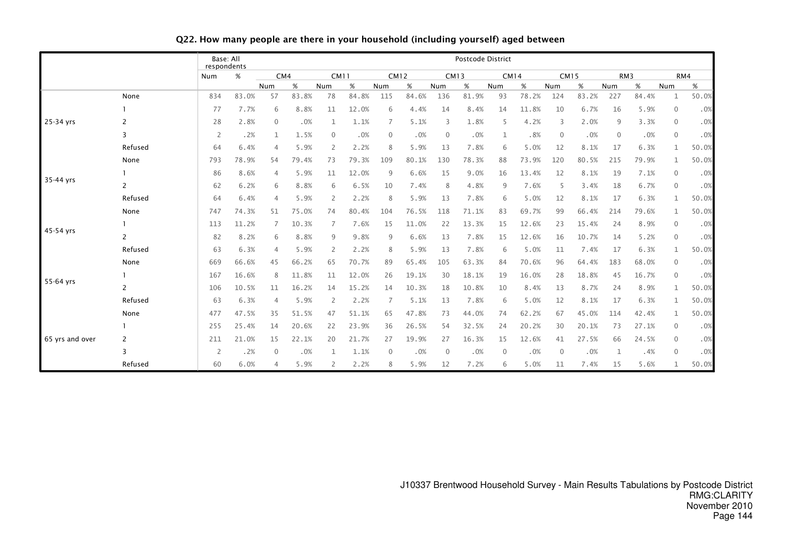|                 |                | Base: All<br>respondents |       |             |       |                |       |          |             |              | Postcode District |             |       |          |             |              |                 |              |       |
|-----------------|----------------|--------------------------|-------|-------------|-------|----------------|-------|----------|-------------|--------------|-------------------|-------------|-------|----------|-------------|--------------|-----------------|--------------|-------|
|                 |                | Num                      | $\%$  | CM4         |       | <b>CM11</b>    |       |          | <b>CM12</b> |              | <b>CM13</b>       | <b>CM14</b> |       |          | <b>CM15</b> |              | RM <sub>3</sub> |              | RM4   |
|                 |                |                          |       | Num         | %     | Num            | %     | Num      | $\%$        | Num          | %                 | Num         | %     | Num      | %           | Num          | %               | Num          | $\%$  |
|                 | None           | 834                      | 83.0% | 57          | 83.8% | 78             | 84.8% | 115      | 84.6%       | 136          | 81.9%             | 93          | 78.2% | 124      | 83.2%       | 227          | 84.4%           | $\mathbf{1}$ | 50.0% |
|                 |                | 77                       | 7.7%  | 6           | 8.8%  | 11             | 12.0% | 6        | 4.4%        | 14           | 8.4%              | 14          | 11.8% | 10       | 6.7%        | 16           | 5.9%            | $\mathbf 0$  | .0%   |
| 25-34 yrs       | 2              | 28                       | 2.8%  | 0           | .0%   | $\mathbf{1}$   | 1.1%  |          | 5.1%        | 3            | 1.8%              | 5           | 4.2%  | 3        | 2.0%        | 9            | 3.3%            | $\mathbf 0$  | .0%   |
|                 | 3              | 2                        | .2%   | 1           | 1.5%  | $\mathbf{0}$   | .0%   |          | .0%         | $\mathbf{0}$ | .0%               |             | .8%   | $\Omega$ | .0%         | $\mathbf{0}$ | .0%             | $\mathbf 0$  | .0%   |
|                 | Refused        | 64                       | 6.4%  | 4           | 5.9%  | $\overline{2}$ | 2.2%  |          | 5.9%        | 13           | 7.8%              | 6           | 5.0%  | 12       | 8.1%        | 17           | 6.3%            | $\mathbf{1}$ | 50.0% |
|                 | None           | 793                      | 78.9% | 54          | 79.4% | 73             | 79.3% | 109      | 80.1%       | 130          | 78.3%             | 88          | 73.9% | 120      | 80.5%       | 215          | 79.9%           | 1            | 50.0% |
|                 |                | 86                       | 8.6%  | 4           | 5.9%  | 11             | 12.0% | q        | 6.6%        | 15           | 9.0%              | 16          | 13.4% | 12       | 8.1%        | 19           | 7.1%            | $\mathbf 0$  | .0%   |
| 35-44 yrs       | 2              | 62                       | 6.2%  | 6           | 8.8%  | 6              | 6.5%  | 10       | 7.4%        | 8            | 4.8%              | 9           | 7.6%  | -5       | 3.4%        | 18           | 6.7%            | $\mathbf{0}$ | .0%   |
|                 | Refused        | 64                       | 6.4%  | 4           | 5.9%  | $\overline{2}$ | 2.2%  | 8        | 5.9%        | 13           | 7.8%              | 6           | 5.0%  | 12       | 8.1%        | 17           | 6.3%            | 1            | 50.0% |
|                 | None           | 747                      | 74.3% | 51          | 75.0% | 74             | 80.4% | 104      | 76.5%       | 118          | 71.1%             | 83          | 69.7% | 99       | 66.4%       | 214          | 79.6%           | 1            | 50.0% |
|                 |                | 113                      | 11.2% | 7           | 10.3% | 7              | 7.6%  | 15       | 11.0%       | 22           | 13.3%             | 15          | 12.6% | 23       | 15.4%       | 24           | 8.9%            | $\mathbf 0$  | .0%   |
| 45-54 yrs       | 2              | 82                       | 8.2%  | 6           | 8.8%  | 9              | 9.8%  | q        | 6.6%        | 13           | 7.8%              | 15          | 12.6% | 16       | 10.7%       | 14           | 5.2%            | $\mathbf{0}$ | .0%   |
|                 | Refused        | 63                       | 6.3%  | 4           | 5.9%  | 2              | 2.2%  |          | 5.9%        | 13           | 7.8%              | 6           | 5.0%  | 11       | 7.4%        | 17           | 6.3%            | 1            | 50.0% |
|                 | None           | 669                      | 66.6% | 45          | 66.2% | 65             | 70.7% | 89       | 65.4%       | 105          | 63.3%             | 84          | 70.6% | 96       | 64.4%       | 183          | 68.0%           | $\mathbf 0$  | .0%   |
|                 |                | 167                      | 16.6% | 8           | 11.8% | 11             | 12.0% | 26       | 19.1%       | 30           | 18.1%             | 19          | 16.0% | 28       | 18.8%       | 45           | 16.7%           | $\mathbf{0}$ | .0%   |
| 55-64 yrs       | $\overline{2}$ | 106                      | 10.5% | 11          | 16.2% | 14             | 15.2% | 14       | 10.3%       | 18           | 10.8%             | 10          | 8.4%  | 13       | 8.7%        | 24           | 8.9%            | $\mathbf{1}$ | 50.0% |
|                 | Refused        | 63                       | 6.3%  | 4           | 5.9%  | 2              | 2.2%  |          | 5.1%        | 13           | 7.8%              | 6           | 5.0%  | 12       | 8.1%        | 17           | 6.3%            | 1            | 50.0% |
|                 | None           | 477                      | 47.5% | 35          | 51.5% | 47             | 51.1% | 65       | 47.8%       | 73           | 44.0%             | 74          | 62.2% | 67       | 45.0%       | 114          | 42.4%           | 1            | 50.0% |
|                 |                | 255                      | 25.4% | 14          | 20.6% | 22             | 23.9% | 36       | 26.5%       | 54           | 32.5%             | 24          | 20.2% | 30       | 20.1%       | 73           | 27.1%           | $\mathbf 0$  | .0%   |
| 65 yrs and over | 2              | 211                      | 21.0% | 15          | 22.1% | 20             | 21.7% | 27       | 19.9%       | 27           | 16.3%             | 15          | 12.6% | 41       | 27.5%       | 66           | 24.5%           | $\mathbf 0$  | .0%   |
|                 | 3              | $\overline{2}$           | .2%   | $\mathbf 0$ | .0%   | 1              | 1.1%  | $\Omega$ | .0%         | $\mathbf 0$  | .0%               | $\mathbf 0$ | .0%   | 0        | .0%         | 1            | .4%             | $\mathbf 0$  | .0%   |
|                 | Refused        | 60                       | 6.0%  | 4           | 5.9%  | 2              | 2.2%  |          | 5.9%        | 12           | 7.2%              | 6           | 5.0%  | 11       | 7.4%        | 15           | 5.6%            | $\mathbf{1}$ | 50.0% |

# Q22. How many people are there in your household (including yourself) aged between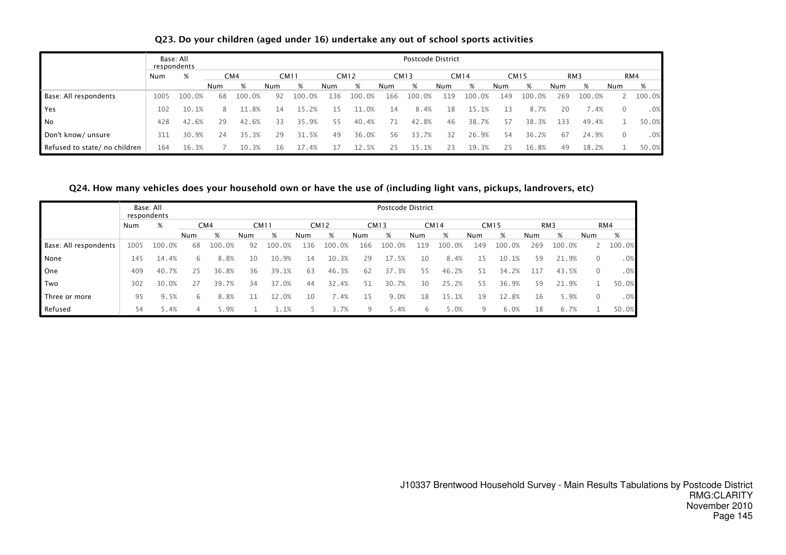## Q23. Do your children (aged under 16) undertake any out of school sports activities

|                              |      | Base: All<br>respondents |     |        |     |             |     |             |     | Postcode District |     |             |     |             |     |                 |     |        |
|------------------------------|------|--------------------------|-----|--------|-----|-------------|-----|-------------|-----|-------------------|-----|-------------|-----|-------------|-----|-----------------|-----|--------|
|                              | Num  | %                        |     | CM4    |     | <b>CM11</b> |     | <b>CM12</b> |     | <b>CM13</b>       |     | <b>CM14</b> |     | <b>CM15</b> |     | RM <sub>3</sub> |     | RM4    |
|                              |      |                          | Num | %      | Num | %           | Num | %           | Num | %                 | Num | %           | Num | %           | Num | %               | Num | %      |
| Base: All respondents        | 1005 | 100.0%                   | 68  | 100.0% | 92  | 100.0%      | 136 | 100<br>.0%  | 166 | 100.0%            | 119 | 100<br>.0%  | 149 | 100.0%      | 269 | 100.0%          |     | 100.0% |
| Yes                          | 102  | 10.1%                    | 8   | -8%    | 14  |             |     | .0%<br>11   | 14  | 8.4%              | 18  | 15.1%       | 13  | 8.7%        | 20  | '.4%            |     | .0%    |
| N <sub>o</sub>               | 428  | 42.6%                    | 29  | 42.6%  |     | 35.9%       | 55  | 40.4%       | 71  | 42.8%             | 46  | 38.7%       | 57  | 38.3%       | 133 | 49.4%           |     | 50.0%  |
| Don't know/ unsure           | 311  | 30.9%                    | 24  | 35.3%  | 29  | 31.5%       | 49  | 36.0%       | 56  | 33.7%             | 32  | 26.9%       | 54  | 36.2%       | 67  | 24.9%           |     | .0%    |
| Refused to state/no children | 164  | 16.3%                    |     | 10.3%  | 16  | 17.4%       |     | 12.5%       | 25  | 15.1%             | 23  | 19.3%       | 25  | 16.8%       | 49  | 18.2%           |     | 50.0%  |

## Q24. How many vehicles does your household own or have the use of (including light vans, pickups, landrovers, etc)

|                       |      | Base: All<br>respondents |     | Postcode District |             |        |             |        |             |        |             |        |             |        |                 |        |          |        |
|-----------------------|------|--------------------------|-----|-------------------|-------------|--------|-------------|--------|-------------|--------|-------------|--------|-------------|--------|-----------------|--------|----------|--------|
|                       | Num  | %                        |     | CM4               | <b>CM11</b> |        | <b>CM12</b> |        | <b>CM13</b> |        | <b>CM14</b> |        | <b>CM15</b> |        | RM <sub>3</sub> |        |          | RM4    |
|                       |      |                          | Num | %                 | Num         | %      | Num         | %      | Num         | %      | Num         | %      | Num         | %      | Num             | %      | Num      | %      |
| Base: All respondents | 1005 | 100.0%                   | 68  | 100.0%            | 92          | 100.0% | 136         | 100.0% | 166         | 100.0% | 119         | 100.0% | 149         | 100.0% | 269             | 100.0% |          | 100.0% |
| None                  | 145  | 14.4%                    | 6   | 8.8%              | 10          | 10.9%  | 14          | 10.3%  | 29          | 17.5%  | 10          | 8.4%   | 15          | 10.1%  | 59              | 21.9%  | $\Omega$ | .0%    |
| One                   | 409  | 40.7%                    | 25  | 36.8%             | 36          | 39.1%  | 63          | 46.3%  | 62          | 37.3%  | 55          | 46.2%  | 51          | 34.2%  | 117             | 43.5%  | $\Omega$ | .0%    |
| Two                   | 302  | 30.0%                    | 27  | 39.7%             | 34          | 37.0%  | 44          | 32.4%  | 51          | 30.7%  | 30          | 25.2%  | 55          | 36.9%  | 59              | 21.9%  |          | 50.0%  |
| Three or more         | 95   | 9.5%                     | 6   | 8.8%              |             | 12.0%  | 10          | 7.4%   | 15          | 9.0%   | 18          | 15.1%  | 19          | 12.8%  | 16              | 5.9%   | $\Omega$ | .0%    |
| Refused               | 54   | 5.4%                     |     | 5.9%              |             | L.1%   |             | 3.7%   | 9           | 5.4%   | 6           | 5.0%   | 9           | 6.0%   | 18              | 6.7%   |          | 50.0%  |